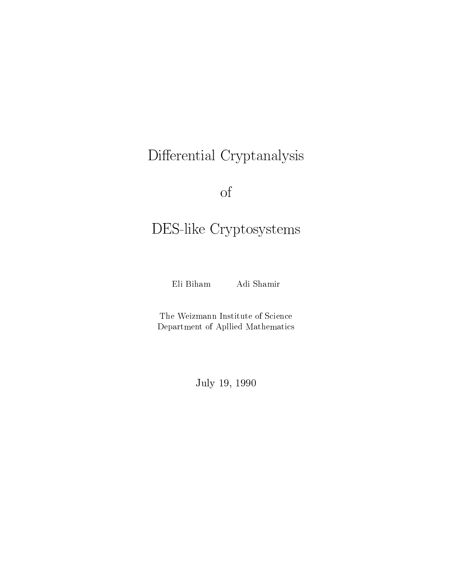# Differential Cryptanalysis

of

# DES-like Cryptosystems

Eli Biham Adi Shamir

The Weizmann Institute of Science Department of Apllied Mathematics

July 19, <sup>1990</sup>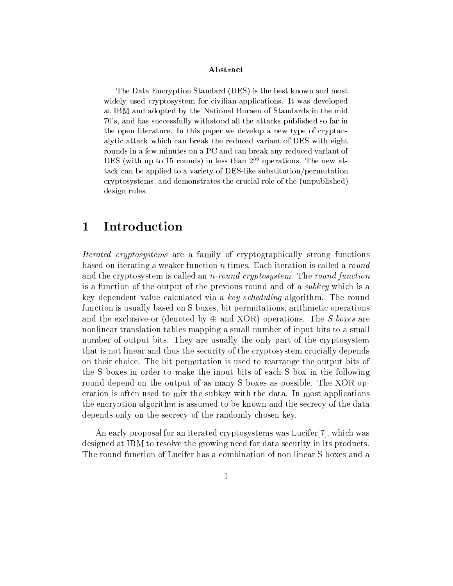### Abstract

The Data Encryption Standard (DES) is the best known and mostwidely used cryptosystem for civilian applications. It was developed at IBM and adopted by the National Buraeu of Standards in the mid70's, and has successfully withstood all the attacks published so far inthe open literature. In this paper we develop a new type of cryptanalytic attack which can break the reduced variant of DES with eight rounds in a few minutes on a PC and can break any reduced variant ofDES (with up to 15 rounds) in less than 256 operations. The new attack can be applied to a variety of DES-like substitution/permutationcryptosystems, and demonstrates the crucial role of the (unpublished)design rules.

## 1 Introduction

Iterated cryptosystems are a family of cryptographically strong functions based on iterating a weaker function n times. Each iteration is called a *round* and the cryptosystem is called an n-round cryptosystem. The round function is a function of the output of the previous round and of a subkey which is a key dependent value calculated via a key scheduling algorithm. The round function is usually based on S boxes, bit permutations, arithmetic operations and the exclusive-or (denoted by  $\mathcal{Q}$  and  $\mathcal{Q}$  by approximations. The S boxes are  $\mathcal{Q}$ nonlinear translation tables mapping a small number of input bits to a small number of output bits. They are usually the only part of the cryptosystem that is not linear and thus the security of the cryptosystem crucially depends on their choice. The bit permutation is used to rearrange the output bits of the S boxes in order to make the input bits of each S box in the following round depend on the output of as many S boxes as possible. The XOR operation is often used to mix the subkey with the data. In most applications the encryption algorithm is assumed to be known and the secrecy of the data depends only on the secrecy of the randomly chosen key.

An early proposal for an iterated cryptosystems was Lucifer[7], which was designed at IBM to resolve the growing need for data security in its products. The round function of Lucifer has a combination of non linear S boxes and a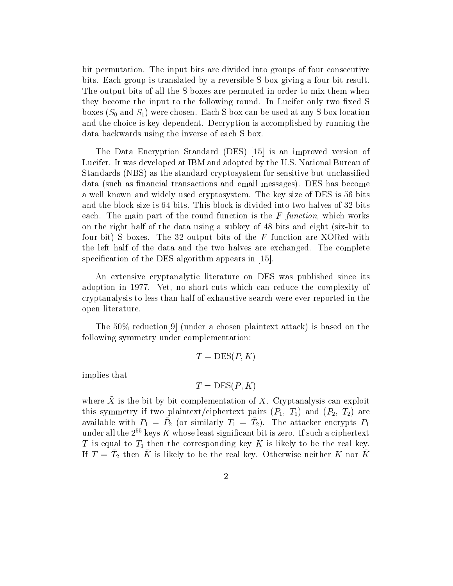bit permutation. The input bits are divided into groups of four consecutive bits. Each group is translated by a reversible S box giving a four bit result. The output bits of all the S boxes are permuted in order to mix them when they become the input to the following round. In Lucifer only two fixed S boxes  $(S_0$  and  $S_1)$  were chosen. Each S box can be used at any S box location and the choice is key dependent. Decryption is accomplished by running the data backwards using the inverse of each S box.

The Data Encryption Standard (DES) [15] is an improved version of Lucifer. It was developed at IBM and adopted by the U.S. National Bureau of Standards (NBS) as the standard cryptosystem for sensitive but unclassied data (such as financial transactions and email messages). DES has become a well known and widely used cryptosystem. The key size of DES is 56 bits and the block size is 64 bits. This block is divided into two halves of 32 bits each. The main part of the round function is the  $F$  function, which works on the right half of the data using a subkey of 48 bits and eight (six-bit to four-bit) S boxes. The 32 output bits of the  $F$  function are XORed with the left half of the data and the two halves are exchanged. The complete specification of the DES algorithm appears in [15].

An extensive cryptanalytic literature on DES was published since its adoption in 1977. Yet, no short-cuts which can reduce the complexity of cryptanalysis to less than half of exhaustive search were ever reported in the open literature.

The 50% reduction[9] (under a chosen plaintext attack) is based on the following symmetry under complementation:

$$
T = DES(P, K)
$$

implies that

$$
\bar{T}=\text{DES}(\bar{P},\bar{K})
$$

where  $\Lambda$  is the bit by bit complementation of  $\Lambda$ . Oryptanalysis can exploit this symmetry if two plaintext/ciphertext pairs  $(P_1, T_1)$  and  $(P_2, T_2)$  are available with  $P_1 = P_2$  (or similarly  $P_1 = P_2$ ). The attacker encrypts  $P_1$ under all the  $2^{55}$  keys K whose least significant bit is zero. If such a ciphertext T is equal to  $T_1$  then the corresponding key K is likely to be the real key. If  $I = I_2$  then K is likely to be the real key. Otherwise neither K nor K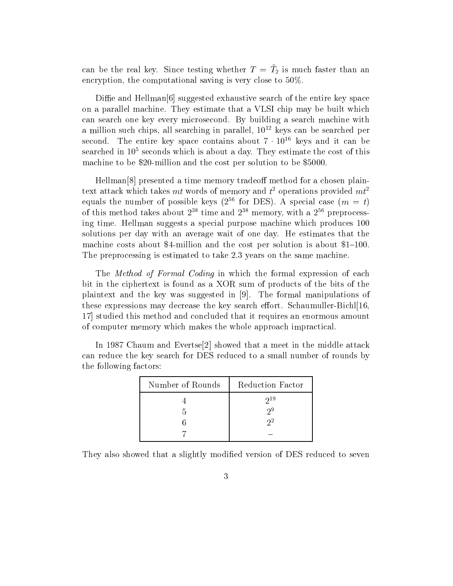can be the real  $\kappa$ y. Since testing whether  $T = T_2$  is much faster than an encryption, the computational saving is very close to 50%.

Diffie and Hellman<sup>[6]</sup> suggested exhaustive search of the entire key space on a parallel machine. They estimate that a VLSI chip may be built which can search one key every microsecond. By building a search machine with a million such chips, all searching in parallel,  $10^{12}$  keys can be searched per second. The entire key space contains about 7  $\cdot$  1016 keys and it can be searched in  $10<sup>5</sup>$  seconds which is about a day. They estimate the cost of this machine to be \$20-million and the cost per solution to be \$5000.

Hellman<sup>[8]</sup> presented a time memory tradeoff method for a chosen plaintext attack which takes  $mu$  words of memory and  $t^2$  operations provided  $mu^2$ equals the number of possible keys (2<sup>56</sup> for DES). A special case ( $m = t$ ) of this method takes about 2<sup>33</sup> time and 2<sup>33</sup> memory, with a 2<sup>33</sup> preprocessing time. Hellman suggests a special purpose machine which produces 100 solutions per day with an average wait of one day. He estimates that the machine costs about \$4-million and the cost per solution is about  $$1-100$ . The preprocessing is estimated to take 2.3 years on the same machine.

The Method of Formal Coding in which the formal expression of each bit in the ciphertext is found as a XOR sum of products of the bits of the plaintext and the key was suggested in [9]. The formal manipulations of these expressions may decrease the key search effort. Schaumuller-Bichl[16, 17] studied this method and concluded that it requires an enormous amount of computer memory which makes the whole approach impractical.

| Number of Rounds | <b>Reduction Factor</b> |
|------------------|-------------------------|
|                  | 219                     |
|                  | 2 <sup>9</sup>          |
|                  | 2 <sup>2</sup>          |
|                  |                         |

In 1987 Chaum and Evertse[2] showed that a meet in the middle attack can reduce the key search for DES reduced to a small number of rounds by the following factors:

They also showed that a slightly modified version of DES reduced to seven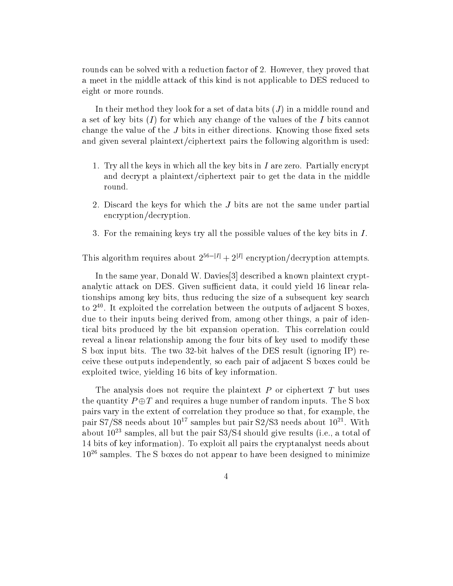rounds can be solved with a reduction factor of 2. However, they proved that a meet in the middle attack of this kind is not applicable to DES reduced to eight or more rounds.

In their method they look for a set of data bits  $(J)$  in a middle round and a set of key bits  $(I)$  for which any change of the values of the I bits cannot change the value of the  $J$  bits in either directions. Knowing those fixed sets and given several plaintext/ciphertext pairs the following algorithm is used:

- 1. Try all the keys in which all the key bits in I are zero. Partially encrypt and decrypt a plaintext/ciphertext pair to get the data in the middle round.
- 2. Discard the keys for which the J bits are not the same under partial encryption/decryption.
- 3. For the remaining keys try all the possible values of the key bits in  $I$ .

This algorithm requires about  $2^{56-|I|} + 2^{|I|}$  encryption/decryption attempts.

In the same year, Donald W. Davies[3] described a known plaintext cryptanalytic attack on DES. Given sufficient data, it could yield 16 linear relationships among key bits, thus reducing the size of a subsequent key search to  $2^{**}$ . It exploited the correlation between the outputs of adjacent  $S$  boxes, due to their inputs being derived from, among other things, a pair of identical bits produced by the bit expansion operation. This correlation could reveal a linear relationship among the four bits of key used to modify these S box input bits. The two 32-bit halves of the DES result (ignoring IP) receive these outputs independently, so each pair of adjacent S boxes could be exploited twice, yielding 16 bits of key information.

The analysis does not require the plaintext  $P$  or ciphertext  $T$  but uses the quantity  $P \oplus T$  and requires a huge number of random inputs. The S box pairs vary in the extent of correlation they produce so that, for example, the pair  $57/58$  needs about 10 – samples but pair  $52/55$  needs about 10 – . With about  $10^{23}$  samples, all but the pair S3/S4 should give results (i.e., a total of 14 bits of key information). To exploit all pairs the cryptanalyst needs about  $10^{26}$  samples. The S boxes do not appear to have been designed to minimize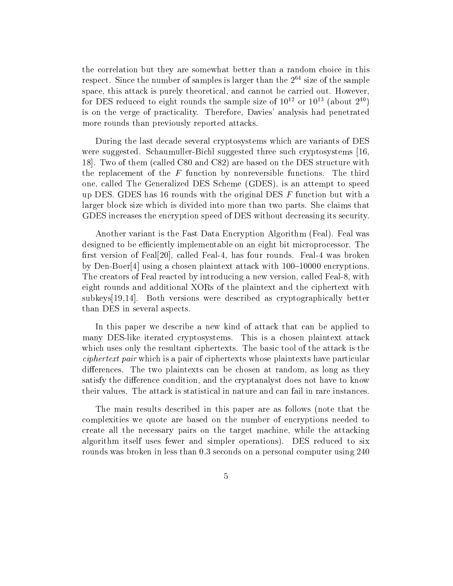the correlation but they are somewhat better than a random choice in this respect. Since the number of samples is larger than the  $2^{64}$  size of the sample space, this attack is purely theoretical, and cannot be carried out. However, for DES reduced to eight rounds the sample size of  $10^{12}$  or  $10^{13}$  (about  $2^{40}$ ) is on the verge of practicality. Therefore, Davies' analysis had penetrated more rounds than previously reported attacks.

During the last decade several cryptosystems which are variants of DES were suggested. Schaumuller-Bichl suggested three such cryptosystems [16, 18]. Two of them (called C80 and C82) are based on the DES structure with the replacement of the  $F$  function by nonreversible functions. The third one, called The Generalized DES Scheme (GDES), is an attempt to speed up DES. GDES has 16 rounds with the original DES  $F$  function but with a larger block size which is divided into more than two parts. She claims that GDES increases the encryption speed of DES without decreasing its security.

Another variant is the Fast Data Encryption Algorithm (Feal). Feal was designed to be efficiently implementable on an eight bit microprocessor. The first version of Feal[20], called Feal-4, has four rounds. Feal-4 was broken by Den-Boer[4] using a chosen plaintext attack with  $100{-}10000$  encryptions. The creators of Feal reacted by introducing a new version, called Feal-8, with eight rounds and additional XORs of the plaintext and the ciphertext with subkeys[19,14]. Both versions were described as cryptographically better than DES in several aspects.

In this paper we describe a new kind of attack that can be applied to many DES-like iterated cryptosystems. This is a chosen plaintext attack which uses only the resultant ciphertexts. The basic tool of the attack is the ciphertext pair which is a pair of ciphertexts whose plaintexts have particular differences. The two plaintexts can be chosen at random, as long as they satisfy the difference condition, and the cryptanalyst does not have to know their values. The attack is statistical in nature and can fail in rare instances.

The main results described in this paper are as follows (note that the complexities we quote are based on the number of encryptions needed to create all the necessary pairs on the target machine, while the attacking algorithm itself uses fewer and simpler operations). DES reduced to six rounds was broken in less than 0.3 seconds on a personal computer using 240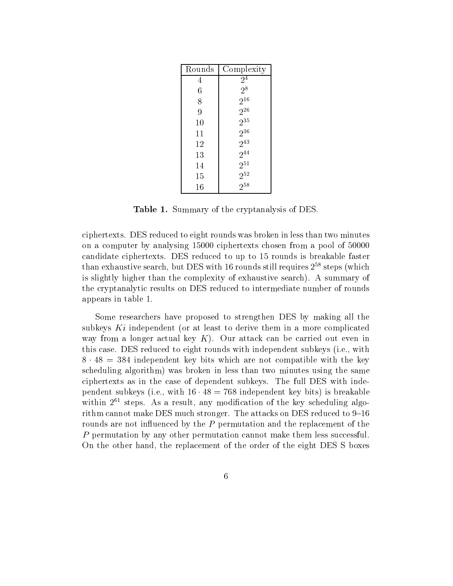| Rounds | Complexity |  |
|--------|------------|--|
| 4      | $2^4$      |  |
| 6      | $2^8$      |  |
| 8      | $2^{16}$   |  |
| 9      | $2^{26}\,$ |  |
| 10     | $2^{35}$   |  |
| 11     | $2^{36}$   |  |
| 12     | $2^{43}$   |  |
| 13     | $2^{44}$   |  |
| 14     | $2^{51}$   |  |
| 15     | $2^{52}$   |  |
| 16     | $2^{58}$   |  |

Table 1. Summary of the cryptanalysis of DES.

ciphertexts. DES reduced to eight rounds was broken in less than two minutes on a computer by analysing 15000 ciphertexts chosen from a pool of 50000 candidate ciphertexts. DES reduced to up to 15 rounds is breakable faster than exhaustive search, but DES with 16 rounds still requires  $2^{58}$  steps (which is slightly higher than the complexity of exhaustive search). A summary of the cryptanalytic results on DES reduced to intermediate number of rounds appears in table 1.

Some researchers have proposed to strengthen DES by making all the subkeys  $Ki$  independent (or at least to derive them in a more complicated way from a longer actual key  $K$ ). Our attack can be carried out even in this case. DES reduced to eight rounds with independent subkeys (i.e., with 8 <sup>48</sup> <sup>=</sup> 384independent key bits which are not compatible with the key scheduling algorithm) was broken in less than two minutes using the same ciphertexts as in the case of dependent subkeys. The full DES with independent subkeys (i.e., with 16 48 = 768 independent key bits) is breakable within  $2^{61}$  steps. As a result, any modification of the key scheduling algorithm cannot make DES much stronger. The attacks on DES reduced to 9-16 rounds are not influenced by the P permutation and the replacement of the P permutation by any other permutation cannot make them less successful. On the other hand, the replacement of the order of the eight DES S boxes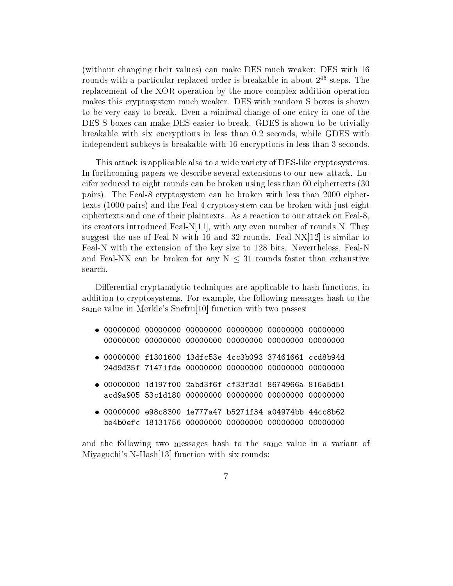(without changing their values) can make DES much weaker: DES with 16 rounds with a particular replaced order is breakable in about  $2^{46}$  steps. The replacement of the XOR operation by the more complex addition operation makes this cryptosystem much weaker. DES with random S boxes is shown to be very easy to break. Even a minimal change of one entry in one of the DES S boxes can make DES easier to break. GDES is shown to be trivially breakable with six encryptions in less than 0.2 seconds, while GDES with independent subkeys is breakable with 16 encryptions in less than 3 seconds.

This attack is applicable also to a wide variety of DES-like cryptosystems. In forthcoming papers we describe several extensions to our new attack. Lucifer reduced to eight rounds can be broken using less than 60 ciphertexts (30 pairs). The Feal-8 cryptosystem can be broken with less than 2000 ciphertexts (1000 pairs) and the Feal-4 cryptosystem can be broken with just eight ciphertexts and one of their plaintexts. As a reaction to our attack on Feal-8, its creators introduced Feal-N[11], with any even number of rounds N. They suggest the use of Feal-N with 16 and 32 rounds. Feal-NX $[12]$  is similar to Feal-N with the extension of the key size to 128 bits. Nevertheless, Feal-N and Feal-NX can be broken for any N  $31$  rounds faster than exhaustive than exhaustive than exhaustive than exhaustive than exhaustive than  $\mathcal{A}$ search.

Differential cryptanalytic techniques are applicable to hash functions, in addition to cryptosystems. For example, the following messages hash to the same value in Merkle's Snefru[10] function with two passes:

| $\bullet$ 00000000 f1301600 13dfc53e 4cc3b093 37461661 ccd8b94d |  |                                                       |  |
|-----------------------------------------------------------------|--|-------------------------------------------------------|--|
|                                                                 |  | 24d9d35f 71471fde 00000000 00000000 00000000 00000000 |  |
| $\bullet$ 00000000 1d197f00 2abd3f6f cf33f3d1 8674966a 816e5d51 |  |                                                       |  |
|                                                                 |  | acd9a905 53c1d180 00000000 00000000 00000000 00000000 |  |
| • 00000000 e98c8300 1e777a47 b5271f34 a04974bb 44cc8b62         |  |                                                       |  |
| be4b0efc 18131756 00000000 00000000 00000000 00000000           |  |                                                       |  |

and the following two messages hash to the same value in a variant of Miyaguchi's N-Hash[13] function with six rounds: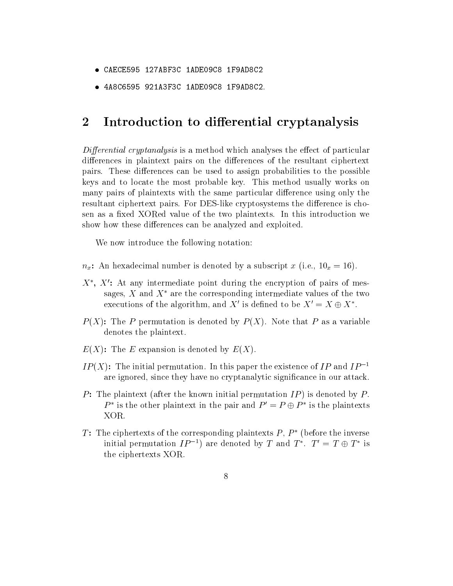- CAECE595 127ABF3C 1ADE09C8 1F9AD8C2
- 4A8C6595 921A3F3C 1ADE09C8 1F9AD8C2.

#### $\overline{2}$ Introduction to differential cryptanalysis

Differential cryptanalysis is a method which analyses the effect of particular differences in plaintext pairs on the differences of the resultant ciphertext pairs. These differences can be used to assign probabilities to the possible keys and to locate the most probable key. This method usually works on many pairs of plaintexts with the same particular difference using only the resultant ciphertext pairs. For DES-like cryptosystems the difference is chosen as a fixed XORed value of the two plaintexts. In this introduction we show how these differences can be analyzed and exploited.

We now introduce the following notation:

- $n_x$ : An hexadecimal number is denoted by a subscript x (i.e.,  $10_x = 16$ ).
- $\Lambda$  ,  $\Lambda$  ; At any intermediate point during the encryption of pairs of messages, X and  $X^*$  are the corresponding intermediate values of the two executions of the algorithm, and  $\Lambda$  is defined to be  $\Lambda \equiv \Lambda \oplus \Lambda$  .
- $P(X)$ : The P permutation is denoted by  $P(X)$ . Note that P as a variable denotes the plaintext.
- $E(X)$ : The E expansion is denoted by  $E(X)$ .
- $IP(X)$ : The initial permutation. In this paper the existence of IP and IP<sup>-1</sup> are ignored, since they have no cryptanalytic signicance in our attack.
- P: The plaintext (after the known initial permutation  $IP$ ) is denoted by P. P is the other plaintext in the pair and  $P = P \oplus P$  is the plaintexts XOR.
- T: The ciphertexts of the corresponding plaintexts  $P, P^*$  (before the inverse initial permutation  $IP^{-1}$  are denoted by T and T  $\ldots$   $T = T \oplus T$  is the ciphertexts XOR.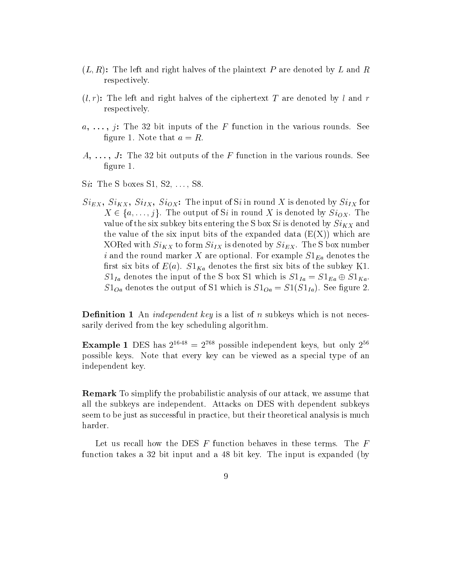- $(L, R)$ : The left and right halves of the plaintext P are denoted by L and R respectively.
- $(l, r)$ : The left and right halves of the ciphertext T are denoted by l and r respectively.
- $a, \ldots, j$ : The 32 bit inputs of the F function in the various rounds. See figure 1. Note that  $a = R$ .
- $A, \ldots, J$ : The 32 bit outputs of the F function in the various rounds. See figure 1.
- Si: The S boxes S1, S2, ..., S8.
- $Si_{EX}$ ,  $Si_{KX}$ ,  $Si_{IX}$ ,  $Si_{OX}$ : The input of Si in round X is denoted by  $Si_{IX}$  for  $X \in \{a, \ldots, j\}$ . The output of Si in round X is denoted by  $Si_{OX}$ . The value of the six subkey bits entering the S box Si is denoted by  $Si_{KX}$  and the value of the six input bits of the expanded data  $(E(X))$  which are XORed with  $Si_{KX}$  to form  $Si_{IX}$  is denoted by  $Si_{EX}$ . The S box number i and the round marker X are optional. For example  $S1_{E_a}$  denotes the first six bits of  $E(a)$ .  $S1_{Ka}$  denotes the first six bits of the subkey K1.  $S1_{Ia}$  denotes the input of the S box S1 which is  $S1_{Ia} = S1_{Ea} \oplus S1_{Ka}$ .  $S1_{Oa}$  denotes the output of S1 which is  $S1_{Oa} = S1(S1_{Ia})$ . See figure 2.

**Definition 1** An *independent key* is a list of n subkeys which is not necessarily derived from the key scheduling algorithm.

**Example 1** DES has  $2^{16\cdot 48} = 2^{768}$  possible independent keys, but only  $2^{56}$ possible keys. Note that every key can be viewed as a special type of an independent key.

Remark To simplify the probabilistic analysis of our attack, we assume that all the subkeys are independent. Attacks on DES with dependent subkeys seem to be just as successful in practice, but their theoretical analysis is much harder.

Let us recall how the DES  $F$  function behaves in these terms. The  $F$ function takes a 32 bit input and a 48 bit key. The input is expanded (by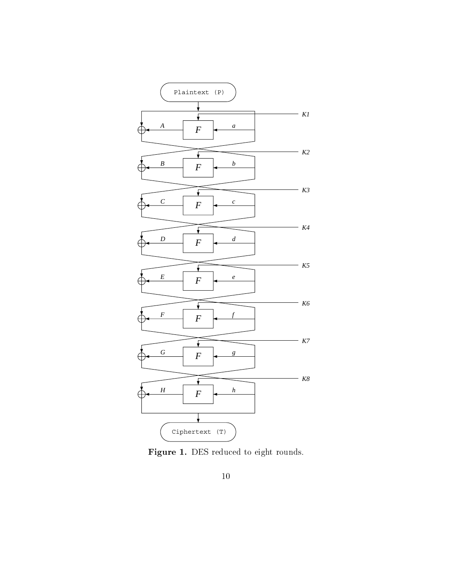

Figure 1. DES reduced to eight rounds.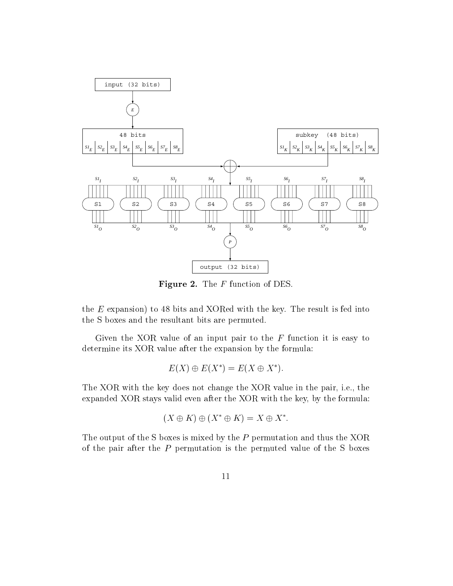

Figure 2. The F function of DES.

the  $E$  expansion) to 48 bits and XORed with the key. The result is fed into the S boxes and the resultant bits are permuted.

Given the XOR value of an input pair to the  $F$  function it is easy to determine its XOR value after the expansion by the formula:

$$
E(X) \oplus E(X^*) = E(X \oplus X^*).
$$

The XOR with the key does not change the XOR value in the pair, i.e., the expanded XOR stays valid even after the XOR with the key, by the formula:

$$
(X \oplus K) \oplus (X^* \oplus K) = X \oplus X^*.
$$

The output of the S boxes is mixed by the P permutation and thus the XOR of the pair after the  $P$  permutation is the permuted value of the  $S$  boxes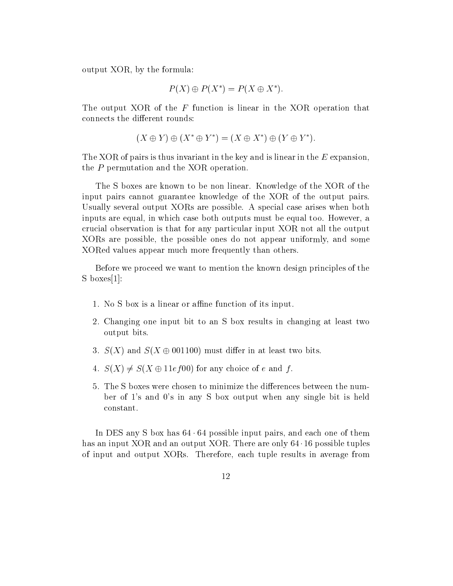output XOR, by the formula:

$$
P(X) \oplus P(X^*) = P(X \oplus X^*).
$$

The output XOR of the  $F$  function is linear in the XOR operation that connects the different rounds:

$$
(X \oplus Y) \oplus (X^* \oplus Y^*) = (X \oplus X^*) \oplus (Y \oplus Y^*).
$$

The XOR of pairs is thus invariant in the key and is linear in the  $E$  expansion, the P permutation and the XOR operation.

The S boxes are known to be non linear. Knowledge of the XOR of the input pairs cannot guarantee knowledge of the XOR of the output pairs. Usually several output XORs are possible. A special case arises when both inputs are equal, in which case both outputs must be equal too. However, a crucial observation is that for any particular input XOR not allthe output XORs are possible, the possible ones do not appear uniformly, and some XORed values appear much more frequently than others.

Before we proceed we want to mention the known design principles of the S boxes[1]:

- 1. No S box is a linear or affine function of its input.
- 2. Changing one input bit to an S box results in changing at least two output bits.
- 3.  $S(X)$  and  $S(X \oplus 001100)$  must differ in at least two bits.
- 4.  $S(X) \neq S(X \oplus 11ef00)$  for any choice of e and f.
- 5. The S boxes were chosen to minimize the differences between the number of 1's and 0's in any S box output when any single bit is held constant.

In DES any S box has 64 64 possible input pairs, and each one of them has an input XOR and an output XOR. There are only  $64 \cdot 16$  possible tuples of input and output XORs. Therefore, each tuple results in average from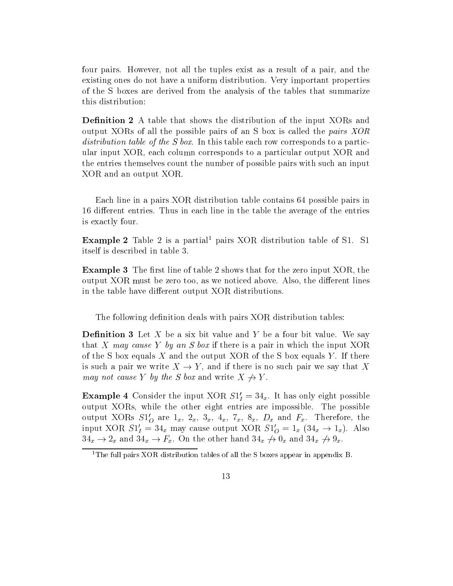four pairs. However, not all the tuples exist as a result of a pair, and the existing ones do not have a uniform distribution. Very important properties of the S boxes are derived from the analysis of the tables that summarize this distribution:

**Definition 2** A table that shows the distribution of the input XORs and output XORs of all the possible pairs of an S box is called the pairs XOR distribution table of the S box. In this table each row corresponds to a particular input XOR, each column corresponds to a particular output XOR and the entries themselves count the number of possible pairs with such an input XOR and an output XOR.

Each line in a pairs XOR distribution table contains 64 possible pairs in 16 different entries. Thus in each line in the table the average of the entries is exactly four.

Example 2 Table 2 is a partial<sup>1</sup> pairs XOR distribution table of S1. S1 itself is described in table 3.

**Example 3** The first line of table 2 shows that for the zero input XOR, the output XOR must be zero too, as we noticed above. Also, the different lines in the table have different output XOR distributions.

The following definition deals with pairs XOR distribution tables:

**Definition 3** Let X be a six bit value and Y be a four bit value. We say that X may cause Y by an S box if there is a pair in which the input XOR of the S box equals  $X$  and the output XOR of the S box equals  $Y$ . If there is such a pair we write X ! <sup>Y</sup> , and if there is no such pair we say that <sup>X</sup> may not cause Y by the S box and write  $X \nrightarrow Y$ .

**Example 4** Consider the input XOR  $S1'_{I} = 34_{x}$ . It has only eight possible output XORs, while the other eight entries are impossible. The possible output XORs  $S1'_{O}$  are  $1_x$ ,  $2_x$ ,  $3_x$ ,  $4_x$ ,  $7_x$ ,  $8_x$ ,  $D_x$  and  $F_x$ . Therefore, the input AOR  $51<sub>I</sub> = 34<sub>x</sub>$  may cause output AOR  $51<sub>O</sub> = 1<sub>x</sub>$  ( $34<sub>x</sub> \rightarrow 1<sub>x</sub>$ ). Also  $34_x \rightarrow 2_x$  and  $34_x \rightarrow F_x$ . On the other hand  $34_x \not\rightarrow 0_x$  and  $34_x \not\rightarrow 9_x$ .

<sup>&</sup>lt;sup>1</sup>The full pairs XOR distribution tables of all the S boxes appear in appendix B.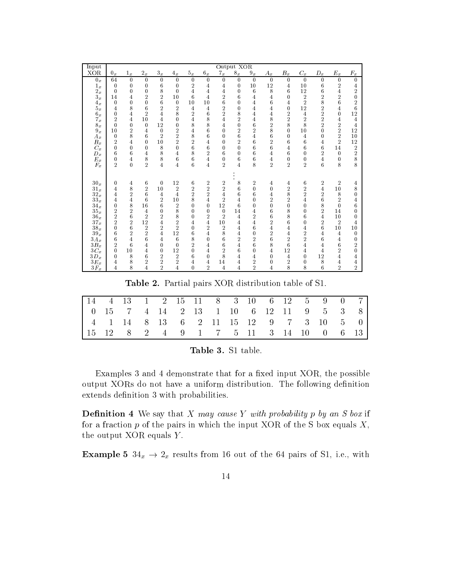| Input                            |                     |                     |                         |                                  |                                  |                                  |                                  |                                    | Output XOR                       |                                  |                                  |                            |                                  |                                  |                     |                     |
|----------------------------------|---------------------|---------------------|-------------------------|----------------------------------|----------------------------------|----------------------------------|----------------------------------|------------------------------------|----------------------------------|----------------------------------|----------------------------------|----------------------------|----------------------------------|----------------------------------|---------------------|---------------------|
| <b>XOR</b>                       | 0 <sub>x</sub>      | $1_x$               | $2\,x$                  | $\mathbf{3}_x$                   | 4x                               | $5_x$                            | $6\,x$                           | $7_x$                              | $8\,x$                           | $9_x$                            | $A_x$                            | $B_x$                      | $C_x$                            | $\mathcal{D}x$                   | $E_x$               | $F_x$               |
| $0_x$                            | 64                  | $\overline{0}$      | $\mathbf{0}$            | $\overline{0}$                   | $\bf{0}$                         | $\mathbf{0}$                     | $\bf{0}$                         | $\overline{0}$                     | $\overline{0}$                   | $\overline{0}$                   | $\theta$                         | $\bf{0}$                   | $\overline{0}$                   | $\bf{0}$                         | $\boldsymbol{0}$    | $\overline{0}$      |
| $1_x$                            | $\bf{0}$            | $\bf{0}$            | $\bf{0}$                | 6                                | $\mathbf{0}$                     | $\overline{2}$                   | $\overline{4}$                   | $\overline{4}$                     | $\bf{0}$                         | 10                               | $12\,$                           | $\overline{4}$             | 10                               | 6                                | $\overline{2}$      | $\overline{4}$      |
| $2_x$                            | $\bf{0}$            | $\bf{0}$            | $\theta$                | 8                                | $\mathbf{0}$                     | $\overline{4}$                   | $\overline{4}$                   | $\overline{4}$                     | $\bf{0}$                         | 6                                | 8                                | 6                          | $12\,$                           | 6                                | $\overline{4}$      | $\overline{2}$      |
| $3_x$                            | 14                  | $\overline{4}$      | $\overline{2}$          | $\overline{2}$                   | 10                               | 6                                | $\overline{4}$                   | $\overline{2}$                     | 6                                | $\overline{4}$                   | $\overline{4}$                   | $\bf{0}$                   | $\overline{2}$                   | $\overline{2}$                   | $\overline{2}$      | $\bf{0}$            |
| $4_x$                            | $\bf{0}$            | $\bf{0}$            | $\bf{0}$                | 6                                | $\bf{0}$                         | 10                               | 10                               | 6                                  | $\bf{0}$                         | $\overline{4}$                   | 6                                | $\overline{4}$             | $\boldsymbol{2}$                 | 8                                | 6                   | $\overline{2}$      |
| $5_x$                            | $\overline{4}$<br>0 | 8<br>$\overline{4}$ | 6<br>$\overline{2}$     | $\overline{2}$<br>$\overline{4}$ | $\overline{2}$<br>8              | $\overline{4}$<br>$\overline{2}$ | $\overline{4}$<br>$\,6$          | $\overline{2}$<br>$\overline{2}$   | $\bf{0}$<br>8                    | $\overline{4}$<br>$\overline{4}$ | $\overline{4}$<br>$\overline{4}$ | $\bf{0}$<br>$\overline{2}$ | 12<br>$\overline{4}$             | $\overline{2}$<br>$\overline{2}$ | 4<br>0              | 6<br>12             |
| $6_x$<br>$7_x$                   | $\overline{2}$      | $\overline{4}$      | 10                      | $\overline{4}$                   | $\bf{0}$                         | $\overline{4}$                   | 8                                | $\overline{4}$                     | $\sqrt{2}$                       | $\overline{4}$                   | 8                                | $\overline{2}$             | $\overline{2}$                   | $\overline{2}$                   | $\overline{4}$      | $\overline{4}$      |
| $8_x$                            | $\overline{0}$      | $\bf{0}$            | $\bf{0}$                | 12                               | $\bf{0}$                         | 8                                | 8                                | $\overline{4}$                     | $\bf{0}$                         | 6                                | $\overline{2}$                   | 8                          | 8                                | $\overline{2}$                   | $\overline{2}$      | $\overline{4}$      |
| $9_x$                            | 10                  | $\overline{2}$      | $\overline{4}$          | $\mathbf{0}$                     | $\overline{2}$                   | 4                                | 6                                | 0                                  | $\overline{2}$                   | $\overline{2}$                   | 8                                | $\bf{0}$                   | 10                               | $\bf{0}$                         | $\,2$               | 12                  |
| $A_x$                            | $\boldsymbol{0}$    | 8                   | 6                       | $\overline{2}$                   | $\overline{2}$                   | 8                                | 6                                | $\bf{0}$                           | 6                                | $\overline{4}$                   | 6                                | 0                          | $\overline{4}$                   | $\bf{0}$                         | $\overline{2}$      | 10                  |
| $B_x$                            | $\overline{2}$      | $\overline{4}$      | $\theta$                | 10                               | $\overline{2}$                   | $\overline{2}$                   | $\overline{4}$                   | $\bf{0}$                           | $\overline{2}$                   | 6                                | $\overline{2}$                   | 6                          | 6                                | 4                                | $\overline{2}$      | 12                  |
| $C_{x}$                          | $\bf{0}$            | $\theta$            | $\bf{0}$                | 8                                | $\bf{0}$                         | 6                                | 6                                | $\bf{0}$                           | $\bf{0}$                         | 6                                | 6                                | $\overline{4}$             | 6                                | 6                                | 14                  | $\overline{2}$      |
| $D_x$                            | 6                   | 6                   | $\overline{4}$          | 8                                | 4                                | 8                                | $\overline{2}$                   | 6                                  | $\bf{0}$                         | 6                                | $\overline{4}$                   | 6                          | $\bf{0}$                         | $\overline{2}$                   | $\bf{0}$            | $\overline{2}$      |
| $E_x$                            | $\bf{0}$            | 4                   | 8                       | 8                                | 6                                | 6                                | $\overline{4}$                   | $\bf{0}$                           | 6                                | 6                                | $\overline{4}$                   | $\bf{0}$                   | $\boldsymbol{0}$                 | $\overline{4}$                   | $\bf{0}$            | 8                   |
| $\mathcal{F}_x$                  | $\overline{2}$      | $\bf{0}$            | $\overline{2}$          | $\overline{4}$                   | $\overline{4}$                   | 6                                | $\overline{4}$                   | $\overline{2}$                     | $\overline{4}$                   | 8                                | $\overline{2}$                   | $\overline{2}$             | $\overline{2}$                   | 6                                | 8                   | 8                   |
|                                  |                     |                     |                         |                                  |                                  |                                  |                                  |                                    |                                  |                                  |                                  |                            |                                  |                                  |                     |                     |
|                                  |                     |                     |                         |                                  |                                  |                                  |                                  |                                    |                                  |                                  |                                  |                            |                                  |                                  |                     |                     |
| $30_x$                           | $\bf{0}$            | $\overline{4}$      | 6                       | $\bf{0}$<br>10                   | 12                               | 6                                | $\boldsymbol{2}$                 | $\boldsymbol{2}$<br>$\overline{2}$ | 8<br>6                           | $\boldsymbol{2}$<br>$\theta$     | 4                                | 4                          | 6                                | $\boldsymbol{2}$                 | $\overline{2}$      | 4                   |
| $3\sqrt{1_x}$<br>32 <sub>x</sub> | 4<br>$\overline{4}$ | 8<br>$\overline{2}$ | $\overline{2}$<br>6     | $\overline{4}$                   | $\overline{2}$<br>$\overline{4}$ | $\overline{2}$<br>$\overline{2}$ | $\,2$<br>$\,2$                   | $\overline{4}$                     | 6                                | 6                                | $\mathbf{0}$<br>$\overline{4}$   | $\overline{2}$<br>8        | $\overline{2}$<br>$\overline{2}$ | $\overline{4}$<br>$\overline{2}$ | 10<br>8             | 8<br>$\mathbf{0}$   |
| 33 <sub>x</sub>                  | 4                   | $\overline{4}$      | 6                       | $\overline{2}$                   | 10                               | 8                                | $\overline{4}$                   | $\overline{2}$                     | $\overline{4}$                   | $\mathbf{0}$                     | $\overline{2}$                   | $\overline{2}$             | $\overline{4}$                   | 6                                | $\overline{2}$      | $\overline{4}$      |
| $3\,4x$                          | $\bf{0}$            | 8                   | 16                      | 6                                | $\overline{2}$                   | $\mathbf{0}$                     | $\bf{0}$                         | $12\,$                             | 6                                | $\Omega$                         | $\overline{0}$                   | $\bf{0}$                   | $\bf{0}$                         | 8                                | $\overline{0}$      | 6                   |
| $35_x$                           | $\,2$               | $\,2$               | $\overline{4}$          | $\bf{0}$                         | 8                                | $\bf{0}$                         | $\bf{0}$                         | $\bf{0}$                           | 14                               | $\overline{4}$                   | 6                                | 8                          | $\bf{0}$                         | $\,2$                            | 14                  | $\mathbf{0}$        |
| $36_x$                           | $\sqrt{2}$          | 6                   | $\overline{2}$          | $\overline{2}$                   | 8                                | $\mathbf{0}$                     | $\overline{2}$                   | $\overline{2}$                     | $\overline{4}$                   | $\sqrt{2}$                       | 6                                | 8                          | 6                                | $\overline{4}$                   | 10                  | $\mathbf{0}$        |
| $37_x$                           | $\overline{2}$      | $\overline{2}$      | 12                      | $\overline{4}$                   | $\overline{2}$                   | 4                                | $\overline{4}$                   | 10                                 | $\overline{4}$                   | $\overline{4}$                   | $\overline{2}$                   | 6                          | $\bf{0}$                         | $\overline{2}$                   | $\overline{2}$      | 4                   |
| 38 <sub>x</sub>                  | $\bf{0}$            | 6                   | $\frac{2}{2}$           | $\overline{2}$                   | $\,2$                            | $\overline{0}$                   | $\,2$                            | $\,2$                              | $\overline{4}$                   | 6                                | $\overline{4}$                   | $\overline{4}$             | $\overline{4}$                   | 6                                | 10 <sup>°</sup>     | 10                  |
| 39 <sub>x</sub>                  | 6                   | $\overline{2}$      |                         | $\overline{4}$                   | 12                               | 6                                | $\overline{4}$                   | $\,8\,$                            | $\overline{4}$                   | $\mathbf{0}$                     | $\overline{2}$                   | $\overline{4}$             | $\sqrt{2}$                       | 4                                | $\overline{4}$      | $\theta$            |
| $3A_x$                           | 6                   | $\overline{4}$      | $6\phantom{.}6$         | $\overline{4}$                   | 6                                | 8                                | $\overline{0}$                   | 6                                  | $\,2$                            | $\overline{2}$                   | 6                                | $\overline{2}$             | $\overline{\mathbf{2}}$          | 6                                | $\overline{4}$      | $\bf{0}$            |
| $3B_x$                           | $\,2$               | 6                   | $\overline{4}$          | $\bf{0}$                         | $\mathbf{0}$                     | $\overline{2}$                   | $\overline{4}$                   | 6                                  | $\overline{4}$                   | 6                                | 8                                | 6                          | $\overline{4}$                   | 4                                | 6                   | $\overline{2}$      |
| $3C_x$                           | $\bf{0}$            | 10                  | 4                       | $\bf{0}$                         | 12                               | $\bf{0}$                         | $\overline{4}$                   | $\overline{2}$                     | 6                                | $\bf{0}$                         | $\overline{4}$                   | 12                         | $\overline{4}$                   | 4                                | $\overline{2}$      | $\bf{0}$            |
| $3D_x$                           | $\bf{0}$            | 8                   | 6                       | $\overline{2}$                   | $\overline{2}$                   | 6                                | $\bf{0}$                         | 8                                  | $\overline{4}$                   | $\overline{4}$                   | $\overline{0}$                   | $\overline{4}$             | $\bf{0}$                         | 12                               | $\overline{4}$      | $\overline{4}$      |
| $3E_x$<br>$3F_x$                 | 4<br>$\overline{4}$ | 8<br>8              | $\,2$<br>$\overline{4}$ | $\sqrt{2}$<br>$\overline{2}$     | $\frac{2}{4}$                    | 4<br>$\overline{0}$              | $\overline{4}$<br>$\overline{2}$ | 14<br>$\overline{4}$               | $\overline{4}$<br>$\overline{4}$ | $\overline{2}$<br>$\overline{2}$ | 0<br>$\overline{4}$              | $\overline{2}$<br>8        | $\bf{0}$<br>8                    | 8<br>6                           | 4<br>$\overline{2}$ | 4<br>$\overline{2}$ |
|                                  |                     |                     |                         |                                  |                                  |                                  |                                  |                                    |                                  |                                  |                                  |                            |                                  |                                  |                     |                     |

Table 2. Partial pairs XOR distribution table of S1.

|  | 0 15 7 4 14 2 13 1 10 6 12 11                             |  |  |  |  |  | 9 5 3 |       |  |
|--|-----------------------------------------------------------|--|--|--|--|--|-------|-------|--|
|  | 4 1 14 8 13 6 2 11 15 12 9 7 3 10                         |  |  |  |  |  |       | $5 -$ |  |
|  | $115 \t12 \t8 \t2 \t4 \t9 \t1 \t7 \t5 \t11 \t3 \t14 \t10$ |  |  |  |  |  |       |       |  |

| <b>Table 3.</b> S1 table |  |  |
|--------------------------|--|--|
|--------------------------|--|--|

Examples 3 and 4 demonstrate that for a fixed input XOR, the possible output XORs do not have a uniform distribution. The following definition extends definition 3 with probabilities.

**Definition 4** We say that X may cause Y with probability p by an S box if for a fraction  $p$  of the pairs in which the input XOR of the S box equals  $X$ , the output XOR equals  $Y$ .

Example 5  $34_x \rightarrow 2_x$  results from 16 out of the 64 pairs of S1, i.e., with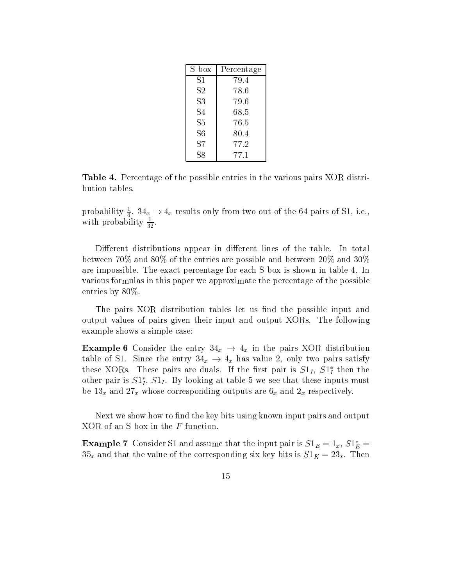| S box          | Percentage |  |
|----------------|------------|--|
| S <sub>1</sub> | 79.4       |  |
| S <sub>2</sub> | 78.6       |  |
| S3             | 79.6       |  |
| S4             | 68.5       |  |
| S <sub>5</sub> | 76.5       |  |
| S <sub>6</sub> | 80.4       |  |
| S7             | 77.2       |  |
| S8             | 77.1       |  |

Table 4. Percentage of the possible entries in the various pairs XOR distribution tables.

probability  $\pm$ . 54 $\pi$  – <sup>4</sup> . 34x ! 4x results only from two out of the 64 pairs of S1, i.e., with probability  $\frac{1}{32}$ .

Different distributions appear in different lines of the table. In total between 70% and 80% of the entries are possible and between 20% and 30% are impossible. The exact percentage for each S box isshown in table 4. In various formulas in this paper we approximate the percentage of the possible entries by 80%.

The pairs XOR distribution tables let us find the possible input and output values of pairs given their input and output XORs. The following example shows a simple case:

**Example 6** Consider the entry  $34_x \rightarrow 4_x$  in the pairs XOR distribution table of S1. Since the entry  $34_x \rightarrow 4_x$  has value 2, only two pairs satisfy these AORs. These pairs are quals. It the first pair is  $51<sub>I</sub>$ ,  $51<sub>I</sub>$  then the other pair is  $51_I$ ,  $51_I$ . By looking at table 5 we see that these inputs must be  $13_x$  and  $27_x$  whose corresponding outputs are  $6_x$  and  $2_x$  respectively.

Next we show how to find the key bits using known input pairs and output  $XOR$  of an S box in the  $F$  function.

**Example 7** Consider S1 and assume that the input pair is  $S1_E = 1_x$ ,  $S1_E^* =$  $35<sub>x</sub>$  and that the value of the corresponding six key bits is  $S1<sub>K</sub> = 23<sub>x</sub>$ . Then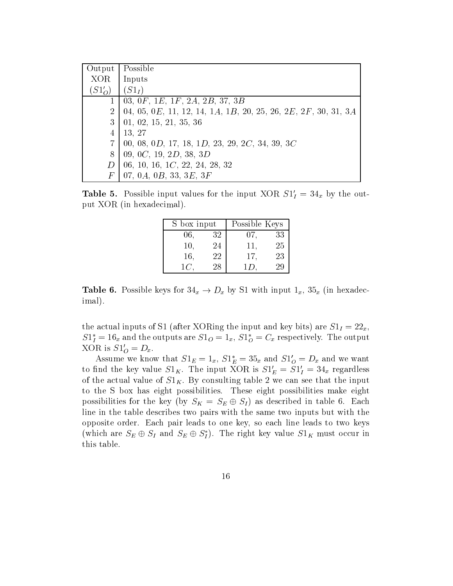| Output         | Possible                                                                            |
|----------------|-------------------------------------------------------------------------------------|
| XOR            | Inputs                                                                              |
| $(S1'_O)$      | $(S1_I)$                                                                            |
|                | 03, 0 <i>F</i> , 1 <i>E</i> , 1 <i>F</i> , 2 <i>A</i> , 2 <i>B</i> , 37, 3 <i>B</i> |
| $\overline{2}$ | 04, 05, 0E, 11, 12, 14, 1A, 1B, 20, 25, 26, 2E, 2F, 30, 31, 3A                      |
| 3              | 01, 02, 15, 21, 35, 36                                                              |
| 4              | 13.27                                                                               |
|                | 00, 08, 0 <i>D</i> , 17, 18, 1 <i>D</i> , 23, 29, 2 <i>C</i> , 34, 39, 3 <i>C</i>   |
| 8              | 09, 0C, 19, 2D, 38, 3D                                                              |
| D              | 06, 10, 16, 1 <i>C</i> , 22, 24, 28, 32                                             |
| $\,F$          | 07, 0A, 0B, 33, 3E, $3F$                                                            |

**Table 5.** Possible input values for the input XOR  $S1'_1 = 34_x$  by the output XOR (in hexadecimal).

| S box input     |     | Possible Keys |    |
|-----------------|-----|---------------|----|
| 06 <sub>1</sub> | 32  |               | 33 |
| 10              | 24  |               | 25 |
| $16\,$          | 22  | 17            | 23 |
| 10              | 28. |               | 29 |

**Table 6.** Possible keys for  $34_x \rightarrow D_x$  by S1 with input  $1_x$ ,  $35_x$  (in hexadecimal).

the actual inputs of S1 (after XORing the input and key bits) are  $S1<sub>I</sub> = 22<sub>x</sub>$ ,  $S1_I = 10_x$  and the outputs are  $S1_O = 1_x$ ,  $S1_O = C_x$  respectively. The output XOR is  $S1'_O = D_x$ .

Assume we know that  $S1_E = 1_x$ ,  $S1_E^* = 35_x$  and  $S1_O = D_x$  and we want to find the key value  $S1_K$ . The input XOR is  $S1'_E = S1'_I = 34_x$  regardless of the actual value of  $S1_K$ . By consulting table 2 we can see that the input to the S box has eight possibilities. These eight possibilities make eight possibilities for the key (by  $S_K = S_E \oplus S_I$ ) as described in table 6. Each line in the table describes two pairs with the same two inputs but with the opposite order. Each pair leads to one key, so each line leads to two keys (which are  $S_E \oplus S_I$  and  $S_E \oplus S_I$ ). The right key value  $S1_K$  must occur in this table.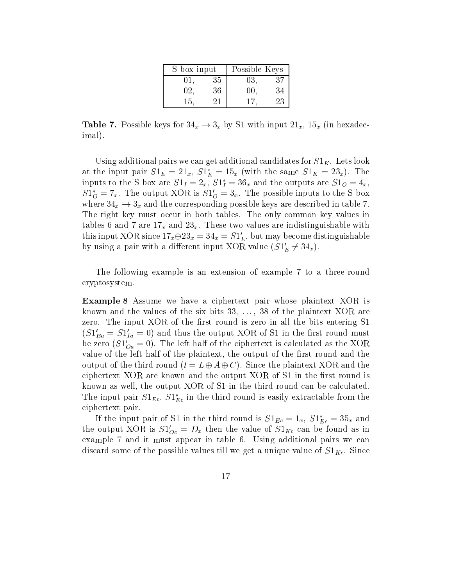| S box input |    | Possible Keys |    |  |  |
|-------------|----|---------------|----|--|--|
|             | 35 | 03.           |    |  |  |
| 02          | 36 | UU            | 34 |  |  |
| 15          |    |               | 23 |  |  |

**Table 7.** Possible keys for  $34_x \rightarrow 3_x$  by S1 with input  $21_x$ ,  $15_x$  (in hexadecimal).

Using additional pairs we can get additional candidates for  $S1_K$ . Lets look at the input pair  $S1_E = 21_x$ ,  $S1_E^* = 15_x$  (with the same  $S1_K = 23_x$ ). The inputs to the S box are  $51<sub>I</sub> = 2<sub>x</sub>$ ,  $51<sub>I</sub> = 30<sub>x</sub>$  and the outputs are  $51<sub>O</sub> = 4<sub>x</sub>$ ,  $S1_{\mathcal{O}}^* = 7_x$ . The output XOR is  $S1_{\mathcal{O}}' = 3_x$ . The possible inputs to the S box where  $34_x \rightarrow 3_x$  and the corresponding possible keys are described in table 7. The right key must occur in both tables. The only common key values in tables 6 and 7 are  $17<sub>x</sub>$  and  $23<sub>x</sub>$ . These two values are indistinguishable with this input XOR since  $17_x \oplus 23_x = 34_x = 51_E$ , but may become distinguishable by using a pair with a different input XOR value  $(S1<sub>E</sub><sup>′</sup> \neq 34<sub>x</sub>)$ .

The following example is an extension of example 7 to a three-round cryptosystem.

Example 8 Assume we have a ciphertext pair whose plaintext XOR is known and the values of the six bits 33, ..., 38 of the plaintext XOR are zero. The input XOR of the first round is zero in all the bits entering S1  $(S1_{Ea} = S1_{Ia} = 0)$  and thus the output AOR of S1 in the first round must be zero  $(S1'_{0a} = 0)$ . The left half of the ciphertext is calculated as the XOR value of the left half of the plaintext, the output of the first round and the output of the third round  $(l = L \oplus A \oplus C)$ . Since the plaintext XOR and the ciphertext XOR are known and the output XOR of S1 in the first round is known as well, the output XOR of S1 in the third round can be calculated. The input pair  $S1_{Ec}$ ,  $S1_{Ec}^{*}$  in the third round is easily extractable from the ciphertext pair.

If the input pair of S1 in the third round is  $\beta 1_{Ec} = 1_x$ ,  $\beta 1_{Ec} = 30_x$  and the output XOR is  $S1'_{Oc} = D_x$  then the value of  $S1_{Kc}$  can be found as in example 7 and it must appear in table 6. Using additional pairs we can discard some of the possible values till we get a unique value of  $S1_{Kc}$ . Since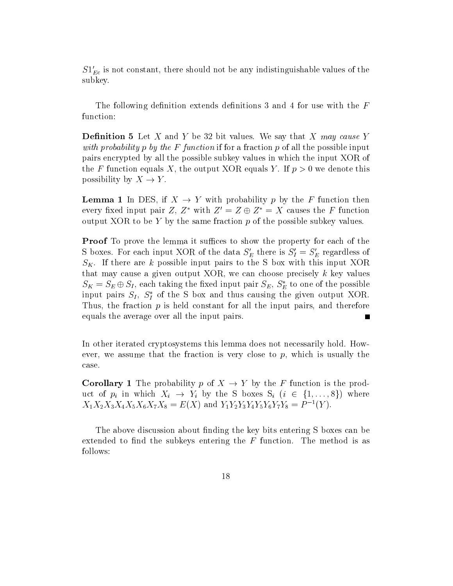$S1'_{Ec}$  is not constant, there should not be any indistinguishable values of the subkey.

The following definition extends definitions 3 and 4 for use with the  $F$ function:

**Definition 5** Let X and Y be 32 bit values. We say that X may cause Y with probability p by the F function if for a fraction p of all the possible input pairs encrypted by all the possible subkey values in which the input XOR of the F function equals X, the output XOR equals Y. If  $p > 0$  we denote this possibility by  $X \to Y$ .

Lemma 1 In Des, if  $\alpha$  is the F function theory probability probability of  $\alpha$  function the  $\alpha$ every fixed input pair  $Z$ ,  $Z$  with  $Z_0 \equiv Z \oplus Z_1 \equiv X$  causes the  $F$  function output XOR to be  $Y$  by the same fraction  $p$  of the possible subkey values.

**Proof** To prove the lemma it suffices to show the property for each of the S boxes. For each input XOR of the data  $S'_E$  there is  $S'_I = S'_E$  regardless of  $S_K$ . If there are k possible input pairs to the S box with this input XOR that may cause a given output XOR, we can choose precisely  $k$  key values  $S_K = S_E \oplus S_I$ , each taking the fixed input pair  $S_E$ ,  $S_E^*$  to one of the possible input pairs  $S_I$ ,  $S_I$  of the S box and thus causing the given output  $\Delta$ OR. Thus, the fraction  $p$  is held constant for all the input pairs, and therefore equals the average over all the input pairs.

In other iterated cryptosystems this lemma does not necessarily hold. However, we assume that the fraction is very close to  $p$ , which is usually the case.

 $\mathcal{M}$  . The probability p of  $\mathcal{M}$  is the probability p of  $\mathcal{M}$  is the probability p of  $\mathcal{M}$ uct of  $p_i$  in which  $X_i \rightarrow Y_i$  by the S boxes  $S_i$   $(i \in \{1,\ldots,8\})$  where  $X_1X_2X_3X_4X_5X_6X_7X_8 = E(X)$  and  $Y_1Y_2Y_3Y_4Y_5Y_6Y_7Y_8 = P^{-1}(Y)$ .

The above discussion about finding the key bits entering S boxes can be extended to find the subkeys entering the  $F$  function. The method is as follows: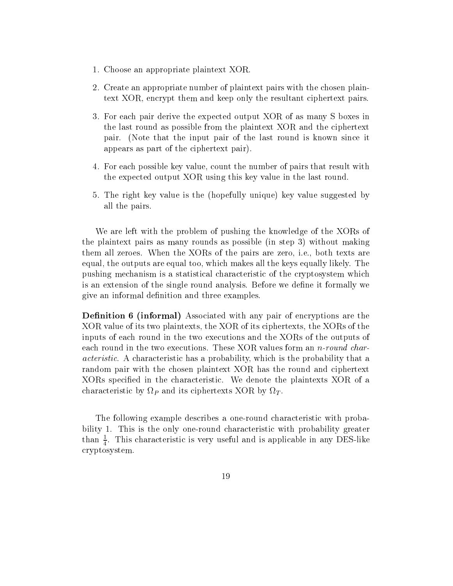- 1. Choose an appropriate plaintext XOR.
- 2. Create an appropriate number of plaintext pairs with the chosen plaintext XOR, encrypt them and keep only the resultant ciphertext pairs.
- 3. For each pair derive the expected output XOR of as many S boxes in the last round as possible from the plaintext XOR and the ciphertext pair. (Note that the input pair of the last round is known since it appears as part of the ciphertext pair).
- 4. For each possible key value, count the number of pairs that result with the expected output XOR using this key value in the last round.
- 5. The right key value is the (hopefully unique) key value suggested by all the pairs.

We are left with the problem of pushing the knowledge of the XORs of the plaintext pairs as many rounds as possible (in step 3) without making them all zeroes. When the XORs of the pairs are zero, i.e., both texts are equal, the outputs are equal too, which makes all the keys equally likely. The pushing mechanism is a statistical characteristic of the cryptosystem which is an extension of the single round analysis. Before we define it formally we give an informal definition and three examples.

**Definition 6 (informal)** Associated with any pair of encryptions are the XOR value of its two plaintexts, the XOR of its ciphertexts, the XORs of the inputs of each round in the two executions and the XORs of the outputs of each round in the two executions. These XOR values form an  $n$ -round characteristic. A characteristic has a probability, which is the probability that a random pair with the chosen plaintext XOR has the round and ciphertext XORs specied in the characteristic. We denote the plaintexts XOR of a characteristic by  $\mathbf{P}$  and its ciphertext  $\mathbf{P}$  and  $\mathbf{P}$  . The contribution of  $\mathbf{P}$ 

The following example describes a one-round characteristic with probability 1. This is the only one-round characteristic with probability greater than  $\frac{1}{6}$ . This characteristic is very useful and is applicable in any DES-like cryptosystem.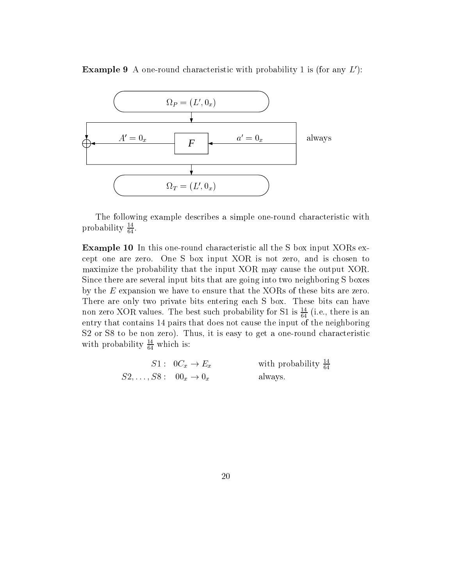

**Example 9** A one-round characteristic with probability 1 is (for any  $L'$ ):

The following example describes a simple one-round characteristic with probability  $\frac{2}{64}$ .

Example 10 In this one-round characteristic all the S box input XORs except one are zero. One S box input XOR is not zero, and ischosen to maximize the probability that the input XOR may cause the output XOR. Since there are several input bits that are going into two neighboring S boxes by the E expansion we have to ensure that the XORs of these bits are zero. There are only two private bits entering each S box. These bits can have non zero  $\Delta$ OR values. The best such probability for S1 is  $\frac{2}{64}$  (i.e., there is an entry that contains 14 pairs that does not cause the input of the neighboring S2 or S8 to be non zero). Thus, it is easy to get a one-round characteristic with probability  $\frac{2}{64}$  which is:

$$
S1: \t0C_x \to E_x \t\t\t with probability  $\frac{14}{64}$   

$$
S2, \ldots, S8: \t00_x \to 0_x \t\t\t always.
$$
$$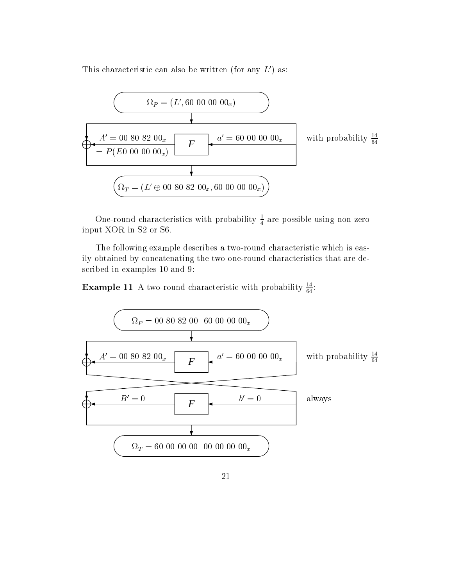This characteristic can also be written (for any  $L'$ ) as:



One-round characteristics with probability  $\frac{1}{4}$  are possible using non zero input XOR in S2 or S6.

The following example describes a two-round characteristic which is easily obtained by concatenating the two one-round characteristics that are described in examples 10 and 9:

**Example 11** A two-round characteristic with probability  $\frac{2}{64}$ :

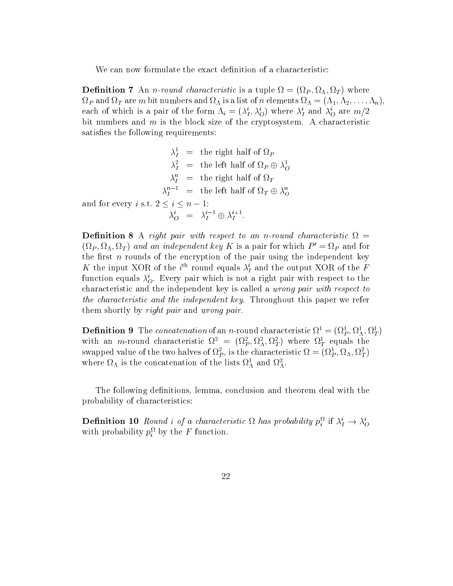We can now formulate the exact definition of a characteristic:

Denition 7 An n-round characteristic is a tuple = ( P ; ; T ) where P and the measurement of the measurement of  $\Lambda$  and the contract of the second of  $\Lambda$  . The  $\Lambda$  is a list of  $\Lambda$  is a list of  $\Lambda$ each of which is a pair of the form  $\Lambda_i \equiv (\lambda_I, \lambda_O)$  where  $\lambda_I$  and  $\lambda_O$  are  $m/Z$ bit numbers and  $m$  is the block size of the cryptosystem. A characteristic satisfies the following requirements:

 $\lambda_I$  = the right half of  $\Omega_P$  $\lambda_I^+$  = the left half of  $\Omega_P \oplus \Lambda_O^ \lambda_I$  = the right half of  $\Omega$  $\lambda_I^+$  = the left half of  $\Lambda_I^+ \oplus \Lambda_O^$ and for every i s.t.  $2 \le i \le n - 1$ :  $\lambda_O = \lambda_I^+ \oplus \lambda_I^+$ .

Denition 8 A right pair with respect to an n-round characteristic =  $\mu_{\mu}(\Omega_{R},\Omega_{R})$  and an independent key  $\Lambda$  is a pair for which  $P = \Omega_{R}$  and for the first  $n$  rounds of the encryption of the pair using the independent key A the input AOR of the  $i^{\text{th}}$  round equals  $\lambda_l$  and the output AOR of the  $r$ function equals  $\lambda_O$ . Every pair which is not a right pair with respect to the characteristic and the independent key is called a wrong pair with respect to the characteristic and the independent key. Throughout this paper we refer them shortly by right pair and wrong pair.

**Definition 9** The *concatenation* of an *n*-round characteristic  $\mathcal{U}^* = (\mathcal{U}_P^*, \mathcal{U}_\Lambda^*, \mathcal{U}_T^*)$ with an *m*-round characteristic  $\Omega^2 = (\Omega^2 \bar{p}, \Omega^2 \bar{\Lambda}, \Omega^2 \bar{T})$  where  $\Omega^2 \bar{T}$  equals the swapped value of the two halves of  $\Omega_P^r$ , is the characteristic  $\Omega = (\Omega_P^r, \Omega_\Lambda, \Omega_T^r)$ where  $\Omega_{\Lambda}$  is the concatenation of the fists  $\Omega_{\Lambda}^{*}$  and  $\Omega_{\Lambda}^{*}$ .

The following definitions, lemma, conclusion and theorem deal with the probability of characteristics:

**Definition 10** Round *i* of a characteristic is has probability  $p_i$ . If  $\lambda_I \to \lambda_O$ with probability  $p_i$  by the  $r$  function.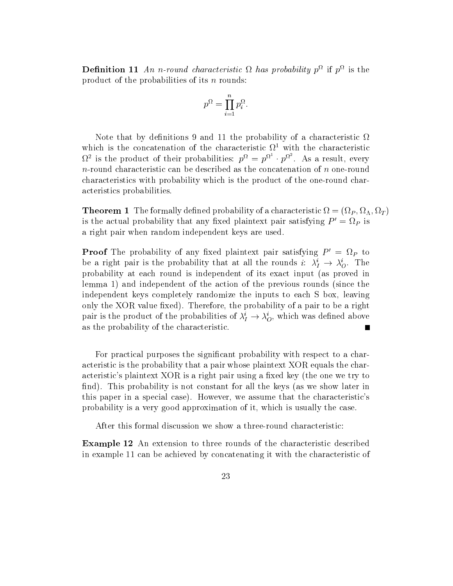**Definition 11** An n-round characteristic st has probability  $p$  in  $p$  is the product of the probabilities of its  $n$  rounds:

$$
p^{\Omega} = \prod_{i=1}^{n} p_i^{\Omega}.
$$

Note that by definitions 9 and 11 the probability of a characteristic  $\Omega$ which is the concatenation of the characteristic  $\Omega^*$  with the characteristic  $\Omega^2$  is the product of their probabilities:  $p^{\mu} = p^{\mu} \cdot p^{\mu}$ . As a result, every n-round characteristic can be described as the concatenation of  $n$  one-round characteristics with probability which is the product of the one-round characteristics probabilities.

The formally definition of the formally decreased probability of a characteristic of the state  $\{1,2,1\}$  or  $\{1,1\}$ is the actual probability that any fixed plaintext pair satisfying  $P = \Omega_P$  is a right pair when random independent keys are used.

**Proof** the probability of any fixed plaintext pair satisfying  $P = \Omega p$  to be a right pair is the probability that at all the rounds  $i: \lambda_I \rightarrow \lambda_O$ . The probability at each round is independent of its exact input (as proved in lemma 1) and independent of the action of the previous rounds (since the independent keys completely randomize the inputs to each S box, leaving only the XOR value fixed). Therefore, the probability of a pair to be a right pair is the product of the probabilities of  $\lambda_I \to \lambda_O$ , which was defined above as the probability of the characteristic.

For practical purposes the significant probability with respect to a characteristic is the probability that a pair whose plaintext XOR equals the characteristic's plaintext XOR is a right pair using a fixed key (the one we try to find). This probability is not constant for all the keys (as we show later in this paper in a special case). However, we assume that the characteristic's probability is a very good approximation of it, which is usually the case.

After this formal discussion we show a three-round characteristic:

Example 12 An extension to three rounds of the characteristic described in example 11 can be achieved by concatenating it with the characteristic of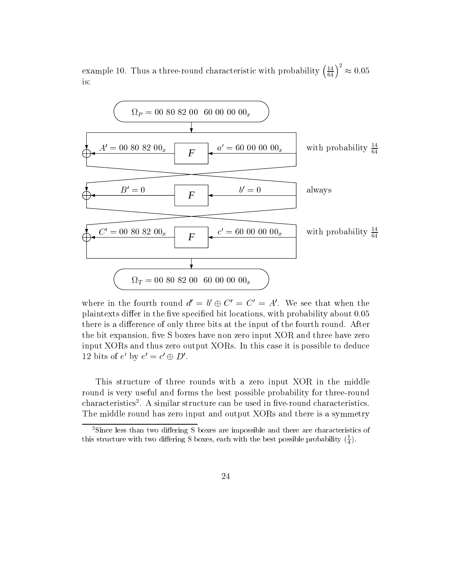example 10. Thus a three-round characteristic with probability  $\left(\frac{14}{64}\right)^2 \approx 0.05$ is:



where in the fourth round  $a_0 = b_0 \oplus b_1 \oplus c_2 = A_1$ . We see that when the plaintexts differ in the five specified bit locations, with probability about 0.05 there is a difference of only three bits at the input of the fourth round. After the bit expansion, five S boxes have non zero input XOR and three have zero input XORs and thus zero output XORs. In this case it is possible to deduce 12 bits of  $e$  by  $e = c \oplus D$ .

This structure of three rounds with a zero input XOR in the middle round is very useful and forms the best possible probability for three-round characteristics<sup>2</sup> . A similar structure can be used in ve-round characteristics. The middle round has zero input and output XORs and there is a symmetry

<sup>2</sup>Since less than two diering <sup>S</sup> boxes are impossible and there are characteristics of this structure with two differing  $S$  boxes, each with the best possible probability  $(\frac{1}{2})$ .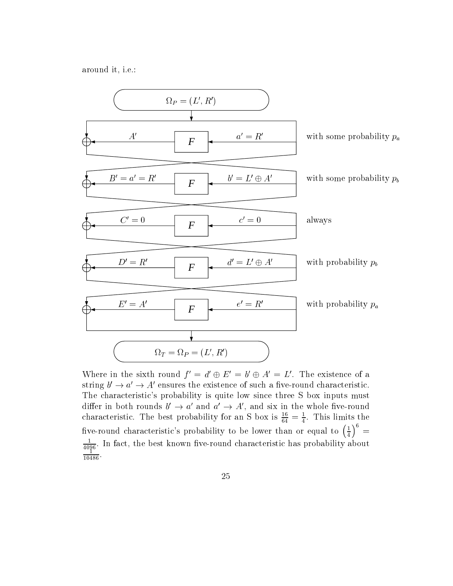around it, i.e.:



Where in the sixth round  $\psi = a_0 \oplus E_1 = 0_0 \oplus A_2 = L$ . The existence of a string  $\theta \rightarrow a \rightarrow A$  ensures the existence of such a five-round characteristic. The characteristic's probability is quite low since three S box inputs must differ in both rounds  $\theta \rightarrow a$  and  $a \rightarrow A$ , and six in the whole five-round characteristic. The best probability for an S box is  $\frac{2}{64} = \frac{1}{4}$ . This limits the five-round characteristic's probability to be lower than or equal to  $\left(\frac{1}{4}\right)^6$  =  $\frac{4096}{1000}$ . In fact, the best known nve-round characteristic has probability about  $\frac{1}{10486}$ .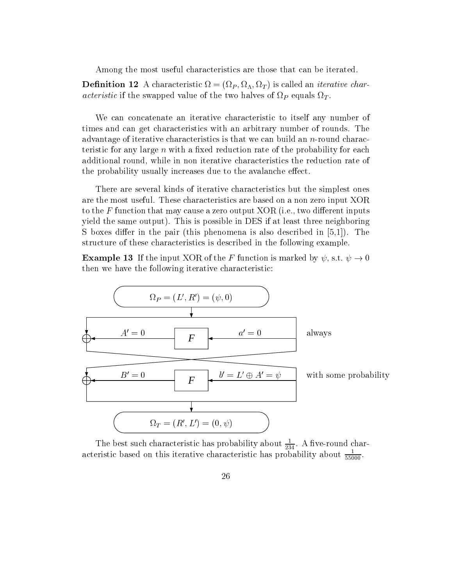Among the most useful characteristics are those that can be iterated.

 $\mathcal{L}$  and  $\mathcal{L}$  and  $\mathcal{L}$  and  $\mathcal{L}$  and  $\mathcal{L}$  and  $\mathcal{L}$  and  $\mathcal{L}$  and  $\mathcal{L}$  are  $\mathcal{L}$  and  $\mathcal{L}$  and  $\mathcal{L}$  and  $\mathcal{L}$  are  $\mathcal{L}$  and  $\mathcal{L}$  and  $\mathcal{L}$  are  $\mathcal{L}$  and  $\mathcal{L}$  and acteristic if the swapped value of the two halves of the two halves of the two halves  $\mathcal{I}_1$  .

We can concatenate an iterative characteristic to itself any number of times and can get characteristics with an arbitrary number of rounds. The advantage of iterative characteristics is that we can build an  $n$ -round characteristic for any large  $n$  with a fixed reduction rate of the probability for each additional round, while in non iterative characteristics the reduction rate of the probability usually increases due to the avalanche effect.

There are several kinds of iterative characteristics but the simplest ones are the most useful. These characteristics are based on a non zero input XOR to the F function that may cause a zero output  $XOR$  (i.e., two different inputs yield the same output). This is possible in DES if at least three neighboring S boxes differ in the pair (this phenomena is also described in  $[5,1]$ ). The structure of these characteristics is described in the following example.

**Example 13** If the input XOR of the F function is marked by  $\psi$ , s.t.  $\psi \to 0$ then we have the following iterative characteristic:



The best such characteristic has probability about  $\frac{1}{234}$ . A live-round characteristic based on this iterative characteristic has probability about  $\frac{25000}{55000}$ .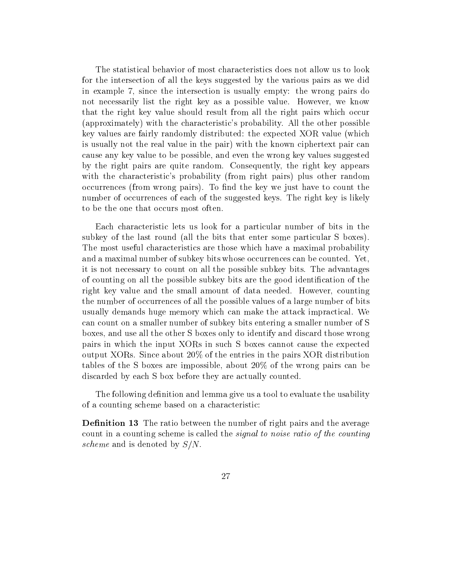The statistical behavior of most characteristics does not allow us to look for the intersection of all the keys suggested by the various pairs as we did in example 7, since the intersection is usually empty: the wrong pairs do not necessarily list the right key as a possible value. However, we know that the right key value should result from all the right pairs which occur (approximately) with the characteristic's probability. All the other possible key values are fairly randomly distributed: the expected XOR value (which is usually not the real value in the pair) with the known ciphertext pair can cause any key value to be possible, and even the wrong key values suggested by the right pairs are quite random. Consequently, the right key appears with the characteristic's probability (from right pairs) plus other random occurrences (from wrong pairs). To find the key we just have to count the number of occurrences of each of the suggested keys. The right key is likely to be the one that occurs most often.

Each characteristic lets us look for a particular number of bits in the subkey of the last round (all the bits that enter some particular S boxes). The most useful characteristics are those which have a maximal probability and a maximal number of subkey bits whose occurrences can be counted. Yet, it is not necessary to count on all the possible subkey bits. The advantages of counting on all the possible subkey bits are the good identification of the right key value and the small amount of data needed. However, counting the number of occurrences of all the possible values of a large number of bits usually demands huge memory which can make the attack impractical. We can count on a smaller number of subkey bits entering a smaller number of S boxes, and use all the other S boxes only to identify and discard those wrong pairs in which the input XORs in such S boxes cannot cause the expected output XORs. Since about 20% of the entries in the pairs XOR distribution tables of the S boxes are impossible, about 20% of the wrong pairs can be discarded by each S box before they are actually counted.

The following definition and lemma give us a tool to evaluate the usability of a counting scheme based on a characteristic:

**Definition 13** The ratio between the number of right pairs and the average count in a counting scheme is called the signal to noise ratio of the counting scheme and is denoted by  $S/N$ .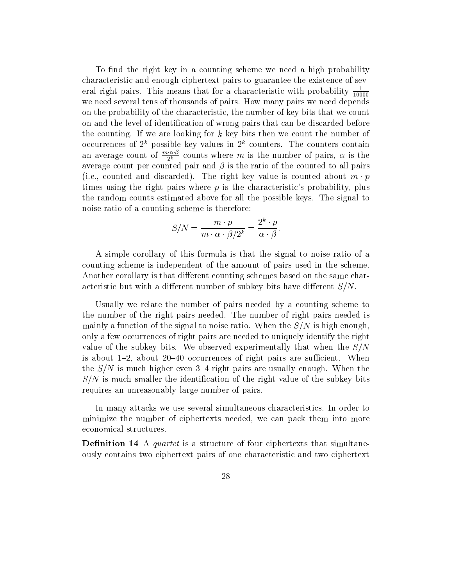To find the right key in a counting scheme we need a high probability characteristic and enough ciphertext pairs to guarantee the existence of several right pairs. This means that for a characteristic with probability  $\frac{1}{10000}$ we need several tens of the pairs of the pairs we need depends of pairs we need depends of pairs we need depend on the probability of the characteristic, the number of key bits that we count on and the level of identification of wrong pairs that can be discarded before the counting. If we are looking for  $k$  key bits then we count the number of occurrences of  $2^{\circ}$  possible key values in  $2^{\circ}$  counters. The counters contain an average count of  $\frac{1}{2k}$  counts where m is the number of pairs,  $\alpha$  is the average count per counted pair and  $\beta$  is the ratio of the counted to all pairs  $\mathbf{I}$ times using the right pairs where  $p$  is the characteristic's probability, plus the random counts estimated above for all the possible keys. The signal to noise ratio of a counting scheme is therefore:

$$
S/N = \frac{m \cdot p}{m \cdot \alpha \cdot \beta/2^k} = \frac{2^k \cdot p}{\alpha \cdot \beta}.
$$

A simple corollary of this formula is that the signal to noise ratio of a counting scheme is independent of the amount of pairs used in the scheme. Another corollary is that different counting schemes based on the same characteristic but with a different number of subkey bits have different  $S/N$ .

Usually we relate the number of pairs needed by a counting scheme to the number of the right pairs needed. The number of right pairs needed is mainly a function of the signal to noise ratio. When the  $S/N$  is high enough, only a few occurrences of right pairs are needed to uniquely identify the right value of the subkey bits. We observed experimentally that when the  $S/N$ is about  $1-2$ , about  $20-40$  occurrences of right pairs are sufficient. When the  $S/N$  is much higher even 3-4 right pairs are usually enough. When the  $S/N$  is much smaller the identification of the right value of the subkey bits requires an unreasonably large number of pairs.

In many attacks we use several simultaneous characteristics. In order to minimize the number of ciphertexts needed, we can pack them into more economical structures.

**Definition 14** A *quartet* is a structure of four ciphertexts that simultaneously contains two ciphertext pairs of one characteristic and two ciphertext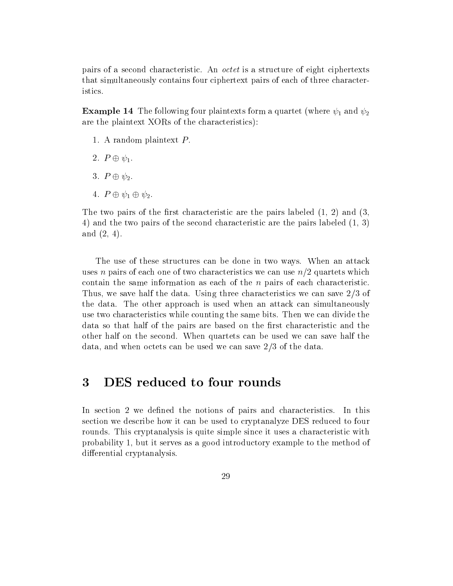pairs of a second characteristic. An octet is a structure of eight ciphertexts that simultaneously contains four ciphertext pairs of each of three characteristics.

**Example 14** The following four plaintexts form a quartet (where  $\psi_1$  and  $\psi_2$ ) are the plaintext XORs of the characteristics):

- 1. A random plaintext  $P$ .
- 2.  $P \oplus \psi_1$ .
- 3.  $P \oplus \psi_2$ .
- 2.4. P 1 2.

The two pairs of the first characteristic are the pairs labeled  $(1, 2)$  and  $(3, 3)$ 4) and the two pairs of the second characteristic are the pairs labeled (1, 3) and (2, 4).

The use of these structures can be done in two ways. When an attack uses n pairs of each one of two characteristics we can use  $n/2$  quartets which contain the same information as each of the n pairs of each characteristic. Thus, we save half the data. Using three characteristics we can save  $2/3$  of the data. The other approach is used when an attack can simultaneously use two characteristics while counting the same bits. Then we can divide the data so that half of the pairs are based on the first characteristic and the other half on the second. When quartets can be used we can save half the data, and when octets can be used we can save  $2/3$  of the data.

#### 3 DES reduced to four rounds

In section 2 we defined the notions of pairs and characteristics. In this section we describe how it can be used to cryptanalyze DES reduced to four rounds. This cryptanalysis is quite simple since it uses a characteristic with probability 1, but it serves as a good introductory example to the method of differential cryptanalysis.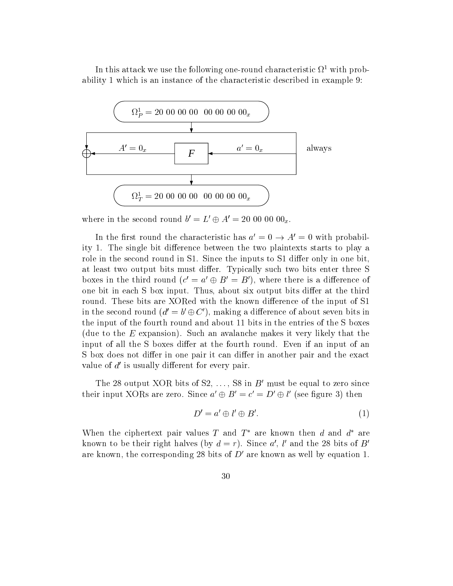In this attack we use the following one-round characteristic  $\Omega$  with probability 1 which is an instance of the characteristic described in example 9:



where in the second round  $\theta = L_0 \oplus A_1 = 20$  00 00 00  $\theta_x$ .

In the first round the characteristic has  $a_0 \equiv 0 \rightarrow A_1 \equiv 0$  with probability 1. The single bit difference between the two plaintexts starts to play a role in the second round in S1. Since the inputs to S1 differ only in one bit, at least two output bits must differ. Typically such two bits enter three S boxes in the third round ( $c = a \oplus D = D$ ), where there is a difference of one bit in each S box input. Thus, about six output bits differ at the third round. These bits are XORed with the known difference of the input of S1 in the second round ( $a\; = o \; \oplus \; \cup \;$  ), making a difference of about seven bits in the input of the fourth round and about 11 bits in the entries of the S boxes (due to the  $E$  expansion). Such an avalanche makes it very likely that the input of all the S boxes differ at the fourth round. Even if an input of an S box does not differ in one pair it can differ in another pair and the exact value of  $d'$  is usually different for every pair.

The 28 output XOR bits of  $S2, \ldots, S8$  in  $B'$  must be equal to zero since their input AORs are zero. Since  $a \oplus D = c = D \oplus i$  (see iigure 3) then

$$
D' = a' \oplus l' \oplus B'.\tag{1}
$$

When the ciphertext pair values T and  $T^*$  are known then d and  $d^*$  are known to be their right halves (by  $a=r$ ). Since  $a$  ,  $\iota$  and the 28 bits of  $D$ are known, the corresponding 28 bits of  $D'$  are known as well by equation 1.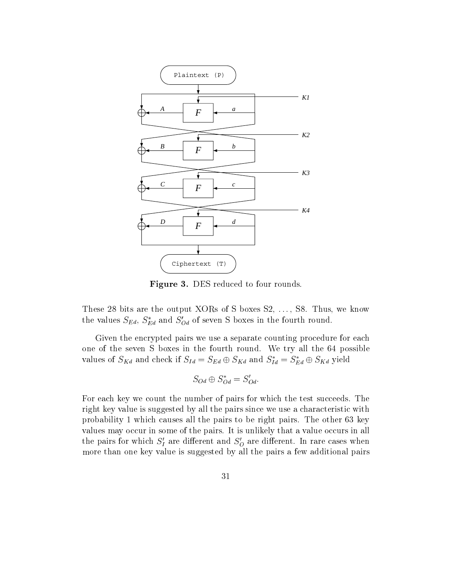

Figure 3. DES reduced to four rounds.

These 28 bits are the output XORs of S boxes S2, ..., S8. Thus, we know the values  $S_{Ed}$ ,  $S_{Ed}^*$  and  $S_{Od}$  of seven S boxes in the fourth round.

Given the encrypted pairs we use a separate counting procedure for each one of the seven S boxes in the fourth round. We try all the 64 possible values of  $S_{Kd}$  and check if  $S_{Id} = S_{Ed} \oplus S_{Kd}$  and  $S_{Id} = S_{Ed} \oplus S_{Kd}$  yield

$$
S_{Od} \oplus S_{Od}^* = S_{Od}'.
$$

For each key we count the number of pairs for which the test succeeds. The right key value is suggested by all the pairs since we use a characteristic with probability 1 which causes all the pairs to be right pairs. The other 63 key values may occur in some of the pairs. It is unlikely that a value occurs in all the pairs for which  $S_I'$  are different and  $S_O'$  are different. In rare cases when more than one key value is suggested by all the pairs a few additional pairs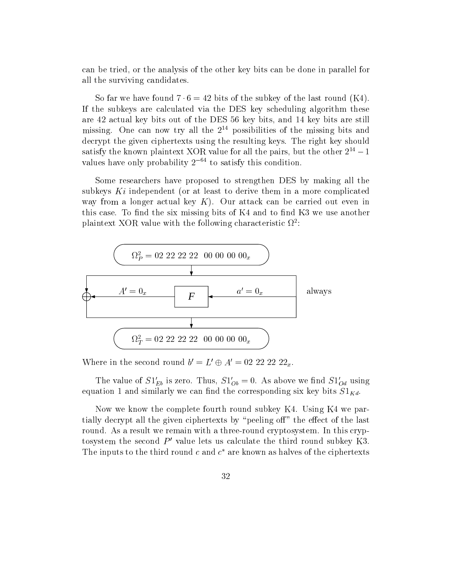can be tried, or the analysis of the other key bits can be done in parallel for all the surviving candidates.

So far we have found  $7 \cdot 6 = 42$  bits of the subkey of the last round (K4). If the subkeys are calculated via the DES key scheduling algorithm these are 42 actual key bits out of the DES 56 key bits, and 14 key bits are still missing. One can now try all the  $2^{14}$  possibilities of the missing bits and decrypt the given ciphertexts using the resulting keys. The right key should satisfy the known plaintext XOR value for all the pairs, but the other  $2^{14} - 1$ values have only probability  $2^{-64}$  to satisfy this condition.

Some researchers have proposed to strengthen DES by making all the subkeys  $Ki$  independent (or at least to derive them in a more complicated way from a longer actual key  $K$ ). Our attack can be carried out even in this case. To find the six missing bits of  $K4$  and to find  $K3$  we use another plaintext XOR value with the following characteristic <sup>2</sup> :



Where in the second round  $\theta = L_0 \oplus A_1 = 02$  22 22 22x.

The value of  $S1_{Eb}$  is zero. Thus,  $S1_{Ob}' = 0$ . As above we find  $S1_{Od}'$  using equation 1 and similarly we can find the corresponding six key bits  $S1_{Kd}$ .

Now we know the complete fourth round subkey K4. Using K4 we partially decrypt all the given ciphertexts by "peeling off" the effect of the last round. As a result we remain with a three-round cryptosystem. In this cryptosystem the second  $P'$  value lets us calculate the third round subkey K3. The inputs to the third round c and c are known as halves of the ciphertexts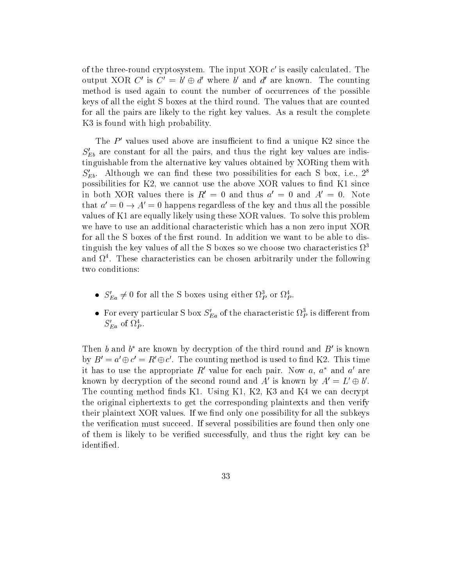of the three-round cryptosystem. The input  $\Delta \cup \bar{\Lambda}$   $c$  is easily calculated. The  $$ output  $\Delta$ OR C is  $C_0 \equiv 0 \Leftrightarrow a$  where b and d are known. The counting method is used again to count the number of occurrences of the possible keys of all the eight S boxes at the third round. The values that are counted for all the pairs are likely to the right key values. As a result the complete K3 is found with high probability.

The  $P'$  values used above are insufficient to find a unique K2 since the  $S'_{Eb}$  are constant for all the pairs, and thus the right key values are indistinguishable from the alternative key values obtained by XORing them with  $S'_{Eb}$ . Although we can find these two possibilities for each S box, i.e.,  $2^8$ possibilities for  $K2$ , we cannot use the above XOR values to find  $K1$  since in both XOR values there is  $R' = 0$  and thus  $a' = 0$  and  $A' = 0$ . Note that  $a' = 0 \rightarrow A' = 0$  happens regardless of the key and thus all the possible values of K1 are equally likely using these XOR values. To solve this problem we have to use an additional characteristic which has a non zero input XOR for all the S boxes of the first round. In addition we want to be able to distinguish the key values of all the S boxes so we choose two characteristics <sup>3</sup> and <sup>4</sup> . These characteristics can be chosen arbitrarily under the following two conditions:

- $S_{Ea} \neq 0$  for all the S boxes using either  $\Omega_P^*$  or  $\Omega_P^*$ .
- For every particular 5 box  $S_{Ea}$  of the characteristic  $\Omega_P$  is different from  $D_{Ea}$  of  $\Delta t_{P}$ .

Then b and b are known by decryption of the third round and B is known by  $D = a \oplus c = h \oplus c$ . The counting method is used to find K2. This time it has to use the appropriate R' value for each pair. Now a,  $a^*$  and  $a'$  are known by decryption of the second round and A is known by  $A^{\dagger} = L^{\dagger} \oplus \theta$ . The counting method finds K1. Using K1, K2, K3 and K4 we can decrypt the original ciphertexts to get the corresponding plaintexts and then verify their plaintext XOR values. If we find only one possibility for all the subkeys the verification must succeed. If several possibilities are found then only one of them is likely to be veried successfully, and thus the right key can be identied.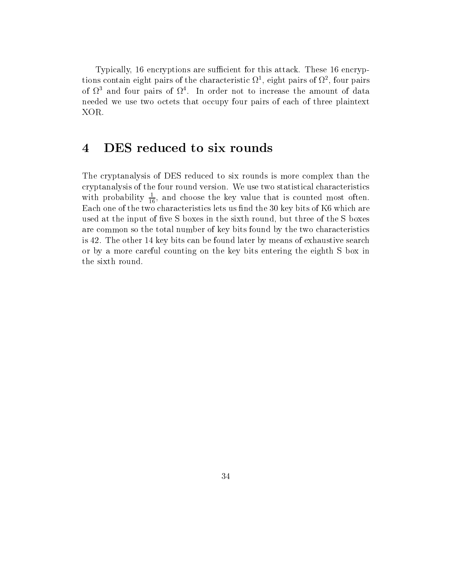Typically, 16 encryptions are sufficient for this attack. These 16 encryptions contain eight pairs of the characteristic <sup>1</sup> , eight pairs of <sup>2</sup> , four pairs of  $\Omega$  and four pairs of  $\Omega$  . In order not to increase the amount of data needed we use two octets that occupy four pairs of each of three plaintext XOR.

### 4 DES reduced to six rounds

The cryptanalysis of DES reduced to six rounds is more complex than the cryptanalysis of the four round version. We use two statistical characteristics with probability  $\frac{1}{16}$ , and choose the key value that is counted most often. Each one of the two characteristics lets us find the 30 key bits of K6 which are used at the input of five S boxes in the sixth round, but three of the S boxes are common so the total number of key bits found by the two characteristics is 42. The other 14 key bits can be found later by means of exhaustive search or by a more careful counting on the key bits entering the eighth S box in the sixth round.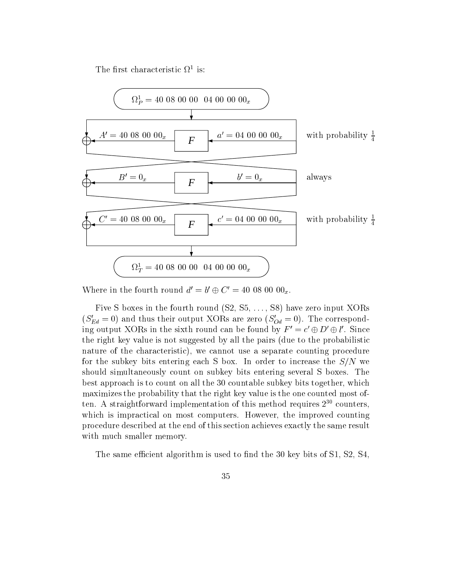I he lifst characteristic M is:



Where in the fourth round  $a = b \oplus C = 40$  to 00 00  $v_x$ .

Five S boxes in the fourth round (S2, S5, ..., S8) have zero input XORs  $(S'_{Ed} = 0)$  and thus their output XORs are zero  $(S'_{Od} = 0)$ . The corresponding output AORs in the sixth round can be found by  $F = c \oplus D \oplus l$ . Since the right key value is not suggested by all the pairs (due to the probabilistic nature of the characteristic), we cannot use a separate counting procedure for the subkey bits entering each S box. In order to increase the  $S/N$  we should simultaneously count on subkey bits entering several S boxes. The best approach is to count on all the 30 countable subkey bits together, which maximizes the probability that the right key value is the one counted most often. A straightforward implementation of this method requires  $2^{30}$  counters. which is impractical on most computers. However, the improved counting procedure described at the end of this section achieves exactly the same result with much smaller memory.

The same efficient algorithm is used to find the 30 key bits of S1, S2, S4,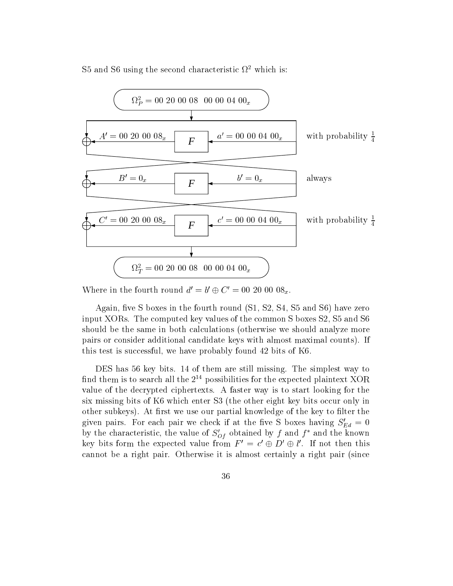S5 and S6 using the second characteristic <sup>2</sup> which is:



Where in the fourth round  $a = b \oplus C = 00$  zo 00  $0\sigma_x$ .

Again, five S boxes in the fourth round  $(S1, S2, S4, S5, S6)$  have zero input XORs. The computed key values of the common S boxes S2, S5 and S6 should be the same in both calculations (otherwise we should analyze more pairs or consider additional candidate keys with almost maximal counts). If this test is successful, we have probably found 42 bits of K6.

DES has 56 key bits. 14 of them are still missing. The simplest way to find them is to search all the  $2^{14}$  possibilities for the expected plaintext XOR value of the decrypted ciphertexts. A faster way is to start looking for the six missing bits of K6 which enter S3 (the other eight key bits occur only in other subkeys). At first we use our partial knowledge of the key to filter the given pairs. For each pair we check if at the five S boxes having  $S'_{Ed} = 0$ by the characteristic, the value of  $S'_{Of}$  obtained by f and  $f^*$  and the known Key bits form the expected value from  $F^- = c \oplus D \oplus \iota$  . If not then this cannot be a right pair. Otherwise it is almost certainly a right pair (since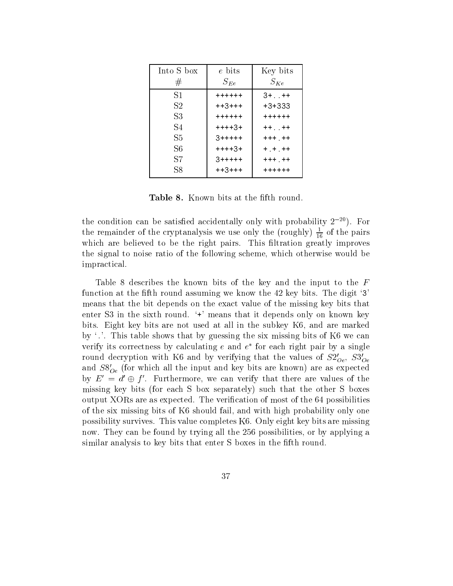| Into S box     | e bits        | Key bits      |  |
|----------------|---------------|---------------|--|
| #              | $S_{E}$       | $S_{Ke}$      |  |
| S1             | ++++++        | $3 + + +$     |  |
| S <sub>2</sub> | $++3++$       | $+3+333$      |  |
| S <sub>3</sub> | $+ + + + + +$ | $+ + + + + +$ |  |
| S4             | $++++3+$      | $++$ $++$     |  |
| S <sub>5</sub> | $3 + + + + +$ | $+++$ , $++$  |  |
| S6             | $++++3+$      | $+ + + +$     |  |
| S7             | $3 + + + + +$ | $+++$ , $++$  |  |
| S8             | $++3+++$      | $+ + + + + +$ |  |

Table 8. Known bits at the fifth round.

the condition can be satisfied accidentally only with probability  $2^{-20}$ ). For the remainder of the cryptanalysis we use only the (roughly)  $\frac{1}{16}$  of the pairs which are believed to be the right pairs. This filtration greatly improves the signal to noise ratio of the following scheme, which otherwise would be impractical.

Table 8 describes the known bits of the key and the input to the F function at the fifth round assuming we know the  $42$  key bits. The digit  $3'$ means that the bit depends on the exact value of the missing key bits that enter S3 in the sixth round.  $\ddot{ }$  means that it depends only on known key bits. Eight key bits are not used at all in the subkey K6, and are marked by `.'. This table shows that by guessing the six missing bits of K6 we can verify its correctness by calculating  $e$  and  $e$  for each right pair by a single round decryption with K6 and by verifying that the values of  $52_{Oe}$ ,  $53_{Oe}$ and  $S_{0e}$  (for which all the input and key bits are known) are as expected by  $E_0 = a_0 \oplus a_1$ . Furthermore, we can verify that there are values of the missing key bits (for each S box separately) such that the other S boxes output XORs are as expected. The verification of most of the 64 possibilities of the six missing bits of K6 should fail, and with high probability only one possibility survives. This value completes K6. Only eight key bits are missing now. They can be found by trying all the 256 possibilities, or by applying a similar analysis to key bits that enter S boxes in the fifth round.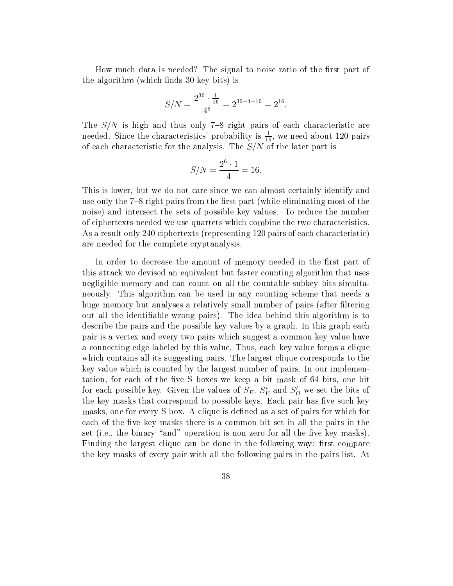How much data is needed? The signal to noise ratio of the first part of the algorithm (which finds 30 key bits) is

$$
S/N = \frac{2^{30} \cdot \frac{1}{16}}{4^5} = 2^{30-4-10} = 2^{16}.
$$

The  $S/N$  is high and thus only 7-8 right pairs of each characteristic are needed. Since the characteristics' probability is  $\frac{1}{16}$ , we need about 120 pairs of each characteristic for the analysis. The  $S/N$  of the later part is

$$
S/N = \frac{2^6 \cdot 1}{4} = 16.
$$

This is lower, but we do not care since we can almost certainly identify and use only the 7-8 right pairs from the first part (while eliminating most of the noise) and intersect the sets of possible key values. To reduce the number of ciphertexts needed we use quartets which combine the two characteristics. As a result only 240 ciphertexts (representing 120 pairs of each characteristic) are needed for the complete cryptanalysis.

In order to decrease the amount of memory needed in the first part of this attack we devised an equivalent but faster counting algorithm that uses negligible memory and can count on all the countable subkey bits simultaneously. This algorithm can be used in any counting scheme that needs a huge memory but analyses a relatively small number of pairs (after filtering out all the identiable wrong pairs). The idea behind this algorithm is to describe the pairs and the possible key values by a graph. In this graph each pair is a vertex and every two pairs which suggest a common key value have a connecting edge labeled by this value. Thus, each key value forms a clique which contains all its suggesting pairs. The largest clique corresponds to the key value which is counted by the largest number of pairs. In our implementation, for each of the five S boxes we keep a bit mask of 64 bits, one bit for each possible key. Given the values of  $S_E$ ,  $S_E^*$  and  $S_O$  we set the bits of the key masks that correspond to possible keys. Each pair has five such key masks, one for every S box. A clique is defined as a set of pairs for which for each of the five key masks there is a common bit set in all the pairs in the set (i.e., the binary "and" operation is non zero for all the five key masks). Finding the largest clique can be done in the following way: first compare the key masks of every pair with all the following pairs in the pairs list. At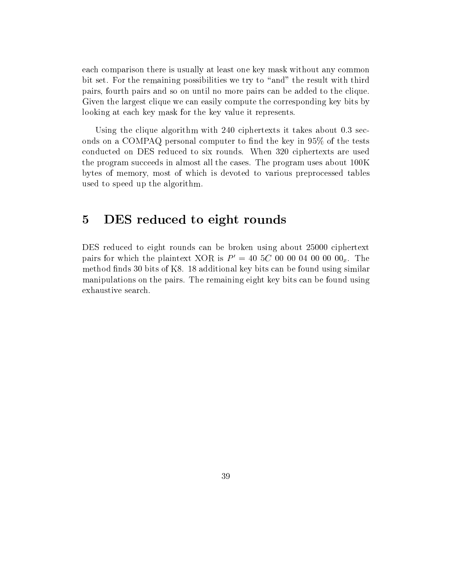each comparison there is usually at least one key mask without any common bit set. For the remaining possibilities we try to "and" the result with third pairs, fourth pairs and so on until no more pairs can be added to the clique. Given the largest clique we can easily compute the corresponding key bits by looking at each key mask for the key value it represents.

Using the clique algorithm with 240 ciphertexts it takes about 0.3 seconds on a COMPAQ personal computer to find the key in 95% of the tests conducted on DES reduced to six rounds. When 320 ciphertexts are used the program succeeds in almost all the cases. The program uses about 100K bytes of memory, most of which is devoted to various preprocessed tables used to speed up the algorithm.

## 5 DES reduced to eight rounds

DES reduced to eight rounds can be broken using about 25000 ciphertext pairs for which the plaintext XOR is  $P' = 40$  5C 00 00 04 00 00 00<sub>x</sub>. The method finds 30 bits of K8. 18 additional key bits can be found using similar manipulations on the pairs. The remaining eight key bits can be found using exhaustive search.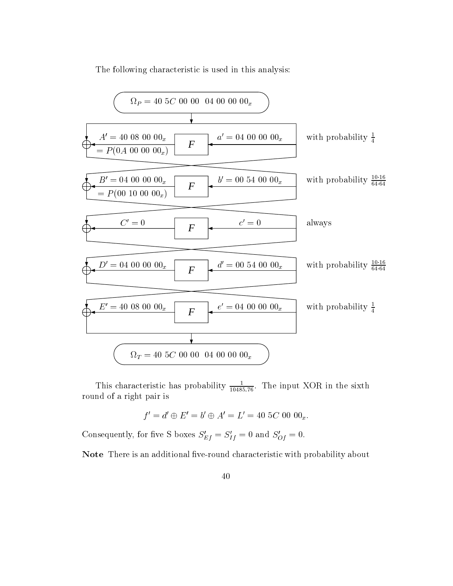The following characteristic is used in this analysis:



This characteristic has probability  $\frac{1}{10485.76}$ . The input XOR in the sixth round of a right pair is

$$
f' = d' \oplus E' = b' \oplus A' = L' = 40 \text{ } 5C \text{ } 00 \text{ } 00_x.
$$

Consequently, for five S boxes  $S'_{Ef} = S'_{If} = 0$  and  $S'_{Of} = 0$ .

Note There is an additional five-round characteristic with probability about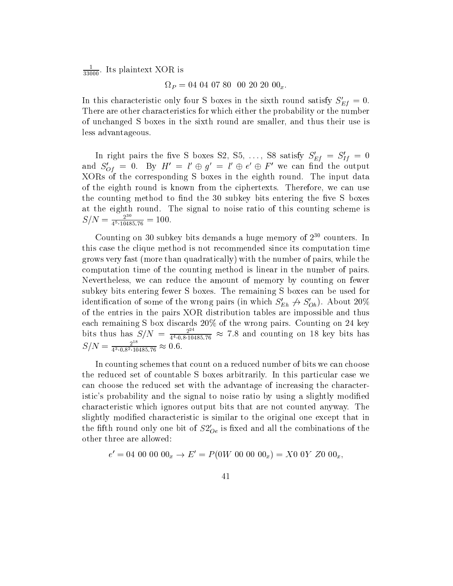$\overline{{\rm 33000}}$ . Its plaintext AOR is

P = 04 04 07 80 00 20 20 00x:

In this characteristic only four S boxes in the sixth round satisfy  $S'_{Ef} = 0$ . There are other characteristics for which either the probability or the number of unchanged S boxes in the sixth round are smaller, and thus their use is less advantageous.

In right pairs the live 5 boxes 52, 55, ..., 58 satisfy  $S_{E f} = S_{If} = 0$ and  $S_{Of}$  = 0. By  $H = \iota \oplus g = \iota \oplus e \oplus r$  we can mud the output XORs of the corresponding S boxes in the eighth round. The input data of the eighth round is known from the ciphertexts. Therefore, we can use the counting method to find the 30 subkey bits entering the five S boxes at the eighth round. The signal to noise ratio of this counting scheme is  $S/N = \frac{23}{45 \cdot 10485.76} = 100.$ 

Counting on 30 subkey bits demands a huge memory of  $2^{30}$  counters. In this case the clique method is not recommended since its computation time grows very fast (more than quadratically) with the number of pairs, while the computation time of the counting method is linear in the number of pairs. Nevertheless, we can reduce the amount of memory by counting on fewer subkey bits entering fewer S boxes. The remaining S boxes can be used for identification of some of the wrong pairs (in which  $S'_{Eh} \nrightarrow S'_{Oh}$ ). About 20% of the entries in the pairs XOR distribution tables are impossible and thus bits thus has  $S/N = \frac{2^{24}}{4^4 \cdot 0.8 \cdot 10485.76} \approx 7.8$  and counting on 18 key bits has  $S/N = \frac{2}{4^3 \cdot 0.8^2 \cdot 10485.76} \approx 0.6$ .

In counting schemes that count on a reduced number of bits we can choose the reduced set of countable S boxes arbitrarily. In this particular case we can choose the reduced set with the advantage of increasing the characteristic's probability and the signal to noise ratio by using a slightly modied characteristic which ignores output bits that are not counted anyway. The slightly modified characteristic is similar to the original one except that in the fifth round only one bit of  $S_{{\rm {\mathcal{L}}_{Oe}}}$  is fixed and all the combinations of the other three are allowed:

$$
e' = 04\ 00\ 00\ 00_x \rightarrow E' = P(0W\ 00\ 00\ 00_x) = X0\ 0Y\ Z0\ 00_x,
$$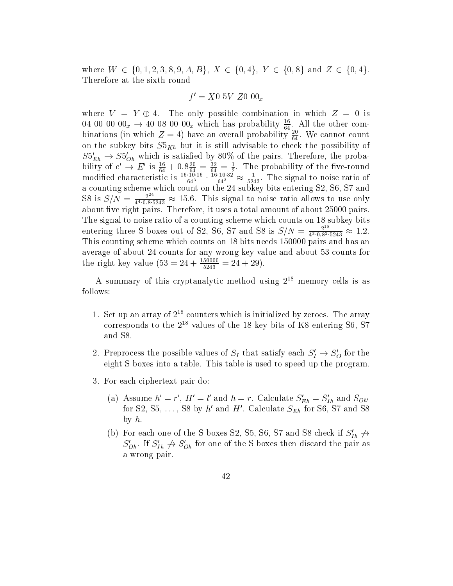where W 2 f0; 1; 2; 3; 8; 9; A; Bg, <sup>X</sup> 2 f0; 4g, <sup>Y</sup> 2 f0; 8g and <sup>Z</sup> 2 f0;4g. Therefore at the sixth round

$$
f' = X0 \ 5V \ Z0 \ 00_x
$$

where  $V$  and  $V$  and  $V$  and  $V$  and  $V$  and  $V$  and  $\mathcal{V}$  = 0 is  $0$  is  $0$  is  $0$  is  $0$  is  $0$  is  $0$  is  $0$  is  $0$  is  $0$  is  $0$  is  $0$  is  $0$  is  $0$  is  $0$  is  $0$  is  $0$  is  $0$  is  $0$  is  $0$  is  $0$  is  $0$  is  $0$  i  $04$  00 00  $00_x \rightarrow 40$  08 00  $00_x$  which has probability  $\frac{2}{64}$ . All the other combinations (in which  $Z = 4$ ) have an overall probability  $\frac{2}{64}$ . We cannot count on the subkey bits  $S5_{Kh}$  but it is still advisable to check the possibility of  $S_{\varepsilon b} \to S_{\varepsilon 0}$  which is satisfied by 80% of the pairs. Therefore, the probability of  $e \rightarrow E$  is  $\frac{1}{64} + 0.8 \frac{1}{64} = \frac{1}{64} = \frac{1}{2}$ . The probability of the five-round modified characteristic is  $\frac{1}{643}$   $\frac{1}{643}$   $\approx$   $\frac{1}{5243}$ . The signal to noise ratio of a counting scheme which countering scheme which countering  $24$  subtention  $24$ S8 is  $S/N = \frac{2}{4^4 \cdot 0.8 \cdot 5243} \approx 15.6$ . This signal to noise ratio allows to use only about five right pairs. Therefore, it uses a total amount of about 25000 pairs. The signal to noise ratio of a counting scheme which counts on 18 subkey bits entering three S boxes out of S2, S6, S7 and S8 is  $S/N = \frac{2}{4^3 \cdot 0.8^2 \cdot 5243} \approx 1.2$ . This counts on  $\mathbf{r}$ average of about 24 counts for any wrong key value and about 53 counts for the right key value (53 = 24 +  $\frac{243}{5243}$  = 24 + 29).

A summary of this cryptanalytic method using 2 <sup>18</sup> memory cells is as follows:

- 1. Set up an array of  $2^{18}$  counters which is initialized by zeroes. The array corresponds to the  $2^{18}$  values of the 18 key bits of K8 entering S6, S7 and S8.
- 2. Preprocess the possible values of  $S_I$  that satisfy each  $S_I' \rightarrow S_O'$  for the eight S boxes into a table. This table is used to speed up the program.
- 3. For each ciphertext pair do:
	- (a) Assume  $n = r$ ,  $n = v$  and  $n = r$ . Calculate  $S_{Eh} = S_{Ih}$  and  $S_{Oh}$ for S2, S5, ..., S8 by h' and H'. Calculate  $S_{Eh}$  for S6, S7 and S8 by  $h$ .
	- (b) For each one of the S boxes S2, S5, S6, S7 and S8 check if  $S^\prime_{Ih}$   $\not\rightarrow$  $S'_{Oh}$ . If  $S'_{lh} \nightharpoonup S'_{Oh}$  for one of the S boxes then discard the pair as a wrong pair.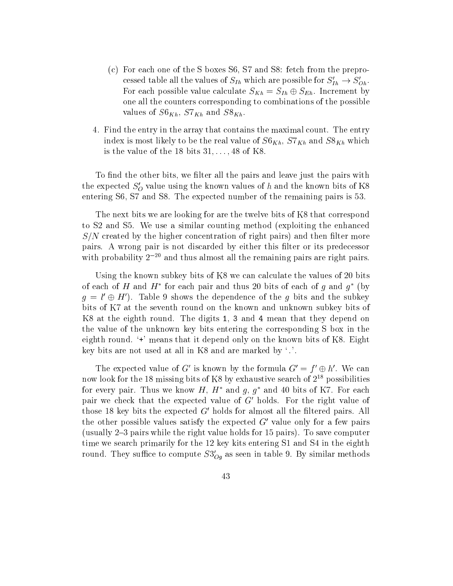- (c) For each one of the S boxes S6, S7 and S8: fetch from the preprocessed table all the values of  $S_{Ih}$  which are possible for  $S_{Ih} \rightarrow S_{Oh}$ . For each possible value calculate  $\mathcal{L}_{\text{H}}$  is set of  $\mathcal{L}_{\text{H}}$  in  $\mathcal{L}_{\text{H}}$  is set of  $\mathcal{L}_{\text{H}}$ one all the counters corresponding to combinations of the possible values of  $S6_{Kh}$ ,  $S7_{Kh}$  and  $S8_{Kh}$ .
- 4. Find the entry in the array that contains the maximal count. The entry index is most likely to be the real value of  $S6_{Kh}$ ,  $S7_{Kh}$  and  $S8_{Kh}$  which is the value of the 18 bits  $31, \ldots, 48$  of K8.

To find the other bits, we filter all the pairs and leave just the pairs with the expected  $S'_{\mathcal{O}}$  value using the known values of h and the known bits of K8 entering S6, S7 and S8. The expected number of the remaining pairs is 53.

The next bits we are looking for are the twelve bits of K8 that correspond to S2 and S5. We use a similar counting method (exploiting the enhanced  $S/N$  created by the higher concentration of right pairs) and then filter more pairs. A wrong pair is not discarded by either this filter or its predecessor with probability  $2^{-20}$  and thus almost all the remaining pairs are right pairs.

Using the known subkey bits of K8 we can calculate the values of 20 bits of each of  $H$  and  $H$  -for each pair and thus 20 bits of each of  $q$  and  $q$  (by  $q = i \oplus n$  ). Table 9 shows the dependence of the g bits and the subkey bits of K7 at the seventh round on the known and unknown subkey bits of K8 at the eighth round. The digits 1, 3 and 4 mean that they depend on the value of the unknown key bits entering the corresponding S box in the eighth round. '+' means that it depend only on the known bits of K8. Eight key bits are not used at all in K8 and are marked by `.'.

The expected value of G is known by the formula  $G = I_0 \oplus I_0$ . We can now look for the 18 missing bits of K8 by exhaustive search of  $2^{18}$  possibilities for every pair. Thus we know  $\pi$ ,  $\pi$  and  $q$ ,  $q$  and  $40$  bits of NT. For each pair we check that the expected value of  $G'$  holds. For the right value of those 18 key bits the expected  $G'$  holds for almost all the filtered pairs. All the other possible values satisfy the expected  $G'$  value only for a few pairs (usually 2-3 pairs while the right value holds for 15 pairs). To save computer time we search primarily for the 12 key kits entering S1 and S4 in the eighth round. They suffice to compute  $S_0^3O_q$  as seen in table 9. By similar methods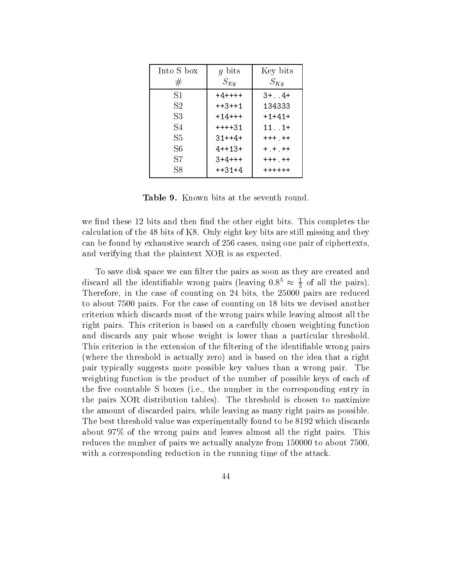| Into S box     | g bits     | Key bits     |  |
|----------------|------------|--------------|--|
| #              | $S_{Eq}$   | $S_{Kq}$     |  |
| S1             | $+4+++$    | $3 +4 +$     |  |
| S <sub>2</sub> | $++3++1$   | 134333       |  |
| S <sub>3</sub> | $+14++$    | $+1+41+$     |  |
| S4             | $***31$    | $111+$       |  |
| S <sub>5</sub> | $31 + 4 +$ | $+++$ , $++$ |  |
| S6             | $4 + 13 +$ | $+ + +$      |  |
| S7             | $3+4++$    | $+++$ , $++$ |  |
| S8             | $++31+4$   | ++++++       |  |

Table 9. Known bits at the seventh round.

we find these 12 bits and then find the other eight bits. This completes the calculation of the 48 bits of K8. Only eight key bits are still missing and they can be found by exhaustive search of 256 cases, using one pair of ciphertexts, and verifying that the plaintext XOR is as expected.

To save disk space we can filter the pairs as soon as they are created and discard all the identifiable wrong pairs (leaving  $0.8^{\circ} \approx \frac{1}{3}$  of all the pairs). Therefore, in the case of counting on 24 bits, the 25000 pairs are reduced to about 7500 pairs. For the case of counting on 18 bits we devised another criterion which discards most of the wrong pairs while leaving almost all the right pairs. This criterion is based on a carefully chosen weighting function and discards any pair whose weight is lower than a particular threshold. This criterion is the extension of the filtering of the identifiable wrong pairs (where the threshold is actually zero) and is based on the idea that a right pair typically suggests more possible key values than a wrong pair. The weighting function is the product of the number of possible keys of each of the five countable S boxes (i.e., the number in the corresponding entry in the pairs XOR distribution tables). The threshold is chosen to maximize the amount of discarded pairs, while leaving as many right pairs as possible. The best threshold value was experimentally found to be 8192 which discards about 97% of the wrong pairs and leaves almost all the right pairs. This reduces the number of pairs we actually analyze from 150000 to about 7500, with a corresponding reduction in the running time of the attack.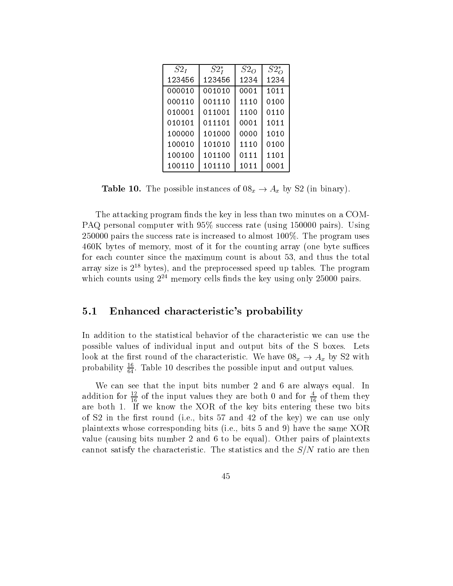| $S2_I$ | $S2^*_I$ | $S2_O$ | $S2_{\Omega}^*$ |
|--------|----------|--------|-----------------|
| 123456 | 123456   | 1234   | 1234            |
| 000010 | 001010   | 0001   | 1011            |
| 000110 | 001110   | 1110   | 0100            |
| 010001 | 011001   | 1100   | 0110            |
| 010101 | 011101   | 0001   | 1011            |
| 100000 | 101000   | 0000   | 1010            |
| 100010 | 101010   | 1110   | 0100            |
| 100100 | 101100   | 0111   | 1101            |
| 100110 | 101110   | 1011   | 0001            |

**Table 10.** The possible instances of  $08_x \rightarrow A_x$  by S2 (in binary).

The attacking program finds the key in less than two minutes on a COM-PAQ personal computer with 95% success rate (using 150000 pairs). Using 250000 pairs the success rate is increased to almost 100%. The program uses 460K bytes of memory, most of it for the counting array (one byte suffices for each counter since the maximum count is about 53, and thus the total array size is  $2^{18}$  bytes), and the preprocessed speed up tables. The program which counts using 2<sup>-4</sup> memory cells linds the key using only 25000 pairs.

#### 5.1Enhanced characteristic's probability

In addition to the statistical behavior of the characteristic we can use the possible values of individual input and output bits of the S boxes. Lets look at the first round of the characteristic. We have  $08_x \rightarrow A_x$  by S2 with probability  $\frac{2}{64}$ . Table 10 describes the possible input and output values.

We can see that the input bits number 2 and 6 are always equal. In addition for  $\frac{2}{16}$  of the input values they are both 0 and for  $\frac{1}{16}$  of them they are both 1. If we know the XOR of the key bits entering these two bits of  $S2$  in the first round (i.e., bits 57 and 42 of the key) we can use only plaintexts whose corresponding bits (i.e., bits 5 and 9) have the same XOR value (causing bits number 2 and 6 to be equal). Other pairs of plaintexts cannot satisfy the characteristic. The statistics and the  $S/N$  ratio are then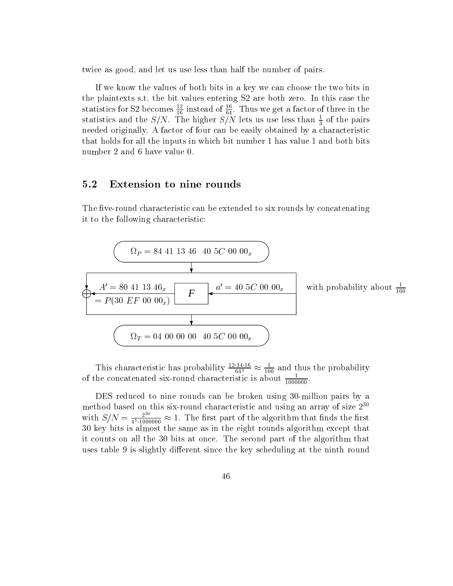twice as good, and let us use less than half the number of pairs.

If we know the values of both bits in a key we can choose the two bits in the plaintexts s.t. the bit values entering S2 are both zero. In this case the statistics for S2 becomes  $\frac{16}{16}$  instead of  $\frac{2}{64}$ . Thus we get a factor of three in the statistics and the  $S/N$ . The higher  $S/N$  lets us use less than  $\frac{1}{3}$  of the pairs needed originally. A factor of four can be easily obtained by a characteristic that holds for all the inputs in which bit number 1 has value 1 and both bits number 2 and 6 have value 0.

#### 5.2Extension to nine rounds

The five-round characteristic can be extended to six rounds by concatenating it to the following characteristic:



This characteristic has probability  $\frac{2}{643} \approx \frac{1}{100}$  and thus the probability of the concatenated six-round characteristic is about  $\frac{1000000}{1000000}$ .

DES reduced to nine rounds can be broken using 30-million pairs by a method based on this six-round characteristic and using an array of size  $2^{30}$ with  $S/N = \frac{2}{4^5 \cdot 1000000} \approx 1$ . The first part of the algorithm that finds the first  $30 \text{ kpc}$  is almost the same as in the eight rounds algorithm except that rounds algorithm except that  $\mu$ it counts on all the 30 bits at once. The second part of the algorithm that uses table 9 is slightly different since the key scheduling at the ninth round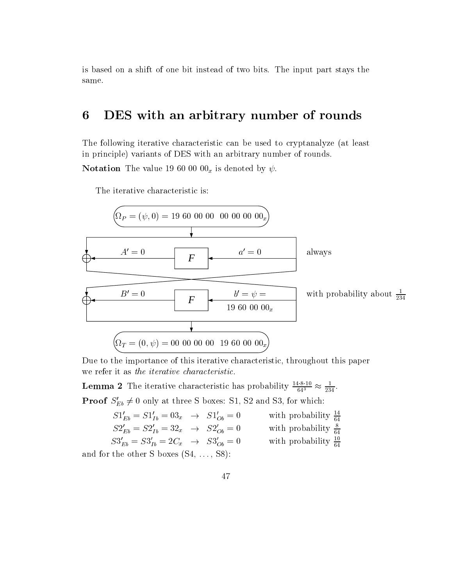is based on a shift of one bit instead of two bits. The input part stays the same.

# 6 DES with an arbitrary number of rounds

The following iterative characteristic can be used to cryptanalyze (at least in principle) variants of DES with an arbitrary number of rounds.

**Notation** The value 19 60 00  $00_x$  is denoted by  $\psi$ .

The iterative characteristic is:



Due to the importance of this iterative characteristic, throughout this paper we refer it as the iterative characteristic.

**Lemma** 2 The iterative characteristic has probability  $\frac{2}{643} \approx \frac{1}{234}$ . **Proof**  $S'_{Eb} \neq 0$  only at three S boxes: S1, S2 and S3, for which:

| $S1'_{Fb} = S1'_{Ib} = 03_x \rightarrow S1'_{Ob} = 0$ |  | with probability $\frac{14}{64}$ |
|-------------------------------------------------------|--|----------------------------------|
| $S2_{Fb}' = S2_{Ib}' = 32_x \rightarrow S2_{Ob}' = 0$ |  | with probability $\frac{8}{64}$  |
| $S3'_{Fb} = S3'_{Ib} = 2C_x \rightarrow S3'_{Ob} = 0$ |  | with probability $\frac{10}{64}$ |

and for the other S boxes  $(S4, \ldots, S8)$ :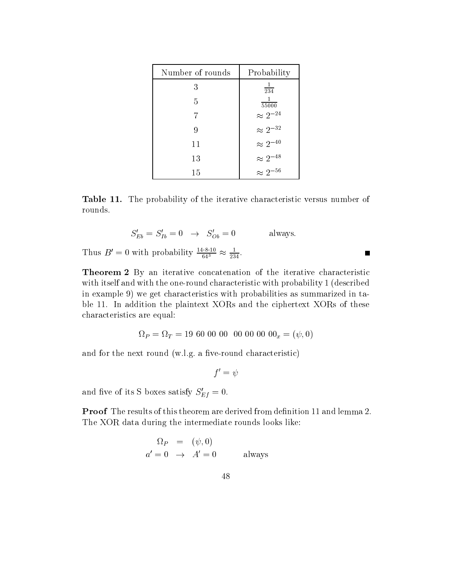| Number of rounds | Probability       |
|------------------|-------------------|
| 3                | $\frac{1}{234}$   |
| 5                | 55000             |
|                  | $\approx 2^{-24}$ |
| 9                | $\approx 2^{-32}$ |
| 11               | $\approx 2^{-40}$ |
| 13               | $\approx 2^{-48}$ |
| 15               | $\approx 2^{-56}$ |

Table 11. The probability of the iterative characteristic versus number of rounds.

$$
S'_{Eb} = S'_{Ib} = 0 \rightarrow S'_{Ob} = 0
$$
 always.

Thus  $B_0 = 0$  with probability  $\frac{2}{64^3} \approx \frac{1}{234}$ .

Theorem 2 By an iterative concatenation of the iterative characteristic with itself and with the one-round characteristic with probability 1 (described in example 9) we get characteristics with probabilities as summarized in table 11. In addition the plaintext XORs and the ciphertext XORs of these characteristics are equal:

П

$$
\Omega_P = \Omega_T = 19\ 60\ 00\ 00\ 00\ 00\ 00\ 00_x = (\psi, 0)
$$

and for the next round  $(w.l.g. a five-round characteristic)$ 

 $\Gamma = \psi$ 

and five of its S boxes satisfy  $S'_{Ef} = 0$ .

**Proof** The results of this theorem are derived from definition 11 and lemma 2. The XOR data during the intermediate rounds looks like:

$$
\begin{array}{rcl}\n\Omega_P & = & (\psi, 0) \\
a' = 0 & \rightarrow & A' = 0\n\end{array}\n\qquad \text{always}
$$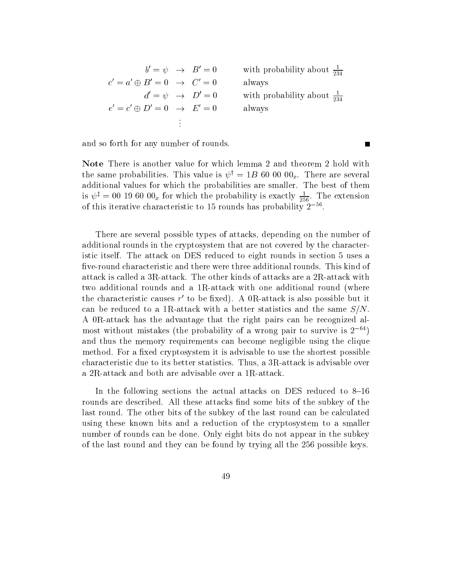$$
b' = \psi \rightarrow B' = 0 \qquad \text{with probability about } \frac{1}{234}
$$
  

$$
c' = a' \oplus B' = 0 \rightarrow C' = 0 \qquad \text{always}
$$
  

$$
d' = \psi \rightarrow D' = 0 \qquad \text{with probability about } \frac{1}{234}
$$
  

$$
e' = c' \oplus D' = 0 \rightarrow E' = 0 \qquad \text{always}
$$
  

$$
\vdots
$$

and so forth for any number of rounds.

Note There is another value for which lemma 2 and theorem 2 hold with the same probabilities. This value is  $\psi^{\dagger} = 1B$  60 00 00<sub>x</sub>. There are several additional values for which the probabilities are smaller. The best of them is  $\psi^* = 00$  19 60  $00_x$  for which the probability is exactly  $\frac{1}{256}$ . The extension of this iterative characteristic to 15 rounds has probability  $2^{-56}$ .

There are several possible types of attacks, depending on the number of additional rounds in the cryptosystem that are not covered by the characteristic itself. The attack on DES reduced to eight rounds in section 5 uses a five-round characteristic and there were three additional rounds. This kind of attack is called a 3R-attack. The other kinds of attacks are a 2R-attack with two additional rounds and a 1R-attack with one additional round (where the characteristic causes r to be fixed). A 0R-attack is also possible but it can be reduced to a 1R-attack with a better statistics and the same  $S/N$ . A 0R-attack has the advantage that the right pairs can be recognized almost without mistakes (the probability of a wrong pair to survive is  $2^{-64}$ ) and thus the memory requirements can become negligible using the clique method. For a fixed cryptosystem it is advisable to use the shortest possible characteristic due to its better statistics. Thus, a 3R-attack is advisable over a 2R-attack and both are advisable over a 1R-attack.

In the following sections the actual attacks on DES reduced to  $8-16$ rounds are described. All these attacks find some bits of the subkey of the last round. The other bits of the subkey of the last round can be calculated using these known bits and a reduction of the cryptosystem to a smaller number of rounds can be done. Only eight bits do not appear in the subkey of the last round and they can be found by trying all the 256 possible keys.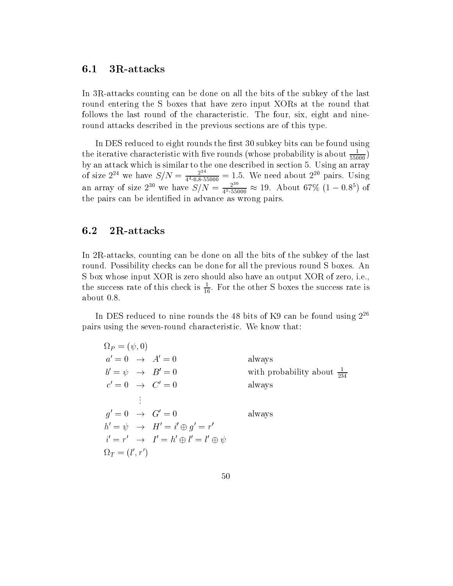#### 6.13R-attacks

In 3R-attacks counting can be done on all the bits of the subkey of the last round entering the S boxes that have zero input XORs at the round that follows the last round of the characteristic. The four, six, eight and nineround attacks described in the previous sections are of this type.

In DES reduced to eight rounds the first 30 subkey bits can be found using the iterative characteristic with five rounds (whose probability is about  $\frac{1}{55000}$ ) <sup>55000</sup> ) of size  $2^{24}$  we have  $S/N = \frac{2^{24}}{4^4 \cdot 0.8 \cdot 55000} = 1.5$ . We need about  $2^{20}$  pairs. Using an array of size  $2^{30}$  we have  $S/N = \frac{2^{30} \text{ m}}{4^5 \cdot 55000} \approx 19$ . About 67\%  $(1 - 0.8^{\circ})$  of the pairs can be identied in advance as wrong pairs.

#### 6.22R-attacks

In 2R-attacks, counting can be done on all the bits of the subkey of the last round. Possibility checks can be done for all the previous round S boxes. An S box whose input XOR is zero should also have an output XOR of zero, i.e., the success rate of this check is  $\frac{1}{16}$ . For the other S boxes the success rate is about 0:8.

In DES reduced to nine rounds the 48 bits of K9 can be found using  $2^{26}$ pairs using the seven-round characteristic. We know that:

| $\Omega_P = (\psi, 0)$         |                                                          |                                        |
|--------------------------------|----------------------------------------------------------|----------------------------------------|
| $a'=0 \rightarrow A'=0$        |                                                          | always                                 |
| $b' = \psi \rightarrow B' = 0$ |                                                          | with probability about $\frac{1}{234}$ |
| $c'=0 \rightarrow C'=0$        |                                                          | always                                 |
|                                |                                                          |                                        |
| $q' = 0 \rightarrow G' = 0$    |                                                          | always                                 |
|                                | $h' = \psi \rightarrow H' = i' \oplus g' = r'$           |                                        |
|                                | $i' = r' \rightarrow I' = h' \oplus l' = l' \oplus \psi$ |                                        |
| $\Omega_T = (l', r')$          |                                                          |                                        |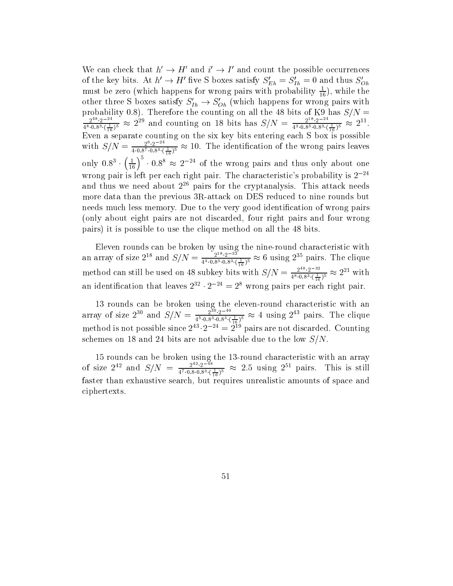We can check that  $h\rightarrow I$  and  $i\rightarrow I$  and count the possible occurrences of the key bits. At  $h' \to H'$  five S boxes satisfy  $S'_{Eh} = S'_{Ih} = 0$  and thus  $S'_{Oh}$ must be zero (which happens for wrong pairs with probability  $\frac{1}{16}$ ), while  $16$  ), which the theoretical contract of  $\sim$ other three S boxes satisfy  $S_{Ih} \rightarrow S_{Oh}$  (which happens for wrong pairs with  $p^{248.2-24}$   $p^{28.2-24}$   $p^{28.2-24}$   $p^{28.2-24}$   $p^{28.2-24}$   $p^{28.2-24}$   $p^{28.2-24}$   $p^{28.2-24}$   $p^{28.2-24}$   $p^{28.2-24}$   $p^{28.2-24}$   $p^{28.2-24}$   $p^{28.2-24}$   $p^{28.2-24}$   $p^{28.2-24}$   $p^{28.2-24}$   $p^{28.2-24}$  $\frac{4^{2} \cdot 2}{4^{8} \cdot 0.8^{3} \cdot (\frac{1}{16})^{5}} \approx 2^{29}$  and counting on 18 bits has  $S/N = \frac{2}{4^{3} \cdot 0.8^{5} \cdot 0.8^{3} \cdot (\frac{1}{16})^{5}}$  $4^3 \cdot 0.8^5 \cdot 0.8^3 \cdot (\frac{1}{16})^5 \approx 2^{-7}$ . with  $S/N = \frac{2^6 2^{-24} \text{ g}}{2^6 2^{-24} \text{ g}} \approx 10$ . The identification of the wrong pairs leaves 40:8<sup>7</sup> 0:83 ( <sup>1</sup> <sup>16</sup> )5 10. The identication of the wrong pairs leaves only  $0.8^3 \cdot \left(\frac{1}{16}\right)^5 \cdot 0.8^8 \approx 2^{-24}$  of the wrong pairs and thus only about one wrong pair is left per each right pair. The characteristic's probability is  $2^{-24}$ and thus we need about  $2^{26}$  pairs for the cryptanalysis. This attack needs more data than the previous 3R-attack on DES reduced to nine rounds but needs much less memory. Due to the very good identification of wrong pairs (only about eight pairs are not discarded, four right pairs and four wrong pairs) it is possible to use the clique method on all the 48 bits.

an array of size  $2^{18}$  and  $S/N = \frac{2^{18} \cdot 2^{-32}}{2^{18} \cdot 2^{-32} \cdot 2^{11} \cdot 2^{18}} \approx 6$  using  $2^{35}$  pairs. The clique  $\frac{4^3 \cdot 0.8^5 \cdot 0.8^3 \cdot (\frac{1}{16})^5}{\frac{1}{16}^5} \approx 0$  using 2<sup>25</sup> pairs. The clique method can still be used on 48 subkey bits with  $S/N = \frac{25}{18.0 \text{ s}} \frac{24}{\lambda} \approx$  $4^8 \cdot 0.8^3 \cdot (\frac{1}{16})^5 \approx 2^{-4}$  with an identification that leaves  $2^{2} \cdot 2^{-1} = 2^{2}$  wrong pairs per each right pair.

 $13$  rounds can be broken using the electron characteristic with an analysis  $\mathcal{L}$ array of size  $2^{30}$  and  $S/N = \frac{2^{30} \times 2^{30}}{2^{30} \times 2^{30}}$  $4^5 \cdot 0.8^3 \cdot 0.8^3 \cdot (\frac{1}{16})^5$   $\approx$  4 using 2<sup>2</sup> pairs. The clique method is not possible since  $2^{2} \cdot 2^{-1} = 2^{2}$  pairs are not discarded. Counting schemes on 18 and 24 bits are not advisable due to the low  $S/N$ .

of size  $2^{42}$  and  $S/N = \frac{2^{42} \cdot 2^{-48}}{7} \approx 2.5$  using  $2^{51}$  pairs. This is still  $4^{7} \cdot 0.8 \cdot 0.8^{3} \cdot (\frac{1}{16})^{5}$   $\approx$  2.5 using 2 pairs. This is still faster than exhaustive search, but requires unrealistic amounts of space and ciphertexts.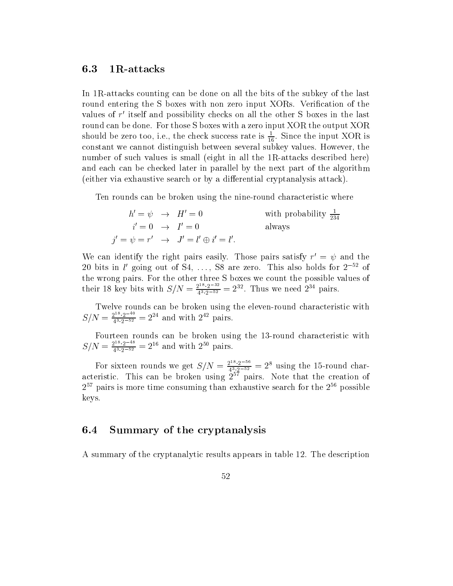#### 6.31R-attacks

In 1R-attacks counting can be done on all the bits of the subkey of the last round entering the S boxes with non zero input XORs. Verification of the values of  $r$  -fitself and possibility checks on all the other  $S$  boxes in the last round can be done. For those S boxes with a zero input XOR the output XOR should be zero too, i.e., the check success rate is  $\frac{1}{16}$ . Since the input XOR is constant we cannot distinguish between several subkey values. However, the number of such values is small (eight in all the 1R-attacks described here) and each can be checked later in parallel by the next part of the algorithm (either via exhaustive search or by a differential cryptanalysis attack).

Ten rounds can be broken using the nine-round characteristic where

$$
h' = \psi \rightarrow H' = 0 \qquad \text{with probability } \frac{1}{234}
$$
  
\n
$$
i' = 0 \rightarrow I' = 0 \qquad \text{always}
$$
  
\n
$$
j' = \psi = r' \rightarrow J' = l' \oplus i' = l'.
$$

We can identify the right pairs easily. Those pairs satisfy  $r = \psi$  and the 20 bits in  $\iota$  going out of  $54, \ldots$ , so are zero. This also holds for  $2\pm01$ their 18 key bits with  $S/N = \frac{2^{18} \cdot 2^{-32}}{43 \cdot 2^{-52}} = 2^{32}$ . Thus we need  $2^{34}$  pairs.  $\frac{43.2-52}{4}$  = 2. I flus we need 2 pairs.

 $S/N = \frac{2^{18} \cdot 2^{-40}}{3.85 \cdot 5^{\circ}} = 2^{24}$  and with  $2^{42}$  pairs.  $\frac{4^3 \cdot 2^{-52}}{4^3 \cdot 2^{-52}}$  =  $2^{-1}$  and with  $2^{-1}$  pairs.

 $S/N = \frac{2^{18} \cdot 2^{-48}}{3 \cdot 2^{-52}} = 2^{16}$  and with  $2^{50}$  pairs.  $\frac{4^3 \cdot 2^{-52}}{4^3 \cdot 2^{-52}}$  = 2<sup>-1</sup> and with 2<sup>-1</sup> pairs.

For sixteen rounds we get  $S/N = \frac{218.8}{18.855} = 2^8$ .  $\frac{4^3 \cdot 2^{-52}}{4^3 \cdot 2^{-52}}$  = 2 using the 15-round characteristic. This can be broken using 2 <sup>57</sup> pairs. Note that the creation of  $2^{57}$  pairs is more time consuming than exhaustive search for the  $2^{56}$  possible keys.

#### 6.4Summary of the cryptanalysis

A summary of the cryptanalytic results appears in table 12. The description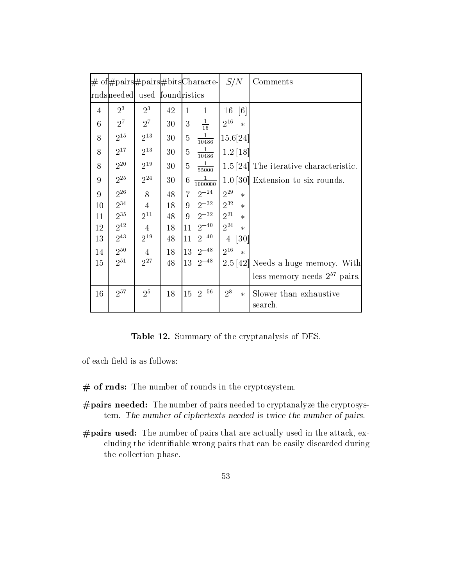|                 |                              |                |        | # of#pairs #pairs #bits Characte-   | S/N                                  | Comments                               |
|-----------------|------------------------------|----------------|--------|-------------------------------------|--------------------------------------|----------------------------------------|
|                 | rndsneeded used foundristics |                |        |                                     |                                      |                                        |
| $\overline{4}$  | $2^3$                        | $2^3$          | 42     | $\mathbf{1}$<br>$\mathbf{1}$        | $\lceil 6 \rceil$<br>16 <sup>1</sup> |                                        |
| $6\phantom{.}6$ | $2^7$                        | $2^7$          | 30     | 3<br>$\frac{1}{16}$                 | $2^{16}$<br>$\ast$                   |                                        |
| 8               | $2^{15}$                     | $2^{13}$       | 30     | $\frac{1}{10486}$<br>$\bf 5$        | 15.6[24]                             |                                        |
| 8               | $2^{17}$                     | $2^{13}$       | $30\,$ | $\frac{1}{10486}$<br>$\overline{5}$ | $1.2 \; [18]$                        |                                        |
| 8               | $2^{20}$                     | $2^{19}$       | 30     | $\frac{1}{55000}$<br>5              |                                      | 1.5 [24] The iterative characteristic. |
| 9               | $2^{25}$                     | $2^{24}$       | 30     | $\frac{1}{1000000}$<br>6            |                                      | 1.0 [30] Extension to six rounds.      |
| 9               | $2^{26}$                     | 8              | 48     | $2^{-24}$<br>$\overline{7}$         | $2^{29}$<br>$\ast$                   |                                        |
| 10              | $2^{34}$                     | $\overline{4}$ | 18     | $2^{-32}$<br>9                      | $2^{32}$<br>$\ast$                   |                                        |
| 11              | $2^{35}$                     | $2^{11}$       | 48     | $2^{-32}$<br>9                      | $2^{21}$<br>$\ast$                   |                                        |
| 12              | $2^{42}$                     | $\overline{4}$ | 18     | $2^{-40}$<br>11                     | $2^{24}$<br>$\ast$                   |                                        |
| 13              | $2^{43}$                     | $2^{19}$       | 48     | $2^{-40}$<br>11                     | $4 \t[30]$                           |                                        |
| 14              | $2^{50}$                     | $\overline{4}$ | 18     | $2^{-48}$<br>13                     | $2^{16}$<br>$\ast$                   |                                        |
| 15              | $2^{51}$                     | $2^{27}$       | 48     | $2^{-48}$<br>13                     |                                      | 2.5 [42] Needs a huge memory. With     |
|                 |                              |                |        |                                     |                                      | less memory needs $2^{57}$ pairs.      |
| 16              | $2^{57}$                     | 2 <sup>5</sup> | 18     | $2^{-56}$<br>15                     | $2^8$<br>$\ast$                      | Slower than exhaustive                 |
|                 |                              |                |        |                                     |                                      | search.                                |

Table 12. Summary of the cryptanalysis of DES.

of each field is as follows:

- $#$  of rnds: The number of rounds in the cryptosystem.
- #pairs needed: The number of pairs needed to cryptanalyze the cryptosystem. The number of ciphertexts needed is twice the number of pairs.
- $#pairs$  used: The number of pairs that are actually used in the attack, excluding the identiable wrong pairs that can be easily discarded during the collection phase.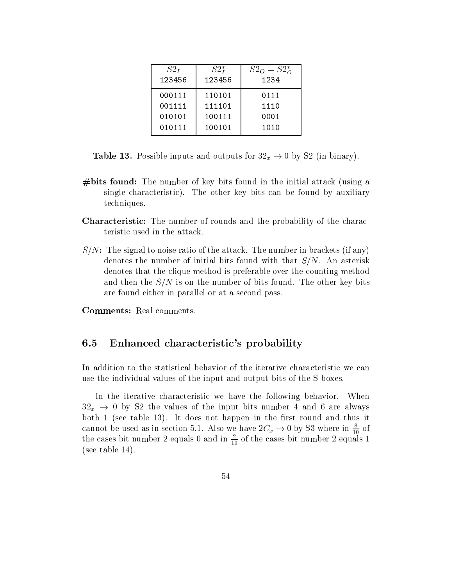| $S2_I$<br>123456 | $S2^*_I$<br>123456 | $S2_O = S2_O^*$<br>1234 |
|------------------|--------------------|-------------------------|
| 000111           | 110101             | 0111                    |
| 001111           | 111101             | 1110                    |
| 010101           | 100111             | 0001                    |
| 010111           | 100101             | 1010                    |
|                  |                    |                         |

**Table 13.** Possible inputs and outputs for  $32_x \rightarrow 0$  by S2 (in binary).

- $#bits$  found: The number of key bits found in the initial attack (using a single characteristic). The other key bits can be found by auxiliary techniques.
- Characteristic: The number of rounds and the probability of the characteristic used in the attack.
- $S/N$ : The signal to noise ratio of the attack. The number in brackets (if any) denotes the number of initial bits found with that  $S/N$ . An asterisk denotes that the clique method is preferable over the counting method and then the  $S/N$  is on the number of bits found. The other key bits are found either in parallel or at a second pass.

Comments: Real comments.

#### 6.5Enhanced characteristic's probability

In addition to the statistical behavior of the iterative characteristic we can use the individual values of the input and output bits of the S boxes.

In the iterative characteristic we have the following behavior. When  $32_x \rightarrow 0$  by S2 the values of the input bits number 4 and 6 are always both 1 (see table 13). It does not happen in the first round and thus it cannot be used as in section 5.1. Also we have  $2C_x \rightarrow 0$  by S3 where in  $\frac{2}{10}$  of the cases bit number 2 equals 0 and  $\frac{1}{10}$  of the cases bit number 2 equals 1 (see table 14).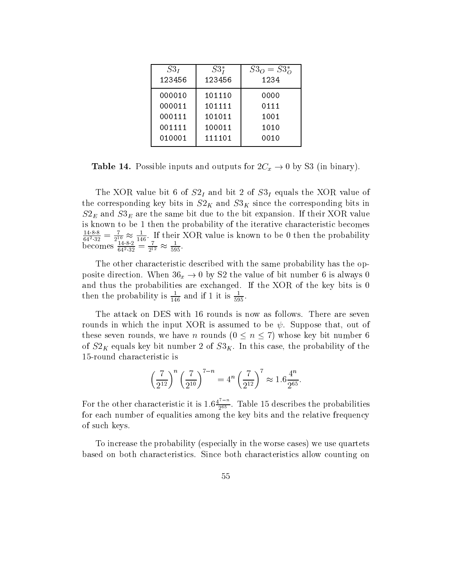| $S3_I$ | $S3^*_I$ | $S3_O = S3_O^*$ |
|--------|----------|-----------------|
| 123456 | 123456   | 1234            |
| 000010 | 101110   | 0000            |
| 000011 | 101111   | 0111            |
| 000111 | 101011   | 1001            |
| 001111 | 100011   | 1010            |
| 010001 | 111101   | 0010            |
|        |          |                 |

**Table 14.** Possible inputs and outputs for  $2C_x \rightarrow 0$  by S3 (in binary).

The XOR value bit 6 of  $S2<sub>I</sub>$  and bit 2 of  $S3<sub>I</sub>$  equals the XOR value of the corresponding key bits in  $S2_K$  and  $S3_K$  since the corresponding bits in  $S2<sub>E</sub>$  and  $S3<sub>E</sub>$  are the same bit due to the bit expansion. If their XOR value is known to be 1 then the probability of the iterative characteristic becomes  $\frac{64^2 \cdot 32}{64^2 \cdot 32} = \frac{1}{2^{10}} \approx \frac{1}{146}$ . If their AOR value is known to be 0 then the probability becomes  $\frac{2}{64^2 \cdot 32} = \frac{1}{2^{12}} \approx \frac{1}{595}$ .

The other characteristic described with the same probability has the opposite direction. When  $36_x \rightarrow 0$  by S2 the value of bit number 6 is always 0 and thus the probabilities are exchanged. If the XOR of the key bits is 0 then the probability is  $\frac{146}{146}$  and if 1 it is  $\frac{595}{595}$ .

The attack on DES with 16 rounds is now as follows. There are seven rounds in which the input XOR is assumed to be  $\psi$ . Suppose that, out of these seven rounds (0  $\sim$  7) whose key bit number 6  $\sim$  7) whose key bit number 6  $\sim$  7) whose key bit number 6  $\sim$ of  $S2_K$  equals key bit number 2 of  $S3_K$ . In this case, the probability of the 15-round characteristic is

$$
\left(\frac{7}{2^{12}}\right)^n \left(\frac{7}{2^{10}}\right)^{7-n} = 4^n \left(\frac{7}{2^{12}}\right)^7 \approx 1.6 \frac{4^n}{2^{65}}.
$$

For the other characteristic it is  $1.6\frac{4}{265}$ . Table 15 describes the probabilities for each number of equalities among the key bits and the relative frequency of such keys.

To increase the probability (especially in the worse cases) we use quartets based on both characteristics. Since both characteristics allow counting on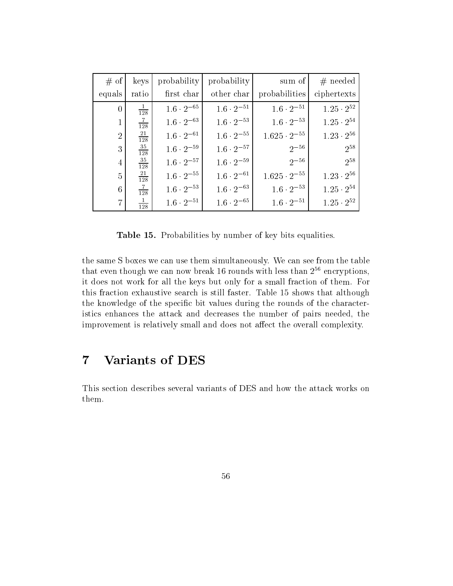| # of             | keys             | probability         | probability         | sum of                | $#$ needed          |
|------------------|------------------|---------------------|---------------------|-----------------------|---------------------|
| equals           | ratio            | first char          | other char          | probabilities         | ciphertexts         |
| $\boldsymbol{0}$ | $\frac{1}{128}$  | $1.6 \cdot 2^{-65}$ | $1.6 \cdot 2^{-51}$ | $1.6 \cdot 2^{-51}$   | $1.25 \cdot 2^{52}$ |
| $\mathbf{1}$     | $\frac{7}{128}$  | $1.6 \cdot 2^{-63}$ | $1.6 \cdot 2^{-53}$ | $1.6 \cdot 2^{-53}$   | $1.25\cdot2^{54}$   |
| $\overline{2}$   | $\frac{21}{128}$ | $1.6 \cdot 2^{-61}$ | $1.6 \cdot 2^{-55}$ | $1.625 \cdot 2^{-55}$ | $1.23 \cdot 2^{56}$ |
| $\mathbf{3}$     | $\frac{35}{128}$ | $1.6 \cdot 2^{-59}$ | $1.6 \cdot 2^{-57}$ | $2^{-56}$             | $2^{58}$            |
| $\overline{4}$   | $\frac{35}{128}$ | $1.6 \cdot 2^{-57}$ | $1.6 \cdot 2^{-59}$ | $2^{-56}$             | $2^{58}$            |
| $\overline{5}$   | $\frac{21}{128}$ | $1.6 \cdot 2^{-55}$ | $1.6 \cdot 2^{-61}$ | $1.625 \cdot 2^{-55}$ | $1.23 \cdot 2^{56}$ |
| $6\phantom{.}6$  | $\frac{7}{128}$  | $1.6 \cdot 2^{-53}$ | $1.6 \cdot 2^{-63}$ | $1.6 \cdot 2^{-53}$   | $1.25\cdot2^{54}$   |
| $\overline{7}$   | $\frac{1}{128}$  | $1.6 \cdot 2^{-51}$ | $1.6 \cdot 2^{-65}$ | $1.6 \cdot 2^{-51}$   | $1.25\cdot2^{52}$   |

Table 15. Probabilities by number of key bits equalities.

the same S boxes we can use them simultaneously. We can see from the table that even though we can now break 16 rounds with less than  $2^{56}$  encryptions, it does not work for all the keys but only for a small fraction of them. For this fraction exhaustive search is still faster. Table 15 shows that although the knowledge of the specic bit values during the rounds of the characteristics enhances the attack and decreases the number of pairs needed, the improvement is relatively small and does not affect the overall complexity.

# Variants of DES

This section describes several variants of DES and how the attack works on them.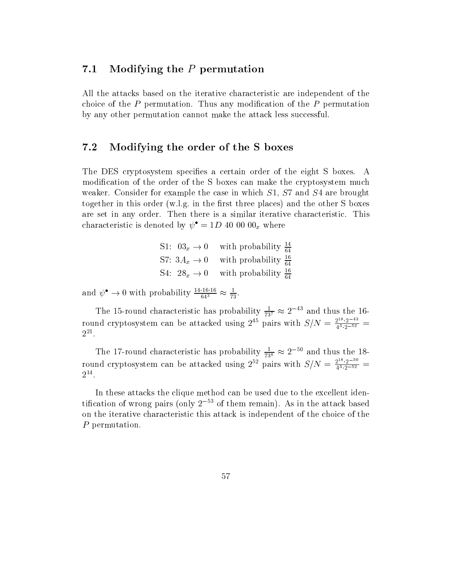#### 7.1Modifying the <sup>P</sup> permutation

All the attacks based on the iterative characteristic are independent of the choice of the  $P$  permutation. Thus any modification of the  $P$  permutation by any other permutation cannot make the attack less successful.

#### 7.2Modifying the order of the <sup>S</sup> boxes

The DES cryptosystem specifies a certain order of the eight S boxes. A modification of the order of the S boxes can make the cryptosystem much weaker. Consider for example the case in which S1, S7 and S4 are brought together in this order  $(w.l.g.$  in the first three places) and the other S boxes are set in any order. Then there is a similar iterative characteristic. This characteristic is denoted by  $\psi^{\bullet} = 1D\;40\;00\;00_{x}$  where

| S1: $03_x \rightarrow 0$ with probability $\frac{14}{64}$ |
|-----------------------------------------------------------|
| S7: $3A_x \rightarrow 0$ with probability $\frac{16}{64}$ |
| S4: $28_x \rightarrow 0$ with probability $\frac{16}{64}$ |

and  $\psi \to 0$  with probability  $\frac{1}{64^3} \approx \frac{1}{73}$ .

The 15-round characteristic has probability  $\frac{237}{737} \approx 2$   $\frac{237}{7}$  and thus the 16round cryptosystem can be attacked using  $2^{45}$  pairs with  $S/N = \frac{243-52}{43-52}$  $4^3 \cdot 2^{-32}$  $2^{21}$ .

The 17-round characteristic has probability  $\frac{1}{73^8} \approx 2^{-50}$  and thus the 18round cryptosystem can be attacked using  $2^{52}$  pairs with  $S/N = \frac{2^{13} \times 18^{19}}{18 \times 18^{19}}$  $4^3$   $2^{-32}$  $2^{14}$ .

In these attacks the clique method can be used due to the excellent identification of wrong pairs (only  $2^{-53}$  of them remain). As in the attack based on the iterative characteristic this attack is independent of the choice of the P permutation.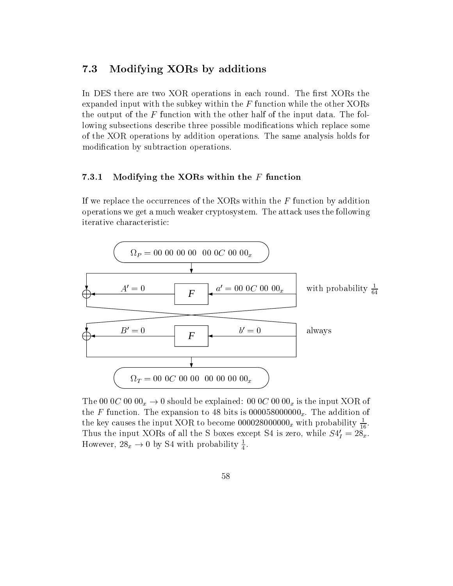#### 7.3Modifying XORs by additions

In DES there are two XOR operations in each round. The first XORs the expanded input with the subkey within the  $F$  function while the other  $XORs$ the output of the  $F$  function with the other half of the input data. The following subsections describe three possible modifications which replace some of the XOR operations by addition operations. The same analysis holds for modification by subtraction operations.

## 7.3.1 Modifying the XORs within the  $F$  function

If we replace the occurrences of the XORs within the  $F$  function by addition operations we get a much weaker cryptosystem. The attack uses the following iterative characteristic:



The 00 0C 00  $00_x \rightarrow 0$  should be explained: 00 0C 00  $00_x$  is the input XOR of the F function. The expansion to 48 bits is  $000058000000_x$ . The addition of the key causes the input XOR to become  $000028000000_x$  with probability  $\frac{1}{16}$ . Thus the input AORS of all the S boxes except S4 is zero, while  $S4<sub>I</sub> = 28<sub>x</sub>$ . However,  $2\delta_x \rightarrow 0$  by S4 with probability  $\frac{1}{4}$ .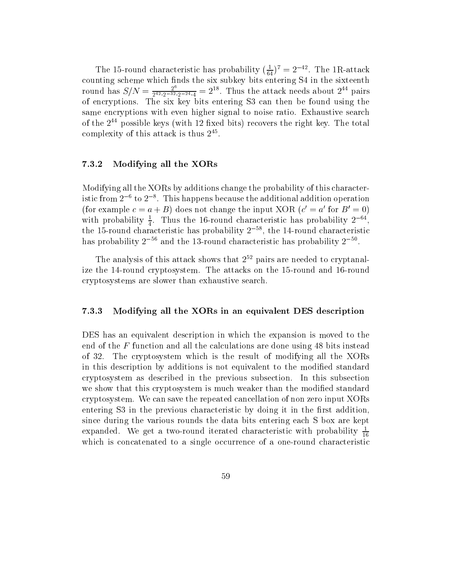The 15-round characteristic has probability  $\left(\frac{24}{64}\right)^2 = 2$ . The IR-attack round has  $S/N = \frac{2^6}{2^{42} \cdot 2^{-32} \cdot 2^{-24} \cdot 4} = 2^{18}$ . Thus the attack needs about  $2^{44}$  pairs of encryptions. The six key bits entering  $\mathcal{L}$  is entering then be found using the found using the found using the found using the found using the found using the found using the found using the found using the found same encryptions with even higher signal to noise ratio. Exhaustive search of the  $2^{44}$  possible keys (with 12 fixed bits) recovers the right key. The total complexity of this attack is thus  $2^{45}$ .

### 7.3.2 Modifying all the XORs

Modifying all the XORs by additions change the probability of this characteristic from  $2-10.2$  . This happens because the additional addition operation  $\overline{a}$ (for example  $c = a + B$ ) does not change the input  $\Delta$ OR ( $c = a$  for  $B = 0$ ) with probability  $\overline{\tau}$ . Thus the 16-round characteristic has probability  $2^{++}$ , the 15-round characteristic has probability  $2^{-58}$ , the 14-round characteristic has probability  $2\degree$  and the 13-round characteristic has probability  $2\degree$ .

The analysis of this attack shows that  $2^{52}$  pairs are needed to cryptanalize the 14-round cryptosystem. The attacks on the 15-round and 16-round cryptosystems are slower than exhaustive search.

### 7.3.3 Modifying all the XORs in an equivalent DES description

DES has an equivalent description in which the expansion is moved to the end of the F function and all the calculations are done using 48 bits instead of 32. The cryptosystem which is the result of modifying all the XORs in this description by additions is not equivalent to the modified standard cryptosystem as described in the previous subsection. In this subsection we show that this cryptosystem is much weaker than the modified standard cryptosystem. We can save the repeated cancellation of non zero input XORs entering S3 in the previous characteristic by doing it in the first addition, since during the various rounds the data bits entering each S box are kept expanded. We get a two-round iterated characteristic with probability  $\frac{1}{16}$ <sup>16</sup> which is concerted to a single occurrence of a one-round characteristic characteristic characteristic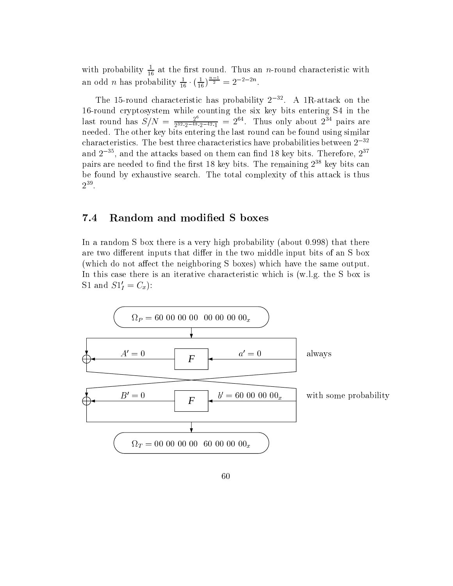with probability  $\frac{16}{16}$  at the first round. Thus an *n*-round characteristic with an odd *n* has probability  $\frac{1}{16} \cdot (\frac{1}{16})^{-\frac{1}{2}} = 2^{-2-2n}$ .

The 15-round characteristic has probability  $Z \sim A$  IR-attack on the 16-round cryptosystem while counting the six key bits entering S4 in the last round has  $S/N = \frac{2}{2^{32} \cdot 2^{-48} \cdot 2^{-42} \cdot 1} = 2^{64}$ . Thus only about  $2^{54}$  pairs are needed. The other key bits entering the last round can be found using similar characteristics. The best three characteristics have probabilities between  $2^{-32}$ and  $2^{-35}$ , and the attacks based on them can find 18 key bits. Therefore,  $2^{37}$ pairs are needed to find the first 18 key bits. The remaining  $2^{38}$  key bits can be found by exhaustive search. The total complexity of this attack is thus 2<sup>39</sup>

#### 7.4Random and modied <sup>S</sup> boxes

In a random S box there is a very high probability (about 0.998) that there are two different inputs that differ in the two middle input bits of an S box (which do not affect the neighboring S boxes) which have the same output. In this case there is an iterative characteristic which is  $(w.l.g.$  the S box is  $\text{S1}$  and  $\text{S1}_I = \text{C}_x$ ):

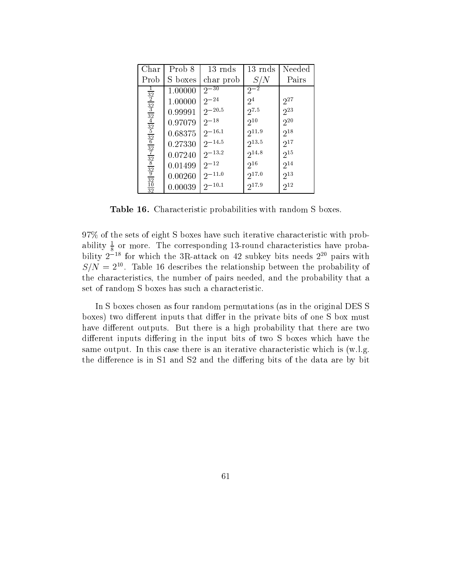| Char                                                                                                                                                                   | Prob 8  | 13 rnds     | 13 rnds        | Needed   |
|------------------------------------------------------------------------------------------------------------------------------------------------------------------------|---------|-------------|----------------|----------|
| Prob                                                                                                                                                                   | S boxes | char prob   | S/N            | Pairs    |
|                                                                                                                                                                        | 1.00000 | $2^{-30}$   | $2^{-2}$       |          |
|                                                                                                                                                                        | 1.00000 | $2^{-24}$   | 2 <sup>4</sup> | $2^{27}$ |
|                                                                                                                                                                        | 0.99991 | $2^{-20.5}$ | $2^{7.5}$      | $2^{23}$ |
|                                                                                                                                                                        | 0.97079 | $2^{-18}$   | $2^{10}$       | $2^{20}$ |
|                                                                                                                                                                        | 0.68375 | $2^{-16.1}$ | $2^{11.9}$     | $2^{18}$ |
|                                                                                                                                                                        | 0.27330 | $2^{-14.5}$ | $2^{13.5}$     | $2^{17}$ |
|                                                                                                                                                                        | 0.07240 | $2^{-13.2}$ | $2^{14.8}$     | $2^{15}$ |
|                                                                                                                                                                        | 0.01499 | $2^{-12}$   | $2^{16}$       | $2^{14}$ |
|                                                                                                                                                                        | 0.00260 | $2^{-11.0}$ | $2^{17.0}$     | $2^{13}$ |
| $\frac{1}{32}$ $\frac{1}{32}$ $\frac{3}{32}$ $\frac{3}{32}$ $\frac{4}{32}$ $\frac{5}{32}$ $\frac{6}{32}$ $\frac{27}{32}$ $\frac{1}{32}$ $\frac{10}{32}$ $\frac{1}{32}$ | 0.00039 | $2^{-10.1}$ | $2^{17.9}$     | $2^{12}$ |

Table 16. Characteristic probabilities with random S boxes.

97% of the sets of eight S boxes have such iterative characteristic with probability  $\frac{1}{8}$  or more. The corresponding 13-round characteristics have probability 2  $\pm$  101 which the 3R-attack on 42 subkey bits needs 2  $\pm$  pairs with  $S/N = 2<sup>2</sup>$ . Table 16 describes the relationship between the probability of the characteristics, the number of pairs needed, and the probability that a set of random S boxes has such a characteristic.

In S boxes chosen as four random permutations (as in the original DES S boxes) two different inputs that differ in the private bits of one S box must have different outputs. But there is a high probability that there are two different inputs differing in the input bits of two S boxes which have the same output. In this case there is an iterative characteristic which is (w.l.g. the difference is in S1 and S2 and the differing bits of the data are by bit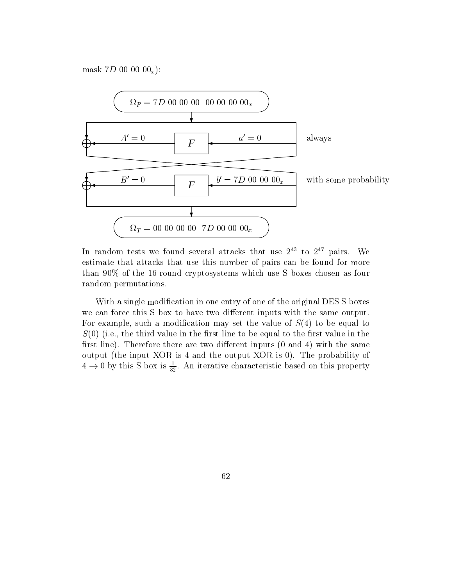mask  $7D\ 00\ 00\ 00_x$ ):



In random tests we found several attacks that use  $2^{43}$  to  $2^{47}$  pairs. We estimate that attacks that use this number of pairs can be found for more than 90% of the 16-round cryptosystems which use S boxes chosen as four random permutations.

With a single modification in one entry of one of the original DES S boxes we can force this S box to have two different inputs with the same output. For example, such a modification may set the value of  $S(4)$  to be equal to  $S(0)$  (i.e., the third value in the first line to be equal to the first value in the first line). Therefore there are two different inputs  $(0 \text{ and } 4)$  with the same output (the input XOR is 4 and the output XOR is 0). The probability of  $4 \rightarrow 0$  by this 5 box is  $\frac{32}{32}$ . An iterative characteristic based on this property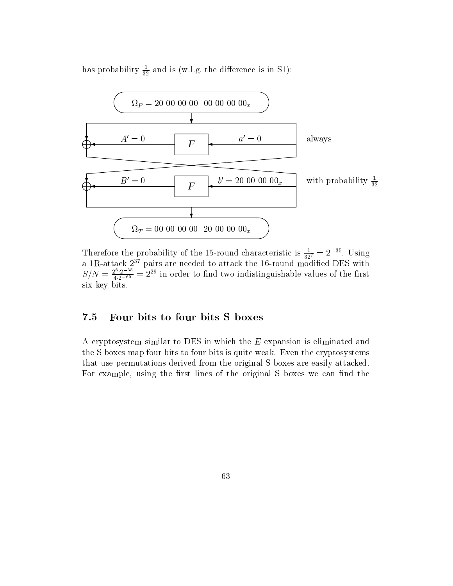has probability  $\frac{1}{32}$  and is (w.l.g. the difference is in S1):



Therefore the probability of the 15-round characteristic is  $\frac{327}{327} = 2$  . Using a in-attack  $2^{\circ}$  pairs are needed to attack the 10-round modified DES with  $S/N = \frac{2^{12}-1}{4\cdot 2^{-60}} = 2^{29}$  in order to find two indistinguishable values of the first six key bits.

#### 7.5Four bits to four bits <sup>S</sup> boxes

A cryptosystem similar to DES in which the E expansion is eliminated and the S boxes map four bits to four bits is quite weak. Even the cryptosystems that use permutations derived from the original S boxes are easily attacked. For example, using the first lines of the original S boxes we can find the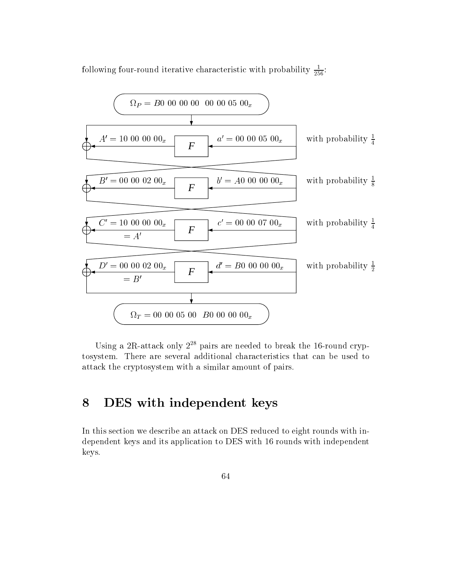

following four-round iterative characteristic with probability  $\frac{1}{256}$ :

Using a 2R-attack only  $2^{28}$  pairs are needed to break the 16-round cryptosystem. There are several additional characteristics that can be used to attack the cryptosystem with a similar amount of pairs.

# 8 DES with independent keys

In this section we describe an attack on DES reduced to eight rounds with independent keys and its application to DES with 16 rounds with independent keys.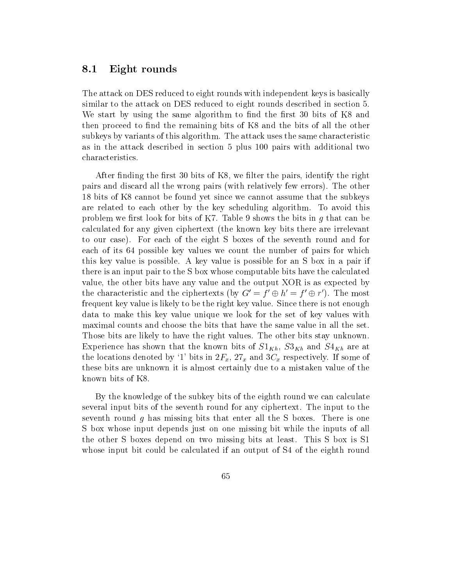#### 8.1Eight rounds

The attack on DES reduced to eight rounds with independent keys is basically similar to the attack on DES reduced to eight rounds described in section 5. We start by using the same algorithm to find the first 30 bits of K8 and then proceed to find the remaining bits of K8 and the bits of all the other subkeys by variants of this algorithm. The attack uses the same characteristic as in the attack described in section 5 plus 100 pairs with additional two characteristics.

After finding the first 30 bits of K8, we filter the pairs, identify the right pairs and discard all the wrong pairs (with relatively few errors). The other 18 bits of K8 cannot be found yet since we cannot assume that the subkeys are related to each other by the key scheduling algorithm. To avoid this problem we first look for bits of K7. Table 9 shows the bits in  $q$  that can be calculated for any given ciphertext (the known key bits there are irrelevant to our case). For each of the eight S boxes of the seventh round and for each of its 64 possible key values we count the number of pairs for which this key value is possible. A key value is possible for an S box in a pair if there is an input pair to the S box whose computable bits have the calculated value, the other bits have any value and the output XOR is as expected by the characteristic and the ciphertexts (by  $G = f \oplus n = f \oplus r$ ). The most frequent key value is likely to be the right key value. Since there is not enough data to make this key value unique we look for the set of key values with maximal counts and choose the bits that have the same value in all the set. Those bits are likely to have the right values. The other bits stay unknown. Experience has shown that the known bits of  $S1_{Kh}$ ,  $S3_{Kh}$  and  $S4_{Kh}$  are at the locations denoted by '1' bits in  $2F_x$ ,  $27_x$  and  $3C_x$  respectively. If some of these bits are unknown it is almost certainly due to a mistaken value of the known bits of K8.

By the knowledge of the subkey bits of the eighth round we can calculate several input bits of the seventh round for any ciphertext. The input to the seventh round q has missing bits that enter all the S boxes. There is one S box whose input depends just on one missing bit while the inputs of all the other S boxes depend on two missing bits at least. This S box is S1 whose input bit could be calculated if an output of S4 of the eighth round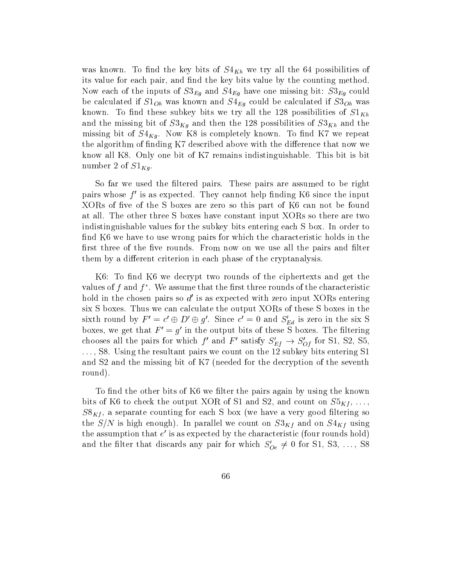was known. To find the key bits of  $S4_{Kh}$  we try all the 64 possibilities of its value for each pair, and find the key bits value by the counting method. Now each of the inputs of  $S3_{Eg}$  and  $S4_{Eg}$  have one missing bit:  $S3_{Eg}$  could be calculated if  $S1_{Oh}$  was known and  $S4_{Eq}$  could be calculated if  $S3_{Oh}$  was known. To find these subkey bits we try all the 128 possibilities of  $S1_{Kh}$ and the missing bit of  $S3_{Kq}$  and then the 128 possibilities of  $S3_{Kh}$  and the missing bit of  $S4_{Kq}$ . Now K8 is completely known. To find K7 we repeat the algorithm of finding K7 described above with the difference that now we know all K8. Only one bit of K7 remains indistinguishable. This bit is bit number 2 of  $S1_{Kq}$ .

So far we used the filtered pairs. These pairs are assumed to be right pairs whose  $f'$  is as expected. They cannot help finding K6 since the input XORs of five of the S boxes are zero so this part of K6 can not be found at all. The other three S boxes have constant input XORs so there are two indistinguishable values for the subkey bits entering each S box. In order to find K6 we have to use wrong pairs for which the characteristic holds in the first three of the five rounds. From now on we use all the pairs and filter them by a different criterion in each phase of the cryptanalysis.

K6: To find K6 we decrypt two rounds of the ciphertexts and get the values of f and f  $\,$  , we assume that the first three rounds of the characteristic hold in the chosen pairs so  $d'$  is as expected with zero input XORs entering six S boxes. Thus we can calculate the output XORs of these S boxes in the sixth round by  $F = c \oplus D \oplus g$ . Since  $c = 0$  and  $S_{Ed}$  is zero in the six S boxes, we get that  $F = q$  in the output bits of these S boxes. The intering chooses all the pairs for which f' and F' satisfy  $S'_{Ef} \rightarrow S'_{Of}$  for S1, S2, S5, . . . , S8. Using the resultant pairs we count on the 12 subkey bits entering S1 and S2 and the missing bit of K7 (needed for the decryption of the seventh round).

To find the other bits of K6 we filter the pairs again by using the known bits of K6 to check the output XOR of S1 and S2, and count on  $S5_{Kf}$ , ...,  $S8_{Kf}$ , a separate counting for each S box (we have a very good filtering so the  $S/N$  is high enough). In parallel we count on  $S3<sub>Kf</sub>$  and on  $S4<sub>Kf</sub>$  using the assumption that  $e$  is as expected by the characteristic (four rounds hold) and the filter that discards any pair for which  $S'_{0e} \neq 0$  for S1, S3, ..., S8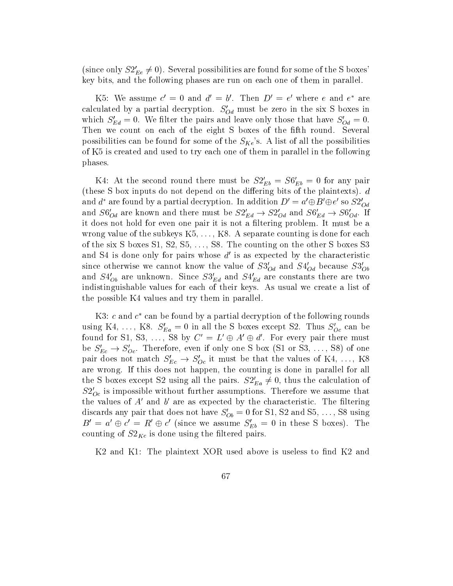(since only  $S2_{E}^{\prime} \neq 0$ ). Several possibilities are found for some of the S boxes' key bits, and the following phases are run on each one of them in parallel.

No: we assume  $c = 0$  and  $a = b$ . Then  $D = e$  where e and e are calculated by a partial decryption.  $S'_{Od}$  must be zero in the six S boxes in which  $S'_{Ed} = 0$ . We filter the pairs and leave only those that have  $S'_{Od} = 0$ . Then we count on each of the eight S boxes of the fifth round. Several possibilities can be found for some of the  $S_{Ke}$ 's. A list of all the possibilities of K5 is created and used to try each one of them in parallel in the following phases.

K4: At the second round there must be  $S2_{Fb} = S6_{Fb} = 0$  for any pair (these S box inputs do not depend on the differing bits of the plaintexts).  $d$ and  $a$  -are found by a partial decryption. In addition  $D^{\vphantom{1}}=a\oplus B\oplus e$  so  $5z_{Od}$ and  $S^{0}{}_{0d}$  are known and there must be  $S^{2}{}_{Ed} \rightarrow S^{2}{}_{Od}$  and  $S^{0}{}_{Ed} \rightarrow S^{0}{}_{Od}$ . If it does not hold for even one pair it is not a filtering problem. It must be a wrong value of the subkeys  $K5, \ldots, K8$ . A separate counting is done for each of the six S boxes S1, S2, S5, . . . , S8. The counting on the other S boxes S3 and S4 is done only for pairs whose  $d'$  is as expected by the characteristic since otherwise we cannot know the value of  $\mathcal{S}^{\mathcal{O}}_{0d}$  and  $\mathcal{S}^{\mathcal{O}}_{0d}$  because  $\mathcal{S}^{\mathcal{O}}_{0b}$ and  $S4'_{Ob}$  are unknown. Since  $S3'_{Ed}$  and  $S4'_{Ed}$  are constants there are two indistinguishable values for each of their keys. As usual we create a list of the possible K4 values and try them in parallel.

 $K3$ :  $c$  and  $c$  -can be found by a partial decryption of the following rounds using K4, ..., K8.  $S'_{Ea} = 0$  in all the S boxes except S2. Thus  $S'_{Oc}$  can be found for S1, S3,  $\dots$ , S8 by  $C_0 = L_0 \oplus A_0 \oplus a_1$ . For every pair there must be  $S_{E_c} \rightarrow S_{O_c}$ . Therefore, even if only one S box (S1 or S3, ..., S8) of one pair does not match  $S_{Ec} \rightarrow S_{Oc}'$  it must be that the values of K4, ..., K8 are wrong. If this does not happen, the counting is done in parallel for all the S boxes except S2 using all the pairs.  $S2_{E_a}^{\prime} \neq 0$ , thus the calculation of  $S_{\mathcal{O}_c}^{0}$  is impossible without further assumptions. Therefore we assume that the values of  $A$  and  $\theta$  are as expected by the characteristic. The filtering discards any pair that does not have  $S'_{Ob} = 0$  for S1, S2 and S5, ..., S8 using  $D = a \oplus c = R \oplus c$  (since we assume  $D_{Eb} = 0$  in these S boxes). The counting of  $S2_{Kc}$  is done using the filtered pairs.

K2 and K1: The plaintext XOR used above is useless to find K2 and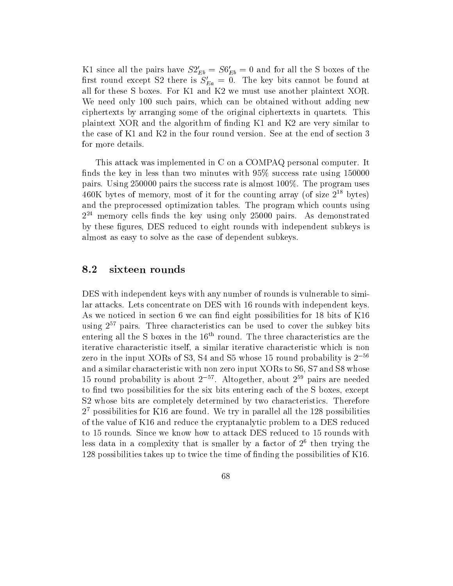K1 since all the pairs have  $S2_{Eb} = S6_{Eb} = 0$  and for all the S boxes of the first round except S2 there is  $S_{Ea} = 0$ . The key bits cannot be found at all for these S boxes. For K1 and K2 we must use another plaintext XOR. We need only 100 such pairs, which can be obtained without adding new ciphertexts by arranging some of the original ciphertexts in quartets. This plaintext XOR and the algorithm of finding  $K1$  and  $K2$  are very similar to the case of K1 and K2 in the four round version. See at the end of section 3 for more details.

This attack was implemented in C on a COMPAQ personal computer. It finds the key in less than two minutes with  $95\%$  success rate using 150000 pairs. Using 250000 pairs the success rate is almost 100%. The program uses  $460K$  bytes of memory, most of it for the counting array (of size  $2^{18}$  bytes) and the preprocessed optimization tables. The program which counts using  $2^{24}$  memory cells finds the key using only 25000 pairs. As demonstrated by these figures, DES reduced to eight rounds with independent subkeys is almost as easy to solve as the case of dependent subkeys.

#### 8.2sixteen rounds

DES with independent keys with any number of rounds is vulnerable to similar attacks. Lets concentrate on DES with 16 rounds with independent keys. As we noticed in section 6 we can find eight possibilities for 18 bits of K16 using  $2^{57}$  pairs. Three characteristics can be used to cover the subkey bits entering all the S boxes in the 16<sup>th</sup> round. The three characteristics are the iterative characteristic itself, a similar iterative characteristic which is non zero in the input XORs of S3, S4 and S5 whose 15 round probability is  $2^{-56}$ and a similar characteristic with non zero input XORs to S6, S7 and S8 whose 15 round probability is about 257 . Altogether, about 259 pairs are needed to find two possibilities for the six bits entering each of the S boxes, except S2 whose bits are completely determined by two characteristics. Therefore  $2<sup>7</sup>$  possibilities for K16 are found. We try in parallel all the 128 possibilities of the value of K16 and reduce the cryptanalytic problem to a DES reduced to 15 rounds. Since we know how to attack DES reduced to 15 rounds with less data in a complexity that is smaller by a factor of  $2<sup>6</sup>$  then trying the 128 possibilities takes up to twice the time of nding the possibilities of K16.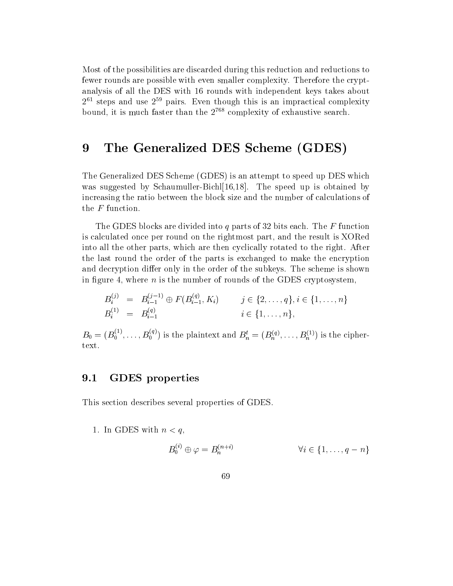Most of the possibilities are discarded during this reduction and reductions to fewer rounds are possible with even smaller complexity. Therefore the cryptanalysis of all the DES with 16 rounds with independent keys takes about  $2^{61}$  steps and use  $2^{59}$  pairs. Even though this is an impractical complexity bound, it is much faster than the  $2^{768}$  complexity of exhaustive search.

# 9 The Generalized DES Scheme (GDES)

The Generalized DES Scheme (GDES) is an attempt to speed up DES which was suggested by Schaumuller-Bichl[16,18]. The speed up is obtained by increasing the ratio between the block size and the number of calculations of the F function.

The GDES blocks are divided into q parts of 32 bits each. The F function is calculated once per round on the rightmost part, and the result is XORed into all the other parts, which are then cyclically rotated to the right. After the last round the order of the parts is exchanged to make the encryption and decryption differ only in the order of the subkeys. The scheme is shown in figure 4, where  $n$  is the number of rounds of the GDES cryptosystem,

$$
B_i^{(j)} = B_{i-1}^{(j-1)} \oplus F(B_{i-1}^{(q)}, K_i) \qquad j \in \{2, ..., q\}, i \in \{1, ..., n\}
$$
  

$$
B_i^{(1)} = B_{i-1}^{(q)} \qquad i \in \{1, ..., n\},
$$

 $B_0=(B_0^{-1},\ldots,B_0^{-n})$  is the plaintext and  $B_n^{n}=(B_n^{(q)},\ldots,B_n^{(1)})$  is the ciphertext.

#### 9.1GDES properties

This section describes several properties of GDES.

1. In GDES with  $n < q$ ,

$$
B_0^{(i)} \oplus \varphi = B_n^{(n+i)} \qquad \qquad \forall i \in \{1, \ldots, q-n\}
$$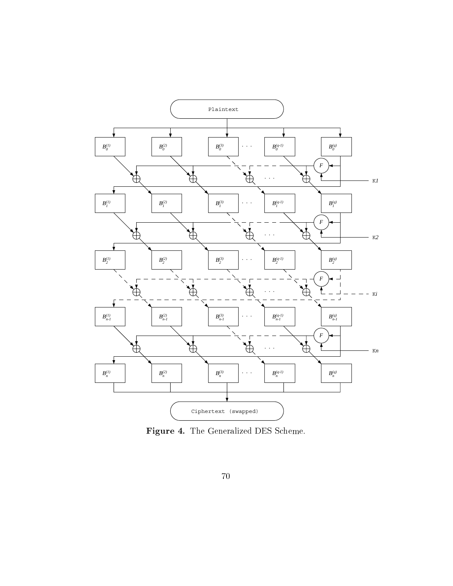

Figure 4. The Generalized DES Scheme.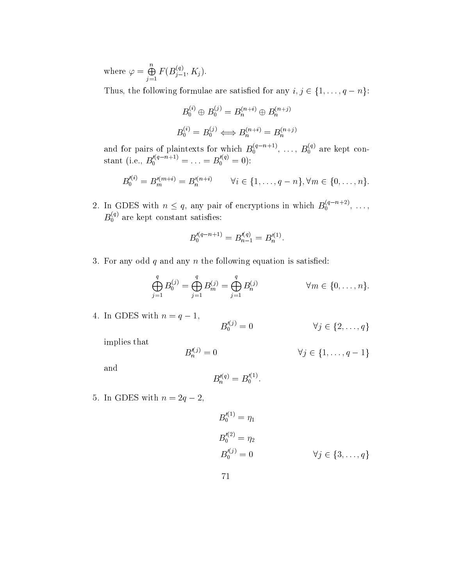where  $\varphi = \bigoplus_{j=1}^{\infty} F(B_{j-1}^{(q)}, I)$  $F(B_{i-1}^{\mathcal{P}}, K_i).$ 

Thus, the following formulae are satisfied for any  $i, j \in \{1, \ldots, q - n\}$ :

$$
B_0^{(i)} \oplus B_0^{(j)} = B_n^{(n+i)} \oplus B_n^{(n+j)}
$$
  

$$
B_0^{(i)} = B_0^{(j)} \iff B_n^{(n+i)} = B_n^{(n+j)}
$$

and for pairs of plaintexts for which  $B_0^{\alpha_1+\cdots+\alpha_k}, \ldots, B_0^{\alpha_k}$  are kept constant (i.e.,  $B_0^{(4)}$   $\cdots$   $\cdots$  =  $\cdots$  =  $B_0^{(4)}$  = 0):

$$
B_0^{(i)} = B_m^{(m+i)} = B_n^{(n+i)} \qquad \forall i \in \{1, \ldots, q-n\}, \forall m \in \{0, \ldots, n\}.
$$

2. In GDES with  $n \leq q$ , any pair of encryptions in which  $B_0^*$ ,  $\ldots$ ,  $B_0^{\scriptscriptstyle{(1)}}$  are kept constant satisfies:

$$
B_0^{\prime(q-n+1)} = B_{n-1}^{\prime(q)} = B_n^{\prime(1)}.
$$

3. For any odd  $q$  and any  $n$  the following equation is satisfied:

$$
\bigoplus_{j=1}^q B_0^{(j)} = \bigoplus_{j=1}^q B_m^{(j)} = \bigoplus_{j=1}^q B_n^{(j)} \qquad \forall m \in \{0, \dots, n\}.
$$

4. In GDES with 
$$
n = q - 1
$$
,  $\qquad \qquad (i)$ 

$$
B_0^{\prime(j)} = 0 \qquad \qquad \forall j \in \{2, \ldots, q\}
$$

implies that

$$
B_n^{\prime(j)} = 0 \qquad \qquad \forall j \in \{1, \ldots, q-1\}
$$

and

$$
B_n^{\prime(q)} = B_0^{\prime(1)}.
$$

- 5. In GDES with  $n = 2q 2$ ,
- $B_0^{(1)} = \eta_1$  $B_0^{\gamma}{}' = \eta_2$  $B_0^{\prime (j)}=0$  $\forall j \in \{3,\ldots,q\}$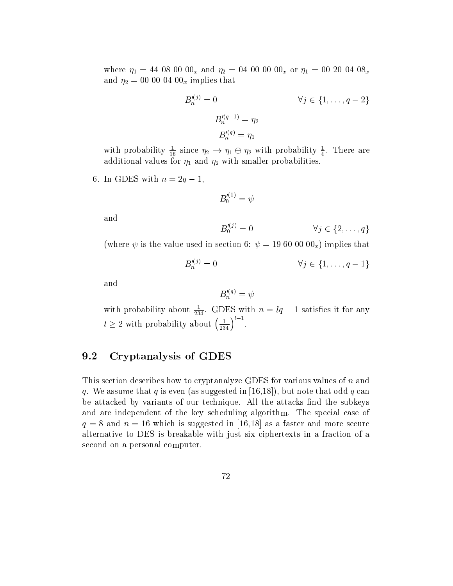where  $\eta_1 = 44 08 00 00_x$  and  $\eta_2 = 04 00 00 00_x$  or  $\eta_1 = 00 20 04 08_x$ and  $\eta_2 = 00000400_x$  implies that

$$
B_n^{\prime(j)} = 0 \qquad \qquad \forall j \in \{1, \dots, q-2\}
$$

$$
B_n^{\prime(q-1)} = \eta_2
$$

$$
B_n^{\prime(q)} = \eta_1
$$

with probability  $\frac{1}{16}$  since  $\eta_2 \to \eta_1 \oplus \eta_2$  with probability  $\frac{1}{4}$ . There are additional values for  $\eta_1$  and  $\eta_2$  with smaller probabilities.

6. In GDES with  $n = 2q - 1$ ,

$$
B_0^{\prime(1)}=\psi
$$

and

$$
B_0^{(j)} = 0 \qquad \qquad \forall j \in \{2, \ldots, q\}
$$

(where  $\psi$  is the value used in section 6:  $\psi = 1960000v_x$ ) implies that

$$
B_n^{\prime(j)} = 0 \qquad \qquad \forall j \in \{1, \ldots, q-1\}
$$

and

$$
B'^{(q)}_{n}=\psi
$$

with probability about  $\frac{1}{234}$ . GDES with  $n = iq - 1$  satisfies it for any  $l \geq 2$  with probability about  $\left(\frac{1}{234}\right)^{l-1}$ .

#### 9.2Cryptanalysis of GDES

This section describes how to cryptanalyze GDES for various values of  $n$  and q. We assume that q is even (as suggested in [16,18]), but note that odd q can be attacked by variants of our technique. All the attacks find the subkeys and are independent of the key scheduling algorithm. The special case of  $q = 8$  and  $n = 16$  which is suggested in [16,18] as a faster and more secure alternative to DES is breakable with just six ciphertexts in a fraction of a second on a personal computer.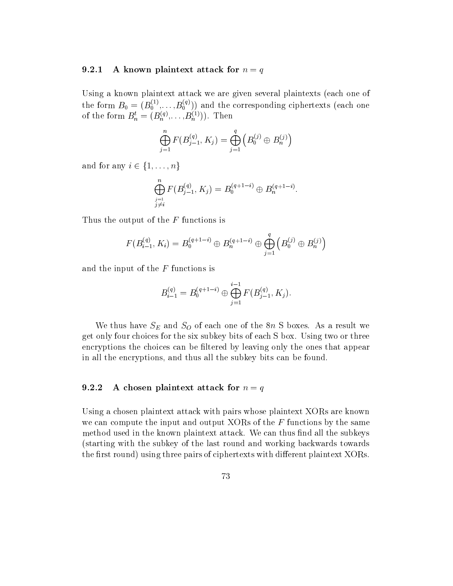#### 9.2.1 A known plaintext attack for  $n = q$

Using a known plaintext attack we are given several plaintexts (each one of the form  $B_0 = (B_0^{(1)}, \ldots, B_0^{(n)})$  and the corresponding ciphertexts (each one of the form  $D_n = (D_n^{(1)}, \ldots, D_n^{(n)})$ . Then

$$
\bigoplus_{j=1}^{n} F(B_{j-1}^{(q)}, K_j) = \bigoplus_{j=1}^{q} \left( B_0^{(j)} \oplus B_n^{(j)} \right)
$$

and for any  $i \in \{1,\ldots,n\}$ 

$$
\bigoplus_{\substack{j=1\\j\neq i}}^{n} F(B^{(q)}_{j-1},K_j)=B^{(q+1-i)}_0\oplus B^{(q+1-i)}_n.
$$

Thus the output of the  $F$  functions is

$$
F(B_{i-1}^{(q)}, K_i) = B_0^{(q+1-i)} \oplus B_n^{(q+1-i)} \oplus \bigoplus_{j=1}^q \left( B_0^{(j)} \oplus B_n^{(j)} \right)
$$

and the input of the  $F$  functions is

$$
B_{i-1}^{(q)}=B_0^{(q+1-i)}\oplus \bigoplus_{j=1}^{i-1}F(B_{j-1}^{(q)},K_j).
$$

We thus have  $S_E$  and  $S_O$  of each one of the 8n S boxes. As a result we get only four choices for the six subkey bits of each S box. Using two or three encryptions the choices can be ltered by leaving only the ones that appear in all the encryptions, and thus all the subkey bits can be found.

### 9.2.2 A chosen plaintext attack for  $n = q$

Using a chosen plaintext attack with pairs whose plaintext XORs are known we can compute the input and output XORs of the  $F$  functions by the same method used in the known plaintext attack. We can thus find all the subkeys (starting with the subkey of the last round and working backwards towards the first round) using three pairs of ciphertexts with different plaintext XORs.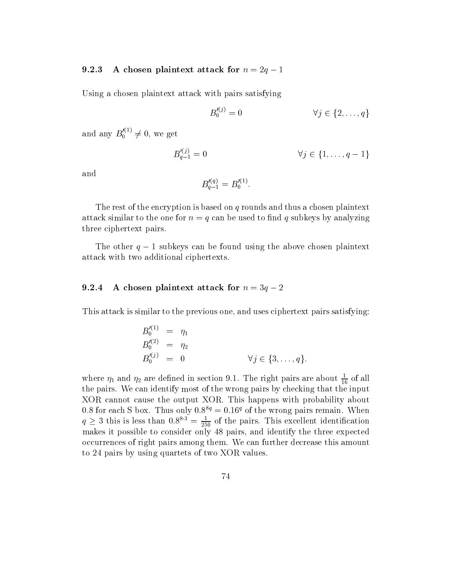## 9.2.3 A chosen plaintext attack for  $n = 2q - 1$

Using a chosen plaintext attack with pairs satisfying

$$
B_0^{\prime(j)} = 0 \qquad \qquad \forall j \in \{2, \ldots, q\}
$$

and any  $B_0^{\gamma} \neq 0$ , we get

$$
B_{q-1}^{\prime(j)} = 0 \qquad \qquad \forall j \in \{1, \ldots, q-1\}
$$

and

$$
B_{q-1}^{\prime (q)} = B_0^{\prime (1)}.
$$

The rest of the encryption is based on  $q$  rounds and thus a chosen plaintext attack similar to the one for  $n = q$  can be used to find q subkeys by analyzing three ciphertext pairs.

The other q <sup>1</sup> subkeys can be found using the above chosen plaintext attack with two additional ciphertexts.

## 9.2.4 A chosen plaintext attack for  $n = 3q - 2$

This attack is similar to the previous one, and uses ciphertext pairs satisfying:

$$
B_0^{\prime(1)} = \eta_1 \n B_0^{\prime(2)} = \eta_2 \n B_0^{\prime(j)} = 0 \qquad \forall j \in \{3, ..., q\}.
$$

where  $\eta_1$  and  $\eta_2$  are defined in section 9.1. The right pairs are about  $\frac{1}{16}$  of all the pairs. We can identify most of the wrong pairs by checking that the input XOR cannot cause the output XOR. This happens with probability about 0.8 for each S box. Thus only  $0.8^{8q} = 0.16^q$  of the wrong pairs remain. When  $q \geq 3$  this is less than  $0.8^{\circ} = \frac{1}{250}$  of the pairs. This excellent identification makes it possible to consider only 48 pairs, and identify the three expected occurrences of right pairs among them. We can further decrease this amount to 24 pairs by using quartets of two XOR values.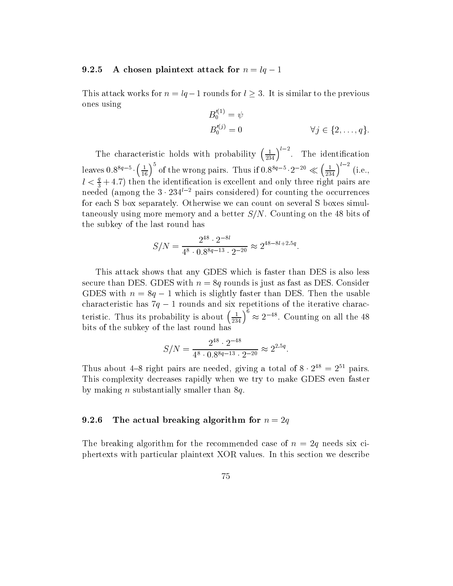#### 9.2.5 A chosen plaintext attack for n = lq <sup>1</sup>

This attack works for  $n = lq-1$  rounds for  $l \geq 3$ . It is similar to the previous ones using

$$
B_0^{\prime(1)} = \psi B_0^{\prime(j)} = 0 \qquad \forall j \in \{2, ..., q\}.
$$

The characteristic holds with probability  $\left(\frac{1}{234}\right)^{1/2}$ . The identification leaves  $0.8^{8q-5} \cdot \left(\frac{1}{16}\right)^5$  of the wrong pairs. Thus if  $0.8^{8q-5} \cdot 2^{-20} \ll \left(\frac{1}{234}\right)^{1/2}$  (i.e.,  $l \leq \frac{2}{3}+4\ldots$  then the identification is excellent and only three right pairs are  $n_{\rm H}$  reeded (among the  $3 \cdot 234$  pairs considered) for counting the occurrences for each S box separately. Otherwise we can count on several S boxes simultaneously using more memory and a better  $S/N$ . Counting on the 48 bits of the subkey of the last round has

$$
S/N = \frac{2^{48} \cdot 2^{-8l}}{4^8 \cdot 0.8^{8q-13} \cdot 2^{-20}} \approx 2^{48 - 8l + 2.5q}.
$$

This attack shows that any GDES which is faster than DES is also less secure than DES. GDES with  $n = 8q$  rounds is just as fast as DES. Consider  $\mathcal{L}$  with n  $\mathcal{L}$  with is slightly faster than DES. Then the usable usable usable usable usable usable usable usable usable usable usable usable usable usable usable usable usable usable usable usable usable usable characteristic has 7q 1 rounds and six repetitions of the iterative characteristic characteristic teristic. Thus its probability is about  $\left(\frac{1}{234}\right)^6 \approx 2^{-48}$ . Counting on all the 48 bits of the subkey of the last round has

$$
S/N = \frac{2^{48} \cdot 2^{-48}}{4^8 \cdot 0.8^{8q-13} \cdot 2^{-20}} \approx 2^{2.5q}.
$$

Thus about 4 $\infty$  right pairs are needed, giving a total of  $8 \cdot 2^{18} = 2^{18}$  pairs. This complexity decreases rapidly when we try to make GDES even faster by making *n* substantially smaller than  $8q$ .

## 9.2.6 The actual breaking algorithm for  $n=2q$

The breaking algorithm for the recommended case of  $n = 2q$  needs six ciphertexts with particular plaintext XOR values. In this section we describe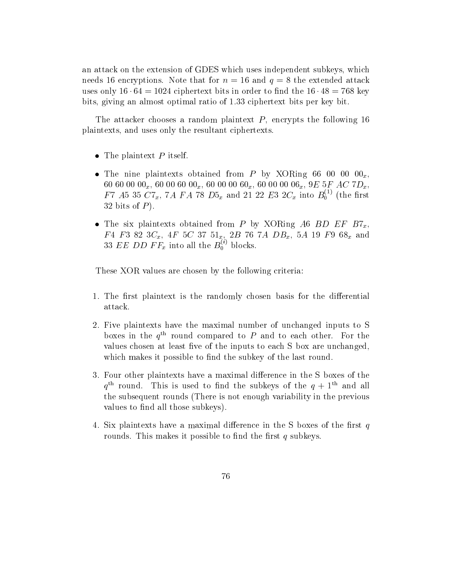an attack on the extension of GDES which uses independent subkeys, which needs 16 encryptions. Note that for  $n = 16$  and  $q = 8$  the extended attack uses only  $16 \cdot 64 = 1024$  ciphertext bits in order to find the  $16 \cdot 48 = 768$  key bits, giving an almost optimal ratio of 1.33 ciphertext bits per key bit.

The attacker chooses a random plaintext  $P$ , encrypts the following 16 plaintexts, and uses only the resultant ciphertexts.

- The plaintext  $P$  itself.
- The nine plaintexts obtained from P by XORing 66 00 00  $00_x$ , 60 60 00  $00_x$ , 60 00 60  $00_x$ , 60 00 00  $60_x$ , 60 00 00  $06_x$ , 9E 5F AC 7D<sub>x</sub>,  $F^{\gamma}$  A5 35  $C^{\gamma}$ ,  $\gamma$   $A$   $F A$   $\gamma$ 8  $D_{\vartheta}$  and 21 22 E3 2 $C_x$  into  $B_0^{\gamma\gamma}$  (the first 32 bits of  $P$ ).
- $F4$  F<sub>3</sub> 82 3 $C_x$ ,  $4F$  5 $C$  37 51<sub>x</sub>, 2B 76 7A  $DB_x$ , 5A 19 F 9 68<sub>x</sub> and 33 EE DD FF $_x$  into all the  $B_0^{\gamma\gamma}$  blocks.

These XOR values are chosen by the following criteria:

- 1. The first plaintext is the randomly chosen basis for the differential attack.
- 2. Five plaintexts have the maximal number of unchanged inputs to S boxes in the  $q$  -found compared to  $P$  and to each other. For the  $\blacksquare$ values chosen at least five of the inputs to each S box are unchanged, which makes it possible to find the subkey of the last round.
- 3. Four other plaintexts have a maximal difference in the S boxes of the  $q^{\mu\nu}$  round. This is used to find the subkeys of the  $q^{\mu}+1^{\mu\nu}$  and all the subsequent rounds (There is not enough variability in the previous values to find all those subkeys).
- 4. Six plaintexts have a maximal difference in the S boxes of the first  $q$ rounds. This makes it possible to find the first  $q$  subkeys.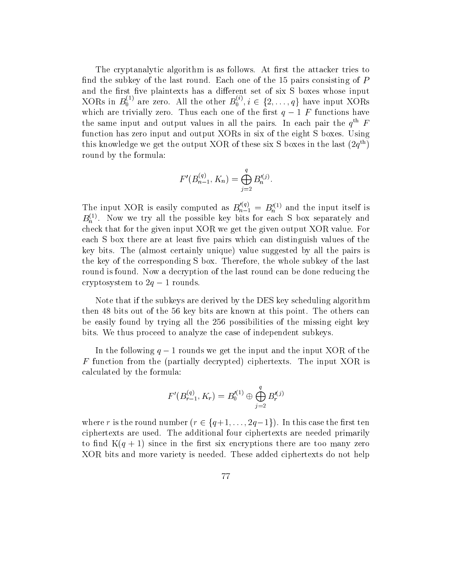The cryptanalytic algorithm is as follows. At first the attacker tries to find the subkey of the last round. Each one of the 15 pairs consisting of  $P$ and the rst ve plaintexts has a dierent set of six S boxes whose input XORs in  $B_0^{(1)}$  are zero. All the other  $B_0^{(2)}$ ,  $i \in \{2,\ldots,q\}$  have input XORs which are trivially first  $\alpha$  is the order of the the series  $\eta$  . In the series functions  $\alpha$ the same input and output values in all the pairs. In each pair the  $q^{\perp\perp}$   $F$ function has zero input and output XORs in six of the eight S boxes. Using this knowledge we get the output  $\Delta$ OR of these six  $S$  boxes in the last ( $2q^{\alpha\beta}$ ) round by the formula:

$$
F'(B_{n-1}^{(q)}, K_n) = \bigoplus_{j=2}^{q} B_n'^{(j)}.
$$

The input XOR is easily computed as  $B_{n-1}^{(n)} = B_n^{(n)}$  and the input itself is  $D_n^{\gamma}$ . Now we try all the possible key bits for each S box separately and check that for the given input XOR we get the given output XOR value. For each S box there are at least five pairs which can distinguish values of the key bits. The (almost certainly unique) value suggested by all the pairs is the key of the corresponding S box. Therefore, the whole subkey of the last round is found. Now a decryption of the last round can be done reducing the cryptosystem to  $2q - 1$  rounds.

Note that if the subkeys are derived by the DES key scheduling algorithm then 48 bits out of the 56 key bits are known atthis point. The others can be easily found by trying all the 256 possibilities of the missing eight key bits. We thus proceed to analyze the case of independent subkeys.

In the following  $q-1$  rounds we get the input and the input XOR of the  $F$  function from the (partially decrypted) ciphertexts. The input XOR is calculated by the formula:

$$
F'(B_{r-1}^{(q)},K_r) = B_0'^{(1)} \oplus \bigoplus_{j=2}^q B_r'^{(j)}
$$

where r is the round number  $(r \in \{q+1,\ldots,2q-1\})$ . In this case the first ten ciphertexts are used. The additional four ciphertexts are needed primarily to find  $K(q + 1)$  since in the first six encryptions there are too many zero XOR bits and more variety is needed. These added ciphertexts do not help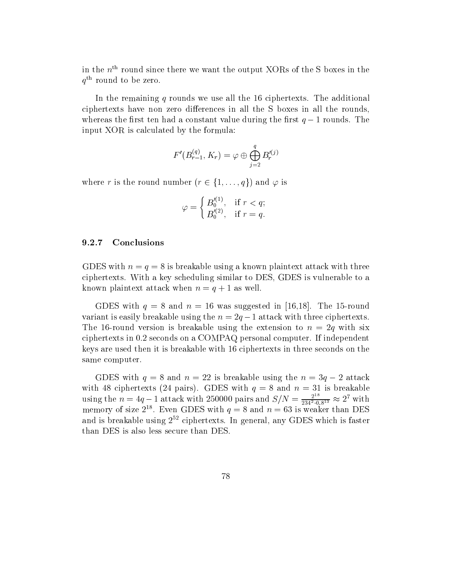in the  $n<sup>th</sup>$  round since there we want the output XORs of the S boxes in the q th round to be zero.

In the remaining q rounds we use all the 16 ciphertexts. The additional ciphertexts have non zero differences in all the S boxes in all the rounds, whereas the first ten had a constant value during the first  $q-1$  rounds. The input XOR is calculated by the formula:

$$
F'(B_{r-1}^{(q)}, K_r) = \varphi \oplus \bigoplus_{j=2}^q B'^{(j)}_r
$$

where r is the round number  $(r \in \{1,\ldots,q\})$  and  $\varphi$  is

$$
\varphi = \begin{cases} B_0^{\prime(1)}, & \text{if } r < q; \\ B_0^{\prime(2)}, & \text{if } r = q. \end{cases}
$$

#### 9.2.7 Conclusions

GDES with  $n = q = 8$  is breakable using a known plaintext attack with three ciphertexts. With a key scheduling similar to DES, GDES is vulnerable to a known plaintext attack when  $n = q + 1$  as well.

GDES with  $q = 8$  and  $n = 16$  was suggested in [16,18]. The 15-round variant is easily breakable using the  $n = 2q - 1$  attack with three ciphertexts. The 16-round version is breakable using the extension to  $n = 2q$  with six ciphertexts in 0.2 seconds on a COMPAQ personal computer. If independent keys are used then it is breakable with 16 ciphertexts in three seconds on the same computer.

GDES with  $q = 8$  and  $n = 22$  is breakable using the  $n = 3q - 2$  attack using the  $n = 4q - 1$  attack with 250000 pairs and  $S/N = \frac{2^{18}}{234^2 \cdot 0.8^{13}} \approx 2^7$  with memory of size  $2^{2}$ . Even GDES with  $q = 8$  and  $n = 0$ 3 is weaker than DES and is breakable using  $2^{52}$  ciphertexts. In general, any GDES which is faster than DES is also less secure than DES.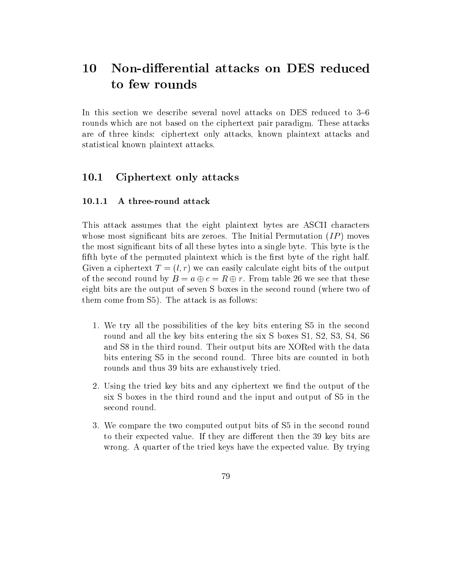### Non-differential attacks on DES reduced 10 to few rounds

In this section we describe several novel attacks on DES reduced to 3–6 rounds which are not based on the ciphertext pair paradigm. These attacks are of three kinds: ciphertext only attacks, known plaintext attacks and statistical known plaintext attacks.

#### 10.1Ciphertext only attacks

#### $10.1.1$ A three-round attack

This attack assumes that the eight plaintext bytes are ASCII characters whose most significant bits are zeroes. The Initial Permutation  $(IP)$  moves the most signicant bits of all these bytes into a single byte. This byte is the fifth byte of the permuted plaintext which is the first byte of the right half. Given a ciphertext  $T = (l, r)$  we can easily calculate eight bits of the output of the second round by  $B = a \oplus c = R \oplus r$ . From table 26 we see that these eight bits are the output of seven S boxes in the second round (where two of them come from S5). The attack is as follows:

- 1. We try all the possibilities of the key bits entering S5 in the second round and all the key bits entering the six S boxes S1, S2, S3, S4, S6 and S8 in the third round. Their output bits are XORed with the data bits entering S5 in the second round. Three bits are counted in both rounds and thus 39 bits are exhaustively tried.
- 2. Using the tried key bits and any ciphertext we find the output of the six S boxes in the third round and the input and output of S5 in the second round.
- 3. We compare the two computed output bits of S5 in the second round to their expected value. If they are different then the 39 key bits are wrong. A quarter of the tried keys have the expected value. By trying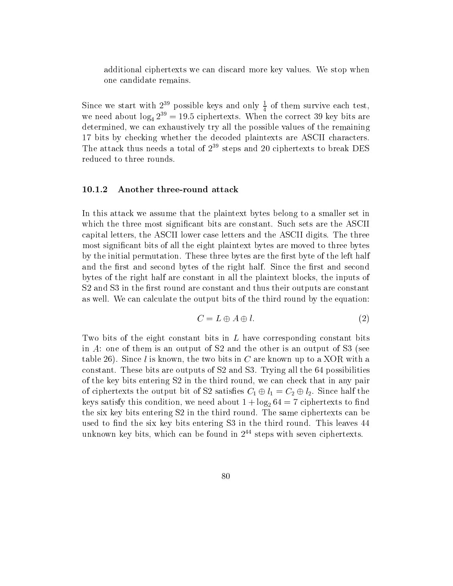additional ciphertexts we can discard more key values. We stop when one candidate remains.

Since we start with  $2^{\infty}$  possible keys and only  $\frac{1}{4}$  of them survive each test, we need about  $log_4 2^{12} = 19.5$  ciphertexts. When the correct 39 key bits are determined, we can exhaustively try all the possible values of the remaining 17 bits by checking whether the decoded plaintexts are ASCII characters. The attack thus needs a total of  $2^{39}$  steps and 20 ciphertexts to break DES reduced to three rounds.

#### 10.1.2 Another three-round attack

In this attack we assume that the plaintext bytes belong to a smaller set in which the three most significant bits are constant. Such sets are the ASCII capital letters, the ASCII lower case letters and the ASCII digits. The three most signicant bits of all the eight plaintext bytes are moved to three bytes by the initial permutation. These three bytes are the first byte of the left half and the first and second bytes of the right half. Since the first and second bytes of the right half are constant in all the plaintext blocks, the inputs of S2 and S3 in the first round are constant and thus their outputs are constant as well. We can calculate the output bits of the third round by the equation:

$$
C = L \oplus A \oplus l. \tag{2}
$$

Two bits of the eight constant bits in  $L$  have corresponding constant bits in A: one of them is an output of S2 and the other is an output of S3 (see table 26). Since l is known, the two bits in C are known up to a XOR with a constant. These bits are outputs of S2 and S3. Trying all the 64 possibilities of the key bits entering S2 in the third round, we can check that in any pair of ciphertexts the output bit of S2 satisfies  $C_1 \oplus l_1 = C_2 \oplus l_2$ . Since half the keys satisfy this condition, we need about  $1 + \log_2 64 = 7$  ciphertexts to find the six key bits entering S2 in the third round. The same ciphertexts can be used to find the six key bits entering S3 in the third round. This leaves 44 unknown key bits, which can be found in  $2^{44}$  steps with seven ciphertexts.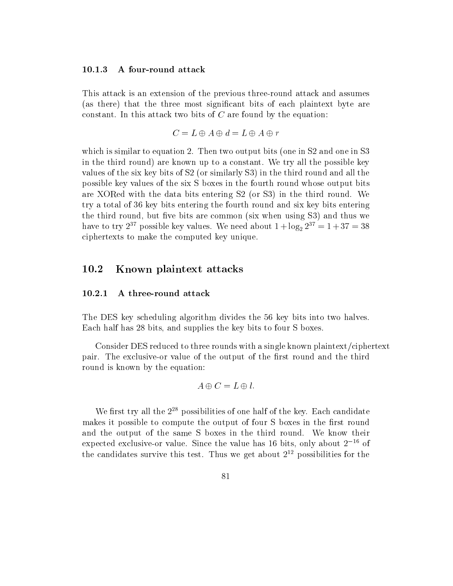#### 10.1.3 A four-round attack

This attack is an extension of the previous three-round attack and assumes (as there) that the three most signicant bits of each plaintext byte are constant. In this attack two bits of  $C$  are found by the equation:

$$
C = L \oplus A \oplus d = L \oplus A \oplus r
$$

which is similar to equation 2. Then two output bits (one in S2 and one in S3 in the third round) are known up to a constant. We try all the possible key values of the six key bits of S2 (or similarly S3) in the third round and all the possible key values of the six S boxes in the fourth round whose output bits are XORed with the data bits entering S2 (or S3) in the third round. We try a total of 36 key bits entering the fourth round and six key bits entering the third round, but five bits are common (six when using S3) and thus we have to try  $2^{37}$  possible key values. We need about  $1 + \log_2 2^{37} = 1 + 37 = 38$ ciphertexts to make the computed key unique.

#### $10.2\,$ Known plaintext attacks

#### 10.2.1 A three-round attack

The DES key scheduling algorithm divides the 56 key bits into two halves. Each half has 28 bits, and supplies the key bits to four S boxes.

Consider DES reduced to three rounds with a single known plaintext/ciphertext pair. The exclusive-or value of the output of the first round and the third round is known by the equation:

$$
A \oplus C = L \oplus l.
$$

We first try all the  $2^{28}$  possibilities of one half of the key. Each candidate makes it possible to compute the output of four S boxes in the first round and the output of the same S boxes in the third round. We know their expected exclusive-or value. Since the value has 16 bits, only about  $2^{-16}$  of the candidates survive this test. Thus we get about  $2^{12}$  possibilities for the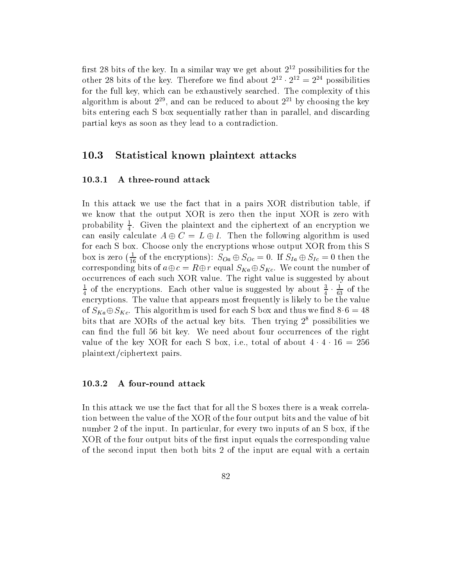first 28 bits of the key. In a similar way we get about  $2^{12}$  possibilities for the other zo bits of the key. Therefore we find about  $2^{2} \cdot 2^{2} = 2^{2}$  possibilities for the full key, which can be exhaustively searched. The complexity of this algorithm is about  $2^{29}$ , and can be reduced to about  $2^{21}$  by choosing the key bits entering each S box sequentially rather than in parallel, and discarding partial keys as soon as they lead to a contradiction.

#### 10.3Statistical known plaintext attacks

#### 10.3.1 A three-round attack

In this attack we use the fact that in a pairs XOR distribution table, if we know that the output XOR is zero then the input XOR is zero with probability  $\tau$ . Given the plaintext and the ciphertext of an encryption we can easily calculate A  $\sim$  L  $\sim$  L  $\sim$  L  $\sim$  L  $\sim$  L  $\sim$  L  $\sim$  L  $\sim$  L  $\sim$  L  $\sim$  L  $\sim$  L  $\sim$  L  $\sim$  L  $\sim$  L  $\sim$  L  $\sim$  L  $\sim$  L  $\sim$  L  $\sim$  L  $\sim$  L  $\sim$  L  $\sim$  L  $\sim$  L  $\sim$  L  $\sim$  L  $\sim$  L  $\sim$  L  $\sim$  L  $\$ for each S box. Choose only the encryptions whose output XOR from this S box is zero  $\left(\frac{16}{16}$  of the encryptions):  $S_{Oa} \oplus S_{Oc} = 0$ . If  $S_{Ia} \oplus S_{Ic} = 0$  then the corresponding bits of  $a \oplus c = R \oplus r$  equal  $S_{Ka} \oplus S_{Kc}$ . We count the number of occurrences of each such XOR value. The right value is suggested by about  $\frac{1}{4}$  or the encryptions. Each other value is suggested by about  $\frac{1}{4} \cdot \frac{1}{63}$  or the encryptions. The value that appears most frequently is likely to be the value of  $S_{Ka} \oplus S_{Kc}$ . This algorithm is used for each S box and thus we find  $8.6 = 48$ bits that are XORs of the actual key bits. Then trying  $2<sup>8</sup>$  possibilities we can find the full 56 bit key. We need about four occurrences of the right value of the key forms for each s box, i.e., total of about 4  $\sim$  256  $$ plaintext/ciphertext pairs.

#### 10.3.2 A four-round attack

In this attack we use the fact that for all the S boxes there is a weak correlation between the value of the XOR of the four output bits and the value of bit number 2 of the input. In particular, for every two inputs of an S box, if the XOR of the four output bits of the first input equals the corresponding value of the second input then both bits 2 of the input are equal with a certain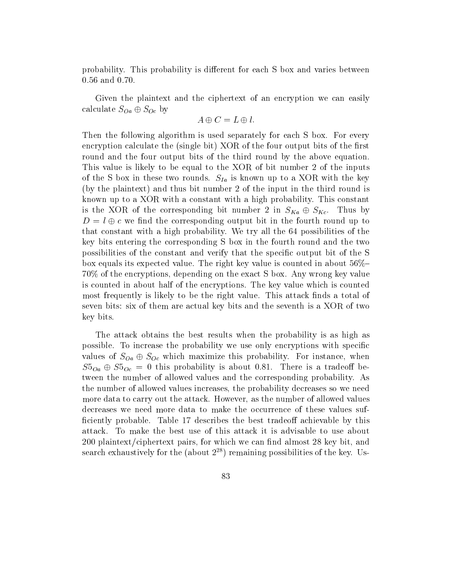probability. This probability isdierent for each S box and varies between 0.56 and 0.70.

Given the plaintext and the ciphertext of an encryption we can easily calculate  $S_{Oa} \oplus S_{Oc}$  by

$$
A \oplus C = L \oplus l.
$$

Then the following algorithm is used separately for each S box. For every encryption calculate the (single bit) XOR of the four output bits of the first round and the four output bits of the third round by the above equation. This value is likely to be equal to the XOR of bit number 2 of the inputs of the S box in these two rounds.  $S_{Ia}$  is known up to a XOR with the key (by the plaintext) and thus bit number 2 of the input in the third round is known up to a XOR with a constant with a high probability. This constant is the XOR of the corresponding bit number 2 in  $S_{Ka} \oplus S_{Kc}$ . Thus by  $\Box$  and  $\Box$  is the corresponding output bit in the fourth round up to the fourth  $\Box$  in the fourth round up to the fourth round up to the fourth round up to the fourth round up to the fourth round of the fourth round i that constant with a high probability. We try all the 64 possibilities of the key bits entering the corresponding S box in the fourth round and the two possibilities of the constant and verify that the specic output bit of the S box equals its expected value. The right key value is counted in about  $56\%$ 70% of the encryptions, depending on the exact S box. Any wrong key value is counted in about half of the encryptions. The key value which is counted most frequently is likely to be the right value. This attack finds a total of seven bits: six of them are actual key bits and the seventh is a XOR of two key bits.

The attack obtains the best results when the probability is as high as possible. To increase the probability we use only encryptions with specific values of  $S_{Oa} \oplus S_{Oc}$  which maximize this probability. For instance, when  $S5_{Oa} \oplus S5_{Oc} = 0$  this probability is about 0.81. There is a tradeoff between the number of allowed values and the corresponding probability. As the number of allowed values increases, the probability decreases so we need more data to carry out the attack. However, as the number of allowed values decreases we need more data to make the occurrence of these values suf ficiently probable. Table 17 describes the best tradeoff achievable by this attack. To make the best use of this attack it is advisable to use about  $200$  plaintext/ciphertext pairs, for which we can find almost 28 key bit, and search exhaustively for the (about  $2^{28}$ ) remaining possibilities of the key. Us-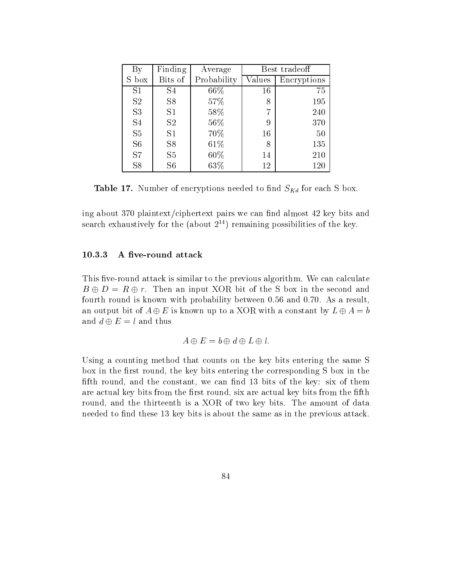| $\mathbf{B}$ y | Finding        | Average     |        | Best tradeoff |
|----------------|----------------|-------------|--------|---------------|
| S box          | Bits of        | Probability | Values | Encryptions   |
| S <sub>1</sub> | S4             | 66\%        | 16     | 75            |
| S <sub>2</sub> | S8             | 57%         | 8      | 195           |
| S <sub>3</sub> | S <sub>1</sub> | 58%         |        | 240           |
| S <sub>4</sub> | S <sub>2</sub> | $56\%$      | 9      | 370           |
| S5             | S <sub>1</sub> | 70%         | 16     | 50            |
| S <sub>6</sub> | S8             | 61%         | 8      | 135           |
| S7             | S <sub>5</sub> | 60%         | 14     | 210           |
| S <sub>8</sub> | S <sub>6</sub> | 63%         | 12     | 120           |

**Table 17.** Number of encryptions needed to find  $S_{Kd}$  for each S box.

ing about 370 plaintext/ciphertext pairs we can find almost 42 key bits and search exhaustively for the (about  $2^{14}$ ) remaining possibilities of the key.

#### 10.3.3 A five-round attack

This five-round attack is similar to the previous algorithm. We can calculate B <sup>D</sup> <sup>=</sup> <sup>R</sup> r. Then an input XOR bit of the <sup>S</sup> box in the second and fourth round is known with probability between 0.56 and 0.70. As a result, an output bit of  $A \oplus E$  is known up to a XOR with a constant by  $L \oplus A = b$ and d  $\alpha$  is an order that the contract of the contract of  $\alpha$ 

$$
A \oplus E = b \oplus d \oplus L \oplus l.
$$

Using a counting method that counts on the key bits entering the same S box in the first round, the key bits entering the corresponding S box in the fifth round, and the constant, we can find  $13$  bits of the key: six of them are actual key bits from the first round, six are actual key bits from the fifth round, and the thirteenth is a XOR of two key bits. The amount of data needed to find these 13 key bits is about the same as in the previous attack.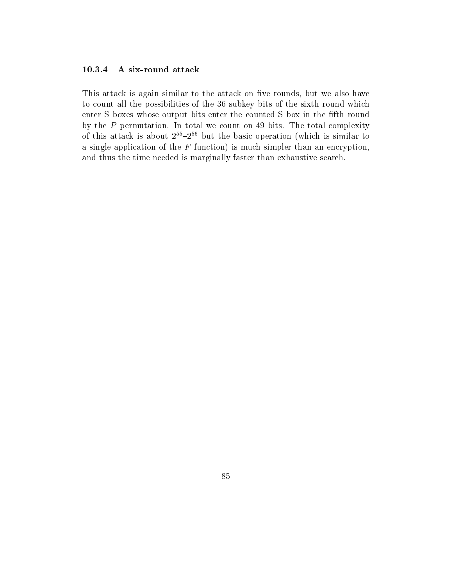### 10.3.4 A six-round attack

This attack is again similar to the attack on five rounds, but we also have to count all the possibilities of the 36 subkey bits of the sixth round which enter S boxes whose output bits enter the counted S box in the fth round by the  $P$  permutation. In total we count on 49 bits. The total complexity of this attack is about  $2^{55}-2^{56}$  but the basic operation (which is similar to a single application of the  $F$  function) is much simpler than an encryption, and thus the time needed is marginally faster than exhaustive search.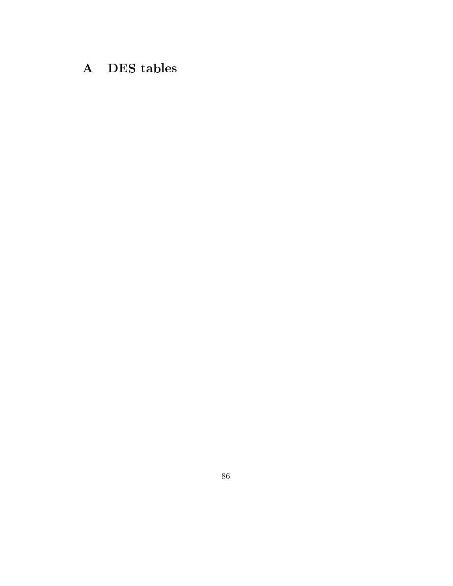# A DES tables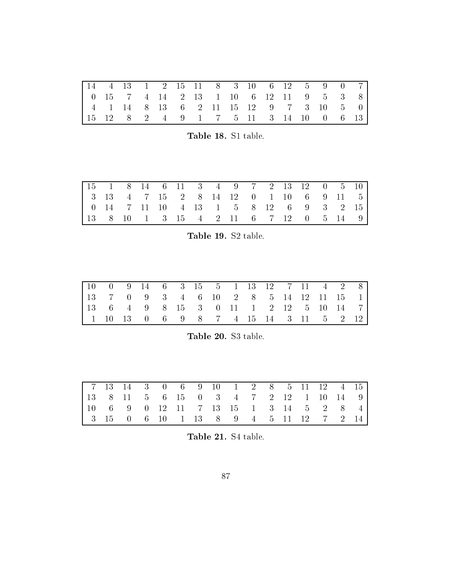|  | $\begin{array}{ccccccccc}\n14 & 4 & 13 & 1 & 2 & 15 & 11 & 8 & 3 & 10 & 6 & 12 & 5 & 9\n\end{array}$ |  |  |  |  |        |       |       |  |
|--|------------------------------------------------------------------------------------------------------|--|--|--|--|--------|-------|-------|--|
|  |                                                                                                      |  |  |  |  |        |       |       |  |
|  | 4 1 14 8 13 6 2 11 15 12 9 7 3                                                                       |  |  |  |  |        | -10 - | - 5 - |  |
|  | 15 12 8 2 4 9 1 7 5 11 3 14                                                                          |  |  |  |  | - 10 - |       |       |  |

Table 18. S1 table.

|         |  |  |  | 3 13 4 7 15 2 8 14 12 0 1 |  | -10 - | 69                          |                | -11- |  |
|---------|--|--|--|---------------------------|--|-------|-----------------------------|----------------|------|--|
|         |  |  |  |                           |  |       |                             | 3 <sup>3</sup> | 2 15 |  |
| 13 8 10 |  |  |  |                           |  |       | 1 3 15 4 2 11 6 7 12 0 5 14 |                |      |  |

| ${\bf Table \ 19. \ \ S2 \ table.}$ |  |
|-------------------------------------|--|
|-------------------------------------|--|

|  | 13  6  4  9  8  15  3  0  11  1  2  12  5  10  14 |  |  |  |  |  |  |
|--|---------------------------------------------------|--|--|--|--|--|--|
|  | 1 10 13 0 6 9 8 7 4 15 14 3 11 5 2                |  |  |  |  |  |  |

Table 20. S3 table.

|  | 13 8 11 5 6 15 0 3 4 7 2 12 1 10 14 |  |  |  |  |  |  |  |
|--|-------------------------------------|--|--|--|--|--|--|--|
|  | 10 6 9 0 12 11 7 13 15 1 3 14 5 2 8 |  |  |  |  |  |  |  |
|  | 3 15 0 6 10 1 13 8 9 4 5 11 12 7 2  |  |  |  |  |  |  |  |

Table 21. S4 table.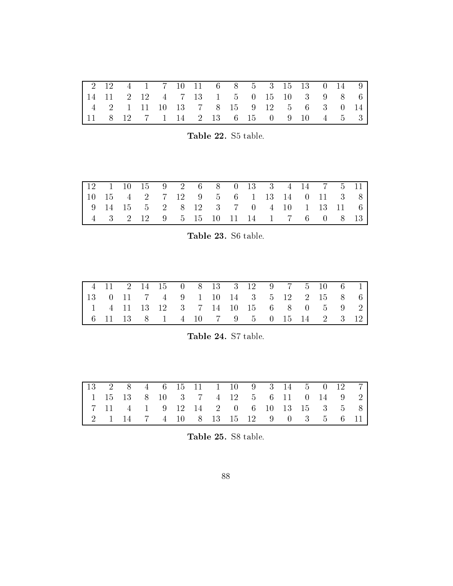|                                      |  |  |  |  |  |                                  | $\bigcirc$ 14 |  |
|--------------------------------------|--|--|--|--|--|----------------------------------|---------------|--|
| $114$ 11 2 12 4 7 13 1 5 0 15 10 3 9 |  |  |  |  |  |                                  |               |  |
|                                      |  |  |  |  |  | 4 2 1 11 10 13 7 8 15 9 12 5 6 3 | - 0 -         |  |
| 11 8 12 7 1 14 2 13 6 15 0 9 10      |  |  |  |  |  |                                  | 4 5 3         |  |

Table 22. S5 table.

|  | $\begin{array}{ccccccccc}\n10 & 15 & 4 & 2 & 7 & 12 & 9 & 5 & 6 & 1 & 13 & 14 & 0 & 11\n\end{array}$ |  |  |  |  |  | 3 <sup>3</sup> |  |
|--|------------------------------------------------------------------------------------------------------|--|--|--|--|--|----------------|--|
|  | 9 14 15 5 2 8 12 3 7 0 4 10 1 13 11                                                                  |  |  |  |  |  |                |  |
|  | 4    3    2    12    9    5    15    10    11    14    1    7    6    0    8                         |  |  |  |  |  |                |  |

| ${\bf Table \,\, 23.} \,\,\, {\rm S6 \,\, table.}$ |  |  |  |
|----------------------------------------------------|--|--|--|
|----------------------------------------------------|--|--|--|

|  |  | 4 11 2 14 15 0 8 13 3 12 9 7 5 10 6 1 |  |  |  |  |  |  |
|--|--|---------------------------------------|--|--|--|--|--|--|
|  |  | 13 0 11 7 4 9 1 10 14 3 5 12 2 15 8   |  |  |  |  |  |  |
|  |  | 1 4 11 13 12 3 7 14 10 15 6 8 0 5 9   |  |  |  |  |  |  |
|  |  | 6 11 13 8 1 4 10 7 9 5 0 15 14 2 3    |  |  |  |  |  |  |

Table 24. S7 table.

|  | 13   2   8   4   6   15   11   1   10   9   3   14   5   0   12 |  |  |  |  |  |  |  |
|--|-----------------------------------------------------------------|--|--|--|--|--|--|--|
|  | 1 15 13 8 10 3 7 4 12 5 6 11 0 14                               |  |  |  |  |  |  |  |
|  | 7 11 4 1 9 12 14 2 0 6 10 13 15 3 5                             |  |  |  |  |  |  |  |
|  | 2 1 14 7 4 10 8 13 15 12 9 0 3 5 6 11                           |  |  |  |  |  |  |  |

Table 25. S8 table.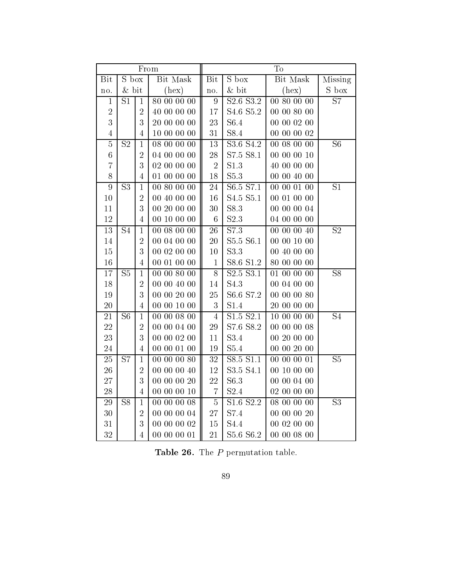|                |                        |                | From             |                 |                  | To               |                        |
|----------------|------------------------|----------------|------------------|-----------------|------------------|------------------|------------------------|
| Bit            | S box                  |                | Bit Mask         | Bit             | $S$ box          | Bit Mask         | Missing                |
| no.            | $&\mathrm{bit}$        |                | (hex)            | no.             | $&\mathrm{bit}$  | (hex)            | $\mathbf S$ box        |
| $\mathbf{1}$   | $\overline{S1}$        | $\mathbf{1}$   | 80 00 00 00      | $\overline{9}$  | S2.6 S3.2        | 00 80 00 00      | $\overline{S7}$        |
| $\overline{2}$ |                        | $\overline{2}$ | 40 00 00 00      | 17              | S4.6 S5.2        | 00 00 80 00      |                        |
| $\overline{3}$ |                        | 3              | 20 00 00 00      | 23              | S6.4             | $00\ 00\ 02\ 00$ |                        |
| $\overline{4}$ |                        | $\overline{4}$ | 10 00 00 00      | 31              | S8.4             | 00000002         |                        |
| $\overline{5}$ | S <sub>2</sub>         | $\mathbf{1}$   | 08 00 00 00      | 13              | S3.6 S4.2        | 00 08 00 00      | $\overline{\text{S6}}$ |
| $\,6$          |                        | $\overline{2}$ | 04 00 00 00      | 28              | S7.5 S8.1        | 00 00 00 10      |                        |
| $\overline{7}$ |                        | 3              | 02 00 00 00      | $\overline{2}$  | S1.3             | 40 00 00 00      |                        |
| 8              |                        | $\overline{4}$ | 01 00 00 00      | 18              | S5.3             | 00 00 40 00      |                        |
| $\overline{9}$ | $\overline{S3}$        | $\mathbf{1}$   | 00 80 00 00      | 24              | S6.5 S7.1        | 00 00 01 00      | $\overline{S1}$        |
| $10\,$         |                        | $\overline{2}$ | 00 40 00 00      | $16\,$          | S4.5 S5.1        | 00 01 00 00      |                        |
| 11             |                        | 3              | 00 20 00 00      | $30\,$          | S8.3             | 00 00 00 04      |                        |
| 12             |                        | $\overline{4}$ | 00 10 00 00      | $6\phantom{.}6$ | S <sub>2.3</sub> | 04 00 00 00      |                        |
| 13             | S <sub>4</sub>         | $\mathbf{1}$   | 00 08 00 00      | 26              | S7.3             | 00 00 00 40      | $\overline{S2}$        |
| 14             |                        | $\overline{2}$ | 00 04 00 00      | $20\,$          | S5.5 S6.1        | 00 00 10 00      |                        |
| $15\,$         |                        | 3              | 00 02 00 00      | 10              | S3.3             | 00 40 00 00      |                        |
| $16\,$         |                        | $\overline{4}$ | 00 01 00 00      | $\mathbf{1}$    | S8.6 S1.2        | 80 00 00 00      |                        |
| $17\,$         | $\overline{\text{S5}}$ | $\mathbf{1}$   | 00 00 80 00      | 8               | S2.5 S3.1        | 01 00 00 00      | S <sub>8</sub>         |
| $18\,$         |                        | $\overline{2}$ | 00 00 40 00      | 14              | S <sub>4.3</sub> | 00 04 00 00      |                        |
| $19\,$         |                        | 3              | 00 00 20 00      | 25              | S6.6 S7.2        | 00 00 00 80      |                        |
| $20\,$         |                        | $\overline{4}$ | 00001000         | 3               | S1.4             | 20 00 00 00      |                        |
| $21\,$         | S <sub>6</sub>         | 1              | 00 00 08 00      | $\overline{4}$  | S1.5 S2.1        | 10 00 00 00      | S <sub>4</sub>         |
| 22             |                        | $\overline{2}$ | 00 00 04 00      | 29              | S7.6 S8.2        | 00 00 00 08      |                        |
| 23             |                        | 3              | 00000200         | 11              | S3.4             | 00 20 00 00      |                        |
| $24\,$         |                        | $\overline{4}$ | 00 00 01 00      | $19\,$          | S5.4             | 00 00 20 00      |                        |
| $25\,$         | S <sub>7</sub>         | $\mathbf{1}$   | 00 00 00 80      | 32              | S8.5 S1.1        | 00 00 00 01      | $\overline{\text{S5}}$ |
| $26\,$         |                        | $\overline{2}$ | 00 00 00 40      | $12\,$          | S3.5 S4.1        | 00 10 00 00      |                        |
| $27\,$         |                        | 3              | 00 00 00 20      | 22              | S6.3             | 00 00 04 00      |                        |
| 28             |                        | 4              | $00\ 00\ 00\ 10$ | $\overline{7}$  | S <sub>2.4</sub> | 02 00 00 00      |                        |
| <b>29</b>      | $\overline{S8}$        | 1              | 00 00 00 08      | $\overline{5}$  | S1.6 S2.2        | 08 00 00 00      | S3                     |
| $30\,$         |                        | $\overline{2}$ | 00 00 00 04      | 27              | S7.4             | 00 00 00 20      |                        |
| $31\,$         |                        | 3              | $00\ 00\ 00\ 02$ | 15              | S4.4             | 00 02 00 00      |                        |
| 32             |                        | $\overline{4}$ | 00 00 00 01      | 21              | S5.6 S6.2        | 00 00 08 00      |                        |

Table 26. The  $P$  permutation table.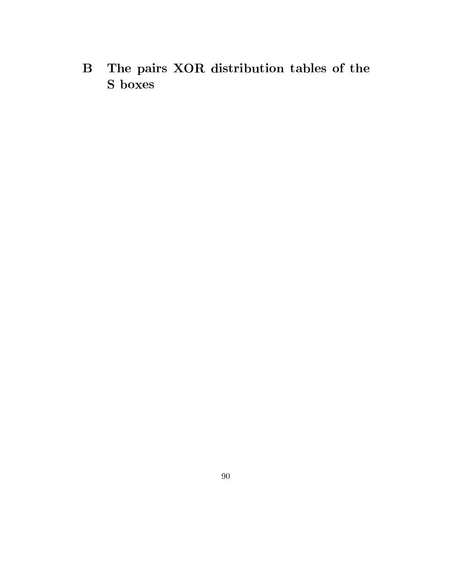B The pairs XOR distribution tables of the S boxes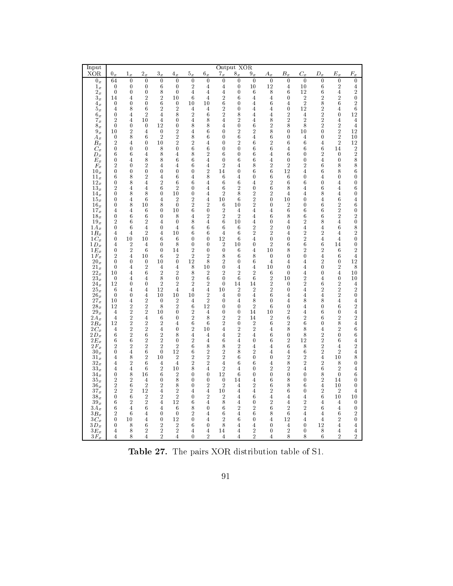| Input                                                   |                                    |                                  |                                    |                                    |                                                    |                                           |                                    |                               | Output XOR                       |                                    |                                       |                                    |                     |                                           |                                           |                                              |  |
|---------------------------------------------------------|------------------------------------|----------------------------------|------------------------------------|------------------------------------|----------------------------------------------------|-------------------------------------------|------------------------------------|-------------------------------|----------------------------------|------------------------------------|---------------------------------------|------------------------------------|---------------------|-------------------------------------------|-------------------------------------------|----------------------------------------------|--|
| XOR                                                     | $0_x$                              | $1_{x}$                          | $2_{\underline{x}}$                | $\mathbf{3}_x$                     | $4_x\,$                                            | $5_x$                                     | $6_x\,$                            | $7_x\,$                       | $\mathbf{8}_x$                   | $9_x$                              | $A_x$                                 | $B_x$                              | $C_x$               | $D_x$                                     | $E_{\underline{x}}$                       | $F_x$                                        |  |
| $0_x$                                                   | 64                                 | $\overline{0}$                   | $\overline{0}$                     | $\overline{0}$                     | $\overline{0}$                                     | $\overline{0}$                            | $\overline{0}$                     | $\overline{0}$                | $\overline{0}$                   | $\overline{0}$                     | $\overline{0}$                        | $\overline{0}$                     | $\overline{0}$      | $\overline{0}$                            | $\overline{0}$                            | $\overline{0}$                               |  |
| $1_x$                                                   | $\boldsymbol{0}$                   | $\boldsymbol{0}$                 | $\bf{0}$                           | $\,6$                              | $\bf{0}$                                           | $\sqrt{2}$                                | $\overline{4}$                     | $\overline{4}$                | $\boldsymbol{0}$                 | 10                                 | 12                                    | $\overline{4}$                     | 10                  | $\,6\,$                                   | $\frac{2}{4}$                             | $\overline{4}$                               |  |
| $\bar{2}_x$                                             | $\boldsymbol{0}$                   | 0                                | $\bf{0}$                           | $\frac{8}{2}$                      | $\bf{0}$                                           | $\overline{4}$                            | $\overline{\mathbf{4}}$            | 4                             | $\boldsymbol{0}$                 | $\,6\,$                            | 8                                     | $\,$ 6 $\,$                        | $\frac{12}{2}$      | $\boldsymbol{6}$                          |                                           | $\overline{2}$                               |  |
| $3_x$                                                   | 14<br>$\bf{0}$                     | 4<br>0                           | $\overline{2}$<br>$\theta$         | $\,$ 6 $\,$                        | 10<br>$\boldsymbol{0}$                             | $\,6\,$<br>10                             | $\overline{4}$<br>10               | $\overline{2}$<br>$\,$ 6 $\,$ | 6<br>0                           | $\overline{4}$<br>4                | $\overline{4}$<br>6                   | $\boldsymbol{0}$<br>$\overline{4}$ | $\overline{2}$      | $\sqrt{2}$<br>8                           | $\overline{2}$<br>6                       | $\boldsymbol{0}$<br>$\overline{\mathbf{2}}$  |  |
| $\mathfrak{4}_x$<br>$5\hspace{1.5pt}x$                  | $\overline{4}$                     | 8                                | 6                                  | $\overline{2}$                     | $\overline{2}$                                     | $\overline{4}$                            | $\overline{4}$                     | $\overline{2}$                | 0                                | $\overline{4}$                     | $\overline{4}$                        | $\bf{0}$                           | 12                  | $\sqrt{2}$                                | $\overline{4}$                            | $\,6\,$                                      |  |
| $6_x$                                                   | $\bf{0}$                           | 4                                | $\overline{2}$                     | $\overline{4}$                     | $\bf 8$                                            | $\overline{2}$                            | $\boldsymbol{6}$                   | $\sqrt{2}$                    | $\bf 8$                          | 4                                  | $\overline{4}$                        | $\overline{2}$                     | $\overline{4}$      | $\overline{\mathbf{2}}$                   | $\overline{0}$                            | 12                                           |  |
| $7_x$                                                   | $\overline{2}$                     | 4                                | 10                                 | $\overline{4}$                     | $\mathbf{0}$                                       | $\overline{4}$                            | 8                                  | 4                             | $\sqrt{2}$                       | $\overline{4}$                     | 8                                     | $\overline{2}$                     | $\overline{2}$      | $\overline{\mathbf{2}}$                   | 4                                         | $\overline{4}$                               |  |
| $8_x\,$                                                 | $\boldsymbol{0}$                   | 0                                | $\bf{0}$                           | 12                                 | 0                                                  | 8                                         | 8                                  | 4                             | $\boldsymbol{0}$                 | 6                                  | $\sqrt{2}$                            | 8                                  | 8                   | $\sqrt{2}$                                | $\overline{2}$                            | $\overline{4}$                               |  |
| $9_x$                                                   | 10                                 | $\overline{2}$                   | $\overline{4}$                     | $\boldsymbol{0}$                   | $\overline{\mathbf{c}}$                            | 4                                         | 6                                  | $\bf{0}$                      | $\sqrt{2}$                       | $\,2$                              | 8                                     | $\bf{0}$                           | 10                  | $\bf{0}$                                  | $\frac{2}{2}$                             | 12                                           |  |
| $\mathcal{A}_x$<br>$_{Bx}$                              | $\bf{0}$<br>$\sqrt{2}$             | 8<br>4                           | 6<br>$\bf{0}$                      | $\,2$<br>10                        | $\overline{\mathbf{2}}$<br>$\overline{\mathbf{2}}$ | 8<br>$\sqrt{2}$                           | 6<br>$\overline{4}$                | 0<br>$\bf{0}$                 | $\,6\,$<br>$\overline{2}$        | $\overline{4}$<br>6                | $\,6\,$<br>$\sqrt{2}$                 | $\bf{0}$<br>$\,6\,$                | 4<br>6              | 0<br>$\overline{4}$                       | $\overline{2}$                            | 10<br>12                                     |  |
| $C_x$                                                   | $\boldsymbol{0}$                   | 0                                | 0                                  | 8                                  | $\boldsymbol{0}$                                   | $\,6\,$                                   | 6                                  | 0                             | $\boldsymbol{0}$                 | 6                                  | $\,6$                                 | $\overline{4}$                     | 6                   | 6                                         | 14                                        | $\,2$                                        |  |
| $D_x$                                                   | 6                                  | 6                                | $\overline{4}$                     | 8                                  | $\overline{4}$                                     | 8                                         | $\overline{2}$                     | 6                             | $\bf{0}$                         | 6                                  | $\overline{4}$                        | 6                                  | $\bf{0}$            | $\boldsymbol{2}$                          | 0                                         | $\begin{smallmatrix} 2\\8 \end{smallmatrix}$ |  |
| $E_x$                                                   | $\bf{0}$                           | 4                                | 8                                  | 8                                  | 6                                                  | 6                                         | $\overline{4}$                     | 0                             | 6                                | 6                                  | $\overline{4}$                        | $\bf{0}$                           | 0                   | $\overline{4}$                            | $\boldsymbol{0}$                          |                                              |  |
| $F_x$                                                   | $\sqrt{2}$                         | $\bf{0}$                         | $\overline{c}$                     | $\overline{4}$                     | 4                                                  | 6                                         | $\overline{\mathbf{4}}$            | $\overline{2}$                | 4                                | 8                                  | $\begin{array}{c} 2 \\ 6 \end{array}$ | $\overline{2}$                     | $\overline{2}$      | $\,6$                                     | 8                                         | 8                                            |  |
| $10_x$<br>$11_x$                                        | $\boldsymbol{0}$<br>6              | 0<br>8                           | $\bf{0}$<br>$\overline{2}$         | $\boldsymbol{0}$<br>$\overline{4}$ | $\bf{0}$<br>6                                      | 0<br>4                                    | $\sqrt{2}$<br>8                    | 14<br>6                       | 0<br>4                           | 6<br>$\bf{0}$                      | 6                                     | 12<br>6                            | $\overline{4}$<br>0 | 6<br>4                                    | 8<br>$\overline{0}$                       | $\,6\,$<br>0                                 |  |
| $12\mspace{3mu}x$                                       | $\bf{0}$                           | 8                                | $\overline{4}$                     | $\,2$                              | 6                                                  | 6                                         | $\overline{4}$                     | 6                             | 6                                | $\overline{4}$                     | $\,2$                                 | 6                                  | 6                   | 0                                         | 4                                         | $\boldsymbol{0}$                             |  |
| $13_x$                                                  | $\overline{2}$                     | $\overline{4}$                   | $\overline{4}$                     | 6                                  | $\overline{2}$                                     | $\bf{0}$                                  | $\overline{4}$                     | 6                             | $\overline{2}$                   | $\bf{0}$                           | 6                                     | 8                                  | 4                   | 6                                         | $\overline{4}$                            | 6                                            |  |
| $14_x$                                                  | $\bf{0}$                           | 8                                | 8                                  | $\boldsymbol{0}$                   | 10                                                 | $\boldsymbol{0}$                          | $\overline{4}$                     | $\overline{2}$                | 8                                | $\,2$                              | $\overline{2}$                        | $\overline{4}$                     | 4                   | 8                                         | $\overline{\mathbf{4}}$                   | 0                                            |  |
| $15_x$                                                  | $\bf{0}$                           | $\overline{4}$<br>8              | 6<br>10                            | $\overline{4}$<br>8                | $\sqrt{2}$<br>$\bf{0}$                             | $\sqrt{2}$<br>$\overline{2}$              | $\overline{4}$<br>$\overline{2}$   | 10                            | 6                                | $\,2$<br>$\,2$                     | $\bf{0}$<br>$\bf{0}$                  | 10<br>$\overline{2}$               | $\bf{0}$<br>0       | $\overline{4}$                            | 6                                         | $\overline{4}$                               |  |
| $16_x$<br>$17_x$                                        | $\bf{0}$<br>$\overline{4}$         | 4                                | 6                                  | $\boldsymbol{0}$                   | 10                                                 | $\,6$                                     | $\boldsymbol{0}$                   | 6<br>$\sqrt{2}$               | 10<br>$\overline{4}$             | $\overline{4}$                     | 4                                     | 6                                  | 6                   | 6<br>6                                    | $\overline{\mathbf{c}}$<br>$\overline{2}$ | 6<br>0                                       |  |
| $18\,x$                                                 | $\bf{0}$                           | 6                                | $\boldsymbol{6}$                   | $\bf{0}$                           | 8                                                  | 4                                         | $\overline{2}$                     | $\,2$                         | $\overline{2}$                   | $\overline{4}$                     | 6                                     | 8                                  | 6                   | 6                                         | $\overline{\mathbf{2}}$                   | $\overline{2}$                               |  |
| 19 <sub>x</sub>                                         | $\,2$                              | 6                                | $\overline{2}$                     | $\overline{4}$                     | $\bf{0}$                                           | 8                                         | $\overline{4}$                     | $\,6$                         | 10                               | $\overline{4}$                     | $\mathbf{0}$                          | 4                                  | $\overline{2}$      | 8                                         | $\overline{\mathbf{4}}$                   | $\boldsymbol{0}$                             |  |
| $1A_x$                                                  | $\bf{0}$                           | 6                                | $\overline{4}$                     | $\bf{0}$                           | $\overline{4}$                                     | 6                                         | 6                                  | 6                             | 6                                | $\frac{2}{2}$                      | $\overline{2}$                        | $\bf{0}$                           | $\overline{4}$      | $\overline{4}$                            | 6                                         | 8                                            |  |
| $1B_x$                                                  | $\overline{4}$<br>$\bf{0}$         | $\overline{4}$                   | $\overline{2}$<br>10               | $\overline{4}$<br>6                | 10                                                 | 6<br>$\bf{0}$                             | 6<br>$\bf{0}$                      | $\overline{4}$                | 6                                | $\overline{4}$                     | $\overline{2}$<br>$\bf{0}$            | 4<br>$\bf{0}$                      | $\overline{2}$      | $\boldsymbol{2}$<br>$\overline{4}$        | 4<br>$\overline{4}$                       | $\overline{2}$<br>$\bf{0}$                   |  |
| $1\boldsymbol{C}_x$<br>$1\boldsymbol{D}_{x}$            | $\overline{4}$                     | 10<br>$\overline{2}$             | $\overline{4}$                     | 0                                  | 6<br>8                                             | $\bf{0}$                                  | $\bf{0}$                           | 12<br>$\overline{2}$          | 6<br>10                          | $\boldsymbol{0}$                   | $\overline{2}$                        | 6                                  | $\frac{2}{6}$       | 6                                         | 14                                        | $\bf{0}$                                     |  |
| $1E_x$                                                  | $\bf{0}$                           | $\overline{2}$                   | 6                                  | $\bf{0}$                           | 14                                                 | $\overline{2}$                            | $\bf{0}$                           | $\bf{0}$                      | 6                                | $\overline{4}$                     | 10                                    | 8                                  | $\overline{2}$      | $\overline{2}$                            | 6                                         | $\overline{2}$                               |  |
| $1F_x$                                                  | $\sqrt{2}$                         | 4                                | 10                                 | 6                                  | $\boldsymbol{2}$                                   | $\overline{2}$                            | $\overline{2}$                     | 8                             | 6                                | 8                                  | $\bf{0}$                              | $\bf{0}$                           | $\bf{0}$            | $\overline{4}$                            | 6                                         | $\overline{4}$                               |  |
| 20 <sub>x</sub>                                         | $\bf{0}$                           | $\bf{0}$                         | $\mathbf{0}$                       | 10                                 | $\bf{0}$                                           | 12                                        | 8                                  | $^2_{\rm 0}$                  | $\bf{0}$                         | 6                                  | $\overline{4}$                        | $\overline{4}$                     | $\overline{4}$      | $\overline{2}$                            | $\overline{0}$                            | 12                                           |  |
| $21_x$                                                  | $\bf{0}$<br>10                     | 4<br>4                           | $\overline{2}$<br>6                | $\overline{4}$<br>$\overline{2}$   | $\overline{4}$<br>$\overline{2}$                   | 8<br>8                                    | 10<br>$\overline{2}$               | $\overline{2}$                | $\overline{4}$<br>$\overline{2}$ | $\overline{4}$<br>$\sqrt{2}$       | 10<br>6                               | $\bf{0}$<br>$\bf{0}$               | 4<br>4              | 0<br>$\bf{0}$                             | $\overline{2}$<br>$\overline{4}$          | 8<br>10                                      |  |
| $\begin{smallmatrix} 2\,2\,x\\2\,3\,x\end{smallmatrix}$ | $\bf{0}$                           | 4                                | 4                                  | $\overline{8}$                     | $\bf{0}$                                           | $\overline{2}$                            | $\overline{6}$                     | $\bf{0}$                      | $\,6$                            | $\,6\,$                            |                                       | $10\,$                             |                     | 4                                         | $\bf{0}$                                  | $10\,$                                       |  |
| $24_x$                                                  | 12                                 | 0                                | $\bf{0}$                           | $\overline{2}$                     | $\overline{2}$                                     | $\overline{2}$                            | $\overline{2}$                     | $\bf{0}$                      | 14                               | 14                                 | $\frac{2}{2}$                         | $\mathbf{0}$                       | $\frac{2}{2}$       | 6                                         | $\boldsymbol{2}$                          | $\overline{4}$                               |  |
| $25_x$                                                  | 6                                  | 4                                | $\overline{4}$                     | $1\sqrt{2}$                        | $\overline{4}$                                     | $\overline{4}$                            | $\overline{4}$                     | $10\,$                        | $\sqrt{2}$                       | $\boldsymbol{2}$                   | $\overline{2}$                        | $\bf{0}$                           | $\overline{4}$      | $\overline{2}$                            | $\overline{2}$                            | $\overline{2}$                               |  |
| $26_x$                                                  | $\mathbf{0}$                       | 0                                | $\overline{4}$                     | 10                                 | 10                                                 | 10                                        | $\,2$                              | 4                             | $\boldsymbol{0}$                 | $\overline{4}$                     | 6                                     | $\overline{4}$                     | 4                   | $\overline{4}$                            | $\overline{\mathbf{c}}$                   | $\boldsymbol{0}$                             |  |
| $27_x$<br>$2\,8\,x$                                     | 10<br>12                           | $\overline{4}$                   | $\frac{2}{2}$                      | $\boldsymbol{0}$<br>8              | $\,2$<br>$\overline{2}$                            | $\overline{4}$<br>$\,6\,$                 | $\overline{2}$<br>12               | $\bf{0}$<br>$\bf{0}$          | $\overline{4}$<br>0              | 8<br>$\sqrt{2}$                    | $\mathbf{0}$<br>6                     | $\overline{4}$<br>$\bf{0}$         | 8<br>$\overline{4}$ | 8<br>0                                    | $\overline{4}$<br>6                       | $\overline{4}$<br>$\overline{\mathbf{2}}$    |  |
| $29^\circ_x$                                            | $\overline{4}$                     | $\frac{2}{2}$                    |                                    | 10                                 | $\boldsymbol{0}$                                   | $\,2$                                     | $\overline{4}$                     | 0                             | 0                                | 14                                 | 10                                    | $\,2$                              | 4                   | 6                                         | 0                                         | $\overline{4}$                               |  |
| $2A_x$                                                  | $\overline{4}$                     | $\overline{2}$                   | $\overline{4}$                     | 6                                  | $\bf{0}$                                           | $\overline{\mathbf{2}}$                   | 8                                  | $\boldsymbol{2}$              | $\sqrt{2}$                       | 14                                 | $\,2$                                 | 6                                  | $\boldsymbol{2}$    | 6                                         | $\overline{\mathbf{c}}$                   | $\,2$                                        |  |
| $\frac{2B_x}{2C_x}$                                     | 12                                 | $\frac{2}{2}$                    | $\frac{2}{2}$                      | $\sqrt{2}$                         | $\overline{4}$                                     | $\,6\,$                                   | $\boldsymbol{6}$                   | $\overline{2}$                | $\boldsymbol{0}$                 | $\,2$                              | $\,6\,$                               | $\overline{2}$                     | 6                   | 0                                         | 8                                         | $\overline{4}$                               |  |
|                                                         | $\overline{4}$                     |                                  |                                    | $\overline{4}$                     | $\bf{0}$                                           | $\overline{\mathbf{2}}$                   | 10                                 | $\bar{4}$                     | $\overline{\mathbf{2}}$          | $\overline{2}$                     | 4                                     | 8                                  | 8                   | 4                                         | $\overline{2}$                            | 6                                            |  |
| $2D_x$<br>$2\boldsymbol{E}_{x}$                         | $\,6\,$<br>6                       | $\overline{2}$<br>$\,$ 6 $\,$    | $\boldsymbol{6}$<br>$\overline{2}$ | $\sqrt{2}$<br>$\overline{2}$       | 8<br>$\boldsymbol{0}$                              | $\overline{4}$<br>$\overline{\mathbf{2}}$ | $\overline{4}$<br>4                | $\overline{4}$<br>6           | $\sqrt{2}$<br>$\overline{4}$     | $\overline{4}$<br>$\boldsymbol{0}$ | $\,6\,$<br>6                          | $\bf{0}$<br>$\sqrt{2}$             | 8<br>12             | $\overline{2}$<br>$\overline{\mathbf{2}}$ | $\overline{0}$<br>6                       | $\,6\,$<br>4                                 |  |
| $2F_x$                                                  | $\overline{2}$                     | $\overline{2}$                   | $\overline{2}$                     | $\overline{2}$                     | $\overline{2}$                                     | $\,6\,$                                   | 8                                  | 8                             | $\overline{2}$                   | $\overline{4}$                     | $\overline{4}$                        | $\,6\,$                            | 8                   | $\sqrt{2}$                                | $\overline{4}$                            | $\,2$                                        |  |
| $30_x\,$                                                | $\boldsymbol{0}$                   | $\overline{4}$                   | $\overline{6}$                     | $\bf{0}$                           | 12                                                 | 6                                         |                                    |                               | $\bar{8}$                        | $\overline{2}$                     | 4                                     | $\overline{4}$                     | 6                   | $\overline{2}$                            | $\overline{2}$                            | $\overline{4}$                               |  |
| $31_x$                                                  | $\overline{4}$                     | 8                                | $\overline{2}$                     | 10                                 | $\,2$                                              | $\,2$                                     | $\frac{2}{2}$                      | $\frac{2}{2}$                 | $\,6\,$                          | $\bf{0}$                           | $\boldsymbol{0}$                      | $\,2$                              | $\overline{2}$      | $\overline{4}$                            | 10                                        | 8                                            |  |
| $32_x$                                                  | $\overline{4}$                     | $\overline{2}$                   | $\boldsymbol{6}$                   | $\overline{4}$                     | $\overline{4}$                                     | $\overline{2}$                            | $\overline{2}$                     | $\overline{4}$                | 6                                | 6                                  | $\overline{4}$                        | $\,$ 8 $\,$                        | $\overline{2}$      | $\overline{2}$                            | 8                                         | $\boldsymbol{0}$                             |  |
| $3\sqrt{3}x$                                            | $\overline{4}$<br>$\boldsymbol{0}$ | 4<br>8                           | $\boldsymbol{6}$<br>16             | $\,2$<br>$\,6\,$                   | 10<br>$\boldsymbol{2}$                             | 8<br>0                                    | $\overline{4}$<br>$\boldsymbol{0}$ | $\overline{2}$<br>12          | $\overline{4}$<br>$\,6\,$        | $\bf{0}$<br>$\boldsymbol{0}$       | $\,2$<br>$\bf{0}$                     | $\,2$<br>$\boldsymbol{0}$          | 4<br>$\bf{0}$       | $\,6\,$<br>8                              | $\overline{2}$<br>$\overline{0}$          | $\overline{4}$<br>6                          |  |
| $34_x$<br>$35_x$                                        |                                    | $\overline{2}$                   | $\overline{4}$                     | $\boldsymbol{0}$                   | 8                                                  | $\bf{0}$                                  | $\bf{0}$                           | $\mathbf{0}$                  | 14                               | $\overline{4}$                     | 6                                     | 8                                  | 0                   | $\overline{\mathbf{2}}$                   | 14                                        | $\bf{0}$                                     |  |
| $36_x$                                                  | $\frac{2}{2}$                      | 6                                | $\overline{2}$                     | $\,2$                              | 8                                                  | 0                                         | $\,2$                              | $\overline{2}$                | $\overline{4}$                   | $\overline{2}$                     | 6                                     | 8                                  | 6                   | $\overline{4}$                            | 10                                        | $\bf{0}$                                     |  |
| $3\,7_x$                                                | $\overline{2}$                     | $\overline{2}$                   | 12                                 | $\overline{4}$                     | $\boldsymbol{2}$                                   | 4                                         | $\overline{4}$                     | 10                            | $\overline{4}$                   | $\overline{4}$                     | $\overline{2}$                        | 6                                  | $\bf{0}$            | $\overline{2}$                            | $\overline{2}$                            | 4                                            |  |
| 38 <sub>x</sub>                                         | $\boldsymbol{0}$                   | $\,6$                            | $\overline{2}$                     | $\sqrt{2}$                         | $\sqrt{2}$                                         | $\bf{0}$                                  | $\,2$                              | $\,2$                         | $\overline{4}$                   | 6                                  | $\overline{4}$                        | $\overline{4}$                     | 4                   | $\,6$                                     | 10                                        | 10                                           |  |
| $39_x$<br>$3A_x$                                        | 6<br>6                             | $\overline{2}$<br>$\overline{4}$ | $\overline{2}$<br>$\boldsymbol{6}$ | $\overline{4}$<br>$\overline{4}$   | 12<br>6                                            | 6<br>8                                    | $\overline{4}$<br>0                | $\,$ 8 $\,$<br>$\,6\,$        | $\overline{4}$<br>$\overline{2}$ | $\bf{0}$<br>$\overline{2}$         | $^2_6$                                | $\overline{4}$<br>$\,2$            | $\frac{2}{2}$       | 4<br>6                                    | $\overline{4}$<br>$\overline{\mathbf{4}}$ | $\bf{0}$<br>$\boldsymbol{0}$                 |  |
| $3B_x$                                                  | $\overline{2}$                     | 6                                | $\overline{4}$                     | $\bf{0}$                           | $\bf{0}$                                           | $\overline{2}$                            | $\overline{4}$                     | 6                             | $\overline{4}$                   | 6                                  | $\bf 8$                               | 6                                  | $\overline{4}$      | $\overline{4}$                            | 6                                         | $\overline{2}$                               |  |
| $3C_x$                                                  | $\boldsymbol{0}$                   | $10\,$                           | $\overline{4}$                     | $\boldsymbol{0}$                   | 12                                                 | $\boldsymbol{0}$                          | $\overline{4}$                     | $\sqrt{2}$                    | 6                                | $\boldsymbol{0}$                   | 4                                     | 12                                 | 4                   | $\overline{4}$                            | $\overline{2}$                            | 0                                            |  |
| $3D_x$                                                  | $\bf{0}$                           | 8                                | 6                                  | $\sqrt{2}$                         | $\sqrt{2}$                                         | $\,6$                                     | $\bf{0}$                           | $\,8\,$                       | $\overline{4}$                   | 4                                  | $\bf{0}$                              | $\overline{4}$                     | $\bf{0}$            | 12                                        | $\overline{4}$                            | 4                                            |  |
| $3E_x$                                                  | 4                                  | 8                                | $\overline{2}$                     | $\overline{2}$                     | $\overline{2}$                                     | $\overline{4}$                            | $\overline{4}$                     | 14                            | $\overline{4}$                   | $\sqrt{2}$                         | $\bf{0}$                              | $\overline{2}$                     | $\bf{0}$            | 8                                         | 4                                         | $\overline{4}$                               |  |
| $3F_x$                                                  | 4                                  | 8                                | 4                                  | $\overline{2}$                     | $\overline{4}$                                     | 0                                         | $\overline{2}$                     | 4                             | 4                                | $\overline{2}$                     | 4                                     | 8                                  | 8                   | $\,6$                                     | $\overline{2}$                            | $\overline{2}$                               |  |

|  |  |  | <b>Table 27.</b> The pairs XOR distribution table of S1. |  |  |  |
|--|--|--|----------------------------------------------------------|--|--|--|
|--|--|--|----------------------------------------------------------|--|--|--|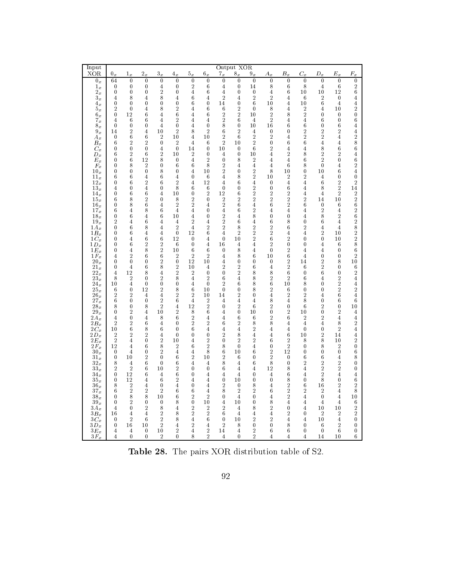| Input                             |                                             |                                    |                                    |                                               |                                            |                                             |                                    |                                           | Output XOR                         |                                           |                                            |                                           |                                  |                                    |                                           |                                  |  |
|-----------------------------------|---------------------------------------------|------------------------------------|------------------------------------|-----------------------------------------------|--------------------------------------------|---------------------------------------------|------------------------------------|-------------------------------------------|------------------------------------|-------------------------------------------|--------------------------------------------|-------------------------------------------|----------------------------------|------------------------------------|-------------------------------------------|----------------------------------|--|
| XOR                               | $0_x$                                       | $\frac{1}{x}$                      | $_{2x}$                            | $3_x$                                         | $4_{\rm \mathit{x}}$                       | $5_x$                                       | $6_x\,$                            | $7_{x}$                                   | $\mathbf{8}_x$                     | $9_x$                                     | $A_x$                                      | $B_x$                                     | $C_x$                            | $D_x$                              | $E_{\underline{x}}$                       | $F_x$                            |  |
| $0_x$                             | 64                                          | $\overline{0}$                     | $\overline{0}$                     | $\overline{0}$                                | $\overline{0}$                             | $\overline{0}$                              | $\overline{0}$                     | $\overline{0}$                            | $\overline{0}$                     | $\overline{0}$                            | $\overline{0}$                             | $\overline{0}$                            | $\overline{0}$                   | $\overline{0}$                     | $\overline{0}$                            | $\overline{0}$                   |  |
| $1_x$                             | $\boldsymbol{0}$                            | $\boldsymbol{0}$                   | $\boldsymbol{0}$<br>$\overline{0}$ | $\overline{4}$                                | $\bf{0}$<br>$\bf{0}$                       | $\begin{smallmatrix}2\2\4\end{smallmatrix}$ | $\,6\,$                            | $\overline{4}$                            | $\boldsymbol{0}$<br>$\bf{0}$       | 14                                        | 8                                          | $\,6\,$                                   | 8                                | $\overline{4}$                     | $\,6$                                     | $\,2$<br>$\bar{6}$               |  |
| $2_x^{\degree}$<br>$\mathbf{3}_x$ | $\boldsymbol{0}$<br>$\overline{\mathbf{4}}$ | $\bf{0}$<br>8                      | 4                                  | $\frac{2}{8}$                                 | 4                                          | 6                                           | $\,$ 6 $\,$<br>$\overline{4}$      | $\bf{4}$<br>$\boldsymbol{2}$              | 4                                  | $\boldsymbol{0}$<br>$\overline{2}$        | $\overline{4}$<br>$\overline{2}$           | $\,$ 6 $\,$<br>$\overline{4}$             | 10<br>$\,6$                      | 10<br>$\overline{2}$               | $12\,$<br>$\boldsymbol{0}$                | $\overline{4}$                   |  |
| $\mathfrak{4}_x$                  | 0                                           | $\theta$                           | $\overline{0}$                     | $\overline{0}$                                | 0                                          | 6                                           | $\bf{0}$                           | 14                                        | 0                                  | $\,6\,$                                   | $10\,$                                     | $\overline{4}$                            | 10                               | $\,$ 6 $\,$                        | $\overline{4}$                            | $\overline{4}$                   |  |
| $5_x$                             | $\overline{2}$                              | $\bf{0}$                           | 4                                  | 8                                             | $\overline{2}$                             | 4                                           | 6                                  | 6                                         | $\overline{2}$                     | $\bf{0}$                                  | 8                                          | $\overline{4}$                            | $\overline{2}$                   | 4                                  | 10                                        | $\,2$                            |  |
| $_{6x}$                           | $\mathbf{0}$                                | 12                                 | 6                                  | $\overline{4}$                                | 6                                          | $\overline{4}$                              | 6                                  | $\frac{2}{2}$                             | $\overline{2}$                     | 10                                        | $\overline{2}$                             | 8                                         | $\overline{2}$                   | $\bf{0}$                           | 0                                         | $\mathbf{0}$                     |  |
| $7_x$<br>$\mathbf{8}_x$           | $\overline{4}$<br>$\boldsymbol{0}$          | 6<br>$\bf{0}$                      | 6<br>$\boldsymbol{0}$              | $\overline{4}$<br>$\overline{4}$              | $\sqrt{2}$<br>$\bf{0}$                     | 4<br>4                                      | $\overline{4}$<br>$\bf{0}$         | $\,$ 8 $\,$                               | 6<br>$\bf{0}$                      | 4<br>10                                   | $\overline{2}$<br>16                       | 4<br>6                                    | $\overline{4}$<br>6              | 6<br>$\bf{0}$                      | $\boldsymbol{0}$<br>6                     | 6<br>$\overline{4}$              |  |
| $9_x$                             | 14                                          | $\overline{2}$                     | 4                                  | 10                                            | $\,2$                                      | 8                                           | $\sqrt{2}$                         | $\,6\,$                                   | $\overline{2}$                     | $\overline{4}$                            | $\bf{0}$                                   | 0                                         | $\overline{2}$                   | $\overline{2}$                     | $\overline{2}$                            | $\overline{4}$                   |  |
| $A_x$                             | $\boldsymbol{0}$                            | $\,6$                              | 6                                  | $\sqrt{2}$                                    | 10                                         | $\overline{4}$                              | 10                                 | $\,2$                                     | $\,6\,$                            | $\sqrt{2}$                                | $\overline{2}$                             | 4                                         | $\overline{2}$                   | $\overline{2}$                     | $\overline{4}$                            | $\,2$                            |  |
| $B_x$                             | $\,6\,$                                     | $\sqrt{2}$                         | $\overline{2}$                     | $\boldsymbol{0}$                              | $\,2$                                      | $\overline{4}$                              | $\,6\,$                            | $\sqrt{2}$                                | 10                                 | $\overline{2}$                            | $\bf{0}$                                   | $\boldsymbol{6}$                          | $\boldsymbol{6}$                 | 4                                  | 4                                         | $\,$ 8 $\,$                      |  |
| $C_{x}$                           | 0<br>6                                      | $\boldsymbol{0}$<br>$\overline{2}$ | $\bf{0}$<br>$\,6\,$                | $\overline{4}$<br>$\overline{\mathbf{2}}$     | $\boldsymbol{0}$<br>10                     | 14<br>$\sqrt{2}$                            | $\bf{0}$<br>$\bf{0}$               | 10<br>$\overline{4}$                      | $\bf{0}$<br>$\boldsymbol{0}$       | 6<br>10                                   | $\overline{2}$<br>$\overline{4}$           | $\overline{4}$<br>$\overline{2}$          | $\overline{4}$<br>8              | 8<br>$\overline{\mathbf{2}}$       | 6<br>$\overline{2}$                       | 6<br>$\overline{4}$              |  |
| $D_x$<br>$E_x$                    | 0                                           | $\,6$                              | 12                                 | 8                                             | 0                                          | $\overline{4}$                              | $\sqrt{2}$                         | 0                                         | 8                                  | $\sqrt{2}$                                | 4                                          | $\overline{4}$                            | $\boldsymbol{6}$                 | $\overline{2}$                     | $\overline{0}$                            | $\,$ 6 $\,$                      |  |
| $F_x$                             | $\bf{0}$                                    | 8                                  | $\overline{\mathbf{c}}$            | $\bf{0}$                                      | 6                                          | 6                                           | 8                                  | $\frac{2}{2}$                             | $\overline{4}$                     | $\overline{4}$                            | 4                                          | 6                                         | 8                                | $\boldsymbol{0}$                   | 4                                         | $\,2$                            |  |
| $10_x$                            | 0                                           | $\bf{0}$                           | $\boldsymbol{0}$                   | 8                                             | 0                                          | 4                                           | $10\,$                             |                                           | 0                                  | $\,2$                                     | 8                                          | $10\,$                                    | 0                                | 10                                 | 6                                         | $\overline{4}$                   |  |
| $11_x$<br>12 <sub>x</sub>         | 6<br>0                                      | 6<br>6                             | 4<br>$\,2$                         | 6<br>6                                        | $\overline{4}$<br>$\,2$                    | $\bf{0}$<br>$\overline{4}$                  | 6<br>12                            | $\overline{4}$<br>$\overline{4}$          | 8<br>6                             | $\overline{\mathbf{2}}$<br>$\overline{4}$ | 10<br>0                                    | $\sqrt{2}$<br>$\overline{4}$              | $\overline{2}$<br>4              | 4<br>6                             | $\bf{0}$<br>$\overline{2}$                | $\bf{0}$<br>$\,2$                |  |
| $13_x$                            | 4                                           | $\bf{0}$                           | $\overline{4}$                     | $\bf{0}$                                      | $\bf 8$                                    | 6                                           | $\,6\,$                            | $\bf{0}$                                  | $\boldsymbol{0}$                   |                                           | $\bf{0}$                                   | 6                                         | 4                                | 8                                  |                                           | 14                               |  |
| $14_x$                            | 0                                           | 6                                  | 6                                  | 4                                             | 10                                         | 0                                           | $\frac{1}{2}$                      | 12                                        | $\,6$                              | $\frac{2}{2}$                             | $\boldsymbol{2}$                           | $\overline{2}$                            | 4                                | $\overline{\mathbf{4}}$            | $\frac{2}{2}$                             | $\,2$                            |  |
| $15_x\,$                          | 6                                           | 8<br>8                             | $\overline{2}$<br>$\overline{6}$   | $\boldsymbol{0}$<br>4                         | 8<br>$\overline{2}$                        | $\overline{2}$<br>$\bar{2}$                 | $\boldsymbol{0}$                   | $\frac{2}{2}$                             | $\overline{2}$<br>$\,$ 6 $\,$      | $\overline{2}$<br>$\overline{4}$          | $\overline{2}$<br>6                        | $\overline{2}$<br>$\overline{2}$          | $\overline{2}$<br>$\overline{6}$ | 14<br>$\bf{0}$                     | 10                                        | $\,2$<br>$\overline{6}$          |  |
| $16_x$<br>$17_x$                  | 0<br>$\,6$                                  | $\overline{4}$                     | 8                                  | $\,6$                                         | $\overline{4}$                             | $\overline{4}$                              | 4<br>$\bf{0}$                      | $\overline{4}$                            | $\,6$                              | $\overline{2}$                            | 4                                          | $\overline{4}$                            | $\overline{4}$                   | $\overline{2}$                     | 6<br>$\overline{4}$                       | $\sqrt{2}$                       |  |
| 18 <sub>x</sub>                   | 0                                           | 6                                  | 4                                  | $\,6\,$                                       | 10                                         | 4                                           | 0                                  | $\frac{2}{2}$                             | 4                                  | $\overline{8}$                            | 0                                          | $\bf{0}$                                  | 4                                | 8                                  | $\overline{2}$                            | $\bar{6}$                        |  |
| $19\mspace{3mu}x$                 | $\overline{2}$                              | 4                                  | 6                                  | $\overline{4}$                                | $\overline{4}$                             | $\,2$                                       | $\overline{4}$                     |                                           | 6                                  | $\overline{4}$                            | 6                                          | 8                                         | 0                                | 6                                  | $\overline{4}$                            | $\,2$                            |  |
| $1A_x$<br>$1B_x$                  | $\bf{0}$<br>$\bf{0}$                        | 6<br>6                             | 8<br>$\overline{4}$                | 4<br>$\overline{4}$                           | $\sqrt{2}$<br>$\bf{0}$                     | $\overline{4}$<br>12                        | $\overline{\mathbf{2}}$<br>$\,6\,$ | $\overline{\mathbf{2}}$<br>$\overline{4}$ | 8<br>$\boldsymbol{2}$              | $\frac{2}{2}$                             | $\frac{2}{2}$                              | 6<br>$\overline{4}$                       | $\overline{2}$<br>4              | 4<br>$\overline{2}$                | 4<br>10                                   | 8<br>$\sqrt{2}$                  |  |
| $1C_x$                            | $\bf{0}$                                    | $\overline{4}$                     | 6                                  | $\,6$                                         | 12                                         | $\boldsymbol{0}$                            | $\overline{4}$                     | $\bf{0}$                                  | 10                                 | $\overline{2}$                            | 6                                          | $\overline{2}$                            | $\bf{0}$                         | $\boldsymbol{0}$                   | 10                                        | $\overline{\mathbf{2}}$          |  |
| $1D_x$                            | 0                                           | 6                                  | $\overline{2}$                     | $\sqrt{2}$                                    | $\,6\,$                                    | $\boldsymbol{0}$                            | $\overline{4}$                     | 16                                        | $\overline{4}$                     | $\overline{4}$                            | $\overline{2}$                             | $\boldsymbol{0}$                          | $\bf{0}$                         | 4                                  | $\,6$                                     | 8                                |  |
| $1E_x$                            | 0                                           | $\overline{4}$                     | 8                                  | $\begin{array}{c} 2 \\ 6 \end{array}$         | 10                                         | 6                                           | 6                                  | $\bf{0}$                                  | 8                                  | $\overline{4}$                            | $\bf{0}$                                   | $\sqrt{2}$                                | $\overline{4}$                   | 4                                  | $\boldsymbol{0}$                          | $\,6$<br>$\overline{2}$          |  |
| $1F_x$<br>$20\,x$                 | $\overline{4}$<br>$\bf{0}$                  | $\overline{2}$<br>$\boldsymbol{0}$ | 6<br>$\boldsymbol{0}$              |                                               | $\,2$<br>$\boldsymbol{0}$                  | $\overline{2}$<br>12                        | $\overline{2}$<br>10               | $\overline{4}$<br>$\overline{4}$          | 8<br>$\boldsymbol{0}$              | 6<br>$\bf{0}$                             | 10<br>$\bf{0}$                             | $\boldsymbol{6}$<br>$\overline{2}$        | $\overline{4}$<br>14             | 0<br>$\overline{2}$                | $\boldsymbol{0}$<br>8                     | 10                               |  |
| $21_x$                            | $\boldsymbol{0}$                            | $\overline{4}$                     | 6                                  | $\begin{smallmatrix} 2\\8 \end{smallmatrix}$  | $\boldsymbol{2}$                           | 10                                          | $\overline{4}$                     | $\,2$                                     | $\,2$                              | 6                                         | 4                                          | $\boldsymbol{2}$                          | 6                                | $\boldsymbol{2}$                   | $\boldsymbol{0}$                          | $\,6$                            |  |
| $\overline{2}2_{x}$               | $\overline{4}$                              | 12                                 | 8                                  | $\overline{4}$                                | $\overline{2}$                             | $\,2$                                       | $\boldsymbol{0}$                   | $\boldsymbol{0}$                          | $\sqrt{2}$                         | 8                                         | 8                                          | $\boldsymbol{6}$                          | 0                                | $\,6\,$                            | 0                                         | $\,2$                            |  |
| $23_x$<br>$24_x$                  | 8<br>10                                     | $\overline{2}$<br>$\overline{4}$   | $\bf{0}$<br>$\boldsymbol{0}$       | $\begin{smallmatrix} 2 \ 0 \end{smallmatrix}$ | 8<br>$\boldsymbol{0}$                      | $\overline{4}$<br>$\overline{4}$            | $\sqrt{2}$<br>$\boldsymbol{0}$     | 6<br>$\,2$                                | $\overline{4}$<br>6                | 8<br>8                                    | $^2_6$                                     | $\overline{2}$<br>10                      | 6<br>8                           | 4<br>0                             | $\frac{2}{2}$                             | $\overline{4}$<br>$\overline{4}$ |  |
| $25_x$                            | $\,6$                                       | $\bf{0}$                           | 12                                 | $\overline{\mathbf{2}}$                       |                                            | $\,6$                                       | $10\,$                             | $\bf{0}$                                  | $\boldsymbol{0}$                   | 8                                         | $\overline{2}$                             | $\,6\,$                                   | $\bf{0}$                         | $\bf{0}$                           | $\overline{2}$                            | $\,2$                            |  |
| $26_x$                            | $\,2$                                       | $\overline{2}$                     | 4                                  | $\overline{4}$                                | $\begin{smallmatrix}8\\2\end{smallmatrix}$ | $\overline{2}$                              | 10                                 | 14                                        | $\,2$                              | $\boldsymbol{0}$                          | $\overline{\mathbf{4}}$                    | $\,2$                                     | $\overline{2}$                   | 4                                  | 6                                         | $\overline{4}$                   |  |
| $27_x$                            | $\,$ 6 $\,$                                 | $\bf{0}$                           | $\bf{0}$                           | $\frac{2}{2}$                                 | $\,6$                                      | $\overline{4}$                              | $\frac{2}{2}$                      | $\overline{4}$                            | $\overline{4}$                     | 4                                         | $\begin{smallmatrix}8\\2\end{smallmatrix}$ | $\overline{4}$                            | 8                                | 0                                  | 6                                         | 6                                |  |
| $2\,8\,x$<br>$29_x$               | 8<br>$\boldsymbol{0}$                       | $\bf{0}$<br>$\overline{2}$         | 8<br>$\overline{4}$                | 10                                            | 4<br>$\overline{2}$                        | 12<br>8                                     | $\,6$                              | $\boldsymbol{0}$<br>$\overline{4}$        | $\overline{2}$<br>$\boldsymbol{0}$ | 6<br>10                                   | $\overline{0}$                             | $\bf{0}$<br>$\overline{2}$                | 6<br>10                          | $\overline{2}$<br>$\boldsymbol{0}$ | 0<br>$\overline{2}$                       | 10<br>$\overline{4}$             |  |
| $2A_x$                            | $\overline{4}$                              | $\boldsymbol{0}$                   | 4                                  | 8                                             | $\,6$                                      | $\overline{2}$                              | $\overline{4}$                     | $\overline{4}$                            | $\,6$                              | 6                                         | $\overline{2}$                             | $\boldsymbol{6}$                          | $\overline{2}$                   | $\overline{2}$                     | $\overline{\mathbf{4}}$                   | $\overline{4}$                   |  |
| $2B_x$                            | $\overline{2}$                              | $\overline{2}$                     | 6                                  | $\overline{4}$                                | $\bf{0}$                                   | $\sqrt{2}$                                  | $\boldsymbol{2}$                   | 6                                         | $\sqrt{2}$                         | 8                                         | 8                                          | 4                                         | 4                                | $\overline{4}$                     | 8                                         | $\,2$                            |  |
| $2C_x$                            | 10                                          | $\,6\,$<br>$\overline{2}$          | 8                                  | 6                                             | $\bf{0}$                                   | 6                                           | $\overline{4}$<br>$\mathbf{0}$     | $\overline{4}$<br>$\overline{2}$          | $\overline{4}$                     | $\bar{2}$                                 | 4                                          | $\overline{4}$                            | 0                                | 0                                  | $\check{2}$                               | $\overline{4}$                   |  |
| $2D_x$<br>$2E_x$                  | $\overline{2}$<br>$\overline{2}$            | $\overline{4}$                     | $\sqrt{2}$<br>$\boldsymbol{0}$     | $\overline{4}$<br>$\overline{2}$              | $\bf{0}$<br>10                             | $\bf{0}$<br>4                               | $\,2$                              | $\bf{0}$                                  | 8<br>$\overline{2}$                | $\overline{4}$<br>$\overline{2}$          | $\overline{4}$<br>6                        | 6<br>$\sqrt{2}$                           | 10<br>8                          | $\overline{2}$<br>8                | 14<br>10                                  | $\overline{4}$<br>$\,2$          |  |
| $2F_x$                            | $1\sqrt{2}$                                 | $\overline{4}$                     | $\boldsymbol{6}$                   | 8                                             | $\overline{2}$                             | 6                                           | $\overline{2}$                     | $\bf 8$                                   | $\boldsymbol{0}$                   | $\overline{4}$                            | $\boldsymbol{0}$                           | $\sqrt{2}$                                | 0                                | 8                                  | $\sqrt{2}$                                | $\bf{0}$                         |  |
| $30_x$                            | $\bf{0}$                                    | $\overline{4}$                     | $\bf{0}$                           | $\overline{2}$                                | $\overline{4}$                             | 4                                           | $\bf 8$                            | $\,6$                                     | 10                                 | 6                                         | $\frac{2}{2}$                              | 12                                        | 0                                | $\bf{0}$                           | $\bf{0}$                                  | 6                                |  |
| $31_x$<br>$32_{x}^{2}$            | $\boldsymbol{0}$<br>8                       | 10<br>$\overline{4}$               | $\sqrt{2}$<br>$\,6$                | $\mathbf{0}$<br>$\bf{0}$                      | $\,6$<br>$\,6\,$                           | $\sqrt{2}$<br>$\overline{4}$                | 10<br>4                            | $\boldsymbol{2}$<br>8                     | 6<br>$\overline{4}$                | $\bf{0}$<br>6                             | 8                                          | $\mathbf{0}$<br>$\boldsymbol{0}$          | 6<br>$\overline{2}$              | $\,6$<br>$\overline{2}$            | $\overline{4}$<br>$\overline{2}$          | 8<br>$\boldsymbol{0}$            |  |
| $33_x$                            | $\sqrt{2}$                                  | $\boldsymbol{2}$                   | 6                                  | 10                                            | $\overline{2}$                             | 0                                           | $\bf{0}$                           | $\,6\,$                                   | 4                                  | $\overline{4}$                            | 12                                         | 8                                         | $\overline{4}$                   | $\overline{2}$                     | $\overline{\mathbf{c}}$                   | 0                                |  |
| $34_x$                            | $\bf{0}$                                    | $\frac{1}{12}$                     | 6                                  | 4                                             | 6                                          | 0                                           | 4                                  | $\overline{4}$                            | 4                                  | $\bf{0}$                                  | $\overline{4}$                             | 6                                         | 4                                | $\overline{2}$                     | $\overline{4}$                            | 4                                |  |
| $35_x$                            | $\bf{0}$                                    |                                    | $\overline{4}$                     | 6                                             | $\overline{2}$                             | 4                                           | $\overline{4}$                     | $\boldsymbol{0}$                          | 10                                 | $\overline{0}$                            | $\bf{0}$                                   | 8                                         | $\bf{0}$                         | 8                                  | $\bf{0}$                                  | 6                                |  |
| $36_x$<br>$37_x$                  | 8<br>6                                      | $\overline{2}$<br>$\overline{2}$   | $\overline{4}$<br>$\overline{2}$   | $\mathbf{0}$<br>$\sqrt{2}$                    | $\overline{4}$<br>6                        | 0<br>6                                      | $\overline{4}$<br>4                | $\overline{2}$<br>$\bf 8$                 | $\bf{0}$<br>$\overline{2}$         | 8<br>$\overline{2}$                       | 4<br>6                                     | $\overline{2}$<br>$\overline{\mathbf{2}}$ | 6<br>$\overline{2}$              | 16<br>$\overline{2}$               | $\overline{2}$<br>$\overline{\mathbf{4}}$ | $\overline{2}$<br>$\,8\,$        |  |
| 38 <sub>x</sub>                   | $\boldsymbol{0}$                            | 8                                  | 8                                  | 10                                            | $\,6\,$                                    | $\overline{2}$                              | $\overline{2}$                     | $\boldsymbol{0}$                          | $\overline{4}$                     | $\boldsymbol{0}$                          | $\overline{4}$                             | $\overline{2}$                            | $\overline{4}$                   | $\boldsymbol{0}$                   | $\overline{4}$                            | 10                               |  |
| $39_x$                            | $\bf{0}$                                    | $\overline{2}$                     | $\overline{0}$                     | $\mathbf{0}$                                  | 8                                          | $\bf{0}$                                    | 10                                 | $\overline{4}$                            | 10                                 | $\bf{0}$                                  | 8                                          | $\overline{4}$                            | 4                                | $\overline{4}$                     | $\overline{\mathbf{4}}$                   | $\,6$                            |  |
| $3A_x$                            | $\overline{4}$                              | $\bf{0}$                           | $\overline{2}$                     | 8                                             | 4                                          | $\overline{2}$                              | $\,2$                              | $\overline{2}$                            | $\overline{4}$                     | 8                                         | $\overline{2}$                             | 0                                         | 4                                | 10                                 | 10                                        | $\,2$<br>$\overline{2}$          |  |
| $3B_x$<br>$3C_x$                  | $16\,$<br>0                                 | $\overline{4}$<br>$\,2$            | $\overline{4}$<br>$\,6$            | $\frac{2}{2}$                                 | 8<br>8                                     | $\overline{\mathbf{2}}$<br>$\overline{4}$   | $\overline{\mathbf{2}}$<br>$\,6$   | 6<br>$\bf{0}$                             | $\overline{4}$<br>10               | $\overline{4}$<br>$\,2$                   | $\overline{4}$<br>$\overline{2}$           | $\sqrt{2}$<br>$\overline{4}$              | 0<br>4                           | $\overline{2}$<br>10               | $\boldsymbol{2}$<br>$\overline{4}$        | $\boldsymbol{0}$                 |  |
| $3D_x$                            | $\bf{0}$                                    | 16                                 | 10                                 | $\,2$                                         | 4                                          | $\overline{\mathbf{2}}$                     | 4                                  | $\,2$                                     | 8                                  | $\bf{0}$                                  | $\bf{0}$                                   | 8                                         | 0                                | 6                                  | $\overline{\mathbf{c}}$                   | 0                                |  |
| $3\,E\,x$                         | $\overline{4}$                              | $\overline{4}$                     | $\boldsymbol{0}$                   | 10                                            | $\overline{2}$                             | $\overline{4}$                              | $\overline{2}$                     | 14                                        | $\overline{4}$                     | $\overline{2}$                            | 6                                          | 6                                         | $\bf{0}$                         | $\bf{0}$                           | $\,6$                                     | $\boldsymbol{0}$                 |  |
| $3F_x$                            | 4                                           | $\bf{0}$                           | $\boldsymbol{0}$                   | $\overline{2}$                                | 0                                          | 8                                           | $\overline{2}$                     | 4                                         | 0                                  | $\overline{2}$                            | 4                                          | 4                                         | 4                                | 14                                 | 10                                        | 6                                |  |

| <b>Table 28.</b> The pairs XOR distribution table of S2. |  |
|----------------------------------------------------------|--|
|----------------------------------------------------------|--|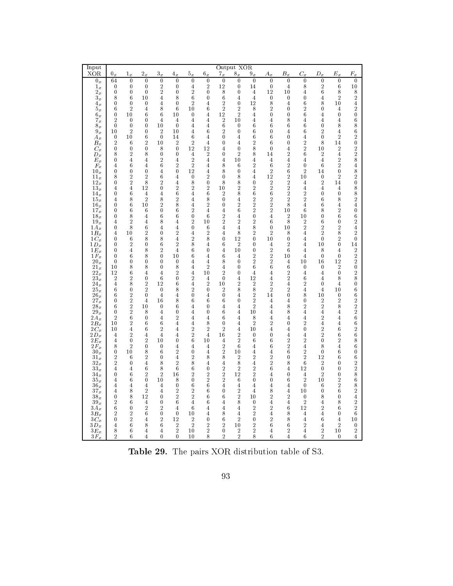| XOR<br>$6_x\,$<br>$\mathbf{8}_x$<br>$9_x$<br>$B_x$<br>$C_x$<br>$D_x$<br>$F_x$<br>$0_x$<br>$1_{x}$<br>$_{2x}$<br>$3_{x}$<br>$_{4x}$<br>$5_x$<br>$7_x$<br>$\frac{A_x}{A_x}$<br>$E_{\underline{x}}$<br>$\overline{0}$<br>$\overline{0}$<br>$\overline{0}$<br>$\overline{0}$<br>$\overline{0}$<br>$0_x$<br>64<br>$\overline{0}$<br>$\overline{0}$<br>$\overline{0}$<br>$\overline{0}$<br>$\overline{0}$<br>$\overline{0}$<br>$\overline{0}$<br>$\overline{0}$<br>$\overline{0}$<br>$\overline{0}$<br>$\frac{2}{2}$<br>$\boldsymbol{0}$<br>$\overline{2}$<br>$\,2$<br>6<br>$10\,$<br>$\boldsymbol{0}$<br>$\boldsymbol{0}$<br>$\bf{0}$<br>$\overline{4}$<br>12<br>$\boldsymbol{0}$<br>14<br>$\boldsymbol{0}$<br>$\overline{4}$<br>8<br>$1_x$<br>$\frac{2}{6}$<br>$\bar{0}$<br>$\frac{8}{2}$<br>$\frac{8}{2}$<br>$\bar{2}_x$<br>$10\,$<br>$\,$ 6 $\,$<br>$\boldsymbol{0}$<br>$\bf{0}$<br>$\bf{0}$<br>$\bf{0}$<br>$\,$ 8 $\,$<br>0<br>$\overline{4}$<br>12<br>4<br>$\mathbf{3}_x$<br>8<br>10<br>$\overline{4}$<br>8<br>$\bf{0}$<br>$\boldsymbol{6}$<br>$\boldsymbol{0}$<br>$\bf{0}$<br>$\bf{0}$<br>$\overline{4}$<br>6<br>$\overline{4}$<br>$\overline{4}$<br>$\overline{2}$<br>$\frac{2}{2}$<br>$\overline{4}$<br>$\boldsymbol{0}$<br>$\bf{0}$<br>$\overline{4}$<br>$\bf{0}$<br>$\bf{0}$<br>$\begin{smallmatrix}8\\2\end{smallmatrix}$<br>6<br>8<br>10<br>0<br>12<br>$4_x$<br>4<br>4<br>$\overline{2}$<br>8<br>10<br>6<br>$\overline{2}$<br>8<br>$\overline{2}$<br>$\bf{0}$<br>$\overline{4}$<br>$\,2$<br>$5_x$<br>6<br>$\overline{4}$<br>6<br>$\theta$<br>12<br>$\overline{2}$<br>$\boldsymbol{0}$<br>$\bf{0}$<br>$\boldsymbol{0}$<br>6<br>$\,6$<br>$\overline{4}$<br>6<br>$\boldsymbol{0}$<br>$6_x$<br>10<br>10<br>$\bf{0}$<br>$\overline{4}$<br>0<br>$\overline{4}$<br>$\sqrt{2}$<br>$^2_6$<br>$\bf{0}$<br>8<br>$\,6$<br>$7_x$<br>0<br>$\overline{4}$<br>$\overline{4}$<br>$\overline{4}$<br>$\overline{4}$<br>10<br>$\overline{4}$<br>4<br>4<br>$\overline{4}$<br>4<br>$\boldsymbol{0}$<br>6<br>8<br>$8_x\,$<br>0<br>0<br>10<br>$\bf{0}$<br>$\overline{4}$<br>4<br>$\bf{0}$<br>6<br>6<br>6<br>0<br>8<br>$\overline{\mathbf{c}}$<br>$9_{\textit{\textbf{x}}}$<br>10<br>$\overline{2}$<br>$\bf{0}$<br>$_0^2$<br>6<br>$\bf{0}$<br>$\overline{2}$<br>$\,6$<br>10<br>$\overline{4}$<br>$\bf{0}$<br>6<br>4<br>6<br>4<br>10<br>$\bf{0}$<br>$\boldsymbol{0}$<br>$\boldsymbol{2}$<br>$\,2$<br>$A_x$<br>$\bf{0}$<br>6<br>14<br>6<br>$\overline{4}$<br>$\overline{4}$<br>6<br>6<br>0<br>4<br>$\overline{\mathbf{2}}$<br>$\overline{2}$<br>$\,2$<br>$\frac{2}{2}$<br>$\bf{0}$<br>10<br>$\sqrt{2}$<br>$\sqrt{2}$<br>14<br>6<br>$\bf{0}$<br>6<br>$\bf{0}$<br>8<br>$_{Bx}$<br>4<br>4<br>$\boldsymbol{0}$<br>12<br>$C_x$<br>$\boldsymbol{0}$<br>$\boldsymbol{0}$<br>8<br>$\boldsymbol{0}$<br>8<br>10<br>$\overline{2}$<br>$\,2$<br>12<br>4<br>$\bf{0}$<br>$\bf{0}$<br>$\overline{4}$<br>$\overline{4}$<br>$\overline{\mathbf{2}}$<br>$\overline{2}$<br>$\overline{2}$<br>$\overline{2}$<br>$\,2$<br>$\overline{6}$<br>8<br>$\boldsymbol{0}$<br>$\overline{4}$<br>$\,8\,$<br>$\sqrt{2}$<br>8<br>0<br>0<br>$D_{\it x}$<br>14<br>$\overline{2}$<br>8<br>$E_x$<br>$F_x$<br>$\boldsymbol{0}$<br>$\overline{4}$<br>$\overline{2}$<br>$\,2$<br>$\overline{4}$<br>$\overline{4}$<br>10<br>$\overline{4}$<br>$\overline{4}$<br>$\overline{4}$<br>$\overline{4}$<br>$\overline{4}$<br>$\overline{4}$<br>4<br>$\overline{2}$<br>$\,$ 6 $\,$<br>$\overline{2}$<br>$\overline{2}$<br>$\sqrt{2}$<br>$\overline{2}$<br>8<br>$\bf{0}$<br>$\,6\,$<br>6<br>$\overline{4}$<br>$\overline{4}$<br>6<br>$\overline{4}$<br>4<br>6<br>12<br>$\overline{0}$<br>$10_x$<br>$\boldsymbol{0}$<br>$\bf{0}$<br>$\bf{0}$<br>$\overline{4}$<br>$\boldsymbol{0}$<br>8<br>$\boldsymbol{0}$<br>$\overline{4}$<br>$\sqrt{2}$<br>$\,6\,$<br>$\overline{2}$<br>8<br>$\overline{4}$<br>14<br>$\overline{2}$<br>$\overline{2}$<br>$\overline{2}$<br>$\boldsymbol{2}$<br>$12\,$<br>$\overline{2}$<br>$\overline{2}$<br>6<br>$\boldsymbol{0}$<br>$\bf{0}$<br>8<br>10<br>$\boldsymbol{0}$<br>$11_x$<br>8<br>$\overline{4}$<br>4<br>$\overline{2}$<br>$\bf{0}$<br>$\overline{2}$<br>$\boldsymbol{0}$<br>12 <sub>x</sub><br>$\bf{0}$<br>8<br>$\,2$<br>8<br>8<br>$\,2$<br>$\overline{2}$<br>14<br>$\overline{4}$<br>8<br>$\bf{0}$<br>4<br>$\sqrt{2}$<br>$\bf{0}$<br>$\overline{2}$<br>$\overline{2}$<br>$\overline{2}$<br>$13_x\,$<br>$\overline{4}$<br>12<br>$\overline{2}$<br>$\overline{2}$<br>$\sqrt{2}$<br>$\overline{4}$<br>$\overline{4}$<br>8<br>4<br>$10\,$<br>4<br>$\,$ 6 $\,$<br>$\,6\,$<br>$\overline{\mathbf{2}}$<br>$\boldsymbol{6}$<br>$\frac{2}{2}$<br>$\overline{0}$<br>8<br>$\overline{4}$<br>$\overline{4}$<br>$\overline{2}$<br>8<br>$\,6\,$<br>$14_x$<br>$\bf{0}$<br>6<br>$\overline{4}$<br>$\bf{0}$<br>$\overline{2}$<br>$\overline{2}$<br>8<br>$\overline{2}$<br>8<br>$\,2$<br>8<br>$\boldsymbol{0}$<br>$\overline{4}$<br>$\,2$<br>$\,2$<br>8<br>$15_x$<br>$\overline{4}$<br>$\overline{4}$<br>6<br>$\overline{2}$<br>$\frac{2}{2}$<br>$\frac{2}{2}$<br>$\overline{4}$<br>10<br>$\overline{2}$<br>8<br>$\overline{2}$<br>8<br>$\overline{4}$<br>$\overline{4}$<br>$\bf{0}$<br>6<br>$\overline{4}$<br>$\bf{0}$<br>6<br>$16_x$<br>$\boldsymbol{0}$<br>6<br>6<br>$\boldsymbol{0}$<br>$\,6$<br>$\,2$<br>$\overline{4}$<br>$\,6$<br>10<br>$\boldsymbol{6}$<br>8<br>$\overline{2}$<br>$\boldsymbol{0}$<br>$17_x$<br>4<br>6<br>$\bf{0}$<br>$\overline{2}$<br>$\bf{0}$<br>$\overline{4}$<br>$\begin{array}{c} 10 \\ 2 \end{array}$<br>6<br>18 <sub>x</sub><br>$\bf{0}$<br>8<br>6<br>6<br>$\overline{2}$<br>$\bf{0}$<br>6<br>$\overline{4}$<br>$\overline{4}$<br>$\overline{2}$<br>$\overline{2}$<br>$\overline{2}$<br>$\overline{2}$<br>$\sqrt{2}$<br>8<br>$\overline{2}$<br>8<br>0<br>19 <sub>x</sub><br>$\overline{4}$<br>$\overline{4}$<br>$\overline{4}$<br>10<br>6<br>6<br>$\overline{2}$<br>8<br>$\bf{0}$<br>$\overline{4}$<br>8<br>$\overline{2}$<br>$\frac{2}{8}$<br>$1A_x$<br>$\bf{0}$<br>6<br>$\overline{4}$<br>$\overline{4}$<br>$\overline{4}$<br>$\bf{0}$<br>10<br>$\overline{4}$<br>6<br>$\overline{2}$<br>$\sqrt{2}$<br>$\overline{\mathbf{2}}$<br>$\overline{2}$<br>$\overline{2}$<br>$\overline{2}$<br>$\overline{2}$<br>10<br>8<br>$\overline{4}$<br>$1B_x$<br>$\overline{4}$<br>$\bf{0}$<br>$\overline{4}$<br>4<br>8<br>$\overline{2}$<br>$1C_x$<br>$\boldsymbol{6}$<br>8<br>8<br>$\overline{2}$<br>8<br>$\bf{0}$<br>$1\sqrt{2}$<br>$\boldsymbol{0}$<br>$10\,$<br>$\boldsymbol{0}$<br>0<br>$\overline{4}$<br>$\mathbf{0}$<br>4<br>$\boldsymbol{0}$<br>$\,$ 6 $\,$<br>$\overline{2}$<br>$\overline{0}$<br>$\overline{2}$<br>8<br>$\boldsymbol{2}$<br>10<br>$\bf{0}$<br>$1D_x$<br>$\bf{0}$<br>$\overline{4}$<br>6<br>$\overline{2}$<br>$\bf{0}$<br>$\overline{4}$<br>$\overline{4}$<br>14<br>$\overline{2}$<br>$\begin{smallmatrix}2\\2\\2\end{smallmatrix}$<br>$\frac{2}{2}$<br>$1E_x$<br>$\boldsymbol{0}$<br>$\overline{4}$<br>8<br>$\overline{4}$<br>$\,6$<br>$\bf{0}$<br>$\overline{4}$<br>10<br>$\boldsymbol{0}$<br>$\,6\,$<br>8<br>$\overline{4}$<br>$\overline{4}$<br>$1\overline{F_x}$<br>$\,2$<br>$\overline{0}$<br>8<br>$\bf{0}$<br>10<br>$\boldsymbol{0}$<br>$\bf{0}$<br>6<br>6<br>$\overline{4}$<br>6<br>10<br>$\overline{4}$<br>4<br>$\overline{2}$<br>$\bf{0}$<br>$\,2$<br>$20_x$<br>$\boldsymbol{0}$<br>$\boldsymbol{0}$<br>$\bf{0}$<br>$\overline{4}$<br>$\overline{4}$<br>8<br>$\boldsymbol{0}$<br>10<br>16<br>12<br>$\bf{0}$<br>$\overline{4}$<br>$\overline{0}$<br>8<br>$\overline{2}$<br>$21_x$<br>10<br>8<br>8<br>$\bf{0}$<br>$\,6\,$<br>$\,6\,$<br>6<br>$\boldsymbol{0}$<br>$\boldsymbol{2}$<br>$\overline{4}$<br>4<br>$\bf{0}$<br>0<br>$\sqrt{2}$<br>$\overline{0}$<br>$\frac{22}{23}x$<br>12<br>6<br>10<br>$\overline{2}$<br>$\,2$<br>$\,2$<br>$\overline{4}$<br>$\overline{4}$<br>$\overline{4}$<br>0<br>$\overline{4}$<br>4<br>$\overline{4}$<br>$\overline{4}$<br>$\frac{2}{4}$<br>$\overline{2}$<br>$\overline{0}$<br>$\bf{0}$<br>$\overline{2}$<br>$\bf{0}$<br>$\overline{2}$<br>8<br>$\frac{12}{2}$<br>8<br>6<br>4<br>6<br>4<br>4<br>4<br>$\overline{2}$<br>$\overline{2}$<br>8<br>$\overline{2}$<br>$\overline{2}$<br>$\overline{2}$<br>$24_x$<br>$\boldsymbol{0}$<br>12<br>6<br>$\overline{4}$<br>$10\,$<br>$\overline{4}$<br>$\bf{0}$<br>4<br>$\bf{0}$<br>$\overline{2}$<br>$\sqrt{2}$<br>$\overline{0}$<br>8<br>$\bf8$<br>$\overline{2}$<br>$\overline{2}$<br>10<br>6<br>$25\mspace{3mu}x$<br>6<br>$\bf{0}$<br>8<br>$\overline{2}$<br>$\overline{4}$<br>$\overline{4}$<br>$\bar{2}$<br>$\boldsymbol{2}$<br>$\bf{0}$<br>$\boldsymbol{0}$<br>$\boldsymbol{0}$<br>$\bf{0}$<br>8<br>$26_x$<br>6<br>$\overline{4}$<br>$\overline{4}$<br>$\overline{4}$<br>$\overline{4}$<br>14<br>$10\,$<br>0<br>6<br>$\begin{smallmatrix}2\2\2\end{smallmatrix}$<br>$\,2$<br>$\sqrt{2}$<br>$\overline{2}$<br>$\frac{2}{2}$<br>$27_x$<br>$\boldsymbol{0}$<br>8<br>$\,6$<br>6<br>6<br>$\boldsymbol{0}$<br>$\overline{4}$<br>$\boldsymbol{0}$<br>4<br>16<br>4<br>$\overline{2}$<br>$\overline{\mathbf{2}}$<br>8<br>$28_x$<br>$\overline{2}$<br>6<br>$\bf{0}$<br>8<br>6<br>10<br>0<br>4<br>$\overline{4}$<br>4<br>4<br>$29_{x}$<br>$\bf{0}$<br>$\overline{4}$<br>$\boldsymbol{0}$<br>$\overline{4}$<br>$\bf{0}$<br>6<br>$\overline{4}$<br>10<br>8<br>$\overline{4}$<br>$\overline{4}$<br>$\overline{4}$<br>8<br>$\overline{4}$<br>$\overline{2}$<br>$\boldsymbol{6}$<br>$\overline{2}$<br>$\sqrt{2}$<br>$\,6$<br>$2\overline{A_x}$<br>$\bf{0}$<br>$\overline{4}$<br>$\overline{4}$<br>$\overline{4}$<br>$\overline{4}$<br>$\overline{4}$<br>6<br>$\overline{4}$<br>8<br>$\overline{4}$<br>$\overline{4}$<br>$\frac{2B_x}{2C_x}$<br>$\overline{2}$<br>$\,2$<br>$\overline{2}$<br>$\,6$<br>10<br>6<br>6<br>$\overline{4}$<br>$\overline{4}$<br>8<br>0<br>$\overline{4}$<br>$\boldsymbol{2}$<br>$\bf{0}$<br>$\overline{4}$<br>4<br>$\overline{4}$<br>$\overline{2}$<br>$\overline{2}$<br>$\overline{2}$<br>$\overline{2}$<br>10<br>$\overline{0}$<br>$\overline{2}$<br>$\sqrt{2}$<br>10<br>$\overline{4}$<br>6<br>6<br>$\overline{4}$<br>$\overline{4}$<br>4<br>$2D_x$<br>$\overline{2}$<br>$\overline{4}$<br>$\,2$<br>$\overline{2}$<br>$\,2$<br>6<br>$\,6\,$<br>$\overline{\mathbf{4}}$<br>$\overline{4}$<br>$\overline{4}$<br>$\overline{4}$<br>16<br>$\boldsymbol{0}$<br>0<br>$\overline{4}$<br>4<br>$\overline{2}$<br>10<br>6<br>$\overline{2}$<br>$\overline{2}$<br>$\overline{2}$<br>$\overline{2}$<br>$\bf{0}$<br>$\bf{0}$<br>10<br>6<br>$\bf{0}$<br>8<br>$2E_x$<br>$\overline{4}$<br>$\overline{4}$<br>6<br>$2\overline{F_x}$<br>8<br>$\overline{2}$<br>$\boldsymbol{0}$<br>$\boldsymbol{0}$<br>$\frac{2}{2}$<br>$\,6\,$<br>$\,6\,$<br>$\overline{2}$<br>$\overline{4}$<br>8<br>$\,6$<br>$\overline{4}$<br>$\overline{4}$<br>$\overline{4}$<br>$\overline{4}$<br>4<br>$\frac{2}{2}$<br>$\boldsymbol{0}$<br>10<br>8<br>$\overline{2}$<br>$\bf{0}$<br>$\bf{0}$<br>6<br>$\frac{4}{2}$<br>6<br>$\bf{0}$<br>6<br>$30_x$<br>$\overline{4}$<br>10<br>$\overline{4}$<br>$\frac{5}{2}$<br>$\frac{1}{2}$<br>$\overline{2}$<br>$\,2$<br>$\bf{0}$<br>$\bf{0}$<br>12<br>6<br>$31_x$<br>6<br>$\overline{4}$<br>8<br>$\overline{2}$<br>6<br>$\overline{2}$<br>$\overline{4}$<br>$\overline{2}$<br>8<br>$\overline{2}$<br>$\,6$<br>$\overline{2}$<br>$32_x$<br>$\bf{0}$<br>8<br>$\overline{4}$<br>$\overline{4}$<br>8<br>$\overline{4}$<br>8<br>$\overline{2}$<br>$\bf{0}$<br>$\bar{2}$<br>$\frac{2}{2}$<br>$\overline{2}$<br>$\,2$<br>33 <sub>x</sub><br>$\boldsymbol{6}$<br>8<br>$\,6$<br>$\,6$<br>$\bf{0}$<br>$\,6$<br>12<br>$\boldsymbol{0}$<br>$\bf{0}$<br>$\overline{4}$<br>4<br>$\overline{4}$<br>$\overline{2}$<br>$\sqrt{2}$<br>$\sqrt{2}$<br>$1\sqrt{2}$<br>$\,2$<br>8<br>$34_x$<br>$\bf{0}$<br>6<br>16<br>$\overline{2}$<br>$\bf{0}$<br>$\overline{4}$<br>$\,2$<br>$\bf{0}$<br>4<br>$\overline{2}$<br>$\bf{0}$<br>10<br>$\bf{0}$<br>$\bf{0}$<br>$\sqrt{2}$<br>10<br>$\frac{2}{2}$<br>$\,6$<br>8<br>$\bf{0}$<br>$35_x$<br>4<br>6<br>6<br>6<br>$\overline{4}$<br>$36_x$<br>$\overline{4}$<br>$\bf{0}$<br>6<br>6<br>$\overline{4}$<br>$\boldsymbol{0}$<br>6<br>8<br>4<br>4<br>$\overline{4}$<br>$\overline{4}$<br>4<br>4<br>$\sqrt{2}$<br>$\overline{2}$<br>$\overline{2}$<br>$\overline{2}$<br>6<br>$\bf{0}$<br>$\,2$<br>8<br>10<br>$\boldsymbol{0}$<br>6<br>$3\,7_x$<br>4<br>8<br>$\overline{4}$<br>$\overline{4}$<br>$\overline{4}$<br>$\overline{2}$<br>$\overline{\mathbf{2}}$<br>$\sqrt{2}$<br>12<br>$\sqrt{2}$<br>$\sqrt{2}$<br>$\overline{0}$<br>38 <sub>x</sub><br>$\boldsymbol{0}$<br>8<br>0<br>6<br>6<br>$10\,$<br>$\boldsymbol{0}$<br>8<br>$\overline{4}$<br>$\sqrt{2}$<br>8<br>$\overline{2}$<br>$\frac{2}{2}$<br>39 <sub>x</sub><br>$\overline{4}$<br>$\bf{0}$<br>$\,6\,$<br>$\overline{4}$<br>6<br>$\boldsymbol{0}$<br>$\overline{4}$<br>$\overline{4}$<br>8<br>6<br>4<br>$\overline{4}$<br>$\bar{6}$<br>$\overline{2}$<br>$\overline{2}$<br>$1\overline{2}$<br>$\overline{2}$<br>$\,2$<br>6<br>$\sqrt{2}$<br>0<br>6<br>4<br>6<br>$3A_x$<br>4<br>4<br>4<br>$\sqrt{2}$<br>$\boldsymbol{6}$<br>$\boldsymbol{0}$<br>$\,2$<br>$\overline{4}$<br>$\,6$<br>$3B_x$<br>$\overline{2}$<br>$\boldsymbol{0}$<br>10<br>$\overline{4}$<br>8<br>$\overline{4}$<br>8<br>$\overline{4}$<br>$\overline{4}$<br>0<br>$\overline{2}$<br>$\boldsymbol{0}$<br>$\overline{2}$<br>$1\overline{2}$<br>$\overline{2}$<br>$\boldsymbol{0}$<br>$\sqrt{2}$<br>$\,2$<br>$\bf{0}$<br>8<br>$3C_x$<br>$\overline{4}$<br>6<br>6<br>$\overline{\mathbf{4}}$<br>$10\,$<br>4<br>$\,6$<br>$\overline{2}$<br>$\overline{2}$<br>$\,2$<br>$3D_x$<br>$\overline{4}$<br>$\,6$<br>8<br>$\overline{2}$<br>10<br>6<br>$\,6$<br>$\,2$<br>$\overline{2}$<br>$\boldsymbol{0}$<br>$\overline{4}$ | Input |  |  |               |           | Output XOR |                |  |  |  |  |
|-------------------------------------------------------------------------------------------------------------------------------------------------------------------------------------------------------------------------------------------------------------------------------------------------------------------------------------------------------------------------------------------------------------------------------------------------------------------------------------------------------------------------------------------------------------------------------------------------------------------------------------------------------------------------------------------------------------------------------------------------------------------------------------------------------------------------------------------------------------------------------------------------------------------------------------------------------------------------------------------------------------------------------------------------------------------------------------------------------------------------------------------------------------------------------------------------------------------------------------------------------------------------------------------------------------------------------------------------------------------------------------------------------------------------------------------------------------------------------------------------------------------------------------------------------------------------------------------------------------------------------------------------------------------------------------------------------------------------------------------------------------------------------------------------------------------------------------------------------------------------------------------------------------------------------------------------------------------------------------------------------------------------------------------------------------------------------------------------------------------------------------------------------------------------------------------------------------------------------------------------------------------------------------------------------------------------------------------------------------------------------------------------------------------------------------------------------------------------------------------------------------------------------------------------------------------------------------------------------------------------------------------------------------------------------------------------------------------------------------------------------------------------------------------------------------------------------------------------------------------------------------------------------------------------------------------------------------------------------------------------------------------------------------------------------------------------------------------------------------------------------------------------------------------------------------------------------------------------------------------------------------------------------------------------------------------------------------------------------------------------------------------------------------------------------------------------------------------------------------------------------------------------------------------------------------------------------------------------------------------------------------------------------------------------------------------------------------------------------------------------------------------------------------------------------------------------------------------------------------------------------------------------------------------------------------------------------------------------------------------------------------------------------------------------------------------------------------------------------------------------------------------------------------------------------------------------------------------------------------------------------------------------------------------------------------------------------------------------------------------------------------------------------------------------------------------------------------------------------------------------------------------------------------------------------------------------------------------------------------------------------------------------------------------------------------------------------------------------------------------------------------------------------------------------------------------------------------------------------------------------------------------------------------------------------------------------------------------------------------------------------------------------------------------------------------------------------------------------------------------------------------------------------------------------------------------------------------------------------------------------------------------------------------------------------------------------------------------------------------------------------------------------------------------------------------------------------------------------------------------------------------------------------------------------------------------------------------------------------------------------------------------------------------------------------------------------------------------------------------------------------------------------------------------------------------------------------------------------------------------------------------------------------------------------------------------------------------------------------------------------------------------------------------------------------------------------------------------------------------------------------------------------------------------------------------------------------------------------------------------------------------------------------------------------------------------------------------------------------------------------------------------------------------------------------------------------------------------------------------------------------------------------------------------------------------------------------------------------------------------------------------------------------------------------------------------------------------------------------------------------------------------------------------------------------------------------------------------------------------------------------------------------------------------------------------------------------------------------------------------------------------------------------------------------------------------------------------------------------------------------------------------------------------------------------------------------------------------------------------------------------------------------------------------------------------------------------------------------------------------------------------------------------------------------------------------------------------------------------------------------------------------------------------------------------------------------------------------------------------------------------------------------------------------------------------------------------------------------------------------------------------------------------------------------------------------------------------------------------------------------------------------------------------------------------------------------------------------------------------------------------------------------------------------------------------------------------------------------------------------------------------------------------------------------------------------------------------------------------------------------------------------------------------------------------------------------------------------------------------------------------------------------------------------------------------------------------------------------------------------------------------------------------------------------------------------------------------------------------------------------------------------------------------------------------------------------------------------------------------------------------------------------------------------------------------------------------------------------------------------------------------------------------------------------------------------------------------------------------------------------------------------------------------------------------------------------------------------------------------------------------------------------------------------------------------------------------------------------------------------------------------------------------------------------------------------------------------------------------------------------------------------------------------------------------------------------------------------------------------------------------------------------------------------------------------------------------------------------------------------------------------------------------------------------------------------------------------------------------------------------------------------------------------------------------------------------------------------------------------------------------------------------------------------------------------------------------------------------------------------------------------------------------------------------------------------------------------------------------------------------------------------------------------------------------------------------------------------------------------------------------------------------------------------------------------------------------------------------------------------------------------------------------------------------------------------------------------------------------------------------------------------------------------------------------------------------------------------------------------------------------------------------------------------------------------------------------------------------------------------------------------------------------------------------------------------------------------------------------------------------------------------------------------------------------------------------------------------------------------------------------------------------------------------------------------------------------------------------------------------------------------------------------------------------------------------------------------------------------------------------------------------------------------------------------------------------------------------------------------------------------------------------------------------------------------------------------------------------------------------------------------------------------------------------------------------------------------------------------------------------------------------------------------------------------------------------------------------------------------------------------------------------------------------------------------------------------------------------------------------------------------------------------------------------------------------------------------------------------------------------------------------------------------------------------------------------------------------------------------------------------------------------------------------------------------------------------------------------------------------------------------------------------------------------------------------------------------------------------------------------------------------------------------------------------------------------------------------------------------------------------------------------------------------------------------------------------------------------------------------------------------------------------------------------------------------------------------------------------------------------------------------------------------------------------------------------------------------------------------------------------------------------------------------------------------------------------------------------------------------------------------------------------------------------------------------------------------------------------------------------------------------------------------------------------------------------------------------------------------------------------------------------------------------------------------------------------------------------------------------------------------------------------------------------------------------------------------------------------------------------------------------------------------------------------------------------------------------------------------------------------------|-------|--|--|---------------|-----------|------------|----------------|--|--|--|--|
|                                                                                                                                                                                                                                                                                                                                                                                                                                                                                                                                                                                                                                                                                                                                                                                                                                                                                                                                                                                                                                                                                                                                                                                                                                                                                                                                                                                                                                                                                                                                                                                                                                                                                                                                                                                                                                                                                                                                                                                                                                                                                                                                                                                                                                                                                                                                                                                                                                                                                                                                                                                                                                                                                                                                                                                                                                                                                                                                                                                                                                                                                                                                                                                                                                                                                                                                                                                                                                                                                                                                                                                                                                                                                                                                                                                                                                                                                                                                                                                                                                                                                                                                                                                                                                                                                                                                                                                                                                                                                                                                                                                                                                                                                                                                                                                                                                                                                                                                                                                                                                                                                                                                                                                                                                                                                                                                                                                                                                                                                                                                                                                                                                                                                                                                                                                                                                                                                                                                                                                                                                                                                                                                                                                                                                                                                                                                                                                                                                                                                                                                                                                                                                                                                                                                                                                                                                                                                                                                                                                                                                                                                                                                                                                                                                                                                                                                                                                                                                                                                                                                                                                                                                                                                                                                                                                                                                                                                                                                                                                                                                                                                                                                                                                                                                                                                                                                                                                                                                                                                                                                                                                                                                                                                                                                                                                                                                                                                                                                                                                                                                                                                                                                                                                                                                                                                                                                                                                                                                                                                                                                                                                                                                                                                                                                                                                                                                                                                                                                                                                                                                                                                                                                                                                                                                                                                                                                                                                                                                                                                                                                                                                                                                                                                                                                                                                                                                                                                                                                                                                                                                                                                                                                                                                                                                                                                                                                                                                                                                                                                                                                                                                                                                                                                                                                                                                                                                                                                                                                                                                                                                                                                                                                                                                                                                                                                                                                                                                                                                                                                                                                                                                                                                                                                                                                                                                                                                                                                                                                                                                                                                                                                                                                                                                                                                                                                                                                                                                                                                                                                                                                                                                                                                     |       |  |  |               |           |            |                |  |  |  |  |
|                                                                                                                                                                                                                                                                                                                                                                                                                                                                                                                                                                                                                                                                                                                                                                                                                                                                                                                                                                                                                                                                                                                                                                                                                                                                                                                                                                                                                                                                                                                                                                                                                                                                                                                                                                                                                                                                                                                                                                                                                                                                                                                                                                                                                                                                                                                                                                                                                                                                                                                                                                                                                                                                                                                                                                                                                                                                                                                                                                                                                                                                                                                                                                                                                                                                                                                                                                                                                                                                                                                                                                                                                                                                                                                                                                                                                                                                                                                                                                                                                                                                                                                                                                                                                                                                                                                                                                                                                                                                                                                                                                                                                                                                                                                                                                                                                                                                                                                                                                                                                                                                                                                                                                                                                                                                                                                                                                                                                                                                                                                                                                                                                                                                                                                                                                                                                                                                                                                                                                                                                                                                                                                                                                                                                                                                                                                                                                                                                                                                                                                                                                                                                                                                                                                                                                                                                                                                                                                                                                                                                                                                                                                                                                                                                                                                                                                                                                                                                                                                                                                                                                                                                                                                                                                                                                                                                                                                                                                                                                                                                                                                                                                                                                                                                                                                                                                                                                                                                                                                                                                                                                                                                                                                                                                                                                                                                                                                                                                                                                                                                                                                                                                                                                                                                                                                                                                                                                                                                                                                                                                                                                                                                                                                                                                                                                                                                                                                                                                                                                                                                                                                                                                                                                                                                                                                                                                                                                                                                                                                                                                                                                                                                                                                                                                                                                                                                                                                                                                                                                                                                                                                                                                                                                                                                                                                                                                                                                                                                                                                                                                                                                                                                                                                                                                                                                                                                                                                                                                                                                                                                                                                                                                                                                                                                                                                                                                                                                                                                                                                                                                                                                                                                                                                                                                                                                                                                                                                                                                                                                                                                                                                                                                                                                                                                                                                                                                                                                                                                                                                                                                                                                                                                                     |       |  |  |               |           |            |                |  |  |  |  |
|                                                                                                                                                                                                                                                                                                                                                                                                                                                                                                                                                                                                                                                                                                                                                                                                                                                                                                                                                                                                                                                                                                                                                                                                                                                                                                                                                                                                                                                                                                                                                                                                                                                                                                                                                                                                                                                                                                                                                                                                                                                                                                                                                                                                                                                                                                                                                                                                                                                                                                                                                                                                                                                                                                                                                                                                                                                                                                                                                                                                                                                                                                                                                                                                                                                                                                                                                                                                                                                                                                                                                                                                                                                                                                                                                                                                                                                                                                                                                                                                                                                                                                                                                                                                                                                                                                                                                                                                                                                                                                                                                                                                                                                                                                                                                                                                                                                                                                                                                                                                                                                                                                                                                                                                                                                                                                                                                                                                                                                                                                                                                                                                                                                                                                                                                                                                                                                                                                                                                                                                                                                                                                                                                                                                                                                                                                                                                                                                                                                                                                                                                                                                                                                                                                                                                                                                                                                                                                                                                                                                                                                                                                                                                                                                                                                                                                                                                                                                                                                                                                                                                                                                                                                                                                                                                                                                                                                                                                                                                                                                                                                                                                                                                                                                                                                                                                                                                                                                                                                                                                                                                                                                                                                                                                                                                                                                                                                                                                                                                                                                                                                                                                                                                                                                                                                                                                                                                                                                                                                                                                                                                                                                                                                                                                                                                                                                                                                                                                                                                                                                                                                                                                                                                                                                                                                                                                                                                                                                                                                                                                                                                                                                                                                                                                                                                                                                                                                                                                                                                                                                                                                                                                                                                                                                                                                                                                                                                                                                                                                                                                                                                                                                                                                                                                                                                                                                                                                                                                                                                                                                                                                                                                                                                                                                                                                                                                                                                                                                                                                                                                                                                                                                                                                                                                                                                                                                                                                                                                                                                                                                                                                                                                                                                                                                                                                                                                                                                                                                                                                                                                                                                                                                                                     |       |  |  |               |           |            |                |  |  |  |  |
|                                                                                                                                                                                                                                                                                                                                                                                                                                                                                                                                                                                                                                                                                                                                                                                                                                                                                                                                                                                                                                                                                                                                                                                                                                                                                                                                                                                                                                                                                                                                                                                                                                                                                                                                                                                                                                                                                                                                                                                                                                                                                                                                                                                                                                                                                                                                                                                                                                                                                                                                                                                                                                                                                                                                                                                                                                                                                                                                                                                                                                                                                                                                                                                                                                                                                                                                                                                                                                                                                                                                                                                                                                                                                                                                                                                                                                                                                                                                                                                                                                                                                                                                                                                                                                                                                                                                                                                                                                                                                                                                                                                                                                                                                                                                                                                                                                                                                                                                                                                                                                                                                                                                                                                                                                                                                                                                                                                                                                                                                                                                                                                                                                                                                                                                                                                                                                                                                                                                                                                                                                                                                                                                                                                                                                                                                                                                                                                                                                                                                                                                                                                                                                                                                                                                                                                                                                                                                                                                                                                                                                                                                                                                                                                                                                                                                                                                                                                                                                                                                                                                                                                                                                                                                                                                                                                                                                                                                                                                                                                                                                                                                                                                                                                                                                                                                                                                                                                                                                                                                                                                                                                                                                                                                                                                                                                                                                                                                                                                                                                                                                                                                                                                                                                                                                                                                                                                                                                                                                                                                                                                                                                                                                                                                                                                                                                                                                                                                                                                                                                                                                                                                                                                                                                                                                                                                                                                                                                                                                                                                                                                                                                                                                                                                                                                                                                                                                                                                                                                                                                                                                                                                                                                                                                                                                                                                                                                                                                                                                                                                                                                                                                                                                                                                                                                                                                                                                                                                                                                                                                                                                                                                                                                                                                                                                                                                                                                                                                                                                                                                                                                                                                                                                                                                                                                                                                                                                                                                                                                                                                                                                                                                                                                                                                                                                                                                                                                                                                                                                                                                                                                                                                                                                     |       |  |  |               |           |            |                |  |  |  |  |
|                                                                                                                                                                                                                                                                                                                                                                                                                                                                                                                                                                                                                                                                                                                                                                                                                                                                                                                                                                                                                                                                                                                                                                                                                                                                                                                                                                                                                                                                                                                                                                                                                                                                                                                                                                                                                                                                                                                                                                                                                                                                                                                                                                                                                                                                                                                                                                                                                                                                                                                                                                                                                                                                                                                                                                                                                                                                                                                                                                                                                                                                                                                                                                                                                                                                                                                                                                                                                                                                                                                                                                                                                                                                                                                                                                                                                                                                                                                                                                                                                                                                                                                                                                                                                                                                                                                                                                                                                                                                                                                                                                                                                                                                                                                                                                                                                                                                                                                                                                                                                                                                                                                                                                                                                                                                                                                                                                                                                                                                                                                                                                                                                                                                                                                                                                                                                                                                                                                                                                                                                                                                                                                                                                                                                                                                                                                                                                                                                                                                                                                                                                                                                                                                                                                                                                                                                                                                                                                                                                                                                                                                                                                                                                                                                                                                                                                                                                                                                                                                                                                                                                                                                                                                                                                                                                                                                                                                                                                                                                                                                                                                                                                                                                                                                                                                                                                                                                                                                                                                                                                                                                                                                                                                                                                                                                                                                                                                                                                                                                                                                                                                                                                                                                                                                                                                                                                                                                                                                                                                                                                                                                                                                                                                                                                                                                                                                                                                                                                                                                                                                                                                                                                                                                                                                                                                                                                                                                                                                                                                                                                                                                                                                                                                                                                                                                                                                                                                                                                                                                                                                                                                                                                                                                                                                                                                                                                                                                                                                                                                                                                                                                                                                                                                                                                                                                                                                                                                                                                                                                                                                                                                                                                                                                                                                                                                                                                                                                                                                                                                                                                                                                                                                                                                                                                                                                                                                                                                                                                                                                                                                                                                                                                                                                                                                                                                                                                                                                                                                                                                                                                                                                                                                                     |       |  |  |               |           |            |                |  |  |  |  |
|                                                                                                                                                                                                                                                                                                                                                                                                                                                                                                                                                                                                                                                                                                                                                                                                                                                                                                                                                                                                                                                                                                                                                                                                                                                                                                                                                                                                                                                                                                                                                                                                                                                                                                                                                                                                                                                                                                                                                                                                                                                                                                                                                                                                                                                                                                                                                                                                                                                                                                                                                                                                                                                                                                                                                                                                                                                                                                                                                                                                                                                                                                                                                                                                                                                                                                                                                                                                                                                                                                                                                                                                                                                                                                                                                                                                                                                                                                                                                                                                                                                                                                                                                                                                                                                                                                                                                                                                                                                                                                                                                                                                                                                                                                                                                                                                                                                                                                                                                                                                                                                                                                                                                                                                                                                                                                                                                                                                                                                                                                                                                                                                                                                                                                                                                                                                                                                                                                                                                                                                                                                                                                                                                                                                                                                                                                                                                                                                                                                                                                                                                                                                                                                                                                                                                                                                                                                                                                                                                                                                                                                                                                                                                                                                                                                                                                                                                                                                                                                                                                                                                                                                                                                                                                                                                                                                                                                                                                                                                                                                                                                                                                                                                                                                                                                                                                                                                                                                                                                                                                                                                                                                                                                                                                                                                                                                                                                                                                                                                                                                                                                                                                                                                                                                                                                                                                                                                                                                                                                                                                                                                                                                                                                                                                                                                                                                                                                                                                                                                                                                                                                                                                                                                                                                                                                                                                                                                                                                                                                                                                                                                                                                                                                                                                                                                                                                                                                                                                                                                                                                                                                                                                                                                                                                                                                                                                                                                                                                                                                                                                                                                                                                                                                                                                                                                                                                                                                                                                                                                                                                                                                                                                                                                                                                                                                                                                                                                                                                                                                                                                                                                                                                                                                                                                                                                                                                                                                                                                                                                                                                                                                                                                                                                                                                                                                                                                                                                                                                                                                                                                                                                                                                                                     |       |  |  |               |           |            |                |  |  |  |  |
|                                                                                                                                                                                                                                                                                                                                                                                                                                                                                                                                                                                                                                                                                                                                                                                                                                                                                                                                                                                                                                                                                                                                                                                                                                                                                                                                                                                                                                                                                                                                                                                                                                                                                                                                                                                                                                                                                                                                                                                                                                                                                                                                                                                                                                                                                                                                                                                                                                                                                                                                                                                                                                                                                                                                                                                                                                                                                                                                                                                                                                                                                                                                                                                                                                                                                                                                                                                                                                                                                                                                                                                                                                                                                                                                                                                                                                                                                                                                                                                                                                                                                                                                                                                                                                                                                                                                                                                                                                                                                                                                                                                                                                                                                                                                                                                                                                                                                                                                                                                                                                                                                                                                                                                                                                                                                                                                                                                                                                                                                                                                                                                                                                                                                                                                                                                                                                                                                                                                                                                                                                                                                                                                                                                                                                                                                                                                                                                                                                                                                                                                                                                                                                                                                                                                                                                                                                                                                                                                                                                                                                                                                                                                                                                                                                                                                                                                                                                                                                                                                                                                                                                                                                                                                                                                                                                                                                                                                                                                                                                                                                                                                                                                                                                                                                                                                                                                                                                                                                                                                                                                                                                                                                                                                                                                                                                                                                                                                                                                                                                                                                                                                                                                                                                                                                                                                                                                                                                                                                                                                                                                                                                                                                                                                                                                                                                                                                                                                                                                                                                                                                                                                                                                                                                                                                                                                                                                                                                                                                                                                                                                                                                                                                                                                                                                                                                                                                                                                                                                                                                                                                                                                                                                                                                                                                                                                                                                                                                                                                                                                                                                                                                                                                                                                                                                                                                                                                                                                                                                                                                                                                                                                                                                                                                                                                                                                                                                                                                                                                                                                                                                                                                                                                                                                                                                                                                                                                                                                                                                                                                                                                                                                                                                                                                                                                                                                                                                                                                                                                                                                                                                                                                                                                     |       |  |  |               |           |            |                |  |  |  |  |
|                                                                                                                                                                                                                                                                                                                                                                                                                                                                                                                                                                                                                                                                                                                                                                                                                                                                                                                                                                                                                                                                                                                                                                                                                                                                                                                                                                                                                                                                                                                                                                                                                                                                                                                                                                                                                                                                                                                                                                                                                                                                                                                                                                                                                                                                                                                                                                                                                                                                                                                                                                                                                                                                                                                                                                                                                                                                                                                                                                                                                                                                                                                                                                                                                                                                                                                                                                                                                                                                                                                                                                                                                                                                                                                                                                                                                                                                                                                                                                                                                                                                                                                                                                                                                                                                                                                                                                                                                                                                                                                                                                                                                                                                                                                                                                                                                                                                                                                                                                                                                                                                                                                                                                                                                                                                                                                                                                                                                                                                                                                                                                                                                                                                                                                                                                                                                                                                                                                                                                                                                                                                                                                                                                                                                                                                                                                                                                                                                                                                                                                                                                                                                                                                                                                                                                                                                                                                                                                                                                                                                                                                                                                                                                                                                                                                                                                                                                                                                                                                                                                                                                                                                                                                                                                                                                                                                                                                                                                                                                                                                                                                                                                                                                                                                                                                                                                                                                                                                                                                                                                                                                                                                                                                                                                                                                                                                                                                                                                                                                                                                                                                                                                                                                                                                                                                                                                                                                                                                                                                                                                                                                                                                                                                                                                                                                                                                                                                                                                                                                                                                                                                                                                                                                                                                                                                                                                                                                                                                                                                                                                                                                                                                                                                                                                                                                                                                                                                                                                                                                                                                                                                                                                                                                                                                                                                                                                                                                                                                                                                                                                                                                                                                                                                                                                                                                                                                                                                                                                                                                                                                                                                                                                                                                                                                                                                                                                                                                                                                                                                                                                                                                                                                                                                                                                                                                                                                                                                                                                                                                                                                                                                                                                                                                                                                                                                                                                                                                                                                                                                                                                                                                                                                                     |       |  |  |               |           |            |                |  |  |  |  |
|                                                                                                                                                                                                                                                                                                                                                                                                                                                                                                                                                                                                                                                                                                                                                                                                                                                                                                                                                                                                                                                                                                                                                                                                                                                                                                                                                                                                                                                                                                                                                                                                                                                                                                                                                                                                                                                                                                                                                                                                                                                                                                                                                                                                                                                                                                                                                                                                                                                                                                                                                                                                                                                                                                                                                                                                                                                                                                                                                                                                                                                                                                                                                                                                                                                                                                                                                                                                                                                                                                                                                                                                                                                                                                                                                                                                                                                                                                                                                                                                                                                                                                                                                                                                                                                                                                                                                                                                                                                                                                                                                                                                                                                                                                                                                                                                                                                                                                                                                                                                                                                                                                                                                                                                                                                                                                                                                                                                                                                                                                                                                                                                                                                                                                                                                                                                                                                                                                                                                                                                                                                                                                                                                                                                                                                                                                                                                                                                                                                                                                                                                                                                                                                                                                                                                                                                                                                                                                                                                                                                                                                                                                                                                                                                                                                                                                                                                                                                                                                                                                                                                                                                                                                                                                                                                                                                                                                                                                                                                                                                                                                                                                                                                                                                                                                                                                                                                                                                                                                                                                                                                                                                                                                                                                                                                                                                                                                                                                                                                                                                                                                                                                                                                                                                                                                                                                                                                                                                                                                                                                                                                                                                                                                                                                                                                                                                                                                                                                                                                                                                                                                                                                                                                                                                                                                                                                                                                                                                                                                                                                                                                                                                                                                                                                                                                                                                                                                                                                                                                                                                                                                                                                                                                                                                                                                                                                                                                                                                                                                                                                                                                                                                                                                                                                                                                                                                                                                                                                                                                                                                                                                                                                                                                                                                                                                                                                                                                                                                                                                                                                                                                                                                                                                                                                                                                                                                                                                                                                                                                                                                                                                                                                                                                                                                                                                                                                                                                                                                                                                                                                                                                                                                                                     |       |  |  |               |           |            |                |  |  |  |  |
|                                                                                                                                                                                                                                                                                                                                                                                                                                                                                                                                                                                                                                                                                                                                                                                                                                                                                                                                                                                                                                                                                                                                                                                                                                                                                                                                                                                                                                                                                                                                                                                                                                                                                                                                                                                                                                                                                                                                                                                                                                                                                                                                                                                                                                                                                                                                                                                                                                                                                                                                                                                                                                                                                                                                                                                                                                                                                                                                                                                                                                                                                                                                                                                                                                                                                                                                                                                                                                                                                                                                                                                                                                                                                                                                                                                                                                                                                                                                                                                                                                                                                                                                                                                                                                                                                                                                                                                                                                                                                                                                                                                                                                                                                                                                                                                                                                                                                                                                                                                                                                                                                                                                                                                                                                                                                                                                                                                                                                                                                                                                                                                                                                                                                                                                                                                                                                                                                                                                                                                                                                                                                                                                                                                                                                                                                                                                                                                                                                                                                                                                                                                                                                                                                                                                                                                                                                                                                                                                                                                                                                                                                                                                                                                                                                                                                                                                                                                                                                                                                                                                                                                                                                                                                                                                                                                                                                                                                                                                                                                                                                                                                                                                                                                                                                                                                                                                                                                                                                                                                                                                                                                                                                                                                                                                                                                                                                                                                                                                                                                                                                                                                                                                                                                                                                                                                                                                                                                                                                                                                                                                                                                                                                                                                                                                                                                                                                                                                                                                                                                                                                                                                                                                                                                                                                                                                                                                                                                                                                                                                                                                                                                                                                                                                                                                                                                                                                                                                                                                                                                                                                                                                                                                                                                                                                                                                                                                                                                                                                                                                                                                                                                                                                                                                                                                                                                                                                                                                                                                                                                                                                                                                                                                                                                                                                                                                                                                                                                                                                                                                                                                                                                                                                                                                                                                                                                                                                                                                                                                                                                                                                                                                                                                                                                                                                                                                                                                                                                                                                                                                                                                                                                                                                     |       |  |  |               |           |            |                |  |  |  |  |
|                                                                                                                                                                                                                                                                                                                                                                                                                                                                                                                                                                                                                                                                                                                                                                                                                                                                                                                                                                                                                                                                                                                                                                                                                                                                                                                                                                                                                                                                                                                                                                                                                                                                                                                                                                                                                                                                                                                                                                                                                                                                                                                                                                                                                                                                                                                                                                                                                                                                                                                                                                                                                                                                                                                                                                                                                                                                                                                                                                                                                                                                                                                                                                                                                                                                                                                                                                                                                                                                                                                                                                                                                                                                                                                                                                                                                                                                                                                                                                                                                                                                                                                                                                                                                                                                                                                                                                                                                                                                                                                                                                                                                                                                                                                                                                                                                                                                                                                                                                                                                                                                                                                                                                                                                                                                                                                                                                                                                                                                                                                                                                                                                                                                                                                                                                                                                                                                                                                                                                                                                                                                                                                                                                                                                                                                                                                                                                                                                                                                                                                                                                                                                                                                                                                                                                                                                                                                                                                                                                                                                                                                                                                                                                                                                                                                                                                                                                                                                                                                                                                                                                                                                                                                                                                                                                                                                                                                                                                                                                                                                                                                                                                                                                                                                                                                                                                                                                                                                                                                                                                                                                                                                                                                                                                                                                                                                                                                                                                                                                                                                                                                                                                                                                                                                                                                                                                                                                                                                                                                                                                                                                                                                                                                                                                                                                                                                                                                                                                                                                                                                                                                                                                                                                                                                                                                                                                                                                                                                                                                                                                                                                                                                                                                                                                                                                                                                                                                                                                                                                                                                                                                                                                                                                                                                                                                                                                                                                                                                                                                                                                                                                                                                                                                                                                                                                                                                                                                                                                                                                                                                                                                                                                                                                                                                                                                                                                                                                                                                                                                                                                                                                                                                                                                                                                                                                                                                                                                                                                                                                                                                                                                                                                                                                                                                                                                                                                                                                                                                                                                                                                                                                                                                                     |       |  |  |               |           |            |                |  |  |  |  |
|                                                                                                                                                                                                                                                                                                                                                                                                                                                                                                                                                                                                                                                                                                                                                                                                                                                                                                                                                                                                                                                                                                                                                                                                                                                                                                                                                                                                                                                                                                                                                                                                                                                                                                                                                                                                                                                                                                                                                                                                                                                                                                                                                                                                                                                                                                                                                                                                                                                                                                                                                                                                                                                                                                                                                                                                                                                                                                                                                                                                                                                                                                                                                                                                                                                                                                                                                                                                                                                                                                                                                                                                                                                                                                                                                                                                                                                                                                                                                                                                                                                                                                                                                                                                                                                                                                                                                                                                                                                                                                                                                                                                                                                                                                                                                                                                                                                                                                                                                                                                                                                                                                                                                                                                                                                                                                                                                                                                                                                                                                                                                                                                                                                                                                                                                                                                                                                                                                                                                                                                                                                                                                                                                                                                                                                                                                                                                                                                                                                                                                                                                                                                                                                                                                                                                                                                                                                                                                                                                                                                                                                                                                                                                                                                                                                                                                                                                                                                                                                                                                                                                                                                                                                                                                                                                                                                                                                                                                                                                                                                                                                                                                                                                                                                                                                                                                                                                                                                                                                                                                                                                                                                                                                                                                                                                                                                                                                                                                                                                                                                                                                                                                                                                                                                                                                                                                                                                                                                                                                                                                                                                                                                                                                                                                                                                                                                                                                                                                                                                                                                                                                                                                                                                                                                                                                                                                                                                                                                                                                                                                                                                                                                                                                                                                                                                                                                                                                                                                                                                                                                                                                                                                                                                                                                                                                                                                                                                                                                                                                                                                                                                                                                                                                                                                                                                                                                                                                                                                                                                                                                                                                                                                                                                                                                                                                                                                                                                                                                                                                                                                                                                                                                                                                                                                                                                                                                                                                                                                                                                                                                                                                                                                                                                                                                                                                                                                                                                                                                                                                                                                                                                                                                                                     |       |  |  |               |           |            |                |  |  |  |  |
|                                                                                                                                                                                                                                                                                                                                                                                                                                                                                                                                                                                                                                                                                                                                                                                                                                                                                                                                                                                                                                                                                                                                                                                                                                                                                                                                                                                                                                                                                                                                                                                                                                                                                                                                                                                                                                                                                                                                                                                                                                                                                                                                                                                                                                                                                                                                                                                                                                                                                                                                                                                                                                                                                                                                                                                                                                                                                                                                                                                                                                                                                                                                                                                                                                                                                                                                                                                                                                                                                                                                                                                                                                                                                                                                                                                                                                                                                                                                                                                                                                                                                                                                                                                                                                                                                                                                                                                                                                                                                                                                                                                                                                                                                                                                                                                                                                                                                                                                                                                                                                                                                                                                                                                                                                                                                                                                                                                                                                                                                                                                                                                                                                                                                                                                                                                                                                                                                                                                                                                                                                                                                                                                                                                                                                                                                                                                                                                                                                                                                                                                                                                                                                                                                                                                                                                                                                                                                                                                                                                                                                                                                                                                                                                                                                                                                                                                                                                                                                                                                                                                                                                                                                                                                                                                                                                                                                                                                                                                                                                                                                                                                                                                                                                                                                                                                                                                                                                                                                                                                                                                                                                                                                                                                                                                                                                                                                                                                                                                                                                                                                                                                                                                                                                                                                                                                                                                                                                                                                                                                                                                                                                                                                                                                                                                                                                                                                                                                                                                                                                                                                                                                                                                                                                                                                                                                                                                                                                                                                                                                                                                                                                                                                                                                                                                                                                                                                                                                                                                                                                                                                                                                                                                                                                                                                                                                                                                                                                                                                                                                                                                                                                                                                                                                                                                                                                                                                                                                                                                                                                                                                                                                                                                                                                                                                                                                                                                                                                                                                                                                                                                                                                                                                                                                                                                                                                                                                                                                                                                                                                                                                                                                                                                                                                                                                                                                                                                                                                                                                                                                                                                                                                                                                     |       |  |  |               |           |            |                |  |  |  |  |
|                                                                                                                                                                                                                                                                                                                                                                                                                                                                                                                                                                                                                                                                                                                                                                                                                                                                                                                                                                                                                                                                                                                                                                                                                                                                                                                                                                                                                                                                                                                                                                                                                                                                                                                                                                                                                                                                                                                                                                                                                                                                                                                                                                                                                                                                                                                                                                                                                                                                                                                                                                                                                                                                                                                                                                                                                                                                                                                                                                                                                                                                                                                                                                                                                                                                                                                                                                                                                                                                                                                                                                                                                                                                                                                                                                                                                                                                                                                                                                                                                                                                                                                                                                                                                                                                                                                                                                                                                                                                                                                                                                                                                                                                                                                                                                                                                                                                                                                                                                                                                                                                                                                                                                                                                                                                                                                                                                                                                                                                                                                                                                                                                                                                                                                                                                                                                                                                                                                                                                                                                                                                                                                                                                                                                                                                                                                                                                                                                                                                                                                                                                                                                                                                                                                                                                                                                                                                                                                                                                                                                                                                                                                                                                                                                                                                                                                                                                                                                                                                                                                                                                                                                                                                                                                                                                                                                                                                                                                                                                                                                                                                                                                                                                                                                                                                                                                                                                                                                                                                                                                                                                                                                                                                                                                                                                                                                                                                                                                                                                                                                                                                                                                                                                                                                                                                                                                                                                                                                                                                                                                                                                                                                                                                                                                                                                                                                                                                                                                                                                                                                                                                                                                                                                                                                                                                                                                                                                                                                                                                                                                                                                                                                                                                                                                                                                                                                                                                                                                                                                                                                                                                                                                                                                                                                                                                                                                                                                                                                                                                                                                                                                                                                                                                                                                                                                                                                                                                                                                                                                                                                                                                                                                                                                                                                                                                                                                                                                                                                                                                                                                                                                                                                                                                                                                                                                                                                                                                                                                                                                                                                                                                                                                                                                                                                                                                                                                                                                                                                                                                                                                                                                                                                                     |       |  |  |               |           |            |                |  |  |  |  |
|                                                                                                                                                                                                                                                                                                                                                                                                                                                                                                                                                                                                                                                                                                                                                                                                                                                                                                                                                                                                                                                                                                                                                                                                                                                                                                                                                                                                                                                                                                                                                                                                                                                                                                                                                                                                                                                                                                                                                                                                                                                                                                                                                                                                                                                                                                                                                                                                                                                                                                                                                                                                                                                                                                                                                                                                                                                                                                                                                                                                                                                                                                                                                                                                                                                                                                                                                                                                                                                                                                                                                                                                                                                                                                                                                                                                                                                                                                                                                                                                                                                                                                                                                                                                                                                                                                                                                                                                                                                                                                                                                                                                                                                                                                                                                                                                                                                                                                                                                                                                                                                                                                                                                                                                                                                                                                                                                                                                                                                                                                                                                                                                                                                                                                                                                                                                                                                                                                                                                                                                                                                                                                                                                                                                                                                                                                                                                                                                                                                                                                                                                                                                                                                                                                                                                                                                                                                                                                                                                                                                                                                                                                                                                                                                                                                                                                                                                                                                                                                                                                                                                                                                                                                                                                                                                                                                                                                                                                                                                                                                                                                                                                                                                                                                                                                                                                                                                                                                                                                                                                                                                                                                                                                                                                                                                                                                                                                                                                                                                                                                                                                                                                                                                                                                                                                                                                                                                                                                                                                                                                                                                                                                                                                                                                                                                                                                                                                                                                                                                                                                                                                                                                                                                                                                                                                                                                                                                                                                                                                                                                                                                                                                                                                                                                                                                                                                                                                                                                                                                                                                                                                                                                                                                                                                                                                                                                                                                                                                                                                                                                                                                                                                                                                                                                                                                                                                                                                                                                                                                                                                                                                                                                                                                                                                                                                                                                                                                                                                                                                                                                                                                                                                                                                                                                                                                                                                                                                                                                                                                                                                                                                                                                                                                                                                                                                                                                                                                                                                                                                                                                                                                                                                                                     |       |  |  |               |           |            |                |  |  |  |  |
|                                                                                                                                                                                                                                                                                                                                                                                                                                                                                                                                                                                                                                                                                                                                                                                                                                                                                                                                                                                                                                                                                                                                                                                                                                                                                                                                                                                                                                                                                                                                                                                                                                                                                                                                                                                                                                                                                                                                                                                                                                                                                                                                                                                                                                                                                                                                                                                                                                                                                                                                                                                                                                                                                                                                                                                                                                                                                                                                                                                                                                                                                                                                                                                                                                                                                                                                                                                                                                                                                                                                                                                                                                                                                                                                                                                                                                                                                                                                                                                                                                                                                                                                                                                                                                                                                                                                                                                                                                                                                                                                                                                                                                                                                                                                                                                                                                                                                                                                                                                                                                                                                                                                                                                                                                                                                                                                                                                                                                                                                                                                                                                                                                                                                                                                                                                                                                                                                                                                                                                                                                                                                                                                                                                                                                                                                                                                                                                                                                                                                                                                                                                                                                                                                                                                                                                                                                                                                                                                                                                                                                                                                                                                                                                                                                                                                                                                                                                                                                                                                                                                                                                                                                                                                                                                                                                                                                                                                                                                                                                                                                                                                                                                                                                                                                                                                                                                                                                                                                                                                                                                                                                                                                                                                                                                                                                                                                                                                                                                                                                                                                                                                                                                                                                                                                                                                                                                                                                                                                                                                                                                                                                                                                                                                                                                                                                                                                                                                                                                                                                                                                                                                                                                                                                                                                                                                                                                                                                                                                                                                                                                                                                                                                                                                                                                                                                                                                                                                                                                                                                                                                                                                                                                                                                                                                                                                                                                                                                                                                                                                                                                                                                                                                                                                                                                                                                                                                                                                                                                                                                                                                                                                                                                                                                                                                                                                                                                                                                                                                                                                                                                                                                                                                                                                                                                                                                                                                                                                                                                                                                                                                                                                                                                                                                                                                                                                                                                                                                                                                                                                                                                                                                                                                     |       |  |  |               |           |            |                |  |  |  |  |
|                                                                                                                                                                                                                                                                                                                                                                                                                                                                                                                                                                                                                                                                                                                                                                                                                                                                                                                                                                                                                                                                                                                                                                                                                                                                                                                                                                                                                                                                                                                                                                                                                                                                                                                                                                                                                                                                                                                                                                                                                                                                                                                                                                                                                                                                                                                                                                                                                                                                                                                                                                                                                                                                                                                                                                                                                                                                                                                                                                                                                                                                                                                                                                                                                                                                                                                                                                                                                                                                                                                                                                                                                                                                                                                                                                                                                                                                                                                                                                                                                                                                                                                                                                                                                                                                                                                                                                                                                                                                                                                                                                                                                                                                                                                                                                                                                                                                                                                                                                                                                                                                                                                                                                                                                                                                                                                                                                                                                                                                                                                                                                                                                                                                                                                                                                                                                                                                                                                                                                                                                                                                                                                                                                                                                                                                                                                                                                                                                                                                                                                                                                                                                                                                                                                                                                                                                                                                                                                                                                                                                                                                                                                                                                                                                                                                                                                                                                                                                                                                                                                                                                                                                                                                                                                                                                                                                                                                                                                                                                                                                                                                                                                                                                                                                                                                                                                                                                                                                                                                                                                                                                                                                                                                                                                                                                                                                                                                                                                                                                                                                                                                                                                                                                                                                                                                                                                                                                                                                                                                                                                                                                                                                                                                                                                                                                                                                                                                                                                                                                                                                                                                                                                                                                                                                                                                                                                                                                                                                                                                                                                                                                                                                                                                                                                                                                                                                                                                                                                                                                                                                                                                                                                                                                                                                                                                                                                                                                                                                                                                                                                                                                                                                                                                                                                                                                                                                                                                                                                                                                                                                                                                                                                                                                                                                                                                                                                                                                                                                                                                                                                                                                                                                                                                                                                                                                                                                                                                                                                                                                                                                                                                                                                                                                                                                                                                                                                                                                                                                                                                                                                                                                                                                                     |       |  |  |               |           |            |                |  |  |  |  |
|                                                                                                                                                                                                                                                                                                                                                                                                                                                                                                                                                                                                                                                                                                                                                                                                                                                                                                                                                                                                                                                                                                                                                                                                                                                                                                                                                                                                                                                                                                                                                                                                                                                                                                                                                                                                                                                                                                                                                                                                                                                                                                                                                                                                                                                                                                                                                                                                                                                                                                                                                                                                                                                                                                                                                                                                                                                                                                                                                                                                                                                                                                                                                                                                                                                                                                                                                                                                                                                                                                                                                                                                                                                                                                                                                                                                                                                                                                                                                                                                                                                                                                                                                                                                                                                                                                                                                                                                                                                                                                                                                                                                                                                                                                                                                                                                                                                                                                                                                                                                                                                                                                                                                                                                                                                                                                                                                                                                                                                                                                                                                                                                                                                                                                                                                                                                                                                                                                                                                                                                                                                                                                                                                                                                                                                                                                                                                                                                                                                                                                                                                                                                                                                                                                                                                                                                                                                                                                                                                                                                                                                                                                                                                                                                                                                                                                                                                                                                                                                                                                                                                                                                                                                                                                                                                                                                                                                                                                                                                                                                                                                                                                                                                                                                                                                                                                                                                                                                                                                                                                                                                                                                                                                                                                                                                                                                                                                                                                                                                                                                                                                                                                                                                                                                                                                                                                                                                                                                                                                                                                                                                                                                                                                                                                                                                                                                                                                                                                                                                                                                                                                                                                                                                                                                                                                                                                                                                                                                                                                                                                                                                                                                                                                                                                                                                                                                                                                                                                                                                                                                                                                                                                                                                                                                                                                                                                                                                                                                                                                                                                                                                                                                                                                                                                                                                                                                                                                                                                                                                                                                                                                                                                                                                                                                                                                                                                                                                                                                                                                                                                                                                                                                                                                                                                                                                                                                                                                                                                                                                                                                                                                                                                                                                                                                                                                                                                                                                                                                                                                                                                                                                                                                                                     |       |  |  |               |           |            |                |  |  |  |  |
|                                                                                                                                                                                                                                                                                                                                                                                                                                                                                                                                                                                                                                                                                                                                                                                                                                                                                                                                                                                                                                                                                                                                                                                                                                                                                                                                                                                                                                                                                                                                                                                                                                                                                                                                                                                                                                                                                                                                                                                                                                                                                                                                                                                                                                                                                                                                                                                                                                                                                                                                                                                                                                                                                                                                                                                                                                                                                                                                                                                                                                                                                                                                                                                                                                                                                                                                                                                                                                                                                                                                                                                                                                                                                                                                                                                                                                                                                                                                                                                                                                                                                                                                                                                                                                                                                                                                                                                                                                                                                                                                                                                                                                                                                                                                                                                                                                                                                                                                                                                                                                                                                                                                                                                                                                                                                                                                                                                                                                                                                                                                                                                                                                                                                                                                                                                                                                                                                                                                                                                                                                                                                                                                                                                                                                                                                                                                                                                                                                                                                                                                                                                                                                                                                                                                                                                                                                                                                                                                                                                                                                                                                                                                                                                                                                                                                                                                                                                                                                                                                                                                                                                                                                                                                                                                                                                                                                                                                                                                                                                                                                                                                                                                                                                                                                                                                                                                                                                                                                                                                                                                                                                                                                                                                                                                                                                                                                                                                                                                                                                                                                                                                                                                                                                                                                                                                                                                                                                                                                                                                                                                                                                                                                                                                                                                                                                                                                                                                                                                                                                                                                                                                                                                                                                                                                                                                                                                                                                                                                                                                                                                                                                                                                                                                                                                                                                                                                                                                                                                                                                                                                                                                                                                                                                                                                                                                                                                                                                                                                                                                                                                                                                                                                                                                                                                                                                                                                                                                                                                                                                                                                                                                                                                                                                                                                                                                                                                                                                                                                                                                                                                                                                                                                                                                                                                                                                                                                                                                                                                                                                                                                                                                                                                                                                                                                                                                                                                                                                                                                                                                                                                                                                                                                     |       |  |  |               |           |            |                |  |  |  |  |
|                                                                                                                                                                                                                                                                                                                                                                                                                                                                                                                                                                                                                                                                                                                                                                                                                                                                                                                                                                                                                                                                                                                                                                                                                                                                                                                                                                                                                                                                                                                                                                                                                                                                                                                                                                                                                                                                                                                                                                                                                                                                                                                                                                                                                                                                                                                                                                                                                                                                                                                                                                                                                                                                                                                                                                                                                                                                                                                                                                                                                                                                                                                                                                                                                                                                                                                                                                                                                                                                                                                                                                                                                                                                                                                                                                                                                                                                                                                                                                                                                                                                                                                                                                                                                                                                                                                                                                                                                                                                                                                                                                                                                                                                                                                                                                                                                                                                                                                                                                                                                                                                                                                                                                                                                                                                                                                                                                                                                                                                                                                                                                                                                                                                                                                                                                                                                                                                                                                                                                                                                                                                                                                                                                                                                                                                                                                                                                                                                                                                                                                                                                                                                                                                                                                                                                                                                                                                                                                                                                                                                                                                                                                                                                                                                                                                                                                                                                                                                                                                                                                                                                                                                                                                                                                                                                                                                                                                                                                                                                                                                                                                                                                                                                                                                                                                                                                                                                                                                                                                                                                                                                                                                                                                                                                                                                                                                                                                                                                                                                                                                                                                                                                                                                                                                                                                                                                                                                                                                                                                                                                                                                                                                                                                                                                                                                                                                                                                                                                                                                                                                                                                                                                                                                                                                                                                                                                                                                                                                                                                                                                                                                                                                                                                                                                                                                                                                                                                                                                                                                                                                                                                                                                                                                                                                                                                                                                                                                                                                                                                                                                                                                                                                                                                                                                                                                                                                                                                                                                                                                                                                                                                                                                                                                                                                                                                                                                                                                                                                                                                                                                                                                                                                                                                                                                                                                                                                                                                                                                                                                                                                                                                                                                                                                                                                                                                                                                                                                                                                                                                                                                                                                                                                                     |       |  |  |               |           |            |                |  |  |  |  |
|                                                                                                                                                                                                                                                                                                                                                                                                                                                                                                                                                                                                                                                                                                                                                                                                                                                                                                                                                                                                                                                                                                                                                                                                                                                                                                                                                                                                                                                                                                                                                                                                                                                                                                                                                                                                                                                                                                                                                                                                                                                                                                                                                                                                                                                                                                                                                                                                                                                                                                                                                                                                                                                                                                                                                                                                                                                                                                                                                                                                                                                                                                                                                                                                                                                                                                                                                                                                                                                                                                                                                                                                                                                                                                                                                                                                                                                                                                                                                                                                                                                                                                                                                                                                                                                                                                                                                                                                                                                                                                                                                                                                                                                                                                                                                                                                                                                                                                                                                                                                                                                                                                                                                                                                                                                                                                                                                                                                                                                                                                                                                                                                                                                                                                                                                                                                                                                                                                                                                                                                                                                                                                                                                                                                                                                                                                                                                                                                                                                                                                                                                                                                                                                                                                                                                                                                                                                                                                                                                                                                                                                                                                                                                                                                                                                                                                                                                                                                                                                                                                                                                                                                                                                                                                                                                                                                                                                                                                                                                                                                                                                                                                                                                                                                                                                                                                                                                                                                                                                                                                                                                                                                                                                                                                                                                                                                                                                                                                                                                                                                                                                                                                                                                                                                                                                                                                                                                                                                                                                                                                                                                                                                                                                                                                                                                                                                                                                                                                                                                                                                                                                                                                                                                                                                                                                                                                                                                                                                                                                                                                                                                                                                                                                                                                                                                                                                                                                                                                                                                                                                                                                                                                                                                                                                                                                                                                                                                                                                                                                                                                                                                                                                                                                                                                                                                                                                                                                                                                                                                                                                                                                                                                                                                                                                                                                                                                                                                                                                                                                                                                                                                                                                                                                                                                                                                                                                                                                                                                                                                                                                                                                                                                                                                                                                                                                                                                                                                                                                                                                                                                                                                                                                                                     |       |  |  |               |           |            |                |  |  |  |  |
|                                                                                                                                                                                                                                                                                                                                                                                                                                                                                                                                                                                                                                                                                                                                                                                                                                                                                                                                                                                                                                                                                                                                                                                                                                                                                                                                                                                                                                                                                                                                                                                                                                                                                                                                                                                                                                                                                                                                                                                                                                                                                                                                                                                                                                                                                                                                                                                                                                                                                                                                                                                                                                                                                                                                                                                                                                                                                                                                                                                                                                                                                                                                                                                                                                                                                                                                                                                                                                                                                                                                                                                                                                                                                                                                                                                                                                                                                                                                                                                                                                                                                                                                                                                                                                                                                                                                                                                                                                                                                                                                                                                                                                                                                                                                                                                                                                                                                                                                                                                                                                                                                                                                                                                                                                                                                                                                                                                                                                                                                                                                                                                                                                                                                                                                                                                                                                                                                                                                                                                                                                                                                                                                                                                                                                                                                                                                                                                                                                                                                                                                                                                                                                                                                                                                                                                                                                                                                                                                                                                                                                                                                                                                                                                                                                                                                                                                                                                                                                                                                                                                                                                                                                                                                                                                                                                                                                                                                                                                                                                                                                                                                                                                                                                                                                                                                                                                                                                                                                                                                                                                                                                                                                                                                                                                                                                                                                                                                                                                                                                                                                                                                                                                                                                                                                                                                                                                                                                                                                                                                                                                                                                                                                                                                                                                                                                                                                                                                                                                                                                                                                                                                                                                                                                                                                                                                                                                                                                                                                                                                                                                                                                                                                                                                                                                                                                                                                                                                                                                                                                                                                                                                                                                                                                                                                                                                                                                                                                                                                                                                                                                                                                                                                                                                                                                                                                                                                                                                                                                                                                                                                                                                                                                                                                                                                                                                                                                                                                                                                                                                                                                                                                                                                                                                                                                                                                                                                                                                                                                                                                                                                                                                                                                                                                                                                                                                                                                                                                                                                                                                                                                                                                                                                     |       |  |  |               |           |            |                |  |  |  |  |
|                                                                                                                                                                                                                                                                                                                                                                                                                                                                                                                                                                                                                                                                                                                                                                                                                                                                                                                                                                                                                                                                                                                                                                                                                                                                                                                                                                                                                                                                                                                                                                                                                                                                                                                                                                                                                                                                                                                                                                                                                                                                                                                                                                                                                                                                                                                                                                                                                                                                                                                                                                                                                                                                                                                                                                                                                                                                                                                                                                                                                                                                                                                                                                                                                                                                                                                                                                                                                                                                                                                                                                                                                                                                                                                                                                                                                                                                                                                                                                                                                                                                                                                                                                                                                                                                                                                                                                                                                                                                                                                                                                                                                                                                                                                                                                                                                                                                                                                                                                                                                                                                                                                                                                                                                                                                                                                                                                                                                                                                                                                                                                                                                                                                                                                                                                                                                                                                                                                                                                                                                                                                                                                                                                                                                                                                                                                                                                                                                                                                                                                                                                                                                                                                                                                                                                                                                                                                                                                                                                                                                                                                                                                                                                                                                                                                                                                                                                                                                                                                                                                                                                                                                                                                                                                                                                                                                                                                                                                                                                                                                                                                                                                                                                                                                                                                                                                                                                                                                                                                                                                                                                                                                                                                                                                                                                                                                                                                                                                                                                                                                                                                                                                                                                                                                                                                                                                                                                                                                                                                                                                                                                                                                                                                                                                                                                                                                                                                                                                                                                                                                                                                                                                                                                                                                                                                                                                                                                                                                                                                                                                                                                                                                                                                                                                                                                                                                                                                                                                                                                                                                                                                                                                                                                                                                                                                                                                                                                                                                                                                                                                                                                                                                                                                                                                                                                                                                                                                                                                                                                                                                                                                                                                                                                                                                                                                                                                                                                                                                                                                                                                                                                                                                                                                                                                                                                                                                                                                                                                                                                                                                                                                                                                                                                                                                                                                                                                                                                                                                                                                                                                                                                                                                                     |       |  |  |               |           |            |                |  |  |  |  |
|                                                                                                                                                                                                                                                                                                                                                                                                                                                                                                                                                                                                                                                                                                                                                                                                                                                                                                                                                                                                                                                                                                                                                                                                                                                                                                                                                                                                                                                                                                                                                                                                                                                                                                                                                                                                                                                                                                                                                                                                                                                                                                                                                                                                                                                                                                                                                                                                                                                                                                                                                                                                                                                                                                                                                                                                                                                                                                                                                                                                                                                                                                                                                                                                                                                                                                                                                                                                                                                                                                                                                                                                                                                                                                                                                                                                                                                                                                                                                                                                                                                                                                                                                                                                                                                                                                                                                                                                                                                                                                                                                                                                                                                                                                                                                                                                                                                                                                                                                                                                                                                                                                                                                                                                                                                                                                                                                                                                                                                                                                                                                                                                                                                                                                                                                                                                                                                                                                                                                                                                                                                                                                                                                                                                                                                                                                                                                                                                                                                                                                                                                                                                                                                                                                                                                                                                                                                                                                                                                                                                                                                                                                                                                                                                                                                                                                                                                                                                                                                                                                                                                                                                                                                                                                                                                                                                                                                                                                                                                                                                                                                                                                                                                                                                                                                                                                                                                                                                                                                                                                                                                                                                                                                                                                                                                                                                                                                                                                                                                                                                                                                                                                                                                                                                                                                                                                                                                                                                                                                                                                                                                                                                                                                                                                                                                                                                                                                                                                                                                                                                                                                                                                                                                                                                                                                                                                                                                                                                                                                                                                                                                                                                                                                                                                                                                                                                                                                                                                                                                                                                                                                                                                                                                                                                                                                                                                                                                                                                                                                                                                                                                                                                                                                                                                                                                                                                                                                                                                                                                                                                                                                                                                                                                                                                                                                                                                                                                                                                                                                                                                                                                                                                                                                                                                                                                                                                                                                                                                                                                                                                                                                                                                                                                                                                                                                                                                                                                                                                                                                                                                                                                                                                                                     |       |  |  |               |           |            |                |  |  |  |  |
|                                                                                                                                                                                                                                                                                                                                                                                                                                                                                                                                                                                                                                                                                                                                                                                                                                                                                                                                                                                                                                                                                                                                                                                                                                                                                                                                                                                                                                                                                                                                                                                                                                                                                                                                                                                                                                                                                                                                                                                                                                                                                                                                                                                                                                                                                                                                                                                                                                                                                                                                                                                                                                                                                                                                                                                                                                                                                                                                                                                                                                                                                                                                                                                                                                                                                                                                                                                                                                                                                                                                                                                                                                                                                                                                                                                                                                                                                                                                                                                                                                                                                                                                                                                                                                                                                                                                                                                                                                                                                                                                                                                                                                                                                                                                                                                                                                                                                                                                                                                                                                                                                                                                                                                                                                                                                                                                                                                                                                                                                                                                                                                                                                                                                                                                                                                                                                                                                                                                                                                                                                                                                                                                                                                                                                                                                                                                                                                                                                                                                                                                                                                                                                                                                                                                                                                                                                                                                                                                                                                                                                                                                                                                                                                                                                                                                                                                                                                                                                                                                                                                                                                                                                                                                                                                                                                                                                                                                                                                                                                                                                                                                                                                                                                                                                                                                                                                                                                                                                                                                                                                                                                                                                                                                                                                                                                                                                                                                                                                                                                                                                                                                                                                                                                                                                                                                                                                                                                                                                                                                                                                                                                                                                                                                                                                                                                                                                                                                                                                                                                                                                                                                                                                                                                                                                                                                                                                                                                                                                                                                                                                                                                                                                                                                                                                                                                                                                                                                                                                                                                                                                                                                                                                                                                                                                                                                                                                                                                                                                                                                                                                                                                                                                                                                                                                                                                                                                                                                                                                                                                                                                                                                                                                                                                                                                                                                                                                                                                                                                                                                                                                                                                                                                                                                                                                                                                                                                                                                                                                                                                                                                                                                                                                                                                                                                                                                                                                                                                                                                                                                                                                                                                                                                     |       |  |  |               |           |            |                |  |  |  |  |
|                                                                                                                                                                                                                                                                                                                                                                                                                                                                                                                                                                                                                                                                                                                                                                                                                                                                                                                                                                                                                                                                                                                                                                                                                                                                                                                                                                                                                                                                                                                                                                                                                                                                                                                                                                                                                                                                                                                                                                                                                                                                                                                                                                                                                                                                                                                                                                                                                                                                                                                                                                                                                                                                                                                                                                                                                                                                                                                                                                                                                                                                                                                                                                                                                                                                                                                                                                                                                                                                                                                                                                                                                                                                                                                                                                                                                                                                                                                                                                                                                                                                                                                                                                                                                                                                                                                                                                                                                                                                                                                                                                                                                                                                                                                                                                                                                                                                                                                                                                                                                                                                                                                                                                                                                                                                                                                                                                                                                                                                                                                                                                                                                                                                                                                                                                                                                                                                                                                                                                                                                                                                                                                                                                                                                                                                                                                                                                                                                                                                                                                                                                                                                                                                                                                                                                                                                                                                                                                                                                                                                                                                                                                                                                                                                                                                                                                                                                                                                                                                                                                                                                                                                                                                                                                                                                                                                                                                                                                                                                                                                                                                                                                                                                                                                                                                                                                                                                                                                                                                                                                                                                                                                                                                                                                                                                                                                                                                                                                                                                                                                                                                                                                                                                                                                                                                                                                                                                                                                                                                                                                                                                                                                                                                                                                                                                                                                                                                                                                                                                                                                                                                                                                                                                                                                                                                                                                                                                                                                                                                                                                                                                                                                                                                                                                                                                                                                                                                                                                                                                                                                                                                                                                                                                                                                                                                                                                                                                                                                                                                                                                                                                                                                                                                                                                                                                                                                                                                                                                                                                                                                                                                                                                                                                                                                                                                                                                                                                                                                                                                                                                                                                                                                                                                                                                                                                                                                                                                                                                                                                                                                                                                                                                                                                                                                                                                                                                                                                                                                                                                                                                                                                                                                                     |       |  |  |               |           |            |                |  |  |  |  |
|                                                                                                                                                                                                                                                                                                                                                                                                                                                                                                                                                                                                                                                                                                                                                                                                                                                                                                                                                                                                                                                                                                                                                                                                                                                                                                                                                                                                                                                                                                                                                                                                                                                                                                                                                                                                                                                                                                                                                                                                                                                                                                                                                                                                                                                                                                                                                                                                                                                                                                                                                                                                                                                                                                                                                                                                                                                                                                                                                                                                                                                                                                                                                                                                                                                                                                                                                                                                                                                                                                                                                                                                                                                                                                                                                                                                                                                                                                                                                                                                                                                                                                                                                                                                                                                                                                                                                                                                                                                                                                                                                                                                                                                                                                                                                                                                                                                                                                                                                                                                                                                                                                                                                                                                                                                                                                                                                                                                                                                                                                                                                                                                                                                                                                                                                                                                                                                                                                                                                                                                                                                                                                                                                                                                                                                                                                                                                                                                                                                                                                                                                                                                                                                                                                                                                                                                                                                                                                                                                                                                                                                                                                                                                                                                                                                                                                                                                                                                                                                                                                                                                                                                                                                                                                                                                                                                                                                                                                                                                                                                                                                                                                                                                                                                                                                                                                                                                                                                                                                                                                                                                                                                                                                                                                                                                                                                                                                                                                                                                                                                                                                                                                                                                                                                                                                                                                                                                                                                                                                                                                                                                                                                                                                                                                                                                                                                                                                                                                                                                                                                                                                                                                                                                                                                                                                                                                                                                                                                                                                                                                                                                                                                                                                                                                                                                                                                                                                                                                                                                                                                                                                                                                                                                                                                                                                                                                                                                                                                                                                                                                                                                                                                                                                                                                                                                                                                                                                                                                                                                                                                                                                                                                                                                                                                                                                                                                                                                                                                                                                                                                                                                                                                                                                                                                                                                                                                                                                                                                                                                                                                                                                                                                                                                                                                                                                                                                                                                                                                                                                                                                                                                                                                                                     |       |  |  |               |           |            |                |  |  |  |  |
|                                                                                                                                                                                                                                                                                                                                                                                                                                                                                                                                                                                                                                                                                                                                                                                                                                                                                                                                                                                                                                                                                                                                                                                                                                                                                                                                                                                                                                                                                                                                                                                                                                                                                                                                                                                                                                                                                                                                                                                                                                                                                                                                                                                                                                                                                                                                                                                                                                                                                                                                                                                                                                                                                                                                                                                                                                                                                                                                                                                                                                                                                                                                                                                                                                                                                                                                                                                                                                                                                                                                                                                                                                                                                                                                                                                                                                                                                                                                                                                                                                                                                                                                                                                                                                                                                                                                                                                                                                                                                                                                                                                                                                                                                                                                                                                                                                                                                                                                                                                                                                                                                                                                                                                                                                                                                                                                                                                                                                                                                                                                                                                                                                                                                                                                                                                                                                                                                                                                                                                                                                                                                                                                                                                                                                                                                                                                                                                                                                                                                                                                                                                                                                                                                                                                                                                                                                                                                                                                                                                                                                                                                                                                                                                                                                                                                                                                                                                                                                                                                                                                                                                                                                                                                                                                                                                                                                                                                                                                                                                                                                                                                                                                                                                                                                                                                                                                                                                                                                                                                                                                                                                                                                                                                                                                                                                                                                                                                                                                                                                                                                                                                                                                                                                                                                                                                                                                                                                                                                                                                                                                                                                                                                                                                                                                                                                                                                                                                                                                                                                                                                                                                                                                                                                                                                                                                                                                                                                                                                                                                                                                                                                                                                                                                                                                                                                                                                                                                                                                                                                                                                                                                                                                                                                                                                                                                                                                                                                                                                                                                                                                                                                                                                                                                                                                                                                                                                                                                                                                                                                                                                                                                                                                                                                                                                                                                                                                                                                                                                                                                                                                                                                                                                                                                                                                                                                                                                                                                                                                                                                                                                                                                                                                                                                                                                                                                                                                                                                                                                                                                                                                                                                                                                     |       |  |  |               |           |            |                |  |  |  |  |
|                                                                                                                                                                                                                                                                                                                                                                                                                                                                                                                                                                                                                                                                                                                                                                                                                                                                                                                                                                                                                                                                                                                                                                                                                                                                                                                                                                                                                                                                                                                                                                                                                                                                                                                                                                                                                                                                                                                                                                                                                                                                                                                                                                                                                                                                                                                                                                                                                                                                                                                                                                                                                                                                                                                                                                                                                                                                                                                                                                                                                                                                                                                                                                                                                                                                                                                                                                                                                                                                                                                                                                                                                                                                                                                                                                                                                                                                                                                                                                                                                                                                                                                                                                                                                                                                                                                                                                                                                                                                                                                                                                                                                                                                                                                                                                                                                                                                                                                                                                                                                                                                                                                                                                                                                                                                                                                                                                                                                                                                                                                                                                                                                                                                                                                                                                                                                                                                                                                                                                                                                                                                                                                                                                                                                                                                                                                                                                                                                                                                                                                                                                                                                                                                                                                                                                                                                                                                                                                                                                                                                                                                                                                                                                                                                                                                                                                                                                                                                                                                                                                                                                                                                                                                                                                                                                                                                                                                                                                                                                                                                                                                                                                                                                                                                                                                                                                                                                                                                                                                                                                                                                                                                                                                                                                                                                                                                                                                                                                                                                                                                                                                                                                                                                                                                                                                                                                                                                                                                                                                                                                                                                                                                                                                                                                                                                                                                                                                                                                                                                                                                                                                                                                                                                                                                                                                                                                                                                                                                                                                                                                                                                                                                                                                                                                                                                                                                                                                                                                                                                                                                                                                                                                                                                                                                                                                                                                                                                                                                                                                                                                                                                                                                                                                                                                                                                                                                                                                                                                                                                                                                                                                                                                                                                                                                                                                                                                                                                                                                                                                                                                                                                                                                                                                                                                                                                                                                                                                                                                                                                                                                                                                                                                                                                                                                                                                                                                                                                                                                                                                                                                                                                                                                                     |       |  |  |               |           |            |                |  |  |  |  |
|                                                                                                                                                                                                                                                                                                                                                                                                                                                                                                                                                                                                                                                                                                                                                                                                                                                                                                                                                                                                                                                                                                                                                                                                                                                                                                                                                                                                                                                                                                                                                                                                                                                                                                                                                                                                                                                                                                                                                                                                                                                                                                                                                                                                                                                                                                                                                                                                                                                                                                                                                                                                                                                                                                                                                                                                                                                                                                                                                                                                                                                                                                                                                                                                                                                                                                                                                                                                                                                                                                                                                                                                                                                                                                                                                                                                                                                                                                                                                                                                                                                                                                                                                                                                                                                                                                                                                                                                                                                                                                                                                                                                                                                                                                                                                                                                                                                                                                                                                                                                                                                                                                                                                                                                                                                                                                                                                                                                                                                                                                                                                                                                                                                                                                                                                                                                                                                                                                                                                                                                                                                                                                                                                                                                                                                                                                                                                                                                                                                                                                                                                                                                                                                                                                                                                                                                                                                                                                                                                                                                                                                                                                                                                                                                                                                                                                                                                                                                                                                                                                                                                                                                                                                                                                                                                                                                                                                                                                                                                                                                                                                                                                                                                                                                                                                                                                                                                                                                                                                                                                                                                                                                                                                                                                                                                                                                                                                                                                                                                                                                                                                                                                                                                                                                                                                                                                                                                                                                                                                                                                                                                                                                                                                                                                                                                                                                                                                                                                                                                                                                                                                                                                                                                                                                                                                                                                                                                                                                                                                                                                                                                                                                                                                                                                                                                                                                                                                                                                                                                                                                                                                                                                                                                                                                                                                                                                                                                                                                                                                                                                                                                                                                                                                                                                                                                                                                                                                                                                                                                                                                                                                                                                                                                                                                                                                                                                                                                                                                                                                                                                                                                                                                                                                                                                                                                                                                                                                                                                                                                                                                                                                                                                                                                                                                                                                                                                                                                                                                                                                                                                                                                                                                                                     |       |  |  |               |           |            |                |  |  |  |  |
|                                                                                                                                                                                                                                                                                                                                                                                                                                                                                                                                                                                                                                                                                                                                                                                                                                                                                                                                                                                                                                                                                                                                                                                                                                                                                                                                                                                                                                                                                                                                                                                                                                                                                                                                                                                                                                                                                                                                                                                                                                                                                                                                                                                                                                                                                                                                                                                                                                                                                                                                                                                                                                                                                                                                                                                                                                                                                                                                                                                                                                                                                                                                                                                                                                                                                                                                                                                                                                                                                                                                                                                                                                                                                                                                                                                                                                                                                                                                                                                                                                                                                                                                                                                                                                                                                                                                                                                                                                                                                                                                                                                                                                                                                                                                                                                                                                                                                                                                                                                                                                                                                                                                                                                                                                                                                                                                                                                                                                                                                                                                                                                                                                                                                                                                                                                                                                                                                                                                                                                                                                                                                                                                                                                                                                                                                                                                                                                                                                                                                                                                                                                                                                                                                                                                                                                                                                                                                                                                                                                                                                                                                                                                                                                                                                                                                                                                                                                                                                                                                                                                                                                                                                                                                                                                                                                                                                                                                                                                                                                                                                                                                                                                                                                                                                                                                                                                                                                                                                                                                                                                                                                                                                                                                                                                                                                                                                                                                                                                                                                                                                                                                                                                                                                                                                                                                                                                                                                                                                                                                                                                                                                                                                                                                                                                                                                                                                                                                                                                                                                                                                                                                                                                                                                                                                                                                                                                                                                                                                                                                                                                                                                                                                                                                                                                                                                                                                                                                                                                                                                                                                                                                                                                                                                                                                                                                                                                                                                                                                                                                                                                                                                                                                                                                                                                                                                                                                                                                                                                                                                                                                                                                                                                                                                                                                                                                                                                                                                                                                                                                                                                                                                                                                                                                                                                                                                                                                                                                                                                                                                                                                                                                                                                                                                                                                                                                                                                                                                                                                                                                                                                                                                                                                     |       |  |  |               |           |            |                |  |  |  |  |
|                                                                                                                                                                                                                                                                                                                                                                                                                                                                                                                                                                                                                                                                                                                                                                                                                                                                                                                                                                                                                                                                                                                                                                                                                                                                                                                                                                                                                                                                                                                                                                                                                                                                                                                                                                                                                                                                                                                                                                                                                                                                                                                                                                                                                                                                                                                                                                                                                                                                                                                                                                                                                                                                                                                                                                                                                                                                                                                                                                                                                                                                                                                                                                                                                                                                                                                                                                                                                                                                                                                                                                                                                                                                                                                                                                                                                                                                                                                                                                                                                                                                                                                                                                                                                                                                                                                                                                                                                                                                                                                                                                                                                                                                                                                                                                                                                                                                                                                                                                                                                                                                                                                                                                                                                                                                                                                                                                                                                                                                                                                                                                                                                                                                                                                                                                                                                                                                                                                                                                                                                                                                                                                                                                                                                                                                                                                                                                                                                                                                                                                                                                                                                                                                                                                                                                                                                                                                                                                                                                                                                                                                                                                                                                                                                                                                                                                                                                                                                                                                                                                                                                                                                                                                                                                                                                                                                                                                                                                                                                                                                                                                                                                                                                                                                                                                                                                                                                                                                                                                                                                                                                                                                                                                                                                                                                                                                                                                                                                                                                                                                                                                                                                                                                                                                                                                                                                                                                                                                                                                                                                                                                                                                                                                                                                                                                                                                                                                                                                                                                                                                                                                                                                                                                                                                                                                                                                                                                                                                                                                                                                                                                                                                                                                                                                                                                                                                                                                                                                                                                                                                                                                                                                                                                                                                                                                                                                                                                                                                                                                                                                                                                                                                                                                                                                                                                                                                                                                                                                                                                                                                                                                                                                                                                                                                                                                                                                                                                                                                                                                                                                                                                                                                                                                                                                                                                                                                                                                                                                                                                                                                                                                                                                                                                                                                                                                                                                                                                                                                                                                                                                                                                                                                                     |       |  |  |               |           |            |                |  |  |  |  |
|                                                                                                                                                                                                                                                                                                                                                                                                                                                                                                                                                                                                                                                                                                                                                                                                                                                                                                                                                                                                                                                                                                                                                                                                                                                                                                                                                                                                                                                                                                                                                                                                                                                                                                                                                                                                                                                                                                                                                                                                                                                                                                                                                                                                                                                                                                                                                                                                                                                                                                                                                                                                                                                                                                                                                                                                                                                                                                                                                                                                                                                                                                                                                                                                                                                                                                                                                                                                                                                                                                                                                                                                                                                                                                                                                                                                                                                                                                                                                                                                                                                                                                                                                                                                                                                                                                                                                                                                                                                                                                                                                                                                                                                                                                                                                                                                                                                                                                                                                                                                                                                                                                                                                                                                                                                                                                                                                                                                                                                                                                                                                                                                                                                                                                                                                                                                                                                                                                                                                                                                                                                                                                                                                                                                                                                                                                                                                                                                                                                                                                                                                                                                                                                                                                                                                                                                                                                                                                                                                                                                                                                                                                                                                                                                                                                                                                                                                                                                                                                                                                                                                                                                                                                                                                                                                                                                                                                                                                                                                                                                                                                                                                                                                                                                                                                                                                                                                                                                                                                                                                                                                                                                                                                                                                                                                                                                                                                                                                                                                                                                                                                                                                                                                                                                                                                                                                                                                                                                                                                                                                                                                                                                                                                                                                                                                                                                                                                                                                                                                                                                                                                                                                                                                                                                                                                                                                                                                                                                                                                                                                                                                                                                                                                                                                                                                                                                                                                                                                                                                                                                                                                                                                                                                                                                                                                                                                                                                                                                                                                                                                                                                                                                                                                                                                                                                                                                                                                                                                                                                                                                                                                                                                                                                                                                                                                                                                                                                                                                                                                                                                                                                                                                                                                                                                                                                                                                                                                                                                                                                                                                                                                                                                                                                                                                                                                                                                                                                                                                                                                                                                                                                                                                                                     |       |  |  |               |           |            |                |  |  |  |  |
|                                                                                                                                                                                                                                                                                                                                                                                                                                                                                                                                                                                                                                                                                                                                                                                                                                                                                                                                                                                                                                                                                                                                                                                                                                                                                                                                                                                                                                                                                                                                                                                                                                                                                                                                                                                                                                                                                                                                                                                                                                                                                                                                                                                                                                                                                                                                                                                                                                                                                                                                                                                                                                                                                                                                                                                                                                                                                                                                                                                                                                                                                                                                                                                                                                                                                                                                                                                                                                                                                                                                                                                                                                                                                                                                                                                                                                                                                                                                                                                                                                                                                                                                                                                                                                                                                                                                                                                                                                                                                                                                                                                                                                                                                                                                                                                                                                                                                                                                                                                                                                                                                                                                                                                                                                                                                                                                                                                                                                                                                                                                                                                                                                                                                                                                                                                                                                                                                                                                                                                                                                                                                                                                                                                                                                                                                                                                                                                                                                                                                                                                                                                                                                                                                                                                                                                                                                                                                                                                                                                                                                                                                                                                                                                                                                                                                                                                                                                                                                                                                                                                                                                                                                                                                                                                                                                                                                                                                                                                                                                                                                                                                                                                                                                                                                                                                                                                                                                                                                                                                                                                                                                                                                                                                                                                                                                                                                                                                                                                                                                                                                                                                                                                                                                                                                                                                                                                                                                                                                                                                                                                                                                                                                                                                                                                                                                                                                                                                                                                                                                                                                                                                                                                                                                                                                                                                                                                                                                                                                                                                                                                                                                                                                                                                                                                                                                                                                                                                                                                                                                                                                                                                                                                                                                                                                                                                                                                                                                                                                                                                                                                                                                                                                                                                                                                                                                                                                                                                                                                                                                                                                                                                                                                                                                                                                                                                                                                                                                                                                                                                                                                                                                                                                                                                                                                                                                                                                                                                                                                                                                                                                                                                                                                                                                                                                                                                                                                                                                                                                                                                                                                                                                                                                     |       |  |  |               |           |            |                |  |  |  |  |
|                                                                                                                                                                                                                                                                                                                                                                                                                                                                                                                                                                                                                                                                                                                                                                                                                                                                                                                                                                                                                                                                                                                                                                                                                                                                                                                                                                                                                                                                                                                                                                                                                                                                                                                                                                                                                                                                                                                                                                                                                                                                                                                                                                                                                                                                                                                                                                                                                                                                                                                                                                                                                                                                                                                                                                                                                                                                                                                                                                                                                                                                                                                                                                                                                                                                                                                                                                                                                                                                                                                                                                                                                                                                                                                                                                                                                                                                                                                                                                                                                                                                                                                                                                                                                                                                                                                                                                                                                                                                                                                                                                                                                                                                                                                                                                                                                                                                                                                                                                                                                                                                                                                                                                                                                                                                                                                                                                                                                                                                                                                                                                                                                                                                                                                                                                                                                                                                                                                                                                                                                                                                                                                                                                                                                                                                                                                                                                                                                                                                                                                                                                                                                                                                                                                                                                                                                                                                                                                                                                                                                                                                                                                                                                                                                                                                                                                                                                                                                                                                                                                                                                                                                                                                                                                                                                                                                                                                                                                                                                                                                                                                                                                                                                                                                                                                                                                                                                                                                                                                                                                                                                                                                                                                                                                                                                                                                                                                                                                                                                                                                                                                                                                                                                                                                                                                                                                                                                                                                                                                                                                                                                                                                                                                                                                                                                                                                                                                                                                                                                                                                                                                                                                                                                                                                                                                                                                                                                                                                                                                                                                                                                                                                                                                                                                                                                                                                                                                                                                                                                                                                                                                                                                                                                                                                                                                                                                                                                                                                                                                                                                                                                                                                                                                                                                                                                                                                                                                                                                                                                                                                                                                                                                                                                                                                                                                                                                                                                                                                                                                                                                                                                                                                                                                                                                                                                                                                                                                                                                                                                                                                                                                                                                                                                                                                                                                                                                                                                                                                                                                                                                                                                                                                                     |       |  |  |               |           |            |                |  |  |  |  |
|                                                                                                                                                                                                                                                                                                                                                                                                                                                                                                                                                                                                                                                                                                                                                                                                                                                                                                                                                                                                                                                                                                                                                                                                                                                                                                                                                                                                                                                                                                                                                                                                                                                                                                                                                                                                                                                                                                                                                                                                                                                                                                                                                                                                                                                                                                                                                                                                                                                                                                                                                                                                                                                                                                                                                                                                                                                                                                                                                                                                                                                                                                                                                                                                                                                                                                                                                                                                                                                                                                                                                                                                                                                                                                                                                                                                                                                                                                                                                                                                                                                                                                                                                                                                                                                                                                                                                                                                                                                                                                                                                                                                                                                                                                                                                                                                                                                                                                                                                                                                                                                                                                                                                                                                                                                                                                                                                                                                                                                                                                                                                                                                                                                                                                                                                                                                                                                                                                                                                                                                                                                                                                                                                                                                                                                                                                                                                                                                                                                                                                                                                                                                                                                                                                                                                                                                                                                                                                                                                                                                                                                                                                                                                                                                                                                                                                                                                                                                                                                                                                                                                                                                                                                                                                                                                                                                                                                                                                                                                                                                                                                                                                                                                                                                                                                                                                                                                                                                                                                                                                                                                                                                                                                                                                                                                                                                                                                                                                                                                                                                                                                                                                                                                                                                                                                                                                                                                                                                                                                                                                                                                                                                                                                                                                                                                                                                                                                                                                                                                                                                                                                                                                                                                                                                                                                                                                                                                                                                                                                                                                                                                                                                                                                                                                                                                                                                                                                                                                                                                                                                                                                                                                                                                                                                                                                                                                                                                                                                                                                                                                                                                                                                                                                                                                                                                                                                                                                                                                                                                                                                                                                                                                                                                                                                                                                                                                                                                                                                                                                                                                                                                                                                                                                                                                                                                                                                                                                                                                                                                                                                                                                                                                                                                                                                                                                                                                                                                                                                                                                                                                                                                                                                                                     |       |  |  |               |           |            |                |  |  |  |  |
|                                                                                                                                                                                                                                                                                                                                                                                                                                                                                                                                                                                                                                                                                                                                                                                                                                                                                                                                                                                                                                                                                                                                                                                                                                                                                                                                                                                                                                                                                                                                                                                                                                                                                                                                                                                                                                                                                                                                                                                                                                                                                                                                                                                                                                                                                                                                                                                                                                                                                                                                                                                                                                                                                                                                                                                                                                                                                                                                                                                                                                                                                                                                                                                                                                                                                                                                                                                                                                                                                                                                                                                                                                                                                                                                                                                                                                                                                                                                                                                                                                                                                                                                                                                                                                                                                                                                                                                                                                                                                                                                                                                                                                                                                                                                                                                                                                                                                                                                                                                                                                                                                                                                                                                                                                                                                                                                                                                                                                                                                                                                                                                                                                                                                                                                                                                                                                                                                                                                                                                                                                                                                                                                                                                                                                                                                                                                                                                                                                                                                                                                                                                                                                                                                                                                                                                                                                                                                                                                                                                                                                                                                                                                                                                                                                                                                                                                                                                                                                                                                                                                                                                                                                                                                                                                                                                                                                                                                                                                                                                                                                                                                                                                                                                                                                                                                                                                                                                                                                                                                                                                                                                                                                                                                                                                                                                                                                                                                                                                                                                                                                                                                                                                                                                                                                                                                                                                                                                                                                                                                                                                                                                                                                                                                                                                                                                                                                                                                                                                                                                                                                                                                                                                                                                                                                                                                                                                                                                                                                                                                                                                                                                                                                                                                                                                                                                                                                                                                                                                                                                                                                                                                                                                                                                                                                                                                                                                                                                                                                                                                                                                                                                                                                                                                                                                                                                                                                                                                                                                                                                                                                                                                                                                                                                                                                                                                                                                                                                                                                                                                                                                                                                                                                                                                                                                                                                                                                                                                                                                                                                                                                                                                                                                                                                                                                                                                                                                                                                                                                                                                                                                                                                                                                     |       |  |  |               |           |            |                |  |  |  |  |
|                                                                                                                                                                                                                                                                                                                                                                                                                                                                                                                                                                                                                                                                                                                                                                                                                                                                                                                                                                                                                                                                                                                                                                                                                                                                                                                                                                                                                                                                                                                                                                                                                                                                                                                                                                                                                                                                                                                                                                                                                                                                                                                                                                                                                                                                                                                                                                                                                                                                                                                                                                                                                                                                                                                                                                                                                                                                                                                                                                                                                                                                                                                                                                                                                                                                                                                                                                                                                                                                                                                                                                                                                                                                                                                                                                                                                                                                                                                                                                                                                                                                                                                                                                                                                                                                                                                                                                                                                                                                                                                                                                                                                                                                                                                                                                                                                                                                                                                                                                                                                                                                                                                                                                                                                                                                                                                                                                                                                                                                                                                                                                                                                                                                                                                                                                                                                                                                                                                                                                                                                                                                                                                                                                                                                                                                                                                                                                                                                                                                                                                                                                                                                                                                                                                                                                                                                                                                                                                                                                                                                                                                                                                                                                                                                                                                                                                                                                                                                                                                                                                                                                                                                                                                                                                                                                                                                                                                                                                                                                                                                                                                                                                                                                                                                                                                                                                                                                                                                                                                                                                                                                                                                                                                                                                                                                                                                                                                                                                                                                                                                                                                                                                                                                                                                                                                                                                                                                                                                                                                                                                                                                                                                                                                                                                                                                                                                                                                                                                                                                                                                                                                                                                                                                                                                                                                                                                                                                                                                                                                                                                                                                                                                                                                                                                                                                                                                                                                                                                                                                                                                                                                                                                                                                                                                                                                                                                                                                                                                                                                                                                                                                                                                                                                                                                                                                                                                                                                                                                                                                                                                                                                                                                                                                                                                                                                                                                                                                                                                                                                                                                                                                                                                                                                                                                                                                                                                                                                                                                                                                                                                                                                                                                                                                                                                                                                                                                                                                                                                                                                                                                                                                                                                                     |       |  |  |               |           |            |                |  |  |  |  |
|                                                                                                                                                                                                                                                                                                                                                                                                                                                                                                                                                                                                                                                                                                                                                                                                                                                                                                                                                                                                                                                                                                                                                                                                                                                                                                                                                                                                                                                                                                                                                                                                                                                                                                                                                                                                                                                                                                                                                                                                                                                                                                                                                                                                                                                                                                                                                                                                                                                                                                                                                                                                                                                                                                                                                                                                                                                                                                                                                                                                                                                                                                                                                                                                                                                                                                                                                                                                                                                                                                                                                                                                                                                                                                                                                                                                                                                                                                                                                                                                                                                                                                                                                                                                                                                                                                                                                                                                                                                                                                                                                                                                                                                                                                                                                                                                                                                                                                                                                                                                                                                                                                                                                                                                                                                                                                                                                                                                                                                                                                                                                                                                                                                                                                                                                                                                                                                                                                                                                                                                                                                                                                                                                                                                                                                                                                                                                                                                                                                                                                                                                                                                                                                                                                                                                                                                                                                                                                                                                                                                                                                                                                                                                                                                                                                                                                                                                                                                                                                                                                                                                                                                                                                                                                                                                                                                                                                                                                                                                                                                                                                                                                                                                                                                                                                                                                                                                                                                                                                                                                                                                                                                                                                                                                                                                                                                                                                                                                                                                                                                                                                                                                                                                                                                                                                                                                                                                                                                                                                                                                                                                                                                                                                                                                                                                                                                                                                                                                                                                                                                                                                                                                                                                                                                                                                                                                                                                                                                                                                                                                                                                                                                                                                                                                                                                                                                                                                                                                                                                                                                                                                                                                                                                                                                                                                                                                                                                                                                                                                                                                                                                                                                                                                                                                                                                                                                                                                                                                                                                                                                                                                                                                                                                                                                                                                                                                                                                                                                                                                                                                                                                                                                                                                                                                                                                                                                                                                                                                                                                                                                                                                                                                                                                                                                                                                                                                                                                                                                                                                                                                                                                                                                                                     |       |  |  |               |           |            |                |  |  |  |  |
|                                                                                                                                                                                                                                                                                                                                                                                                                                                                                                                                                                                                                                                                                                                                                                                                                                                                                                                                                                                                                                                                                                                                                                                                                                                                                                                                                                                                                                                                                                                                                                                                                                                                                                                                                                                                                                                                                                                                                                                                                                                                                                                                                                                                                                                                                                                                                                                                                                                                                                                                                                                                                                                                                                                                                                                                                                                                                                                                                                                                                                                                                                                                                                                                                                                                                                                                                                                                                                                                                                                                                                                                                                                                                                                                                                                                                                                                                                                                                                                                                                                                                                                                                                                                                                                                                                                                                                                                                                                                                                                                                                                                                                                                                                                                                                                                                                                                                                                                                                                                                                                                                                                                                                                                                                                                                                                                                                                                                                                                                                                                                                                                                                                                                                                                                                                                                                                                                                                                                                                                                                                                                                                                                                                                                                                                                                                                                                                                                                                                                                                                                                                                                                                                                                                                                                                                                                                                                                                                                                                                                                                                                                                                                                                                                                                                                                                                                                                                                                                                                                                                                                                                                                                                                                                                                                                                                                                                                                                                                                                                                                                                                                                                                                                                                                                                                                                                                                                                                                                                                                                                                                                                                                                                                                                                                                                                                                                                                                                                                                                                                                                                                                                                                                                                                                                                                                                                                                                                                                                                                                                                                                                                                                                                                                                                                                                                                                                                                                                                                                                                                                                                                                                                                                                                                                                                                                                                                                                                                                                                                                                                                                                                                                                                                                                                                                                                                                                                                                                                                                                                                                                                                                                                                                                                                                                                                                                                                                                                                                                                                                                                                                                                                                                                                                                                                                                                                                                                                                                                                                                                                                                                                                                                                                                                                                                                                                                                                                                                                                                                                                                                                                                                                                                                                                                                                                                                                                                                                                                                                                                                                                                                                                                                                                                                                                                                                                                                                                                                                                                                                                                                                                                                                                     |       |  |  |               |           |            |                |  |  |  |  |
|                                                                                                                                                                                                                                                                                                                                                                                                                                                                                                                                                                                                                                                                                                                                                                                                                                                                                                                                                                                                                                                                                                                                                                                                                                                                                                                                                                                                                                                                                                                                                                                                                                                                                                                                                                                                                                                                                                                                                                                                                                                                                                                                                                                                                                                                                                                                                                                                                                                                                                                                                                                                                                                                                                                                                                                                                                                                                                                                                                                                                                                                                                                                                                                                                                                                                                                                                                                                                                                                                                                                                                                                                                                                                                                                                                                                                                                                                                                                                                                                                                                                                                                                                                                                                                                                                                                                                                                                                                                                                                                                                                                                                                                                                                                                                                                                                                                                                                                                                                                                                                                                                                                                                                                                                                                                                                                                                                                                                                                                                                                                                                                                                                                                                                                                                                                                                                                                                                                                                                                                                                                                                                                                                                                                                                                                                                                                                                                                                                                                                                                                                                                                                                                                                                                                                                                                                                                                                                                                                                                                                                                                                                                                                                                                                                                                                                                                                                                                                                                                                                                                                                                                                                                                                                                                                                                                                                                                                                                                                                                                                                                                                                                                                                                                                                                                                                                                                                                                                                                                                                                                                                                                                                                                                                                                                                                                                                                                                                                                                                                                                                                                                                                                                                                                                                                                                                                                                                                                                                                                                                                                                                                                                                                                                                                                                                                                                                                                                                                                                                                                                                                                                                                                                                                                                                                                                                                                                                                                                                                                                                                                                                                                                                                                                                                                                                                                                                                                                                                                                                                                                                                                                                                                                                                                                                                                                                                                                                                                                                                                                                                                                                                                                                                                                                                                                                                                                                                                                                                                                                                                                                                                                                                                                                                                                                                                                                                                                                                                                                                                                                                                                                                                                                                                                                                                                                                                                                                                                                                                                                                                                                                                                                                                                                                                                                                                                                                                                                                                                                                                                                                                                                                                                                     |       |  |  |               |           |            |                |  |  |  |  |
|                                                                                                                                                                                                                                                                                                                                                                                                                                                                                                                                                                                                                                                                                                                                                                                                                                                                                                                                                                                                                                                                                                                                                                                                                                                                                                                                                                                                                                                                                                                                                                                                                                                                                                                                                                                                                                                                                                                                                                                                                                                                                                                                                                                                                                                                                                                                                                                                                                                                                                                                                                                                                                                                                                                                                                                                                                                                                                                                                                                                                                                                                                                                                                                                                                                                                                                                                                                                                                                                                                                                                                                                                                                                                                                                                                                                                                                                                                                                                                                                                                                                                                                                                                                                                                                                                                                                                                                                                                                                                                                                                                                                                                                                                                                                                                                                                                                                                                                                                                                                                                                                                                                                                                                                                                                                                                                                                                                                                                                                                                                                                                                                                                                                                                                                                                                                                                                                                                                                                                                                                                                                                                                                                                                                                                                                                                                                                                                                                                                                                                                                                                                                                                                                                                                                                                                                                                                                                                                                                                                                                                                                                                                                                                                                                                                                                                                                                                                                                                                                                                                                                                                                                                                                                                                                                                                                                                                                                                                                                                                                                                                                                                                                                                                                                                                                                                                                                                                                                                                                                                                                                                                                                                                                                                                                                                                                                                                                                                                                                                                                                                                                                                                                                                                                                                                                                                                                                                                                                                                                                                                                                                                                                                                                                                                                                                                                                                                                                                                                                                                                                                                                                                                                                                                                                                                                                                                                                                                                                                                                                                                                                                                                                                                                                                                                                                                                                                                                                                                                                                                                                                                                                                                                                                                                                                                                                                                                                                                                                                                                                                                                                                                                                                                                                                                                                                                                                                                                                                                                                                                                                                                                                                                                                                                                                                                                                                                                                                                                                                                                                                                                                                                                                                                                                                                                                                                                                                                                                                                                                                                                                                                                                                                                                                                                                                                                                                                                                                                                                                                                                                                                                                                                                                     |       |  |  |               |           |            |                |  |  |  |  |
|                                                                                                                                                                                                                                                                                                                                                                                                                                                                                                                                                                                                                                                                                                                                                                                                                                                                                                                                                                                                                                                                                                                                                                                                                                                                                                                                                                                                                                                                                                                                                                                                                                                                                                                                                                                                                                                                                                                                                                                                                                                                                                                                                                                                                                                                                                                                                                                                                                                                                                                                                                                                                                                                                                                                                                                                                                                                                                                                                                                                                                                                                                                                                                                                                                                                                                                                                                                                                                                                                                                                                                                                                                                                                                                                                                                                                                                                                                                                                                                                                                                                                                                                                                                                                                                                                                                                                                                                                                                                                                                                                                                                                                                                                                                                                                                                                                                                                                                                                                                                                                                                                                                                                                                                                                                                                                                                                                                                                                                                                                                                                                                                                                                                                                                                                                                                                                                                                                                                                                                                                                                                                                                                                                                                                                                                                                                                                                                                                                                                                                                                                                                                                                                                                                                                                                                                                                                                                                                                                                                                                                                                                                                                                                                                                                                                                                                                                                                                                                                                                                                                                                                                                                                                                                                                                                                                                                                                                                                                                                                                                                                                                                                                                                                                                                                                                                                                                                                                                                                                                                                                                                                                                                                                                                                                                                                                                                                                                                                                                                                                                                                                                                                                                                                                                                                                                                                                                                                                                                                                                                                                                                                                                                                                                                                                                                                                                                                                                                                                                                                                                                                                                                                                                                                                                                                                                                                                                                                                                                                                                                                                                                                                                                                                                                                                                                                                                                                                                                                                                                                                                                                                                                                                                                                                                                                                                                                                                                                                                                                                                                                                                                                                                                                                                                                                                                                                                                                                                                                                                                                                                                                                                                                                                                                                                                                                                                                                                                                                                                                                                                                                                                                                                                                                                                                                                                                                                                                                                                                                                                                                                                                                                                                                                                                                                                                                                                                                                                                                                                                                                                                                                                                                                                     |       |  |  |               |           |            |                |  |  |  |  |
|                                                                                                                                                                                                                                                                                                                                                                                                                                                                                                                                                                                                                                                                                                                                                                                                                                                                                                                                                                                                                                                                                                                                                                                                                                                                                                                                                                                                                                                                                                                                                                                                                                                                                                                                                                                                                                                                                                                                                                                                                                                                                                                                                                                                                                                                                                                                                                                                                                                                                                                                                                                                                                                                                                                                                                                                                                                                                                                                                                                                                                                                                                                                                                                                                                                                                                                                                                                                                                                                                                                                                                                                                                                                                                                                                                                                                                                                                                                                                                                                                                                                                                                                                                                                                                                                                                                                                                                                                                                                                                                                                                                                                                                                                                                                                                                                                                                                                                                                                                                                                                                                                                                                                                                                                                                                                                                                                                                                                                                                                                                                                                                                                                                                                                                                                                                                                                                                                                                                                                                                                                                                                                                                                                                                                                                                                                                                                                                                                                                                                                                                                                                                                                                                                                                                                                                                                                                                                                                                                                                                                                                                                                                                                                                                                                                                                                                                                                                                                                                                                                                                                                                                                                                                                                                                                                                                                                                                                                                                                                                                                                                                                                                                                                                                                                                                                                                                                                                                                                                                                                                                                                                                                                                                                                                                                                                                                                                                                                                                                                                                                                                                                                                                                                                                                                                                                                                                                                                                                                                                                                                                                                                                                                                                                                                                                                                                                                                                                                                                                                                                                                                                                                                                                                                                                                                                                                                                                                                                                                                                                                                                                                                                                                                                                                                                                                                                                                                                                                                                                                                                                                                                                                                                                                                                                                                                                                                                                                                                                                                                                                                                                                                                                                                                                                                                                                                                                                                                                                                                                                                                                                                                                                                                                                                                                                                                                                                                                                                                                                                                                                                                                                                                                                                                                                                                                                                                                                                                                                                                                                                                                                                                                                                                                                                                                                                                                                                                                                                                                                                                                                                                                                                                                                     |       |  |  |               |           |            |                |  |  |  |  |
|                                                                                                                                                                                                                                                                                                                                                                                                                                                                                                                                                                                                                                                                                                                                                                                                                                                                                                                                                                                                                                                                                                                                                                                                                                                                                                                                                                                                                                                                                                                                                                                                                                                                                                                                                                                                                                                                                                                                                                                                                                                                                                                                                                                                                                                                                                                                                                                                                                                                                                                                                                                                                                                                                                                                                                                                                                                                                                                                                                                                                                                                                                                                                                                                                                                                                                                                                                                                                                                                                                                                                                                                                                                                                                                                                                                                                                                                                                                                                                                                                                                                                                                                                                                                                                                                                                                                                                                                                                                                                                                                                                                                                                                                                                                                                                                                                                                                                                                                                                                                                                                                                                                                                                                                                                                                                                                                                                                                                                                                                                                                                                                                                                                                                                                                                                                                                                                                                                                                                                                                                                                                                                                                                                                                                                                                                                                                                                                                                                                                                                                                                                                                                                                                                                                                                                                                                                                                                                                                                                                                                                                                                                                                                                                                                                                                                                                                                                                                                                                                                                                                                                                                                                                                                                                                                                                                                                                                                                                                                                                                                                                                                                                                                                                                                                                                                                                                                                                                                                                                                                                                                                                                                                                                                                                                                                                                                                                                                                                                                                                                                                                                                                                                                                                                                                                                                                                                                                                                                                                                                                                                                                                                                                                                                                                                                                                                                                                                                                                                                                                                                                                                                                                                                                                                                                                                                                                                                                                                                                                                                                                                                                                                                                                                                                                                                                                                                                                                                                                                                                                                                                                                                                                                                                                                                                                                                                                                                                                                                                                                                                                                                                                                                                                                                                                                                                                                                                                                                                                                                                                                                                                                                                                                                                                                                                                                                                                                                                                                                                                                                                                                                                                                                                                                                                                                                                                                                                                                                                                                                                                                                                                                                                                                                                                                                                                                                                                                                                                                                                                                                                                                                                                                                                     |       |  |  |               |           |            |                |  |  |  |  |
|                                                                                                                                                                                                                                                                                                                                                                                                                                                                                                                                                                                                                                                                                                                                                                                                                                                                                                                                                                                                                                                                                                                                                                                                                                                                                                                                                                                                                                                                                                                                                                                                                                                                                                                                                                                                                                                                                                                                                                                                                                                                                                                                                                                                                                                                                                                                                                                                                                                                                                                                                                                                                                                                                                                                                                                                                                                                                                                                                                                                                                                                                                                                                                                                                                                                                                                                                                                                                                                                                                                                                                                                                                                                                                                                                                                                                                                                                                                                                                                                                                                                                                                                                                                                                                                                                                                                                                                                                                                                                                                                                                                                                                                                                                                                                                                                                                                                                                                                                                                                                                                                                                                                                                                                                                                                                                                                                                                                                                                                                                                                                                                                                                                                                                                                                                                                                                                                                                                                                                                                                                                                                                                                                                                                                                                                                                                                                                                                                                                                                                                                                                                                                                                                                                                                                                                                                                                                                                                                                                                                                                                                                                                                                                                                                                                                                                                                                                                                                                                                                                                                                                                                                                                                                                                                                                                                                                                                                                                                                                                                                                                                                                                                                                                                                                                                                                                                                                                                                                                                                                                                                                                                                                                                                                                                                                                                                                                                                                                                                                                                                                                                                                                                                                                                                                                                                                                                                                                                                                                                                                                                                                                                                                                                                                                                                                                                                                                                                                                                                                                                                                                                                                                                                                                                                                                                                                                                                                                                                                                                                                                                                                                                                                                                                                                                                                                                                                                                                                                                                                                                                                                                                                                                                                                                                                                                                                                                                                                                                                                                                                                                                                                                                                                                                                                                                                                                                                                                                                                                                                                                                                                                                                                                                                                                                                                                                                                                                                                                                                                                                                                                                                                                                                                                                                                                                                                                                                                                                                                                                                                                                                                                                                                                                                                                                                                                                                                                                                                                                                                                                                                                                                                                                                     |       |  |  |               |           |            |                |  |  |  |  |
|                                                                                                                                                                                                                                                                                                                                                                                                                                                                                                                                                                                                                                                                                                                                                                                                                                                                                                                                                                                                                                                                                                                                                                                                                                                                                                                                                                                                                                                                                                                                                                                                                                                                                                                                                                                                                                                                                                                                                                                                                                                                                                                                                                                                                                                                                                                                                                                                                                                                                                                                                                                                                                                                                                                                                                                                                                                                                                                                                                                                                                                                                                                                                                                                                                                                                                                                                                                                                                                                                                                                                                                                                                                                                                                                                                                                                                                                                                                                                                                                                                                                                                                                                                                                                                                                                                                                                                                                                                                                                                                                                                                                                                                                                                                                                                                                                                                                                                                                                                                                                                                                                                                                                                                                                                                                                                                                                                                                                                                                                                                                                                                                                                                                                                                                                                                                                                                                                                                                                                                                                                                                                                                                                                                                                                                                                                                                                                                                                                                                                                                                                                                                                                                                                                                                                                                                                                                                                                                                                                                                                                                                                                                                                                                                                                                                                                                                                                                                                                                                                                                                                                                                                                                                                                                                                                                                                                                                                                                                                                                                                                                                                                                                                                                                                                                                                                                                                                                                                                                                                                                                                                                                                                                                                                                                                                                                                                                                                                                                                                                                                                                                                                                                                                                                                                                                                                                                                                                                                                                                                                                                                                                                                                                                                                                                                                                                                                                                                                                                                                                                                                                                                                                                                                                                                                                                                                                                                                                                                                                                                                                                                                                                                                                                                                                                                                                                                                                                                                                                                                                                                                                                                                                                                                                                                                                                                                                                                                                                                                                                                                                                                                                                                                                                                                                                                                                                                                                                                                                                                                                                                                                                                                                                                                                                                                                                                                                                                                                                                                                                                                                                                                                                                                                                                                                                                                                                                                                                                                                                                                                                                                                                                                                                                                                                                                                                                                                                                                                                                                                                                                                                                                                                                                     |       |  |  |               |           |            |                |  |  |  |  |
|                                                                                                                                                                                                                                                                                                                                                                                                                                                                                                                                                                                                                                                                                                                                                                                                                                                                                                                                                                                                                                                                                                                                                                                                                                                                                                                                                                                                                                                                                                                                                                                                                                                                                                                                                                                                                                                                                                                                                                                                                                                                                                                                                                                                                                                                                                                                                                                                                                                                                                                                                                                                                                                                                                                                                                                                                                                                                                                                                                                                                                                                                                                                                                                                                                                                                                                                                                                                                                                                                                                                                                                                                                                                                                                                                                                                                                                                                                                                                                                                                                                                                                                                                                                                                                                                                                                                                                                                                                                                                                                                                                                                                                                                                                                                                                                                                                                                                                                                                                                                                                                                                                                                                                                                                                                                                                                                                                                                                                                                                                                                                                                                                                                                                                                                                                                                                                                                                                                                                                                                                                                                                                                                                                                                                                                                                                                                                                                                                                                                                                                                                                                                                                                                                                                                                                                                                                                                                                                                                                                                                                                                                                                                                                                                                                                                                                                                                                                                                                                                                                                                                                                                                                                                                                                                                                                                                                                                                                                                                                                                                                                                                                                                                                                                                                                                                                                                                                                                                                                                                                                                                                                                                                                                                                                                                                                                                                                                                                                                                                                                                                                                                                                                                                                                                                                                                                                                                                                                                                                                                                                                                                                                                                                                                                                                                                                                                                                                                                                                                                                                                                                                                                                                                                                                                                                                                                                                                                                                                                                                                                                                                                                                                                                                                                                                                                                                                                                                                                                                                                                                                                                                                                                                                                                                                                                                                                                                                                                                                                                                                                                                                                                                                                                                                                                                                                                                                                                                                                                                                                                                                                                                                                                                                                                                                                                                                                                                                                                                                                                                                                                                                                                                                                                                                                                                                                                                                                                                                                                                                                                                                                                                                                                                                                                                                                                                                                                                                                                                                                                                                                                                                                                                                                     |       |  |  |               |           |            |                |  |  |  |  |
|                                                                                                                                                                                                                                                                                                                                                                                                                                                                                                                                                                                                                                                                                                                                                                                                                                                                                                                                                                                                                                                                                                                                                                                                                                                                                                                                                                                                                                                                                                                                                                                                                                                                                                                                                                                                                                                                                                                                                                                                                                                                                                                                                                                                                                                                                                                                                                                                                                                                                                                                                                                                                                                                                                                                                                                                                                                                                                                                                                                                                                                                                                                                                                                                                                                                                                                                                                                                                                                                                                                                                                                                                                                                                                                                                                                                                                                                                                                                                                                                                                                                                                                                                                                                                                                                                                                                                                                                                                                                                                                                                                                                                                                                                                                                                                                                                                                                                                                                                                                                                                                                                                                                                                                                                                                                                                                                                                                                                                                                                                                                                                                                                                                                                                                                                                                                                                                                                                                                                                                                                                                                                                                                                                                                                                                                                                                                                                                                                                                                                                                                                                                                                                                                                                                                                                                                                                                                                                                                                                                                                                                                                                                                                                                                                                                                                                                                                                                                                                                                                                                                                                                                                                                                                                                                                                                                                                                                                                                                                                                                                                                                                                                                                                                                                                                                                                                                                                                                                                                                                                                                                                                                                                                                                                                                                                                                                                                                                                                                                                                                                                                                                                                                                                                                                                                                                                                                                                                                                                                                                                                                                                                                                                                                                                                                                                                                                                                                                                                                                                                                                                                                                                                                                                                                                                                                                                                                                                                                                                                                                                                                                                                                                                                                                                                                                                                                                                                                                                                                                                                                                                                                                                                                                                                                                                                                                                                                                                                                                                                                                                                                                                                                                                                                                                                                                                                                                                                                                                                                                                                                                                                                                                                                                                                                                                                                                                                                                                                                                                                                                                                                                                                                                                                                                                                                                                                                                                                                                                                                                                                                                                                                                                                                                                                                                                                                                                                                                                                                                                                                                                                                                                                                                                     |       |  |  |               |           |            |                |  |  |  |  |
|                                                                                                                                                                                                                                                                                                                                                                                                                                                                                                                                                                                                                                                                                                                                                                                                                                                                                                                                                                                                                                                                                                                                                                                                                                                                                                                                                                                                                                                                                                                                                                                                                                                                                                                                                                                                                                                                                                                                                                                                                                                                                                                                                                                                                                                                                                                                                                                                                                                                                                                                                                                                                                                                                                                                                                                                                                                                                                                                                                                                                                                                                                                                                                                                                                                                                                                                                                                                                                                                                                                                                                                                                                                                                                                                                                                                                                                                                                                                                                                                                                                                                                                                                                                                                                                                                                                                                                                                                                                                                                                                                                                                                                                                                                                                                                                                                                                                                                                                                                                                                                                                                                                                                                                                                                                                                                                                                                                                                                                                                                                                                                                                                                                                                                                                                                                                                                                                                                                                                                                                                                                                                                                                                                                                                                                                                                                                                                                                                                                                                                                                                                                                                                                                                                                                                                                                                                                                                                                                                                                                                                                                                                                                                                                                                                                                                                                                                                                                                                                                                                                                                                                                                                                                                                                                                                                                                                                                                                                                                                                                                                                                                                                                                                                                                                                                                                                                                                                                                                                                                                                                                                                                                                                                                                                                                                                                                                                                                                                                                                                                                                                                                                                                                                                                                                                                                                                                                                                                                                                                                                                                                                                                                                                                                                                                                                                                                                                                                                                                                                                                                                                                                                                                                                                                                                                                                                                                                                                                                                                                                                                                                                                                                                                                                                                                                                                                                                                                                                                                                                                                                                                                                                                                                                                                                                                                                                                                                                                                                                                                                                                                                                                                                                                                                                                                                                                                                                                                                                                                                                                                                                                                                                                                                                                                                                                                                                                                                                                                                                                                                                                                                                                                                                                                                                                                                                                                                                                                                                                                                                                                                                                                                                                                                                                                                                                                                                                                                                                                                                                                                                                                                                                                                                     |       |  |  |               |           |            |                |  |  |  |  |
|                                                                                                                                                                                                                                                                                                                                                                                                                                                                                                                                                                                                                                                                                                                                                                                                                                                                                                                                                                                                                                                                                                                                                                                                                                                                                                                                                                                                                                                                                                                                                                                                                                                                                                                                                                                                                                                                                                                                                                                                                                                                                                                                                                                                                                                                                                                                                                                                                                                                                                                                                                                                                                                                                                                                                                                                                                                                                                                                                                                                                                                                                                                                                                                                                                                                                                                                                                                                                                                                                                                                                                                                                                                                                                                                                                                                                                                                                                                                                                                                                                                                                                                                                                                                                                                                                                                                                                                                                                                                                                                                                                                                                                                                                                                                                                                                                                                                                                                                                                                                                                                                                                                                                                                                                                                                                                                                                                                                                                                                                                                                                                                                                                                                                                                                                                                                                                                                                                                                                                                                                                                                                                                                                                                                                                                                                                                                                                                                                                                                                                                                                                                                                                                                                                                                                                                                                                                                                                                                                                                                                                                                                                                                                                                                                                                                                                                                                                                                                                                                                                                                                                                                                                                                                                                                                                                                                                                                                                                                                                                                                                                                                                                                                                                                                                                                                                                                                                                                                                                                                                                                                                                                                                                                                                                                                                                                                                                                                                                                                                                                                                                                                                                                                                                                                                                                                                                                                                                                                                                                                                                                                                                                                                                                                                                                                                                                                                                                                                                                                                                                                                                                                                                                                                                                                                                                                                                                                                                                                                                                                                                                                                                                                                                                                                                                                                                                                                                                                                                                                                                                                                                                                                                                                                                                                                                                                                                                                                                                                                                                                                                                                                                                                                                                                                                                                                                                                                                                                                                                                                                                                                                                                                                                                                                                                                                                                                                                                                                                                                                                                                                                                                                                                                                                                                                                                                                                                                                                                                                                                                                                                                                                                                                                                                                                                                                                                                                                                                                                                                                                                                                                                                                                                                     |       |  |  |               |           |            |                |  |  |  |  |
|                                                                                                                                                                                                                                                                                                                                                                                                                                                                                                                                                                                                                                                                                                                                                                                                                                                                                                                                                                                                                                                                                                                                                                                                                                                                                                                                                                                                                                                                                                                                                                                                                                                                                                                                                                                                                                                                                                                                                                                                                                                                                                                                                                                                                                                                                                                                                                                                                                                                                                                                                                                                                                                                                                                                                                                                                                                                                                                                                                                                                                                                                                                                                                                                                                                                                                                                                                                                                                                                                                                                                                                                                                                                                                                                                                                                                                                                                                                                                                                                                                                                                                                                                                                                                                                                                                                                                                                                                                                                                                                                                                                                                                                                                                                                                                                                                                                                                                                                                                                                                                                                                                                                                                                                                                                                                                                                                                                                                                                                                                                                                                                                                                                                                                                                                                                                                                                                                                                                                                                                                                                                                                                                                                                                                                                                                                                                                                                                                                                                                                                                                                                                                                                                                                                                                                                                                                                                                                                                                                                                                                                                                                                                                                                                                                                                                                                                                                                                                                                                                                                                                                                                                                                                                                                                                                                                                                                                                                                                                                                                                                                                                                                                                                                                                                                                                                                                                                                                                                                                                                                                                                                                                                                                                                                                                                                                                                                                                                                                                                                                                                                                                                                                                                                                                                                                                                                                                                                                                                                                                                                                                                                                                                                                                                                                                                                                                                                                                                                                                                                                                                                                                                                                                                                                                                                                                                                                                                                                                                                                                                                                                                                                                                                                                                                                                                                                                                                                                                                                                                                                                                                                                                                                                                                                                                                                                                                                                                                                                                                                                                                                                                                                                                                                                                                                                                                                                                                                                                                                                                                                                                                                                                                                                                                                                                                                                                                                                                                                                                                                                                                                                                                                                                                                                                                                                                                                                                                                                                                                                                                                                                                                                                                                                                                                                                                                                                                                                                                                                                                                                                                                                                                                                                     |       |  |  |               |           |            |                |  |  |  |  |
|                                                                                                                                                                                                                                                                                                                                                                                                                                                                                                                                                                                                                                                                                                                                                                                                                                                                                                                                                                                                                                                                                                                                                                                                                                                                                                                                                                                                                                                                                                                                                                                                                                                                                                                                                                                                                                                                                                                                                                                                                                                                                                                                                                                                                                                                                                                                                                                                                                                                                                                                                                                                                                                                                                                                                                                                                                                                                                                                                                                                                                                                                                                                                                                                                                                                                                                                                                                                                                                                                                                                                                                                                                                                                                                                                                                                                                                                                                                                                                                                                                                                                                                                                                                                                                                                                                                                                                                                                                                                                                                                                                                                                                                                                                                                                                                                                                                                                                                                                                                                                                                                                                                                                                                                                                                                                                                                                                                                                                                                                                                                                                                                                                                                                                                                                                                                                                                                                                                                                                                                                                                                                                                                                                                                                                                                                                                                                                                                                                                                                                                                                                                                                                                                                                                                                                                                                                                                                                                                                                                                                                                                                                                                                                                                                                                                                                                                                                                                                                                                                                                                                                                                                                                                                                                                                                                                                                                                                                                                                                                                                                                                                                                                                                                                                                                                                                                                                                                                                                                                                                                                                                                                                                                                                                                                                                                                                                                                                                                                                                                                                                                                                                                                                                                                                                                                                                                                                                                                                                                                                                                                                                                                                                                                                                                                                                                                                                                                                                                                                                                                                                                                                                                                                                                                                                                                                                                                                                                                                                                                                                                                                                                                                                                                                                                                                                                                                                                                                                                                                                                                                                                                                                                                                                                                                                                                                                                                                                                                                                                                                                                                                                                                                                                                                                                                                                                                                                                                                                                                                                                                                                                                                                                                                                                                                                                                                                                                                                                                                                                                                                                                                                                                                                                                                                                                                                                                                                                                                                                                                                                                                                                                                                                                                                                                                                                                                                                                                                                                                                                                                                                                                                                                                                     |       |  |  |               |           |            |                |  |  |  |  |
| $\bf{0}$<br>$\overline{2}$<br>10<br>$\sqrt{2}$<br>$\overline{2}$<br>$\overline{4}$<br>$\overline{2}$<br>10<br>$3E_x$<br>8<br>6<br>$\overline{4}$<br>$\overline{4}$<br>4                                                                                                                                                                                                                                                                                                                                                                                                                                                                                                                                                                                                                                                                                                                                                                                                                                                                                                                                                                                                                                                                                                                                                                                                                                                                                                                                                                                                                                                                                                                                                                                                                                                                                                                                                                                                                                                                                                                                                                                                                                                                                                                                                                                                                                                                                                                                                                                                                                                                                                                                                                                                                                                                                                                                                                                                                                                                                                                                                                                                                                                                                                                                                                                                                                                                                                                                                                                                                                                                                                                                                                                                                                                                                                                                                                                                                                                                                                                                                                                                                                                                                                                                                                                                                                                                                                                                                                                                                                                                                                                                                                                                                                                                                                                                                                                                                                                                                                                                                                                                                                                                                                                                                                                                                                                                                                                                                                                                                                                                                                                                                                                                                                                                                                                                                                                                                                                                                                                                                                                                                                                                                                                                                                                                                                                                                                                                                                                                                                                                                                                                                                                                                                                                                                                                                                                                                                                                                                                                                                                                                                                                                                                                                                                                                                                                                                                                                                                                                                                                                                                                                                                                                                                                                                                                                                                                                                                                                                                                                                                                                                                                                                                                                                                                                                                                                                                                                                                                                                                                                                                                                                                                                                                                                                                                                                                                                                                                                                                                                                                                                                                                                                                                                                                                                                                                                                                                                                                                                                                                                                                                                                                                                                                                                                                                                                                                                                                                                                                                                                                                                                                                                                                                                                                                                                                                                                                                                                                                                                                                                                                                                                                                                                                                                                                                                                                                                                                                                                                                                                                                                                                                                                                                                                                                                                                                                                                                                                                                                                                                                                                                                                                                                                                                                                                                                                                                                                                                                                                                                                                                                                                                                                                                                                                                                                                                                                                                                                                                                                                                                                                                                                                                                                                                                                                                                                                                                                                                                                                                                                                                                                                                                                                                                                                                                                                                                                                                                                                                                                                             |       |  |  | $\frac{2}{2}$ | $\bar{2}$ |            | $\overline{2}$ |  |  |  |  |
| $3F_x$<br>$\overline{2}$<br>$\mathbf{0}$<br>$\overline{2}$<br>$\overline{4}$<br>$\bf{0}$<br>8<br>$\overline{2}$<br>8<br>$\overline{4}$<br>$\,6\,$<br>$\,2$<br>$\overline{\mathbf{4}}$<br>6<br>10<br>6<br>0                                                                                                                                                                                                                                                                                                                                                                                                                                                                                                                                                                                                                                                                                                                                                                                                                                                                                                                                                                                                                                                                                                                                                                                                                                                                                                                                                                                                                                                                                                                                                                                                                                                                                                                                                                                                                                                                                                                                                                                                                                                                                                                                                                                                                                                                                                                                                                                                                                                                                                                                                                                                                                                                                                                                                                                                                                                                                                                                                                                                                                                                                                                                                                                                                                                                                                                                                                                                                                                                                                                                                                                                                                                                                                                                                                                                                                                                                                                                                                                                                                                                                                                                                                                                                                                                                                                                                                                                                                                                                                                                                                                                                                                                                                                                                                                                                                                                                                                                                                                                                                                                                                                                                                                                                                                                                                                                                                                                                                                                                                                                                                                                                                                                                                                                                                                                                                                                                                                                                                                                                                                                                                                                                                                                                                                                                                                                                                                                                                                                                                                                                                                                                                                                                                                                                                                                                                                                                                                                                                                                                                                                                                                                                                                                                                                                                                                                                                                                                                                                                                                                                                                                                                                                                                                                                                                                                                                                                                                                                                                                                                                                                                                                                                                                                                                                                                                                                                                                                                                                                                                                                                                                                                                                                                                                                                                                                                                                                                                                                                                                                                                                                                                                                                                                                                                                                                                                                                                                                                                                                                                                                                                                                                                                                                                                                                                                                                                                                                                                                                                                                                                                                                                                                                                                                                                                                                                                                                                                                                                                                                                                                                                                                                                                                                                                                                                                                                                                                                                                                                                                                                                                                                                                                                                                                                                                                                                                                                                                                                                                                                                                                                                                                                                                                                                                                                                                                                                                                                                                                                                                                                                                                                                                                                                                                                                                                                                                                                                                                                                                                                                                                                                                                                                                                                                                                                                                                                                                                                                                                                                                                                                                                                                                                                                                                                                                                                                                                                                                                          |       |  |  |               |           |            |                |  |  |  |  |

| <b>Table 29.</b> The pairs XOR distribution table of S3. |  |
|----------------------------------------------------------|--|
|----------------------------------------------------------|--|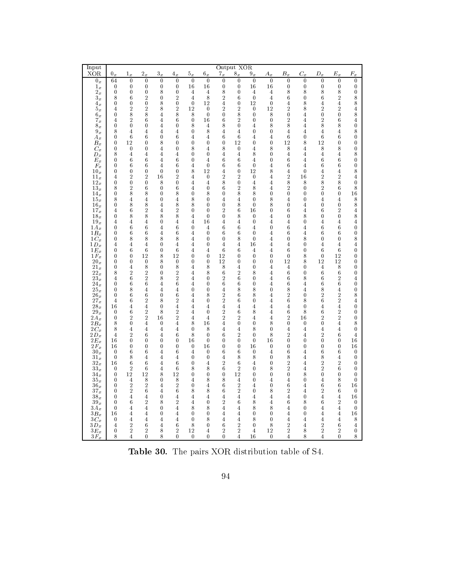| Input                                |                                 |                              |                                  |                       |                                  |                            |                                    |                                             | Output XOR                                 |                                   |                                   |                                  |                                  |                                    |                                       |                                      |  |
|--------------------------------------|---------------------------------|------------------------------|----------------------------------|-----------------------|----------------------------------|----------------------------|------------------------------------|---------------------------------------------|--------------------------------------------|-----------------------------------|-----------------------------------|----------------------------------|----------------------------------|------------------------------------|---------------------------------------|--------------------------------------|--|
| XOR                                  | $0_{x}$                         | $_{1x}$                      | $_{2x}$                          | $_{3x}$               | $_{4x}$                          | $5_x$                      | $_{^6x}$                           | $7_x$                                       | $\mathbf{8}_x$                             | $9_x$                             | $A_x$                             | $B_x$                            | $C_x$                            | $D_{\bm{x}}$                       | $E_x$                                 | $F_x$                                |  |
| $0_x$                                | 64                              | $\overline{0}$               | $\overline{0}$                   | $\overline{0}$        | $\overline{0}$                   | $\overline{0}$             | $\overline{0}$                     | $\overline{0}$                              | $\overline{0}$                             | $\overline{0}$                    | $\overline{0}$                    | $\overline{0}$                   | $\overline{0}$                   | $\overline{0}$                     | $\overline{0}$                        | $\overline{0}$                       |  |
| $1_x\,$<br>$2\hspace{0.5pt}x$        | $\boldsymbol{0}$<br>$\check{0}$ | $\bf{0}$<br>$\boldsymbol{0}$ | $\boldsymbol{0}$<br>$\bf{0}$     | $\bf{0}$<br>$\bar{8}$ | $\boldsymbol{0}$<br>$\bar{0}$    | 16<br>$\overline{4}$       | $16\,$<br>$\overline{4}$           | $\boldsymbol{0}$<br>$\,$ 8 $\,$             | $\boldsymbol{0}$<br>$\boldsymbol{0}$       | $16\,$<br>$\overline{\mathbf{4}}$ | $16\,$<br>$\overline{\mathbf{4}}$ | $\bf{0}$<br>8                    | $\bf{0}$<br>$\bar{8}$            | $\boldsymbol{0}$<br>$\bar{8}$      | $\begin{array}{c} 0 \\ 8 \end{array}$ | $\boldsymbol{0}$<br>$\boldsymbol{0}$ |  |
| $\mathbf{3}_x$                       | 8                               | 6                            | $\overline{2}$                   | $\overline{0}$        | $\overline{2}$                   | $\overline{4}$             | 8                                  |                                             | 6                                          | $\bf{0}$                          | $\overline{4}$                    | 6                                | $\bf{0}$                         | $\,6\,$                            | $\overline{\mathbf{c}}$               | 8                                    |  |
| $4_x$                                | $\boldsymbol{0}$                | 0                            | $\overline{0}$                   | 8                     | $\bf{0}$                         | $\mathbf{0}$               | 12                                 | $\begin{smallmatrix}2\2\4\end{smallmatrix}$ | $\boldsymbol{0}$                           | 12                                | $\bf{0}$                          | 4                                | 8                                | 4                                  | $\overline{4}$                        | $\bf 8$                              |  |
| $5\hspace{-4.5pt}$ $x$               | 4<br>$\bf{0}$                   | $\overline{2}$<br>8          | $\overline{2}$<br>8              | 8<br>$\overline{4}$   | $\sqrt{2}$<br>8                  | 12<br>8                    | $\bf{0}$<br>$\bf{0}$               | $\sqrt{2}$<br>$\boldsymbol{0}$              | $\sqrt{2}$                                 | $\bf{0}$<br>$\bf{0}$              | 12<br>8                           | $\overline{2}$<br>$\bf{0}$       | 8<br>4                           | $\overline{2}$<br>$\boldsymbol{0}$ | $\overline{2}$<br>$\overline{0}$      | $\overline{4}$<br>8                  |  |
| $6_x$<br>$7_x$                       | 4                               | $\overline{2}$               | 6                                | 4                     | 6                                | $\mathbf{0}$               | 16                                 | $\,6$                                       | $\begin{smallmatrix}8\\2\end{smallmatrix}$ | $\bf{0}$                          | $\mathbf{0}$                      | $\overline{2}$                   | 4                                | $\overline{2}$                     | 6                                     | $\overline{4}$                       |  |
| $\mathbf{8}_x$                       | $\boldsymbol{0}$                | $\boldsymbol{0}$             | 0                                | 4                     | 0                                | 8                          | $\overline{4}$                     | 8                                           | $\boldsymbol{0}$                           | 4                                 | 8                                 | 8                                | 4                                | 8                                  | 8                                     | $\boldsymbol{0}$                     |  |
| $9_x$                                | 8<br>$\boldsymbol{0}$           | 4<br>6                       | 4                                | 4<br>$\overline{0}$   | 4<br>$\,6\,$                     | $\bf{0}$                   | 8                                  | $\overline{4}$<br>$\,6\,$                   | 4                                          | $\mathbf{0}$                      | 0                                 | 4<br>6                           | 4<br>$\bf{0}$                    | 4                                  | $\overline{\mathbf{4}}$<br>6          | 8<br>$\boldsymbol{0}$                |  |
| $\mathcal{A}_x$<br>$B_x$             | 0                               | 12                           | 6<br>0                           | 8                     | 0                                | 4<br>$\bf{0}$              | $\overline{4}$<br>$\boldsymbol{0}$ | $\boldsymbol{0}$                            | 6<br>$12\,$                                | $\overline{4}$<br>0               | 4<br>$\boldsymbol{0}$             | 12                               | 8                                | 6<br>12                            | 0                                     | $\boldsymbol{0}$                     |  |
| $C_{x}$                              | $\boldsymbol{0}$                | $\bf{0}$                     | $\bf{0}$                         | $\overline{4}$        | $\boldsymbol{0}$                 | 8                          | $\overline{4}$                     | 8                                           | $\boldsymbol{0}$                           | $\overline{4}$                    | 8                                 | 8                                | $\overline{4}$                   | 8                                  | 8                                     | $\boldsymbol{0}$                     |  |
| $\boldsymbol{D}_{x}$                 | 8                               | 4                            | 4                                | 4                     | 4                                | $\bf{0}$                   | $\bf{0}$                           | $\overline{4}$                              | $\overline{4}$                             | 8                                 | $\bf{0}$                          | $\overline{4}$                   | $\overline{4}$                   | 4                                  | $\overline{\mathbf{4}}$               | 8                                    |  |
| $E_x$<br>$F_x$                       | $\boldsymbol{0}$<br>0           | 6<br>6                       | 6<br>6                           | $\overline{4}$<br>4   | $\,6$<br>6                       | $\bf{0}$<br>4              | $\overline{4}$<br>$\bf{0}$         | $\,6$<br>6                                  | 6<br>6                                     | $\overline{4}$<br>$\bf{0}$        | $\bf{0}$<br>4                     | 6<br>6                           | $\overline{4}$<br>$\overline{4}$ | 6<br>6                             | 6<br>6                                | $\bf{0}$<br>0                        |  |
| $10_x$                               | 0                               | 0                            | 0                                | 0                     | 0                                | 8                          | 12                                 | $\overline{4}$                              | 0                                          | 12                                | 8                                 | 4                                | 0                                | $\overline{\mathbf{4}}$            | $\overline{\mathbf{4}}$               | 8                                    |  |
| $11_x$                               | $\overline{4}$                  | $\overline{2}$               | $\overline{2}$                   | 16                    | $\,2$                            | 4                          | $\mathbf{0}$                       | $\frac{2}{8}$                               | $\overline{2}$                             | $\bf{0}$                          | 4                                 | $\overline{2}$                   | 16                               | $\overline{2}$                     | $\overline{\mathbf{c}}$               | $\overline{4}$                       |  |
| 12 <sub>x</sub>                      | 0<br>8                          | 0<br>$\overline{2}$          | 0<br>6                           | 8<br>$\overline{0}$   | $\boldsymbol{0}$<br>$\,6\,$      | 4<br>4                     | $\overline{4}$<br>$\bf{0}$         | 6                                           | $\boldsymbol{0}$<br>$\overline{2}$         | $\overline{4}$<br>8               | 4<br>4                            | 8<br>$\overline{2}$              | 8<br>$\bf{0}$                    | 8<br>$\overline{2}$                | 8<br>6                                | $\boldsymbol{0}$<br>8                |  |
| $13_x$<br>$1\,4_x$                   | 0                               | 8                            | 8                                | 0                     | 8                                | $\bf{0}$                   | 8                                  | $\bf{0}$                                    | 8                                          | 8                                 | 0                                 | 0                                | 0                                | 0                                  | 0                                     | 16                                   |  |
| $15_x\,$                             | 8                               | $\overline{4}$               | $\overline{4}$                   | $\bf{0}$              | $\overline{4}$                   | 8                          | $\bf{0}$                           | $\overline{4}$                              | $\overline{4}$                             | $\bf{0}$                          | 8                                 | 4                                | $\bf{0}$                         | 4                                  | $\overline{4}$                        | 8                                    |  |
| $16_x$                               | 0<br>$\overline{4}$             | 8<br>6                       | 8                                | 4<br>$\overline{4}$   | 8<br>$\overline{2}$              | 8<br>$\overline{0}$        | 0<br>$\mathbf{0}$                  | $\boldsymbol{0}$                            | 8<br>6                                     | $\bf{0}$<br>16                    | 8<br>$\bf{0}$                     | 0<br>6                           | 4<br>$\overline{4}$              | 0<br>6                             | 0<br>$\overline{2}$                   | $\,$ 8 $\,$<br>$\overline{4}$        |  |
| $17_x$<br>$18_x$                     | 0                               | 8                            | $\overline{c}$<br>$\bar{8}$      | 8                     | $\bar{8}$                        | $\overline{4}$             | $\bf{0}$                           | $\boldsymbol{2}$<br>$\mathbf 0$             | 8                                          | $\bf{0}$                          | 4                                 | $\bf{0}$                         | 8                                | 0                                  | $\overline{0}$                        | 8                                    |  |
| 19 <sub>x</sub>                      | $\overline{4}$                  | 4                            | 4                                | $\overline{0}$        | $\overline{4}$                   | 4                          | 16                                 | $\overline{4}$                              | $\overline{4}$                             | $\bf{0}$                          | 4                                 | $\overline{4}$                   | $\bf{0}$                         | 4                                  | $\overline{4}$                        | $\overline{4}$                       |  |
| $1A_x$                               | $\bf{0}$                        | 6                            | 6                                | 4                     | $\,6$                            | $\bf{0}$                   | $\overline{4}$                     | 6                                           | 6                                          | 4                                 | $\overline{0}$                    | 6                                | 4                                | 6                                  | 6                                     | $\bf{0}$                             |  |
| $1B_x$<br>$1C_x$                     | $\bf{0}$<br>$\bf{0}$            | 6<br>8                       | 6<br>8                           | $\overline{4}$<br>8   | 6<br>8                           | 4<br>4                     | $\mathbf{0}$<br>$\bf{0}$           | 6<br>$\bf{0}$                               | 6<br>8                                     | $\bf{0}$<br>$\bf{0}$              | 4<br>4                            | 6<br>$\overline{0}$              | 4<br>8                           | 6<br>$\bf{0}$                      | 6<br>$\overline{0}$                   | $\bf{0}$<br>8                        |  |
| $1D_x$                               | 4                               | $\overline{\mathbf{4}}$      | 4                                | $\bf{0}$              | $\overline{4}$                   | 4                          | $\bf{0}$                           | $\overline{4}$                              | 4                                          | 16                                | $\overline{\mathbf{4}}$           | 4                                | 0                                | 4                                  | $\overline{\mathbf{4}}$               | $\overline{4}$                       |  |
| $1E_x$                               | $\bf{0}$                        | 6                            | 6                                | $\bf{0}$              | 6                                | 4                          | $\overline{4}$                     | 6                                           | 6                                          | $\overline{4}$                    | $\overline{4}$                    | 6                                | $\bf{0}$                         | 6                                  | 6                                     | $\bf{0}$                             |  |
| $1F_x$<br>$20\,x$                    | 0<br>$\bf{0}$                   | 0<br>$\mathbf{0}$            | 12<br>$\bf{0}$                   | 8<br>8                | 12<br>$\bf{0}$                   | 0<br>$\bf{0}$              | 0<br>$\mathbf{0}$                  | 12<br>12                                    | 0<br>$\bf{0}$                              | $\bf{0}$<br>$\bf{0}$              | 0<br>$\bf{0}$                     | $\bf{0}$<br>12                   | 8<br>8                           | 0<br>12                            | 12<br>12                              | 0<br>$\bf{0}$                        |  |
| $21_x$                               | 0                               | 4                            | 8                                | $\bf{0}$              | 8                                | 4                          | 8                                  | 8                                           | 4                                          | 0                                 | 4                                 | 4                                | 0                                | $\overline{\mathbf{4}}$            | 8                                     | 0                                    |  |
| $22_x$                               | 8                               | $\overline{2}$               | $\frac{2}{2}$                    | $\overline{0}$        | $\sqrt{2}$                       | $\overline{4}$             | 8                                  | $\,6\,$                                     | $\overline{2}$                             | 8                                 | 4                                 | 6                                | $\bf{0}$                         | 6                                  | 6                                     | $\boldsymbol{0}$                     |  |
| $23_x$<br>$24_x$                     | 4<br>$\bf{0}$                   | 6<br>6                       | 6                                | 8<br>$\overline{4}$   | $\overline{\mathbf{2}}$<br>6     | 4<br>4                     | $\bf{0}$<br>$\bf{0}$               | $\begin{array}{c} 2 \\ 6 \end{array}$       | $\boldsymbol{6}$<br>6                      | $\bf{0}$<br>$\bf{0}$              | 4<br>4                            | 6<br>6                           | 8<br>4                           | 6<br>6                             | $\overline{\mathbf{c}}$<br>6          | 4<br>$\bf{0}$                        |  |
| $25_x$                               | $\bf{0}$                        | 8                            | $\overline{4}$                   | $\overline{4}$        | 4                                | $\bf{0}$                   | $\bf{0}$                           | $\overline{4}$                              | 8                                          | 8                                 | $\bf{0}$                          | 8                                | 4                                | 8                                  | $\overline{4}$                        | $\bf{0}$                             |  |
| $26_x$                               | $\bf{0}$                        | 6                            | 6                                | 0                     | 6                                | 4                          | 8                                  | $\boldsymbol{2}$                            | 6                                          | 8                                 | $\overline{\mathbf{4}}$           | $\overline{2}$                   | 0                                | 2                                  | $\boldsymbol{2}$                      | 8                                    |  |
| $27_x$<br>$2\,8\,x$                  | $\overline{4}$<br>16            | 6<br>4                       | $\frac{2}{4}$                    | 8<br>$\overline{0}$   | $\overline{2}$<br>$\overline{4}$ | 4<br>4                     | $\bf{0}$<br>4                      | $\begin{smallmatrix}2\2\4\end{smallmatrix}$ | 6<br>4                                     | $\boldsymbol{0}$<br>4             | $\overline{4}$<br>4               | 6<br>4                           | 8<br>$\mathbf{0}$                | 6<br>4                             | $\frac{2}{4}$                         | $\overline{4}$<br>0                  |  |
| $29_x\,$                             | 0                               | 6                            | $\overline{2}$                   | 8                     | $\,2$                            | $\overline{4}$             | $\boldsymbol{0}$                   | $\,2$                                       | 6                                          | 8                                 | 4                                 | 6                                | 8                                | 6                                  | $\overline{2}$                        | 0                                    |  |
| $2A_x$                               | $\boldsymbol{0}$                | $\overline{2}$               | $\overline{2}$                   | 16                    | $\overline{2}$                   | $\overline{4}$             | 4                                  | $\overline{\mathbf{2}}$                     | $\overline{2}$                             | 4                                 | 4                                 | $\overline{2}$                   | 16                               | $\overline{2}$                     | $\overline{2}$                        | 0                                    |  |
| $2B_x$<br>$2\ensuremath{C_x}\xspace$ | 8<br>8                          | $\bf{0}$<br>4                | $\overline{4}$<br>4              | $\bf{0}$<br>4         | $\overline{4}$<br>4              | 8<br>$\bf{0}$              | 16<br>8                            | $\overline{4}$<br>$\overline{4}$            | $\boldsymbol{0}$<br>4                      | $\bf{0}$<br>8                     | 8<br>$\bf{0}$                     | $\overline{0}$<br>4              | $\bf{0}$<br>4                    | $\boldsymbol{0}$<br>4              | $\overline{4}$<br>4                   | 8<br>$\bf{0}$                        |  |
| $2D_x$                               | $\overline{4}$                  | $\overline{2}$               | 6                                | $\overline{4}$        | $\,6$                            | 8                          | $\mathbf{0}$                       | $\,6$                                       | $\,2$                                      | $\bf{0}$                          | 8                                 | $\overline{2}$                   | $\overline{4}$                   | $\overline{2}$                     | 6                                     | $\overline{4}$                       |  |
| $2E_x$                               | 16                              | 0                            | 0                                | 0                     | $\boldsymbol{0}$                 | 16                         | $\bf{0}$                           | $\boldsymbol{0}$                            | $\boldsymbol{0}$                           | $\bf{0}$                          | 16                                | $\bf{0}$                         | $\bf{0}$                         | 0                                  | 0                                     | 16                                   |  |
| $2F_x$                               | 16<br>$\mathbf{0}$              | $\boldsymbol{0}$<br>6        | $\bf{0}$<br>6                    | $\bf{0}$<br>4         | $\boldsymbol{0}$<br>6            | $\bf{0}$<br>$\overline{4}$ | 16<br>$\mathbf{0}$                 | $\boldsymbol{0}$<br>6                       | $\boldsymbol{0}$<br>6                      | 16<br>$\bf{0}$                    | $\bf{0}$<br>4                     | 0<br>6                           | $\bf{0}$<br>$\overline{4}$       | 0<br>6                             | $\overline{0}$<br>6                   | 16<br>$\bf{0}$                       |  |
| $30_x$<br>$31_x$                     | $\boldsymbol{0}$                | 8                            | 4                                | 4                     | 4                                | $\bf{0}$                   | $\bf{0}$                           | $\overline{4}$                              | 8                                          | 8                                 | 0                                 | 8                                | $\overline{4}$                   | 8                                  | $\overline{\mathbf{4}}$               | $\bf{0}$                             |  |
| $32_{x}$                             | 16                              | 6                            | 6                                | $\overline{4}$        | $\,6\,$                          | 0                          | $\overline{4}$                     | $\overline{2}$                              | $\boldsymbol{6}$                           | $\overline{4}$                    | 0                                 | $\overline{2}$                   | $\overline{4}$                   | $\overline{2}$                     | $\overline{2}$                        | $\boldsymbol{0}$                     |  |
| $33_x$                               | $\boldsymbol{0}$<br>$\bf{0}$    | $\overline{2}$               | 6<br>12                          | 4<br>8                | 6<br>12                          | 8<br>$\overline{0}$        | 8<br>$\bf{0}$                      | $\,6\,$<br>$\boldsymbol{0}$                 | $\overline{2}$<br>12                       | 0<br>0                            | 8<br>$\bf{0}$                     | $\overline{2}$<br>$\overline{0}$ | $\overline{4}$<br>8              | $\overline{2}$<br>$\boldsymbol{0}$ | 6<br>0                                | $\bf{0}$<br>$\bf{0}$                 |  |
| $34_x$<br>$3\,5_x$                   | 0                               | 12<br>$\overline{4}$         |                                  | $\bf{0}$              | $\overline{8}$                   | 4                          | 8                                  | 8                                           | $\overline{4}$                             | 0                                 | 4                                 | 4                                | 0                                | 4                                  | 8                                     | $\bf{0}$                             |  |
| $36_x$                               | $\bf{0}$                        | $\overline{2}$               | $^8_2$                           | 4                     | $\overline{2}$                   | 0                          | $\overline{4}$                     | $\,6\,$                                     | $\overline{2}$                             | $\overline{4}$                    | $\bf{0}$                          | 6                                | 4                                | 6                                  | 6                                     | 16                                   |  |
| $37_x$                               | $\boldsymbol{0}$                | $\overline{2}$               | 6                                | 4                     | $\,6\,$                          | 8                          | 8                                  | $\,6\,$                                     | $\overline{2}$                             | 0                                 | 8                                 | $\overline{2}$                   | 4                                | $\overline{2}$                     | 6                                     | $\bf{0}$                             |  |
| 38 <sub>x</sub><br>$3\,9\,x$         | $\bf{0}$<br>$\bf{0}$            | $\overline{4}$<br>6          | $\overline{4}$<br>$\overline{2}$ | $\bf{0}$<br>8         | $\overline{4}$<br>$\overline{2}$ | $\overline{4}$<br>4        | $\overline{4}$<br>$\bf{0}$         | $\overline{4}$<br>$\,2$                     | $\overline{4}$<br>6                        | 4<br>8                            | $\overline{4}$<br>4               | $\overline{4}$<br>6              | $\boldsymbol{0}$<br>8            | $\overline{4}$<br>6                | $\overline{4}$<br>$\overline{2}$      | 16<br>$\bf{0}$                       |  |
| $3A_x$                               | $\bf{0}$                        | 4                            | $\overline{4}$                   | $\overline{0}$        | $\overline{4}$                   | 8                          | 8                                  | $\overline{4}$                              | 4                                          | 8                                 | 8                                 | 4                                | $\bf{0}$                         | 4                                  | $\overline{4}$                        | $\bf{0}$                             |  |
| $3B_x$                               | 16                              | $\overline{4}$               | $\overline{4}$                   | $\bf{0}$              | $\overline{4}$                   | $\overline{0}$             | $\bf{0}$                           | $\overline{4}$                              | $\overline{4}$                             | $\boldsymbol{0}$                  | $\bf{0}$                          | 4                                | $\bf{0}$                         | $\overline{4}$                     | $\overline{4}$                        | 16                                   |  |
| $3C_x$<br>$3D_x$                     | 0<br>$\overline{4}$             | 4<br>$\overline{2}$          | 4<br>6                           | 4<br>4                | 4<br>$\,6\,$                     | $\bf{0}$<br>8              | 8<br>$\boldsymbol{0}$              | $\overline{4}$<br>$\,6$                     | 4<br>$\,2$                                 | 8<br>$\boldsymbol{0}$             | 0<br>8                            | 4<br>$\overline{2}$              | 4<br>$\overline{4}$              | 4<br>$\overline{2}$                | 4<br>6                                | 8<br>$\overline{4}$                  |  |
| $3E_x$                               | $\bf{0}$                        | $\overline{2}$               | $\overline{2}$                   | 8                     | $\sqrt{2}$                       | 12                         | $\overline{4}$                     | $\,2$                                       | $\bar{2}$                                  | $\overline{4}$                    | 12                                | $\overline{2}$                   | 8                                | $\overline{2}$                     | $\overline{2}$                        | $\boldsymbol{0}$                     |  |
| $3F_x$                               | 8                               | $\overline{4}$               | $\bf{0}$                         | 8                     | $\bf{0}$                         | 0                          | 0                                  | $\mathbf{0}$                                | $\overline{4}$                             | 16                                | 0                                 | $\overline{4}$                   | 8                                | $\overline{4}$                     | $\overline{0}$                        | 8                                    |  |

Table 30. The pairs XOR distribution table of S4.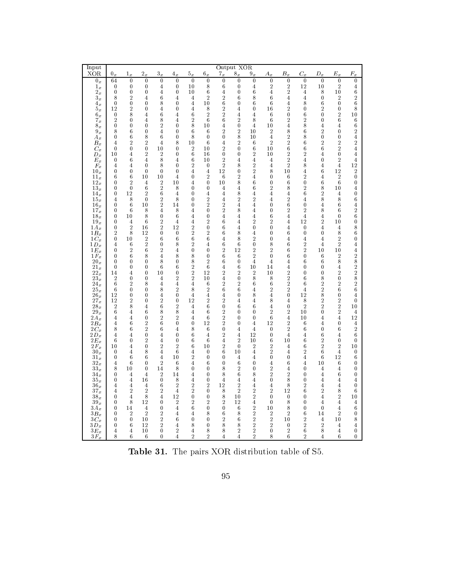| XOR<br>$2\,x$<br>$6_x\,$<br>$8_x$<br>$9_x$<br>$B_x$<br>$C_x$<br>$D_x$<br>$F_x$<br>$0_x$<br>$1_x$<br>$3_x$<br>$\frac{4}{x}$<br>$5_x$<br>$A_x$<br>$E_x$<br>$7_x$<br>$\overline{0}$<br>$\overline{0}$<br>$\overline{0}$<br>$\overline{0}$<br>$\overline{0}$<br>$\overline{0}$<br>$0_x$<br>64<br>$\overline{0}$<br>$\overline{0}$<br>$\overline{0}$<br>$\overline{0}$<br>$\overline{0}$<br>$\overline{0}$<br>$\overline{0}$<br>$\overline{0}$<br>$\overline{0}$<br>$\boldsymbol{0}$<br>$\,2$<br>$\frac{2}{2}$<br>12<br>$\begin{array}{c} 10 \\ 8 \end{array}$<br>$\,2$<br>$\boldsymbol{0}$<br>$\boldsymbol{0}$<br>$\bf{0}$<br>$\overline{4}$<br>10<br>8<br>$\,6$<br>$\boldsymbol{0}$<br>$\overline{4}$<br>$\overline{4}$<br>$1_x$<br>$\overline{4}$<br>$1\bar{0}$<br>$\bar{2}_x$<br>$10\,$<br>$\boldsymbol{6}$<br>$\boldsymbol{6}$<br>$\bf{0}$<br>$\bf{0}$<br>$\boldsymbol{0}$<br>$\,6\,$<br>$\bf{0}$<br>0<br>$\overline{\mathbf{4}}$<br>4<br>$\overline{4}$<br>$\overline{2}$<br>$\boldsymbol{0}$<br>$\overline{2}$<br>$\overline{3}_x$<br>8<br>$\overline{2}$<br>$\,6$<br>$\overline{4}$<br>$\overline{2}$<br>8<br>$\,6\,$<br>$\overline{4}$<br>$\overline{4}$<br>$\overline{2}$<br>4<br>4<br>6<br>$\boldsymbol{0}$<br>$\overline{0}$<br>8<br>$\,$ 6 $\,$<br>$\overline{0}$<br>$\,6\,$<br>$\bf{0}$<br>$\bf{0}$<br>$\overline{4}$<br>6<br>$\,6\,$<br>$\overline{4}$<br>8<br>$\,6$<br>10<br>0<br>4 <sub>x</sub><br>$\overline{0}$<br>12<br>$\overline{2}$<br>$\overline{0}$<br>$\overline{4}$<br>$\overline{4}$<br>$\frac{2}{2}$<br>$\overline{2}$<br>$\bf{0}$<br>$\,2$<br>8<br>$5_x$<br>$\bf{0}$<br>8<br>$\overline{4}$<br>$\bf{0}$<br>16<br>$\overline{2}$<br>$\overline{\mathbf{2}}$<br>$\bf{0}$<br>8<br>6<br>$\,6\,$<br>$\overline{4}$<br>$\boldsymbol{0}$<br>6<br>$\boldsymbol{0}$<br>10<br>$6_x$<br>$\overline{4}$<br>$\overline{4}$<br>$\overline{4}$<br>6<br>$\overline{\mathbf{c}}$<br>8<br>$\overline{\mathbf{c}}$<br>$\overline{2}$<br>$\frac{2}{8}$<br>6<br>$\bf{0}$<br>6<br>$\,6$<br>$\,2$<br>6<br>$7_x$<br>$\overline{4}$<br>$\overline{4}$<br>8<br>$\bf{0}$<br>6<br>$\bf{0}$<br>$\overline{\mathbf{2}}$<br>8<br>$\overline{4}$<br>$\boldsymbol{0}$<br>$\overline{4}$<br>$8_x\,$<br>0<br>0<br>0<br>10<br>$\overline{4}$<br>10<br>$\overline{4}$<br>4<br>6<br>$\begin{smallmatrix} 2 \ 0 \end{smallmatrix}$<br>$\frac{2}{8}$<br>$\overline{\mathbf{c}}$<br>$\bf{0}$<br>$\overline{4}$<br>10<br>$\,2$<br>8<br>6<br>$\overline{2}$<br>$\bf{0}$<br>$9_x$<br>8<br>6<br>0<br>6<br>6<br>$\boldsymbol{0}$<br>$\,6\,$<br>8<br>$\overline{4}$<br>$\,2$<br>$\boldsymbol{0}$<br>0<br>$\overline{4}$<br>$A_x$<br>6<br>8<br>0<br>$\bf{0}$<br>10<br>8<br>$\overline{c}$<br>$\overline{\mathbf{2}}$<br>$\begin{array}{c} 2 \\ 6 \end{array}$<br>$\,2$<br>$\overline{2}$<br>8<br>$10\,$<br>$\overline{2}$<br>$\overline{\mathbf{c}}$<br>6<br>$\overline{\mathbf{4}}$<br>6<br>6<br>$\overline{2}$<br>$_{Bx}$<br>4<br>4<br>$\bf{0}$<br>$\overline{2}$<br>$C_x$<br>$\bf{0}$<br>$\boldsymbol{0}$<br>$\boldsymbol{0}$<br>$\,2$<br>$\overline{2}$<br>$\boldsymbol{0}$<br>$\,6\,$<br>10<br>6<br>$\,6\,$<br>$\overline{4}$<br>10<br>10<br>$\overline{2}$<br>$\,$ 6 $\,$<br>$\bf{0}$<br>$\,2$<br>$\frac{2}{2}$<br>$\overline{2}$<br>$\overline{0}$<br>$\overline{2}$<br>10<br>10<br>$\mathbf{0}$<br>16<br>0<br>$\overline{4}$<br>$D_{\it x}$<br>4<br>4<br>8<br>$E_x$<br>$F_x$<br>$\overline{4}$<br>$\,6\,$<br>10<br>$\overline{2}$<br>$\overline{4}$<br>$\overline{4}$<br>$\overline{2}$<br>$\bf{0}$<br>6<br>$\overline{4}$<br>$\overline{4}$<br>$\overline{4}$<br>0<br>$\overline{4}$<br>$\overline{2}$<br>8<br>$\overline{2}$<br>$\sqrt{2}$<br>$\overline{2}$<br>8<br>$\overline{4}$<br>$\bf{0}$<br>8<br>12<br>0<br>$\bf{0}$<br>$\overline{4}$<br>$\overline{4}$<br>4<br>4<br>$\,2$<br>$10_x$<br>$\boldsymbol{0}$<br>$\bf{0}$<br>$\bf{0}$<br>$\boldsymbol{0}$<br>$\overline{4}$<br>12<br>$\boldsymbol{0}$<br>8<br>10<br>12<br>$\,2$<br>0<br>$\overline{4}$<br>4<br>6<br>$\overline{2}$<br>$\boldsymbol{2}$<br>$\overline{2}$<br>$^2_6$<br>10<br>10<br>$\boldsymbol{0}$<br>$\overline{4}$<br>$\boldsymbol{0}$<br>$11_x$<br>6<br>6<br>6<br>$\bf{0}$<br>6<br>4<br>4<br>12 <sub>x</sub><br>$\overline{2}$<br>$\sqrt{2}$<br>10<br>$\bf{0}$<br>10<br>8<br>$\bf{0}$<br>$\boldsymbol{0}$<br>$\bf{0}$<br>$\bf{0}$<br>$\overline{4}$<br>4<br>6<br>6<br>6<br>$\bar{2}$<br>$13_x\,$<br>$\boldsymbol{0}$<br>$\bf{0}$<br>$\overline{4}$<br>$\,6\,$<br>$\overline{2}$<br>8<br>$\overline{2}$<br>8<br>10<br>$\boldsymbol{0}$<br>6<br>8<br>0<br>$\overline{4}$<br>$\overline{4}$<br>$\boldsymbol{6}$<br>$\overline{2}$<br>$\sqrt{2}$<br>$\bf{0}$<br>12<br>8<br>6<br>$\bf{0}$<br>$14_x$<br>$\overline{4}$<br>$\bf{0}$<br>$\overline{4}$<br>$\overline{4}$<br>$\overline{4}$<br>$\overline{4}$<br>$\overline{4}$<br>$\overline{\mathbf{4}}$<br>$\frac{2}{2}$<br>$\overline{2}$<br>8<br>$\boldsymbol{0}$<br>8<br>$\overline{2}$<br>$\,2$<br>$\overline{2}$<br>8<br>8<br>$15_x$<br>$\overline{4}$<br>0<br>4<br>4<br>$\overline{4}$<br>6<br>$\overline{2}$<br>10<br>$\frac{2}{2}$<br>$\overline{4}$<br>$\overline{4}$<br>$6\phantom{.}6$<br>6<br>6<br>$\bf{0}$<br>$\mathbf{0}$<br>$\bf{0}$<br>14<br>$\bf{0}$<br>$\overline{4}$<br>$\overline{4}$<br>$16_x$<br>$\bf{0}$<br>$\sqrt{2}$<br>$\boldsymbol{0}$<br>8<br>$\overline{4}$<br>$\boldsymbol{0}$<br>$\,2$<br>$\overline{2}$<br>8<br>6<br>$17_x$<br>6<br>8<br>$\overline{4}$<br>8<br>$\overline{4}$<br>$\bf{0}$<br>$\overline{4}$<br>$\overline{4}$<br>$\overline{4}$<br>6<br>$\bf{0}$<br>10<br>8<br>6<br>$\overline{4}$<br>$\bf{0}$<br>6<br>$\overline{4}$<br>$\bf{0}$<br>18 <sub>x</sub><br>$\overline{4}$<br>$\overline{4}$<br>$\overline{2}$<br>$\overline{2}$<br>$\,2$<br>$\,2$<br>12<br>$\,2$<br>19 <sub>x</sub><br>$\bf{0}$<br>4<br>6<br>$\overline{4}$<br>$\overline{4}$<br>6<br>$\overline{4}$<br>4<br>10<br>0<br>$\overline{2}$<br>$^2_{\rm 0}$<br>$\sqrt{2}$<br>$\overline{0}$<br>$\bf{0}$<br>$\mathbf{0}$<br>$1A_x$<br>$\bf{0}$<br>16<br>12<br>6<br>$\bf{0}$<br>$\overline{4}$<br>$\overline{4}$<br>8<br>4<br>4<br>$\overline{2}$<br>$\overline{2}$<br>$\overline{2}$<br>8<br>12<br>8<br>$1B_x$<br>0<br>6<br>8<br>$\overline{4}$<br>0<br>6<br>0<br>0<br>6<br>$\overline{2}$<br>$\overline{2}$<br>$\boldsymbol{0}$<br>$\,6$<br>$\,6$<br>$\boldsymbol{6}$<br>$\bf 8$<br>$\,2$<br>$\boldsymbol{0}$<br>$1C_x$<br>$10\,$<br>6<br>4<br>0<br>4<br>4<br>$\overline{4}$<br>$\overline{2}$<br>$\sqrt{2}$<br>$\overline{2}$<br>$\overline{2}$<br>$\bf{0}$<br>8<br>$\,6\,$<br>$\boldsymbol{0}$<br>$\,$ 8 $\,$<br>$1D_x$<br>$\overline{4}$<br>6<br>$\overline{4}$<br>6<br>6<br>$\overline{4}$<br>$\overline{4}$<br>$\overline{2}$<br>$\overline{2}$<br>$\sqrt{2}$<br>$\overline{2}$<br>$\overline{2}$<br>$1E_x$<br>$\overline{2}$<br>6<br>$\boldsymbol{0}$<br>$\bf{0}$<br>12<br>10<br>10<br>$\bf{0}$<br>$\overline{4}$<br>6<br>$\overline{4}$<br>$1F_x$<br>$\sqrt{2}$<br>$\overline{\mathbf{2}}$<br>6<br>$\bf{0}$<br>6<br>8<br>$\overline{4}$<br>8<br>8<br>$\bf{0}$<br>$\bf{0}$<br>$\boldsymbol{2}$<br>$\bf{0}$<br>6<br>6<br>6<br>8<br>8<br>$20_x$<br>$\boldsymbol{0}$<br>$\bf{0}$<br>$\bf{0}$<br>8<br>$\boldsymbol{0}$<br>$\,$ 8 $\,$<br>$\overline{2}$<br>6<br>$\boldsymbol{0}$<br>$\overline{4}$<br>$\overline{4}$<br>6<br>$\,6\,$<br>$\overline{4}$<br>$\frac{2}{2}$<br>$\frac{2}{2}$<br>10<br>$21_x$<br>$\bf{0}$<br>$\bf{0}$<br>$\,6\,$<br>$\,6\,$<br>6<br>6<br>$\overline{4}$<br>$\bf{0}$<br>$\overline{\mathbf{4}}$<br>14<br>$\overline{4}$<br>0<br>$\bf{0}$<br>$\frac{22}{23}x$<br>$\overline{2}$<br>$\,2$<br>$\,2$<br>$\,2$<br>$\overline{2}$<br>14<br>4<br>0<br>$10\,$<br>0<br>12<br>10<br>0<br>0<br>$\overline{2}$<br>$\overline{4}$<br>$\overline{2}$<br>$\overline{0}$<br>$\begin{smallmatrix}8\\2\end{smallmatrix}$<br>$^2_{\rm 6}$<br>$\overline{2}$<br>10<br>$\bf{0}$<br>8<br>0<br>$\mathbf{0}$<br>4<br>8<br>6<br>8<br>$\overline{2}$<br>$\bar{2}$<br>$\sqrt{2}$<br>$\overline{2}$<br>$24_x$<br>$\overline{2}$<br>$\overline{2}$<br>$\,6\,$<br>$\overline{4}$<br>$\overline{4}$<br>$\overline{4}$<br>6<br>6<br>6<br>8<br>6<br>$\bf{0}$<br>8<br>$\overline{2}$<br>$\overline{2}$<br>6<br>$\,2$<br>$\sqrt{2}$<br>$\overline{\mathbf{c}}$<br>6<br>6<br>$25_x$<br>$\bf{0}$<br>8<br>6<br>$\overline{4}$<br>4<br>$\bf{0}$<br>12<br>$\boldsymbol{0}$<br>$\overline{4}$<br>$\boldsymbol{0}$<br>12<br>8<br>0<br>$26_x$<br>0<br>$\overline{4}$<br>$\overline{\mathbf{4}}$<br>$\overline{\mathbf{4}}$<br>$\bf{0}$<br>8<br>$\overline{4}$<br>$\overline{4}$<br>$\begin{array}{c} 12 \\ 2 \\ 6 \end{array}$<br>$\overline{2}$<br>$\sqrt{2}$<br>$\boldsymbol{0}$<br>$\sqrt{2}$<br>$\overline{2}$<br>$\sqrt{2}$<br>$\frac{2}{2}$<br>$27_x$<br>$\bf{0}$<br>12<br>$\overline{4}$<br>8<br>8<br>$\bf{0}$<br>4<br>4<br>$\,$ 6 $\,$<br>$\bf{0}$<br>$\overline{2}$<br>$\overline{2}$<br>$28_x$<br>8<br>$\overline{2}$<br>$\boldsymbol{6}$<br>$\overline{4}$<br>$\overline{4}$<br>$\bf{0}$<br>6<br>6<br>$10\,$<br>4<br>8<br>$\boldsymbol{2}$<br>$\,2$<br>$29_{x}$<br>$\overline{4}$<br>6<br>8<br>$\overline{4}$<br>6<br>$\,2$<br>10<br>$\boldsymbol{0}$<br>0<br>$\mathbf{0}$<br>$\overline{4}$<br>$\overline{2}$<br>$\overline{\mathbf{2}}$<br>$\overline{0}$<br>$\overline{2}$<br>12<br>$2\overline{A_x}$<br>6<br>$\bf{0}$<br>$\,6\,$<br>$\overline{4}$<br>10<br>$\overline{4}$<br>$\overline{4}$<br>4<br>$\overline{4}$<br>0<br>$\overline{4}$<br>$\overline{2}$<br>$\,6$<br>$\boldsymbol{0}$<br>$\sqrt{2}$<br>$\sqrt{2}$<br>$\frac{2B_x}{2C_x}$<br>$\overline{4}$<br>$\bf{0}$<br>12<br>0<br>$\overline{4}$<br>12<br>6<br>$\overline{4}$<br>0<br>$\overline{4}$<br>6<br>$\overline{2}$<br>$\overline{0}$<br>$\overline{2}$<br>6<br>$\bf{0}$<br>$\overline{2}$<br>8<br>6<br>6<br>6<br>8<br>$\overline{4}$<br>6<br>0<br>4<br>4<br>$2D_x$<br>$\bf{0}$<br>$\overline{4}$<br>$\overline{2}$<br>$\,6\,$<br>4<br>4<br>0<br>6<br>$\overline{4}$<br>$\overline{4}$<br>12<br>$\bf{0}$<br>$\overline{4}$<br>4<br>6<br>4<br>$\overline{4}$<br>$\overline{2}$<br>10<br>$\overline{4}$<br>$\bf{0}$<br>$\,6\,$<br>$\overline{2}$<br>10<br>$\,6\,$<br>$\overline{2}$<br>$\bf{0}$<br>$\bf{0}$<br>$2E_x$<br>6<br>$\bf{0}$<br>6<br>6<br>$2\bar{F_x}$<br>$\bf{0}$<br>$\,2$<br>$\overline{2}$<br>$\,6\,$<br>$\,2$<br>$\,2$<br>$\,2$<br>6<br>$\overline{2}$<br>$\overline{2}$<br>10<br>4<br>10<br>$\bf{0}$<br>$\overline{4}$<br>10<br>6<br>$^2_{\rm 0}$<br>$\overline{4}$<br>$\overline{4}$<br>$\overline{2}$<br>6<br>$\overline{4}$<br>8<br>6<br>$\mathbf{0}$<br>$\bf{0}$<br>$3\,\mathrm{0}_x$<br>$\bf{0}$<br>4<br>4<br>10<br>$\overline{4}$<br>$\overline{2}$<br>$\overline{4}$<br>$\mathbf{0}$<br>$\bf{0}$<br>$\overline{4}$<br>$31_x$<br>$\bf{0}$<br>6<br>6<br>10<br>$\overline{4}$<br>$\bf{0}$<br>6<br>12<br>6<br>4<br>$\overline{2}$<br>$32_x$<br>6<br>$\bf{0}$<br>$\overline{4}$<br>6<br>$\bf{0}$<br>$\,6$<br>$\overline{4}$<br>$\overline{4}$<br>10<br>6<br>$\bf{0}$<br>$\overline{4}$<br>6<br>$\bf{0}$<br>6<br>$\,2$<br>33 <sub>x</sub><br>10<br>$\bf{0}$<br>14<br>8<br>$\boldsymbol{0}$<br>8<br>$\,2$<br>8<br>0<br>$\bf{0}$<br>$\overline{4}$<br>0<br>$\overline{4}$<br>$\overline{\mathbf{4}}$<br>0<br>$\overline{\mathbf{2}}$<br>$34_x$<br>$\bf{0}$<br>$\overline{4}$<br>$\,2$<br>$\overline{4}$<br>$\bf{0}$<br>8<br>$\,6$<br>8<br>$\overline{2}$<br>$\overline{4}$<br>6<br>$\bf{0}$<br>4<br>14<br>0<br>$\bf{0}$<br>$\bf{0}$<br>16<br>8<br>$35_x$<br>$\bf{0}$<br>4<br>8<br>$\overline{4}$<br>0<br>$\overline{4}$<br>$\overline{4}$<br>0<br>4<br>4<br>4<br>4<br>$\overline{2}$<br>$36_x$<br>$\overline{4}$<br>6<br>$\overline{2}$<br>$\overline{2}$<br>12<br>$\,2$<br>$\overline{4}$<br>8<br>$\overline{2}$<br>$\overline{4}$<br>$\bf{0}$<br>4<br>4<br>$\overline{4}$<br>$\overline{4}$<br>$\overline{2}$<br>$\overline{2}$<br>$\overline{2}$<br>$\overline{2}$<br>$\overline{2}$<br>$\overline{2}$<br>$\overline{4}$<br>$\bf{0}$<br>8<br>$\sqrt{2}$<br>12<br>6<br>$\overline{2}$<br>8<br>$\,6\,$<br>$3\,7_x$<br>$\overline{4}$<br>$\overline{2}$<br>$\begin{smallmatrix}8\\2\end{smallmatrix}$<br>$\,2$<br>12<br>$\boldsymbol{0}$<br>$\boldsymbol{0}$<br>$38_x$<br>$\bf{0}$<br>$\overline{4}$<br>8<br>$\overline{\mathbf{4}}$<br>0<br>$10\,$<br>$\boldsymbol{0}$<br>0<br>$\overline{4}$<br>10<br>$\overline{2}$<br>$39_x$<br>$\boldsymbol{0}$<br>8<br>12<br>$\bf{0}$<br>$\,2$<br>$\overline{2}$<br>12<br>$\overline{4}$<br>$\bf{0}$<br>8<br>$\bf{0}$<br>$\overline{4}$<br>$\overline{4}$<br>$\overline{4}$<br>$\overline{0}$<br>$\overline{2}$<br>$\overline{0}$<br>$\,6$<br>$\overline{4}$<br>$\boldsymbol{0}$<br>14<br>0<br>$\overline{4}$<br>6<br>$10\,$<br>8<br>0<br>0<br>6<br>$3A_x$<br>4<br>$\overline{2}$<br>$\sqrt{2}$<br>$\frac{2}{2}$<br>$\overline{2}$<br>$3B_x$<br>$\boldsymbol{0}$<br>$\overline{2}$<br>$\overline{4}$<br>$\overline{4}$<br>8<br>6<br>8<br>$\boldsymbol{2}$<br>$\overline{2}$<br>6<br>14<br>$\bf{0}$<br>$\overline{2}$<br>$\overline{2}$<br>$\bf{0}$<br>$1\bar{0}$<br>$\overline{\mathbf{2}}$<br>$10\,$<br>$\overline{2}$<br>$\bf{0}$<br>$\,6$<br>10<br>$3C_x$<br>$\boldsymbol{0}$<br>6<br>$\bf{0}$<br>8<br>4<br>$\boldsymbol{2}$<br>8<br>$\,2$<br>$\overline{2}$<br>$\boldsymbol{2}$<br>$3D_x$<br>$\boldsymbol{0}$<br>6<br>12<br>8<br>$\bf{0}$<br>8<br>$\overline{2}$<br>$\overline{4}$<br>$\overline{4}$<br>$\bf{0}$<br>$\overline{4}$<br>$\bar{0}$<br>$\overline{2}$<br>$\overline{6}$<br>$\overline{2}$<br>$\overline{0}$<br>10<br>$\overline{2}$<br>8<br>$\,2$<br>$3E_x$<br>8<br>$\overline{4}$<br>4<br>4<br>8<br>4<br>0<br>$\overline{2}$<br>$\overline{2}$<br>$\bf{0}$<br>$\overline{4}$<br>$\overline{4}$<br>$\overline{4}$<br>8<br>$\bf{0}$ | Input  |   |   |   |  |                |  | Output XOR |  |         |                         |                |   |  |
|---------------------------------------------------------------------------------------------------------------------------------------------------------------------------------------------------------------------------------------------------------------------------------------------------------------------------------------------------------------------------------------------------------------------------------------------------------------------------------------------------------------------------------------------------------------------------------------------------------------------------------------------------------------------------------------------------------------------------------------------------------------------------------------------------------------------------------------------------------------------------------------------------------------------------------------------------------------------------------------------------------------------------------------------------------------------------------------------------------------------------------------------------------------------------------------------------------------------------------------------------------------------------------------------------------------------------------------------------------------------------------------------------------------------------------------------------------------------------------------------------------------------------------------------------------------------------------------------------------------------------------------------------------------------------------------------------------------------------------------------------------------------------------------------------------------------------------------------------------------------------------------------------------------------------------------------------------------------------------------------------------------------------------------------------------------------------------------------------------------------------------------------------------------------------------------------------------------------------------------------------------------------------------------------------------------------------------------------------------------------------------------------------------------------------------------------------------------------------------------------------------------------------------------------------------------------------------------------------------------------------------------------------------------------------------------------------------------------------------------------------------------------------------------------------------------------------------------------------------------------------------------------------------------------------------------------------------------------------------------------------------------------------------------------------------------------------------------------------------------------------------------------------------------------------------------------------------------------------------------------------------------------------------------------------------------------------------------------------------------------------------------------------------------------------------------------------------------------------------------------------------------------------------------------------------------------------------------------------------------------------------------------------------------------------------------------------------------------------------------------------------------------------------------------------------------------------------------------------------------------------------------------------------------------------------------------------------------------------------------------------------------------------------------------------------------------------------------------------------------------------------------------------------------------------------------------------------------------------------------------------------------------------------------------------------------------------------------------------------------------------------------------------------------------------------------------------------------------------------------------------------------------------------------------------------------------------------------------------------------------------------------------------------------------------------------------------------------------------------------------------------------------------------------------------------------------------------------------------------------------------------------------------------------------------------------------------------------------------------------------------------------------------------------------------------------------------------------------------------------------------------------------------------------------------------------------------------------------------------------------------------------------------------------------------------------------------------------------------------------------------------------------------------------------------------------------------------------------------------------------------------------------------------------------------------------------------------------------------------------------------------------------------------------------------------------------------------------------------------------------------------------------------------------------------------------------------------------------------------------------------------------------------------------------------------------------------------------------------------------------------------------------------------------------------------------------------------------------------------------------------------------------------------------------------------------------------------------------------------------------------------------------------------------------------------------------------------------------------------------------------------------------------------------------------------------------------------------------------------------------------------------------------------------------------------------------------------------------------------------------------------------------------------------------------------------------------------------------------------------------------------------------------------------------------------------------------------------------------------------------------------------------------------------------------------------------------------------------------------------------------------------------------------------------------------------------------------------------------------------------------------------------------------------------------------------------------------------------------------------------------------------------------------------------------------------------------------------------------------------------------------------------------------------------------------------------------------------------------------------------------------------------------------------------------------------------------------------------------------------------------------------------------------------------------------------------------------------------------------------------------------------------------------------------------------------------------------------------------------------------------------------------------------------------------------------------------------------------------------------------------------------------------------------------------------------------------------------------------------------------------------------------------------------------------------------------------------------------------------------------------------------------------------------------------------------------------------------------------------------------------------------------------------------------------------------------------------------------------------------------------------------------------------------------------------------------------------------------------------------------------------------------------------------------------------------------------------------------------------------------------------------------------------------------------------------------------------------------------------------------------------------------------------------------------------------------------------------------------------------------------------------------------------------------------------------------------------------------------------------------------------------------------------------------------------------------------------------------------------------------------------------------------------------------------------------------------------------------------------------------------------------------------------------------------------------------------------------------------------------------------------------------------------------------------------------------------------------------------------------------------------------------------------------------------------------------------------------------------------------------------------------------------------------------------------------------------------------------------------------------------------------------------------------------------------------------------------------------------------------------------------------------------------------------------------------------------------------------------------------------------------------------------------------------------------------------------------------------------------------------------------------------------------------------------------------------------------------------------------------------------------------------------------------------------------------------------------------------------------------------------------------------------------------------------------------------------------------------------------------------------------------------------------------------------------------------------------------------------------------------------------------------------------------------------------------------------------------------------------------------------------------------------------------------------------------------------------------------------------------------------------------------------------------------------------------------------------------------------------------------------------------------------------------------------------------------------------------------------------------------------------------------------------------------------------------------------------------------------------------------------------------------------------------------------------------------------------------------------------------------------------------------------------------------------------------------------------------------------------------------------------------------------------------------------------------------------------------------------------------------------------------------------------------------------------------------------------------------------------------------------------------------------------------------------------------------------------------------------------------------------------------------------------------------------------------------------------------------------------------------------------------------------------------------------------------------------------------------------------------------------------------------------------------------------------------------------------------------------------------------------------------------------------------------------------------------------------------------------------------------------------------------------------------------------------------------------------------------------------------------------------------------------------------------------------------------------------------------------------------------------------------------------------------------------------------------------------------------------------------------------------------------------------------------------------------------------------------------------------------------------------------------------------------------------------------------------------------------------------------------------------------------------------------------------------------------------------------------------------------------------------------------------------------------------------------------------------------------------------------------------------------------------------------------------------------------------------------------------------------------------------------------------------------------------------------------------------|--------|---|---|---|--|----------------|--|------------|--|---------|-------------------------|----------------|---|--|
|                                                                                                                                                                                                                                                                                                                                                                                                                                                                                                                                                                                                                                                                                                                                                                                                                                                                                                                                                                                                                                                                                                                                                                                                                                                                                                                                                                                                                                                                                                                                                                                                                                                                                                                                                                                                                                                                                                                                                                                                                                                                                                                                                                                                                                                                                                                                                                                                                                                                                                                                                                                                                                                                                                                                                                                                                                                                                                                                                                                                                                                                                                                                                                                                                                                                                                                                                                                                                                                                                                                                                                                                                                                                                                                                                                                                                                                                                                                                                                                                                                                                                                                                                                                                                                                                                                                                                                                                                                                                                                                                                                                                                                                                                                                                                                                                                                                                                                                                                                                                                                                                                                                                                                                                                                                                                                                                                                                                                                                                                                                                                                                                                                                                                                                                                                                                                                                                                                                                                                                                                                                                                                                                                                                                                                                                                                                                                                                                                                                                                                                                                                                                                                                                                                                                                                                                                                                                                                                                                                                                                                                                                                                                                                                                                                                                                                                                                                                                                                                                                                                                                                                                                                                                                                                                                                                                                                                                                                                                                                                                                                                                                                                                                                                                                                                                                                                                                                                                                                                                                                                                                                                                                                                                                                                                                                                                                                                                                                                                                                                                                                                                                                                                                                                                                                                                                                                                                                                                                                                                                                                                                                                                                                                                                                                                                                                                                                                                                                                                                                                                                                                                                                                                                                                                                                                                                                                                                                                                                                                                                                                                                                                                                                                                                                                                                                                                                                                                                                                                                                                                                                                                                                                                                                                                                                                                                                                                                                                                                                                                                                                                                                                                                                                                                                                                                                                                                                                                                                                                                                                                                                                                                                                                                                                                                                                                                                                                                                                                                                                                                                                                                                                                                                                                                                                                                                                                                                                                                                                                                                                                                                                                                                                                                                                                                                                                                                                                                                                                                                                                                                                                                                                 |        |   |   |   |  |                |  |            |  |         |                         |                |   |  |
|                                                                                                                                                                                                                                                                                                                                                                                                                                                                                                                                                                                                                                                                                                                                                                                                                                                                                                                                                                                                                                                                                                                                                                                                                                                                                                                                                                                                                                                                                                                                                                                                                                                                                                                                                                                                                                                                                                                                                                                                                                                                                                                                                                                                                                                                                                                                                                                                                                                                                                                                                                                                                                                                                                                                                                                                                                                                                                                                                                                                                                                                                                                                                                                                                                                                                                                                                                                                                                                                                                                                                                                                                                                                                                                                                                                                                                                                                                                                                                                                                                                                                                                                                                                                                                                                                                                                                                                                                                                                                                                                                                                                                                                                                                                                                                                                                                                                                                                                                                                                                                                                                                                                                                                                                                                                                                                                                                                                                                                                                                                                                                                                                                                                                                                                                                                                                                                                                                                                                                                                                                                                                                                                                                                                                                                                                                                                                                                                                                                                                                                                                                                                                                                                                                                                                                                                                                                                                                                                                                                                                                                                                                                                                                                                                                                                                                                                                                                                                                                                                                                                                                                                                                                                                                                                                                                                                                                                                                                                                                                                                                                                                                                                                                                                                                                                                                                                                                                                                                                                                                                                                                                                                                                                                                                                                                                                                                                                                                                                                                                                                                                                                                                                                                                                                                                                                                                                                                                                                                                                                                                                                                                                                                                                                                                                                                                                                                                                                                                                                                                                                                                                                                                                                                                                                                                                                                                                                                                                                                                                                                                                                                                                                                                                                                                                                                                                                                                                                                                                                                                                                                                                                                                                                                                                                                                                                                                                                                                                                                                                                                                                                                                                                                                                                                                                                                                                                                                                                                                                                                                                                                                                                                                                                                                                                                                                                                                                                                                                                                                                                                                                                                                                                                                                                                                                                                                                                                                                                                                                                                                                                                                                                                                                                                                                                                                                                                                                                                                                                                                                                                                                                                                 |        |   |   |   |  |                |  |            |  |         |                         |                |   |  |
|                                                                                                                                                                                                                                                                                                                                                                                                                                                                                                                                                                                                                                                                                                                                                                                                                                                                                                                                                                                                                                                                                                                                                                                                                                                                                                                                                                                                                                                                                                                                                                                                                                                                                                                                                                                                                                                                                                                                                                                                                                                                                                                                                                                                                                                                                                                                                                                                                                                                                                                                                                                                                                                                                                                                                                                                                                                                                                                                                                                                                                                                                                                                                                                                                                                                                                                                                                                                                                                                                                                                                                                                                                                                                                                                                                                                                                                                                                                                                                                                                                                                                                                                                                                                                                                                                                                                                                                                                                                                                                                                                                                                                                                                                                                                                                                                                                                                                                                                                                                                                                                                                                                                                                                                                                                                                                                                                                                                                                                                                                                                                                                                                                                                                                                                                                                                                                                                                                                                                                                                                                                                                                                                                                                                                                                                                                                                                                                                                                                                                                                                                                                                                                                                                                                                                                                                                                                                                                                                                                                                                                                                                                                                                                                                                                                                                                                                                                                                                                                                                                                                                                                                                                                                                                                                                                                                                                                                                                                                                                                                                                                                                                                                                                                                                                                                                                                                                                                                                                                                                                                                                                                                                                                                                                                                                                                                                                                                                                                                                                                                                                                                                                                                                                                                                                                                                                                                                                                                                                                                                                                                                                                                                                                                                                                                                                                                                                                                                                                                                                                                                                                                                                                                                                                                                                                                                                                                                                                                                                                                                                                                                                                                                                                                                                                                                                                                                                                                                                                                                                                                                                                                                                                                                                                                                                                                                                                                                                                                                                                                                                                                                                                                                                                                                                                                                                                                                                                                                                                                                                                                                                                                                                                                                                                                                                                                                                                                                                                                                                                                                                                                                                                                                                                                                                                                                                                                                                                                                                                                                                                                                                                                                                                                                                                                                                                                                                                                                                                                                                                                                                                                                                                 |        |   |   |   |  |                |  |            |  |         |                         |                |   |  |
|                                                                                                                                                                                                                                                                                                                                                                                                                                                                                                                                                                                                                                                                                                                                                                                                                                                                                                                                                                                                                                                                                                                                                                                                                                                                                                                                                                                                                                                                                                                                                                                                                                                                                                                                                                                                                                                                                                                                                                                                                                                                                                                                                                                                                                                                                                                                                                                                                                                                                                                                                                                                                                                                                                                                                                                                                                                                                                                                                                                                                                                                                                                                                                                                                                                                                                                                                                                                                                                                                                                                                                                                                                                                                                                                                                                                                                                                                                                                                                                                                                                                                                                                                                                                                                                                                                                                                                                                                                                                                                                                                                                                                                                                                                                                                                                                                                                                                                                                                                                                                                                                                                                                                                                                                                                                                                                                                                                                                                                                                                                                                                                                                                                                                                                                                                                                                                                                                                                                                                                                                                                                                                                                                                                                                                                                                                                                                                                                                                                                                                                                                                                                                                                                                                                                                                                                                                                                                                                                                                                                                                                                                                                                                                                                                                                                                                                                                                                                                                                                                                                                                                                                                                                                                                                                                                                                                                                                                                                                                                                                                                                                                                                                                                                                                                                                                                                                                                                                                                                                                                                                                                                                                                                                                                                                                                                                                                                                                                                                                                                                                                                                                                                                                                                                                                                                                                                                                                                                                                                                                                                                                                                                                                                                                                                                                                                                                                                                                                                                                                                                                                                                                                                                                                                                                                                                                                                                                                                                                                                                                                                                                                                                                                                                                                                                                                                                                                                                                                                                                                                                                                                                                                                                                                                                                                                                                                                                                                                                                                                                                                                                                                                                                                                                                                                                                                                                                                                                                                                                                                                                                                                                                                                                                                                                                                                                                                                                                                                                                                                                                                                                                                                                                                                                                                                                                                                                                                                                                                                                                                                                                                                                                                                                                                                                                                                                                                                                                                                                                                                                                                                                                                                 |        |   |   |   |  |                |  |            |  |         |                         |                |   |  |
|                                                                                                                                                                                                                                                                                                                                                                                                                                                                                                                                                                                                                                                                                                                                                                                                                                                                                                                                                                                                                                                                                                                                                                                                                                                                                                                                                                                                                                                                                                                                                                                                                                                                                                                                                                                                                                                                                                                                                                                                                                                                                                                                                                                                                                                                                                                                                                                                                                                                                                                                                                                                                                                                                                                                                                                                                                                                                                                                                                                                                                                                                                                                                                                                                                                                                                                                                                                                                                                                                                                                                                                                                                                                                                                                                                                                                                                                                                                                                                                                                                                                                                                                                                                                                                                                                                                                                                                                                                                                                                                                                                                                                                                                                                                                                                                                                                                                                                                                                                                                                                                                                                                                                                                                                                                                                                                                                                                                                                                                                                                                                                                                                                                                                                                                                                                                                                                                                                                                                                                                                                                                                                                                                                                                                                                                                                                                                                                                                                                                                                                                                                                                                                                                                                                                                                                                                                                                                                                                                                                                                                                                                                                                                                                                                                                                                                                                                                                                                                                                                                                                                                                                                                                                                                                                                                                                                                                                                                                                                                                                                                                                                                                                                                                                                                                                                                                                                                                                                                                                                                                                                                                                                                                                                                                                                                                                                                                                                                                                                                                                                                                                                                                                                                                                                                                                                                                                                                                                                                                                                                                                                                                                                                                                                                                                                                                                                                                                                                                                                                                                                                                                                                                                                                                                                                                                                                                                                                                                                                                                                                                                                                                                                                                                                                                                                                                                                                                                                                                                                                                                                                                                                                                                                                                                                                                                                                                                                                                                                                                                                                                                                                                                                                                                                                                                                                                                                                                                                                                                                                                                                                                                                                                                                                                                                                                                                                                                                                                                                                                                                                                                                                                                                                                                                                                                                                                                                                                                                                                                                                                                                                                                                                                                                                                                                                                                                                                                                                                                                                                                                                                                                                                 |        |   |   |   |  |                |  |            |  |         |                         |                |   |  |
|                                                                                                                                                                                                                                                                                                                                                                                                                                                                                                                                                                                                                                                                                                                                                                                                                                                                                                                                                                                                                                                                                                                                                                                                                                                                                                                                                                                                                                                                                                                                                                                                                                                                                                                                                                                                                                                                                                                                                                                                                                                                                                                                                                                                                                                                                                                                                                                                                                                                                                                                                                                                                                                                                                                                                                                                                                                                                                                                                                                                                                                                                                                                                                                                                                                                                                                                                                                                                                                                                                                                                                                                                                                                                                                                                                                                                                                                                                                                                                                                                                                                                                                                                                                                                                                                                                                                                                                                                                                                                                                                                                                                                                                                                                                                                                                                                                                                                                                                                                                                                                                                                                                                                                                                                                                                                                                                                                                                                                                                                                                                                                                                                                                                                                                                                                                                                                                                                                                                                                                                                                                                                                                                                                                                                                                                                                                                                                                                                                                                                                                                                                                                                                                                                                                                                                                                                                                                                                                                                                                                                                                                                                                                                                                                                                                                                                                                                                                                                                                                                                                                                                                                                                                                                                                                                                                                                                                                                                                                                                                                                                                                                                                                                                                                                                                                                                                                                                                                                                                                                                                                                                                                                                                                                                                                                                                                                                                                                                                                                                                                                                                                                                                                                                                                                                                                                                                                                                                                                                                                                                                                                                                                                                                                                                                                                                                                                                                                                                                                                                                                                                                                                                                                                                                                                                                                                                                                                                                                                                                                                                                                                                                                                                                                                                                                                                                                                                                                                                                                                                                                                                                                                                                                                                                                                                                                                                                                                                                                                                                                                                                                                                                                                                                                                                                                                                                                                                                                                                                                                                                                                                                                                                                                                                                                                                                                                                                                                                                                                                                                                                                                                                                                                                                                                                                                                                                                                                                                                                                                                                                                                                                                                                                                                                                                                                                                                                                                                                                                                                                                                                                                                                                 |        |   |   |   |  |                |  |            |  |         |                         |                |   |  |
|                                                                                                                                                                                                                                                                                                                                                                                                                                                                                                                                                                                                                                                                                                                                                                                                                                                                                                                                                                                                                                                                                                                                                                                                                                                                                                                                                                                                                                                                                                                                                                                                                                                                                                                                                                                                                                                                                                                                                                                                                                                                                                                                                                                                                                                                                                                                                                                                                                                                                                                                                                                                                                                                                                                                                                                                                                                                                                                                                                                                                                                                                                                                                                                                                                                                                                                                                                                                                                                                                                                                                                                                                                                                                                                                                                                                                                                                                                                                                                                                                                                                                                                                                                                                                                                                                                                                                                                                                                                                                                                                                                                                                                                                                                                                                                                                                                                                                                                                                                                                                                                                                                                                                                                                                                                                                                                                                                                                                                                                                                                                                                                                                                                                                                                                                                                                                                                                                                                                                                                                                                                                                                                                                                                                                                                                                                                                                                                                                                                                                                                                                                                                                                                                                                                                                                                                                                                                                                                                                                                                                                                                                                                                                                                                                                                                                                                                                                                                                                                                                                                                                                                                                                                                                                                                                                                                                                                                                                                                                                                                                                                                                                                                                                                                                                                                                                                                                                                                                                                                                                                                                                                                                                                                                                                                                                                                                                                                                                                                                                                                                                                                                                                                                                                                                                                                                                                                                                                                                                                                                                                                                                                                                                                                                                                                                                                                                                                                                                                                                                                                                                                                                                                                                                                                                                                                                                                                                                                                                                                                                                                                                                                                                                                                                                                                                                                                                                                                                                                                                                                                                                                                                                                                                                                                                                                                                                                                                                                                                                                                                                                                                                                                                                                                                                                                                                                                                                                                                                                                                                                                                                                                                                                                                                                                                                                                                                                                                                                                                                                                                                                                                                                                                                                                                                                                                                                                                                                                                                                                                                                                                                                                                                                                                                                                                                                                                                                                                                                                                                                                                                                                                                                 |        |   |   |   |  |                |  |            |  |         |                         |                |   |  |
|                                                                                                                                                                                                                                                                                                                                                                                                                                                                                                                                                                                                                                                                                                                                                                                                                                                                                                                                                                                                                                                                                                                                                                                                                                                                                                                                                                                                                                                                                                                                                                                                                                                                                                                                                                                                                                                                                                                                                                                                                                                                                                                                                                                                                                                                                                                                                                                                                                                                                                                                                                                                                                                                                                                                                                                                                                                                                                                                                                                                                                                                                                                                                                                                                                                                                                                                                                                                                                                                                                                                                                                                                                                                                                                                                                                                                                                                                                                                                                                                                                                                                                                                                                                                                                                                                                                                                                                                                                                                                                                                                                                                                                                                                                                                                                                                                                                                                                                                                                                                                                                                                                                                                                                                                                                                                                                                                                                                                                                                                                                                                                                                                                                                                                                                                                                                                                                                                                                                                                                                                                                                                                                                                                                                                                                                                                                                                                                                                                                                                                                                                                                                                                                                                                                                                                                                                                                                                                                                                                                                                                                                                                                                                                                                                                                                                                                                                                                                                                                                                                                                                                                                                                                                                                                                                                                                                                                                                                                                                                                                                                                                                                                                                                                                                                                                                                                                                                                                                                                                                                                                                                                                                                                                                                                                                                                                                                                                                                                                                                                                                                                                                                                                                                                                                                                                                                                                                                                                                                                                                                                                                                                                                                                                                                                                                                                                                                                                                                                                                                                                                                                                                                                                                                                                                                                                                                                                                                                                                                                                                                                                                                                                                                                                                                                                                                                                                                                                                                                                                                                                                                                                                                                                                                                                                                                                                                                                                                                                                                                                                                                                                                                                                                                                                                                                                                                                                                                                                                                                                                                                                                                                                                                                                                                                                                                                                                                                                                                                                                                                                                                                                                                                                                                                                                                                                                                                                                                                                                                                                                                                                                                                                                                                                                                                                                                                                                                                                                                                                                                                                                                                                                                 |        |   |   |   |  |                |  |            |  |         |                         |                |   |  |
|                                                                                                                                                                                                                                                                                                                                                                                                                                                                                                                                                                                                                                                                                                                                                                                                                                                                                                                                                                                                                                                                                                                                                                                                                                                                                                                                                                                                                                                                                                                                                                                                                                                                                                                                                                                                                                                                                                                                                                                                                                                                                                                                                                                                                                                                                                                                                                                                                                                                                                                                                                                                                                                                                                                                                                                                                                                                                                                                                                                                                                                                                                                                                                                                                                                                                                                                                                                                                                                                                                                                                                                                                                                                                                                                                                                                                                                                                                                                                                                                                                                                                                                                                                                                                                                                                                                                                                                                                                                                                                                                                                                                                                                                                                                                                                                                                                                                                                                                                                                                                                                                                                                                                                                                                                                                                                                                                                                                                                                                                                                                                                                                                                                                                                                                                                                                                                                                                                                                                                                                                                                                                                                                                                                                                                                                                                                                                                                                                                                                                                                                                                                                                                                                                                                                                                                                                                                                                                                                                                                                                                                                                                                                                                                                                                                                                                                                                                                                                                                                                                                                                                                                                                                                                                                                                                                                                                                                                                                                                                                                                                                                                                                                                                                                                                                                                                                                                                                                                                                                                                                                                                                                                                                                                                                                                                                                                                                                                                                                                                                                                                                                                                                                                                                                                                                                                                                                                                                                                                                                                                                                                                                                                                                                                                                                                                                                                                                                                                                                                                                                                                                                                                                                                                                                                                                                                                                                                                                                                                                                                                                                                                                                                                                                                                                                                                                                                                                                                                                                                                                                                                                                                                                                                                                                                                                                                                                                                                                                                                                                                                                                                                                                                                                                                                                                                                                                                                                                                                                                                                                                                                                                                                                                                                                                                                                                                                                                                                                                                                                                                                                                                                                                                                                                                                                                                                                                                                                                                                                                                                                                                                                                                                                                                                                                                                                                                                                                                                                                                                                                                                                                                                                 |        |   |   |   |  |                |  |            |  |         |                         |                |   |  |
|                                                                                                                                                                                                                                                                                                                                                                                                                                                                                                                                                                                                                                                                                                                                                                                                                                                                                                                                                                                                                                                                                                                                                                                                                                                                                                                                                                                                                                                                                                                                                                                                                                                                                                                                                                                                                                                                                                                                                                                                                                                                                                                                                                                                                                                                                                                                                                                                                                                                                                                                                                                                                                                                                                                                                                                                                                                                                                                                                                                                                                                                                                                                                                                                                                                                                                                                                                                                                                                                                                                                                                                                                                                                                                                                                                                                                                                                                                                                                                                                                                                                                                                                                                                                                                                                                                                                                                                                                                                                                                                                                                                                                                                                                                                                                                                                                                                                                                                                                                                                                                                                                                                                                                                                                                                                                                                                                                                                                                                                                                                                                                                                                                                                                                                                                                                                                                                                                                                                                                                                                                                                                                                                                                                                                                                                                                                                                                                                                                                                                                                                                                                                                                                                                                                                                                                                                                                                                                                                                                                                                                                                                                                                                                                                                                                                                                                                                                                                                                                                                                                                                                                                                                                                                                                                                                                                                                                                                                                                                                                                                                                                                                                                                                                                                                                                                                                                                                                                                                                                                                                                                                                                                                                                                                                                                                                                                                                                                                                                                                                                                                                                                                                                                                                                                                                                                                                                                                                                                                                                                                                                                                                                                                                                                                                                                                                                                                                                                                                                                                                                                                                                                                                                                                                                                                                                                                                                                                                                                                                                                                                                                                                                                                                                                                                                                                                                                                                                                                                                                                                                                                                                                                                                                                                                                                                                                                                                                                                                                                                                                                                                                                                                                                                                                                                                                                                                                                                                                                                                                                                                                                                                                                                                                                                                                                                                                                                                                                                                                                                                                                                                                                                                                                                                                                                                                                                                                                                                                                                                                                                                                                                                                                                                                                                                                                                                                                                                                                                                                                                                                                                                                                                 |        |   |   |   |  |                |  |            |  |         |                         |                |   |  |
|                                                                                                                                                                                                                                                                                                                                                                                                                                                                                                                                                                                                                                                                                                                                                                                                                                                                                                                                                                                                                                                                                                                                                                                                                                                                                                                                                                                                                                                                                                                                                                                                                                                                                                                                                                                                                                                                                                                                                                                                                                                                                                                                                                                                                                                                                                                                                                                                                                                                                                                                                                                                                                                                                                                                                                                                                                                                                                                                                                                                                                                                                                                                                                                                                                                                                                                                                                                                                                                                                                                                                                                                                                                                                                                                                                                                                                                                                                                                                                                                                                                                                                                                                                                                                                                                                                                                                                                                                                                                                                                                                                                                                                                                                                                                                                                                                                                                                                                                                                                                                                                                                                                                                                                                                                                                                                                                                                                                                                                                                                                                                                                                                                                                                                                                                                                                                                                                                                                                                                                                                                                                                                                                                                                                                                                                                                                                                                                                                                                                                                                                                                                                                                                                                                                                                                                                                                                                                                                                                                                                                                                                                                                                                                                                                                                                                                                                                                                                                                                                                                                                                                                                                                                                                                                                                                                                                                                                                                                                                                                                                                                                                                                                                                                                                                                                                                                                                                                                                                                                                                                                                                                                                                                                                                                                                                                                                                                                                                                                                                                                                                                                                                                                                                                                                                                                                                                                                                                                                                                                                                                                                                                                                                                                                                                                                                                                                                                                                                                                                                                                                                                                                                                                                                                                                                                                                                                                                                                                                                                                                                                                                                                                                                                                                                                                                                                                                                                                                                                                                                                                                                                                                                                                                                                                                                                                                                                                                                                                                                                                                                                                                                                                                                                                                                                                                                                                                                                                                                                                                                                                                                                                                                                                                                                                                                                                                                                                                                                                                                                                                                                                                                                                                                                                                                                                                                                                                                                                                                                                                                                                                                                                                                                                                                                                                                                                                                                                                                                                                                                                                                                                                                                 |        |   |   |   |  |                |  |            |  |         |                         |                |   |  |
|                                                                                                                                                                                                                                                                                                                                                                                                                                                                                                                                                                                                                                                                                                                                                                                                                                                                                                                                                                                                                                                                                                                                                                                                                                                                                                                                                                                                                                                                                                                                                                                                                                                                                                                                                                                                                                                                                                                                                                                                                                                                                                                                                                                                                                                                                                                                                                                                                                                                                                                                                                                                                                                                                                                                                                                                                                                                                                                                                                                                                                                                                                                                                                                                                                                                                                                                                                                                                                                                                                                                                                                                                                                                                                                                                                                                                                                                                                                                                                                                                                                                                                                                                                                                                                                                                                                                                                                                                                                                                                                                                                                                                                                                                                                                                                                                                                                                                                                                                                                                                                                                                                                                                                                                                                                                                                                                                                                                                                                                                                                                                                                                                                                                                                                                                                                                                                                                                                                                                                                                                                                                                                                                                                                                                                                                                                                                                                                                                                                                                                                                                                                                                                                                                                                                                                                                                                                                                                                                                                                                                                                                                                                                                                                                                                                                                                                                                                                                                                                                                                                                                                                                                                                                                                                                                                                                                                                                                                                                                                                                                                                                                                                                                                                                                                                                                                                                                                                                                                                                                                                                                                                                                                                                                                                                                                                                                                                                                                                                                                                                                                                                                                                                                                                                                                                                                                                                                                                                                                                                                                                                                                                                                                                                                                                                                                                                                                                                                                                                                                                                                                                                                                                                                                                                                                                                                                                                                                                                                                                                                                                                                                                                                                                                                                                                                                                                                                                                                                                                                                                                                                                                                                                                                                                                                                                                                                                                                                                                                                                                                                                                                                                                                                                                                                                                                                                                                                                                                                                                                                                                                                                                                                                                                                                                                                                                                                                                                                                                                                                                                                                                                                                                                                                                                                                                                                                                                                                                                                                                                                                                                                                                                                                                                                                                                                                                                                                                                                                                                                                                                                                                                                                 |        |   |   |   |  |                |  |            |  |         |                         |                |   |  |
|                                                                                                                                                                                                                                                                                                                                                                                                                                                                                                                                                                                                                                                                                                                                                                                                                                                                                                                                                                                                                                                                                                                                                                                                                                                                                                                                                                                                                                                                                                                                                                                                                                                                                                                                                                                                                                                                                                                                                                                                                                                                                                                                                                                                                                                                                                                                                                                                                                                                                                                                                                                                                                                                                                                                                                                                                                                                                                                                                                                                                                                                                                                                                                                                                                                                                                                                                                                                                                                                                                                                                                                                                                                                                                                                                                                                                                                                                                                                                                                                                                                                                                                                                                                                                                                                                                                                                                                                                                                                                                                                                                                                                                                                                                                                                                                                                                                                                                                                                                                                                                                                                                                                                                                                                                                                                                                                                                                                                                                                                                                                                                                                                                                                                                                                                                                                                                                                                                                                                                                                                                                                                                                                                                                                                                                                                                                                                                                                                                                                                                                                                                                                                                                                                                                                                                                                                                                                                                                                                                                                                                                                                                                                                                                                                                                                                                                                                                                                                                                                                                                                                                                                                                                                                                                                                                                                                                                                                                                                                                                                                                                                                                                                                                                                                                                                                                                                                                                                                                                                                                                                                                                                                                                                                                                                                                                                                                                                                                                                                                                                                                                                                                                                                                                                                                                                                                                                                                                                                                                                                                                                                                                                                                                                                                                                                                                                                                                                                                                                                                                                                                                                                                                                                                                                                                                                                                                                                                                                                                                                                                                                                                                                                                                                                                                                                                                                                                                                                                                                                                                                                                                                                                                                                                                                                                                                                                                                                                                                                                                                                                                                                                                                                                                                                                                                                                                                                                                                                                                                                                                                                                                                                                                                                                                                                                                                                                                                                                                                                                                                                                                                                                                                                                                                                                                                                                                                                                                                                                                                                                                                                                                                                                                                                                                                                                                                                                                                                                                                                                                                                                                                                                                 |        |   |   |   |  |                |  |            |  |         |                         |                |   |  |
|                                                                                                                                                                                                                                                                                                                                                                                                                                                                                                                                                                                                                                                                                                                                                                                                                                                                                                                                                                                                                                                                                                                                                                                                                                                                                                                                                                                                                                                                                                                                                                                                                                                                                                                                                                                                                                                                                                                                                                                                                                                                                                                                                                                                                                                                                                                                                                                                                                                                                                                                                                                                                                                                                                                                                                                                                                                                                                                                                                                                                                                                                                                                                                                                                                                                                                                                                                                                                                                                                                                                                                                                                                                                                                                                                                                                                                                                                                                                                                                                                                                                                                                                                                                                                                                                                                                                                                                                                                                                                                                                                                                                                                                                                                                                                                                                                                                                                                                                                                                                                                                                                                                                                                                                                                                                                                                                                                                                                                                                                                                                                                                                                                                                                                                                                                                                                                                                                                                                                                                                                                                                                                                                                                                                                                                                                                                                                                                                                                                                                                                                                                                                                                                                                                                                                                                                                                                                                                                                                                                                                                                                                                                                                                                                                                                                                                                                                                                                                                                                                                                                                                                                                                                                                                                                                                                                                                                                                                                                                                                                                                                                                                                                                                                                                                                                                                                                                                                                                                                                                                                                                                                                                                                                                                                                                                                                                                                                                                                                                                                                                                                                                                                                                                                                                                                                                                                                                                                                                                                                                                                                                                                                                                                                                                                                                                                                                                                                                                                                                                                                                                                                                                                                                                                                                                                                                                                                                                                                                                                                                                                                                                                                                                                                                                                                                                                                                                                                                                                                                                                                                                                                                                                                                                                                                                                                                                                                                                                                                                                                                                                                                                                                                                                                                                                                                                                                                                                                                                                                                                                                                                                                                                                                                                                                                                                                                                                                                                                                                                                                                                                                                                                                                                                                                                                                                                                                                                                                                                                                                                                                                                                                                                                                                                                                                                                                                                                                                                                                                                                                                                                                                                                 |        |   |   |   |  |                |  |            |  |         |                         |                |   |  |
|                                                                                                                                                                                                                                                                                                                                                                                                                                                                                                                                                                                                                                                                                                                                                                                                                                                                                                                                                                                                                                                                                                                                                                                                                                                                                                                                                                                                                                                                                                                                                                                                                                                                                                                                                                                                                                                                                                                                                                                                                                                                                                                                                                                                                                                                                                                                                                                                                                                                                                                                                                                                                                                                                                                                                                                                                                                                                                                                                                                                                                                                                                                                                                                                                                                                                                                                                                                                                                                                                                                                                                                                                                                                                                                                                                                                                                                                                                                                                                                                                                                                                                                                                                                                                                                                                                                                                                                                                                                                                                                                                                                                                                                                                                                                                                                                                                                                                                                                                                                                                                                                                                                                                                                                                                                                                                                                                                                                                                                                                                                                                                                                                                                                                                                                                                                                                                                                                                                                                                                                                                                                                                                                                                                                                                                                                                                                                                                                                                                                                                                                                                                                                                                                                                                                                                                                                                                                                                                                                                                                                                                                                                                                                                                                                                                                                                                                                                                                                                                                                                                                                                                                                                                                                                                                                                                                                                                                                                                                                                                                                                                                                                                                                                                                                                                                                                                                                                                                                                                                                                                                                                                                                                                                                                                                                                                                                                                                                                                                                                                                                                                                                                                                                                                                                                                                                                                                                                                                                                                                                                                                                                                                                                                                                                                                                                                                                                                                                                                                                                                                                                                                                                                                                                                                                                                                                                                                                                                                                                                                                                                                                                                                                                                                                                                                                                                                                                                                                                                                                                                                                                                                                                                                                                                                                                                                                                                                                                                                                                                                                                                                                                                                                                                                                                                                                                                                                                                                                                                                                                                                                                                                                                                                                                                                                                                                                                                                                                                                                                                                                                                                                                                                                                                                                                                                                                                                                                                                                                                                                                                                                                                                                                                                                                                                                                                                                                                                                                                                                                                                                                                                                                                 |        |   |   |   |  |                |  |            |  |         |                         |                |   |  |
|                                                                                                                                                                                                                                                                                                                                                                                                                                                                                                                                                                                                                                                                                                                                                                                                                                                                                                                                                                                                                                                                                                                                                                                                                                                                                                                                                                                                                                                                                                                                                                                                                                                                                                                                                                                                                                                                                                                                                                                                                                                                                                                                                                                                                                                                                                                                                                                                                                                                                                                                                                                                                                                                                                                                                                                                                                                                                                                                                                                                                                                                                                                                                                                                                                                                                                                                                                                                                                                                                                                                                                                                                                                                                                                                                                                                                                                                                                                                                                                                                                                                                                                                                                                                                                                                                                                                                                                                                                                                                                                                                                                                                                                                                                                                                                                                                                                                                                                                                                                                                                                                                                                                                                                                                                                                                                                                                                                                                                                                                                                                                                                                                                                                                                                                                                                                                                                                                                                                                                                                                                                                                                                                                                                                                                                                                                                                                                                                                                                                                                                                                                                                                                                                                                                                                                                                                                                                                                                                                                                                                                                                                                                                                                                                                                                                                                                                                                                                                                                                                                                                                                                                                                                                                                                                                                                                                                                                                                                                                                                                                                                                                                                                                                                                                                                                                                                                                                                                                                                                                                                                                                                                                                                                                                                                                                                                                                                                                                                                                                                                                                                                                                                                                                                                                                                                                                                                                                                                                                                                                                                                                                                                                                                                                                                                                                                                                                                                                                                                                                                                                                                                                                                                                                                                                                                                                                                                                                                                                                                                                                                                                                                                                                                                                                                                                                                                                                                                                                                                                                                                                                                                                                                                                                                                                                                                                                                                                                                                                                                                                                                                                                                                                                                                                                                                                                                                                                                                                                                                                                                                                                                                                                                                                                                                                                                                                                                                                                                                                                                                                                                                                                                                                                                                                                                                                                                                                                                                                                                                                                                                                                                                                                                                                                                                                                                                                                                                                                                                                                                                                                                                                                                 |        |   |   |   |  |                |  |            |  |         |                         |                |   |  |
|                                                                                                                                                                                                                                                                                                                                                                                                                                                                                                                                                                                                                                                                                                                                                                                                                                                                                                                                                                                                                                                                                                                                                                                                                                                                                                                                                                                                                                                                                                                                                                                                                                                                                                                                                                                                                                                                                                                                                                                                                                                                                                                                                                                                                                                                                                                                                                                                                                                                                                                                                                                                                                                                                                                                                                                                                                                                                                                                                                                                                                                                                                                                                                                                                                                                                                                                                                                                                                                                                                                                                                                                                                                                                                                                                                                                                                                                                                                                                                                                                                                                                                                                                                                                                                                                                                                                                                                                                                                                                                                                                                                                                                                                                                                                                                                                                                                                                                                                                                                                                                                                                                                                                                                                                                                                                                                                                                                                                                                                                                                                                                                                                                                                                                                                                                                                                                                                                                                                                                                                                                                                                                                                                                                                                                                                                                                                                                                                                                                                                                                                                                                                                                                                                                                                                                                                                                                                                                                                                                                                                                                                                                                                                                                                                                                                                                                                                                                                                                                                                                                                                                                                                                                                                                                                                                                                                                                                                                                                                                                                                                                                                                                                                                                                                                                                                                                                                                                                                                                                                                                                                                                                                                                                                                                                                                                                                                                                                                                                                                                                                                                                                                                                                                                                                                                                                                                                                                                                                                                                                                                                                                                                                                                                                                                                                                                                                                                                                                                                                                                                                                                                                                                                                                                                                                                                                                                                                                                                                                                                                                                                                                                                                                                                                                                                                                                                                                                                                                                                                                                                                                                                                                                                                                                                                                                                                                                                                                                                                                                                                                                                                                                                                                                                                                                                                                                                                                                                                                                                                                                                                                                                                                                                                                                                                                                                                                                                                                                                                                                                                                                                                                                                                                                                                                                                                                                                                                                                                                                                                                                                                                                                                                                                                                                                                                                                                                                                                                                                                                                                                                                                                                                 |        |   |   |   |  |                |  |            |  |         |                         |                |   |  |
|                                                                                                                                                                                                                                                                                                                                                                                                                                                                                                                                                                                                                                                                                                                                                                                                                                                                                                                                                                                                                                                                                                                                                                                                                                                                                                                                                                                                                                                                                                                                                                                                                                                                                                                                                                                                                                                                                                                                                                                                                                                                                                                                                                                                                                                                                                                                                                                                                                                                                                                                                                                                                                                                                                                                                                                                                                                                                                                                                                                                                                                                                                                                                                                                                                                                                                                                                                                                                                                                                                                                                                                                                                                                                                                                                                                                                                                                                                                                                                                                                                                                                                                                                                                                                                                                                                                                                                                                                                                                                                                                                                                                                                                                                                                                                                                                                                                                                                                                                                                                                                                                                                                                                                                                                                                                                                                                                                                                                                                                                                                                                                                                                                                                                                                                                                                                                                                                                                                                                                                                                                                                                                                                                                                                                                                                                                                                                                                                                                                                                                                                                                                                                                                                                                                                                                                                                                                                                                                                                                                                                                                                                                                                                                                                                                                                                                                                                                                                                                                                                                                                                                                                                                                                                                                                                                                                                                                                                                                                                                                                                                                                                                                                                                                                                                                                                                                                                                                                                                                                                                                                                                                                                                                                                                                                                                                                                                                                                                                                                                                                                                                                                                                                                                                                                                                                                                                                                                                                                                                                                                                                                                                                                                                                                                                                                                                                                                                                                                                                                                                                                                                                                                                                                                                                                                                                                                                                                                                                                                                                                                                                                                                                                                                                                                                                                                                                                                                                                                                                                                                                                                                                                                                                                                                                                                                                                                                                                                                                                                                                                                                                                                                                                                                                                                                                                                                                                                                                                                                                                                                                                                                                                                                                                                                                                                                                                                                                                                                                                                                                                                                                                                                                                                                                                                                                                                                                                                                                                                                                                                                                                                                                                                                                                                                                                                                                                                                                                                                                                                                                                                                                                                                 |        |   |   |   |  |                |  |            |  |         |                         |                |   |  |
|                                                                                                                                                                                                                                                                                                                                                                                                                                                                                                                                                                                                                                                                                                                                                                                                                                                                                                                                                                                                                                                                                                                                                                                                                                                                                                                                                                                                                                                                                                                                                                                                                                                                                                                                                                                                                                                                                                                                                                                                                                                                                                                                                                                                                                                                                                                                                                                                                                                                                                                                                                                                                                                                                                                                                                                                                                                                                                                                                                                                                                                                                                                                                                                                                                                                                                                                                                                                                                                                                                                                                                                                                                                                                                                                                                                                                                                                                                                                                                                                                                                                                                                                                                                                                                                                                                                                                                                                                                                                                                                                                                                                                                                                                                                                                                                                                                                                                                                                                                                                                                                                                                                                                                                                                                                                                                                                                                                                                                                                                                                                                                                                                                                                                                                                                                                                                                                                                                                                                                                                                                                                                                                                                                                                                                                                                                                                                                                                                                                                                                                                                                                                                                                                                                                                                                                                                                                                                                                                                                                                                                                                                                                                                                                                                                                                                                                                                                                                                                                                                                                                                                                                                                                                                                                                                                                                                                                                                                                                                                                                                                                                                                                                                                                                                                                                                                                                                                                                                                                                                                                                                                                                                                                                                                                                                                                                                                                                                                                                                                                                                                                                                                                                                                                                                                                                                                                                                                                                                                                                                                                                                                                                                                                                                                                                                                                                                                                                                                                                                                                                                                                                                                                                                                                                                                                                                                                                                                                                                                                                                                                                                                                                                                                                                                                                                                                                                                                                                                                                                                                                                                                                                                                                                                                                                                                                                                                                                                                                                                                                                                                                                                                                                                                                                                                                                                                                                                                                                                                                                                                                                                                                                                                                                                                                                                                                                                                                                                                                                                                                                                                                                                                                                                                                                                                                                                                                                                                                                                                                                                                                                                                                                                                                                                                                                                                                                                                                                                                                                                                                                                                                                                                 |        |   |   |   |  |                |  |            |  |         |                         |                |   |  |
|                                                                                                                                                                                                                                                                                                                                                                                                                                                                                                                                                                                                                                                                                                                                                                                                                                                                                                                                                                                                                                                                                                                                                                                                                                                                                                                                                                                                                                                                                                                                                                                                                                                                                                                                                                                                                                                                                                                                                                                                                                                                                                                                                                                                                                                                                                                                                                                                                                                                                                                                                                                                                                                                                                                                                                                                                                                                                                                                                                                                                                                                                                                                                                                                                                                                                                                                                                                                                                                                                                                                                                                                                                                                                                                                                                                                                                                                                                                                                                                                                                                                                                                                                                                                                                                                                                                                                                                                                                                                                                                                                                                                                                                                                                                                                                                                                                                                                                                                                                                                                                                                                                                                                                                                                                                                                                                                                                                                                                                                                                                                                                                                                                                                                                                                                                                                                                                                                                                                                                                                                                                                                                                                                                                                                                                                                                                                                                                                                                                                                                                                                                                                                                                                                                                                                                                                                                                                                                                                                                                                                                                                                                                                                                                                                                                                                                                                                                                                                                                                                                                                                                                                                                                                                                                                                                                                                                                                                                                                                                                                                                                                                                                                                                                                                                                                                                                                                                                                                                                                                                                                                                                                                                                                                                                                                                                                                                                                                                                                                                                                                                                                                                                                                                                                                                                                                                                                                                                                                                                                                                                                                                                                                                                                                                                                                                                                                                                                                                                                                                                                                                                                                                                                                                                                                                                                                                                                                                                                                                                                                                                                                                                                                                                                                                                                                                                                                                                                                                                                                                                                                                                                                                                                                                                                                                                                                                                                                                                                                                                                                                                                                                                                                                                                                                                                                                                                                                                                                                                                                                                                                                                                                                                                                                                                                                                                                                                                                                                                                                                                                                                                                                                                                                                                                                                                                                                                                                                                                                                                                                                                                                                                                                                                                                                                                                                                                                                                                                                                                                                                                                                                                                                 |        |   |   |   |  |                |  |            |  |         |                         |                |   |  |
|                                                                                                                                                                                                                                                                                                                                                                                                                                                                                                                                                                                                                                                                                                                                                                                                                                                                                                                                                                                                                                                                                                                                                                                                                                                                                                                                                                                                                                                                                                                                                                                                                                                                                                                                                                                                                                                                                                                                                                                                                                                                                                                                                                                                                                                                                                                                                                                                                                                                                                                                                                                                                                                                                                                                                                                                                                                                                                                                                                                                                                                                                                                                                                                                                                                                                                                                                                                                                                                                                                                                                                                                                                                                                                                                                                                                                                                                                                                                                                                                                                                                                                                                                                                                                                                                                                                                                                                                                                                                                                                                                                                                                                                                                                                                                                                                                                                                                                                                                                                                                                                                                                                                                                                                                                                                                                                                                                                                                                                                                                                                                                                                                                                                                                                                                                                                                                                                                                                                                                                                                                                                                                                                                                                                                                                                                                                                                                                                                                                                                                                                                                                                                                                                                                                                                                                                                                                                                                                                                                                                                                                                                                                                                                                                                                                                                                                                                                                                                                                                                                                                                                                                                                                                                                                                                                                                                                                                                                                                                                                                                                                                                                                                                                                                                                                                                                                                                                                                                                                                                                                                                                                                                                                                                                                                                                                                                                                                                                                                                                                                                                                                                                                                                                                                                                                                                                                                                                                                                                                                                                                                                                                                                                                                                                                                                                                                                                                                                                                                                                                                                                                                                                                                                                                                                                                                                                                                                                                                                                                                                                                                                                                                                                                                                                                                                                                                                                                                                                                                                                                                                                                                                                                                                                                                                                                                                                                                                                                                                                                                                                                                                                                                                                                                                                                                                                                                                                                                                                                                                                                                                                                                                                                                                                                                                                                                                                                                                                                                                                                                                                                                                                                                                                                                                                                                                                                                                                                                                                                                                                                                                                                                                                                                                                                                                                                                                                                                                                                                                                                                                                                                                                                 |        |   |   |   |  |                |  |            |  |         |                         |                |   |  |
|                                                                                                                                                                                                                                                                                                                                                                                                                                                                                                                                                                                                                                                                                                                                                                                                                                                                                                                                                                                                                                                                                                                                                                                                                                                                                                                                                                                                                                                                                                                                                                                                                                                                                                                                                                                                                                                                                                                                                                                                                                                                                                                                                                                                                                                                                                                                                                                                                                                                                                                                                                                                                                                                                                                                                                                                                                                                                                                                                                                                                                                                                                                                                                                                                                                                                                                                                                                                                                                                                                                                                                                                                                                                                                                                                                                                                                                                                                                                                                                                                                                                                                                                                                                                                                                                                                                                                                                                                                                                                                                                                                                                                                                                                                                                                                                                                                                                                                                                                                                                                                                                                                                                                                                                                                                                                                                                                                                                                                                                                                                                                                                                                                                                                                                                                                                                                                                                                                                                                                                                                                                                                                                                                                                                                                                                                                                                                                                                                                                                                                                                                                                                                                                                                                                                                                                                                                                                                                                                                                                                                                                                                                                                                                                                                                                                                                                                                                                                                                                                                                                                                                                                                                                                                                                                                                                                                                                                                                                                                                                                                                                                                                                                                                                                                                                                                                                                                                                                                                                                                                                                                                                                                                                                                                                                                                                                                                                                                                                                                                                                                                                                                                                                                                                                                                                                                                                                                                                                                                                                                                                                                                                                                                                                                                                                                                                                                                                                                                                                                                                                                                                                                                                                                                                                                                                                                                                                                                                                                                                                                                                                                                                                                                                                                                                                                                                                                                                                                                                                                                                                                                                                                                                                                                                                                                                                                                                                                                                                                                                                                                                                                                                                                                                                                                                                                                                                                                                                                                                                                                                                                                                                                                                                                                                                                                                                                                                                                                                                                                                                                                                                                                                                                                                                                                                                                                                                                                                                                                                                                                                                                                                                                                                                                                                                                                                                                                                                                                                                                                                                                                                                                                                 |        |   |   |   |  |                |  |            |  |         |                         |                |   |  |
|                                                                                                                                                                                                                                                                                                                                                                                                                                                                                                                                                                                                                                                                                                                                                                                                                                                                                                                                                                                                                                                                                                                                                                                                                                                                                                                                                                                                                                                                                                                                                                                                                                                                                                                                                                                                                                                                                                                                                                                                                                                                                                                                                                                                                                                                                                                                                                                                                                                                                                                                                                                                                                                                                                                                                                                                                                                                                                                                                                                                                                                                                                                                                                                                                                                                                                                                                                                                                                                                                                                                                                                                                                                                                                                                                                                                                                                                                                                                                                                                                                                                                                                                                                                                                                                                                                                                                                                                                                                                                                                                                                                                                                                                                                                                                                                                                                                                                                                                                                                                                                                                                                                                                                                                                                                                                                                                                                                                                                                                                                                                                                                                                                                                                                                                                                                                                                                                                                                                                                                                                                                                                                                                                                                                                                                                                                                                                                                                                                                                                                                                                                                                                                                                                                                                                                                                                                                                                                                                                                                                                                                                                                                                                                                                                                                                                                                                                                                                                                                                                                                                                                                                                                                                                                                                                                                                                                                                                                                                                                                                                                                                                                                                                                                                                                                                                                                                                                                                                                                                                                                                                                                                                                                                                                                                                                                                                                                                                                                                                                                                                                                                                                                                                                                                                                                                                                                                                                                                                                                                                                                                                                                                                                                                                                                                                                                                                                                                                                                                                                                                                                                                                                                                                                                                                                                                                                                                                                                                                                                                                                                                                                                                                                                                                                                                                                                                                                                                                                                                                                                                                                                                                                                                                                                                                                                                                                                                                                                                                                                                                                                                                                                                                                                                                                                                                                                                                                                                                                                                                                                                                                                                                                                                                                                                                                                                                                                                                                                                                                                                                                                                                                                                                                                                                                                                                                                                                                                                                                                                                                                                                                                                                                                                                                                                                                                                                                                                                                                                                                                                                                                                                                                 |        |   |   |   |  |                |  |            |  |         |                         |                |   |  |
|                                                                                                                                                                                                                                                                                                                                                                                                                                                                                                                                                                                                                                                                                                                                                                                                                                                                                                                                                                                                                                                                                                                                                                                                                                                                                                                                                                                                                                                                                                                                                                                                                                                                                                                                                                                                                                                                                                                                                                                                                                                                                                                                                                                                                                                                                                                                                                                                                                                                                                                                                                                                                                                                                                                                                                                                                                                                                                                                                                                                                                                                                                                                                                                                                                                                                                                                                                                                                                                                                                                                                                                                                                                                                                                                                                                                                                                                                                                                                                                                                                                                                                                                                                                                                                                                                                                                                                                                                                                                                                                                                                                                                                                                                                                                                                                                                                                                                                                                                                                                                                                                                                                                                                                                                                                                                                                                                                                                                                                                                                                                                                                                                                                                                                                                                                                                                                                                                                                                                                                                                                                                                                                                                                                                                                                                                                                                                                                                                                                                                                                                                                                                                                                                                                                                                                                                                                                                                                                                                                                                                                                                                                                                                                                                                                                                                                                                                                                                                                                                                                                                                                                                                                                                                                                                                                                                                                                                                                                                                                                                                                                                                                                                                                                                                                                                                                                                                                                                                                                                                                                                                                                                                                                                                                                                                                                                                                                                                                                                                                                                                                                                                                                                                                                                                                                                                                                                                                                                                                                                                                                                                                                                                                                                                                                                                                                                                                                                                                                                                                                                                                                                                                                                                                                                                                                                                                                                                                                                                                                                                                                                                                                                                                                                                                                                                                                                                                                                                                                                                                                                                                                                                                                                                                                                                                                                                                                                                                                                                                                                                                                                                                                                                                                                                                                                                                                                                                                                                                                                                                                                                                                                                                                                                                                                                                                                                                                                                                                                                                                                                                                                                                                                                                                                                                                                                                                                                                                                                                                                                                                                                                                                                                                                                                                                                                                                                                                                                                                                                                                                                                                                                                                 |        |   |   |   |  |                |  |            |  |         |                         |                |   |  |
|                                                                                                                                                                                                                                                                                                                                                                                                                                                                                                                                                                                                                                                                                                                                                                                                                                                                                                                                                                                                                                                                                                                                                                                                                                                                                                                                                                                                                                                                                                                                                                                                                                                                                                                                                                                                                                                                                                                                                                                                                                                                                                                                                                                                                                                                                                                                                                                                                                                                                                                                                                                                                                                                                                                                                                                                                                                                                                                                                                                                                                                                                                                                                                                                                                                                                                                                                                                                                                                                                                                                                                                                                                                                                                                                                                                                                                                                                                                                                                                                                                                                                                                                                                                                                                                                                                                                                                                                                                                                                                                                                                                                                                                                                                                                                                                                                                                                                                                                                                                                                                                                                                                                                                                                                                                                                                                                                                                                                                                                                                                                                                                                                                                                                                                                                                                                                                                                                                                                                                                                                                                                                                                                                                                                                                                                                                                                                                                                                                                                                                                                                                                                                                                                                                                                                                                                                                                                                                                                                                                                                                                                                                                                                                                                                                                                                                                                                                                                                                                                                                                                                                                                                                                                                                                                                                                                                                                                                                                                                                                                                                                                                                                                                                                                                                                                                                                                                                                                                                                                                                                                                                                                                                                                                                                                                                                                                                                                                                                                                                                                                                                                                                                                                                                                                                                                                                                                                                                                                                                                                                                                                                                                                                                                                                                                                                                                                                                                                                                                                                                                                                                                                                                                                                                                                                                                                                                                                                                                                                                                                                                                                                                                                                                                                                                                                                                                                                                                                                                                                                                                                                                                                                                                                                                                                                                                                                                                                                                                                                                                                                                                                                                                                                                                                                                                                                                                                                                                                                                                                                                                                                                                                                                                                                                                                                                                                                                                                                                                                                                                                                                                                                                                                                                                                                                                                                                                                                                                                                                                                                                                                                                                                                                                                                                                                                                                                                                                                                                                                                                                                                                                                                                 |        |   |   |   |  |                |  |            |  |         |                         |                |   |  |
|                                                                                                                                                                                                                                                                                                                                                                                                                                                                                                                                                                                                                                                                                                                                                                                                                                                                                                                                                                                                                                                                                                                                                                                                                                                                                                                                                                                                                                                                                                                                                                                                                                                                                                                                                                                                                                                                                                                                                                                                                                                                                                                                                                                                                                                                                                                                                                                                                                                                                                                                                                                                                                                                                                                                                                                                                                                                                                                                                                                                                                                                                                                                                                                                                                                                                                                                                                                                                                                                                                                                                                                                                                                                                                                                                                                                                                                                                                                                                                                                                                                                                                                                                                                                                                                                                                                                                                                                                                                                                                                                                                                                                                                                                                                                                                                                                                                                                                                                                                                                                                                                                                                                                                                                                                                                                                                                                                                                                                                                                                                                                                                                                                                                                                                                                                                                                                                                                                                                                                                                                                                                                                                                                                                                                                                                                                                                                                                                                                                                                                                                                                                                                                                                                                                                                                                                                                                                                                                                                                                                                                                                                                                                                                                                                                                                                                                                                                                                                                                                                                                                                                                                                                                                                                                                                                                                                                                                                                                                                                                                                                                                                                                                                                                                                                                                                                                                                                                                                                                                                                                                                                                                                                                                                                                                                                                                                                                                                                                                                                                                                                                                                                                                                                                                                                                                                                                                                                                                                                                                                                                                                                                                                                                                                                                                                                                                                                                                                                                                                                                                                                                                                                                                                                                                                                                                                                                                                                                                                                                                                                                                                                                                                                                                                                                                                                                                                                                                                                                                                                                                                                                                                                                                                                                                                                                                                                                                                                                                                                                                                                                                                                                                                                                                                                                                                                                                                                                                                                                                                                                                                                                                                                                                                                                                                                                                                                                                                                                                                                                                                                                                                                                                                                                                                                                                                                                                                                                                                                                                                                                                                                                                                                                                                                                                                                                                                                                                                                                                                                                                                                                                                                                 |        |   |   |   |  |                |  |            |  |         |                         |                |   |  |
|                                                                                                                                                                                                                                                                                                                                                                                                                                                                                                                                                                                                                                                                                                                                                                                                                                                                                                                                                                                                                                                                                                                                                                                                                                                                                                                                                                                                                                                                                                                                                                                                                                                                                                                                                                                                                                                                                                                                                                                                                                                                                                                                                                                                                                                                                                                                                                                                                                                                                                                                                                                                                                                                                                                                                                                                                                                                                                                                                                                                                                                                                                                                                                                                                                                                                                                                                                                                                                                                                                                                                                                                                                                                                                                                                                                                                                                                                                                                                                                                                                                                                                                                                                                                                                                                                                                                                                                                                                                                                                                                                                                                                                                                                                                                                                                                                                                                                                                                                                                                                                                                                                                                                                                                                                                                                                                                                                                                                                                                                                                                                                                                                                                                                                                                                                                                                                                                                                                                                                                                                                                                                                                                                                                                                                                                                                                                                                                                                                                                                                                                                                                                                                                                                                                                                                                                                                                                                                                                                                                                                                                                                                                                                                                                                                                                                                                                                                                                                                                                                                                                                                                                                                                                                                                                                                                                                                                                                                                                                                                                                                                                                                                                                                                                                                                                                                                                                                                                                                                                                                                                                                                                                                                                                                                                                                                                                                                                                                                                                                                                                                                                                                                                                                                                                                                                                                                                                                                                                                                                                                                                                                                                                                                                                                                                                                                                                                                                                                                                                                                                                                                                                                                                                                                                                                                                                                                                                                                                                                                                                                                                                                                                                                                                                                                                                                                                                                                                                                                                                                                                                                                                                                                                                                                                                                                                                                                                                                                                                                                                                                                                                                                                                                                                                                                                                                                                                                                                                                                                                                                                                                                                                                                                                                                                                                                                                                                                                                                                                                                                                                                                                                                                                                                                                                                                                                                                                                                                                                                                                                                                                                                                                                                                                                                                                                                                                                                                                                                                                                                                                                                                                                                 |        |   |   |   |  |                |  |            |  |         |                         |                |   |  |
|                                                                                                                                                                                                                                                                                                                                                                                                                                                                                                                                                                                                                                                                                                                                                                                                                                                                                                                                                                                                                                                                                                                                                                                                                                                                                                                                                                                                                                                                                                                                                                                                                                                                                                                                                                                                                                                                                                                                                                                                                                                                                                                                                                                                                                                                                                                                                                                                                                                                                                                                                                                                                                                                                                                                                                                                                                                                                                                                                                                                                                                                                                                                                                                                                                                                                                                                                                                                                                                                                                                                                                                                                                                                                                                                                                                                                                                                                                                                                                                                                                                                                                                                                                                                                                                                                                                                                                                                                                                                                                                                                                                                                                                                                                                                                                                                                                                                                                                                                                                                                                                                                                                                                                                                                                                                                                                                                                                                                                                                                                                                                                                                                                                                                                                                                                                                                                                                                                                                                                                                                                                                                                                                                                                                                                                                                                                                                                                                                                                                                                                                                                                                                                                                                                                                                                                                                                                                                                                                                                                                                                                                                                                                                                                                                                                                                                                                                                                                                                                                                                                                                                                                                                                                                                                                                                                                                                                                                                                                                                                                                                                                                                                                                                                                                                                                                                                                                                                                                                                                                                                                                                                                                                                                                                                                                                                                                                                                                                                                                                                                                                                                                                                                                                                                                                                                                                                                                                                                                                                                                                                                                                                                                                                                                                                                                                                                                                                                                                                                                                                                                                                                                                                                                                                                                                                                                                                                                                                                                                                                                                                                                                                                                                                                                                                                                                                                                                                                                                                                                                                                                                                                                                                                                                                                                                                                                                                                                                                                                                                                                                                                                                                                                                                                                                                                                                                                                                                                                                                                                                                                                                                                                                                                                                                                                                                                                                                                                                                                                                                                                                                                                                                                                                                                                                                                                                                                                                                                                                                                                                                                                                                                                                                                                                                                                                                                                                                                                                                                                                                                                                                                                                                 |        |   |   |   |  |                |  |            |  |         |                         |                |   |  |
|                                                                                                                                                                                                                                                                                                                                                                                                                                                                                                                                                                                                                                                                                                                                                                                                                                                                                                                                                                                                                                                                                                                                                                                                                                                                                                                                                                                                                                                                                                                                                                                                                                                                                                                                                                                                                                                                                                                                                                                                                                                                                                                                                                                                                                                                                                                                                                                                                                                                                                                                                                                                                                                                                                                                                                                                                                                                                                                                                                                                                                                                                                                                                                                                                                                                                                                                                                                                                                                                                                                                                                                                                                                                                                                                                                                                                                                                                                                                                                                                                                                                                                                                                                                                                                                                                                                                                                                                                                                                                                                                                                                                                                                                                                                                                                                                                                                                                                                                                                                                                                                                                                                                                                                                                                                                                                                                                                                                                                                                                                                                                                                                                                                                                                                                                                                                                                                                                                                                                                                                                                                                                                                                                                                                                                                                                                                                                                                                                                                                                                                                                                                                                                                                                                                                                                                                                                                                                                                                                                                                                                                                                                                                                                                                                                                                                                                                                                                                                                                                                                                                                                                                                                                                                                                                                                                                                                                                                                                                                                                                                                                                                                                                                                                                                                                                                                                                                                                                                                                                                                                                                                                                                                                                                                                                                                                                                                                                                                                                                                                                                                                                                                                                                                                                                                                                                                                                                                                                                                                                                                                                                                                                                                                                                                                                                                                                                                                                                                                                                                                                                                                                                                                                                                                                                                                                                                                                                                                                                                                                                                                                                                                                                                                                                                                                                                                                                                                                                                                                                                                                                                                                                                                                                                                                                                                                                                                                                                                                                                                                                                                                                                                                                                                                                                                                                                                                                                                                                                                                                                                                                                                                                                                                                                                                                                                                                                                                                                                                                                                                                                                                                                                                                                                                                                                                                                                                                                                                                                                                                                                                                                                                                                                                                                                                                                                                                                                                                                                                                                                                                                                                                                                 |        |   |   |   |  |                |  |            |  |         |                         |                |   |  |
|                                                                                                                                                                                                                                                                                                                                                                                                                                                                                                                                                                                                                                                                                                                                                                                                                                                                                                                                                                                                                                                                                                                                                                                                                                                                                                                                                                                                                                                                                                                                                                                                                                                                                                                                                                                                                                                                                                                                                                                                                                                                                                                                                                                                                                                                                                                                                                                                                                                                                                                                                                                                                                                                                                                                                                                                                                                                                                                                                                                                                                                                                                                                                                                                                                                                                                                                                                                                                                                                                                                                                                                                                                                                                                                                                                                                                                                                                                                                                                                                                                                                                                                                                                                                                                                                                                                                                                                                                                                                                                                                                                                                                                                                                                                                                                                                                                                                                                                                                                                                                                                                                                                                                                                                                                                                                                                                                                                                                                                                                                                                                                                                                                                                                                                                                                                                                                                                                                                                                                                                                                                                                                                                                                                                                                                                                                                                                                                                                                                                                                                                                                                                                                                                                                                                                                                                                                                                                                                                                                                                                                                                                                                                                                                                                                                                                                                                                                                                                                                                                                                                                                                                                                                                                                                                                                                                                                                                                                                                                                                                                                                                                                                                                                                                                                                                                                                                                                                                                                                                                                                                                                                                                                                                                                                                                                                                                                                                                                                                                                                                                                                                                                                                                                                                                                                                                                                                                                                                                                                                                                                                                                                                                                                                                                                                                                                                                                                                                                                                                                                                                                                                                                                                                                                                                                                                                                                                                                                                                                                                                                                                                                                                                                                                                                                                                                                                                                                                                                                                                                                                                                                                                                                                                                                                                                                                                                                                                                                                                                                                                                                                                                                                                                                                                                                                                                                                                                                                                                                                                                                                                                                                                                                                                                                                                                                                                                                                                                                                                                                                                                                                                                                                                                                                                                                                                                                                                                                                                                                                                                                                                                                                                                                                                                                                                                                                                                                                                                                                                                                                                                                                                                                 |        |   |   |   |  |                |  |            |  |         |                         |                |   |  |
|                                                                                                                                                                                                                                                                                                                                                                                                                                                                                                                                                                                                                                                                                                                                                                                                                                                                                                                                                                                                                                                                                                                                                                                                                                                                                                                                                                                                                                                                                                                                                                                                                                                                                                                                                                                                                                                                                                                                                                                                                                                                                                                                                                                                                                                                                                                                                                                                                                                                                                                                                                                                                                                                                                                                                                                                                                                                                                                                                                                                                                                                                                                                                                                                                                                                                                                                                                                                                                                                                                                                                                                                                                                                                                                                                                                                                                                                                                                                                                                                                                                                                                                                                                                                                                                                                                                                                                                                                                                                                                                                                                                                                                                                                                                                                                                                                                                                                                                                                                                                                                                                                                                                                                                                                                                                                                                                                                                                                                                                                                                                                                                                                                                                                                                                                                                                                                                                                                                                                                                                                                                                                                                                                                                                                                                                                                                                                                                                                                                                                                                                                                                                                                                                                                                                                                                                                                                                                                                                                                                                                                                                                                                                                                                                                                                                                                                                                                                                                                                                                                                                                                                                                                                                                                                                                                                                                                                                                                                                                                                                                                                                                                                                                                                                                                                                                                                                                                                                                                                                                                                                                                                                                                                                                                                                                                                                                                                                                                                                                                                                                                                                                                                                                                                                                                                                                                                                                                                                                                                                                                                                                                                                                                                                                                                                                                                                                                                                                                                                                                                                                                                                                                                                                                                                                                                                                                                                                                                                                                                                                                                                                                                                                                                                                                                                                                                                                                                                                                                                                                                                                                                                                                                                                                                                                                                                                                                                                                                                                                                                                                                                                                                                                                                                                                                                                                                                                                                                                                                                                                                                                                                                                                                                                                                                                                                                                                                                                                                                                                                                                                                                                                                                                                                                                                                                                                                                                                                                                                                                                                                                                                                                                                                                                                                                                                                                                                                                                                                                                                                                                                                                                                                 |        |   |   |   |  |                |  |            |  |         |                         |                |   |  |
|                                                                                                                                                                                                                                                                                                                                                                                                                                                                                                                                                                                                                                                                                                                                                                                                                                                                                                                                                                                                                                                                                                                                                                                                                                                                                                                                                                                                                                                                                                                                                                                                                                                                                                                                                                                                                                                                                                                                                                                                                                                                                                                                                                                                                                                                                                                                                                                                                                                                                                                                                                                                                                                                                                                                                                                                                                                                                                                                                                                                                                                                                                                                                                                                                                                                                                                                                                                                                                                                                                                                                                                                                                                                                                                                                                                                                                                                                                                                                                                                                                                                                                                                                                                                                                                                                                                                                                                                                                                                                                                                                                                                                                                                                                                                                                                                                                                                                                                                                                                                                                                                                                                                                                                                                                                                                                                                                                                                                                                                                                                                                                                                                                                                                                                                                                                                                                                                                                                                                                                                                                                                                                                                                                                                                                                                                                                                                                                                                                                                                                                                                                                                                                                                                                                                                                                                                                                                                                                                                                                                                                                                                                                                                                                                                                                                                                                                                                                                                                                                                                                                                                                                                                                                                                                                                                                                                                                                                                                                                                                                                                                                                                                                                                                                                                                                                                                                                                                                                                                                                                                                                                                                                                                                                                                                                                                                                                                                                                                                                                                                                                                                                                                                                                                                                                                                                                                                                                                                                                                                                                                                                                                                                                                                                                                                                                                                                                                                                                                                                                                                                                                                                                                                                                                                                                                                                                                                                                                                                                                                                                                                                                                                                                                                                                                                                                                                                                                                                                                                                                                                                                                                                                                                                                                                                                                                                                                                                                                                                                                                                                                                                                                                                                                                                                                                                                                                                                                                                                                                                                                                                                                                                                                                                                                                                                                                                                                                                                                                                                                                                                                                                                                                                                                                                                                                                                                                                                                                                                                                                                                                                                                                                                                                                                                                                                                                                                                                                                                                                                                                                                                                                                                 |        |   |   |   |  |                |  |            |  |         |                         |                |   |  |
|                                                                                                                                                                                                                                                                                                                                                                                                                                                                                                                                                                                                                                                                                                                                                                                                                                                                                                                                                                                                                                                                                                                                                                                                                                                                                                                                                                                                                                                                                                                                                                                                                                                                                                                                                                                                                                                                                                                                                                                                                                                                                                                                                                                                                                                                                                                                                                                                                                                                                                                                                                                                                                                                                                                                                                                                                                                                                                                                                                                                                                                                                                                                                                                                                                                                                                                                                                                                                                                                                                                                                                                                                                                                                                                                                                                                                                                                                                                                                                                                                                                                                                                                                                                                                                                                                                                                                                                                                                                                                                                                                                                                                                                                                                                                                                                                                                                                                                                                                                                                                                                                                                                                                                                                                                                                                                                                                                                                                                                                                                                                                                                                                                                                                                                                                                                                                                                                                                                                                                                                                                                                                                                                                                                                                                                                                                                                                                                                                                                                                                                                                                                                                                                                                                                                                                                                                                                                                                                                                                                                                                                                                                                                                                                                                                                                                                                                                                                                                                                                                                                                                                                                                                                                                                                                                                                                                                                                                                                                                                                                                                                                                                                                                                                                                                                                                                                                                                                                                                                                                                                                                                                                                                                                                                                                                                                                                                                                                                                                                                                                                                                                                                                                                                                                                                                                                                                                                                                                                                                                                                                                                                                                                                                                                                                                                                                                                                                                                                                                                                                                                                                                                                                                                                                                                                                                                                                                                                                                                                                                                                                                                                                                                                                                                                                                                                                                                                                                                                                                                                                                                                                                                                                                                                                                                                                                                                                                                                                                                                                                                                                                                                                                                                                                                                                                                                                                                                                                                                                                                                                                                                                                                                                                                                                                                                                                                                                                                                                                                                                                                                                                                                                                                                                                                                                                                                                                                                                                                                                                                                                                                                                                                                                                                                                                                                                                                                                                                                                                                                                                                                                                                                                 |        |   |   |   |  |                |  |            |  |         |                         |                |   |  |
|                                                                                                                                                                                                                                                                                                                                                                                                                                                                                                                                                                                                                                                                                                                                                                                                                                                                                                                                                                                                                                                                                                                                                                                                                                                                                                                                                                                                                                                                                                                                                                                                                                                                                                                                                                                                                                                                                                                                                                                                                                                                                                                                                                                                                                                                                                                                                                                                                                                                                                                                                                                                                                                                                                                                                                                                                                                                                                                                                                                                                                                                                                                                                                                                                                                                                                                                                                                                                                                                                                                                                                                                                                                                                                                                                                                                                                                                                                                                                                                                                                                                                                                                                                                                                                                                                                                                                                                                                                                                                                                                                                                                                                                                                                                                                                                                                                                                                                                                                                                                                                                                                                                                                                                                                                                                                                                                                                                                                                                                                                                                                                                                                                                                                                                                                                                                                                                                                                                                                                                                                                                                                                                                                                                                                                                                                                                                                                                                                                                                                                                                                                                                                                                                                                                                                                                                                                                                                                                                                                                                                                                                                                                                                                                                                                                                                                                                                                                                                                                                                                                                                                                                                                                                                                                                                                                                                                                                                                                                                                                                                                                                                                                                                                                                                                                                                                                                                                                                                                                                                                                                                                                                                                                                                                                                                                                                                                                                                                                                                                                                                                                                                                                                                                                                                                                                                                                                                                                                                                                                                                                                                                                                                                                                                                                                                                                                                                                                                                                                                                                                                                                                                                                                                                                                                                                                                                                                                                                                                                                                                                                                                                                                                                                                                                                                                                                                                                                                                                                                                                                                                                                                                                                                                                                                                                                                                                                                                                                                                                                                                                                                                                                                                                                                                                                                                                                                                                                                                                                                                                                                                                                                                                                                                                                                                                                                                                                                                                                                                                                                                                                                                                                                                                                                                                                                                                                                                                                                                                                                                                                                                                                                                                                                                                                                                                                                                                                                                                                                                                                                                                                                                                                 |        |   |   |   |  |                |  |            |  |         |                         |                |   |  |
|                                                                                                                                                                                                                                                                                                                                                                                                                                                                                                                                                                                                                                                                                                                                                                                                                                                                                                                                                                                                                                                                                                                                                                                                                                                                                                                                                                                                                                                                                                                                                                                                                                                                                                                                                                                                                                                                                                                                                                                                                                                                                                                                                                                                                                                                                                                                                                                                                                                                                                                                                                                                                                                                                                                                                                                                                                                                                                                                                                                                                                                                                                                                                                                                                                                                                                                                                                                                                                                                                                                                                                                                                                                                                                                                                                                                                                                                                                                                                                                                                                                                                                                                                                                                                                                                                                                                                                                                                                                                                                                                                                                                                                                                                                                                                                                                                                                                                                                                                                                                                                                                                                                                                                                                                                                                                                                                                                                                                                                                                                                                                                                                                                                                                                                                                                                                                                                                                                                                                                                                                                                                                                                                                                                                                                                                                                                                                                                                                                                                                                                                                                                                                                                                                                                                                                                                                                                                                                                                                                                                                                                                                                                                                                                                                                                                                                                                                                                                                                                                                                                                                                                                                                                                                                                                                                                                                                                                                                                                                                                                                                                                                                                                                                                                                                                                                                                                                                                                                                                                                                                                                                                                                                                                                                                                                                                                                                                                                                                                                                                                                                                                                                                                                                                                                                                                                                                                                                                                                                                                                                                                                                                                                                                                                                                                                                                                                                                                                                                                                                                                                                                                                                                                                                                                                                                                                                                                                                                                                                                                                                                                                                                                                                                                                                                                                                                                                                                                                                                                                                                                                                                                                                                                                                                                                                                                                                                                                                                                                                                                                                                                                                                                                                                                                                                                                                                                                                                                                                                                                                                                                                                                                                                                                                                                                                                                                                                                                                                                                                                                                                                                                                                                                                                                                                                                                                                                                                                                                                                                                                                                                                                                                                                                                                                                                                                                                                                                                                                                                                                                                                                                                                                 |        |   |   |   |  |                |  |            |  |         |                         |                |   |  |
|                                                                                                                                                                                                                                                                                                                                                                                                                                                                                                                                                                                                                                                                                                                                                                                                                                                                                                                                                                                                                                                                                                                                                                                                                                                                                                                                                                                                                                                                                                                                                                                                                                                                                                                                                                                                                                                                                                                                                                                                                                                                                                                                                                                                                                                                                                                                                                                                                                                                                                                                                                                                                                                                                                                                                                                                                                                                                                                                                                                                                                                                                                                                                                                                                                                                                                                                                                                                                                                                                                                                                                                                                                                                                                                                                                                                                                                                                                                                                                                                                                                                                                                                                                                                                                                                                                                                                                                                                                                                                                                                                                                                                                                                                                                                                                                                                                                                                                                                                                                                                                                                                                                                                                                                                                                                                                                                                                                                                                                                                                                                                                                                                                                                                                                                                                                                                                                                                                                                                                                                                                                                                                                                                                                                                                                                                                                                                                                                                                                                                                                                                                                                                                                                                                                                                                                                                                                                                                                                                                                                                                                                                                                                                                                                                                                                                                                                                                                                                                                                                                                                                                                                                                                                                                                                                                                                                                                                                                                                                                                                                                                                                                                                                                                                                                                                                                                                                                                                                                                                                                                                                                                                                                                                                                                                                                                                                                                                                                                                                                                                                                                                                                                                                                                                                                                                                                                                                                                                                                                                                                                                                                                                                                                                                                                                                                                                                                                                                                                                                                                                                                                                                                                                                                                                                                                                                                                                                                                                                                                                                                                                                                                                                                                                                                                                                                                                                                                                                                                                                                                                                                                                                                                                                                                                                                                                                                                                                                                                                                                                                                                                                                                                                                                                                                                                                                                                                                                                                                                                                                                                                                                                                                                                                                                                                                                                                                                                                                                                                                                                                                                                                                                                                                                                                                                                                                                                                                                                                                                                                                                                                                                                                                                                                                                                                                                                                                                                                                                                                                                                                                                                                                                 |        |   |   |   |  |                |  |            |  |         |                         |                |   |  |
|                                                                                                                                                                                                                                                                                                                                                                                                                                                                                                                                                                                                                                                                                                                                                                                                                                                                                                                                                                                                                                                                                                                                                                                                                                                                                                                                                                                                                                                                                                                                                                                                                                                                                                                                                                                                                                                                                                                                                                                                                                                                                                                                                                                                                                                                                                                                                                                                                                                                                                                                                                                                                                                                                                                                                                                                                                                                                                                                                                                                                                                                                                                                                                                                                                                                                                                                                                                                                                                                                                                                                                                                                                                                                                                                                                                                                                                                                                                                                                                                                                                                                                                                                                                                                                                                                                                                                                                                                                                                                                                                                                                                                                                                                                                                                                                                                                                                                                                                                                                                                                                                                                                                                                                                                                                                                                                                                                                                                                                                                                                                                                                                                                                                                                                                                                                                                                                                                                                                                                                                                                                                                                                                                                                                                                                                                                                                                                                                                                                                                                                                                                                                                                                                                                                                                                                                                                                                                                                                                                                                                                                                                                                                                                                                                                                                                                                                                                                                                                                                                                                                                                                                                                                                                                                                                                                                                                                                                                                                                                                                                                                                                                                                                                                                                                                                                                                                                                                                                                                                                                                                                                                                                                                                                                                                                                                                                                                                                                                                                                                                                                                                                                                                                                                                                                                                                                                                                                                                                                                                                                                                                                                                                                                                                                                                                                                                                                                                                                                                                                                                                                                                                                                                                                                                                                                                                                                                                                                                                                                                                                                                                                                                                                                                                                                                                                                                                                                                                                                                                                                                                                                                                                                                                                                                                                                                                                                                                                                                                                                                                                                                                                                                                                                                                                                                                                                                                                                                                                                                                                                                                                                                                                                                                                                                                                                                                                                                                                                                                                                                                                                                                                                                                                                                                                                                                                                                                                                                                                                                                                                                                                                                                                                                                                                                                                                                                                                                                                                                                                                                                                                                                                                 |        |   |   |   |  |                |  |            |  |         |                         |                |   |  |
|                                                                                                                                                                                                                                                                                                                                                                                                                                                                                                                                                                                                                                                                                                                                                                                                                                                                                                                                                                                                                                                                                                                                                                                                                                                                                                                                                                                                                                                                                                                                                                                                                                                                                                                                                                                                                                                                                                                                                                                                                                                                                                                                                                                                                                                                                                                                                                                                                                                                                                                                                                                                                                                                                                                                                                                                                                                                                                                                                                                                                                                                                                                                                                                                                                                                                                                                                                                                                                                                                                                                                                                                                                                                                                                                                                                                                                                                                                                                                                                                                                                                                                                                                                                                                                                                                                                                                                                                                                                                                                                                                                                                                                                                                                                                                                                                                                                                                                                                                                                                                                                                                                                                                                                                                                                                                                                                                                                                                                                                                                                                                                                                                                                                                                                                                                                                                                                                                                                                                                                                                                                                                                                                                                                                                                                                                                                                                                                                                                                                                                                                                                                                                                                                                                                                                                                                                                                                                                                                                                                                                                                                                                                                                                                                                                                                                                                                                                                                                                                                                                                                                                                                                                                                                                                                                                                                                                                                                                                                                                                                                                                                                                                                                                                                                                                                                                                                                                                                                                                                                                                                                                                                                                                                                                                                                                                                                                                                                                                                                                                                                                                                                                                                                                                                                                                                                                                                                                                                                                                                                                                                                                                                                                                                                                                                                                                                                                                                                                                                                                                                                                                                                                                                                                                                                                                                                                                                                                                                                                                                                                                                                                                                                                                                                                                                                                                                                                                                                                                                                                                                                                                                                                                                                                                                                                                                                                                                                                                                                                                                                                                                                                                                                                                                                                                                                                                                                                                                                                                                                                                                                                                                                                                                                                                                                                                                                                                                                                                                                                                                                                                                                                                                                                                                                                                                                                                                                                                                                                                                                                                                                                                                                                                                                                                                                                                                                                                                                                                                                                                                                                                                                                                 |        |   |   |   |  |                |  |            |  |         |                         |                |   |  |
|                                                                                                                                                                                                                                                                                                                                                                                                                                                                                                                                                                                                                                                                                                                                                                                                                                                                                                                                                                                                                                                                                                                                                                                                                                                                                                                                                                                                                                                                                                                                                                                                                                                                                                                                                                                                                                                                                                                                                                                                                                                                                                                                                                                                                                                                                                                                                                                                                                                                                                                                                                                                                                                                                                                                                                                                                                                                                                                                                                                                                                                                                                                                                                                                                                                                                                                                                                                                                                                                                                                                                                                                                                                                                                                                                                                                                                                                                                                                                                                                                                                                                                                                                                                                                                                                                                                                                                                                                                                                                                                                                                                                                                                                                                                                                                                                                                                                                                                                                                                                                                                                                                                                                                                                                                                                                                                                                                                                                                                                                                                                                                                                                                                                                                                                                                                                                                                                                                                                                                                                                                                                                                                                                                                                                                                                                                                                                                                                                                                                                                                                                                                                                                                                                                                                                                                                                                                                                                                                                                                                                                                                                                                                                                                                                                                                                                                                                                                                                                                                                                                                                                                                                                                                                                                                                                                                                                                                                                                                                                                                                                                                                                                                                                                                                                                                                                                                                                                                                                                                                                                                                                                                                                                                                                                                                                                                                                                                                                                                                                                                                                                                                                                                                                                                                                                                                                                                                                                                                                                                                                                                                                                                                                                                                                                                                                                                                                                                                                                                                                                                                                                                                                                                                                                                                                                                                                                                                                                                                                                                                                                                                                                                                                                                                                                                                                                                                                                                                                                                                                                                                                                                                                                                                                                                                                                                                                                                                                                                                                                                                                                                                                                                                                                                                                                                                                                                                                                                                                                                                                                                                                                                                                                                                                                                                                                                                                                                                                                                                                                                                                                                                                                                                                                                                                                                                                                                                                                                                                                                                                                                                                                                                                                                                                                                                                                                                                                                                                                                                                                                                                                                                                                 |        |   |   |   |  |                |  |            |  |         |                         |                |   |  |
|                                                                                                                                                                                                                                                                                                                                                                                                                                                                                                                                                                                                                                                                                                                                                                                                                                                                                                                                                                                                                                                                                                                                                                                                                                                                                                                                                                                                                                                                                                                                                                                                                                                                                                                                                                                                                                                                                                                                                                                                                                                                                                                                                                                                                                                                                                                                                                                                                                                                                                                                                                                                                                                                                                                                                                                                                                                                                                                                                                                                                                                                                                                                                                                                                                                                                                                                                                                                                                                                                                                                                                                                                                                                                                                                                                                                                                                                                                                                                                                                                                                                                                                                                                                                                                                                                                                                                                                                                                                                                                                                                                                                                                                                                                                                                                                                                                                                                                                                                                                                                                                                                                                                                                                                                                                                                                                                                                                                                                                                                                                                                                                                                                                                                                                                                                                                                                                                                                                                                                                                                                                                                                                                                                                                                                                                                                                                                                                                                                                                                                                                                                                                                                                                                                                                                                                                                                                                                                                                                                                                                                                                                                                                                                                                                                                                                                                                                                                                                                                                                                                                                                                                                                                                                                                                                                                                                                                                                                                                                                                                                                                                                                                                                                                                                                                                                                                                                                                                                                                                                                                                                                                                                                                                                                                                                                                                                                                                                                                                                                                                                                                                                                                                                                                                                                                                                                                                                                                                                                                                                                                                                                                                                                                                                                                                                                                                                                                                                                                                                                                                                                                                                                                                                                                                                                                                                                                                                                                                                                                                                                                                                                                                                                                                                                                                                                                                                                                                                                                                                                                                                                                                                                                                                                                                                                                                                                                                                                                                                                                                                                                                                                                                                                                                                                                                                                                                                                                                                                                                                                                                                                                                                                                                                                                                                                                                                                                                                                                                                                                                                                                                                                                                                                                                                                                                                                                                                                                                                                                                                                                                                                                                                                                                                                                                                                                                                                                                                                                                                                                                                                                                                                                 |        |   |   |   |  |                |  |            |  |         |                         |                |   |  |
|                                                                                                                                                                                                                                                                                                                                                                                                                                                                                                                                                                                                                                                                                                                                                                                                                                                                                                                                                                                                                                                                                                                                                                                                                                                                                                                                                                                                                                                                                                                                                                                                                                                                                                                                                                                                                                                                                                                                                                                                                                                                                                                                                                                                                                                                                                                                                                                                                                                                                                                                                                                                                                                                                                                                                                                                                                                                                                                                                                                                                                                                                                                                                                                                                                                                                                                                                                                                                                                                                                                                                                                                                                                                                                                                                                                                                                                                                                                                                                                                                                                                                                                                                                                                                                                                                                                                                                                                                                                                                                                                                                                                                                                                                                                                                                                                                                                                                                                                                                                                                                                                                                                                                                                                                                                                                                                                                                                                                                                                                                                                                                                                                                                                                                                                                                                                                                                                                                                                                                                                                                                                                                                                                                                                                                                                                                                                                                                                                                                                                                                                                                                                                                                                                                                                                                                                                                                                                                                                                                                                                                                                                                                                                                                                                                                                                                                                                                                                                                                                                                                                                                                                                                                                                                                                                                                                                                                                                                                                                                                                                                                                                                                                                                                                                                                                                                                                                                                                                                                                                                                                                                                                                                                                                                                                                                                                                                                                                                                                                                                                                                                                                                                                                                                                                                                                                                                                                                                                                                                                                                                                                                                                                                                                                                                                                                                                                                                                                                                                                                                                                                                                                                                                                                                                                                                                                                                                                                                                                                                                                                                                                                                                                                                                                                                                                                                                                                                                                                                                                                                                                                                                                                                                                                                                                                                                                                                                                                                                                                                                                                                                                                                                                                                                                                                                                                                                                                                                                                                                                                                                                                                                                                                                                                                                                                                                                                                                                                                                                                                                                                                                                                                                                                                                                                                                                                                                                                                                                                                                                                                                                                                                                                                                                                                                                                                                                                                                                                                                                                                                                                                                                                                 |        |   |   |   |  |                |  |            |  |         |                         |                |   |  |
|                                                                                                                                                                                                                                                                                                                                                                                                                                                                                                                                                                                                                                                                                                                                                                                                                                                                                                                                                                                                                                                                                                                                                                                                                                                                                                                                                                                                                                                                                                                                                                                                                                                                                                                                                                                                                                                                                                                                                                                                                                                                                                                                                                                                                                                                                                                                                                                                                                                                                                                                                                                                                                                                                                                                                                                                                                                                                                                                                                                                                                                                                                                                                                                                                                                                                                                                                                                                                                                                                                                                                                                                                                                                                                                                                                                                                                                                                                                                                                                                                                                                                                                                                                                                                                                                                                                                                                                                                                                                                                                                                                                                                                                                                                                                                                                                                                                                                                                                                                                                                                                                                                                                                                                                                                                                                                                                                                                                                                                                                                                                                                                                                                                                                                                                                                                                                                                                                                                                                                                                                                                                                                                                                                                                                                                                                                                                                                                                                                                                                                                                                                                                                                                                                                                                                                                                                                                                                                                                                                                                                                                                                                                                                                                                                                                                                                                                                                                                                                                                                                                                                                                                                                                                                                                                                                                                                                                                                                                                                                                                                                                                                                                                                                                                                                                                                                                                                                                                                                                                                                                                                                                                                                                                                                                                                                                                                                                                                                                                                                                                                                                                                                                                                                                                                                                                                                                                                                                                                                                                                                                                                                                                                                                                                                                                                                                                                                                                                                                                                                                                                                                                                                                                                                                                                                                                                                                                                                                                                                                                                                                                                                                                                                                                                                                                                                                                                                                                                                                                                                                                                                                                                                                                                                                                                                                                                                                                                                                                                                                                                                                                                                                                                                                                                                                                                                                                                                                                                                                                                                                                                                                                                                                                                                                                                                                                                                                                                                                                                                                                                                                                                                                                                                                                                                                                                                                                                                                                                                                                                                                                                                                                                                                                                                                                                                                                                                                                                                                                                                                                                                                                                                                 |        |   |   |   |  |                |  |            |  |         |                         |                |   |  |
|                                                                                                                                                                                                                                                                                                                                                                                                                                                                                                                                                                                                                                                                                                                                                                                                                                                                                                                                                                                                                                                                                                                                                                                                                                                                                                                                                                                                                                                                                                                                                                                                                                                                                                                                                                                                                                                                                                                                                                                                                                                                                                                                                                                                                                                                                                                                                                                                                                                                                                                                                                                                                                                                                                                                                                                                                                                                                                                                                                                                                                                                                                                                                                                                                                                                                                                                                                                                                                                                                                                                                                                                                                                                                                                                                                                                                                                                                                                                                                                                                                                                                                                                                                                                                                                                                                                                                                                                                                                                                                                                                                                                                                                                                                                                                                                                                                                                                                                                                                                                                                                                                                                                                                                                                                                                                                                                                                                                                                                                                                                                                                                                                                                                                                                                                                                                                                                                                                                                                                                                                                                                                                                                                                                                                                                                                                                                                                                                                                                                                                                                                                                                                                                                                                                                                                                                                                                                                                                                                                                                                                                                                                                                                                                                                                                                                                                                                                                                                                                                                                                                                                                                                                                                                                                                                                                                                                                                                                                                                                                                                                                                                                                                                                                                                                                                                                                                                                                                                                                                                                                                                                                                                                                                                                                                                                                                                                                                                                                                                                                                                                                                                                                                                                                                                                                                                                                                                                                                                                                                                                                                                                                                                                                                                                                                                                                                                                                                                                                                                                                                                                                                                                                                                                                                                                                                                                                                                                                                                                                                                                                                                                                                                                                                                                                                                                                                                                                                                                                                                                                                                                                                                                                                                                                                                                                                                                                                                                                                                                                                                                                                                                                                                                                                                                                                                                                                                                                                                                                                                                                                                                                                                                                                                                                                                                                                                                                                                                                                                                                                                                                                                                                                                                                                                                                                                                                                                                                                                                                                                                                                                                                                                                                                                                                                                                                                                                                                                                                                                                                                                                                                                                                 |        |   |   |   |  |                |  |            |  |         |                         |                |   |  |
|                                                                                                                                                                                                                                                                                                                                                                                                                                                                                                                                                                                                                                                                                                                                                                                                                                                                                                                                                                                                                                                                                                                                                                                                                                                                                                                                                                                                                                                                                                                                                                                                                                                                                                                                                                                                                                                                                                                                                                                                                                                                                                                                                                                                                                                                                                                                                                                                                                                                                                                                                                                                                                                                                                                                                                                                                                                                                                                                                                                                                                                                                                                                                                                                                                                                                                                                                                                                                                                                                                                                                                                                                                                                                                                                                                                                                                                                                                                                                                                                                                                                                                                                                                                                                                                                                                                                                                                                                                                                                                                                                                                                                                                                                                                                                                                                                                                                                                                                                                                                                                                                                                                                                                                                                                                                                                                                                                                                                                                                                                                                                                                                                                                                                                                                                                                                                                                                                                                                                                                                                                                                                                                                                                                                                                                                                                                                                                                                                                                                                                                                                                                                                                                                                                                                                                                                                                                                                                                                                                                                                                                                                                                                                                                                                                                                                                                                                                                                                                                                                                                                                                                                                                                                                                                                                                                                                                                                                                                                                                                                                                                                                                                                                                                                                                                                                                                                                                                                                                                                                                                                                                                                                                                                                                                                                                                                                                                                                                                                                                                                                                                                                                                                                                                                                                                                                                                                                                                                                                                                                                                                                                                                                                                                                                                                                                                                                                                                                                                                                                                                                                                                                                                                                                                                                                                                                                                                                                                                                                                                                                                                                                                                                                                                                                                                                                                                                                                                                                                                                                                                                                                                                                                                                                                                                                                                                                                                                                                                                                                                                                                                                                                                                                                                                                                                                                                                                                                                                                                                                                                                                                                                                                                                                                                                                                                                                                                                                                                                                                                                                                                                                                                                                                                                                                                                                                                                                                                                                                                                                                                                                                                                                                                                                                                                                                                                                                                                                                                                                                                                                                                                                                                 |        |   |   |   |  |                |  |            |  |         |                         |                |   |  |
|                                                                                                                                                                                                                                                                                                                                                                                                                                                                                                                                                                                                                                                                                                                                                                                                                                                                                                                                                                                                                                                                                                                                                                                                                                                                                                                                                                                                                                                                                                                                                                                                                                                                                                                                                                                                                                                                                                                                                                                                                                                                                                                                                                                                                                                                                                                                                                                                                                                                                                                                                                                                                                                                                                                                                                                                                                                                                                                                                                                                                                                                                                                                                                                                                                                                                                                                                                                                                                                                                                                                                                                                                                                                                                                                                                                                                                                                                                                                                                                                                                                                                                                                                                                                                                                                                                                                                                                                                                                                                                                                                                                                                                                                                                                                                                                                                                                                                                                                                                                                                                                                                                                                                                                                                                                                                                                                                                                                                                                                                                                                                                                                                                                                                                                                                                                                                                                                                                                                                                                                                                                                                                                                                                                                                                                                                                                                                                                                                                                                                                                                                                                                                                                                                                                                                                                                                                                                                                                                                                                                                                                                                                                                                                                                                                                                                                                                                                                                                                                                                                                                                                                                                                                                                                                                                                                                                                                                                                                                                                                                                                                                                                                                                                                                                                                                                                                                                                                                                                                                                                                                                                                                                                                                                                                                                                                                                                                                                                                                                                                                                                                                                                                                                                                                                                                                                                                                                                                                                                                                                                                                                                                                                                                                                                                                                                                                                                                                                                                                                                                                                                                                                                                                                                                                                                                                                                                                                                                                                                                                                                                                                                                                                                                                                                                                                                                                                                                                                                                                                                                                                                                                                                                                                                                                                                                                                                                                                                                                                                                                                                                                                                                                                                                                                                                                                                                                                                                                                                                                                                                                                                                                                                                                                                                                                                                                                                                                                                                                                                                                                                                                                                                                                                                                                                                                                                                                                                                                                                                                                                                                                                                                                                                                                                                                                                                                                                                                                                                                                                                                                                                                                                                 |        |   |   |   |  |                |  |            |  |         |                         |                |   |  |
|                                                                                                                                                                                                                                                                                                                                                                                                                                                                                                                                                                                                                                                                                                                                                                                                                                                                                                                                                                                                                                                                                                                                                                                                                                                                                                                                                                                                                                                                                                                                                                                                                                                                                                                                                                                                                                                                                                                                                                                                                                                                                                                                                                                                                                                                                                                                                                                                                                                                                                                                                                                                                                                                                                                                                                                                                                                                                                                                                                                                                                                                                                                                                                                                                                                                                                                                                                                                                                                                                                                                                                                                                                                                                                                                                                                                                                                                                                                                                                                                                                                                                                                                                                                                                                                                                                                                                                                                                                                                                                                                                                                                                                                                                                                                                                                                                                                                                                                                                                                                                                                                                                                                                                                                                                                                                                                                                                                                                                                                                                                                                                                                                                                                                                                                                                                                                                                                                                                                                                                                                                                                                                                                                                                                                                                                                                                                                                                                                                                                                                                                                                                                                                                                                                                                                                                                                                                                                                                                                                                                                                                                                                                                                                                                                                                                                                                                                                                                                                                                                                                                                                                                                                                                                                                                                                                                                                                                                                                                                                                                                                                                                                                                                                                                                                                                                                                                                                                                                                                                                                                                                                                                                                                                                                                                                                                                                                                                                                                                                                                                                                                                                                                                                                                                                                                                                                                                                                                                                                                                                                                                                                                                                                                                                                                                                                                                                                                                                                                                                                                                                                                                                                                                                                                                                                                                                                                                                                                                                                                                                                                                                                                                                                                                                                                                                                                                                                                                                                                                                                                                                                                                                                                                                                                                                                                                                                                                                                                                                                                                                                                                                                                                                                                                                                                                                                                                                                                                                                                                                                                                                                                                                                                                                                                                                                                                                                                                                                                                                                                                                                                                                                                                                                                                                                                                                                                                                                                                                                                                                                                                                                                                                                                                                                                                                                                                                                                                                                                                                                                                                                                                                                                 |        |   |   |   |  |                |  |            |  |         |                         |                |   |  |
|                                                                                                                                                                                                                                                                                                                                                                                                                                                                                                                                                                                                                                                                                                                                                                                                                                                                                                                                                                                                                                                                                                                                                                                                                                                                                                                                                                                                                                                                                                                                                                                                                                                                                                                                                                                                                                                                                                                                                                                                                                                                                                                                                                                                                                                                                                                                                                                                                                                                                                                                                                                                                                                                                                                                                                                                                                                                                                                                                                                                                                                                                                                                                                                                                                                                                                                                                                                                                                                                                                                                                                                                                                                                                                                                                                                                                                                                                                                                                                                                                                                                                                                                                                                                                                                                                                                                                                                                                                                                                                                                                                                                                                                                                                                                                                                                                                                                                                                                                                                                                                                                                                                                                                                                                                                                                                                                                                                                                                                                                                                                                                                                                                                                                                                                                                                                                                                                                                                                                                                                                                                                                                                                                                                                                                                                                                                                                                                                                                                                                                                                                                                                                                                                                                                                                                                                                                                                                                                                                                                                                                                                                                                                                                                                                                                                                                                                                                                                                                                                                                                                                                                                                                                                                                                                                                                                                                                                                                                                                                                                                                                                                                                                                                                                                                                                                                                                                                                                                                                                                                                                                                                                                                                                                                                                                                                                                                                                                                                                                                                                                                                                                                                                                                                                                                                                                                                                                                                                                                                                                                                                                                                                                                                                                                                                                                                                                                                                                                                                                                                                                                                                                                                                                                                                                                                                                                                                                                                                                                                                                                                                                                                                                                                                                                                                                                                                                                                                                                                                                                                                                                                                                                                                                                                                                                                                                                                                                                                                                                                                                                                                                                                                                                                                                                                                                                                                                                                                                                                                                                                                                                                                                                                                                                                                                                                                                                                                                                                                                                                                                                                                                                                                                                                                                                                                                                                                                                                                                                                                                                                                                                                                                                                                                                                                                                                                                                                                                                                                                                                                                                                                                                                 |        |   |   |   |  |                |  |            |  |         |                         |                |   |  |
|                                                                                                                                                                                                                                                                                                                                                                                                                                                                                                                                                                                                                                                                                                                                                                                                                                                                                                                                                                                                                                                                                                                                                                                                                                                                                                                                                                                                                                                                                                                                                                                                                                                                                                                                                                                                                                                                                                                                                                                                                                                                                                                                                                                                                                                                                                                                                                                                                                                                                                                                                                                                                                                                                                                                                                                                                                                                                                                                                                                                                                                                                                                                                                                                                                                                                                                                                                                                                                                                                                                                                                                                                                                                                                                                                                                                                                                                                                                                                                                                                                                                                                                                                                                                                                                                                                                                                                                                                                                                                                                                                                                                                                                                                                                                                                                                                                                                                                                                                                                                                                                                                                                                                                                                                                                                                                                                                                                                                                                                                                                                                                                                                                                                                                                                                                                                                                                                                                                                                                                                                                                                                                                                                                                                                                                                                                                                                                                                                                                                                                                                                                                                                                                                                                                                                                                                                                                                                                                                                                                                                                                                                                                                                                                                                                                                                                                                                                                                                                                                                                                                                                                                                                                                                                                                                                                                                                                                                                                                                                                                                                                                                                                                                                                                                                                                                                                                                                                                                                                                                                                                                                                                                                                                                                                                                                                                                                                                                                                                                                                                                                                                                                                                                                                                                                                                                                                                                                                                                                                                                                                                                                                                                                                                                                                                                                                                                                                                                                                                                                                                                                                                                                                                                                                                                                                                                                                                                                                                                                                                                                                                                                                                                                                                                                                                                                                                                                                                                                                                                                                                                                                                                                                                                                                                                                                                                                                                                                                                                                                                                                                                                                                                                                                                                                                                                                                                                                                                                                                                                                                                                                                                                                                                                                                                                                                                                                                                                                                                                                                                                                                                                                                                                                                                                                                                                                                                                                                                                                                                                                                                                                                                                                                                                                                                                                                                                                                                                                                                                                                                                                                                                                                 |        |   |   |   |  |                |  |            |  |         |                         |                |   |  |
|                                                                                                                                                                                                                                                                                                                                                                                                                                                                                                                                                                                                                                                                                                                                                                                                                                                                                                                                                                                                                                                                                                                                                                                                                                                                                                                                                                                                                                                                                                                                                                                                                                                                                                                                                                                                                                                                                                                                                                                                                                                                                                                                                                                                                                                                                                                                                                                                                                                                                                                                                                                                                                                                                                                                                                                                                                                                                                                                                                                                                                                                                                                                                                                                                                                                                                                                                                                                                                                                                                                                                                                                                                                                                                                                                                                                                                                                                                                                                                                                                                                                                                                                                                                                                                                                                                                                                                                                                                                                                                                                                                                                                                                                                                                                                                                                                                                                                                                                                                                                                                                                                                                                                                                                                                                                                                                                                                                                                                                                                                                                                                                                                                                                                                                                                                                                                                                                                                                                                                                                                                                                                                                                                                                                                                                                                                                                                                                                                                                                                                                                                                                                                                                                                                                                                                                                                                                                                                                                                                                                                                                                                                                                                                                                                                                                                                                                                                                                                                                                                                                                                                                                                                                                                                                                                                                                                                                                                                                                                                                                                                                                                                                                                                                                                                                                                                                                                                                                                                                                                                                                                                                                                                                                                                                                                                                                                                                                                                                                                                                                                                                                                                                                                                                                                                                                                                                                                                                                                                                                                                                                                                                                                                                                                                                                                                                                                                                                                                                                                                                                                                                                                                                                                                                                                                                                                                                                                                                                                                                                                                                                                                                                                                                                                                                                                                                                                                                                                                                                                                                                                                                                                                                                                                                                                                                                                                                                                                                                                                                                                                                                                                                                                                                                                                                                                                                                                                                                                                                                                                                                                                                                                                                                                                                                                                                                                                                                                                                                                                                                                                                                                                                                                                                                                                                                                                                                                                                                                                                                                                                                                                                                                                                                                                                                                                                                                                                                                                                                                                                                                                                                                                                 |        |   |   |   |  |                |  |            |  |         |                         |                |   |  |
|                                                                                                                                                                                                                                                                                                                                                                                                                                                                                                                                                                                                                                                                                                                                                                                                                                                                                                                                                                                                                                                                                                                                                                                                                                                                                                                                                                                                                                                                                                                                                                                                                                                                                                                                                                                                                                                                                                                                                                                                                                                                                                                                                                                                                                                                                                                                                                                                                                                                                                                                                                                                                                                                                                                                                                                                                                                                                                                                                                                                                                                                                                                                                                                                                                                                                                                                                                                                                                                                                                                                                                                                                                                                                                                                                                                                                                                                                                                                                                                                                                                                                                                                                                                                                                                                                                                                                                                                                                                                                                                                                                                                                                                                                                                                                                                                                                                                                                                                                                                                                                                                                                                                                                                                                                                                                                                                                                                                                                                                                                                                                                                                                                                                                                                                                                                                                                                                                                                                                                                                                                                                                                                                                                                                                                                                                                                                                                                                                                                                                                                                                                                                                                                                                                                                                                                                                                                                                                                                                                                                                                                                                                                                                                                                                                                                                                                                                                                                                                                                                                                                                                                                                                                                                                                                                                                                                                                                                                                                                                                                                                                                                                                                                                                                                                                                                                                                                                                                                                                                                                                                                                                                                                                                                                                                                                                                                                                                                                                                                                                                                                                                                                                                                                                                                                                                                                                                                                                                                                                                                                                                                                                                                                                                                                                                                                                                                                                                                                                                                                                                                                                                                                                                                                                                                                                                                                                                                                                                                                                                                                                                                                                                                                                                                                                                                                                                                                                                                                                                                                                                                                                                                                                                                                                                                                                                                                                                                                                                                                                                                                                                                                                                                                                                                                                                                                                                                                                                                                                                                                                                                                                                                                                                                                                                                                                                                                                                                                                                                                                                                                                                                                                                                                                                                                                                                                                                                                                                                                                                                                                                                                                                                                                                                                                                                                                                                                                                                                                                                                                                                                                                                                                 |        |   |   |   |  |                |  |            |  |         |                         |                |   |  |
|                                                                                                                                                                                                                                                                                                                                                                                                                                                                                                                                                                                                                                                                                                                                                                                                                                                                                                                                                                                                                                                                                                                                                                                                                                                                                                                                                                                                                                                                                                                                                                                                                                                                                                                                                                                                                                                                                                                                                                                                                                                                                                                                                                                                                                                                                                                                                                                                                                                                                                                                                                                                                                                                                                                                                                                                                                                                                                                                                                                                                                                                                                                                                                                                                                                                                                                                                                                                                                                                                                                                                                                                                                                                                                                                                                                                                                                                                                                                                                                                                                                                                                                                                                                                                                                                                                                                                                                                                                                                                                                                                                                                                                                                                                                                                                                                                                                                                                                                                                                                                                                                                                                                                                                                                                                                                                                                                                                                                                                                                                                                                                                                                                                                                                                                                                                                                                                                                                                                                                                                                                                                                                                                                                                                                                                                                                                                                                                                                                                                                                                                                                                                                                                                                                                                                                                                                                                                                                                                                                                                                                                                                                                                                                                                                                                                                                                                                                                                                                                                                                                                                                                                                                                                                                                                                                                                                                                                                                                                                                                                                                                                                                                                                                                                                                                                                                                                                                                                                                                                                                                                                                                                                                                                                                                                                                                                                                                                                                                                                                                                                                                                                                                                                                                                                                                                                                                                                                                                                                                                                                                                                                                                                                                                                                                                                                                                                                                                                                                                                                                                                                                                                                                                                                                                                                                                                                                                                                                                                                                                                                                                                                                                                                                                                                                                                                                                                                                                                                                                                                                                                                                                                                                                                                                                                                                                                                                                                                                                                                                                                                                                                                                                                                                                                                                                                                                                                                                                                                                                                                                                                                                                                                                                                                                                                                                                                                                                                                                                                                                                                                                                                                                                                                                                                                                                                                                                                                                                                                                                                                                                                                                                                                                                                                                                                                                                                                                                                                                                                                                                                                                                                                                 |        |   |   |   |  |                |  |            |  |         |                         |                |   |  |
|                                                                                                                                                                                                                                                                                                                                                                                                                                                                                                                                                                                                                                                                                                                                                                                                                                                                                                                                                                                                                                                                                                                                                                                                                                                                                                                                                                                                                                                                                                                                                                                                                                                                                                                                                                                                                                                                                                                                                                                                                                                                                                                                                                                                                                                                                                                                                                                                                                                                                                                                                                                                                                                                                                                                                                                                                                                                                                                                                                                                                                                                                                                                                                                                                                                                                                                                                                                                                                                                                                                                                                                                                                                                                                                                                                                                                                                                                                                                                                                                                                                                                                                                                                                                                                                                                                                                                                                                                                                                                                                                                                                                                                                                                                                                                                                                                                                                                                                                                                                                                                                                                                                                                                                                                                                                                                                                                                                                                                                                                                                                                                                                                                                                                                                                                                                                                                                                                                                                                                                                                                                                                                                                                                                                                                                                                                                                                                                                                                                                                                                                                                                                                                                                                                                                                                                                                                                                                                                                                                                                                                                                                                                                                                                                                                                                                                                                                                                                                                                                                                                                                                                                                                                                                                                                                                                                                                                                                                                                                                                                                                                                                                                                                                                                                                                                                                                                                                                                                                                                                                                                                                                                                                                                                                                                                                                                                                                                                                                                                                                                                                                                                                                                                                                                                                                                                                                                                                                                                                                                                                                                                                                                                                                                                                                                                                                                                                                                                                                                                                                                                                                                                                                                                                                                                                                                                                                                                                                                                                                                                                                                                                                                                                                                                                                                                                                                                                                                                                                                                                                                                                                                                                                                                                                                                                                                                                                                                                                                                                                                                                                                                                                                                                                                                                                                                                                                                                                                                                                                                                                                                                                                                                                                                                                                                                                                                                                                                                                                                                                                                                                                                                                                                                                                                                                                                                                                                                                                                                                                                                                                                                                                                                                                                                                                                                                                                                                                                                                                                                                                                                                                                                                 |        |   |   |   |  |                |  |            |  |         |                         |                |   |  |
|                                                                                                                                                                                                                                                                                                                                                                                                                                                                                                                                                                                                                                                                                                                                                                                                                                                                                                                                                                                                                                                                                                                                                                                                                                                                                                                                                                                                                                                                                                                                                                                                                                                                                                                                                                                                                                                                                                                                                                                                                                                                                                                                                                                                                                                                                                                                                                                                                                                                                                                                                                                                                                                                                                                                                                                                                                                                                                                                                                                                                                                                                                                                                                                                                                                                                                                                                                                                                                                                                                                                                                                                                                                                                                                                                                                                                                                                                                                                                                                                                                                                                                                                                                                                                                                                                                                                                                                                                                                                                                                                                                                                                                                                                                                                                                                                                                                                                                                                                                                                                                                                                                                                                                                                                                                                                                                                                                                                                                                                                                                                                                                                                                                                                                                                                                                                                                                                                                                                                                                                                                                                                                                                                                                                                                                                                                                                                                                                                                                                                                                                                                                                                                                                                                                                                                                                                                                                                                                                                                                                                                                                                                                                                                                                                                                                                                                                                                                                                                                                                                                                                                                                                                                                                                                                                                                                                                                                                                                                                                                                                                                                                                                                                                                                                                                                                                                                                                                                                                                                                                                                                                                                                                                                                                                                                                                                                                                                                                                                                                                                                                                                                                                                                                                                                                                                                                                                                                                                                                                                                                                                                                                                                                                                                                                                                                                                                                                                                                                                                                                                                                                                                                                                                                                                                                                                                                                                                                                                                                                                                                                                                                                                                                                                                                                                                                                                                                                                                                                                                                                                                                                                                                                                                                                                                                                                                                                                                                                                                                                                                                                                                                                                                                                                                                                                                                                                                                                                                                                                                                                                                                                                                                                                                                                                                                                                                                                                                                                                                                                                                                                                                                                                                                                                                                                                                                                                                                                                                                                                                                                                                                                                                                                                                                                                                                                                                                                                                                                                                                                                                                                                                                                 |        |   |   |   |  |                |  |            |  |         |                         |                |   |  |
|                                                                                                                                                                                                                                                                                                                                                                                                                                                                                                                                                                                                                                                                                                                                                                                                                                                                                                                                                                                                                                                                                                                                                                                                                                                                                                                                                                                                                                                                                                                                                                                                                                                                                                                                                                                                                                                                                                                                                                                                                                                                                                                                                                                                                                                                                                                                                                                                                                                                                                                                                                                                                                                                                                                                                                                                                                                                                                                                                                                                                                                                                                                                                                                                                                                                                                                                                                                                                                                                                                                                                                                                                                                                                                                                                                                                                                                                                                                                                                                                                                                                                                                                                                                                                                                                                                                                                                                                                                                                                                                                                                                                                                                                                                                                                                                                                                                                                                                                                                                                                                                                                                                                                                                                                                                                                                                                                                                                                                                                                                                                                                                                                                                                                                                                                                                                                                                                                                                                                                                                                                                                                                                                                                                                                                                                                                                                                                                                                                                                                                                                                                                                                                                                                                                                                                                                                                                                                                                                                                                                                                                                                                                                                                                                                                                                                                                                                                                                                                                                                                                                                                                                                                                                                                                                                                                                                                                                                                                                                                                                                                                                                                                                                                                                                                                                                                                                                                                                                                                                                                                                                                                                                                                                                                                                                                                                                                                                                                                                                                                                                                                                                                                                                                                                                                                                                                                                                                                                                                                                                                                                                                                                                                                                                                                                                                                                                                                                                                                                                                                                                                                                                                                                                                                                                                                                                                                                                                                                                                                                                                                                                                                                                                                                                                                                                                                                                                                                                                                                                                                                                                                                                                                                                                                                                                                                                                                                                                                                                                                                                                                                                                                                                                                                                                                                                                                                                                                                                                                                                                                                                                                                                                                                                                                                                                                                                                                                                                                                                                                                                                                                                                                                                                                                                                                                                                                                                                                                                                                                                                                                                                                                                                                                                                                                                                                                                                                                                                                                                                                                                                                                                                                 | $3F_x$ | 8 | 6 | 6 |  | $\overline{2}$ |  |            |  | $\,6\,$ | $\overline{\mathbf{2}}$ | $\overline{4}$ | 6 |  |

| <b>Table 31.</b> The pairs XOR distribution table of S5. |  |
|----------------------------------------------------------|--|
|----------------------------------------------------------|--|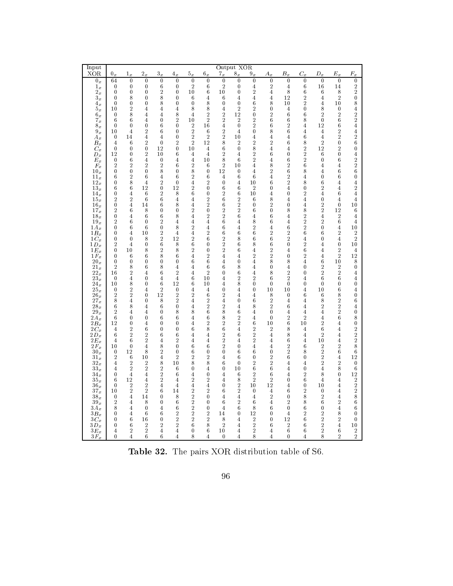| Input                            |                                  |                                    |                                  |                                            |                                             |                                            |                                             |                                             | Output XOR                                |                                           |                                             |                            |                                    |                                             |                                           |                                                      |  |
|----------------------------------|----------------------------------|------------------------------------|----------------------------------|--------------------------------------------|---------------------------------------------|--------------------------------------------|---------------------------------------------|---------------------------------------------|-------------------------------------------|-------------------------------------------|---------------------------------------------|----------------------------|------------------------------------|---------------------------------------------|-------------------------------------------|------------------------------------------------------|--|
| XOR                              | $0_x$                            | $\frac{1}{x}$                      | $_{2x}$                          | $3_x$                                      | $_{4x}$                                     | $5_x$                                      | $6_x$                                       | $7_x\,$                                     | $\mathbf{8}_x$                            | $9_x$                                     | $A_x$                                       | $B_x$                      | $C_x$                              | $D_x$                                       | $E_x$                                     | $F_x$                                                |  |
| $0_x$                            | 64                               | $\overline{0}$                     | $\overline{0}$                   | $\overline{0}$                             | $\overline{0}$                              | $\overline{0}$                             | $\overline{0}$                              | $\overline{0}$                              | $\overline{0}$                            | $\overline{0}$                            | $\overline{0}$                              | $\overline{0}$             | $\overline{0}$                     | $\overline{0}$                              | $\overline{0}$                            | $\overline{0}$                                       |  |
| $1_x$                            | $\boldsymbol{0}$                 | $\boldsymbol{0}$                   | $\bf{0}$                         | $\,6$                                      | $\boldsymbol{0}$                            | $\sqrt{2}$<br>$1\bar{0}$                   | $\,6$                                       | $\,2$                                       | $\boldsymbol{0}$<br>$\bf{0}$              | $\overline{4}$                            | $\overline{2}$                              | $\overline{4}$<br>8        | $\boldsymbol{6}$                   | $^{\rm 16}_{\rm 6}$                         | 14                                        | $\begin{smallmatrix}2\\2\\0\end{smallmatrix}$        |  |
| $2_x^{\sim}$<br>$3_x$            | $\bf{0}$<br>$\boldsymbol{0}$     | 0<br>8                             | $\bf{0}$<br>$\bf{0}$             | $\frac{2}{8}$                              | $\bf{0}$<br>$\boldsymbol{0}$                | $\boldsymbol{6}$                           | $\bar{6}$<br>$\overline{4}$                 | $10\,$<br>$\,6\,$                           | 4                                         | $\overline{\mathbf{2}}$<br>$\overline{4}$ | $\overline{4}$<br>$\overline{4}$            | 12                         | $\frac{6}{2}$                      | $\overline{4}$                              | $\frac{8}{2}$                             |                                                      |  |
| $\mathfrak{4}_x$                 | $\bf{0}$                         | $\theta$                           | $\overline{0}$                   | 8                                          | 0                                           | $\theta$                                   | $\,$ 8 $\,$                                 | 0                                           | $\overline{0}$                            | $\,6\,$                                   | 8                                           | 10                         | $\overline{2}$                     | $\overline{4}$                              | 10                                        | 8                                                    |  |
| $5_x$                            | 10                               | $\overline{2}$                     | 4                                | $\overline{4}$                             | 4                                           | 8                                          | 8                                           | $\overline{4}$                              | $\overline{2}$                            | $\overline{2}$                            | $\bf{0}$                                    | $\overline{4}$             | $\bf{0}$                           | 8                                           | $\bf{0}$                                  | $\overline{4}$                                       |  |
| $6_x$                            | $\bf{0}$                         | 8                                  | $\overline{4}$                   | $\overline{4}$                             | 8                                           | $\overline{4}$                             | $\sqrt{2}$                                  | $\,2$                                       | $1\sqrt{2}$                               | $\bf{0}$                                  | $\overline{2}$                              | $\boldsymbol{6}$           | $\boldsymbol{6}$                   | $\overline{2}$                              | $\overline{\mathbf{2}}$                   | $\frac{2}{2}$                                        |  |
| $7_x$<br>$8_x^{\degree}$         | 6<br>$\bf{0}$                    | 6<br>$\bf{0}$                      | 4<br>0                           | $\bf{0}$<br>6                              | $\overline{\mathbf{2}}$<br>$\boldsymbol{0}$ | 10<br>$\sqrt{2}$                           | $\overline{2}$<br>16                        | $\bar{2}$<br>$\overline{4}$                 | $\boldsymbol{2}$<br>$\boldsymbol{0}$      | $\overline{\mathbf{2}}$<br>$\,2$          | $\,6\,$<br>6                                | 6<br>$\sqrt{2}$            | 8<br>$\overline{4}$                | $\boldsymbol{0}$<br>12                      | 6<br>6                                    | $\sqrt{4}$                                           |  |
| $9_x$                            | 10                               | $\overline{4}$                     | $\overline{a}$                   | 6                                          | 0                                           |                                            | 6                                           |                                             | $\overline{4}$                            | $\mathbf{0}$                              | 8                                           | 6                          | $\overline{4}$                     | $\overline{4}$                              |                                           | $\overline{4}$                                       |  |
| $A_x$                            | $\bf{0}$                         | 14                                 | $\overline{4}$                   | $\overline{4}$                             | 0                                           | $\frac{2}{2}$                              | $\boldsymbol{2}$                            | $\frac{2}{2}$                               | $10\,$                                    | $\overline{4}$                            | 4                                           | 4                          | 6                                  | $\overline{4}$                              | $\frac{2}{2}$                             | $\,2$                                                |  |
| $_{B_x}$                         | $\overline{4}$                   | 6                                  | $\overline{c}$                   | $\mathbf{0}$                               | $\sqrt{2}$                                  | $\overline{a}$                             | 12                                          | 8                                           | $\overline{2}$                            | $\sqrt{2}$                                | $\overline{2}$                              | 6                          | $^8_2$                             | $\overline{2}$                              | $\overline{0}$                            | $\,6\,$                                              |  |
| $C_{x}$<br>$D_{\bm{x}}$          | $\bf{0}$<br>12                   | $\bf{0}$<br>$\mathbf{0}$           | $\bf{0}$<br>$\overline{c}$       | 12<br>10                                   | $\boldsymbol{0}$<br>6                       | 10<br>$\overline{4}$                       | $\overline{4}$<br>$\overline{4}$            | $\,6$                                       | $\boldsymbol{0}$<br>$\overline{4}$        | 8                                         | $\overline{4}$<br>6                         | $\overline{4}$<br>$\bf{0}$ |                                    | 12<br>$\,6\,$                               | $\overline{2}$<br>$\overline{0}$          | $\boldsymbol{0}$<br>$\overline{4}$                   |  |
| $E_x$                            | $\boldsymbol{0}$                 | 6                                  | $\overline{4}$                   | $\bf{0}$                                   | 4                                           | $\overline{4}$                             | $10\,$                                      | $\begin{smallmatrix}2\\8\end{smallmatrix}$  | 6                                         | $\frac{2}{2}$                             | 4                                           | 6                          | $\frac{2}{2}$                      | $\bf{0}$                                    | 6                                         | $\,2$                                                |  |
| $F_x$                            | $\overline{\mathbf{2}}$          | $\boldsymbol{2}$                   | $\overline{\mathbf{2}}$          | $\overline{c}$                             | 6                                           | $\begin{smallmatrix}2\\8\end{smallmatrix}$ | 6                                           | $\sqrt{2}$                                  | 10                                        | $\overline{4}$                            | 8                                           | $\boldsymbol{2}$           | $\boldsymbol{6}$                   | 4                                           | 4                                         | $\overline{\mathbf{2}}$                              |  |
| $10_x$                           | $\boldsymbol{0}$                 | $\boldsymbol{0}$                   | $\boldsymbol{0}$                 | 8                                          | $\boldsymbol{0}$                            |                                            | $\boldsymbol{0}$                            | 12                                          | 0                                         | $\overline{4}$                            | $\sqrt{2}$                                  | 6                          | 8                                  | 4                                           | 6                                         | $\,6\,$                                              |  |
| $11_x$<br>$12_x$                 | 6<br>0                           | $\overline{2}$<br>8                | 6<br>$\overline{4}$              | 4<br>$\,2$                                 | 6<br>$\bf{0}$                               | $\overline{\mathbf{2}}$<br>$\overline{4}$  | 6<br>$\,2$                                  | $\overline{4}$<br>$\boldsymbol{0}$          | 6<br>4                                    | 6<br>10                                   | 4<br>6                                      | $\frac{2}{2}$              | 4<br>8                             | 0<br>6                                      | 6<br>4                                    | $\bf{0}$<br>$\overline{4}$                           |  |
| $13_x$                           | 6                                | 6                                  | 12                               | $\overline{0}$                             | 12                                          | $\sqrt{2}$                                 | $\bf{0}$                                    | 6                                           | $\,6$                                     | $\overline{2}$                            | $\bf{0}$                                    | $\overline{4}$             | $\overline{0}$                     | $\overline{2}$                              | $\overline{4}$                            | $\,2$                                                |  |
| $14_x$                           | $\boldsymbol{0}$                 | $\overline{4}$                     | 6                                | $\overline{\mathbf{2}}$                    | 8                                           | $\overline{6}$                             | $\boldsymbol{0}$                            | $\overline{2}$                              | $\,6$                                     | 10                                        | $\overline{4}$                              | $\bf{0}$                   | $\overline{2}$                     | 4                                           | 6                                         | $\overline{4}$                                       |  |
| $15_x$                           | $\sqrt{2}$<br>$\bf{0}$           | $\overline{2}$<br>$\overline{4}$   | $\,6$                            | $\,6$                                      | $\overline{4}$                              | $\overline{4}$                             | $\sqrt{2}$                                  | $\,6\,$                                     | $\frac{2}{2}$                             | $\,6$                                     | $\frac{8}{2}$                               | 4                          | $\overline{4}$                     | $\boldsymbol{0}$                            | $\overline{4}$<br>$\overline{0}$          | $\overline{4}$                                       |  |
| $16_x$<br>$17_x$                 | $\sqrt{2}$                       | 6                                  | 14<br>8                          | $\,6\,$<br>$\bf{0}$                        | 8<br>$\bf{0}$                               | $\overline{4}$<br>$\sqrt{2}$               | $\overline{\mathbf{2}}$<br>$\boldsymbol{0}$ | 6                                           | $\sqrt{2}$                                | $\bf{0}$<br>6                             | $\bf{0}$                                    | $\bf{0}$<br>8              | $\overline{4}$<br>8                | $\sqrt{2}$<br>$\sqrt{2}$                    | 12                                        | $10\,$<br>6                                          |  |
| 18 <sub>x</sub>                  | $\bf{0}$                         | 4                                  | 6                                | 6                                          | 8                                           | $\overline{4}$                             | $\sqrt{2}$                                  | $\begin{array}{c} 2 \\ 2 \\ 6 \end{array}$  | 6                                         | $\overline{4}$                            | 6                                           | 4                          | $\frac{2}{2}$                      | $\overline{4}$                              | $^2_6$                                    | $\overline{4}$                                       |  |
| 19 <sub>x</sub>                  | $\sqrt{2}$                       | 6                                  | $\bf{0}$                         | $\sqrt{2}$                                 | $\overline{4}$                              | $\overline{4}$                             | $\overline{4}$                              |                                             | $\overline{4}$                            | 8                                         | 6                                           | 4                          |                                    | $\overline{2}$                              |                                           | $\overline{4}$                                       |  |
| $1A_x$<br>$1B_x$                 | $\bf{0}$<br>0                    | 6<br>4                             | 6<br>$10\,$                      | $\bf{0}$<br>$\overline{\mathbf{2}}$        | 8<br>$\overline{4}$                         | $\sqrt{2}$<br>$\overline{4}$               | $\overline{4}$<br>$\sqrt{2}$                | $\,6\,$<br>6                                | 4<br>6                                    | $\overline{2}$<br>6                       | 4<br>$\sqrt{2}$                             | 6<br>$\sqrt{2}$            | $\overline{2}$<br>$\boldsymbol{6}$ | $\bf{0}$<br>6                               | $\overline{4}$<br>$\overline{2}$          | 10<br>$\boldsymbol{2}$                               |  |
| $1C_x$                           | $\bf{0}$                         | $\mathbf{0}$                       |                                  |                                            | 12                                          |                                            | 6                                           |                                             | 8                                         | 6                                         | $\,6$                                       | $\overline{2}$             | 4                                  | $\bf{0}$                                    | $\overline{4}$                            | $\overline{2}$                                       |  |
| $1D_x$                           | $\,2$                            | $\overline{4}$                     | $_{0}^{8}$                       | $\begin{array}{c} 2 \\ 6 \end{array}$      | 8                                           | $^2_{\phantom{1}6}$                        | $\bf{0}$                                    | $\frac{2}{2}$                               | 6                                         | 8                                         | 6                                           | $\boldsymbol{0}$           | $\overline{2}$                     | 4                                           | 0                                         | $10\,$                                               |  |
| $1E_x$                           | $\bf{0}$                         | 10                                 | 8                                | $\begin{smallmatrix}2\\8\end{smallmatrix}$ | 8                                           | $\overline{2}$                             | $\bf{0}$                                    | $\begin{smallmatrix}2\2\4\end{smallmatrix}$ | 6                                         | $\overline{4}$                            | $\frac{2}{2}$                               | 4                          | 6                                  | 4                                           | $\frac{2}{2}$                             | $\overline{4}$                                       |  |
| $1F_x$<br>$20_x$                 | 0<br>$\bf{0}$                    | 6<br>$\mathbf{0}$                  | 6<br>$\overline{0}$              | $\mathbf{0}$                               | 6<br>$\bf{0}$                               | $\overline{4}$<br>6                        | $\,2$<br>$\,6\,$                            | $\overline{4}$                              | 4<br>$\bf{0}$                             | $\overline{2}$<br>$\overline{4}$          | 8                                           | $\bf{0}$<br>8              | $\overline{2}$<br>4                | $\overline{\mathbf{4}}$<br>6                |                                           | 12<br>8                                              |  |
| $21_x$                           | $\overline{2}$                   | 8                                  | 6                                | 8                                          | 4                                           | $\overline{4}$                             | 6                                           | 6                                           | 8                                         | $\overline{\mathbf{4}}$                   | $\bf{0}$                                    | $\overline{4}$             | $\bf{0}$                           | $\sqrt{2}$                                  | $\begin{array}{c} 10 \\ 2 \end{array}$    | $\boldsymbol{0}$                                     |  |
| $\bar{2}\bar{2}^x_{x}$<br>$23_x$ | 16                               | $\overline{2}$                     | 4                                | $\boldsymbol{6}$                           | $\overline{2}$                              | $\overline{4}$                             | $\boldsymbol{2}$                            | $\boldsymbol{0}$                            | 6                                         | $\overline{4}$                            | 8                                           | $\overline{2}$             | $\bf{0}$                           | $\overline{2}$                              | $^2_6$                                    | $\overline{4}$                                       |  |
|                                  | $\bf{0}$                         | $\overline{4}$                     | 0<br>$\bf{0}$                    | $\overline{4}$                             | $\overline{4}$                              | 6                                          | 10                                          | $\overline{4}$                              | $\overline{\mathbf{c}}$                   | $\overline{2}$<br>$\bf{0}$                | 6<br>$\mathbf{0}$                           | $\bar{2}$<br>$\bf{0}$      | 4<br>$\bf{0}$                      | $\,6\,$                                     | $\overline{0}$                            | $\overline{4}$                                       |  |
| $24_x$<br>$25_x$                 | 10<br>$\boldsymbol{0}$           | 8<br>$\overline{2}$                | 4                                | $\,6\,$<br>$\boldsymbol{2}$                | 12<br>$\boldsymbol{0}$                      | 6<br>$\overline{4}$                        | 10<br>$\overline{4}$                        | $\overline{4}$<br>$\bf{0}$                  | 8<br>$\overline{4}$                       | $\bf{0}$                                  | 10                                          | 10                         | 4                                  | $\boldsymbol{0}$<br>10                      | 6                                         | $\boldsymbol{0}$<br>$\overline{4}$                   |  |
| $26_x$                           | $\boldsymbol{2}$                 | $\overline{2}$                     | $\bf{0}$                         | $1\sqrt{2}$                                | $\boldsymbol{2}$                            | $\overline{2}$                             | $\,6\,$                                     | $\,2$                                       | 4                                         | $\overline{4}$                            | 8                                           | $\bf{0}$                   | 6                                  | $\,6\,$                                     | 8                                         | $\boldsymbol{0}$                                     |  |
| $27_x$                           | 8                                | $\overline{4}$                     | $\bf{0}$                         | 8                                          | $\sqrt{2}$                                  | $\overline{4}$                             |                                             | $\overline{4}$                              | 0                                         | 6                                         |                                             | 4                          | $\overline{4}$                     | 8                                           | $\overline{2}$                            | $\,6\,$                                              |  |
| $28_x$                           | $\boldsymbol{6}$<br>$\,2$        | 8<br>4                             | 4<br>4                           | $\,6$<br>$\bf{0}$                          | $\boldsymbol{0}$<br>8                       | 4<br>8                                     | $\begin{array}{c} 2 \\ 2 \\ 6 \end{array}$  | $\frac{2}{8}$                               | 4<br>6                                    | 8<br>$\overline{4}$                       | $\begin{smallmatrix}2\2\0\end{smallmatrix}$ | 6<br>$\overline{4}$        | $\overline{4}$<br>4                | $\overline{\mathbf{2}}$<br>$\overline{4}$   | $\frac{2}{2}$                             | $\overline{4}$<br>$\boldsymbol{0}$                   |  |
| $2\,9_{\,x}$<br>$2A_x$           | $\,$ 6 $\,$                      | $\bf{0}$                           | $\bf{0}$                         | 6                                          | $\,6$                                       | $\overline{4}$                             | 6                                           | 8                                           | $\boldsymbol{2}$                          | $\overline{4}$                            | $\mathbf{0}$                                | $\sqrt{2}$                 | $\overline{2}$                     | $\overline{\mathbf{4}}$                     | 6                                         | 8                                                    |  |
| $2B_x$                           | 12                               | $\bf{0}$                           | 4                                | $\bf{0}$                                   | $\boldsymbol{0}$                            | $\overline{4}$                             | $\overline{2}$                              |                                             | $\overline{2}$                            | $\,6\,$                                   | 10                                          | $\,6\,$                    | 10                                 | $\overline{2}$                              | $\overline{4}$                            | $\boldsymbol{0}$                                     |  |
| $2\ensuremath{C_x}\xspace$       | $\overline{4}$                   | $\overline{2}$                     | 6                                | 0                                          | $\bf{0}$                                    | 6                                          | $\bar{8}$                                   | $^2_{\rm 6}$                                | $\overline{4}$                            | $\overline{\mathbf{2}}$                   | $\overline{\mathbf{2}}$                     | 8                          | 4                                  | 6                                           | $\overline{\mathbf{4}}$                   | $\,2$                                                |  |
| $2D_x$                           | $\,6\,$<br>4                     | $\overline{2}$<br>$\boldsymbol{6}$ | $\frac{2}{2}$                    | 6<br>$\overline{\mathbf{4}}$               | $\,6\,$<br>$\sqrt{2}$                       | $\overline{4}$<br>$\overline{4}$           | $\overline{4}$<br>$\overline{\mathbf{4}}$   | $\frac{2}{2}$                               | 6<br>4                                    | $\overline{2}$<br>$\bar{2}$               | $\overline{4}$<br>4                         | 8<br>6                     | 4<br>4                             | $\overline{2}$<br>$10\,$                    | $\overline{4}$<br>4                       | $\frac{2}{2}$                                        |  |
| $2E_x$<br>$2F_x$                 | 10                               | $\bf{0}$                           | $\overline{4}$                   | 8                                          | $\bf{0}$                                    | $\,6\,$                                    | $\,6\,$                                     | $\overline{\mathbf{2}}$                     | $\bf{0}$                                  | $\overline{4}$                            | $\overline{4}$                              | $\overline{2}$             | 6                                  |                                             | $\overline{2}$                            | $\bf 8$                                              |  |
| $30_x\,$                         | $\boldsymbol{0}$                 | 12                                 | 8                                | $\frac{2}{4}$                              | $\bf{0}$                                    | 6                                          | $\boldsymbol{0}$                            | $\bar{0}$                                   | 6                                         | 6                                         | $\bf{0}$                                    | $\overline{2}$             | 8                                  | $\begin{smallmatrix}2\2\2\end{smallmatrix}$ | $\overline{6}$                            | $\,6\,$                                              |  |
| $31_x$                           | $\,2$                            | $6\phantom{.}6$                    | 10                               |                                            | $\,2$                                       | $\sqrt{2}$                                 | $\,2$                                       | $\overline{4}$                              | 6                                         | $\boldsymbol{0}$                          | $\,2$                                       | 6                          | $\bf{0}$                           |                                             | $\overline{4}$                            | 12                                                   |  |
| $32_x$<br>$33_x$                 | $\overline{4}$<br>$\overline{4}$ | $\overline{2}$<br>$\,2$            | $\overline{2}$<br>$\overline{2}$ | $\,$ 8 $\,$<br>$\overline{2}$              | 10<br>$\,6$                                 | 8<br>$\boldsymbol{0}$                      | $\,$ 8 $\,$<br>$\overline{4}$               | $\,6$<br>$\boldsymbol{0}$                   | $\boldsymbol{0}$<br>10                    | $\overline{2}$<br>$\,6$                   | $\overline{2}$<br>6                         | 4<br>4                     | 4<br>$\bf{0}$                      | $\overline{2}$<br>$\overline{4}$            | $\overline{2}$<br>8                       | $\bf{0}$<br>$\,6\,$                                  |  |
| $34_x$                           | $\boldsymbol{0}$                 | $\overline{4}$                     | $\overline{4}$                   | $\overline{2}$                             | 6                                           | 4                                          | $\bf{0}$                                    | $\overline{4}$                              | 6                                         | $\overline{2}$                            | 6                                           | 4                          | $\overline{2}$                     | 8                                           | 0                                         |                                                      |  |
| $35_x$                           | 6                                | 12                                 | 4                                | $\bar{2}$                                  | $\overline{4}$                              | $\overline{\mathbf{2}}$                    | $\overline{\mathbf{c}}$                     | $\overline{4}$                              | 8                                         | $\overline{2}$                            | $\overline{\mathbf{2}}$                     | $\mathbf{0}$               | 6                                  | 4                                           | 4                                         | $\begin{smallmatrix} 12 \\ 2 \\ 2 \end{smallmatrix}$ |  |
| $36_x$                           | $\bf{0}$<br>10                   | $\overline{2}$<br>$\sqrt{2}$       | $\,2$<br>$\sqrt{2}$              | $\overline{4}$<br>$\,6$                    | $\overline{4}$                              | $\overline{4}$<br>$\sqrt{2}$               | $\overline{4}$<br>$\overline{2}$            | $\boldsymbol{0}$<br>6                       | $\overline{\mathbf{2}}$<br>$\overline{2}$ | 10<br>0                                   | 12<br>$\overline{4}$                        | 4<br>6                     | 0<br>$\overline{2}$                | $10\,$<br>$\bf{0}$                          | $\overline{\mathbf{4}}$<br>$\overline{4}$ |                                                      |  |
| $37_x\,$<br>38 <sub>x</sub>      | $\bf{0}$                         | $\overline{4}$                     | 14                               | $\bf{0}$                                   | 14<br>8                                     | $\sqrt{2}$                                 | $\boldsymbol{0}$                            | $\overline{4}$                              | $\overline{4}$                            | $\overline{4}$                            | $\,2$                                       | $\boldsymbol{0}$           | 8                                  | $\,2$                                       | $\overline{\mathbf{4}}$                   | $\,2$<br>8                                           |  |
| $39_x$                           | $\frac{2}{8}$                    | 4                                  | 8                                | $\bf{0}$                                   | 6                                           | $\frac{2}{2}$                              | $\mathbf{0}$                                | $\,6\,$                                     | $\overline{2}$                            | 6                                         | $\overline{4}$                              | $\overline{2}$             | 8                                  | 6                                           |                                           | $6\phantom{.}6$                                      |  |
| $3A_x$                           |                                  | 4                                  | $\bf{0}$                         | 4                                          | 6                                           |                                            | $\bf{0}$                                    | $\overline{4}$                              | 6                                         | 8                                         | 6                                           | $\mathbf{0}$               | 6                                  | $\bf{0}$                                    | $\frac{2}{4}$                             | 6                                                    |  |
| $3B_x$                           | $\bf{0}$                         | $\overline{4}$                     | 6                                | 6                                          | $\overline{2}$<br>$\bar{2}$                 | $\frac{2}{2}$                              | $\frac{2}{2}$                               | 14                                          | $\boldsymbol{0}$                          | 12                                        | $\bf{0}$                                    | $\overline{4}$             | $\overline{2}$                     | $\frac{2}{2}$                               | 8<br>$\frac{1}{2}$                        | $\bf{0}$                                             |  |
| $3C_x$<br>$3D_x$                 | 0<br>$\bf{0}$                    | 6<br>6                             | 16                               | 0<br>$\,2$                                 | $\overline{2}$                              | $\,6$                                      | 8                                           | 8<br>$\,2$                                  | 4<br>4                                    | $\,2$<br>$\sqrt{2}$                       | 0<br>6                                      | 12<br>$\,2$                | 6<br>6                             | $\overline{2}$                              | $\overline{4}$                            | $\bf{0}$<br>10                                       |  |
| $3E_x$                           | $\overline{4}$                   | $\overline{2}$                     | $\frac{2}{2}$                    | $\overline{4}$                             | $\overline{4}$                              | $\boldsymbol{0}$                           | $\,6\,$                                     | 10                                          | 4                                         | $\bar{2}$                                 | 4                                           | $\,6\,$                    | 6                                  | $\sqrt{2}$                                  | 6                                         | $\,2$                                                |  |
| $3F_x$                           | 0                                | $\overline{4}$                     | $\,6\,$                          | 6                                          | 4                                           | 8                                          | 4                                           | 0                                           | 4                                         | 8                                         | 4                                           | 0                          | 4                                  | 8                                           | $\overline{2}$                            | $\sqrt{2}$                                           |  |

| <b>Table 32.</b> The pairs XOR distribution table of S6. |  |
|----------------------------------------------------------|--|
|----------------------------------------------------------|--|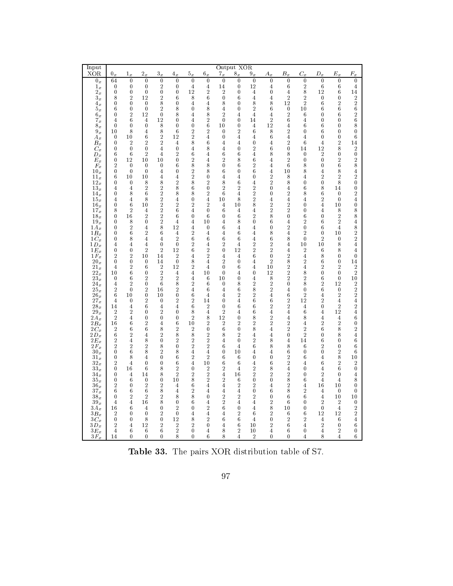| Input                                               |                                               |                                      |                                              |                                                         |                                  |                                       |                                    |                                               | Output XOR                       |                                            |                                    |                                       |                                             |                                     |                                             |                                            |  |
|-----------------------------------------------------|-----------------------------------------------|--------------------------------------|----------------------------------------------|---------------------------------------------------------|----------------------------------|---------------------------------------|------------------------------------|-----------------------------------------------|----------------------------------|--------------------------------------------|------------------------------------|---------------------------------------|---------------------------------------------|-------------------------------------|---------------------------------------------|--------------------------------------------|--|
| XOR                                                 | $0_x$                                         | $\frac{1}{x}$                        | $_{2x}$                                      | $\mathbf{3}_x$                                          | $_{4x}$                          | $5_x$                                 | $6_x\,$                            | $7_x$                                         | $8_x$                            | $9_x$                                      | $A_x$                              | $B_x$                                 | $C_x$                                       | $D_x$                               | $E_{\underline{x}}$                         | $F_x$                                      |  |
| $0_x$                                               | 64                                            | $\overline{0}$                       | $\overline{0}$                               | $\overline{0}$                                          | $\overline{0}$                   | $\overline{0}$                        | $\overline{0}$                     | $\overline{0}$                                | $\overline{0}$                   | $\overline{0}$                             | $\overline{0}$                     | $\overline{0}$                        | $\overline{0}$                              | $\overline{0}$                      | $\overline{0}$                              | $\overline{0}$                             |  |
| $1_x$                                               | $\boldsymbol{0}$                              | $\boldsymbol{0}$                     | $\bf{0}$                                     | $\sqrt{2}$                                              | $\bf{0}$                         | $\overline{4}$                        | $\overline{4}$                     | 14                                            | $\boldsymbol{0}$                 | $\begin{array}{c} 12 \\ 4 \end{array}$     | $\overline{4}$                     | 6                                     | $\begin{smallmatrix}2\8\2\end{smallmatrix}$ | $\,6$                               | 6                                           | $\overline{4}$                             |  |
| $2_x^{\sim}$<br>$\mathbf{3}_x$                      | $\boldsymbol{0}$<br>8                         | $\boldsymbol{0}$<br>$\overline{2}$   | $\boldsymbol{0}$<br>12                       | $\bar{0}$<br>$\overline{2}$                             | $\bf{0}$<br>$\,6$                | $12\,$<br>$\bf 8$                     | $\frac{2}{6}$                      | $\frac{2}{0}$                                 | $\bf{0}$<br>6                    | $\overline{4}$                             | $\boldsymbol{0}$<br>$\overline{4}$ | $\,4\,$<br>$\overline{2}$             |                                             | $1\overline{2}$<br>$\boldsymbol{0}$ | $\bar{6}$<br>0                              | 14<br>$\,2$                                |  |
| $4_x$                                               | 0                                             | $\overline{0}$                       | $\bf{0}$                                     |                                                         | 0                                | $\overline{4}$                        | $\overline{\mathbf{4}}$            | 8                                             | 0                                | 8                                          | 8                                  | 12                                    | $\overline{2}$                              | 6                                   |                                             |                                            |  |
| $5_x$                                               | 6                                             | $\bf{0}$                             | $\bf{0}$                                     | $\begin{smallmatrix}8\\2\end{smallmatrix}$              | 8                                | $\bf{0}$                              | 8                                  | $\overline{4}$                                | 0                                | $\overline{2}$                             | 6                                  | $\bf{0}$                              | 10                                          | 6                                   | $^2_6$                                      | $^2_{\phantom{1}6}$                        |  |
| $6\hspace{-0.9pt}$ $x$                              | 0                                             | $\overline{2}$                       | 12                                           | $\bf{0}$                                                | 8                                | $\overline{4}$                        | $\,$ 8 $\,$                        | $\overline{2}$                                | 4                                | $\overline{4}$                             | $\overline{4}$                     | $\overline{2}$                        | 6                                           | 0                                   | 6                                           | $\overline{2}$                             |  |
| $7\hspace{-4.5pt}/\hspace{2pt}x$<br>$8_x^{\degree}$ | $\overline{4}$<br>0                           | $\,6\,$<br>$\bf{0}$                  | $\overline{\mathbf{4}}$<br>$\bf{0}$          | $1\sqrt{2}$<br>8                                        | $\bf{0}$<br>0                    | $\overline{4}$<br>0                   | $\overline{2}$<br>$\,$ 6 $\,$      | $\bf{0}$<br>10                                | 0<br>0                           | 14<br>$\overline{4}$                       | $\overline{2}$<br>12               | $\,6\,$<br>4                          | $\overline{4}$<br>6                         | $\bf{0}$<br>6                       | 0<br>0                                      | $\,$ 6 $\,$<br>8                           |  |
| $9_x$                                               | 10                                            | 8                                    | 4                                            |                                                         | 6                                |                                       | $\overline{2}$                     | $\bf{0}$                                      | $\overline{2}$                   | 6                                          | 8                                  | $\sqrt{2}$                            | 0                                           | 6                                   | 0                                           | $\bf{0}$                                   |  |
| $A_x$                                               | $\bf{0}$                                      | $10\,$                               | 6                                            | $\frac{8}{2}$                                           | 12                               | $\frac{2}{2}$                         | $\overline{4}$                     | $\boldsymbol{0}$                              | $\overline{4}$                   | $\overline{4}$                             | 6                                  | $\overline{4}$                        | 4                                           | $\bf{0}$                            | 0                                           | 6                                          |  |
| $_{B_x}$                                            | $\boldsymbol{0}$                              | $\overline{2}$                       | $\overline{2}$                               | $\overline{2}$                                          | $\overline{4}$                   | 8                                     | $\,6$                              | $\overline{4}$                                | 4                                | $\bf{0}$                                   | 4                                  | $\sqrt{2}$                            | $\boldsymbol{6}$                            | 4                                   | $\overline{2}$                              | 14                                         |  |
| $C_{x}$<br>$D_{\bm{x}}$                             | $\bf{0}$<br>6                                 | $\boldsymbol{0}$<br>$\boldsymbol{6}$ | $\boldsymbol{0}$<br>$\overline{a}$           | $\overline{4}$<br>$\overline{4}$                        | 0<br>$\boldsymbol{2}$            | $\overline{4}$<br>$\,6$               | 8<br>$\overline{4}$                | $\overline{4}$<br>$\,6$                       | 0<br>6                           | $\,2$<br>$\overline{4}$                    | 6<br>8                             | $\boldsymbol{0}$<br>8                 | 14<br>$\bf{0}$                              | 12<br>$\overline{\mathbf{2}}$       | 8<br>$\overline{0}$                         | $\,2$<br>$\boldsymbol{0}$                  |  |
| $E_x$                                               | $\boldsymbol{0}$                              | 12                                   | 10                                           | 10                                                      | $\boldsymbol{0}$                 | $\,2$                                 | $\overline{4}$                     | $\,2$                                         | 8                                | $\,6\,$                                    | $\overline{4}$                     | $\,2$                                 | $\bf{0}$                                    | $\boldsymbol{0}$                    | $\overline{2}$                              | $\,2$                                      |  |
| $F_x$                                               | $\sqrt{2}$                                    | $\bf{0}$                             | 0                                            | $\bf{0}$                                                | 6                                | 8                                     | 8                                  | $\boldsymbol{0}$                              | 6                                | $\boldsymbol{2}$                           | $\overline{\mathbf{4}}$            | 6                                     | 8                                           | $\bf{0}$                            | 6                                           | 8                                          |  |
| $10_x$                                              | $\boldsymbol{0}$                              | $\bf{0}$                             | $\bf{0}$                                     | 4                                                       | $\boldsymbol{0}$                 | $\sqrt{2}$<br>$\overline{\mathbf{2}}$ | 8<br>$\bf{0}$                      | 6                                             | 0                                | $\,6$<br>$\bf{0}$                          | 4                                  | $10\,$                                | 8                                           | 4                                   | 8                                           | $\overline{4}$                             |  |
| $11_x$<br>12 <sub>x</sub>                           | 6<br>0                                        | $10\,$<br>$\bf{0}$                   | 10<br>8                                      | $\overline{4}$<br>8                                     | 4<br>$\overline{2}$              | 8                                     | $\,2$                              | $\overline{\mathbf{4}}$<br>8                  | 4<br>6                           | $\overline{4}$                             | $\frac{2}{2}$                      | 8<br>8                                | 4<br>$\bf{0}$                               | $\overline{2}$<br>$\boldsymbol{0}$  | $\frac{2}{8}$                               | $\,2$<br>$\boldsymbol{0}$                  |  |
| $13_x\,$                                            | 4                                             | $\overline{4}$                       | $\overline{2}$                               |                                                         | 8                                | 6                                     | $\overline{0}$                     | $\sqrt{2}$                                    | $\overline{2}$                   | $\sqrt{2}$                                 | $\bf{0}$                           | 4                                     | 6                                           | 8                                   | 14                                          | $\mathbf{0}$                               |  |
| $14_x$                                              | 0                                             | 8                                    | $\overline{6}$                               |                                                         | 8                                | 8                                     | $\sqrt{2}$                         | $\,6\,$                                       | $\overline{4}$                   | $\overline{2}$                             | $\boldsymbol{0}$                   | $\overline{2}$                        | 8                                           | $\,6$                               | 0                                           | $\,2$                                      |  |
| $15_x\,$<br>$16_x$                                  | $\overline{4}$<br>0                           | $\overline{4}$<br>6                  | 8<br>10                                      |                                                         | $\overline{4}$<br>$\overline{2}$ | $\bf{0}$<br>$\overline{2}$            | $\overline{4}$<br>$\sqrt{2}$       | 10<br>$\overline{4}$                          | 8<br>$10\,$                      | $\,2$<br>8                                 | $\overline{\mathbf{4}}$            | $\overline{4}$<br>$\overline{2}$      | $\overline{4}$<br>0                         | $\sqrt{2}$<br>$\overline{4}$        | $\bf{0}$<br>10                              | $\overline{4}$<br>$\boldsymbol{0}$         |  |
| $17_x$                                              | 8                                             | 2                                    | $\overline{4}$                               | $\frac{2}{2}$ $\frac{2}{2}$ $\frac{2}{2}$ $\frac{2}{2}$ | $\,6$                            | $\overline{4}$                        | $\boldsymbol{0}$                   | 6                                             | $\overline{4}$                   | $\overline{4}$                             | $\frac{2}{2}$                      | $\overline{2}$                        | 0                                           | 4                                   | 8                                           | 8                                          |  |
| $18\,x$                                             | $\bf{0}$                                      | 16                                   | $\overline{2}$                               |                                                         | 6                                | $\bf{0}$                              | 6                                  | $\bf{0}$                                      | $\,6$                            | $\overline{2}$                             | 8                                  | $\mathbf{0}$                          | 6                                           | 0                                   | $\frac{2}{2}$                               | 8                                          |  |
| 19 <sub>x</sub>                                     | $\bf{0}$                                      | 8                                    | $\boldsymbol{0}$                             |                                                         | $\overline{4}$                   | $\overline{4}$                        | 10                                 | $\overline{4}$                                | 8                                | $\bf{0}$                                   | $\,$ 6 $\,$                        | 4                                     | $\overline{2}$                              | 6                                   |                                             | $\overline{4}$                             |  |
| $1A_x$<br>$1B_x$                                    | 0<br>0                                        | $\overline{2}$<br>6                  | 4<br>$\sqrt{2}$                              | $^8_6$                                                  | 12<br>$\overline{4}$             | $\overline{4}$<br>$\,2$               | $\bf{0}$<br>$\overline{4}$         | 6<br>$\overline{4}$                           | 4<br>6                           | 4<br>$\overline{4}$                        | $\bf{0}$<br>8                      | $\overline{2}$<br>$\overline{4}$      | $\bf{0}$<br>$\overline{2}$                  | 6<br>$\bf{0}$                       | $\overline{4}$<br>$10\,$                    | $\begin{smallmatrix}8\\2\end{smallmatrix}$ |  |
| $1C_x$                                              | $\bf{0}$                                      | 8                                    | $\overline{4}$                               | $\overline{4}$                                          | $\boldsymbol{2}$                 | 6                                     | 6                                  | 6                                             | 6                                | 4                                          | $\,6$                              | 8                                     | $\mathbf{0}$                                | $\overline{2}$                      | $\bf{0}$                                    | $\,2$                                      |  |
| $1D_x$                                              | 4                                             | $\overline{\mathbf{4}}$              | $\overline{4}$                               | $\bf{0}$                                                | $\bf{0}$                         | $\,2$                                 | $\overline{4}$                     | $\overline{2}$                                | 4                                | $\overline{2}$                             | $\overline{2}$                     | $\overline{4}$                        | 10                                          | $10\,$                              | 8                                           | $\overline{4}$                             |  |
| $1E_x$                                              | $\bf{0}$<br>$\overline{2}$                    | $\bf{0}$<br>$\sqrt{2}$               | $\overline{2}$<br>$1\bar{0}$                 | $\overline{2}$<br>14                                    | 12<br>$\,2$                      | 6<br>$\overline{4}$                   | $\frac{2}{2}$                      | $\boldsymbol{0}$<br>$\overline{4}$            | $12\,$<br>4                      | $\overline{2}$<br>$\,6\,$                  | $\overline{2}$<br>$\overline{0}$   | $\overline{4}$<br>$\sqrt{2}$          | $\overline{2}$<br>$\overline{4}$            | 6<br>8                              | 8<br>$\bf{0}$                               | $\overline{4}$<br>$\boldsymbol{0}$         |  |
| $1F_x$<br>$20_x$                                    | $\bf{0}$                                      | $\bf{0}$                             | $\mathbf{0}$                                 | 14                                                      | $\bf{0}$                         | 8                                     | $\overline{4}$                     | $\overline{2}$                                | $\bf{0}$                         | $\overline{4}$                             | $\overline{2}$                     | 8                                     | $\overline{2}$                              | 6                                   | $\bf{0}$                                    | 14                                         |  |
| $21_x$                                              | $\overline{4}$                                | $\sqrt{2}$                           | 6                                            | $\frac{2}{2}$                                           | 12                               | $\overline{2}$                        | $\overline{4}$                     | $\boldsymbol{0}$                              | 6                                | $\overline{\mathbf{4}}$                    | 10                                 | $\frac{1}{2}$                         | $\overline{4}$                              | $\overline{2}$                      | $\overline{2}$                              | $\,2$                                      |  |
| $22_x$                                              | 10                                            | $\,6\,$                              | 0                                            |                                                         | $\overline{4}$                   | $\overline{4}$                        | 10                                 | $\bf{0}$                                      | 4                                | $\boldsymbol{0}$                           | 12                                 | $\overline{2}$                        | 8                                           | $\boldsymbol{0}$                    | $\boldsymbol{0}$                            | $\overline{2}$                             |  |
| $\bar{2}\bar{3}^x_x$<br>$24_x$                      | 0<br>$\overline{4}$                           | 6<br>$\overline{2}$                  | $\overline{a}$<br>$\bf{0}$                   | $\frac{2}{6}$                                           | $\sqrt{2}$<br>8                  | $\overline{4}$<br>$\overline{2}$      | 6<br>6                             | $10\,$<br>$\bf{0}$                            | 0<br>8                           | 4<br>$\overline{2}$                        | $\frac{8}{2}$                      | $\bar{2}$<br>$\bf{0}$                 | $\overline{2}$<br>8                         | 6<br>$\boldsymbol{2}$               | $\bf{0}$<br>12                              | $1\bar{0}$<br>$\,2$                        |  |
| $25_x$                                              | $\overline{2}$                                | $\mathbf{0}$                         |                                              | 16                                                      | $\boldsymbol{2}$                 | $\overline{4}$                        | 6                                  | $\overline{4}$                                | $\,6\,$                          |                                            | $\boldsymbol{2}$                   | $\overline{4}$                        | $\bf{0}$                                    | 6                                   | $\boldsymbol{0}$                            |                                            |  |
| $26_x$                                              | $\,6\,$                                       | 10                                   | $\begin{smallmatrix} 2\ 0 \end{smallmatrix}$ | 10                                                      | $\bf{0}$                         | $\,6\,$                               | $\overline{4}$                     | $\overline{4}$                                | $\overline{2}$                   | $\begin{smallmatrix}8\\2\end{smallmatrix}$ | $\overline{4}$                     | $\,6\,$                               | $\overline{2}$                              | $\overline{4}$                      | $\overline{2}$                              | $\frac{2}{2}$                              |  |
| $27_x$                                              | $\overline{4}$                                | $\bf{0}$<br>$\overline{4}$           | $\overline{2}$<br>$\boldsymbol{6}$           | $\bf{0}$<br>$\overline{4}$                              | $\overline{2}$<br>$\overline{4}$ | $\overline{2}$<br>$\,6\,$             | 14                                 | $\boldsymbol{0}$<br>$\boldsymbol{0}$          | $\overline{4}$<br>6              | $\,6\,$<br>6                               | 6<br>$\overline{2}$                | $\overline{2}$<br>$\overline{2}$      | 12<br>$\overline{4}$                        | $\overline{2}$<br>$\boldsymbol{0}$  | $\overline{4}$<br>$\overline{2}$            | $\overline{4}$<br>$\,2$                    |  |
| $28_x$<br>$29_x$                                    | 14<br>$\overline{2}$                          | $\overline{2}$                       | $\bf{0}$                                     | $\overline{2}$                                          | $\boldsymbol{0}$                 | 8                                     | $\boldsymbol{2}$<br>$\overline{4}$ | $\overline{2}$                                | 4                                | 6                                          | $\overline{4}$                     | $\overline{4}$                        | $\boldsymbol{6}$                            | $\overline{4}$                      | 12                                          | $\overline{4}$                             |  |
| $2A_x$                                              | $\overline{\mathbf{2}}$                       | $\overline{4}$                       | $\overline{0}$                               | $\mathbf{0}$                                            | $\bf{0}$                         | $\sqrt{2}$                            | $\bf 8$                            | $12\,$                                        | $\boldsymbol{0}$                 | 8                                          | $\overline{2}$                     | $\overline{4}$                        | 8                                           | 4                                   | $\overline{4}$                              | $\,6$                                      |  |
| $2B_x$                                              | 16                                            | 6                                    | $\overline{2}$                               | $\overline{4}$                                          | $\,6\,$                          | 10                                    | $\sqrt{2}$                         | $\begin{array}{c} 2 \\ 6 \end{array}$         | $\overline{2}$                   | $\overline{2}$                             | $\sqrt{2}$                         | $\overline{2}$                        | $\overline{4}$                              | $\overline{2}$                      | $\overline{2}$                              | $\boldsymbol{0}$                           |  |
| $2\ensuremath{C_x}\xspace$<br>$2D_x$                | $\overline{2}$<br>$\,$ 6 $\,$                 | 6<br>$\overline{2}$                  | $\overline{6}$<br>$\overline{4}$             | 8<br>$\overline{2}$                                     | $\overline{\mathbf{2}}$<br>8     | $\sqrt{2}$<br>8                       | $\overline{0}$<br>$\sqrt{2}$       | 8                                             | $\bf{0}$<br>$\overline{2}$       | 8<br>$\overline{4}$                        | $\overline{4}$<br>$\overline{4}$   | $\bar{2}$<br>$\bf{0}$                 | $\overline{2}$<br>$\overline{2}$            | 6<br>$\boldsymbol{0}$               | $\bar{8}$<br>8                              | $\,2$<br>$\overline{4}$                    |  |
| $2\boldsymbol{E}_{x}$                               | $\overline{2}$                                | $\overline{4}$                       | 8                                            | $\bf{0}$                                                | $\overline{2}$                   | $\overline{2}$                        | $\bar{2}$                          | $\overline{4}$                                | $\mathbf{0}$                     | $\overline{2}$                             | 8                                  | $\overline{4}$                        | 14                                          | 6                                   | $\overline{0}$                              | 6                                          |  |
| $2F_x$                                              | $\begin{smallmatrix} 2 \ 0 \end{smallmatrix}$ | $\overline{2}$                       | $\overline{2}$                               | 8                                                       | $\bf{0}$                         | $\overline{2}$                        | $\sqrt{2}$                         | $\,6\,$                                       | $\overline{4}$                   | $\,6\,$                                    | 8                                  | 8                                     | $\boldsymbol{6}$                            | $\overline{2}$                      | 0                                           | $\,6\,$                                    |  |
| $30_x$                                              |                                               | 6                                    | $\overline{8}$                               | $\frac{2}{0}$                                           | 8                                | $\overline{4}$                        | $\overline{4}$                     | $\bf{0}$                                      | $10\,$                           | 4                                          | 4                                  | 6                                     | 0                                           | $\boldsymbol{0}$                    | $\frac{2}{8}$                               | 6                                          |  |
| $31_x$<br>$32_x$                                    | $\boldsymbol{0}$<br>$\overline{2}$            | 8<br>$\overline{4}$                  | $\overline{4}$<br>$\boldsymbol{0}$           | $\bf{0}$                                                | $\,6\,$<br>$\,6\,$               | $\,2$<br>$\overline{4}$               | $\overline{2}$<br>10               | $\,6\,$<br>$\,6\,$                            | 6<br>6                           | $\boldsymbol{0}$<br>$\overline{4}$         | $\bf{0}$<br>6                      | $\sqrt{2}$<br>$\overline{\mathbf{2}}$ | 6<br>4                                      | 4<br>6                              | $\overline{2}$                              | 10<br>$\boldsymbol{2}$                     |  |
| $33_x$                                              | $\boldsymbol{0}$                              | 16                                   | $\,6\,$                                      | 8                                                       | $\,2$                            | $\boldsymbol{0}$                      | $\,2$                              | $\,2$                                         | $\overline{4}$                   | $\sqrt{2}$                                 | 8                                  | $\overline{4}$                        | $\bf{0}$                                    | 4                                   | 6                                           | $\boldsymbol{0}$                           |  |
| $34_x$                                              | 0                                             | 4                                    | 14                                           | 8                                                       | $\overline{\mathbf{2}}$          | $\overline{2}$                        | $\frac{2}{2}$                      | $\overline{4}$                                | 16                               | $\overline{2}$                             | $\overline{2}$                     | $\overline{2}$                        | 0                                           | $\overline{2}$                      | 0                                           | $\overline{4}$                             |  |
| $35_x$<br>$36_x$                                    | $\bf{0}$<br>$\,2$                             | 6<br>$\bf{0}$                        | 0<br>$\overline{2}$                          | $\overline{0}$<br>$\,2$                                 | 10<br>$\overline{4}$             | 8<br>6                                | $\overline{4}$                     | $\overline{\mathbf{2}}$<br>$\overline{4}$     | 6<br>$\,2$                       | $\mathbf{0}$<br>$\overline{2}$             | $\overline{0}$<br>4                | 8<br>$\,2$                            | 6<br>4                                      | $\overline{4}$<br>16                | 4<br>10                                     | 8<br>$\bf{0}$                              |  |
| $37_x\,$                                            | 6                                             | 6                                    | $\boldsymbol{6}$                             | $\,$ 8 $\,$                                             | $\overline{4}$                   | $\overline{2}$                        | $\overline{4}$                     | $\overline{4}$                                | $\overline{4}$                   | $\mathbf{0}$                               | 6                                  | 8                                     | $\overline{2}$                              | $\overline{4}$                      | $\bf{0}$                                    | $\bf{0}$                                   |  |
| $38_x$                                              | $\boldsymbol{0}$                              | $\overline{2}$                       | $\overline{2}$                               | $\frac{1}{2}$                                           | 8                                | 8                                     | $\boldsymbol{0}$                   |                                               | $\overline{2}$                   | $\,2$                                      | $\bf{0}$                           | 6                                     | 6                                           | $\overline{\mathbf{4}}$             | 10                                          | $10\,$                                     |  |
| $39_x$                                              | $\overline{4}$                                | $\overline{4}$                       | 16                                           | $_{0}^{8}$                                              | $\bf{0}$<br>$\overline{2}$       | 6                                     | $\overline{4}$<br>$\overline{2}$   | $\begin{smallmatrix}2\2\2\6\end{smallmatrix}$ | $\overline{4}$                   | $\overline{4}$                             | $\frac{2}{8}$                      | 6                                     | $\bf{0}$                                    | $\overline{2}$                      | $\begin{smallmatrix}2\2\4\end{smallmatrix}$ | $\bf{0}$<br>$\overline{2}$                 |  |
| $3A_x$<br>$3B_x$                                    | 16                                            | 6<br>0                               | $\overline{4}$<br>$\bf{0}$                   | $\overline{2}$                                          | $\bf{0}$                         | $\bf{0}$<br>$\overline{4}$            | $\overline{4}$                     | 4                                             | 0<br>$\overline{2}$              | $\overline{4}$<br>6                        |                                    | $10\,$<br>6                           | 0<br>6                                      | $\boldsymbol{0}$<br>$12\,$          | 12                                          | $\,2$                                      |  |
| $3C_x$                                              | $^2_{\rm 0}$                                  | 0                                    | 8                                            | $\bar{0}$                                               | 12                               | 8                                     | $\sqrt{2}$                         | 6                                             | 6                                | 4                                          | $^2_{\rm 0}$                       | $\sqrt{2}$                            | $\overline{2}$                              | $\overline{\mathbf{4}}$             | 6                                           | $\overline{4}$                             |  |
| $3D_x$                                              | $\sqrt{2}$                                    | 4                                    | 12                                           | $\begin{smallmatrix}2\0\0\end{smallmatrix}$             | $\overline{\mathbf{c}}$          | $\sqrt{2}$                            | $\boldsymbol{0}$                   | 4                                             | $\,6$                            | 10                                         | $\,2$                              | 6                                     | $\overline{4}$                              | $\,2$                               | $\bf{0}$                                    | 6                                          |  |
| $3E_x$                                              | $\overline{4}$                                | 6                                    | $\,6$<br>$\boldsymbol{0}$                    | $\bf{0}$                                                | $\overline{2}$<br>8              | $\boldsymbol{0}$                      | $\overline{4}$                     | 8<br>8                                        | $\overline{2}$<br>$\overline{4}$ | 10<br>$\overline{2}$                       | $\overline{4}$                     | 6                                     | $\boldsymbol{0}$                            | $\overline{4}$                      | $\overline{2}$                              | $\boldsymbol{0}$                           |  |
| $3F_x$                                              | 14                                            | 0                                    |                                              |                                                         |                                  | 0                                     | 6                                  |                                               |                                  |                                            | 0                                  | 0                                     | 4                                           | 8                                   | 4                                           | 6                                          |  |

|  |  | <b>Table 33.</b> The pairs XOR distribution table of S7. |  |
|--|--|----------------------------------------------------------|--|
|  |  |                                                          |  |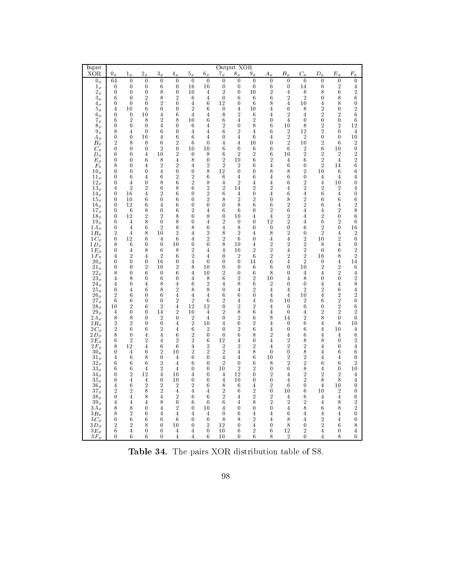| XOR<br>$2\,x$<br>$6\underline{x}$<br>$\mathbf{8}_x$<br>$9_{\,x}$<br>$B_x$<br>$C_x$<br>$D_x$<br>$F_x$<br>$0_x$<br>$\mathbf{3}_x$<br>$4_{\underline{x}}$<br>$5_x$<br>$\underline{A_x}$<br>$E_{\underline{x}}$<br>$1_{x}$<br>$7_x$<br>$\overline{0}$<br>$\overline{0}$<br>$0_x$<br>64<br>$\overline{0}$<br>$\overline{0}$<br>$\overline{0}$<br>$\overline{0}$<br>$\overline{0}$<br>$\overline{0}$<br>$\overline{0}$<br>$\overline{0}$<br>$\overline{0}$<br>$\overline{0}$<br>$\overline{0}$<br>$\overline{0}$<br>$\overline{0}$<br>$\,6$<br>$\boldsymbol{0}$<br>$\begin{array}{c} 2 \\ 6 \end{array}$<br>$\boldsymbol{0}$<br>$\boldsymbol{0}$<br>$\boldsymbol{0}$<br>16<br>10<br>$\boldsymbol{0}$<br>$\boldsymbol{0}$<br>$\boldsymbol{0}$<br>$\,6\,$<br>$\boldsymbol{0}$<br>14<br>$\,6\,$<br>$\overline{4}$<br>$1_x$<br>$\overline{2}$<br>8<br>$\bf{0}$<br>$\overline{\mathbf{2}}$<br>$\begin{array}{c} 2 \\ 6 \end{array}$<br>$\frac{8}{2}$<br>$2_x^-$<br>10<br>$\bf{0}$<br>10<br>$\boldsymbol{0}$<br>$\mathbf{0}$<br>$\boldsymbol{0}$<br>$\overline{\mathbf{4}}$<br>8<br>$\overline{\mathbf{4}}$<br>8<br>$\boldsymbol{0}$<br>8<br>$\mathbf{3}_x$<br>$\boldsymbol{6}$<br>$\overline{2}$<br>$\,2$<br>$\,6\,$<br>$\,2$<br>$\boldsymbol{0}$<br>$\,6$<br>$\bf{0}$<br>$\overline{4}$<br>6<br>6<br>$\overline{2}$<br>8<br>$\bf{0}$<br>8<br>$\bf{0}$<br>$\mathbf{0}$<br>$\mathbf{0}$<br>$\bf{0}$<br>6<br>12<br>$\bf{0}$<br>$\overline{4}$<br>10<br>$\mathfrak{4}_x$<br>$\overline{4}$<br>6<br>$\overline{4}$<br>$\boldsymbol{0}$<br>$\boldsymbol{2}$<br>$\,2$<br>$\boldsymbol{0}$<br>$\,2$<br>$\overline{4}$<br>$10\,$<br>6<br>0<br>6<br>$\bf{0}$<br>$\overline{4}$<br>10<br>$\overline{4}$<br>6<br>8<br>$5_x$<br>$\overline{2}$<br>$\overline{2}$<br>$^2_{\rm 0}$<br>6<br>$\bf{0}$<br>$\mathbf{0}$<br>10<br>$\overline{4}$<br>6<br>$\overline{4}$<br>8<br>$\boldsymbol{2}$<br>$6_x$<br>$\overline{4}$<br>6<br>4<br>$\overline{4}$<br>$\overline{2}$<br>$\overline{2}$<br>$\,2$<br>8<br>$\,6$<br>$\bf{0}$<br>$7_x$<br>6<br>8<br>10<br>6<br>$\overline{4}$<br>$\bf{0}$<br>$\overline{4}$<br>$\bf{0}$<br>6<br>$\overline{2}$<br>$\boldsymbol{0}$<br>$\mathbf{0}$<br>$\overline{4}$<br>$\overline{2}$<br>$\boldsymbol{0}$<br>8<br>10<br>$\overline{2}$<br>12<br>$\mathbf{8}_x$<br>$\bf{0}$<br>0<br>6<br>$\overline{4}$<br>6<br>8<br>$\overline{6}$<br>$\bf{0}$<br>$\overline{2}$<br>$\overline{\mathbf{2}}$<br>$\,6\,$<br>$\overline{2}$<br>12<br>$9_x$<br>8<br>4<br>$\bf{0}$<br>0<br>$\overline{4}$<br>$\overline{4}$<br>$\overline{4}$<br>6<br>$\overline{4}$<br>$\boldsymbol{0}$<br>$\bf{0}$<br>16<br>$\,6\,$<br>$\,6\,$<br>$\boldsymbol{0}$<br>$\overline{4}$<br>$\boldsymbol{2}$<br>$\overline{2}$<br>$\boldsymbol{0}$<br>$\bf{0}$<br>10<br>$A_x$<br>$\overline{4}$<br>$\overline{4}$<br>6<br>4<br>$\overline{2}$<br>$\,2$<br>$\bf{0}$<br>$\,6\,$<br>$\overline{2}$<br>10<br>$\,2$<br>$B_x$<br>8<br>6<br>$\bf{0}$<br>4<br>$\overline{4}$<br>10<br>$\bf{0}$<br>6<br>$\boldsymbol{2}$<br>$C_x$<br>$\sqrt{2}$<br>$\boldsymbol{0}$<br>$\boldsymbol{0}$<br>$\overline{2}$<br>$\boldsymbol{0}$<br>$\,6\,$<br>$\bf{0}$<br>$\,6\,$<br>$\,6\,$<br>$\,6\,$<br>$\,6\,$<br>$\boldsymbol{0}$<br>0<br>10<br>10<br>$10\,$<br>$\overline{2}$<br>$\overline{\mathbf{2}}$<br>10<br>$\overline{2}$<br>$\overline{2}$<br>$\overline{2}$<br>$\overline{\mathbf{2}}$<br>$\,6\,$<br>$\,2$<br>$D_x$<br>$E_x$<br>6<br>0<br>$\overline{4}$<br>$\bf{0}$<br>8<br>6<br>10<br>$\overline{2}$<br>$\overline{2}$<br>$\overline{4}$<br>$\overline{2}$<br>$\bf{0}$<br>6<br>8<br>$\overline{4}$<br>8<br>$\boldsymbol{0}$<br>10<br>$\,6\,$<br>$\overline{2}$<br>6<br>0<br>$\overline{4}$<br>$\overline{2}$<br>$\overline{2}$<br>$\overline{2}$<br>$\overline{2}$<br>$\overline{2}$<br>$\boldsymbol{0}$<br>$\,6$<br>$F_x$<br>$10_x$<br>8<br>0<br>$\overline{4}$<br>$\overline{4}$<br>$\overline{2}$<br>6<br>$\overline{4}$<br>6<br>14<br>$\bf{0}$<br>$\boldsymbol{0}$<br>$\overline{4}$<br>$\boldsymbol{0}$<br>$\bf{0}$<br>8<br>12<br>$\boldsymbol{0}$<br>$\bf{0}$<br>8<br>$\overline{2}$<br>10<br>0<br>8<br>6<br>6<br>$\overline{2}$<br>$\overline{2}$<br>$\,6\,$<br>$\bf{0}$<br>$11_x$<br>$\bf{0}$<br>6<br>$\overline{4}$<br>6<br>6<br>$\overline{4}$<br>6<br>$\overline{4}$<br>6<br>$\overline{\mathbf{4}}$<br>$\overline{4}$<br>$\overline{4}$<br>$\overline{2}$<br>12 <sub>x</sub><br>$\bf{0}$<br>$\bf{0}$<br>8<br>$\,6\,$<br>8<br>$\overline{4}$<br>$\overline{2}$<br>$\overline{4}$<br>$\overline{2}$<br>$\overline{4}$<br>10<br>$\boldsymbol{0}$<br>$\overline{4}$<br>$\overline{4}$<br>6<br>$\frac{2}{2}$<br>$\overline{2}$<br>$\,$ 6 $\,$<br>$\,$ 6 $\,$<br>$\overline{2}$<br>$\sqrt{2}$<br>$\sqrt{2}$<br>$\overline{2}$<br>8<br>$\overline{\mathbf{c}}$<br>$\overline{2}$<br>$\overline{2}$<br>$13_x$<br>4<br>14<br>4<br>4<br>$\overline{2}$<br>$\,6$<br>16<br>$\overline{4}$<br>$\,6\,$<br>$\bf{0}$<br>$\boldsymbol{0}$<br>$\overline{4}$<br>$\overline{4}$<br>$\,6\,$<br>$\overline{4}$<br>$\boldsymbol{0}$<br>$14_x$<br>$\bf{0}$<br>$\overline{4}$<br>6<br>$\overline{2}$<br>$\overline{2}$<br>$\bf{0}$<br>$\sqrt{2}$<br>$\overline{2}$<br>$\bf{0}$<br>6<br>$\bf{0}$<br>10<br>6<br>6<br>$\bf{0}$<br>8<br>8<br>6<br>$15_x$<br>6<br>$\overline{2}$<br>$\overline{\mathbf{2}}$<br>$\bf{0}$<br>$\bf 8$<br>$\overline{2}$<br>12<br>$\bf{0}$<br>$16_x\,$<br>$\bf{0}$<br>6<br>$\overline{4}$<br>6<br>$\bf{0}$<br>6<br>6<br>6<br>4<br>8<br>$\bf{0}$<br>6<br>$\overline{2}$<br>$\overline{2}$<br>6<br>$\overline{4}$<br>$\overline{2}$<br>8<br>$17_x$<br>$\bf{0}$<br>6<br>$\overline{4}$<br>6<br>6<br>$\bf{0}$<br>$\overline{4}$<br>$\frac{1}{2}$<br>$\bf{0}$<br>12<br>$\overline{2}$<br>8<br>$\bf{0}$<br>8<br>$\boldsymbol{0}$<br>$\,2$<br>$\,2$<br>18 <sub>x</sub><br>$\bf{0}$<br>10<br>$\overline{4}$<br>$\overline{4}$<br>4<br>6<br>8<br>$\overline{2}$<br>$\overline{2}$<br>$\overline{2}$<br>19 <sub>x</sub><br>6<br>$\overline{4}$<br>$\bf{0}$<br>8<br>$\overline{4}$<br>$\bf{0}$<br>$\bf{0}$<br>12<br>$\overline{4}$<br>6<br>$\,6\,$<br>0<br>$\bf{0}$<br>$\sqrt{2}$<br>6<br>8<br>$\boldsymbol{0}$<br>$\overline{4}$<br>8<br>$\bf{0}$<br>$\bf{0}$<br>$\overline{2}$<br>$1A_x$<br>$\bf{0}$<br>$\overline{4}$<br>8<br>$\bf{0}$<br>6<br>16<br>10<br>$\overline{2}$<br>$\overline{2}$<br>$1B_x$<br>$\overline{2}$<br>$\overline{4}$<br>8<br>$\overline{4}$<br>8<br>$\boldsymbol{2}$<br>8<br>$\overline{2}$<br>$\boldsymbol{0}$<br>$\overline{2}$<br>$\overline{4}$<br>$\overline{2}$<br>4<br>$\overline{2}$<br>$\overline{2}$<br>$\boldsymbol{0}$<br>$\,6$<br>$\overline{2}$<br>$\overline{2}$<br>12<br>6<br>6<br>$\overline{4}$<br>10<br>$\boldsymbol{0}$<br>$1C_x$<br>$\overline{4}$<br>$\overline{4}$<br>$\bf{0}$<br>$\overline{4}$<br>8<br>$\bf{0}$<br>$\overline{2}$<br>$\overline{2}$<br>$\overline{2}$<br>$\overline{4}$<br>$1D_x$<br>8<br>$\boldsymbol{6}$<br>$\bf{0}$<br>$\bf{0}$<br>10<br>$\bf{0}$<br>10<br>$\overline{4}$<br>8<br>$\boldsymbol{0}$<br>$\frac{5}{2}$<br>$\overline{2}$<br>$\sqrt{2}$<br>$\sqrt{2}$<br>$\overline{2}$<br>6<br>$1E_x$<br>$\boldsymbol{0}$<br>$\,6\,$<br>8<br>$\overline{4}$<br>10<br>$\overline{4}$<br>$\bf{0}$<br>$\overline{4}$<br>8<br>$\overline{4}$<br>$\overline{\mathbf{2}}$<br>$\overline{\mathbf{2}}$<br>$1\tilde{F_x}$<br>$\sqrt{2}$<br>$\sqrt{2}$<br>$\sqrt{2}$<br>8<br>$\,2$<br>$\overline{4}$<br>$\,6$<br>$\overline{4}$<br>$\bf{0}$<br>$\,2$<br>6<br>16<br>4<br>$\overline{\mathbf{2}}$<br>$\bf{0}$<br>$\,6$<br>20 <sub>x</sub><br>$\bf{0}$<br>$\boldsymbol{0}$<br>16<br>$\boldsymbol{0}$<br>$\overline{4}$<br>$\mathbf{0}$<br>$\boldsymbol{0}$<br>$\overline{\mathbf{4}}$<br>14<br>0<br>14<br>$\overline{4}$<br>$\bf{0}$<br>$\sqrt{2}$<br>$\sqrt{2}$<br>$\frac{2}{2}$<br>$2\,1x$<br>$\bf{0}$<br>$\bf{0}$<br>$\,2$<br>10<br>8<br>$\boldsymbol{0}$<br>$\bf{0}$<br>$\,6\,$<br>6<br>$\bf{0}$<br>10<br>$\,6$<br>$^{10}$<br>$\overline{2}2_{x}$<br>$\,6$<br>$\boldsymbol{2}$<br>6<br>8<br>8<br>0<br>0<br>$\overline{4}$<br>10<br>0<br>6<br>0<br>$\overline{4}$<br>$\overline{4}$<br>4<br>$\,6$<br>$\boldsymbol{0}$<br>$23_x$<br>$\overline{4}$<br>$\bf{0}$<br>6<br>$\bf{0}$<br>$\overline{2}$<br>$\sqrt{2}$<br>10<br>$\,2$<br>8<br>$\overline{4}$<br>8<br>$\overline{4}$<br>8<br>0<br>$\overline{2}$<br>8<br>$24_x$<br>$\boldsymbol{0}$<br>8<br>$\overline{4}$<br>8<br>$\,6\,$<br>$\boldsymbol{2}$<br>$\bf{0}$<br>$\overline{4}$<br>$\overline{4}$<br>$\overline{4}$<br>$\overline{4}$<br>6<br>0<br>4<br>8<br>$\,2$<br>$25_x$<br>$\bf{0}$<br>6<br>$\overline{2}$<br>8<br>8<br>$\bf{0}$<br>$\overline{2}$<br>$\overline{2}$<br>6<br>$\overline{4}$<br>4<br>$\overline{4}$<br>$\overline{4}$<br>$\overline{4}$<br>$\overline{2}$<br>$\overline{2}$<br>$\overline{2}$<br>$26\mspace{3mu}x$<br>$\bf{0}$<br>$\,6$<br>$\overline{4}$<br>$\,6$<br>$\boldsymbol{0}$<br>$\overline{4}$<br>10<br>$\overline{4}$<br>6<br>$\overline{4}$<br>$\overline{4}$<br>6<br>4<br>$\frac{2}{2}$<br>$\overline{2}$<br>$\sqrt{2}$<br>$\begin{smallmatrix} 2 \ 0 \end{smallmatrix}$<br>$\overline{2}$<br>$\,6$<br>$\,6\,$<br>6<br>$\bf{0}$<br>6<br>$27_x$<br>0<br>$\overline{4}$<br>$\overline{4}$<br>6<br>10<br>6<br>$28_x$<br>$\overline{2}$<br>$\,2$<br>$\overline{4}$<br>12<br>$\,2$<br>$\overline{2}$<br>$\boldsymbol{0}$<br>10<br>6<br>12<br>$\overline{4}$<br>$\theta$<br>0<br>6<br>$\overline{2}$<br>$\bf{0}$<br>14<br>$\overline{2}$<br>$\overline{2}$<br>8<br>$\overline{2}$<br>$29_x$<br>$\bf{0}$<br>10<br>$\,6\,$<br>$\overline{2}$<br>$\overline{4}$<br>4<br>$\bf{0}$<br>4<br>4<br>8<br>$\,2$<br>$\boldsymbol{0}$<br>$\,2$<br>$\,2$<br>$\,6\,$<br>$\overline{2}$<br>8<br>$\boldsymbol{0}$<br>$\boldsymbol{0}$<br>$2A_x$<br>8<br>0<br>$\overline{4}$<br>0<br>8<br>14<br>$\overline{a}$<br>$\frac{2}{2}$<br>$\bf{0}$<br>$\,$ 6 $\,$<br>$\overline{2}$<br>$\overline{2}$<br>6<br>$2B_x$<br>10<br>8<br>10<br>$\bf{0}$<br>$\overline{4}$<br>4<br>4<br>$\mathbf{0}$<br>$\overline{4}$<br>$2\ensuremath{C_x}\xspace$<br>$\,2$<br>$\,6\,$<br>$\boldsymbol{2}$<br>$\,2$<br>10<br>6<br>6<br>$\overline{4}$<br>0<br>6<br>4<br>$\bf{0}$<br>6<br>$\overline{4}$<br>$\overline{4}$<br>8<br>$\overline{\mathbf{c}}$<br>$\,2$<br>$2\sqrt{D_x}$<br>$\theta$<br>$\overline{4}$<br>$\,6\,$<br>$\bf{0}$<br>$\bf{0}$<br>$\,6\,$<br>8<br>$\,6\,$<br>$\,6\,$<br>$\overline{4}$<br>$\overline{4}$<br>$\overline{4}$<br>4<br>$\overline{2}$<br>$\,6$<br>$\overline{2}$<br>$\,2$<br>$\overline{4}$<br>$\,2$<br>$\overline{4}$<br>$\,2$<br>8<br>$\,2$<br>$2E_x$<br>6<br>12<br>$\overline{4}$<br>$\boldsymbol{0}$<br>8<br>$\bf{0}$<br>$\frac{2}{2}$<br>$\frac{2}{2}$<br>$\sqrt{2}$<br>$\overline{\mathbf{2}}$<br>$\overline{2}$<br>$\overline{4}$<br>$\,6$<br>$\,6$<br>$\overline{4}$<br>$\sqrt{2}$<br>$2F_x$<br>8<br>12<br>$\overline{4}$<br>$\bf{0}$<br>$\overline{4}$<br>4<br>8<br>$\boldsymbol{0}$<br>6<br>$\,2$<br>$\overline{2}$<br>$\overline{4}$<br>8<br>$\boldsymbol{0}$<br>$30_x$<br>$\overline{4}$<br>10<br>0<br>4<br>6<br>6<br>$\frac{2}{2}$<br>$\bf{0}$<br>6<br>$\bf{0}$<br>$\overline{4}$<br>$\overline{2}$<br>6<br>$\,6\,$<br>10<br>$\bf{0}$<br>$3\,1_x$<br>8<br>$\overline{4}$<br>4<br>4<br>4<br>4<br>$\overline{2}$<br>$\sqrt{2}$<br>$\sqrt{2}$<br>$\sqrt{2}$<br>$32_x$<br>6<br>6<br>6<br>$\overline{4}$<br>6<br>0<br>$\bf{0}$<br>6<br>8<br>6<br>6<br>33 <sub>x</sub><br>$\boldsymbol{2}$<br>10<br>$\overline{2}$<br>$\frac{8}{2}$<br>$\bf{0}$<br>$\bf{0}$<br>$\boldsymbol{2}$<br>$\bf{0}$<br>6<br>$\bf{0}$<br>10<br>6<br>6<br>$\overline{4}$<br>$\overline{4}$<br>4<br>$\sqrt{2}$<br>$\overline{4}$<br>$1\sqrt{2}$<br>$\,2$<br>$\overline{2}$<br>$34_x$<br>$\mathbf{0}$<br>12<br>10<br>$\overline{4}$<br>0<br>$\overline{\mathbf{4}}$<br>$\boldsymbol{0}$<br>2<br>$\overline{4}$<br>4<br>$\overline{2}$<br>$\,6\,$<br>$\overline{4}$<br>$\overline{4}$<br>$\boldsymbol{0}$<br>10<br>$\bf{0}$<br>$\bf{0}$<br>$\overline{4}$<br>10<br>$\bf{0}$<br>$\boldsymbol{0}$<br>8<br>8<br>$3\,5_x$<br>$\overline{4}$<br>$\overline{4}$<br>$\overline{2}$<br>$\frac{2}{2}$<br>$\sqrt{2}$<br>$\boldsymbol{2}$<br>$\bf{0}$<br>$10\,$<br>6<br>$\overline{2}$<br>$\begin{smallmatrix}8\\2\end{smallmatrix}$<br>$\bf{0}$<br>$36_x$<br>4<br>6<br>6<br>$\overline{4}$<br>6<br>4<br>$37_x^-$<br>$\,2$<br>$\overline{2}$<br>8<br>$\overline{4}$<br>$\overline{4}$<br>$\,2$<br>$\boldsymbol{0}$<br>6<br>$\,2$<br>$\overline{4}$<br>6<br>10<br>$10\,$<br>$\bf{0}$<br>$\begin{array}{c} 2 \\ 6 \end{array}$<br>$\,2$<br>$\boldsymbol{0}$<br>$\overline{4}$<br>$\overline{\mathbf{2}}$<br>$\frac{2}{2}$<br>$\overline{4}$<br>$\overline{4}$<br>8<br>6<br>6<br>6<br>$\,6$<br>$38_x$<br>4<br>4<br>$\overline{4}$<br>$\bf 8$<br>$\bar{3}\,9_x$<br>8<br>$\boldsymbol{0}$<br>$\sqrt{2}$<br>$\overline{2}$<br>8<br>$\,2$<br>$\overline{4}$<br>4<br>$\overline{4}$<br>6<br>$\bf{0}$<br>$\overline{4}$<br>$\overline{4}$<br>$\overline{2}$<br>$\overline{2}$<br>$\bf{0}$<br>$\bf{0}$<br>8<br>8<br>$3A_x$<br>8<br>8<br>$\bf{0}$<br>$\overline{4}$<br>$\bf{0}$<br>10<br>$\bf{0}$<br>$\overline{4}$<br>6<br>4<br>$\overline{2}$<br>$\frac{3B_x}{3C_x}$<br>8<br>$\overline{4}$<br>$\boldsymbol{0}$<br>6<br>$\overline{4}$<br>$\overline{4}$<br>$\overline{4}$<br>$\bf{0}$<br>6<br>$\overline{4}$<br>4<br>6<br>4<br>4<br>4<br>$\bf{0}$<br>6<br>$\,2$<br>6<br>6<br>6<br>$\bf{0}$<br>$\mathbf{0}$<br>8<br>$\overline{2}$<br>$\overline{4}$<br>$\bf{0}$<br>8<br>4<br>8<br>4<br>$3D_x$<br>$\overline{2}$<br>$\overline{2}$<br>8<br>$\boldsymbol{0}$<br>10<br>$\,2$<br>12<br>$\boldsymbol{0}$<br>$\overline{4}$<br>$\boldsymbol{0}$<br>8<br>$\boldsymbol{0}$<br>$\overline{2}$<br>8<br>$\bf{0}$<br>6<br>6<br>$\mathbf{0}$<br>$\overline{2}$<br>$12\,$<br>$\sqrt{2}$<br>$3E_x$<br>4<br>$\bf{0}$<br>$\bf{0}$<br>4<br>$10\,$<br>6<br>6<br>$\overline{4}$<br>$\bf{0}$<br>4<br>$\overline{4}$ | Input  |                  |   |   |                  |                |   |   |    | Output XOR |         |   |            |                  |   |   |   |  |
|-------------------------------------------------------------------------------------------------------------------------------------------------------------------------------------------------------------------------------------------------------------------------------------------------------------------------------------------------------------------------------------------------------------------------------------------------------------------------------------------------------------------------------------------------------------------------------------------------------------------------------------------------------------------------------------------------------------------------------------------------------------------------------------------------------------------------------------------------------------------------------------------------------------------------------------------------------------------------------------------------------------------------------------------------------------------------------------------------------------------------------------------------------------------------------------------------------------------------------------------------------------------------------------------------------------------------------------------------------------------------------------------------------------------------------------------------------------------------------------------------------------------------------------------------------------------------------------------------------------------------------------------------------------------------------------------------------------------------------------------------------------------------------------------------------------------------------------------------------------------------------------------------------------------------------------------------------------------------------------------------------------------------------------------------------------------------------------------------------------------------------------------------------------------------------------------------------------------------------------------------------------------------------------------------------------------------------------------------------------------------------------------------------------------------------------------------------------------------------------------------------------------------------------------------------------------------------------------------------------------------------------------------------------------------------------------------------------------------------------------------------------------------------------------------------------------------------------------------------------------------------------------------------------------------------------------------------------------------------------------------------------------------------------------------------------------------------------------------------------------------------------------------------------------------------------------------------------------------------------------------------------------------------------------------------------------------------------------------------------------------------------------------------------------------------------------------------------------------------------------------------------------------------------------------------------------------------------------------------------------------------------------------------------------------------------------------------------------------------------------------------------------------------------------------------------------------------------------------------------------------------------------------------------------------------------------------------------------------------------------------------------------------------------------------------------------------------------------------------------------------------------------------------------------------------------------------------------------------------------------------------------------------------------------------------------------------------------------------------------------------------------------------------------------------------------------------------------------------------------------------------------------------------------------------------------------------------------------------------------------------------------------------------------------------------------------------------------------------------------------------------------------------------------------------------------------------------------------------------------------------------------------------------------------------------------------------------------------------------------------------------------------------------------------------------------------------------------------------------------------------------------------------------------------------------------------------------------------------------------------------------------------------------------------------------------------------------------------------------------------------------------------------------------------------------------------------------------------------------------------------------------------------------------------------------------------------------------------------------------------------------------------------------------------------------------------------------------------------------------------------------------------------------------------------------------------------------------------------------------------------------------------------------------------------------------------------------------------------------------------------------------------------------------------------------------------------------------------------------------------------------------------------------------------------------------------------------------------------------------------------------------------------------------------------------------------------------------------------------------------------------------------------------------------------------------------------------------------------------------------------------------------------------------------------------------------------------------------------------------------------------------------------------------------------------------------------------------------------------------------------------------------------------------------------------------------------------------------------------------------------------------------------------------------------------------------------------------------------------------------------------------------------------------------------------------------------------------------------------------------------------------------------------------------------------------------------------------------------------------------------------------------------------------------------------------------------------------------------------------------------------------------------------------------------------------------------------------------------------------------------------------------------------------------------------------------------------------------------------------------------------------------------------------------------------------------------------------------------------------------------------------------------------------------------------------------------------------------------------------------------------------------------------------------------------------------------------------------------------------------------------------------------------------------------------------------------------------------------------------------------------------------------------------------------------------------------------------------------------------------------------------------------------------------------------------------------------------------------------------------------------------------------------------------------------------------------------------------------------------------------------------------------------------------------------------------------------------------------------------------------------------------------------------------------------------------------------------------------------------------------------------------------------------------------------------------------------------------------------------------------------------------------------------------------------------------------------------------------------------------------------------------------------------------------------------------------------------------------------------------------------------------------------------------------------------------------------------------------------------------------------------------------------------------------------------------------------------------------------------------------------------------------------------------------------------------------------------------------------------------------------------------------------------------------------------------------------------------------------------------------------------------------------------------------------------------------------------------------------------------------------------------------------------------------------------------------------------------------------------------------------------------------------------------------------------------------------------------------------------------------------------------------------------------------------------------------------------------------------------------------------------------------------------------------------------------------------------------------------------------------------------------------------------------------------------------------------------------------------------------------------------------------------------------------------------------------------------------------------------------------------------------------------------------------------------------------------------------------------------------------------------------------------------------------------------------------------------------------------------------------------------------------------------------------------------------------------------------------------------------------------------------------------------------------------------------------------------------------------------------------------------------------------------------------------------------------------------------------------------------------------------------------------------------------------------------------------------------------------------------------------------------------------------------------------------------------------------------------------------------------------------------------------------------------------------------------------------------------------------------------------------------------------------------------------------------------------------------------------------------------------------------------------------------------------------------------------------------------------------------------------------------------------------------------------------------------------------------------------------------------------------------------------------------------------------------------------------------------------------------------------------------------------------------------------------------------------------------------------------------------------------------------------------------------------------------------------------------------------------------------------------------------------------------------------------------------------------------------------------------------------------------------------------------------------------------------------------------------------------------------------------------------------------------------------------------------------------------------------------------------------------------------------------------------------------------------------------------------------------------------------------------------------------------------------------------------------------------------------------------------------------------------------------------------------------------------------------------------------------------------------------------------------------------------------------------------------------------------------------------------------------------------------------------------------------------------------------------------------------------------------------------------------------------------------------------------------------------------------------------------------------------------------------------------------------------------------------------------------------------------------------------------------------------------------------------------------------------------------------------------------------------------------------------------------------------------------------------------------------|--------|------------------|---|---|------------------|----------------|---|---|----|------------|---------|---|------------|------------------|---|---|---|--|
|                                                                                                                                                                                                                                                                                                                                                                                                                                                                                                                                                                                                                                                                                                                                                                                                                                                                                                                                                                                                                                                                                                                                                                                                                                                                                                                                                                                                                                                                                                                                                                                                                                                                                                                                                                                                                                                                                                                                                                                                                                                                                                                                                                                                                                                                                                                                                                                                                                                                                                                                                                                                                                                                                                                                                                                                                                                                                                                                                                                                                                                                                                                                                                                                                                                                                                                                                                                                                                                                                                                                                                                                                                                                                                                                                                                                                                                                                                                                                                                                                                                                                                                                                                                                                                                                                                                                                                                                                                                                                                                                                                                                                                                                                                                                                                                                                                                                                                                                                                                                                                                                                                                                                                                                                                                                                                                                                                                                                                                                                                                                                                                                                                                                                                                                                                                                                                                                                                                                                                                                                                                                                                                                                                                                                                                                                                                                                                                                                                                                                                                                                                                                                                                                                                                                                                                                                                                                                                                                                                                                                                                                                                                                                                                                                                                                                                                                                                                                                                                                                                                                                                                                                                                                                                                                                                                                                                                                                                                                                                                                                                                                                                                                                                                                                                                                                                                                                                                                                                                                                                                                                                                                                                                                                                                                                                                                                                                                                                                                                                                                                                                                                                                                                                                                                                                                                                                                                                                                                                                                                                                                                                                                                                                                                                                                                                                                                                                                                                                                                                                                                                                                                                                                                                                                                                                                                                                                                                                                                                                                                                                                                                                                                                                                                                                                                                                                                                                                                                                                                                                                                                                                                                                                                                                                                                                                                                                                                                                                                                                                                                                                                                                                                                                                                                                                                                                                                                                                                                                                                                                                                                                                                                                                                                                                                                                                                                                                                                                                                                                                                                                                                                                                                                                                                                                                                                                                                                                                                                                                                                                                                                                                                                                                                                                                                                                                                                                                                                                                                                                                                                                                                                                                                                                                                                                                     |        |                  |   |   |                  |                |   |   |    |            |         |   |            |                  |   |   |   |  |
|                                                                                                                                                                                                                                                                                                                                                                                                                                                                                                                                                                                                                                                                                                                                                                                                                                                                                                                                                                                                                                                                                                                                                                                                                                                                                                                                                                                                                                                                                                                                                                                                                                                                                                                                                                                                                                                                                                                                                                                                                                                                                                                                                                                                                                                                                                                                                                                                                                                                                                                                                                                                                                                                                                                                                                                                                                                                                                                                                                                                                                                                                                                                                                                                                                                                                                                                                                                                                                                                                                                                                                                                                                                                                                                                                                                                                                                                                                                                                                                                                                                                                                                                                                                                                                                                                                                                                                                                                                                                                                                                                                                                                                                                                                                                                                                                                                                                                                                                                                                                                                                                                                                                                                                                                                                                                                                                                                                                                                                                                                                                                                                                                                                                                                                                                                                                                                                                                                                                                                                                                                                                                                                                                                                                                                                                                                                                                                                                                                                                                                                                                                                                                                                                                                                                                                                                                                                                                                                                                                                                                                                                                                                                                                                                                                                                                                                                                                                                                                                                                                                                                                                                                                                                                                                                                                                                                                                                                                                                                                                                                                                                                                                                                                                                                                                                                                                                                                                                                                                                                                                                                                                                                                                                                                                                                                                                                                                                                                                                                                                                                                                                                                                                                                                                                                                                                                                                                                                                                                                                                                                                                                                                                                                                                                                                                                                                                                                                                                                                                                                                                                                                                                                                                                                                                                                                                                                                                                                                                                                                                                                                                                                                                                                                                                                                                                                                                                                                                                                                                                                                                                                                                                                                                                                                                                                                                                                                                                                                                                                                                                                                                                                                                                                                                                                                                                                                                                                                                                                                                                                                                                                                                                                                                                                                                                                                                                                                                                                                                                                                                                                                                                                                                                                                                                                                                                                                                                                                                                                                                                                                                                                                                                                                                                                                                                                                                                                                                                                                                                                                                                                                                                                                                                                                                                                                     |        |                  |   |   |                  |                |   |   |    |            |         |   |            |                  |   |   |   |  |
|                                                                                                                                                                                                                                                                                                                                                                                                                                                                                                                                                                                                                                                                                                                                                                                                                                                                                                                                                                                                                                                                                                                                                                                                                                                                                                                                                                                                                                                                                                                                                                                                                                                                                                                                                                                                                                                                                                                                                                                                                                                                                                                                                                                                                                                                                                                                                                                                                                                                                                                                                                                                                                                                                                                                                                                                                                                                                                                                                                                                                                                                                                                                                                                                                                                                                                                                                                                                                                                                                                                                                                                                                                                                                                                                                                                                                                                                                                                                                                                                                                                                                                                                                                                                                                                                                                                                                                                                                                                                                                                                                                                                                                                                                                                                                                                                                                                                                                                                                                                                                                                                                                                                                                                                                                                                                                                                                                                                                                                                                                                                                                                                                                                                                                                                                                                                                                                                                                                                                                                                                                                                                                                                                                                                                                                                                                                                                                                                                                                                                                                                                                                                                                                                                                                                                                                                                                                                                                                                                                                                                                                                                                                                                                                                                                                                                                                                                                                                                                                                                                                                                                                                                                                                                                                                                                                                                                                                                                                                                                                                                                                                                                                                                                                                                                                                                                                                                                                                                                                                                                                                                                                                                                                                                                                                                                                                                                                                                                                                                                                                                                                                                                                                                                                                                                                                                                                                                                                                                                                                                                                                                                                                                                                                                                                                                                                                                                                                                                                                                                                                                                                                                                                                                                                                                                                                                                                                                                                                                                                                                                                                                                                                                                                                                                                                                                                                                                                                                                                                                                                                                                                                                                                                                                                                                                                                                                                                                                                                                                                                                                                                                                                                                                                                                                                                                                                                                                                                                                                                                                                                                                                                                                                                                                                                                                                                                                                                                                                                                                                                                                                                                                                                                                                                                                                                                                                                                                                                                                                                                                                                                                                                                                                                                                                                                                                                                                                                                                                                                                                                                                                                                                                                                                                                                                                                     |        |                  |   |   |                  |                |   |   |    |            |         |   |            |                  |   |   |   |  |
|                                                                                                                                                                                                                                                                                                                                                                                                                                                                                                                                                                                                                                                                                                                                                                                                                                                                                                                                                                                                                                                                                                                                                                                                                                                                                                                                                                                                                                                                                                                                                                                                                                                                                                                                                                                                                                                                                                                                                                                                                                                                                                                                                                                                                                                                                                                                                                                                                                                                                                                                                                                                                                                                                                                                                                                                                                                                                                                                                                                                                                                                                                                                                                                                                                                                                                                                                                                                                                                                                                                                                                                                                                                                                                                                                                                                                                                                                                                                                                                                                                                                                                                                                                                                                                                                                                                                                                                                                                                                                                                                                                                                                                                                                                                                                                                                                                                                                                                                                                                                                                                                                                                                                                                                                                                                                                                                                                                                                                                                                                                                                                                                                                                                                                                                                                                                                                                                                                                                                                                                                                                                                                                                                                                                                                                                                                                                                                                                                                                                                                                                                                                                                                                                                                                                                                                                                                                                                                                                                                                                                                                                                                                                                                                                                                                                                                                                                                                                                                                                                                                                                                                                                                                                                                                                                                                                                                                                                                                                                                                                                                                                                                                                                                                                                                                                                                                                                                                                                                                                                                                                                                                                                                                                                                                                                                                                                                                                                                                                                                                                                                                                                                                                                                                                                                                                                                                                                                                                                                                                                                                                                                                                                                                                                                                                                                                                                                                                                                                                                                                                                                                                                                                                                                                                                                                                                                                                                                                                                                                                                                                                                                                                                                                                                                                                                                                                                                                                                                                                                                                                                                                                                                                                                                                                                                                                                                                                                                                                                                                                                                                                                                                                                                                                                                                                                                                                                                                                                                                                                                                                                                                                                                                                                                                                                                                                                                                                                                                                                                                                                                                                                                                                                                                                                                                                                                                                                                                                                                                                                                                                                                                                                                                                                                                                                                                                                                                                                                                                                                                                                                                                                                                                                                                                                                                                     |        |                  |   |   |                  |                |   |   |    |            |         |   |            |                  |   |   |   |  |
|                                                                                                                                                                                                                                                                                                                                                                                                                                                                                                                                                                                                                                                                                                                                                                                                                                                                                                                                                                                                                                                                                                                                                                                                                                                                                                                                                                                                                                                                                                                                                                                                                                                                                                                                                                                                                                                                                                                                                                                                                                                                                                                                                                                                                                                                                                                                                                                                                                                                                                                                                                                                                                                                                                                                                                                                                                                                                                                                                                                                                                                                                                                                                                                                                                                                                                                                                                                                                                                                                                                                                                                                                                                                                                                                                                                                                                                                                                                                                                                                                                                                                                                                                                                                                                                                                                                                                                                                                                                                                                                                                                                                                                                                                                                                                                                                                                                                                                                                                                                                                                                                                                                                                                                                                                                                                                                                                                                                                                                                                                                                                                                                                                                                                                                                                                                                                                                                                                                                                                                                                                                                                                                                                                                                                                                                                                                                                                                                                                                                                                                                                                                                                                                                                                                                                                                                                                                                                                                                                                                                                                                                                                                                                                                                                                                                                                                                                                                                                                                                                                                                                                                                                                                                                                                                                                                                                                                                                                                                                                                                                                                                                                                                                                                                                                                                                                                                                                                                                                                                                                                                                                                                                                                                                                                                                                                                                                                                                                                                                                                                                                                                                                                                                                                                                                                                                                                                                                                                                                                                                                                                                                                                                                                                                                                                                                                                                                                                                                                                                                                                                                                                                                                                                                                                                                                                                                                                                                                                                                                                                                                                                                                                                                                                                                                                                                                                                                                                                                                                                                                                                                                                                                                                                                                                                                                                                                                                                                                                                                                                                                                                                                                                                                                                                                                                                                                                                                                                                                                                                                                                                                                                                                                                                                                                                                                                                                                                                                                                                                                                                                                                                                                                                                                                                                                                                                                                                                                                                                                                                                                                                                                                                                                                                                                                                                                                                                                                                                                                                                                                                                                                                                                                                                                                                                                                     |        |                  |   |   |                  |                |   |   |    |            |         |   |            |                  |   |   |   |  |
|                                                                                                                                                                                                                                                                                                                                                                                                                                                                                                                                                                                                                                                                                                                                                                                                                                                                                                                                                                                                                                                                                                                                                                                                                                                                                                                                                                                                                                                                                                                                                                                                                                                                                                                                                                                                                                                                                                                                                                                                                                                                                                                                                                                                                                                                                                                                                                                                                                                                                                                                                                                                                                                                                                                                                                                                                                                                                                                                                                                                                                                                                                                                                                                                                                                                                                                                                                                                                                                                                                                                                                                                                                                                                                                                                                                                                                                                                                                                                                                                                                                                                                                                                                                                                                                                                                                                                                                                                                                                                                                                                                                                                                                                                                                                                                                                                                                                                                                                                                                                                                                                                                                                                                                                                                                                                                                                                                                                                                                                                                                                                                                                                                                                                                                                                                                                                                                                                                                                                                                                                                                                                                                                                                                                                                                                                                                                                                                                                                                                                                                                                                                                                                                                                                                                                                                                                                                                                                                                                                                                                                                                                                                                                                                                                                                                                                                                                                                                                                                                                                                                                                                                                                                                                                                                                                                                                                                                                                                                                                                                                                                                                                                                                                                                                                                                                                                                                                                                                                                                                                                                                                                                                                                                                                                                                                                                                                                                                                                                                                                                                                                                                                                                                                                                                                                                                                                                                                                                                                                                                                                                                                                                                                                                                                                                                                                                                                                                                                                                                                                                                                                                                                                                                                                                                                                                                                                                                                                                                                                                                                                                                                                                                                                                                                                                                                                                                                                                                                                                                                                                                                                                                                                                                                                                                                                                                                                                                                                                                                                                                                                                                                                                                                                                                                                                                                                                                                                                                                                                                                                                                                                                                                                                                                                                                                                                                                                                                                                                                                                                                                                                                                                                                                                                                                                                                                                                                                                                                                                                                                                                                                                                                                                                                                                                                                                                                                                                                                                                                                                                                                                                                                                                                                                                                                                                     |        |                  |   |   |                  |                |   |   |    |            |         |   |            |                  |   |   |   |  |
|                                                                                                                                                                                                                                                                                                                                                                                                                                                                                                                                                                                                                                                                                                                                                                                                                                                                                                                                                                                                                                                                                                                                                                                                                                                                                                                                                                                                                                                                                                                                                                                                                                                                                                                                                                                                                                                                                                                                                                                                                                                                                                                                                                                                                                                                                                                                                                                                                                                                                                                                                                                                                                                                                                                                                                                                                                                                                                                                                                                                                                                                                                                                                                                                                                                                                                                                                                                                                                                                                                                                                                                                                                                                                                                                                                                                                                                                                                                                                                                                                                                                                                                                                                                                                                                                                                                                                                                                                                                                                                                                                                                                                                                                                                                                                                                                                                                                                                                                                                                                                                                                                                                                                                                                                                                                                                                                                                                                                                                                                                                                                                                                                                                                                                                                                                                                                                                                                                                                                                                                                                                                                                                                                                                                                                                                                                                                                                                                                                                                                                                                                                                                                                                                                                                                                                                                                                                                                                                                                                                                                                                                                                                                                                                                                                                                                                                                                                                                                                                                                                                                                                                                                                                                                                                                                                                                                                                                                                                                                                                                                                                                                                                                                                                                                                                                                                                                                                                                                                                                                                                                                                                                                                                                                                                                                                                                                                                                                                                                                                                                                                                                                                                                                                                                                                                                                                                                                                                                                                                                                                                                                                                                                                                                                                                                                                                                                                                                                                                                                                                                                                                                                                                                                                                                                                                                                                                                                                                                                                                                                                                                                                                                                                                                                                                                                                                                                                                                                                                                                                                                                                                                                                                                                                                                                                                                                                                                                                                                                                                                                                                                                                                                                                                                                                                                                                                                                                                                                                                                                                                                                                                                                                                                                                                                                                                                                                                                                                                                                                                                                                                                                                                                                                                                                                                                                                                                                                                                                                                                                                                                                                                                                                                                                                                                                                                                                                                                                                                                                                                                                                                                                                                                                                                                                                                                     |        |                  |   |   |                  |                |   |   |    |            |         |   |            |                  |   |   |   |  |
|                                                                                                                                                                                                                                                                                                                                                                                                                                                                                                                                                                                                                                                                                                                                                                                                                                                                                                                                                                                                                                                                                                                                                                                                                                                                                                                                                                                                                                                                                                                                                                                                                                                                                                                                                                                                                                                                                                                                                                                                                                                                                                                                                                                                                                                                                                                                                                                                                                                                                                                                                                                                                                                                                                                                                                                                                                                                                                                                                                                                                                                                                                                                                                                                                                                                                                                                                                                                                                                                                                                                                                                                                                                                                                                                                                                                                                                                                                                                                                                                                                                                                                                                                                                                                                                                                                                                                                                                                                                                                                                                                                                                                                                                                                                                                                                                                                                                                                                                                                                                                                                                                                                                                                                                                                                                                                                                                                                                                                                                                                                                                                                                                                                                                                                                                                                                                                                                                                                                                                                                                                                                                                                                                                                                                                                                                                                                                                                                                                                                                                                                                                                                                                                                                                                                                                                                                                                                                                                                                                                                                                                                                                                                                                                                                                                                                                                                                                                                                                                                                                                                                                                                                                                                                                                                                                                                                                                                                                                                                                                                                                                                                                                                                                                                                                                                                                                                                                                                                                                                                                                                                                                                                                                                                                                                                                                                                                                                                                                                                                                                                                                                                                                                                                                                                                                                                                                                                                                                                                                                                                                                                                                                                                                                                                                                                                                                                                                                                                                                                                                                                                                                                                                                                                                                                                                                                                                                                                                                                                                                                                                                                                                                                                                                                                                                                                                                                                                                                                                                                                                                                                                                                                                                                                                                                                                                                                                                                                                                                                                                                                                                                                                                                                                                                                                                                                                                                                                                                                                                                                                                                                                                                                                                                                                                                                                                                                                                                                                                                                                                                                                                                                                                                                                                                                                                                                                                                                                                                                                                                                                                                                                                                                                                                                                                                                                                                                                                                                                                                                                                                                                                                                                                                                                                                                                                     |        |                  |   |   |                  |                |   |   |    |            |         |   |            |                  |   |   |   |  |
|                                                                                                                                                                                                                                                                                                                                                                                                                                                                                                                                                                                                                                                                                                                                                                                                                                                                                                                                                                                                                                                                                                                                                                                                                                                                                                                                                                                                                                                                                                                                                                                                                                                                                                                                                                                                                                                                                                                                                                                                                                                                                                                                                                                                                                                                                                                                                                                                                                                                                                                                                                                                                                                                                                                                                                                                                                                                                                                                                                                                                                                                                                                                                                                                                                                                                                                                                                                                                                                                                                                                                                                                                                                                                                                                                                                                                                                                                                                                                                                                                                                                                                                                                                                                                                                                                                                                                                                                                                                                                                                                                                                                                                                                                                                                                                                                                                                                                                                                                                                                                                                                                                                                                                                                                                                                                                                                                                                                                                                                                                                                                                                                                                                                                                                                                                                                                                                                                                                                                                                                                                                                                                                                                                                                                                                                                                                                                                                                                                                                                                                                                                                                                                                                                                                                                                                                                                                                                                                                                                                                                                                                                                                                                                                                                                                                                                                                                                                                                                                                                                                                                                                                                                                                                                                                                                                                                                                                                                                                                                                                                                                                                                                                                                                                                                                                                                                                                                                                                                                                                                                                                                                                                                                                                                                                                                                                                                                                                                                                                                                                                                                                                                                                                                                                                                                                                                                                                                                                                                                                                                                                                                                                                                                                                                                                                                                                                                                                                                                                                                                                                                                                                                                                                                                                                                                                                                                                                                                                                                                                                                                                                                                                                                                                                                                                                                                                                                                                                                                                                                                                                                                                                                                                                                                                                                                                                                                                                                                                                                                                                                                                                                                                                                                                                                                                                                                                                                                                                                                                                                                                                                                                                                                                                                                                                                                                                                                                                                                                                                                                                                                                                                                                                                                                                                                                                                                                                                                                                                                                                                                                                                                                                                                                                                                                                                                                                                                                                                                                                                                                                                                                                                                                                                                                                                                                     |        |                  |   |   |                  |                |   |   |    |            |         |   |            |                  |   |   |   |  |
|                                                                                                                                                                                                                                                                                                                                                                                                                                                                                                                                                                                                                                                                                                                                                                                                                                                                                                                                                                                                                                                                                                                                                                                                                                                                                                                                                                                                                                                                                                                                                                                                                                                                                                                                                                                                                                                                                                                                                                                                                                                                                                                                                                                                                                                                                                                                                                                                                                                                                                                                                                                                                                                                                                                                                                                                                                                                                                                                                                                                                                                                                                                                                                                                                                                                                                                                                                                                                                                                                                                                                                                                                                                                                                                                                                                                                                                                                                                                                                                                                                                                                                                                                                                                                                                                                                                                                                                                                                                                                                                                                                                                                                                                                                                                                                                                                                                                                                                                                                                                                                                                                                                                                                                                                                                                                                                                                                                                                                                                                                                                                                                                                                                                                                                                                                                                                                                                                                                                                                                                                                                                                                                                                                                                                                                                                                                                                                                                                                                                                                                                                                                                                                                                                                                                                                                                                                                                                                                                                                                                                                                                                                                                                                                                                                                                                                                                                                                                                                                                                                                                                                                                                                                                                                                                                                                                                                                                                                                                                                                                                                                                                                                                                                                                                                                                                                                                                                                                                                                                                                                                                                                                                                                                                                                                                                                                                                                                                                                                                                                                                                                                                                                                                                                                                                                                                                                                                                                                                                                                                                                                                                                                                                                                                                                                                                                                                                                                                                                                                                                                                                                                                                                                                                                                                                                                                                                                                                                                                                                                                                                                                                                                                                                                                                                                                                                                                                                                                                                                                                                                                                                                                                                                                                                                                                                                                                                                                                                                                                                                                                                                                                                                                                                                                                                                                                                                                                                                                                                                                                                                                                                                                                                                                                                                                                                                                                                                                                                                                                                                                                                                                                                                                                                                                                                                                                                                                                                                                                                                                                                                                                                                                                                                                                                                                                                                                                                                                                                                                                                                                                                                                                                                                                                                                                                                     |        |                  |   |   |                  |                |   |   |    |            |         |   |            |                  |   |   |   |  |
|                                                                                                                                                                                                                                                                                                                                                                                                                                                                                                                                                                                                                                                                                                                                                                                                                                                                                                                                                                                                                                                                                                                                                                                                                                                                                                                                                                                                                                                                                                                                                                                                                                                                                                                                                                                                                                                                                                                                                                                                                                                                                                                                                                                                                                                                                                                                                                                                                                                                                                                                                                                                                                                                                                                                                                                                                                                                                                                                                                                                                                                                                                                                                                                                                                                                                                                                                                                                                                                                                                                                                                                                                                                                                                                                                                                                                                                                                                                                                                                                                                                                                                                                                                                                                                                                                                                                                                                                                                                                                                                                                                                                                                                                                                                                                                                                                                                                                                                                                                                                                                                                                                                                                                                                                                                                                                                                                                                                                                                                                                                                                                                                                                                                                                                                                                                                                                                                                                                                                                                                                                                                                                                                                                                                                                                                                                                                                                                                                                                                                                                                                                                                                                                                                                                                                                                                                                                                                                                                                                                                                                                                                                                                                                                                                                                                                                                                                                                                                                                                                                                                                                                                                                                                                                                                                                                                                                                                                                                                                                                                                                                                                                                                                                                                                                                                                                                                                                                                                                                                                                                                                                                                                                                                                                                                                                                                                                                                                                                                                                                                                                                                                                                                                                                                                                                                                                                                                                                                                                                                                                                                                                                                                                                                                                                                                                                                                                                                                                                                                                                                                                                                                                                                                                                                                                                                                                                                                                                                                                                                                                                                                                                                                                                                                                                                                                                                                                                                                                                                                                                                                                                                                                                                                                                                                                                                                                                                                                                                                                                                                                                                                                                                                                                                                                                                                                                                                                                                                                                                                                                                                                                                                                                                                                                                                                                                                                                                                                                                                                                                                                                                                                                                                                                                                                                                                                                                                                                                                                                                                                                                                                                                                                                                                                                                                                                                                                                                                                                                                                                                                                                                                                                                                                                                                                                                     |        |                  |   |   |                  |                |   |   |    |            |         |   |            |                  |   |   |   |  |
|                                                                                                                                                                                                                                                                                                                                                                                                                                                                                                                                                                                                                                                                                                                                                                                                                                                                                                                                                                                                                                                                                                                                                                                                                                                                                                                                                                                                                                                                                                                                                                                                                                                                                                                                                                                                                                                                                                                                                                                                                                                                                                                                                                                                                                                                                                                                                                                                                                                                                                                                                                                                                                                                                                                                                                                                                                                                                                                                                                                                                                                                                                                                                                                                                                                                                                                                                                                                                                                                                                                                                                                                                                                                                                                                                                                                                                                                                                                                                                                                                                                                                                                                                                                                                                                                                                                                                                                                                                                                                                                                                                                                                                                                                                                                                                                                                                                                                                                                                                                                                                                                                                                                                                                                                                                                                                                                                                                                                                                                                                                                                                                                                                                                                                                                                                                                                                                                                                                                                                                                                                                                                                                                                                                                                                                                                                                                                                                                                                                                                                                                                                                                                                                                                                                                                                                                                                                                                                                                                                                                                                                                                                                                                                                                                                                                                                                                                                                                                                                                                                                                                                                                                                                                                                                                                                                                                                                                                                                                                                                                                                                                                                                                                                                                                                                                                                                                                                                                                                                                                                                                                                                                                                                                                                                                                                                                                                                                                                                                                                                                                                                                                                                                                                                                                                                                                                                                                                                                                                                                                                                                                                                                                                                                                                                                                                                                                                                                                                                                                                                                                                                                                                                                                                                                                                                                                                                                                                                                                                                                                                                                                                                                                                                                                                                                                                                                                                                                                                                                                                                                                                                                                                                                                                                                                                                                                                                                                                                                                                                                                                                                                                                                                                                                                                                                                                                                                                                                                                                                                                                                                                                                                                                                                                                                                                                                                                                                                                                                                                                                                                                                                                                                                                                                                                                                                                                                                                                                                                                                                                                                                                                                                                                                                                                                                                                                                                                                                                                                                                                                                                                                                                                                                                                                                                                                     |        |                  |   |   |                  |                |   |   |    |            |         |   |            |                  |   |   |   |  |
|                                                                                                                                                                                                                                                                                                                                                                                                                                                                                                                                                                                                                                                                                                                                                                                                                                                                                                                                                                                                                                                                                                                                                                                                                                                                                                                                                                                                                                                                                                                                                                                                                                                                                                                                                                                                                                                                                                                                                                                                                                                                                                                                                                                                                                                                                                                                                                                                                                                                                                                                                                                                                                                                                                                                                                                                                                                                                                                                                                                                                                                                                                                                                                                                                                                                                                                                                                                                                                                                                                                                                                                                                                                                                                                                                                                                                                                                                                                                                                                                                                                                                                                                                                                                                                                                                                                                                                                                                                                                                                                                                                                                                                                                                                                                                                                                                                                                                                                                                                                                                                                                                                                                                                                                                                                                                                                                                                                                                                                                                                                                                                                                                                                                                                                                                                                                                                                                                                                                                                                                                                                                                                                                                                                                                                                                                                                                                                                                                                                                                                                                                                                                                                                                                                                                                                                                                                                                                                                                                                                                                                                                                                                                                                                                                                                                                                                                                                                                                                                                                                                                                                                                                                                                                                                                                                                                                                                                                                                                                                                                                                                                                                                                                                                                                                                                                                                                                                                                                                                                                                                                                                                                                                                                                                                                                                                                                                                                                                                                                                                                                                                                                                                                                                                                                                                                                                                                                                                                                                                                                                                                                                                                                                                                                                                                                                                                                                                                                                                                                                                                                                                                                                                                                                                                                                                                                                                                                                                                                                                                                                                                                                                                                                                                                                                                                                                                                                                                                                                                                                                                                                                                                                                                                                                                                                                                                                                                                                                                                                                                                                                                                                                                                                                                                                                                                                                                                                                                                                                                                                                                                                                                                                                                                                                                                                                                                                                                                                                                                                                                                                                                                                                                                                                                                                                                                                                                                                                                                                                                                                                                                                                                                                                                                                                                                                                                                                                                                                                                                                                                                                                                                                                                                                                                                                                                     |        |                  |   |   |                  |                |   |   |    |            |         |   |            |                  |   |   |   |  |
|                                                                                                                                                                                                                                                                                                                                                                                                                                                                                                                                                                                                                                                                                                                                                                                                                                                                                                                                                                                                                                                                                                                                                                                                                                                                                                                                                                                                                                                                                                                                                                                                                                                                                                                                                                                                                                                                                                                                                                                                                                                                                                                                                                                                                                                                                                                                                                                                                                                                                                                                                                                                                                                                                                                                                                                                                                                                                                                                                                                                                                                                                                                                                                                                                                                                                                                                                                                                                                                                                                                                                                                                                                                                                                                                                                                                                                                                                                                                                                                                                                                                                                                                                                                                                                                                                                                                                                                                                                                                                                                                                                                                                                                                                                                                                                                                                                                                                                                                                                                                                                                                                                                                                                                                                                                                                                                                                                                                                                                                                                                                                                                                                                                                                                                                                                                                                                                                                                                                                                                                                                                                                                                                                                                                                                                                                                                                                                                                                                                                                                                                                                                                                                                                                                                                                                                                                                                                                                                                                                                                                                                                                                                                                                                                                                                                                                                                                                                                                                                                                                                                                                                                                                                                                                                                                                                                                                                                                                                                                                                                                                                                                                                                                                                                                                                                                                                                                                                                                                                                                                                                                                                                                                                                                                                                                                                                                                                                                                                                                                                                                                                                                                                                                                                                                                                                                                                                                                                                                                                                                                                                                                                                                                                                                                                                                                                                                                                                                                                                                                                                                                                                                                                                                                                                                                                                                                                                                                                                                                                                                                                                                                                                                                                                                                                                                                                                                                                                                                                                                                                                                                                                                                                                                                                                                                                                                                                                                                                                                                                                                                                                                                                                                                                                                                                                                                                                                                                                                                                                                                                                                                                                                                                                                                                                                                                                                                                                                                                                                                                                                                                                                                                                                                                                                                                                                                                                                                                                                                                                                                                                                                                                                                                                                                                                                                                                                                                                                                                                                                                                                                                                                                                                                                                                                                                                     |        |                  |   |   |                  |                |   |   |    |            |         |   |            |                  |   |   |   |  |
|                                                                                                                                                                                                                                                                                                                                                                                                                                                                                                                                                                                                                                                                                                                                                                                                                                                                                                                                                                                                                                                                                                                                                                                                                                                                                                                                                                                                                                                                                                                                                                                                                                                                                                                                                                                                                                                                                                                                                                                                                                                                                                                                                                                                                                                                                                                                                                                                                                                                                                                                                                                                                                                                                                                                                                                                                                                                                                                                                                                                                                                                                                                                                                                                                                                                                                                                                                                                                                                                                                                                                                                                                                                                                                                                                                                                                                                                                                                                                                                                                                                                                                                                                                                                                                                                                                                                                                                                                                                                                                                                                                                                                                                                                                                                                                                                                                                                                                                                                                                                                                                                                                                                                                                                                                                                                                                                                                                                                                                                                                                                                                                                                                                                                                                                                                                                                                                                                                                                                                                                                                                                                                                                                                                                                                                                                                                                                                                                                                                                                                                                                                                                                                                                                                                                                                                                                                                                                                                                                                                                                                                                                                                                                                                                                                                                                                                                                                                                                                                                                                                                                                                                                                                                                                                                                                                                                                                                                                                                                                                                                                                                                                                                                                                                                                                                                                                                                                                                                                                                                                                                                                                                                                                                                                                                                                                                                                                                                                                                                                                                                                                                                                                                                                                                                                                                                                                                                                                                                                                                                                                                                                                                                                                                                                                                                                                                                                                                                                                                                                                                                                                                                                                                                                                                                                                                                                                                                                                                                                                                                                                                                                                                                                                                                                                                                                                                                                                                                                                                                                                                                                                                                                                                                                                                                                                                                                                                                                                                                                                                                                                                                                                                                                                                                                                                                                                                                                                                                                                                                                                                                                                                                                                                                                                                                                                                                                                                                                                                                                                                                                                                                                                                                                                                                                                                                                                                                                                                                                                                                                                                                                                                                                                                                                                                                                                                                                                                                                                                                                                                                                                                                                                                                                                                                                                                     |        |                  |   |   |                  |                |   |   |    |            |         |   |            |                  |   |   |   |  |
|                                                                                                                                                                                                                                                                                                                                                                                                                                                                                                                                                                                                                                                                                                                                                                                                                                                                                                                                                                                                                                                                                                                                                                                                                                                                                                                                                                                                                                                                                                                                                                                                                                                                                                                                                                                                                                                                                                                                                                                                                                                                                                                                                                                                                                                                                                                                                                                                                                                                                                                                                                                                                                                                                                                                                                                                                                                                                                                                                                                                                                                                                                                                                                                                                                                                                                                                                                                                                                                                                                                                                                                                                                                                                                                                                                                                                                                                                                                                                                                                                                                                                                                                                                                                                                                                                                                                                                                                                                                                                                                                                                                                                                                                                                                                                                                                                                                                                                                                                                                                                                                                                                                                                                                                                                                                                                                                                                                                                                                                                                                                                                                                                                                                                                                                                                                                                                                                                                                                                                                                                                                                                                                                                                                                                                                                                                                                                                                                                                                                                                                                                                                                                                                                                                                                                                                                                                                                                                                                                                                                                                                                                                                                                                                                                                                                                                                                                                                                                                                                                                                                                                                                                                                                                                                                                                                                                                                                                                                                                                                                                                                                                                                                                                                                                                                                                                                                                                                                                                                                                                                                                                                                                                                                                                                                                                                                                                                                                                                                                                                                                                                                                                                                                                                                                                                                                                                                                                                                                                                                                                                                                                                                                                                                                                                                                                                                                                                                                                                                                                                                                                                                                                                                                                                                                                                                                                                                                                                                                                                                                                                                                                                                                                                                                                                                                                                                                                                                                                                                                                                                                                                                                                                                                                                                                                                                                                                                                                                                                                                                                                                                                                                                                                                                                                                                                                                                                                                                                                                                                                                                                                                                                                                                                                                                                                                                                                                                                                                                                                                                                                                                                                                                                                                                                                                                                                                                                                                                                                                                                                                                                                                                                                                                                                                                                                                                                                                                                                                                                                                                                                                                                                                                                                                                                                                                     |        |                  |   |   |                  |                |   |   |    |            |         |   |            |                  |   |   |   |  |
|                                                                                                                                                                                                                                                                                                                                                                                                                                                                                                                                                                                                                                                                                                                                                                                                                                                                                                                                                                                                                                                                                                                                                                                                                                                                                                                                                                                                                                                                                                                                                                                                                                                                                                                                                                                                                                                                                                                                                                                                                                                                                                                                                                                                                                                                                                                                                                                                                                                                                                                                                                                                                                                                                                                                                                                                                                                                                                                                                                                                                                                                                                                                                                                                                                                                                                                                                                                                                                                                                                                                                                                                                                                                                                                                                                                                                                                                                                                                                                                                                                                                                                                                                                                                                                                                                                                                                                                                                                                                                                                                                                                                                                                                                                                                                                                                                                                                                                                                                                                                                                                                                                                                                                                                                                                                                                                                                                                                                                                                                                                                                                                                                                                                                                                                                                                                                                                                                                                                                                                                                                                                                                                                                                                                                                                                                                                                                                                                                                                                                                                                                                                                                                                                                                                                                                                                                                                                                                                                                                                                                                                                                                                                                                                                                                                                                                                                                                                                                                                                                                                                                                                                                                                                                                                                                                                                                                                                                                                                                                                                                                                                                                                                                                                                                                                                                                                                                                                                                                                                                                                                                                                                                                                                                                                                                                                                                                                                                                                                                                                                                                                                                                                                                                                                                                                                                                                                                                                                                                                                                                                                                                                                                                                                                                                                                                                                                                                                                                                                                                                                                                                                                                                                                                                                                                                                                                                                                                                                                                                                                                                                                                                                                                                                                                                                                                                                                                                                                                                                                                                                                                                                                                                                                                                                                                                                                                                                                                                                                                                                                                                                                                                                                                                                                                                                                                                                                                                                                                                                                                                                                                                                                                                                                                                                                                                                                                                                                                                                                                                                                                                                                                                                                                                                                                                                                                                                                                                                                                                                                                                                                                                                                                                                                                                                                                                                                                                                                                                                                                                                                                                                                                                                                                                                                                                                     |        |                  |   |   |                  |                |   |   |    |            |         |   |            |                  |   |   |   |  |
|                                                                                                                                                                                                                                                                                                                                                                                                                                                                                                                                                                                                                                                                                                                                                                                                                                                                                                                                                                                                                                                                                                                                                                                                                                                                                                                                                                                                                                                                                                                                                                                                                                                                                                                                                                                                                                                                                                                                                                                                                                                                                                                                                                                                                                                                                                                                                                                                                                                                                                                                                                                                                                                                                                                                                                                                                                                                                                                                                                                                                                                                                                                                                                                                                                                                                                                                                                                                                                                                                                                                                                                                                                                                                                                                                                                                                                                                                                                                                                                                                                                                                                                                                                                                                                                                                                                                                                                                                                                                                                                                                                                                                                                                                                                                                                                                                                                                                                                                                                                                                                                                                                                                                                                                                                                                                                                                                                                                                                                                                                                                                                                                                                                                                                                                                                                                                                                                                                                                                                                                                                                                                                                                                                                                                                                                                                                                                                                                                                                                                                                                                                                                                                                                                                                                                                                                                                                                                                                                                                                                                                                                                                                                                                                                                                                                                                                                                                                                                                                                                                                                                                                                                                                                                                                                                                                                                                                                                                                                                                                                                                                                                                                                                                                                                                                                                                                                                                                                                                                                                                                                                                                                                                                                                                                                                                                                                                                                                                                                                                                                                                                                                                                                                                                                                                                                                                                                                                                                                                                                                                                                                                                                                                                                                                                                                                                                                                                                                                                                                                                                                                                                                                                                                                                                                                                                                                                                                                                                                                                                                                                                                                                                                                                                                                                                                                                                                                                                                                                                                                                                                                                                                                                                                                                                                                                                                                                                                                                                                                                                                                                                                                                                                                                                                                                                                                                                                                                                                                                                                                                                                                                                                                                                                                                                                                                                                                                                                                                                                                                                                                                                                                                                                                                                                                                                                                                                                                                                                                                                                                                                                                                                                                                                                                                                                                                                                                                                                                                                                                                                                                                                                                                                                                                                                                                                     |        |                  |   |   |                  |                |   |   |    |            |         |   |            |                  |   |   |   |  |
|                                                                                                                                                                                                                                                                                                                                                                                                                                                                                                                                                                                                                                                                                                                                                                                                                                                                                                                                                                                                                                                                                                                                                                                                                                                                                                                                                                                                                                                                                                                                                                                                                                                                                                                                                                                                                                                                                                                                                                                                                                                                                                                                                                                                                                                                                                                                                                                                                                                                                                                                                                                                                                                                                                                                                                                                                                                                                                                                                                                                                                                                                                                                                                                                                                                                                                                                                                                                                                                                                                                                                                                                                                                                                                                                                                                                                                                                                                                                                                                                                                                                                                                                                                                                                                                                                                                                                                                                                                                                                                                                                                                                                                                                                                                                                                                                                                                                                                                                                                                                                                                                                                                                                                                                                                                                                                                                                                                                                                                                                                                                                                                                                                                                                                                                                                                                                                                                                                                                                                                                                                                                                                                                                                                                                                                                                                                                                                                                                                                                                                                                                                                                                                                                                                                                                                                                                                                                                                                                                                                                                                                                                                                                                                                                                                                                                                                                                                                                                                                                                                                                                                                                                                                                                                                                                                                                                                                                                                                                                                                                                                                                                                                                                                                                                                                                                                                                                                                                                                                                                                                                                                                                                                                                                                                                                                                                                                                                                                                                                                                                                                                                                                                                                                                                                                                                                                                                                                                                                                                                                                                                                                                                                                                                                                                                                                                                                                                                                                                                                                                                                                                                                                                                                                                                                                                                                                                                                                                                                                                                                                                                                                                                                                                                                                                                                                                                                                                                                                                                                                                                                                                                                                                                                                                                                                                                                                                                                                                                                                                                                                                                                                                                                                                                                                                                                                                                                                                                                                                                                                                                                                                                                                                                                                                                                                                                                                                                                                                                                                                                                                                                                                                                                                                                                                                                                                                                                                                                                                                                                                                                                                                                                                                                                                                                                                                                                                                                                                                                                                                                                                                                                                                                                                                                                                                                     |        |                  |   |   |                  |                |   |   |    |            |         |   |            |                  |   |   |   |  |
|                                                                                                                                                                                                                                                                                                                                                                                                                                                                                                                                                                                                                                                                                                                                                                                                                                                                                                                                                                                                                                                                                                                                                                                                                                                                                                                                                                                                                                                                                                                                                                                                                                                                                                                                                                                                                                                                                                                                                                                                                                                                                                                                                                                                                                                                                                                                                                                                                                                                                                                                                                                                                                                                                                                                                                                                                                                                                                                                                                                                                                                                                                                                                                                                                                                                                                                                                                                                                                                                                                                                                                                                                                                                                                                                                                                                                                                                                                                                                                                                                                                                                                                                                                                                                                                                                                                                                                                                                                                                                                                                                                                                                                                                                                                                                                                                                                                                                                                                                                                                                                                                                                                                                                                                                                                                                                                                                                                                                                                                                                                                                                                                                                                                                                                                                                                                                                                                                                                                                                                                                                                                                                                                                                                                                                                                                                                                                                                                                                                                                                                                                                                                                                                                                                                                                                                                                                                                                                                                                                                                                                                                                                                                                                                                                                                                                                                                                                                                                                                                                                                                                                                                                                                                                                                                                                                                                                                                                                                                                                                                                                                                                                                                                                                                                                                                                                                                                                                                                                                                                                                                                                                                                                                                                                                                                                                                                                                                                                                                                                                                                                                                                                                                                                                                                                                                                                                                                                                                                                                                                                                                                                                                                                                                                                                                                                                                                                                                                                                                                                                                                                                                                                                                                                                                                                                                                                                                                                                                                                                                                                                                                                                                                                                                                                                                                                                                                                                                                                                                                                                                                                                                                                                                                                                                                                                                                                                                                                                                                                                                                                                                                                                                                                                                                                                                                                                                                                                                                                                                                                                                                                                                                                                                                                                                                                                                                                                                                                                                                                                                                                                                                                                                                                                                                                                                                                                                                                                                                                                                                                                                                                                                                                                                                                                                                                                                                                                                                                                                                                                                                                                                                                                                                                                                                                                                     |        |                  |   |   |                  |                |   |   |    |            |         |   |            |                  |   |   |   |  |
|                                                                                                                                                                                                                                                                                                                                                                                                                                                                                                                                                                                                                                                                                                                                                                                                                                                                                                                                                                                                                                                                                                                                                                                                                                                                                                                                                                                                                                                                                                                                                                                                                                                                                                                                                                                                                                                                                                                                                                                                                                                                                                                                                                                                                                                                                                                                                                                                                                                                                                                                                                                                                                                                                                                                                                                                                                                                                                                                                                                                                                                                                                                                                                                                                                                                                                                                                                                                                                                                                                                                                                                                                                                                                                                                                                                                                                                                                                                                                                                                                                                                                                                                                                                                                                                                                                                                                                                                                                                                                                                                                                                                                                                                                                                                                                                                                                                                                                                                                                                                                                                                                                                                                                                                                                                                                                                                                                                                                                                                                                                                                                                                                                                                                                                                                                                                                                                                                                                                                                                                                                                                                                                                                                                                                                                                                                                                                                                                                                                                                                                                                                                                                                                                                                                                                                                                                                                                                                                                                                                                                                                                                                                                                                                                                                                                                                                                                                                                                                                                                                                                                                                                                                                                                                                                                                                                                                                                                                                                                                                                                                                                                                                                                                                                                                                                                                                                                                                                                                                                                                                                                                                                                                                                                                                                                                                                                                                                                                                                                                                                                                                                                                                                                                                                                                                                                                                                                                                                                                                                                                                                                                                                                                                                                                                                                                                                                                                                                                                                                                                                                                                                                                                                                                                                                                                                                                                                                                                                                                                                                                                                                                                                                                                                                                                                                                                                                                                                                                                                                                                                                                                                                                                                                                                                                                                                                                                                                                                                                                                                                                                                                                                                                                                                                                                                                                                                                                                                                                                                                                                                                                                                                                                                                                                                                                                                                                                                                                                                                                                                                                                                                                                                                                                                                                                                                                                                                                                                                                                                                                                                                                                                                                                                                                                                                                                                                                                                                                                                                                                                                                                                                                                                                                                                                                                                     |        |                  |   |   |                  |                |   |   |    |            |         |   |            |                  |   |   |   |  |
|                                                                                                                                                                                                                                                                                                                                                                                                                                                                                                                                                                                                                                                                                                                                                                                                                                                                                                                                                                                                                                                                                                                                                                                                                                                                                                                                                                                                                                                                                                                                                                                                                                                                                                                                                                                                                                                                                                                                                                                                                                                                                                                                                                                                                                                                                                                                                                                                                                                                                                                                                                                                                                                                                                                                                                                                                                                                                                                                                                                                                                                                                                                                                                                                                                                                                                                                                                                                                                                                                                                                                                                                                                                                                                                                                                                                                                                                                                                                                                                                                                                                                                                                                                                                                                                                                                                                                                                                                                                                                                                                                                                                                                                                                                                                                                                                                                                                                                                                                                                                                                                                                                                                                                                                                                                                                                                                                                                                                                                                                                                                                                                                                                                                                                                                                                                                                                                                                                                                                                                                                                                                                                                                                                                                                                                                                                                                                                                                                                                                                                                                                                                                                                                                                                                                                                                                                                                                                                                                                                                                                                                                                                                                                                                                                                                                                                                                                                                                                                                                                                                                                                                                                                                                                                                                                                                                                                                                                                                                                                                                                                                                                                                                                                                                                                                                                                                                                                                                                                                                                                                                                                                                                                                                                                                                                                                                                                                                                                                                                                                                                                                                                                                                                                                                                                                                                                                                                                                                                                                                                                                                                                                                                                                                                                                                                                                                                                                                                                                                                                                                                                                                                                                                                                                                                                                                                                                                                                                                                                                                                                                                                                                                                                                                                                                                                                                                                                                                                                                                                                                                                                                                                                                                                                                                                                                                                                                                                                                                                                                                                                                                                                                                                                                                                                                                                                                                                                                                                                                                                                                                                                                                                                                                                                                                                                                                                                                                                                                                                                                                                                                                                                                                                                                                                                                                                                                                                                                                                                                                                                                                                                                                                                                                                                                                                                                                                                                                                                                                                                                                                                                                                                                                                                                                                                                                     |        |                  |   |   |                  |                |   |   |    |            |         |   |            |                  |   |   |   |  |
|                                                                                                                                                                                                                                                                                                                                                                                                                                                                                                                                                                                                                                                                                                                                                                                                                                                                                                                                                                                                                                                                                                                                                                                                                                                                                                                                                                                                                                                                                                                                                                                                                                                                                                                                                                                                                                                                                                                                                                                                                                                                                                                                                                                                                                                                                                                                                                                                                                                                                                                                                                                                                                                                                                                                                                                                                                                                                                                                                                                                                                                                                                                                                                                                                                                                                                                                                                                                                                                                                                                                                                                                                                                                                                                                                                                                                                                                                                                                                                                                                                                                                                                                                                                                                                                                                                                                                                                                                                                                                                                                                                                                                                                                                                                                                                                                                                                                                                                                                                                                                                                                                                                                                                                                                                                                                                                                                                                                                                                                                                                                                                                                                                                                                                                                                                                                                                                                                                                                                                                                                                                                                                                                                                                                                                                                                                                                                                                                                                                                                                                                                                                                                                                                                                                                                                                                                                                                                                                                                                                                                                                                                                                                                                                                                                                                                                                                                                                                                                                                                                                                                                                                                                                                                                                                                                                                                                                                                                                                                                                                                                                                                                                                                                                                                                                                                                                                                                                                                                                                                                                                                                                                                                                                                                                                                                                                                                                                                                                                                                                                                                                                                                                                                                                                                                                                                                                                                                                                                                                                                                                                                                                                                                                                                                                                                                                                                                                                                                                                                                                                                                                                                                                                                                                                                                                                                                                                                                                                                                                                                                                                                                                                                                                                                                                                                                                                                                                                                                                                                                                                                                                                                                                                                                                                                                                                                                                                                                                                                                                                                                                                                                                                                                                                                                                                                                                                                                                                                                                                                                                                                                                                                                                                                                                                                                                                                                                                                                                                                                                                                                                                                                                                                                                                                                                                                                                                                                                                                                                                                                                                                                                                                                                                                                                                                                                                                                                                                                                                                                                                                                                                                                                                                                                                                                                                     |        |                  |   |   |                  |                |   |   |    |            |         |   |            |                  |   |   |   |  |
|                                                                                                                                                                                                                                                                                                                                                                                                                                                                                                                                                                                                                                                                                                                                                                                                                                                                                                                                                                                                                                                                                                                                                                                                                                                                                                                                                                                                                                                                                                                                                                                                                                                                                                                                                                                                                                                                                                                                                                                                                                                                                                                                                                                                                                                                                                                                                                                                                                                                                                                                                                                                                                                                                                                                                                                                                                                                                                                                                                                                                                                                                                                                                                                                                                                                                                                                                                                                                                                                                                                                                                                                                                                                                                                                                                                                                                                                                                                                                                                                                                                                                                                                                                                                                                                                                                                                                                                                                                                                                                                                                                                                                                                                                                                                                                                                                                                                                                                                                                                                                                                                                                                                                                                                                                                                                                                                                                                                                                                                                                                                                                                                                                                                                                                                                                                                                                                                                                                                                                                                                                                                                                                                                                                                                                                                                                                                                                                                                                                                                                                                                                                                                                                                                                                                                                                                                                                                                                                                                                                                                                                                                                                                                                                                                                                                                                                                                                                                                                                                                                                                                                                                                                                                                                                                                                                                                                                                                                                                                                                                                                                                                                                                                                                                                                                                                                                                                                                                                                                                                                                                                                                                                                                                                                                                                                                                                                                                                                                                                                                                                                                                                                                                                                                                                                                                                                                                                                                                                                                                                                                                                                                                                                                                                                                                                                                                                                                                                                                                                                                                                                                                                                                                                                                                                                                                                                                                                                                                                                                                                                                                                                                                                                                                                                                                                                                                                                                                                                                                                                                                                                                                                                                                                                                                                                                                                                                                                                                                                                                                                                                                                                                                                                                                                                                                                                                                                                                                                                                                                                                                                                                                                                                                                                                                                                                                                                                                                                                                                                                                                                                                                                                                                                                                                                                                                                                                                                                                                                                                                                                                                                                                                                                                                                                                                                                                                                                                                                                                                                                                                                                                                                                                                                                                                                                                     |        |                  |   |   |                  |                |   |   |    |            |         |   |            |                  |   |   |   |  |
|                                                                                                                                                                                                                                                                                                                                                                                                                                                                                                                                                                                                                                                                                                                                                                                                                                                                                                                                                                                                                                                                                                                                                                                                                                                                                                                                                                                                                                                                                                                                                                                                                                                                                                                                                                                                                                                                                                                                                                                                                                                                                                                                                                                                                                                                                                                                                                                                                                                                                                                                                                                                                                                                                                                                                                                                                                                                                                                                                                                                                                                                                                                                                                                                                                                                                                                                                                                                                                                                                                                                                                                                                                                                                                                                                                                                                                                                                                                                                                                                                                                                                                                                                                                                                                                                                                                                                                                                                                                                                                                                                                                                                                                                                                                                                                                                                                                                                                                                                                                                                                                                                                                                                                                                                                                                                                                                                                                                                                                                                                                                                                                                                                                                                                                                                                                                                                                                                                                                                                                                                                                                                                                                                                                                                                                                                                                                                                                                                                                                                                                                                                                                                                                                                                                                                                                                                                                                                                                                                                                                                                                                                                                                                                                                                                                                                                                                                                                                                                                                                                                                                                                                                                                                                                                                                                                                                                                                                                                                                                                                                                                                                                                                                                                                                                                                                                                                                                                                                                                                                                                                                                                                                                                                                                                                                                                                                                                                                                                                                                                                                                                                                                                                                                                                                                                                                                                                                                                                                                                                                                                                                                                                                                                                                                                                                                                                                                                                                                                                                                                                                                                                                                                                                                                                                                                                                                                                                                                                                                                                                                                                                                                                                                                                                                                                                                                                                                                                                                                                                                                                                                                                                                                                                                                                                                                                                                                                                                                                                                                                                                                                                                                                                                                                                                                                                                                                                                                                                                                                                                                                                                                                                                                                                                                                                                                                                                                                                                                                                                                                                                                                                                                                                                                                                                                                                                                                                                                                                                                                                                                                                                                                                                                                                                                                                                                                                                                                                                                                                                                                                                                                                                                                                                                                                                                                     |        |                  |   |   |                  |                |   |   |    |            |         |   |            |                  |   |   |   |  |
|                                                                                                                                                                                                                                                                                                                                                                                                                                                                                                                                                                                                                                                                                                                                                                                                                                                                                                                                                                                                                                                                                                                                                                                                                                                                                                                                                                                                                                                                                                                                                                                                                                                                                                                                                                                                                                                                                                                                                                                                                                                                                                                                                                                                                                                                                                                                                                                                                                                                                                                                                                                                                                                                                                                                                                                                                                                                                                                                                                                                                                                                                                                                                                                                                                                                                                                                                                                                                                                                                                                                                                                                                                                                                                                                                                                                                                                                                                                                                                                                                                                                                                                                                                                                                                                                                                                                                                                                                                                                                                                                                                                                                                                                                                                                                                                                                                                                                                                                                                                                                                                                                                                                                                                                                                                                                                                                                                                                                                                                                                                                                                                                                                                                                                                                                                                                                                                                                                                                                                                                                                                                                                                                                                                                                                                                                                                                                                                                                                                                                                                                                                                                                                                                                                                                                                                                                                                                                                                                                                                                                                                                                                                                                                                                                                                                                                                                                                                                                                                                                                                                                                                                                                                                                                                                                                                                                                                                                                                                                                                                                                                                                                                                                                                                                                                                                                                                                                                                                                                                                                                                                                                                                                                                                                                                                                                                                                                                                                                                                                                                                                                                                                                                                                                                                                                                                                                                                                                                                                                                                                                                                                                                                                                                                                                                                                                                                                                                                                                                                                                                                                                                                                                                                                                                                                                                                                                                                                                                                                                                                                                                                                                                                                                                                                                                                                                                                                                                                                                                                                                                                                                                                                                                                                                                                                                                                                                                                                                                                                                                                                                                                                                                                                                                                                                                                                                                                                                                                                                                                                                                                                                                                                                                                                                                                                                                                                                                                                                                                                                                                                                                                                                                                                                                                                                                                                                                                                                                                                                                                                                                                                                                                                                                                                                                                                                                                                                                                                                                                                                                                                                                                                                                                                                                                                                                     |        |                  |   |   |                  |                |   |   |    |            |         |   |            |                  |   |   |   |  |
|                                                                                                                                                                                                                                                                                                                                                                                                                                                                                                                                                                                                                                                                                                                                                                                                                                                                                                                                                                                                                                                                                                                                                                                                                                                                                                                                                                                                                                                                                                                                                                                                                                                                                                                                                                                                                                                                                                                                                                                                                                                                                                                                                                                                                                                                                                                                                                                                                                                                                                                                                                                                                                                                                                                                                                                                                                                                                                                                                                                                                                                                                                                                                                                                                                                                                                                                                                                                                                                                                                                                                                                                                                                                                                                                                                                                                                                                                                                                                                                                                                                                                                                                                                                                                                                                                                                                                                                                                                                                                                                                                                                                                                                                                                                                                                                                                                                                                                                                                                                                                                                                                                                                                                                                                                                                                                                                                                                                                                                                                                                                                                                                                                                                                                                                                                                                                                                                                                                                                                                                                                                                                                                                                                                                                                                                                                                                                                                                                                                                                                                                                                                                                                                                                                                                                                                                                                                                                                                                                                                                                                                                                                                                                                                                                                                                                                                                                                                                                                                                                                                                                                                                                                                                                                                                                                                                                                                                                                                                                                                                                                                                                                                                                                                                                                                                                                                                                                                                                                                                                                                                                                                                                                                                                                                                                                                                                                                                                                                                                                                                                                                                                                                                                                                                                                                                                                                                                                                                                                                                                                                                                                                                                                                                                                                                                                                                                                                                                                                                                                                                                                                                                                                                                                                                                                                                                                                                                                                                                                                                                                                                                                                                                                                                                                                                                                                                                                                                                                                                                                                                                                                                                                                                                                                                                                                                                                                                                                                                                                                                                                                                                                                                                                                                                                                                                                                                                                                                                                                                                                                                                                                                                                                                                                                                                                                                                                                                                                                                                                                                                                                                                                                                                                                                                                                                                                                                                                                                                                                                                                                                                                                                                                                                                                                                                                                                                                                                                                                                                                                                                                                                                                                                                                                                                                                                     |        |                  |   |   |                  |                |   |   |    |            |         |   |            |                  |   |   |   |  |
|                                                                                                                                                                                                                                                                                                                                                                                                                                                                                                                                                                                                                                                                                                                                                                                                                                                                                                                                                                                                                                                                                                                                                                                                                                                                                                                                                                                                                                                                                                                                                                                                                                                                                                                                                                                                                                                                                                                                                                                                                                                                                                                                                                                                                                                                                                                                                                                                                                                                                                                                                                                                                                                                                                                                                                                                                                                                                                                                                                                                                                                                                                                                                                                                                                                                                                                                                                                                                                                                                                                                                                                                                                                                                                                                                                                                                                                                                                                                                                                                                                                                                                                                                                                                                                                                                                                                                                                                                                                                                                                                                                                                                                                                                                                                                                                                                                                                                                                                                                                                                                                                                                                                                                                                                                                                                                                                                                                                                                                                                                                                                                                                                                                                                                                                                                                                                                                                                                                                                                                                                                                                                                                                                                                                                                                                                                                                                                                                                                                                                                                                                                                                                                                                                                                                                                                                                                                                                                                                                                                                                                                                                                                                                                                                                                                                                                                                                                                                                                                                                                                                                                                                                                                                                                                                                                                                                                                                                                                                                                                                                                                                                                                                                                                                                                                                                                                                                                                                                                                                                                                                                                                                                                                                                                                                                                                                                                                                                                                                                                                                                                                                                                                                                                                                                                                                                                                                                                                                                                                                                                                                                                                                                                                                                                                                                                                                                                                                                                                                                                                                                                                                                                                                                                                                                                                                                                                                                                                                                                                                                                                                                                                                                                                                                                                                                                                                                                                                                                                                                                                                                                                                                                                                                                                                                                                                                                                                                                                                                                                                                                                                                                                                                                                                                                                                                                                                                                                                                                                                                                                                                                                                                                                                                                                                                                                                                                                                                                                                                                                                                                                                                                                                                                                                                                                                                                                                                                                                                                                                                                                                                                                                                                                                                                                                                                                                                                                                                                                                                                                                                                                                                                                                                                                                                                                                     |        |                  |   |   |                  |                |   |   |    |            |         |   |            |                  |   |   |   |  |
|                                                                                                                                                                                                                                                                                                                                                                                                                                                                                                                                                                                                                                                                                                                                                                                                                                                                                                                                                                                                                                                                                                                                                                                                                                                                                                                                                                                                                                                                                                                                                                                                                                                                                                                                                                                                                                                                                                                                                                                                                                                                                                                                                                                                                                                                                                                                                                                                                                                                                                                                                                                                                                                                                                                                                                                                                                                                                                                                                                                                                                                                                                                                                                                                                                                                                                                                                                                                                                                                                                                                                                                                                                                                                                                                                                                                                                                                                                                                                                                                                                                                                                                                                                                                                                                                                                                                                                                                                                                                                                                                                                                                                                                                                                                                                                                                                                                                                                                                                                                                                                                                                                                                                                                                                                                                                                                                                                                                                                                                                                                                                                                                                                                                                                                                                                                                                                                                                                                                                                                                                                                                                                                                                                                                                                                                                                                                                                                                                                                                                                                                                                                                                                                                                                                                                                                                                                                                                                                                                                                                                                                                                                                                                                                                                                                                                                                                                                                                                                                                                                                                                                                                                                                                                                                                                                                                                                                                                                                                                                                                                                                                                                                                                                                                                                                                                                                                                                                                                                                                                                                                                                                                                                                                                                                                                                                                                                                                                                                                                                                                                                                                                                                                                                                                                                                                                                                                                                                                                                                                                                                                                                                                                                                                                                                                                                                                                                                                                                                                                                                                                                                                                                                                                                                                                                                                                                                                                                                                                                                                                                                                                                                                                                                                                                                                                                                                                                                                                                                                                                                                                                                                                                                                                                                                                                                                                                                                                                                                                                                                                                                                                                                                                                                                                                                                                                                                                                                                                                                                                                                                                                                                                                                                                                                                                                                                                                                                                                                                                                                                                                                                                                                                                                                                                                                                                                                                                                                                                                                                                                                                                                                                                                                                                                                                                                                                                                                                                                                                                                                                                                                                                                                                                                                                                                                                     |        |                  |   |   |                  |                |   |   |    |            |         |   |            |                  |   |   |   |  |
|                                                                                                                                                                                                                                                                                                                                                                                                                                                                                                                                                                                                                                                                                                                                                                                                                                                                                                                                                                                                                                                                                                                                                                                                                                                                                                                                                                                                                                                                                                                                                                                                                                                                                                                                                                                                                                                                                                                                                                                                                                                                                                                                                                                                                                                                                                                                                                                                                                                                                                                                                                                                                                                                                                                                                                                                                                                                                                                                                                                                                                                                                                                                                                                                                                                                                                                                                                                                                                                                                                                                                                                                                                                                                                                                                                                                                                                                                                                                                                                                                                                                                                                                                                                                                                                                                                                                                                                                                                                                                                                                                                                                                                                                                                                                                                                                                                                                                                                                                                                                                                                                                                                                                                                                                                                                                                                                                                                                                                                                                                                                                                                                                                                                                                                                                                                                                                                                                                                                                                                                                                                                                                                                                                                                                                                                                                                                                                                                                                                                                                                                                                                                                                                                                                                                                                                                                                                                                                                                                                                                                                                                                                                                                                                                                                                                                                                                                                                                                                                                                                                                                                                                                                                                                                                                                                                                                                                                                                                                                                                                                                                                                                                                                                                                                                                                                                                                                                                                                                                                                                                                                                                                                                                                                                                                                                                                                                                                                                                                                                                                                                                                                                                                                                                                                                                                                                                                                                                                                                                                                                                                                                                                                                                                                                                                                                                                                                                                                                                                                                                                                                                                                                                                                                                                                                                                                                                                                                                                                                                                                                                                                                                                                                                                                                                                                                                                                                                                                                                                                                                                                                                                                                                                                                                                                                                                                                                                                                                                                                                                                                                                                                                                                                                                                                                                                                                                                                                                                                                                                                                                                                                                                                                                                                                                                                                                                                                                                                                                                                                                                                                                                                                                                                                                                                                                                                                                                                                                                                                                                                                                                                                                                                                                                                                                                                                                                                                                                                                                                                                                                                                                                                                                                                                                                                                                     |        |                  |   |   |                  |                |   |   |    |            |         |   |            |                  |   |   |   |  |
|                                                                                                                                                                                                                                                                                                                                                                                                                                                                                                                                                                                                                                                                                                                                                                                                                                                                                                                                                                                                                                                                                                                                                                                                                                                                                                                                                                                                                                                                                                                                                                                                                                                                                                                                                                                                                                                                                                                                                                                                                                                                                                                                                                                                                                                                                                                                                                                                                                                                                                                                                                                                                                                                                                                                                                                                                                                                                                                                                                                                                                                                                                                                                                                                                                                                                                                                                                                                                                                                                                                                                                                                                                                                                                                                                                                                                                                                                                                                                                                                                                                                                                                                                                                                                                                                                                                                                                                                                                                                                                                                                                                                                                                                                                                                                                                                                                                                                                                                                                                                                                                                                                                                                                                                                                                                                                                                                                                                                                                                                                                                                                                                                                                                                                                                                                                                                                                                                                                                                                                                                                                                                                                                                                                                                                                                                                                                                                                                                                                                                                                                                                                                                                                                                                                                                                                                                                                                                                                                                                                                                                                                                                                                                                                                                                                                                                                                                                                                                                                                                                                                                                                                                                                                                                                                                                                                                                                                                                                                                                                                                                                                                                                                                                                                                                                                                                                                                                                                                                                                                                                                                                                                                                                                                                                                                                                                                                                                                                                                                                                                                                                                                                                                                                                                                                                                                                                                                                                                                                                                                                                                                                                                                                                                                                                                                                                                                                                                                                                                                                                                                                                                                                                                                                                                                                                                                                                                                                                                                                                                                                                                                                                                                                                                                                                                                                                                                                                                                                                                                                                                                                                                                                                                                                                                                                                                                                                                                                                                                                                                                                                                                                                                                                                                                                                                                                                                                                                                                                                                                                                                                                                                                                                                                                                                                                                                                                                                                                                                                                                                                                                                                                                                                                                                                                                                                                                                                                                                                                                                                                                                                                                                                                                                                                                                                                                                                                                                                                                                                                                                                                                                                                                                                                                                                                                                     |        |                  |   |   |                  |                |   |   |    |            |         |   |            |                  |   |   |   |  |
|                                                                                                                                                                                                                                                                                                                                                                                                                                                                                                                                                                                                                                                                                                                                                                                                                                                                                                                                                                                                                                                                                                                                                                                                                                                                                                                                                                                                                                                                                                                                                                                                                                                                                                                                                                                                                                                                                                                                                                                                                                                                                                                                                                                                                                                                                                                                                                                                                                                                                                                                                                                                                                                                                                                                                                                                                                                                                                                                                                                                                                                                                                                                                                                                                                                                                                                                                                                                                                                                                                                                                                                                                                                                                                                                                                                                                                                                                                                                                                                                                                                                                                                                                                                                                                                                                                                                                                                                                                                                                                                                                                                                                                                                                                                                                                                                                                                                                                                                                                                                                                                                                                                                                                                                                                                                                                                                                                                                                                                                                                                                                                                                                                                                                                                                                                                                                                                                                                                                                                                                                                                                                                                                                                                                                                                                                                                                                                                                                                                                                                                                                                                                                                                                                                                                                                                                                                                                                                                                                                                                                                                                                                                                                                                                                                                                                                                                                                                                                                                                                                                                                                                                                                                                                                                                                                                                                                                                                                                                                                                                                                                                                                                                                                                                                                                                                                                                                                                                                                                                                                                                                                                                                                                                                                                                                                                                                                                                                                                                                                                                                                                                                                                                                                                                                                                                                                                                                                                                                                                                                                                                                                                                                                                                                                                                                                                                                                                                                                                                                                                                                                                                                                                                                                                                                                                                                                                                                                                                                                                                                                                                                                                                                                                                                                                                                                                                                                                                                                                                                                                                                                                                                                                                                                                                                                                                                                                                                                                                                                                                                                                                                                                                                                                                                                                                                                                                                                                                                                                                                                                                                                                                                                                                                                                                                                                                                                                                                                                                                                                                                                                                                                                                                                                                                                                                                                                                                                                                                                                                                                                                                                                                                                                                                                                                                                                                                                                                                                                                                                                                                                                                                                                                                                                                                                                                     |        |                  |   |   |                  |                |   |   |    |            |         |   |            |                  |   |   |   |  |
|                                                                                                                                                                                                                                                                                                                                                                                                                                                                                                                                                                                                                                                                                                                                                                                                                                                                                                                                                                                                                                                                                                                                                                                                                                                                                                                                                                                                                                                                                                                                                                                                                                                                                                                                                                                                                                                                                                                                                                                                                                                                                                                                                                                                                                                                                                                                                                                                                                                                                                                                                                                                                                                                                                                                                                                                                                                                                                                                                                                                                                                                                                                                                                                                                                                                                                                                                                                                                                                                                                                                                                                                                                                                                                                                                                                                                                                                                                                                                                                                                                                                                                                                                                                                                                                                                                                                                                                                                                                                                                                                                                                                                                                                                                                                                                                                                                                                                                                                                                                                                                                                                                                                                                                                                                                                                                                                                                                                                                                                                                                                                                                                                                                                                                                                                                                                                                                                                                                                                                                                                                                                                                                                                                                                                                                                                                                                                                                                                                                                                                                                                                                                                                                                                                                                                                                                                                                                                                                                                                                                                                                                                                                                                                                                                                                                                                                                                                                                                                                                                                                                                                                                                                                                                                                                                                                                                                                                                                                                                                                                                                                                                                                                                                                                                                                                                                                                                                                                                                                                                                                                                                                                                                                                                                                                                                                                                                                                                                                                                                                                                                                                                                                                                                                                                                                                                                                                                                                                                                                                                                                                                                                                                                                                                                                                                                                                                                                                                                                                                                                                                                                                                                                                                                                                                                                                                                                                                                                                                                                                                                                                                                                                                                                                                                                                                                                                                                                                                                                                                                                                                                                                                                                                                                                                                                                                                                                                                                                                                                                                                                                                                                                                                                                                                                                                                                                                                                                                                                                                                                                                                                                                                                                                                                                                                                                                                                                                                                                                                                                                                                                                                                                                                                                                                                                                                                                                                                                                                                                                                                                                                                                                                                                                                                                                                                                                                                                                                                                                                                                                                                                                                                                                                                                                                                                                     |        |                  |   |   |                  |                |   |   |    |            |         |   |            |                  |   |   |   |  |
|                                                                                                                                                                                                                                                                                                                                                                                                                                                                                                                                                                                                                                                                                                                                                                                                                                                                                                                                                                                                                                                                                                                                                                                                                                                                                                                                                                                                                                                                                                                                                                                                                                                                                                                                                                                                                                                                                                                                                                                                                                                                                                                                                                                                                                                                                                                                                                                                                                                                                                                                                                                                                                                                                                                                                                                                                                                                                                                                                                                                                                                                                                                                                                                                                                                                                                                                                                                                                                                                                                                                                                                                                                                                                                                                                                                                                                                                                                                                                                                                                                                                                                                                                                                                                                                                                                                                                                                                                                                                                                                                                                                                                                                                                                                                                                                                                                                                                                                                                                                                                                                                                                                                                                                                                                                                                                                                                                                                                                                                                                                                                                                                                                                                                                                                                                                                                                                                                                                                                                                                                                                                                                                                                                                                                                                                                                                                                                                                                                                                                                                                                                                                                                                                                                                                                                                                                                                                                                                                                                                                                                                                                                                                                                                                                                                                                                                                                                                                                                                                                                                                                                                                                                                                                                                                                                                                                                                                                                                                                                                                                                                                                                                                                                                                                                                                                                                                                                                                                                                                                                                                                                                                                                                                                                                                                                                                                                                                                                                                                                                                                                                                                                                                                                                                                                                                                                                                                                                                                                                                                                                                                                                                                                                                                                                                                                                                                                                                                                                                                                                                                                                                                                                                                                                                                                                                                                                                                                                                                                                                                                                                                                                                                                                                                                                                                                                                                                                                                                                                                                                                                                                                                                                                                                                                                                                                                                                                                                                                                                                                                                                                                                                                                                                                                                                                                                                                                                                                                                                                                                                                                                                                                                                                                                                                                                                                                                                                                                                                                                                                                                                                                                                                                                                                                                                                                                                                                                                                                                                                                                                                                                                                                                                                                                                                                                                                                                                                                                                                                                                                                                                                                                                                                                                                                                                                     |        |                  |   |   |                  |                |   |   |    |            |         |   |            |                  |   |   |   |  |
|                                                                                                                                                                                                                                                                                                                                                                                                                                                                                                                                                                                                                                                                                                                                                                                                                                                                                                                                                                                                                                                                                                                                                                                                                                                                                                                                                                                                                                                                                                                                                                                                                                                                                                                                                                                                                                                                                                                                                                                                                                                                                                                                                                                                                                                                                                                                                                                                                                                                                                                                                                                                                                                                                                                                                                                                                                                                                                                                                                                                                                                                                                                                                                                                                                                                                                                                                                                                                                                                                                                                                                                                                                                                                                                                                                                                                                                                                                                                                                                                                                                                                                                                                                                                                                                                                                                                                                                                                                                                                                                                                                                                                                                                                                                                                                                                                                                                                                                                                                                                                                                                                                                                                                                                                                                                                                                                                                                                                                                                                                                                                                                                                                                                                                                                                                                                                                                                                                                                                                                                                                                                                                                                                                                                                                                                                                                                                                                                                                                                                                                                                                                                                                                                                                                                                                                                                                                                                                                                                                                                                                                                                                                                                                                                                                                                                                                                                                                                                                                                                                                                                                                                                                                                                                                                                                                                                                                                                                                                                                                                                                                                                                                                                                                                                                                                                                                                                                                                                                                                                                                                                                                                                                                                                                                                                                                                                                                                                                                                                                                                                                                                                                                                                                                                                                                                                                                                                                                                                                                                                                                                                                                                                                                                                                                                                                                                                                                                                                                                                                                                                                                                                                                                                                                                                                                                                                                                                                                                                                                                                                                                                                                                                                                                                                                                                                                                                                                                                                                                                                                                                                                                                                                                                                                                                                                                                                                                                                                                                                                                                                                                                                                                                                                                                                                                                                                                                                                                                                                                                                                                                                                                                                                                                                                                                                                                                                                                                                                                                                                                                                                                                                                                                                                                                                                                                                                                                                                                                                                                                                                                                                                                                                                                                                                                                                                                                                                                                                                                                                                                                                                                                                                                                                                                                                                                     |        |                  |   |   |                  |                |   |   |    |            |         |   |            |                  |   |   |   |  |
|                                                                                                                                                                                                                                                                                                                                                                                                                                                                                                                                                                                                                                                                                                                                                                                                                                                                                                                                                                                                                                                                                                                                                                                                                                                                                                                                                                                                                                                                                                                                                                                                                                                                                                                                                                                                                                                                                                                                                                                                                                                                                                                                                                                                                                                                                                                                                                                                                                                                                                                                                                                                                                                                                                                                                                                                                                                                                                                                                                                                                                                                                                                                                                                                                                                                                                                                                                                                                                                                                                                                                                                                                                                                                                                                                                                                                                                                                                                                                                                                                                                                                                                                                                                                                                                                                                                                                                                                                                                                                                                                                                                                                                                                                                                                                                                                                                                                                                                                                                                                                                                                                                                                                                                                                                                                                                                                                                                                                                                                                                                                                                                                                                                                                                                                                                                                                                                                                                                                                                                                                                                                                                                                                                                                                                                                                                                                                                                                                                                                                                                                                                                                                                                                                                                                                                                                                                                                                                                                                                                                                                                                                                                                                                                                                                                                                                                                                                                                                                                                                                                                                                                                                                                                                                                                                                                                                                                                                                                                                                                                                                                                                                                                                                                                                                                                                                                                                                                                                                                                                                                                                                                                                                                                                                                                                                                                                                                                                                                                                                                                                                                                                                                                                                                                                                                                                                                                                                                                                                                                                                                                                                                                                                                                                                                                                                                                                                                                                                                                                                                                                                                                                                                                                                                                                                                                                                                                                                                                                                                                                                                                                                                                                                                                                                                                                                                                                                                                                                                                                                                                                                                                                                                                                                                                                                                                                                                                                                                                                                                                                                                                                                                                                                                                                                                                                                                                                                                                                                                                                                                                                                                                                                                                                                                                                                                                                                                                                                                                                                                                                                                                                                                                                                                                                                                                                                                                                                                                                                                                                                                                                                                                                                                                                                                                                                                                                                                                                                                                                                                                                                                                                                                                                                                                                                                                     |        |                  |   |   |                  |                |   |   |    |            |         |   |            |                  |   |   |   |  |
|                                                                                                                                                                                                                                                                                                                                                                                                                                                                                                                                                                                                                                                                                                                                                                                                                                                                                                                                                                                                                                                                                                                                                                                                                                                                                                                                                                                                                                                                                                                                                                                                                                                                                                                                                                                                                                                                                                                                                                                                                                                                                                                                                                                                                                                                                                                                                                                                                                                                                                                                                                                                                                                                                                                                                                                                                                                                                                                                                                                                                                                                                                                                                                                                                                                                                                                                                                                                                                                                                                                                                                                                                                                                                                                                                                                                                                                                                                                                                                                                                                                                                                                                                                                                                                                                                                                                                                                                                                                                                                                                                                                                                                                                                                                                                                                                                                                                                                                                                                                                                                                                                                                                                                                                                                                                                                                                                                                                                                                                                                                                                                                                                                                                                                                                                                                                                                                                                                                                                                                                                                                                                                                                                                                                                                                                                                                                                                                                                                                                                                                                                                                                                                                                                                                                                                                                                                                                                                                                                                                                                                                                                                                                                                                                                                                                                                                                                                                                                                                                                                                                                                                                                                                                                                                                                                                                                                                                                                                                                                                                                                                                                                                                                                                                                                                                                                                                                                                                                                                                                                                                                                                                                                                                                                                                                                                                                                                                                                                                                                                                                                                                                                                                                                                                                                                                                                                                                                                                                                                                                                                                                                                                                                                                                                                                                                                                                                                                                                                                                                                                                                                                                                                                                                                                                                                                                                                                                                                                                                                                                                                                                                                                                                                                                                                                                                                                                                                                                                                                                                                                                                                                                                                                                                                                                                                                                                                                                                                                                                                                                                                                                                                                                                                                                                                                                                                                                                                                                                                                                                                                                                                                                                                                                                                                                                                                                                                                                                                                                                                                                                                                                                                                                                                                                                                                                                                                                                                                                                                                                                                                                                                                                                                                                                                                                                                                                                                                                                                                                                                                                                                                                                                                                                                                                                                                     |        |                  |   |   |                  |                |   |   |    |            |         |   |            |                  |   |   |   |  |
|                                                                                                                                                                                                                                                                                                                                                                                                                                                                                                                                                                                                                                                                                                                                                                                                                                                                                                                                                                                                                                                                                                                                                                                                                                                                                                                                                                                                                                                                                                                                                                                                                                                                                                                                                                                                                                                                                                                                                                                                                                                                                                                                                                                                                                                                                                                                                                                                                                                                                                                                                                                                                                                                                                                                                                                                                                                                                                                                                                                                                                                                                                                                                                                                                                                                                                                                                                                                                                                                                                                                                                                                                                                                                                                                                                                                                                                                                                                                                                                                                                                                                                                                                                                                                                                                                                                                                                                                                                                                                                                                                                                                                                                                                                                                                                                                                                                                                                                                                                                                                                                                                                                                                                                                                                                                                                                                                                                                                                                                                                                                                                                                                                                                                                                                                                                                                                                                                                                                                                                                                                                                                                                                                                                                                                                                                                                                                                                                                                                                                                                                                                                                                                                                                                                                                                                                                                                                                                                                                                                                                                                                                                                                                                                                                                                                                                                                                                                                                                                                                                                                                                                                                                                                                                                                                                                                                                                                                                                                                                                                                                                                                                                                                                                                                                                                                                                                                                                                                                                                                                                                                                                                                                                                                                                                                                                                                                                                                                                                                                                                                                                                                                                                                                                                                                                                                                                                                                                                                                                                                                                                                                                                                                                                                                                                                                                                                                                                                                                                                                                                                                                                                                                                                                                                                                                                                                                                                                                                                                                                                                                                                                                                                                                                                                                                                                                                                                                                                                                                                                                                                                                                                                                                                                                                                                                                                                                                                                                                                                                                                                                                                                                                                                                                                                                                                                                                                                                                                                                                                                                                                                                                                                                                                                                                                                                                                                                                                                                                                                                                                                                                                                                                                                                                                                                                                                                                                                                                                                                                                                                                                                                                                                                                                                                                                                                                                                                                                                                                                                                                                                                                                                                                                                                                                                                                     |        |                  |   |   |                  |                |   |   |    |            |         |   |            |                  |   |   |   |  |
|                                                                                                                                                                                                                                                                                                                                                                                                                                                                                                                                                                                                                                                                                                                                                                                                                                                                                                                                                                                                                                                                                                                                                                                                                                                                                                                                                                                                                                                                                                                                                                                                                                                                                                                                                                                                                                                                                                                                                                                                                                                                                                                                                                                                                                                                                                                                                                                                                                                                                                                                                                                                                                                                                                                                                                                                                                                                                                                                                                                                                                                                                                                                                                                                                                                                                                                                                                                                                                                                                                                                                                                                                                                                                                                                                                                                                                                                                                                                                                                                                                                                                                                                                                                                                                                                                                                                                                                                                                                                                                                                                                                                                                                                                                                                                                                                                                                                                                                                                                                                                                                                                                                                                                                                                                                                                                                                                                                                                                                                                                                                                                                                                                                                                                                                                                                                                                                                                                                                                                                                                                                                                                                                                                                                                                                                                                                                                                                                                                                                                                                                                                                                                                                                                                                                                                                                                                                                                                                                                                                                                                                                                                                                                                                                                                                                                                                                                                                                                                                                                                                                                                                                                                                                                                                                                                                                                                                                                                                                                                                                                                                                                                                                                                                                                                                                                                                                                                                                                                                                                                                                                                                                                                                                                                                                                                                                                                                                                                                                                                                                                                                                                                                                                                                                                                                                                                                                                                                                                                                                                                                                                                                                                                                                                                                                                                                                                                                                                                                                                                                                                                                                                                                                                                                                                                                                                                                                                                                                                                                                                                                                                                                                                                                                                                                                                                                                                                                                                                                                                                                                                                                                                                                                                                                                                                                                                                                                                                                                                                                                                                                                                                                                                                                                                                                                                                                                                                                                                                                                                                                                                                                                                                                                                                                                                                                                                                                                                                                                                                                                                                                                                                                                                                                                                                                                                                                                                                                                                                                                                                                                                                                                                                                                                                                                                                                                                                                                                                                                                                                                                                                                                                                                                                                                                                                                     |        |                  |   |   |                  |                |   |   |    |            |         |   |            |                  |   |   |   |  |
|                                                                                                                                                                                                                                                                                                                                                                                                                                                                                                                                                                                                                                                                                                                                                                                                                                                                                                                                                                                                                                                                                                                                                                                                                                                                                                                                                                                                                                                                                                                                                                                                                                                                                                                                                                                                                                                                                                                                                                                                                                                                                                                                                                                                                                                                                                                                                                                                                                                                                                                                                                                                                                                                                                                                                                                                                                                                                                                                                                                                                                                                                                                                                                                                                                                                                                                                                                                                                                                                                                                                                                                                                                                                                                                                                                                                                                                                                                                                                                                                                                                                                                                                                                                                                                                                                                                                                                                                                                                                                                                                                                                                                                                                                                                                                                                                                                                                                                                                                                                                                                                                                                                                                                                                                                                                                                                                                                                                                                                                                                                                                                                                                                                                                                                                                                                                                                                                                                                                                                                                                                                                                                                                                                                                                                                                                                                                                                                                                                                                                                                                                                                                                                                                                                                                                                                                                                                                                                                                                                                                                                                                                                                                                                                                                                                                                                                                                                                                                                                                                                                                                                                                                                                                                                                                                                                                                                                                                                                                                                                                                                                                                                                                                                                                                                                                                                                                                                                                                                                                                                                                                                                                                                                                                                                                                                                                                                                                                                                                                                                                                                                                                                                                                                                                                                                                                                                                                                                                                                                                                                                                                                                                                                                                                                                                                                                                                                                                                                                                                                                                                                                                                                                                                                                                                                                                                                                                                                                                                                                                                                                                                                                                                                                                                                                                                                                                                                                                                                                                                                                                                                                                                                                                                                                                                                                                                                                                                                                                                                                                                                                                                                                                                                                                                                                                                                                                                                                                                                                                                                                                                                                                                                                                                                                                                                                                                                                                                                                                                                                                                                                                                                                                                                                                                                                                                                                                                                                                                                                                                                                                                                                                                                                                                                                                                                                                                                                                                                                                                                                                                                                                                                                                                                                                                                                                     |        |                  |   |   |                  |                |   |   |    |            |         |   |            |                  |   |   |   |  |
|                                                                                                                                                                                                                                                                                                                                                                                                                                                                                                                                                                                                                                                                                                                                                                                                                                                                                                                                                                                                                                                                                                                                                                                                                                                                                                                                                                                                                                                                                                                                                                                                                                                                                                                                                                                                                                                                                                                                                                                                                                                                                                                                                                                                                                                                                                                                                                                                                                                                                                                                                                                                                                                                                                                                                                                                                                                                                                                                                                                                                                                                                                                                                                                                                                                                                                                                                                                                                                                                                                                                                                                                                                                                                                                                                                                                                                                                                                                                                                                                                                                                                                                                                                                                                                                                                                                                                                                                                                                                                                                                                                                                                                                                                                                                                                                                                                                                                                                                                                                                                                                                                                                                                                                                                                                                                                                                                                                                                                                                                                                                                                                                                                                                                                                                                                                                                                                                                                                                                                                                                                                                                                                                                                                                                                                                                                                                                                                                                                                                                                                                                                                                                                                                                                                                                                                                                                                                                                                                                                                                                                                                                                                                                                                                                                                                                                                                                                                                                                                                                                                                                                                                                                                                                                                                                                                                                                                                                                                                                                                                                                                                                                                                                                                                                                                                                                                                                                                                                                                                                                                                                                                                                                                                                                                                                                                                                                                                                                                                                                                                                                                                                                                                                                                                                                                                                                                                                                                                                                                                                                                                                                                                                                                                                                                                                                                                                                                                                                                                                                                                                                                                                                                                                                                                                                                                                                                                                                                                                                                                                                                                                                                                                                                                                                                                                                                                                                                                                                                                                                                                                                                                                                                                                                                                                                                                                                                                                                                                                                                                                                                                                                                                                                                                                                                                                                                                                                                                                                                                                                                                                                                                                                                                                                                                                                                                                                                                                                                                                                                                                                                                                                                                                                                                                                                                                                                                                                                                                                                                                                                                                                                                                                                                                                                                                                                                                                                                                                                                                                                                                                                                                                                                                                                                                                                                     |        |                  |   |   |                  |                |   |   |    |            |         |   |            |                  |   |   |   |  |
|                                                                                                                                                                                                                                                                                                                                                                                                                                                                                                                                                                                                                                                                                                                                                                                                                                                                                                                                                                                                                                                                                                                                                                                                                                                                                                                                                                                                                                                                                                                                                                                                                                                                                                                                                                                                                                                                                                                                                                                                                                                                                                                                                                                                                                                                                                                                                                                                                                                                                                                                                                                                                                                                                                                                                                                                                                                                                                                                                                                                                                                                                                                                                                                                                                                                                                                                                                                                                                                                                                                                                                                                                                                                                                                                                                                                                                                                                                                                                                                                                                                                                                                                                                                                                                                                                                                                                                                                                                                                                                                                                                                                                                                                                                                                                                                                                                                                                                                                                                                                                                                                                                                                                                                                                                                                                                                                                                                                                                                                                                                                                                                                                                                                                                                                                                                                                                                                                                                                                                                                                                                                                                                                                                                                                                                                                                                                                                                                                                                                                                                                                                                                                                                                                                                                                                                                                                                                                                                                                                                                                                                                                                                                                                                                                                                                                                                                                                                                                                                                                                                                                                                                                                                                                                                                                                                                                                                                                                                                                                                                                                                                                                                                                                                                                                                                                                                                                                                                                                                                                                                                                                                                                                                                                                                                                                                                                                                                                                                                                                                                                                                                                                                                                                                                                                                                                                                                                                                                                                                                                                                                                                                                                                                                                                                                                                                                                                                                                                                                                                                                                                                                                                                                                                                                                                                                                                                                                                                                                                                                                                                                                                                                                                                                                                                                                                                                                                                                                                                                                                                                                                                                                                                                                                                                                                                                                                                                                                                                                                                                                                                                                                                                                                                                                                                                                                                                                                                                                                                                                                                                                                                                                                                                                                                                                                                                                                                                                                                                                                                                                                                                                                                                                                                                                                                                                                                                                                                                                                                                                                                                                                                                                                                                                                                                                                                                                                                                                                                                                                                                                                                                                                                                                                                                                                                                     |        |                  |   |   |                  |                |   |   |    |            |         |   |            |                  |   |   |   |  |
|                                                                                                                                                                                                                                                                                                                                                                                                                                                                                                                                                                                                                                                                                                                                                                                                                                                                                                                                                                                                                                                                                                                                                                                                                                                                                                                                                                                                                                                                                                                                                                                                                                                                                                                                                                                                                                                                                                                                                                                                                                                                                                                                                                                                                                                                                                                                                                                                                                                                                                                                                                                                                                                                                                                                                                                                                                                                                                                                                                                                                                                                                                                                                                                                                                                                                                                                                                                                                                                                                                                                                                                                                                                                                                                                                                                                                                                                                                                                                                                                                                                                                                                                                                                                                                                                                                                                                                                                                                                                                                                                                                                                                                                                                                                                                                                                                                                                                                                                                                                                                                                                                                                                                                                                                                                                                                                                                                                                                                                                                                                                                                                                                                                                                                                                                                                                                                                                                                                                                                                                                                                                                                                                                                                                                                                                                                                                                                                                                                                                                                                                                                                                                                                                                                                                                                                                                                                                                                                                                                                                                                                                                                                                                                                                                                                                                                                                                                                                                                                                                                                                                                                                                                                                                                                                                                                                                                                                                                                                                                                                                                                                                                                                                                                                                                                                                                                                                                                                                                                                                                                                                                                                                                                                                                                                                                                                                                                                                                                                                                                                                                                                                                                                                                                                                                                                                                                                                                                                                                                                                                                                                                                                                                                                                                                                                                                                                                                                                                                                                                                                                                                                                                                                                                                                                                                                                                                                                                                                                                                                                                                                                                                                                                                                                                                                                                                                                                                                                                                                                                                                                                                                                                                                                                                                                                                                                                                                                                                                                                                                                                                                                                                                                                                                                                                                                                                                                                                                                                                                                                                                                                                                                                                                                                                                                                                                                                                                                                                                                                                                                                                                                                                                                                                                                                                                                                                                                                                                                                                                                                                                                                                                                                                                                                                                                                                                                                                                                                                                                                                                                                                                                                                                                                                                                                                                     |        |                  |   |   |                  |                |   |   |    |            |         |   |            |                  |   |   |   |  |
|                                                                                                                                                                                                                                                                                                                                                                                                                                                                                                                                                                                                                                                                                                                                                                                                                                                                                                                                                                                                                                                                                                                                                                                                                                                                                                                                                                                                                                                                                                                                                                                                                                                                                                                                                                                                                                                                                                                                                                                                                                                                                                                                                                                                                                                                                                                                                                                                                                                                                                                                                                                                                                                                                                                                                                                                                                                                                                                                                                                                                                                                                                                                                                                                                                                                                                                                                                                                                                                                                                                                                                                                                                                                                                                                                                                                                                                                                                                                                                                                                                                                                                                                                                                                                                                                                                                                                                                                                                                                                                                                                                                                                                                                                                                                                                                                                                                                                                                                                                                                                                                                                                                                                                                                                                                                                                                                                                                                                                                                                                                                                                                                                                                                                                                                                                                                                                                                                                                                                                                                                                                                                                                                                                                                                                                                                                                                                                                                                                                                                                                                                                                                                                                                                                                                                                                                                                                                                                                                                                                                                                                                                                                                                                                                                                                                                                                                                                                                                                                                                                                                                                                                                                                                                                                                                                                                                                                                                                                                                                                                                                                                                                                                                                                                                                                                                                                                                                                                                                                                                                                                                                                                                                                                                                                                                                                                                                                                                                                                                                                                                                                                                                                                                                                                                                                                                                                                                                                                                                                                                                                                                                                                                                                                                                                                                                                                                                                                                                                                                                                                                                                                                                                                                                                                                                                                                                                                                                                                                                                                                                                                                                                                                                                                                                                                                                                                                                                                                                                                                                                                                                                                                                                                                                                                                                                                                                                                                                                                                                                                                                                                                                                                                                                                                                                                                                                                                                                                                                                                                                                                                                                                                                                                                                                                                                                                                                                                                                                                                                                                                                                                                                                                                                                                                                                                                                                                                                                                                                                                                                                                                                                                                                                                                                                                                                                                                                                                                                                                                                                                                                                                                                                                                                                                                                                                     |        |                  |   |   |                  |                |   |   |    |            |         |   |            |                  |   |   |   |  |
|                                                                                                                                                                                                                                                                                                                                                                                                                                                                                                                                                                                                                                                                                                                                                                                                                                                                                                                                                                                                                                                                                                                                                                                                                                                                                                                                                                                                                                                                                                                                                                                                                                                                                                                                                                                                                                                                                                                                                                                                                                                                                                                                                                                                                                                                                                                                                                                                                                                                                                                                                                                                                                                                                                                                                                                                                                                                                                                                                                                                                                                                                                                                                                                                                                                                                                                                                                                                                                                                                                                                                                                                                                                                                                                                                                                                                                                                                                                                                                                                                                                                                                                                                                                                                                                                                                                                                                                                                                                                                                                                                                                                                                                                                                                                                                                                                                                                                                                                                                                                                                                                                                                                                                                                                                                                                                                                                                                                                                                                                                                                                                                                                                                                                                                                                                                                                                                                                                                                                                                                                                                                                                                                                                                                                                                                                                                                                                                                                                                                                                                                                                                                                                                                                                                                                                                                                                                                                                                                                                                                                                                                                                                                                                                                                                                                                                                                                                                                                                                                                                                                                                                                                                                                                                                                                                                                                                                                                                                                                                                                                                                                                                                                                                                                                                                                                                                                                                                                                                                                                                                                                                                                                                                                                                                                                                                                                                                                                                                                                                                                                                                                                                                                                                                                                                                                                                                                                                                                                                                                                                                                                                                                                                                                                                                                                                                                                                                                                                                                                                                                                                                                                                                                                                                                                                                                                                                                                                                                                                                                                                                                                                                                                                                                                                                                                                                                                                                                                                                                                                                                                                                                                                                                                                                                                                                                                                                                                                                                                                                                                                                                                                                                                                                                                                                                                                                                                                                                                                                                                                                                                                                                                                                                                                                                                                                                                                                                                                                                                                                                                                                                                                                                                                                                                                                                                                                                                                                                                                                                                                                                                                                                                                                                                                                                                                                                                                                                                                                                                                                                                                                                                                                                                                                                                                                                     |        |                  |   |   |                  |                |   |   |    |            |         |   |            |                  |   |   |   |  |
|                                                                                                                                                                                                                                                                                                                                                                                                                                                                                                                                                                                                                                                                                                                                                                                                                                                                                                                                                                                                                                                                                                                                                                                                                                                                                                                                                                                                                                                                                                                                                                                                                                                                                                                                                                                                                                                                                                                                                                                                                                                                                                                                                                                                                                                                                                                                                                                                                                                                                                                                                                                                                                                                                                                                                                                                                                                                                                                                                                                                                                                                                                                                                                                                                                                                                                                                                                                                                                                                                                                                                                                                                                                                                                                                                                                                                                                                                                                                                                                                                                                                                                                                                                                                                                                                                                                                                                                                                                                                                                                                                                                                                                                                                                                                                                                                                                                                                                                                                                                                                                                                                                                                                                                                                                                                                                                                                                                                                                                                                                                                                                                                                                                                                                                                                                                                                                                                                                                                                                                                                                                                                                                                                                                                                                                                                                                                                                                                                                                                                                                                                                                                                                                                                                                                                                                                                                                                                                                                                                                                                                                                                                                                                                                                                                                                                                                                                                                                                                                                                                                                                                                                                                                                                                                                                                                                                                                                                                                                                                                                                                                                                                                                                                                                                                                                                                                                                                                                                                                                                                                                                                                                                                                                                                                                                                                                                                                                                                                                                                                                                                                                                                                                                                                                                                                                                                                                                                                                                                                                                                                                                                                                                                                                                                                                                                                                                                                                                                                                                                                                                                                                                                                                                                                                                                                                                                                                                                                                                                                                                                                                                                                                                                                                                                                                                                                                                                                                                                                                                                                                                                                                                                                                                                                                                                                                                                                                                                                                                                                                                                                                                                                                                                                                                                                                                                                                                                                                                                                                                                                                                                                                                                                                                                                                                                                                                                                                                                                                                                                                                                                                                                                                                                                                                                                                                                                                                                                                                                                                                                                                                                                                                                                                                                                                                                                                                                                                                                                                                                                                                                                                                                                                                                                                                                                                     |        |                  |   |   |                  |                |   |   |    |            |         |   |            |                  |   |   |   |  |
|                                                                                                                                                                                                                                                                                                                                                                                                                                                                                                                                                                                                                                                                                                                                                                                                                                                                                                                                                                                                                                                                                                                                                                                                                                                                                                                                                                                                                                                                                                                                                                                                                                                                                                                                                                                                                                                                                                                                                                                                                                                                                                                                                                                                                                                                                                                                                                                                                                                                                                                                                                                                                                                                                                                                                                                                                                                                                                                                                                                                                                                                                                                                                                                                                                                                                                                                                                                                                                                                                                                                                                                                                                                                                                                                                                                                                                                                                                                                                                                                                                                                                                                                                                                                                                                                                                                                                                                                                                                                                                                                                                                                                                                                                                                                                                                                                                                                                                                                                                                                                                                                                                                                                                                                                                                                                                                                                                                                                                                                                                                                                                                                                                                                                                                                                                                                                                                                                                                                                                                                                                                                                                                                                                                                                                                                                                                                                                                                                                                                                                                                                                                                                                                                                                                                                                                                                                                                                                                                                                                                                                                                                                                                                                                                                                                                                                                                                                                                                                                                                                                                                                                                                                                                                                                                                                                                                                                                                                                                                                                                                                                                                                                                                                                                                                                                                                                                                                                                                                                                                                                                                                                                                                                                                                                                                                                                                                                                                                                                                                                                                                                                                                                                                                                                                                                                                                                                                                                                                                                                                                                                                                                                                                                                                                                                                                                                                                                                                                                                                                                                                                                                                                                                                                                                                                                                                                                                                                                                                                                                                                                                                                                                                                                                                                                                                                                                                                                                                                                                                                                                                                                                                                                                                                                                                                                                                                                                                                                                                                                                                                                                                                                                                                                                                                                                                                                                                                                                                                                                                                                                                                                                                                                                                                                                                                                                                                                                                                                                                                                                                                                                                                                                                                                                                                                                                                                                                                                                                                                                                                                                                                                                                                                                                                                                                                                                                                                                                                                                                                                                                                                                                                                                                                                                                                                                     |        |                  |   |   |                  |                |   |   |    |            |         |   |            |                  |   |   |   |  |
|                                                                                                                                                                                                                                                                                                                                                                                                                                                                                                                                                                                                                                                                                                                                                                                                                                                                                                                                                                                                                                                                                                                                                                                                                                                                                                                                                                                                                                                                                                                                                                                                                                                                                                                                                                                                                                                                                                                                                                                                                                                                                                                                                                                                                                                                                                                                                                                                                                                                                                                                                                                                                                                                                                                                                                                                                                                                                                                                                                                                                                                                                                                                                                                                                                                                                                                                                                                                                                                                                                                                                                                                                                                                                                                                                                                                                                                                                                                                                                                                                                                                                                                                                                                                                                                                                                                                                                                                                                                                                                                                                                                                                                                                                                                                                                                                                                                                                                                                                                                                                                                                                                                                                                                                                                                                                                                                                                                                                                                                                                                                                                                                                                                                                                                                                                                                                                                                                                                                                                                                                                                                                                                                                                                                                                                                                                                                                                                                                                                                                                                                                                                                                                                                                                                                                                                                                                                                                                                                                                                                                                                                                                                                                                                                                                                                                                                                                                                                                                                                                                                                                                                                                                                                                                                                                                                                                                                                                                                                                                                                                                                                                                                                                                                                                                                                                                                                                                                                                                                                                                                                                                                                                                                                                                                                                                                                                                                                                                                                                                                                                                                                                                                                                                                                                                                                                                                                                                                                                                                                                                                                                                                                                                                                                                                                                                                                                                                                                                                                                                                                                                                                                                                                                                                                                                                                                                                                                                                                                                                                                                                                                                                                                                                                                                                                                                                                                                                                                                                                                                                                                                                                                                                                                                                                                                                                                                                                                                                                                                                                                                                                                                                                                                                                                                                                                                                                                                                                                                                                                                                                                                                                                                                                                                                                                                                                                                                                                                                                                                                                                                                                                                                                                                                                                                                                                                                                                                                                                                                                                                                                                                                                                                                                                                                                                                                                                                                                                                                                                                                                                                                                                                                                                                                                                                                                     |        |                  |   |   |                  |                |   |   |    |            |         |   |            |                  |   |   |   |  |
|                                                                                                                                                                                                                                                                                                                                                                                                                                                                                                                                                                                                                                                                                                                                                                                                                                                                                                                                                                                                                                                                                                                                                                                                                                                                                                                                                                                                                                                                                                                                                                                                                                                                                                                                                                                                                                                                                                                                                                                                                                                                                                                                                                                                                                                                                                                                                                                                                                                                                                                                                                                                                                                                                                                                                                                                                                                                                                                                                                                                                                                                                                                                                                                                                                                                                                                                                                                                                                                                                                                                                                                                                                                                                                                                                                                                                                                                                                                                                                                                                                                                                                                                                                                                                                                                                                                                                                                                                                                                                                                                                                                                                                                                                                                                                                                                                                                                                                                                                                                                                                                                                                                                                                                                                                                                                                                                                                                                                                                                                                                                                                                                                                                                                                                                                                                                                                                                                                                                                                                                                                                                                                                                                                                                                                                                                                                                                                                                                                                                                                                                                                                                                                                                                                                                                                                                                                                                                                                                                                                                                                                                                                                                                                                                                                                                                                                                                                                                                                                                                                                                                                                                                                                                                                                                                                                                                                                                                                                                                                                                                                                                                                                                                                                                                                                                                                                                                                                                                                                                                                                                                                                                                                                                                                                                                                                                                                                                                                                                                                                                                                                                                                                                                                                                                                                                                                                                                                                                                                                                                                                                                                                                                                                                                                                                                                                                                                                                                                                                                                                                                                                                                                                                                                                                                                                                                                                                                                                                                                                                                                                                                                                                                                                                                                                                                                                                                                                                                                                                                                                                                                                                                                                                                                                                                                                                                                                                                                                                                                                                                                                                                                                                                                                                                                                                                                                                                                                                                                                                                                                                                                                                                                                                                                                                                                                                                                                                                                                                                                                                                                                                                                                                                                                                                                                                                                                                                                                                                                                                                                                                                                                                                                                                                                                                                                                                                                                                                                                                                                                                                                                                                                                                                                                                                                                                     |        |                  |   |   |                  |                |   |   |    |            |         |   |            |                  |   |   |   |  |
|                                                                                                                                                                                                                                                                                                                                                                                                                                                                                                                                                                                                                                                                                                                                                                                                                                                                                                                                                                                                                                                                                                                                                                                                                                                                                                                                                                                                                                                                                                                                                                                                                                                                                                                                                                                                                                                                                                                                                                                                                                                                                                                                                                                                                                                                                                                                                                                                                                                                                                                                                                                                                                                                                                                                                                                                                                                                                                                                                                                                                                                                                                                                                                                                                                                                                                                                                                                                                                                                                                                                                                                                                                                                                                                                                                                                                                                                                                                                                                                                                                                                                                                                                                                                                                                                                                                                                                                                                                                                                                                                                                                                                                                                                                                                                                                                                                                                                                                                                                                                                                                                                                                                                                                                                                                                                                                                                                                                                                                                                                                                                                                                                                                                                                                                                                                                                                                                                                                                                                                                                                                                                                                                                                                                                                                                                                                                                                                                                                                                                                                                                                                                                                                                                                                                                                                                                                                                                                                                                                                                                                                                                                                                                                                                                                                                                                                                                                                                                                                                                                                                                                                                                                                                                                                                                                                                                                                                                                                                                                                                                                                                                                                                                                                                                                                                                                                                                                                                                                                                                                                                                                                                                                                                                                                                                                                                                                                                                                                                                                                                                                                                                                                                                                                                                                                                                                                                                                                                                                                                                                                                                                                                                                                                                                                                                                                                                                                                                                                                                                                                                                                                                                                                                                                                                                                                                                                                                                                                                                                                                                                                                                                                                                                                                                                                                                                                                                                                                                                                                                                                                                                                                                                                                                                                                                                                                                                                                                                                                                                                                                                                                                                                                                                                                                                                                                                                                                                                                                                                                                                                                                                                                                                                                                                                                                                                                                                                                                                                                                                                                                                                                                                                                                                                                                                                                                                                                                                                                                                                                                                                                                                                                                                                                                                                                                                                                                                                                                                                                                                                                                                                                                                                                                                                                                                                     |        |                  |   |   |                  |                |   |   |    |            |         |   |            |                  |   |   |   |  |
|                                                                                                                                                                                                                                                                                                                                                                                                                                                                                                                                                                                                                                                                                                                                                                                                                                                                                                                                                                                                                                                                                                                                                                                                                                                                                                                                                                                                                                                                                                                                                                                                                                                                                                                                                                                                                                                                                                                                                                                                                                                                                                                                                                                                                                                                                                                                                                                                                                                                                                                                                                                                                                                                                                                                                                                                                                                                                                                                                                                                                                                                                                                                                                                                                                                                                                                                                                                                                                                                                                                                                                                                                                                                                                                                                                                                                                                                                                                                                                                                                                                                                                                                                                                                                                                                                                                                                                                                                                                                                                                                                                                                                                                                                                                                                                                                                                                                                                                                                                                                                                                                                                                                                                                                                                                                                                                                                                                                                                                                                                                                                                                                                                                                                                                                                                                                                                                                                                                                                                                                                                                                                                                                                                                                                                                                                                                                                                                                                                                                                                                                                                                                                                                                                                                                                                                                                                                                                                                                                                                                                                                                                                                                                                                                                                                                                                                                                                                                                                                                                                                                                                                                                                                                                                                                                                                                                                                                                                                                                                                                                                                                                                                                                                                                                                                                                                                                                                                                                                                                                                                                                                                                                                                                                                                                                                                                                                                                                                                                                                                                                                                                                                                                                                                                                                                                                                                                                                                                                                                                                                                                                                                                                                                                                                                                                                                                                                                                                                                                                                                                                                                                                                                                                                                                                                                                                                                                                                                                                                                                                                                                                                                                                                                                                                                                                                                                                                                                                                                                                                                                                                                                                                                                                                                                                                                                                                                                                                                                                                                                                                                                                                                                                                                                                                                                                                                                                                                                                                                                                                                                                                                                                                                                                                                                                                                                                                                                                                                                                                                                                                                                                                                                                                                                                                                                                                                                                                                                                                                                                                                                                                                                                                                                                                                                                                                                                                                                                                                                                                                                                                                                                                                                                                                                                                                                     |        |                  |   |   |                  |                |   |   |    |            |         |   |            |                  |   |   |   |  |
|                                                                                                                                                                                                                                                                                                                                                                                                                                                                                                                                                                                                                                                                                                                                                                                                                                                                                                                                                                                                                                                                                                                                                                                                                                                                                                                                                                                                                                                                                                                                                                                                                                                                                                                                                                                                                                                                                                                                                                                                                                                                                                                                                                                                                                                                                                                                                                                                                                                                                                                                                                                                                                                                                                                                                                                                                                                                                                                                                                                                                                                                                                                                                                                                                                                                                                                                                                                                                                                                                                                                                                                                                                                                                                                                                                                                                                                                                                                                                                                                                                                                                                                                                                                                                                                                                                                                                                                                                                                                                                                                                                                                                                                                                                                                                                                                                                                                                                                                                                                                                                                                                                                                                                                                                                                                                                                                                                                                                                                                                                                                                                                                                                                                                                                                                                                                                                                                                                                                                                                                                                                                                                                                                                                                                                                                                                                                                                                                                                                                                                                                                                                                                                                                                                                                                                                                                                                                                                                                                                                                                                                                                                                                                                                                                                                                                                                                                                                                                                                                                                                                                                                                                                                                                                                                                                                                                                                                                                                                                                                                                                                                                                                                                                                                                                                                                                                                                                                                                                                                                                                                                                                                                                                                                                                                                                                                                                                                                                                                                                                                                                                                                                                                                                                                                                                                                                                                                                                                                                                                                                                                                                                                                                                                                                                                                                                                                                                                                                                                                                                                                                                                                                                                                                                                                                                                                                                                                                                                                                                                                                                                                                                                                                                                                                                                                                                                                                                                                                                                                                                                                                                                                                                                                                                                                                                                                                                                                                                                                                                                                                                                                                                                                                                                                                                                                                                                                                                                                                                                                                                                                                                                                                                                                                                                                                                                                                                                                                                                                                                                                                                                                                                                                                                                                                                                                                                                                                                                                                                                                                                                                                                                                                                                                                                                                                                                                                                                                                                                                                                                                                                                                                                                                                                                                                                                     |        |                  |   |   |                  |                |   |   |    |            |         |   |            |                  |   |   |   |  |
|                                                                                                                                                                                                                                                                                                                                                                                                                                                                                                                                                                                                                                                                                                                                                                                                                                                                                                                                                                                                                                                                                                                                                                                                                                                                                                                                                                                                                                                                                                                                                                                                                                                                                                                                                                                                                                                                                                                                                                                                                                                                                                                                                                                                                                                                                                                                                                                                                                                                                                                                                                                                                                                                                                                                                                                                                                                                                                                                                                                                                                                                                                                                                                                                                                                                                                                                                                                                                                                                                                                                                                                                                                                                                                                                                                                                                                                                                                                                                                                                                                                                                                                                                                                                                                                                                                                                                                                                                                                                                                                                                                                                                                                                                                                                                                                                                                                                                                                                                                                                                                                                                                                                                                                                                                                                                                                                                                                                                                                                                                                                                                                                                                                                                                                                                                                                                                                                                                                                                                                                                                                                                                                                                                                                                                                                                                                                                                                                                                                                                                                                                                                                                                                                                                                                                                                                                                                                                                                                                                                                                                                                                                                                                                                                                                                                                                                                                                                                                                                                                                                                                                                                                                                                                                                                                                                                                                                                                                                                                                                                                                                                                                                                                                                                                                                                                                                                                                                                                                                                                                                                                                                                                                                                                                                                                                                                                                                                                                                                                                                                                                                                                                                                                                                                                                                                                                                                                                                                                                                                                                                                                                                                                                                                                                                                                                                                                                                                                                                                                                                                                                                                                                                                                                                                                                                                                                                                                                                                                                                                                                                                                                                                                                                                                                                                                                                                                                                                                                                                                                                                                                                                                                                                                                                                                                                                                                                                                                                                                                                                                                                                                                                                                                                                                                                                                                                                                                                                                                                                                                                                                                                                                                                                                                                                                                                                                                                                                                                                                                                                                                                                                                                                                                                                                                                                                                                                                                                                                                                                                                                                                                                                                                                                                                                                                                                                                                                                                                                                                                                                                                                                                                                                                                                                                                                                     |        |                  |   |   |                  |                |   |   |    |            |         |   |            |                  |   |   |   |  |
|                                                                                                                                                                                                                                                                                                                                                                                                                                                                                                                                                                                                                                                                                                                                                                                                                                                                                                                                                                                                                                                                                                                                                                                                                                                                                                                                                                                                                                                                                                                                                                                                                                                                                                                                                                                                                                                                                                                                                                                                                                                                                                                                                                                                                                                                                                                                                                                                                                                                                                                                                                                                                                                                                                                                                                                                                                                                                                                                                                                                                                                                                                                                                                                                                                                                                                                                                                                                                                                                                                                                                                                                                                                                                                                                                                                                                                                                                                                                                                                                                                                                                                                                                                                                                                                                                                                                                                                                                                                                                                                                                                                                                                                                                                                                                                                                                                                                                                                                                                                                                                                                                                                                                                                                                                                                                                                                                                                                                                                                                                                                                                                                                                                                                                                                                                                                                                                                                                                                                                                                                                                                                                                                                                                                                                                                                                                                                                                                                                                                                                                                                                                                                                                                                                                                                                                                                                                                                                                                                                                                                                                                                                                                                                                                                                                                                                                                                                                                                                                                                                                                                                                                                                                                                                                                                                                                                                                                                                                                                                                                                                                                                                                                                                                                                                                                                                                                                                                                                                                                                                                                                                                                                                                                                                                                                                                                                                                                                                                                                                                                                                                                                                                                                                                                                                                                                                                                                                                                                                                                                                                                                                                                                                                                                                                                                                                                                                                                                                                                                                                                                                                                                                                                                                                                                                                                                                                                                                                                                                                                                                                                                                                                                                                                                                                                                                                                                                                                                                                                                                                                                                                                                                                                                                                                                                                                                                                                                                                                                                                                                                                                                                                                                                                                                                                                                                                                                                                                                                                                                                                                                                                                                                                                                                                                                                                                                                                                                                                                                                                                                                                                                                                                                                                                                                                                                                                                                                                                                                                                                                                                                                                                                                                                                                                                                                                                                                                                                                                                                                                                                                                                                                                                                                                                                                                                     |        |                  |   |   |                  |                |   |   |    |            |         |   |            |                  |   |   |   |  |
|                                                                                                                                                                                                                                                                                                                                                                                                                                                                                                                                                                                                                                                                                                                                                                                                                                                                                                                                                                                                                                                                                                                                                                                                                                                                                                                                                                                                                                                                                                                                                                                                                                                                                                                                                                                                                                                                                                                                                                                                                                                                                                                                                                                                                                                                                                                                                                                                                                                                                                                                                                                                                                                                                                                                                                                                                                                                                                                                                                                                                                                                                                                                                                                                                                                                                                                                                                                                                                                                                                                                                                                                                                                                                                                                                                                                                                                                                                                                                                                                                                                                                                                                                                                                                                                                                                                                                                                                                                                                                                                                                                                                                                                                                                                                                                                                                                                                                                                                                                                                                                                                                                                                                                                                                                                                                                                                                                                                                                                                                                                                                                                                                                                                                                                                                                                                                                                                                                                                                                                                                                                                                                                                                                                                                                                                                                                                                                                                                                                                                                                                                                                                                                                                                                                                                                                                                                                                                                                                                                                                                                                                                                                                                                                                                                                                                                                                                                                                                                                                                                                                                                                                                                                                                                                                                                                                                                                                                                                                                                                                                                                                                                                                                                                                                                                                                                                                                                                                                                                                                                                                                                                                                                                                                                                                                                                                                                                                                                                                                                                                                                                                                                                                                                                                                                                                                                                                                                                                                                                                                                                                                                                                                                                                                                                                                                                                                                                                                                                                                                                                                                                                                                                                                                                                                                                                                                                                                                                                                                                                                                                                                                                                                                                                                                                                                                                                                                                                                                                                                                                                                                                                                                                                                                                                                                                                                                                                                                                                                                                                                                                                                                                                                                                                                                                                                                                                                                                                                                                                                                                                                                                                                                                                                                                                                                                                                                                                                                                                                                                                                                                                                                                                                                                                                                                                                                                                                                                                                                                                                                                                                                                                                                                                                                                                                                                                                                                                                                                                                                                                                                                                                                                                                                                                                                                                     |        |                  |   |   |                  |                |   |   |    |            |         |   |            |                  |   |   |   |  |
|                                                                                                                                                                                                                                                                                                                                                                                                                                                                                                                                                                                                                                                                                                                                                                                                                                                                                                                                                                                                                                                                                                                                                                                                                                                                                                                                                                                                                                                                                                                                                                                                                                                                                                                                                                                                                                                                                                                                                                                                                                                                                                                                                                                                                                                                                                                                                                                                                                                                                                                                                                                                                                                                                                                                                                                                                                                                                                                                                                                                                                                                                                                                                                                                                                                                                                                                                                                                                                                                                                                                                                                                                                                                                                                                                                                                                                                                                                                                                                                                                                                                                                                                                                                                                                                                                                                                                                                                                                                                                                                                                                                                                                                                                                                                                                                                                                                                                                                                                                                                                                                                                                                                                                                                                                                                                                                                                                                                                                                                                                                                                                                                                                                                                                                                                                                                                                                                                                                                                                                                                                                                                                                                                                                                                                                                                                                                                                                                                                                                                                                                                                                                                                                                                                                                                                                                                                                                                                                                                                                                                                                                                                                                                                                                                                                                                                                                                                                                                                                                                                                                                                                                                                                                                                                                                                                                                                                                                                                                                                                                                                                                                                                                                                                                                                                                                                                                                                                                                                                                                                                                                                                                                                                                                                                                                                                                                                                                                                                                                                                                                                                                                                                                                                                                                                                                                                                                                                                                                                                                                                                                                                                                                                                                                                                                                                                                                                                                                                                                                                                                                                                                                                                                                                                                                                                                                                                                                                                                                                                                                                                                                                                                                                                                                                                                                                                                                                                                                                                                                                                                                                                                                                                                                                                                                                                                                                                                                                                                                                                                                                                                                                                                                                                                                                                                                                                                                                                                                                                                                                                                                                                                                                                                                                                                                                                                                                                                                                                                                                                                                                                                                                                                                                                                                                                                                                                                                                                                                                                                                                                                                                                                                                                                                                                                                                                                                                                                                                                                                                                                                                                                                                                                                                                                                                                                     |        |                  |   |   |                  |                |   |   |    |            |         |   |            |                  |   |   |   |  |
|                                                                                                                                                                                                                                                                                                                                                                                                                                                                                                                                                                                                                                                                                                                                                                                                                                                                                                                                                                                                                                                                                                                                                                                                                                                                                                                                                                                                                                                                                                                                                                                                                                                                                                                                                                                                                                                                                                                                                                                                                                                                                                                                                                                                                                                                                                                                                                                                                                                                                                                                                                                                                                                                                                                                                                                                                                                                                                                                                                                                                                                                                                                                                                                                                                                                                                                                                                                                                                                                                                                                                                                                                                                                                                                                                                                                                                                                                                                                                                                                                                                                                                                                                                                                                                                                                                                                                                                                                                                                                                                                                                                                                                                                                                                                                                                                                                                                                                                                                                                                                                                                                                                                                                                                                                                                                                                                                                                                                                                                                                                                                                                                                                                                                                                                                                                                                                                                                                                                                                                                                                                                                                                                                                                                                                                                                                                                                                                                                                                                                                                                                                                                                                                                                                                                                                                                                                                                                                                                                                                                                                                                                                                                                                                                                                                                                                                                                                                                                                                                                                                                                                                                                                                                                                                                                                                                                                                                                                                                                                                                                                                                                                                                                                                                                                                                                                                                                                                                                                                                                                                                                                                                                                                                                                                                                                                                                                                                                                                                                                                                                                                                                                                                                                                                                                                                                                                                                                                                                                                                                                                                                                                                                                                                                                                                                                                                                                                                                                                                                                                                                                                                                                                                                                                                                                                                                                                                                                                                                                                                                                                                                                                                                                                                                                                                                                                                                                                                                                                                                                                                                                                                                                                                                                                                                                                                                                                                                                                                                                                                                                                                                                                                                                                                                                                                                                                                                                                                                                                                                                                                                                                                                                                                                                                                                                                                                                                                                                                                                                                                                                                                                                                                                                                                                                                                                                                                                                                                                                                                                                                                                                                                                                                                                                                                                                                                                                                                                                                                                                                                                                                                                                                                                                                                                                                                     |        |                  |   |   |                  |                |   |   |    |            |         |   |            |                  |   |   |   |  |
|                                                                                                                                                                                                                                                                                                                                                                                                                                                                                                                                                                                                                                                                                                                                                                                                                                                                                                                                                                                                                                                                                                                                                                                                                                                                                                                                                                                                                                                                                                                                                                                                                                                                                                                                                                                                                                                                                                                                                                                                                                                                                                                                                                                                                                                                                                                                                                                                                                                                                                                                                                                                                                                                                                                                                                                                                                                                                                                                                                                                                                                                                                                                                                                                                                                                                                                                                                                                                                                                                                                                                                                                                                                                                                                                                                                                                                                                                                                                                                                                                                                                                                                                                                                                                                                                                                                                                                                                                                                                                                                                                                                                                                                                                                                                                                                                                                                                                                                                                                                                                                                                                                                                                                                                                                                                                                                                                                                                                                                                                                                                                                                                                                                                                                                                                                                                                                                                                                                                                                                                                                                                                                                                                                                                                                                                                                                                                                                                                                                                                                                                                                                                                                                                                                                                                                                                                                                                                                                                                                                                                                                                                                                                                                                                                                                                                                                                                                                                                                                                                                                                                                                                                                                                                                                                                                                                                                                                                                                                                                                                                                                                                                                                                                                                                                                                                                                                                                                                                                                                                                                                                                                                                                                                                                                                                                                                                                                                                                                                                                                                                                                                                                                                                                                                                                                                                                                                                                                                                                                                                                                                                                                                                                                                                                                                                                                                                                                                                                                                                                                                                                                                                                                                                                                                                                                                                                                                                                                                                                                                                                                                                                                                                                                                                                                                                                                                                                                                                                                                                                                                                                                                                                                                                                                                                                                                                                                                                                                                                                                                                                                                                                                                                                                                                                                                                                                                                                                                                                                                                                                                                                                                                                                                                                                                                                                                                                                                                                                                                                                                                                                                                                                                                                                                                                                                                                                                                                                                                                                                                                                                                                                                                                                                                                                                                                                                                                                                                                                                                                                                                                                                                                                                                                                                                                                                     | $3F_x$ | $\boldsymbol{0}$ | 6 | 6 | $\boldsymbol{0}$ | $\overline{4}$ | 4 | 6 | 10 | 0          | $\,6\,$ | 8 | $\sqrt{2}$ | $\boldsymbol{0}$ | 4 | 8 | 0 |  |

|  |  | <b>Table 34.</b> The pairs XOR distribution table of S8. |  |
|--|--|----------------------------------------------------------|--|
|  |  |                                                          |  |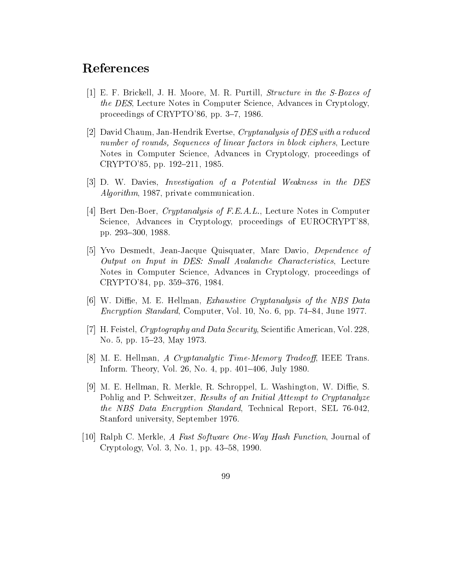## References

- [1] E. F. Brickell, J. H. Moore, M. R. Purtill, Structure in the S-Boxes of the DES, Lecture Notes in Computer Science, Advances in Cryptology, proceedings of CRYPTO'86, pp.  $3-7$ , 1986.
- [2] David Chaum, Jan-Hendrik Evertse, Cryptanalysis of DES with a reduced number of rounds, Sequences of linear factors in block ciphers, Lecture Notes in Computer Science, Advances in Cryptology, proceedings of CRYPTO'85, pp. 192-211, 1985.
- [3] D. W. Davies, Investigation of a Potential Weakness in the DES Algorithm, 1987, private communication.
- [4] Bert Den-Boer, Cryptanalysis of F.E.A.L., Lecture Notes in Computer Science, Advances in Cryptology, proceedings of EUROCRYPT'88, pp. 293-300, 1988.
- [5] Yvo Desmedt, Jean-Jacque Quisquater, Marc Davio, Dependence of Output on Input in DES: Small Avalanche Characteristics, Lecture Notes in Computer Science, Advances in Cryptology, proceedings of CRYPTO'84, pp. 359–376, 1984.
- $[6]$  W. Diffie, M. E. Hellman, *Exhaustive Cryptanalysis of the NBS Data* Encryption Standard, Computer, Vol. 10, No. 6, pp.  $74–84$ , June 1977.
- [7] H. Feistel, Cryptography and Data Security, Scientic American, Vol. 228, No. 5, pp. 15–23, May 1973.
- [8] M. E. Hellman, A Cryptanalytic Time-Memory Tradeoff, IEEE Trans. Inform. Theory, Vol. 26, No. 4, pp.  $401–406$ , July 1980.
- [9] M. E. Hellman, R. Merkle, R. Schroppel, L. Washington, W. Diffie, S. Pohlig and P. Schweitzer, Results of an Initial Attempt to Cryptanalyze the NBS Data Encryption Standard, Technical Report, SEL 76-042, Stanford university, September 1976.
- [10] Ralph C. Merkle, A Fast Software One-Way Hash Function, Journal of Cryptology, Vol. 3, No. 1, pp. 43–58, 1990.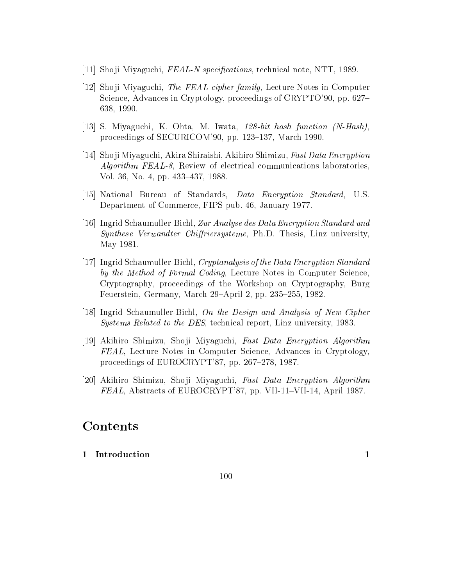- [11] Shoji Miyaguchi, FEAL-N specifications, technical note, NTT, 1989.
- [12] Shoji Miyaguchi, *The FEAL cipher family*, Lecture Notes in Computer Science, Advances in Cryptology, proceedings of CRYPTO'90, pp. 627– 638, 1990.
- [13] S. Miyaguchi, K. Ohta, M. Iwata, 128-bit hash function (N-Hash), proceedings of SECURICOM'90, pp. 123-137, March 1990.
- [14] Sho ji Miyaguchi, Akira Shiraishi, Akihiro Shimizu, Fast Data Encryption Algorithm FEAL-8, Review of electrical communications laboratories, Vol. 36, No. 4, pp. 433-437, 1988.
- [15] National Bureau of Standards, Data Encryption Standard, U.S. Department of Commerce, FIPS pub. 46, January 1977.
- [16] Ingrid Schaumuller-Bichl, Zur Analyse des Data Encryption Standard und Synthese Verwandter Chiffriersysteme, Ph.D. Thesis, Linz university, May 1981.
- [17] Ingrid Schaumuller-Bichl, Cryptanalysis of the Data Encryption Standard by the Method of Formal Coding, Lecture Notes in Computer Science, Cryptography, proceedings of the Workshop on Cryptography, Burg Feuerstein, Germany, March 29–April 2, pp.  $235-255$ , 1982.
- [18] Ingrid Schaumuller-Bichl, On the Design and Analysis of New Cipher Systems Related to the DES, technical report, Linz university, 1983.
- [19] Akihiro Shimizu, Shoji Miyaguchi, Fast Data Encryption Algorithm FEAL, Lecture Notes in Computer Science, Advances in Cryptology, proceedings of EUROCRYPT'87, pp. 267-278, 1987.
- [20] Akihiro Shimizu, Shoji Miyaguchi, Fast Data Encryption Algorithm  $FEAL$ , Abstracts of EUROCRYPT'87, pp. VII-11-VII-14, April 1987.

## Contents

#### 1 Introduction 1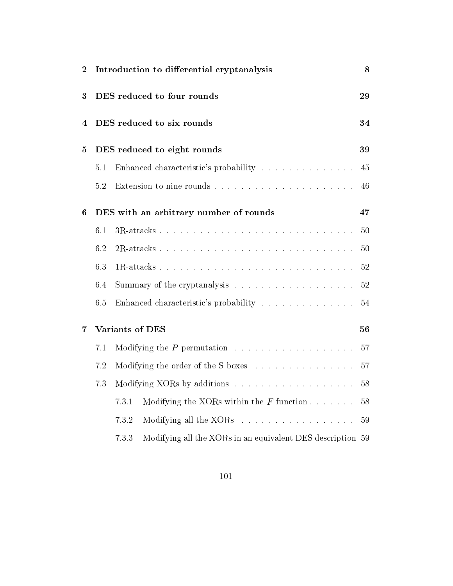| $\bf{2}$ |     | Introduction to differential cryptanalysis                              | 8  |
|----------|-----|-------------------------------------------------------------------------|----|
| 3        |     | DES reduced to four rounds                                              | 29 |
| 4        |     | DES reduced to six rounds                                               | 34 |
| 5        |     | DES reduced to eight rounds                                             | 39 |
|          | 5.1 | Enhanced characteristic's probability                                   | 45 |
|          | 5.2 |                                                                         | 46 |
| 6        |     | DES with an arbitrary number of rounds                                  | 47 |
|          | 6.1 |                                                                         | 50 |
|          | 6.2 |                                                                         | 50 |
|          | 6.3 |                                                                         | 52 |
|          | 6.4 |                                                                         | 52 |
|          | 6.5 | Enhanced characteristic's probability                                   | 54 |
| 7        |     | <b>Variants of DES</b>                                                  | 56 |
|          | 7.1 | Modifying the P permutation $\ldots \ldots \ldots \ldots \ldots \ldots$ | 57 |
|          | 7.2 | Modifying the order of the S boxes $\dots \dots \dots \dots \dots$      | 57 |
|          | 7.3 | Modifying XORs by additions $\ldots \ldots \ldots \ldots \ldots \ldots$ | 58 |
|          |     | 7.3.1<br>Modifying the XORs within the $F$ function $\ldots \ldots$     | 58 |
|          |     | 7.3.2                                                                   | 59 |
|          |     | Modifying all the XORs in an equivalent DES description 59<br>7.3.3     |    |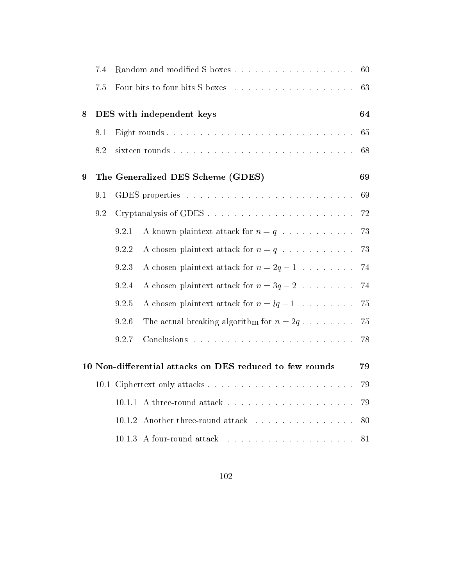|   | 7.4 |                                                                                         | 60 |
|---|-----|-----------------------------------------------------------------------------------------|----|
|   | 7.5 |                                                                                         | 63 |
| 8 |     | DES with independent keys                                                               | 64 |
|   | 8.1 |                                                                                         | 65 |
|   | 8.2 | sixteen rounds                                                                          | 68 |
| 9 |     | The Generalized DES Scheme (GDES)                                                       | 69 |
|   | 9.1 |                                                                                         | 69 |
|   | 9.2 | Cryptanalysis of GDES                                                                   | 72 |
|   |     | 9.2.1<br>A known plaintext attack for $n = q$                                           | 73 |
|   |     | 9.2.2<br>A chosen plaintext attack for $n = q$                                          | 73 |
|   |     | 9.2.3<br>A chosen plaintext attack for $n = 2q - 1$                                     | 74 |
|   |     | 9.2.4<br>A chosen plaintext attack for $n = 3q - 2$                                     | 74 |
|   |     | A chosen plaintext attack for $n = lq - 1$<br>9.2.5                                     | 75 |
|   |     | The actual breaking algorithm for $n = 2q$<br>9.2.6                                     | 75 |
|   |     | 9.2.7                                                                                   | 78 |
|   |     | 10 Non-differential attacks on DES reduced to few rounds                                | 79 |
|   |     |                                                                                         | 79 |
|   |     |                                                                                         | 79 |
|   |     | 10.1.2 Another three-round attack                                                       | 80 |
|   |     | $10.1.3$ A four-round attack<br>and the contract of the contract of the contract of the | 81 |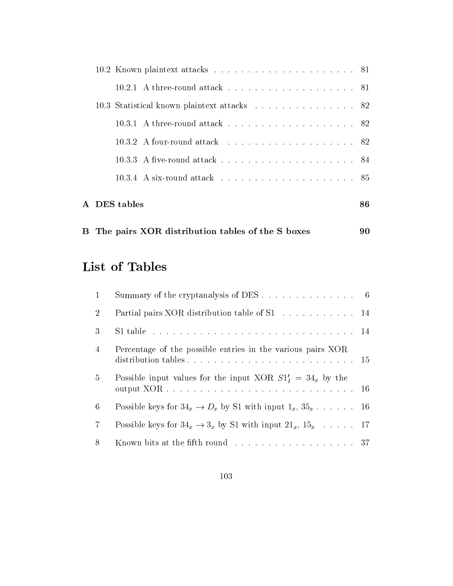|          |              | $10.2.1$ A three-round attack 81                 |    |
|----------|--------------|--------------------------------------------------|----|
|          |              |                                                  |    |
|          |              |                                                  |    |
|          |              |                                                  |    |
|          |              |                                                  |    |
|          |              |                                                  |    |
|          | A DES tables |                                                  | 86 |
| $\bf{B}$ |              | The pairs XOR distribution tables of the S boxes | 90 |

# List of Tables

| $\mathbf{1}$   | Summary of the cryptanalysis of DES 6                                           |  |
|----------------|---------------------------------------------------------------------------------|--|
| $\overline{2}$ | Partial pairs XOR distribution table of S1 14                                   |  |
| 3              |                                                                                 |  |
| $\overline{4}$ | Percentage of the possible entries in the various pairs XOR                     |  |
| 5              | Possible input values for the input XOR $S1'_1 = 34_x$ by the                   |  |
| 6              | Possible keys for $34_x \rightarrow D_x$ by S1 with input $1_x, 35_x \ldots$ 16 |  |
| $7\phantom{.}$ | Possible keys for $34_x \rightarrow 3_x$ by S1 with input $21_x$ , $15_x$ 17    |  |
| 8              | Known bits at the fifth round $\ldots \ldots \ldots \ldots \ldots \ldots 37$    |  |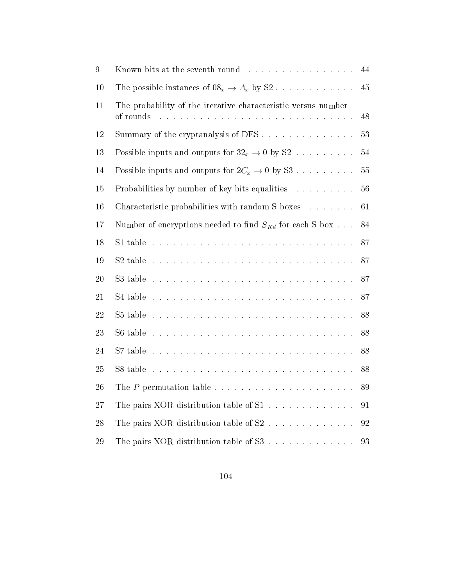| $\boldsymbol{9}$ | Known bits at the seventh round                                                                | -44 |
|------------------|------------------------------------------------------------------------------------------------|-----|
| 10               | The possible instances of $08_x \rightarrow A_x$ by S2                                         | 45  |
| 11               | The probability of the iterative characteristic versus number<br>of rounds                     | 48  |
| 12               | Summary of the cryptanalysis of DES                                                            | 53  |
| 13               | Possible inputs and outputs for $32_x \rightarrow 0$ by $S2$                                   | 54  |
| 14               | Possible inputs and outputs for $2C_x \rightarrow 0$ by S3                                     | 55  |
| 15               | Probabilities by number of key bits equalities                                                 | 56  |
| 16               | Characteristic probabilities with random S boxes                                               | 61  |
| 17               | Number of encryptions needed to find $S_{Kd}$ for each S box                                   | 84  |
| 18               |                                                                                                | 87  |
| 19               | $S2$ table $\ldots \ldots \ldots \ldots \ldots \ldots \ldots \ldots \ldots \ldots$             | 87  |
| $20\,$           | S3 table $\ldots \ldots \ldots \ldots \ldots \ldots \ldots \ldots \ldots \ldots \ldots$        | 87  |
| 21               | $S4$ table $\ldots \ldots \ldots \ldots \ldots \ldots \ldots \ldots \ldots \ldots \ldots$      | 87  |
| 22               | $S5$ table $\ldots \ldots \ldots \ldots \ldots \ldots \ldots \ldots \ldots \ldots \ldots$      | 88  |
| 23               | S6 table $\ldots \ldots \ldots \ldots \ldots \ldots \ldots \ldots \ldots \ldots \ldots$        | 88  |
| $24\,$           | $S7$ table $\ldots \ldots \ldots \ldots \ldots \ldots \ldots \ldots \ldots \ldots \ldots$      | -88 |
| $25\,$           | S8 table $\ldots \ldots \ldots \ldots \ldots \ldots \ldots \ldots \ldots \ldots \ldots \ldots$ | 88  |
| $26\,$           |                                                                                                | 89  |
| 27               | The pairs XOR distribution table of $S1$                                                       | 91  |
| $28\,$           | The pairs XOR distribution table of $S2$                                                       | 92  |
| 29               | The pairs XOR distribution table of $S3$                                                       | 93  |